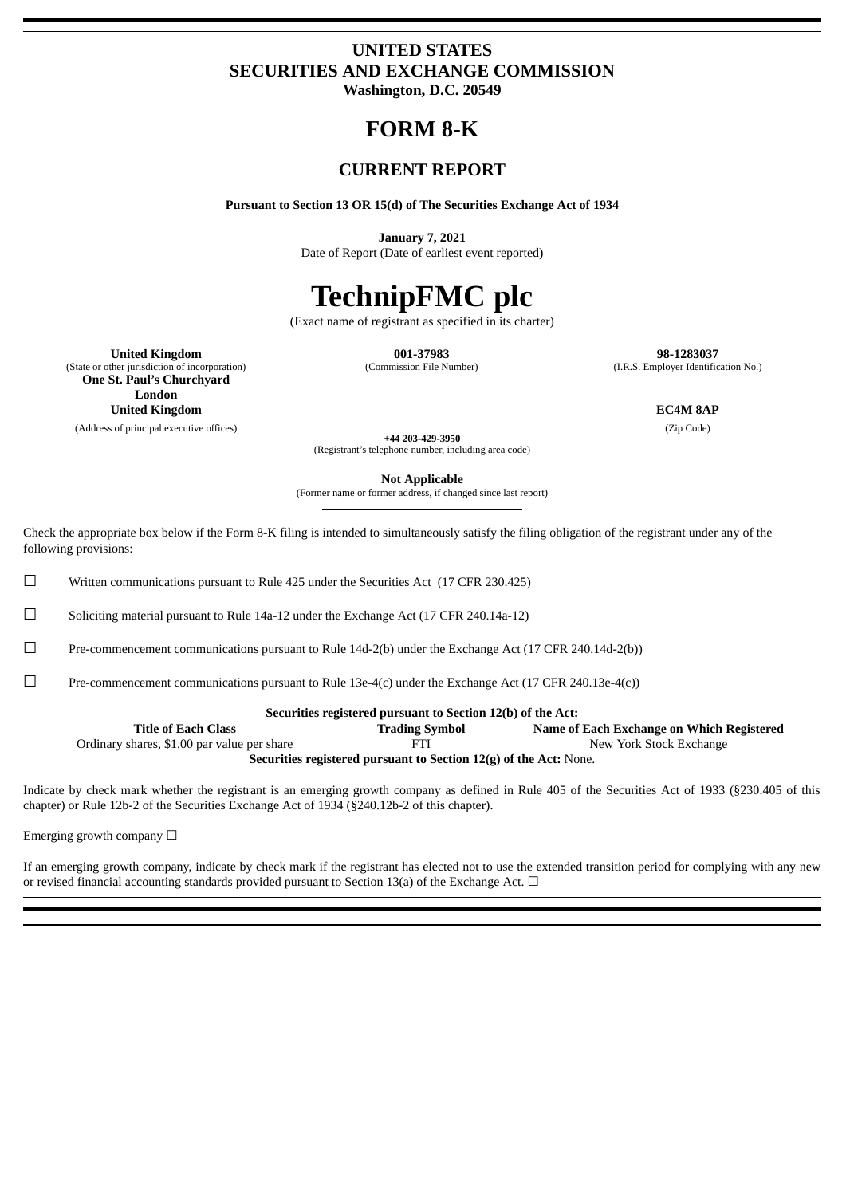### **UNITED STATES SECURITIES AND EXCHANGE COMMISSION Washington, D.C. 20549**

**FORM 8-K**

# **CURRENT REPORT**

**Pursuant to Section 13 OR 15(d) of The Securities Exchange Act of 1934**

**January 7, 2021**

Date of Report (Date of earliest event reported)

# **TechnipFMC plc**

(Exact name of registrant as specified in its charter)

**United Kingdom 1283037 1283037 1283037 1283037 1283037 1283037 1283037 1283037 1283037 1283037 1283037 1283037 1283037 1283037 1283037 1283037 1283037 1283037 1283037 1283037 1283** 

(State or other jurisdiction of incorporation) **One St. Paul's Churchyard London**

**United Kingdom EC4M 8AP**

(Address of principal executive offices) (Zip Code) **+44 203-429-3950** (Registrant's telephone number, including area code)

**Not Applicable**

(Former name or former address, if changed since last report)

Check the appropriate box below if the Form 8-K filing is intended to simultaneously satisfy the filing obligation of the registrant under any of the following provisions:

☐ Written communications pursuant to Rule 425 under the Securities Act (17 CFR 230.425)

 $\Box$  Soliciting material pursuant to Rule 14a-12 under the Exchange Act (17 CFR 240.14a-12)

 $□$  Pre-commencement communications pursuant to Rule 14d-2(b) under the Exchange Act (17 CFR 240.14d-2(b))

☐ Pre-commencement communications pursuant to Rule 13e-4(c) under the Exchange Act (17 CFR 240.13e-4(c))

#### **Securities registered pursuant to Section 12(b) of the Act:**

**Title of Each Class Trading Symbol Name of Each Exchange on Which Registered** Ordinary shares, \$1.00 par value per share FTI FTI New York Stock Exchange **Securities registered pursuant to Section 12(g) of the Act:** None.

Indicate by check mark whether the registrant is an emerging growth company as defined in Rule 405 of the Securities Act of 1933 (§230.405 of this chapter) or Rule 12b-2 of the Securities Exchange Act of 1934 (§240.12b-2 of this chapter).

Emerging growth company  $\Box$ 

If an emerging growth company, indicate by check mark if the registrant has elected not to use the extended transition period for complying with any new or revised financial accounting standards provided pursuant to Section 13(a) of the Exchange Act.  $\Box$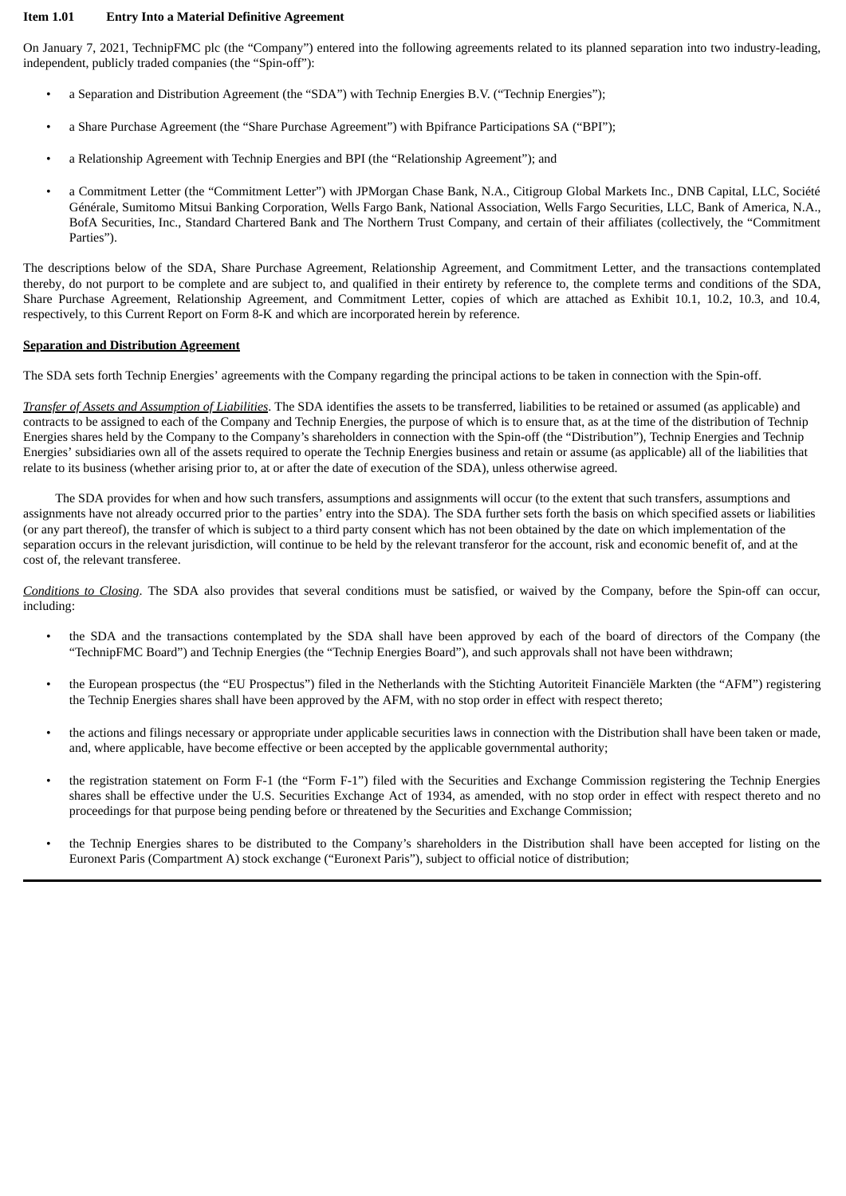#### **Item 1.01 Entry Into a Material Definitive Agreement**

On January 7, 2021, TechnipFMC plc (the "Company") entered into the following agreements related to its planned separation into two industry-leading, independent, publicly traded companies (the "Spin-off"):

- a Separation and Distribution Agreement (the "SDA") with Technip Energies B.V. ("Technip Energies");
- a Share Purchase Agreement (the "Share Purchase Agreement") with Bpifrance Participations SA ("BPI");
- a Relationship Agreement with Technip Energies and BPI (the "Relationship Agreement"); and
- a Commitment Letter (the "Commitment Letter") with JPMorgan Chase Bank, N.A., Citigroup Global Markets Inc., DNB Capital, LLC, Société Générale, Sumitomo Mitsui Banking Corporation, Wells Fargo Bank, National Association, Wells Fargo Securities, LLC, Bank of America, N.A., BofA Securities, Inc., Standard Chartered Bank and The Northern Trust Company, and certain of their affiliates (collectively, the "Commitment Parties").

The descriptions below of the SDA, Share Purchase Agreement, Relationship Agreement, and Commitment Letter, and the transactions contemplated thereby, do not purport to be complete and are subject to, and qualified in their entirety by reference to, the complete terms and conditions of the SDA, Share Purchase Agreement, Relationship Agreement, and Commitment Letter, copies of which are attached as Exhibit 10.1, 10.2, 10.3, and 10.4, respectively, to this Current Report on Form 8-K and which are incorporated herein by reference.

#### **Separation and Distribution Agreement**

The SDA sets forth Technip Energies' agreements with the Company regarding the principal actions to be taken in connection with the Spin-off.

*Transfer of Assets and Assumption of Liabilities*. The SDA identifies the assets to be transferred, liabilities to be retained or assumed (as applicable) and contracts to be assigned to each of the Company and Technip Energies, the purpose of which is to ensure that, as at the time of the distribution of Technip Energies shares held by the Company to the Company's shareholders in connection with the Spin-off (the "Distribution"), Technip Energies and Technip Energies' subsidiaries own all of the assets required to operate the Technip Energies business and retain or assume (as applicable) all of the liabilities that relate to its business (whether arising prior to, at or after the date of execution of the SDA), unless otherwise agreed.

The SDA provides for when and how such transfers, assumptions and assignments will occur (to the extent that such transfers, assumptions and assignments have not already occurred prior to the parties' entry into the SDA). The SDA further sets forth the basis on which specified assets or liabilities (or any part thereof), the transfer of which is subject to a third party consent which has not been obtained by the date on which implementation of the separation occurs in the relevant jurisdiction, will continue to be held by the relevant transferor for the account, risk and economic benefit of, and at the cost of, the relevant transferee.

*Conditions to Closing*. The SDA also provides that several conditions must be satisfied, or waived by the Company, before the Spin-off can occur, including:

- the SDA and the transactions contemplated by the SDA shall have been approved by each of the board of directors of the Company (the "TechnipFMC Board") and Technip Energies (the "Technip Energies Board"), and such approvals shall not have been withdrawn;
- the European prospectus (the "EU Prospectus") filed in the Netherlands with the Stichting Autoriteit Financiële Markten (the "AFM") registering the Technip Energies shares shall have been approved by the AFM, with no stop order in effect with respect thereto;
- the actions and filings necessary or appropriate under applicable securities laws in connection with the Distribution shall have been taken or made, and, where applicable, have become effective or been accepted by the applicable governmental authority;
- the registration statement on Form F-1 (the "Form F-1") filed with the Securities and Exchange Commission registering the Technip Energies shares shall be effective under the U.S. Securities Exchange Act of 1934, as amended, with no stop order in effect with respect thereto and no proceedings for that purpose being pending before or threatened by the Securities and Exchange Commission;
- the Technip Energies shares to be distributed to the Company's shareholders in the Distribution shall have been accepted for listing on the Euronext Paris (Compartment A) stock exchange ("Euronext Paris"), subject to official notice of distribution;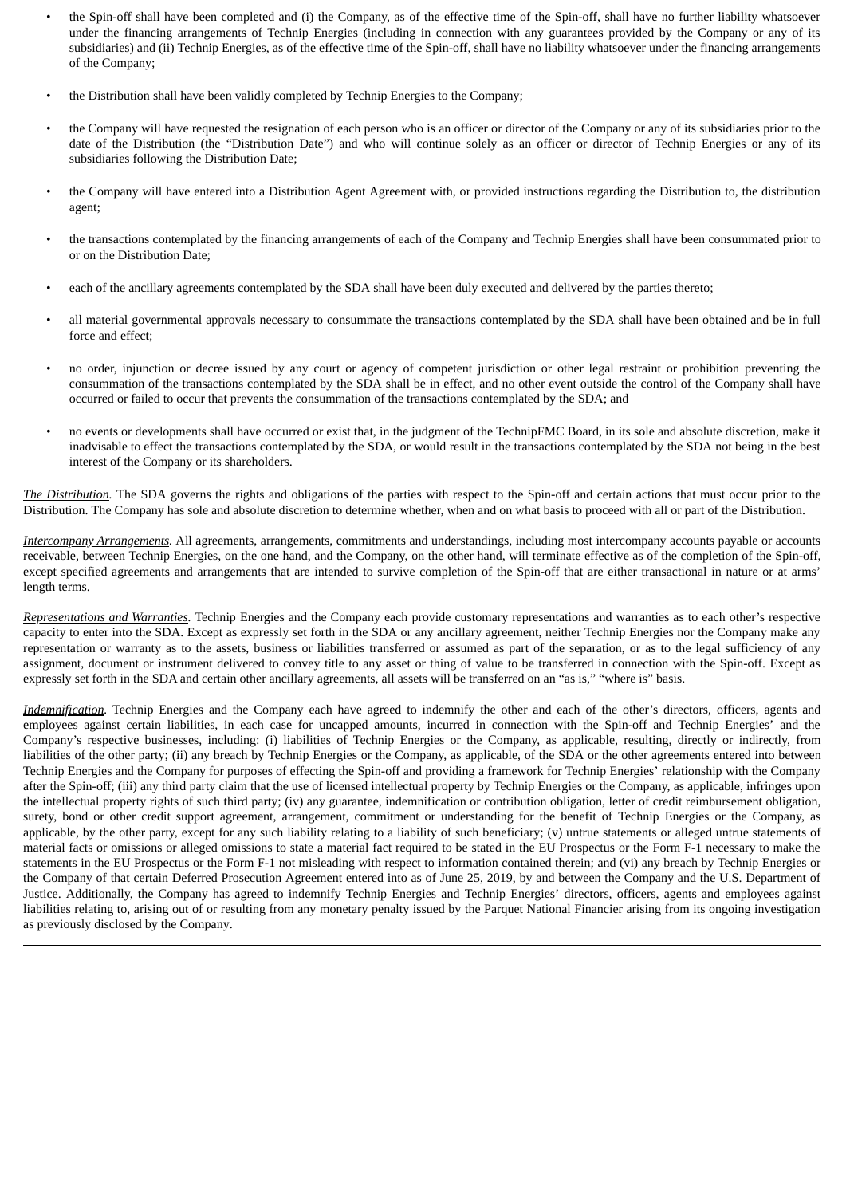- the Spin-off shall have been completed and (i) the Company, as of the effective time of the Spin-off, shall have no further liability whatsoever under the financing arrangements of Technip Energies (including in connection with any guarantees provided by the Company or any of its subsidiaries) and (ii) Technip Energies, as of the effective time of the Spin-off, shall have no liability whatsoever under the financing arrangements of the Company;
- the Distribution shall have been validly completed by Technip Energies to the Company;
- the Company will have requested the resignation of each person who is an officer or director of the Company or any of its subsidiaries prior to the date of the Distribution (the "Distribution Date") and who will continue solely as an officer or director of Technip Energies or any of its subsidiaries following the Distribution Date;
- the Company will have entered into a Distribution Agent Agreement with, or provided instructions regarding the Distribution to, the distribution agent;
- the transactions contemplated by the financing arrangements of each of the Company and Technip Energies shall have been consummated prior to or on the Distribution Date;
- each of the ancillary agreements contemplated by the SDA shall have been duly executed and delivered by the parties thereto;
- all material governmental approvals necessary to consummate the transactions contemplated by the SDA shall have been obtained and be in full force and effect;
- no order, injunction or decree issued by any court or agency of competent jurisdiction or other legal restraint or prohibition preventing the consummation of the transactions contemplated by the SDA shall be in effect, and no other event outside the control of the Company shall have occurred or failed to occur that prevents the consummation of the transactions contemplated by the SDA; and
- no events or developments shall have occurred or exist that, in the judgment of the TechnipFMC Board, in its sole and absolute discretion, make it inadvisable to effect the transactions contemplated by the SDA, or would result in the transactions contemplated by the SDA not being in the best interest of the Company or its shareholders.

*The Distribution.* The SDA governs the rights and obligations of the parties with respect to the Spin-off and certain actions that must occur prior to the Distribution. The Company has sole and absolute discretion to determine whether, when and on what basis to proceed with all or part of the Distribution.

*Intercompany Arrangements.* All agreements, arrangements, commitments and understandings, including most intercompany accounts payable or accounts receivable, between Technip Energies, on the one hand, and the Company, on the other hand, will terminate effective as of the completion of the Spin-off, except specified agreements and arrangements that are intended to survive completion of the Spin-off that are either transactional in nature or at arms' length terms.

*Representations and Warranties.* Technip Energies and the Company each provide customary representations and warranties as to each other's respective capacity to enter into the SDA. Except as expressly set forth in the SDA or any ancillary agreement, neither Technip Energies nor the Company make any representation or warranty as to the assets, business or liabilities transferred or assumed as part of the separation, or as to the legal sufficiency of any assignment, document or instrument delivered to convey title to any asset or thing of value to be transferred in connection with the Spin-off. Except as expressly set forth in the SDA and certain other ancillary agreements, all assets will be transferred on an "as is," "where is" basis.

*Indemnification.* Technip Energies and the Company each have agreed to indemnify the other and each of the other's directors, officers, agents and employees against certain liabilities, in each case for uncapped amounts, incurred in connection with the Spin-off and Technip Energies' and the Company's respective businesses, including: (i) liabilities of Technip Energies or the Company, as applicable, resulting, directly or indirectly, from liabilities of the other party; (ii) any breach by Technip Energies or the Company, as applicable, of the SDA or the other agreements entered into between Technip Energies and the Company for purposes of effecting the Spin-off and providing a framework for Technip Energies' relationship with the Company after the Spin-off; (iii) any third party claim that the use of licensed intellectual property by Technip Energies or the Company, as applicable, infringes upon the intellectual property rights of such third party; (iv) any guarantee, indemnification or contribution obligation, letter of credit reimbursement obligation, surety, bond or other credit support agreement, arrangement, commitment or understanding for the benefit of Technip Energies or the Company, as applicable, by the other party, except for any such liability relating to a liability of such beneficiary;  $(v)$  untrue statements or alleged untrue statements of material facts or omissions or alleged omissions to state a material fact required to be stated in the EU Prospectus or the Form F-1 necessary to make the statements in the EU Prospectus or the Form F-1 not misleading with respect to information contained therein; and (vi) any breach by Technip Energies or the Company of that certain Deferred Prosecution Agreement entered into as of June 25, 2019, by and between the Company and the U.S. Department of Justice. Additionally, the Company has agreed to indemnify Technip Energies and Technip Energies' directors, officers, agents and employees against liabilities relating to, arising out of or resulting from any monetary penalty issued by the Parquet National Financier arising from its ongoing investigation as previously disclosed by the Company.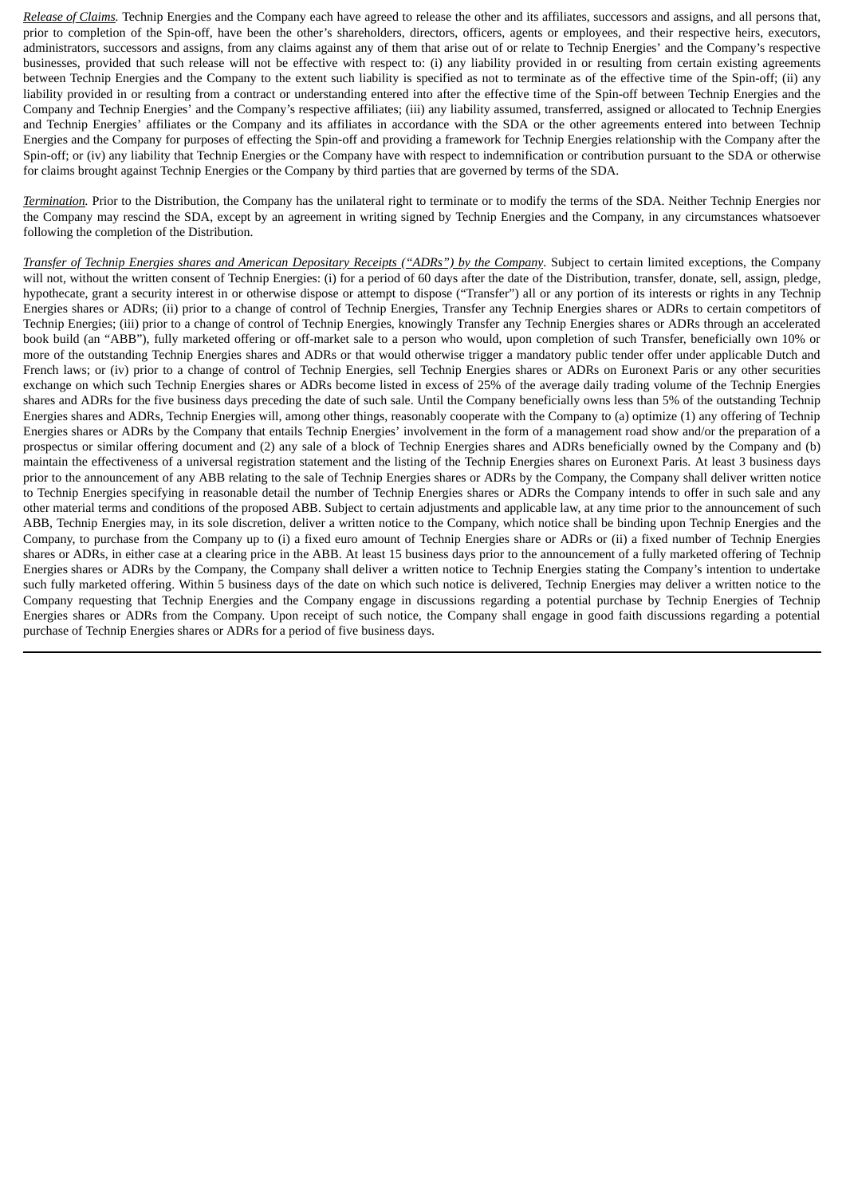*Release of Claims.* Technip Energies and the Company each have agreed to release the other and its affiliates, successors and assigns, and all persons that, prior to completion of the Spin-off, have been the other's shareholders, directors, officers, agents or employees, and their respective heirs, executors, administrators, successors and assigns, from any claims against any of them that arise out of or relate to Technip Energies' and the Company's respective businesses, provided that such release will not be effective with respect to: (i) any liability provided in or resulting from certain existing agreements between Technip Energies and the Company to the extent such liability is specified as not to terminate as of the effective time of the Spin-off; (ii) any liability provided in or resulting from a contract or understanding entered into after the effective time of the Spin-off between Technip Energies and the Company and Technip Energies' and the Company's respective affiliates; (iii) any liability assumed, transferred, assigned or allocated to Technip Energies and Technip Energies' affiliates or the Company and its affiliates in accordance with the SDA or the other agreements entered into between Technip Energies and the Company for purposes of effecting the Spin-off and providing a framework for Technip Energies relationship with the Company after the Spin-off; or (iv) any liability that Technip Energies or the Company have with respect to indemnification or contribution pursuant to the SDA or otherwise for claims brought against Technip Energies or the Company by third parties that are governed by terms of the SDA.

*Termination.* Prior to the Distribution, the Company has the unilateral right to terminate or to modify the terms of the SDA. Neither Technip Energies nor the Company may rescind the SDA, except by an agreement in writing signed by Technip Energies and the Company, in any circumstances whatsoever following the completion of the Distribution.

Transfer of Technip Energies shares and American Depositary Receipts ("ADRs") by the Company. Subject to certain limited exceptions, the Company will not, without the written consent of Technip Energies: (i) for a period of 60 days after the date of the Distribution, transfer, donate, sell, assign, pledge, hypothecate, grant a security interest in or otherwise dispose or attempt to dispose ("Transfer") all or any portion of its interests or rights in any Technip Energies shares or ADRs; (ii) prior to a change of control of Technip Energies, Transfer any Technip Energies shares or ADRs to certain competitors of Technip Energies; (iii) prior to a change of control of Technip Energies, knowingly Transfer any Technip Energies shares or ADRs through an accelerated book build (an "ABB"), fully marketed offering or off-market sale to a person who would, upon completion of such Transfer, beneficially own 10% or more of the outstanding Technip Energies shares and ADRs or that would otherwise trigger a mandatory public tender offer under applicable Dutch and French laws; or (iv) prior to a change of control of Technip Energies, sell Technip Energies shares or ADRs on Euronext Paris or any other securities exchange on which such Technip Energies shares or ADRs become listed in excess of 25% of the average daily trading volume of the Technip Energies shares and ADRs for the five business days preceding the date of such sale. Until the Company beneficially owns less than 5% of the outstanding Technip Energies shares and ADRs, Technip Energies will, among other things, reasonably cooperate with the Company to (a) optimize (1) any offering of Technip Energies shares or ADRs by the Company that entails Technip Energies' involvement in the form of a management road show and/or the preparation of a prospectus or similar offering document and (2) any sale of a block of Technip Energies shares and ADRs beneficially owned by the Company and (b) maintain the effectiveness of a universal registration statement and the listing of the Technip Energies shares on Euronext Paris. At least 3 business days prior to the announcement of any ABB relating to the sale of Technip Energies shares or ADRs by the Company, the Company shall deliver written notice to Technip Energies specifying in reasonable detail the number of Technip Energies shares or ADRs the Company intends to offer in such sale and any other material terms and conditions of the proposed ABB. Subject to certain adjustments and applicable law, at any time prior to the announcement of such ABB, Technip Energies may, in its sole discretion, deliver a written notice to the Company, which notice shall be binding upon Technip Energies and the Company, to purchase from the Company up to (i) a fixed euro amount of Technip Energies share or ADRs or (ii) a fixed number of Technip Energies shares or ADRs, in either case at a clearing price in the ABB. At least 15 business days prior to the announcement of a fully marketed offering of Technip Energies shares or ADRs by the Company, the Company shall deliver a written notice to Technip Energies stating the Company's intention to undertake such fully marketed offering. Within 5 business days of the date on which such notice is delivered, Technip Energies may deliver a written notice to the Company requesting that Technip Energies and the Company engage in discussions regarding a potential purchase by Technip Energies of Technip Energies shares or ADRs from the Company. Upon receipt of such notice, the Company shall engage in good faith discussions regarding a potential purchase of Technip Energies shares or ADRs for a period of five business days.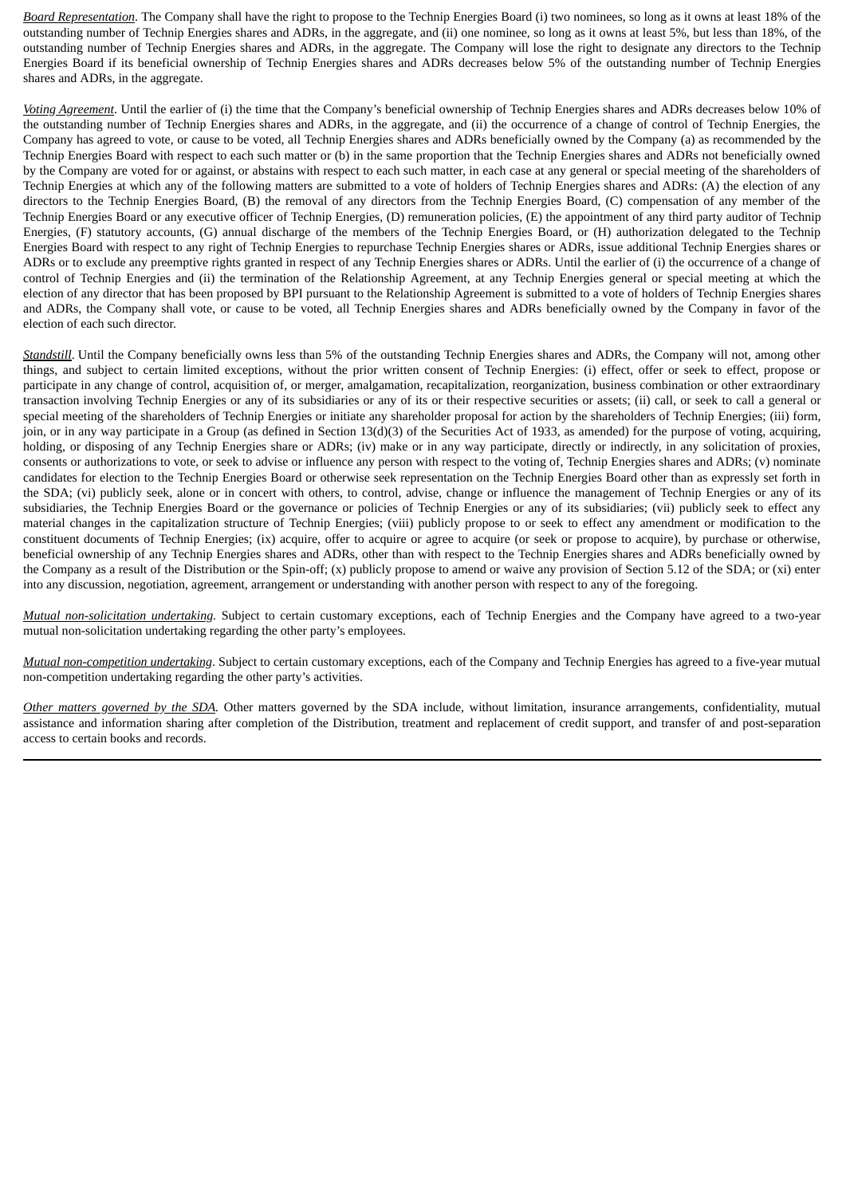*Board Representation*. The Company shall have the right to propose to the Technip Energies Board (i) two nominees, so long as it owns at least 18% of the outstanding number of Technip Energies shares and ADRs, in the aggregate, and (ii) one nominee, so long as it owns at least 5%, but less than 18%, of the outstanding number of Technip Energies shares and ADRs, in the aggregate. The Company will lose the right to designate any directors to the Technip Energies Board if its beneficial ownership of Technip Energies shares and ADRs decreases below 5% of the outstanding number of Technip Energies shares and ADRs, in the aggregate.

*Voting Agreement*. Until the earlier of (i) the time that the Company's beneficial ownership of Technip Energies shares and ADRs decreases below 10% of the outstanding number of Technip Energies shares and ADRs, in the aggregate, and (ii) the occurrence of a change of control of Technip Energies, the Company has agreed to vote, or cause to be voted, all Technip Energies shares and ADRs beneficially owned by the Company (a) as recommended by the Technip Energies Board with respect to each such matter or (b) in the same proportion that the Technip Energies shares and ADRs not beneficially owned by the Company are voted for or against, or abstains with respect to each such matter, in each case at any general or special meeting of the shareholders of Technip Energies at which any of the following matters are submitted to a vote of holders of Technip Energies shares and ADRs: (A) the election of any directors to the Technip Energies Board, (B) the removal of any directors from the Technip Energies Board, (C) compensation of any member of the Technip Energies Board or any executive officer of Technip Energies, (D) remuneration policies, (E) the appointment of any third party auditor of Technip Energies, (F) statutory accounts, (G) annual discharge of the members of the Technip Energies Board, or (H) authorization delegated to the Technip Energies Board with respect to any right of Technip Energies to repurchase Technip Energies shares or ADRs, issue additional Technip Energies shares or ADRs or to exclude any preemptive rights granted in respect of any Technip Energies shares or ADRs. Until the earlier of (i) the occurrence of a change of control of Technip Energies and (ii) the termination of the Relationship Agreement, at any Technip Energies general or special meeting at which the election of any director that has been proposed by BPI pursuant to the Relationship Agreement is submitted to a vote of holders of Technip Energies shares and ADRs, the Company shall vote, or cause to be voted, all Technip Energies shares and ADRs beneficially owned by the Company in favor of the election of each such director.

*Standstill*. Until the Company beneficially owns less than 5% of the outstanding Technip Energies shares and ADRs, the Company will not, among other things, and subject to certain limited exceptions, without the prior written consent of Technip Energies: (i) effect, offer or seek to effect, propose or participate in any change of control, acquisition of, or merger, amalgamation, recapitalization, reorganization, business combination or other extraordinary transaction involving Technip Energies or any of its subsidiaries or any of its or their respective securities or assets; (ii) call, or seek to call a general or special meeting of the shareholders of Technip Energies or initiate any shareholder proposal for action by the shareholders of Technip Energies; (iii) form, join, or in any way participate in a Group (as defined in Section 13(d)(3) of the Securities Act of 1933, as amended) for the purpose of voting, acquiring, holding, or disposing of any Technip Energies share or ADRs; (iv) make or in any way participate, directly or indirectly, in any solicitation of proxies, consents or authorizations to vote, or seek to advise or influence any person with respect to the voting of, Technip Energies shares and ADRs; (v) nominate candidates for election to the Technip Energies Board or otherwise seek representation on the Technip Energies Board other than as expressly set forth in the SDA; (vi) publicly seek, alone or in concert with others, to control, advise, change or influence the management of Technip Energies or any of its subsidiaries, the Technip Energies Board or the governance or policies of Technip Energies or any of its subsidiaries; (vii) publicly seek to effect any material changes in the capitalization structure of Technip Energies; (viii) publicly propose to or seek to effect any amendment or modification to the constituent documents of Technip Energies; (ix) acquire, offer to acquire or agree to acquire (or seek or propose to acquire), by purchase or otherwise, beneficial ownership of any Technip Energies shares and ADRs, other than with respect to the Technip Energies shares and ADRs beneficially owned by the Company as a result of the Distribution or the Spin-off; (x) publicly propose to amend or waive any provision of Section 5.12 of the SDA; or (xi) enter into any discussion, negotiation, agreement, arrangement or understanding with another person with respect to any of the foregoing.

*Mutual non-solicitation undertaking.* Subject to certain customary exceptions, each of Technip Energies and the Company have agreed to a two-year mutual non-solicitation undertaking regarding the other party's employees.

*Mutual non-competition undertaking*. Subject to certain customary exceptions, each of the Company and Technip Energies has agreed to a five-year mutual non-competition undertaking regarding the other party's activities.

*Other matters governed by the SDA.* Other matters governed by the SDA include, without limitation, insurance arrangements, confidentiality, mutual assistance and information sharing after completion of the Distribution, treatment and replacement of credit support, and transfer of and post-separation access to certain books and records.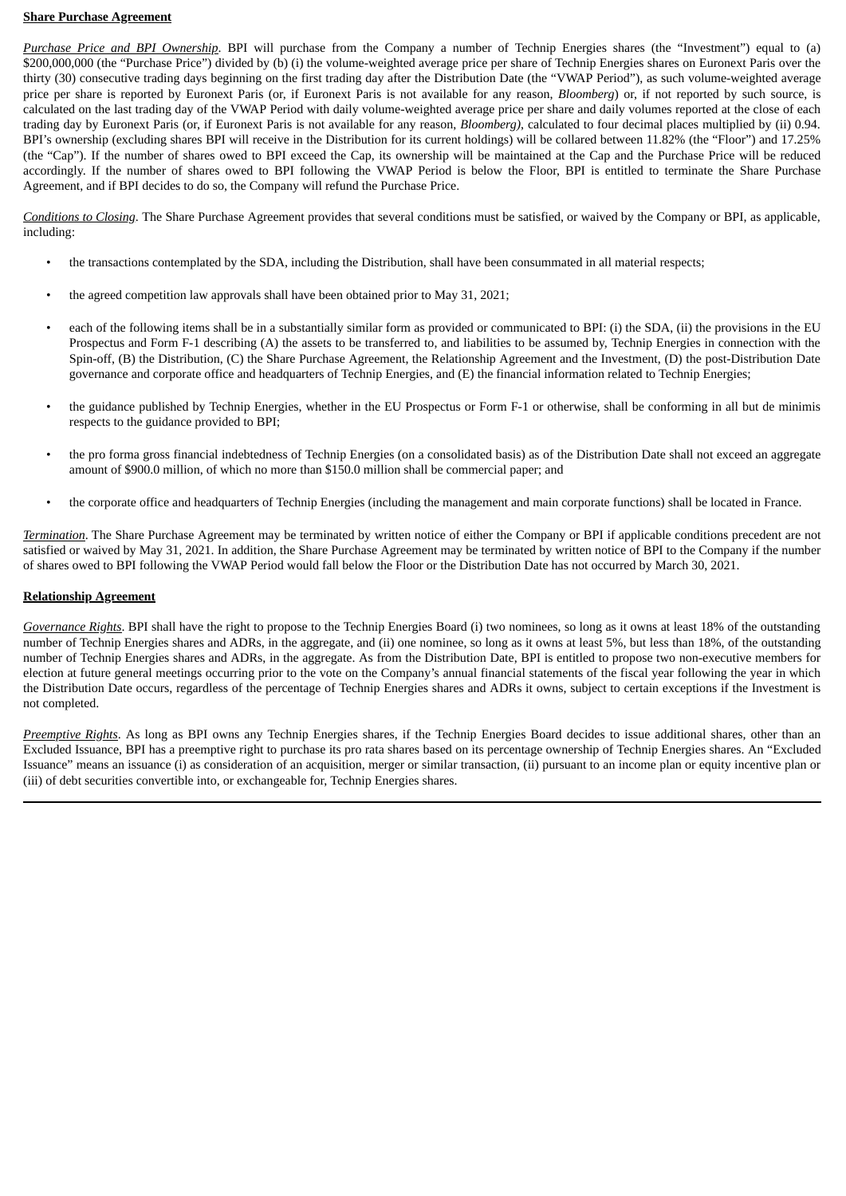#### **Share Purchase Agreement**

*Purchase Price and BPI Ownership*. BPI will purchase from the Company a number of Technip Energies shares (the "Investment") equal to (a) \$200,000,000 (the "Purchase Price") divided by (b) (i) the volume-weighted average price per share of Technip Energies shares on Euronext Paris over the thirty (30) consecutive trading days beginning on the first trading day after the Distribution Date (the "VWAP Period"), as such volume-weighted average price per share is reported by Euronext Paris (or, if Euronext Paris is not available for any reason, *Bloomberg*) or, if not reported by such source, is calculated on the last trading day of the VWAP Period with daily volume-weighted average price per share and daily volumes reported at the close of each trading day by Euronext Paris (or, if Euronext Paris is not available for any reason, *Bloomberg)*, calculated to four decimal places multiplied by (ii) 0.94. BPI's ownership (excluding shares BPI will receive in the Distribution for its current holdings) will be collared between 11.82% (the "Floor") and 17.25% (the "Cap"). If the number of shares owed to BPI exceed the Cap, its ownership will be maintained at the Cap and the Purchase Price will be reduced accordingly. If the number of shares owed to BPI following the VWAP Period is below the Floor, BPI is entitled to terminate the Share Purchase Agreement, and if BPI decides to do so, the Company will refund the Purchase Price.

*Conditions to Closing*. The Share Purchase Agreement provides that several conditions must be satisfied, or waived by the Company or BPI, as applicable, including:

- the transactions contemplated by the SDA, including the Distribution, shall have been consummated in all material respects;
- the agreed competition law approvals shall have been obtained prior to May 31, 2021;
- each of the following items shall be in a substantially similar form as provided or communicated to BPI: (i) the SDA, (ii) the provisions in the EU Prospectus and Form F-1 describing (A) the assets to be transferred to, and liabilities to be assumed by, Technip Energies in connection with the Spin-off, (B) the Distribution, (C) the Share Purchase Agreement, the Relationship Agreement and the Investment, (D) the post-Distribution Date governance and corporate office and headquarters of Technip Energies, and (E) the financial information related to Technip Energies;
- the guidance published by Technip Energies, whether in the EU Prospectus or Form F-1 or otherwise, shall be conforming in all but de minimis respects to the guidance provided to BPI;
- the pro forma gross financial indebtedness of Technip Energies (on a consolidated basis) as of the Distribution Date shall not exceed an aggregate amount of \$900.0 million, of which no more than \$150.0 million shall be commercial paper; and
- the corporate office and headquarters of Technip Energies (including the management and main corporate functions) shall be located in France.

*Termination*. The Share Purchase Agreement may be terminated by written notice of either the Company or BPI if applicable conditions precedent are not satisfied or waived by May 31, 2021. In addition, the Share Purchase Agreement may be terminated by written notice of BPI to the Company if the number of shares owed to BPI following the VWAP Period would fall below the Floor or the Distribution Date has not occurred by March 30, 2021.

#### **Relationship Agreement**

*Governance Rights*. BPI shall have the right to propose to the Technip Energies Board (i) two nominees, so long as it owns at least 18% of the outstanding number of Technip Energies shares and ADRs, in the aggregate, and (ii) one nominee, so long as it owns at least 5%, but less than 18%, of the outstanding number of Technip Energies shares and ADRs, in the aggregate. As from the Distribution Date, BPI is entitled to propose two non-executive members for election at future general meetings occurring prior to the vote on the Company's annual financial statements of the fiscal year following the year in which the Distribution Date occurs, regardless of the percentage of Technip Energies shares and ADRs it owns, subject to certain exceptions if the Investment is not completed.

*Preemptive Rights*. As long as BPI owns any Technip Energies shares, if the Technip Energies Board decides to issue additional shares, other than an Excluded Issuance, BPI has a preemptive right to purchase its pro rata shares based on its percentage ownership of Technip Energies shares. An "Excluded Issuance" means an issuance (i) as consideration of an acquisition, merger or similar transaction, (ii) pursuant to an income plan or equity incentive plan or (iii) of debt securities convertible into, or exchangeable for, Technip Energies shares.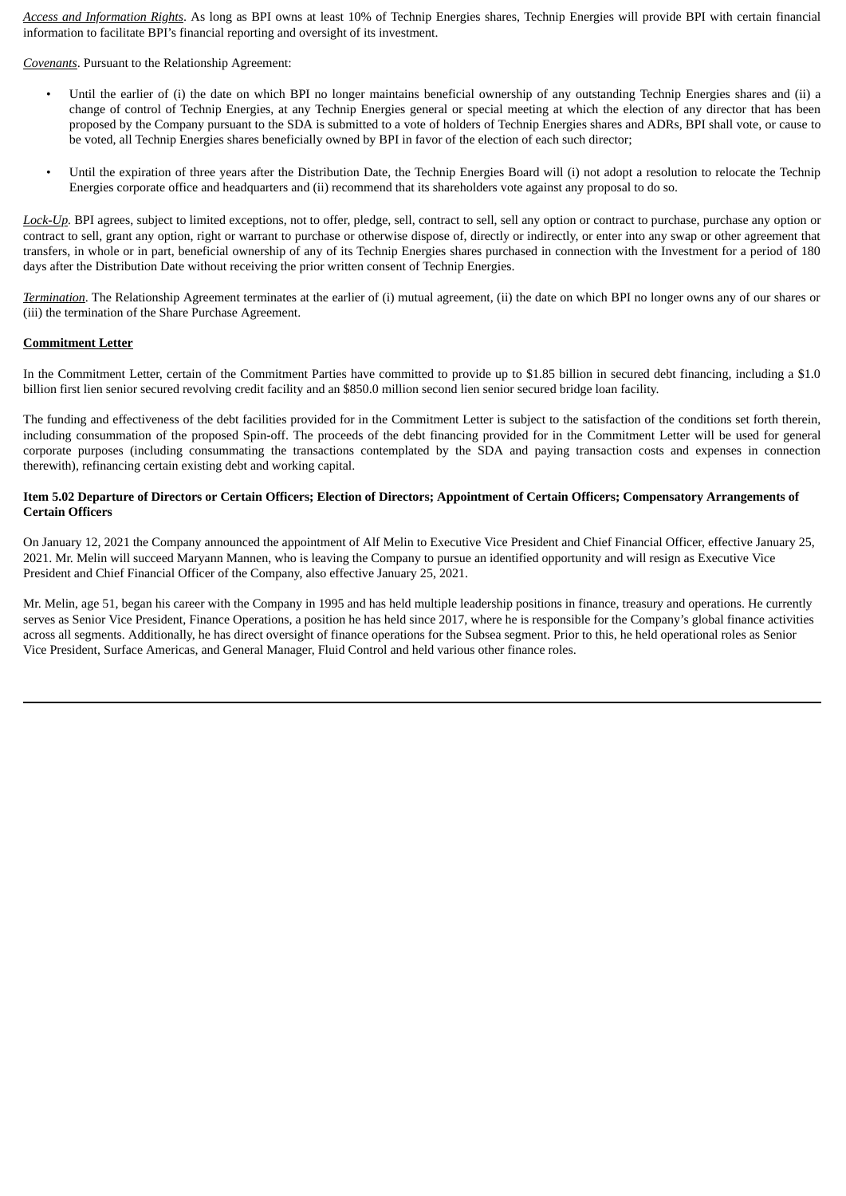*Access and Information Rights*. As long as BPI owns at least 10% of Technip Energies shares, Technip Energies will provide BPI with certain financial information to facilitate BPI's financial reporting and oversight of its investment.

*Covenants*. Pursuant to the Relationship Agreement:

- Until the earlier of (i) the date on which BPI no longer maintains beneficial ownership of any outstanding Technip Energies shares and (ii) a change of control of Technip Energies, at any Technip Energies general or special meeting at which the election of any director that has been proposed by the Company pursuant to the SDA is submitted to a vote of holders of Technip Energies shares and ADRs, BPI shall vote, or cause to be voted, all Technip Energies shares beneficially owned by BPI in favor of the election of each such director;
- Until the expiration of three years after the Distribution Date, the Technip Energies Board will (i) not adopt a resolution to relocate the Technip Energies corporate office and headquarters and (ii) recommend that its shareholders vote against any proposal to do so.

*Lock-Up.* BPI agrees, subject to limited exceptions, not to offer, pledge, sell, contract to sell, sell any option or contract to purchase, purchase any option or contract to sell, grant any option, right or warrant to purchase or otherwise dispose of, directly or indirectly, or enter into any swap or other agreement that transfers, in whole or in part, beneficial ownership of any of its Technip Energies shares purchased in connection with the Investment for a period of 180 days after the Distribution Date without receiving the prior written consent of Technip Energies.

*Termination*. The Relationship Agreement terminates at the earlier of (i) mutual agreement, (ii) the date on which BPI no longer owns any of our shares or (iii) the termination of the Share Purchase Agreement.

#### **Commitment Letter**

In the Commitment Letter, certain of the Commitment Parties have committed to provide up to \$1.85 billion in secured debt financing, including a \$1.0 billion first lien senior secured revolving credit facility and an \$850.0 million second lien senior secured bridge loan facility.

The funding and effectiveness of the debt facilities provided for in the Commitment Letter is subject to the satisfaction of the conditions set forth therein, including consummation of the proposed Spin-off. The proceeds of the debt financing provided for in the Commitment Letter will be used for general corporate purposes (including consummating the transactions contemplated by the SDA and paying transaction costs and expenses in connection therewith), refinancing certain existing debt and working capital.

#### Item 5.02 Departure of Directors or Certain Officers; Election of Directors; Appointment of Certain Officers; Compensatory Arrangements of **Certain Officers**

On January 12, 2021 the Company announced the appointment of Alf Melin to Executive Vice President and Chief Financial Officer, effective January 25, 2021. Mr. Melin will succeed Maryann Mannen, who is leaving the Company to pursue an identified opportunity and will resign as Executive Vice President and Chief Financial Officer of the Company, also effective January 25, 2021.

Mr. Melin, age 51, began his career with the Company in 1995 and has held multiple leadership positions in finance, treasury and operations. He currently serves as Senior Vice President, Finance Operations, a position he has held since 2017, where he is responsible for the Company's global finance activities across all segments. Additionally, he has direct oversight of finance operations for the Subsea segment. Prior to this, he held operational roles as Senior Vice President, Surface Americas, and General Manager, Fluid Control and held various other finance roles.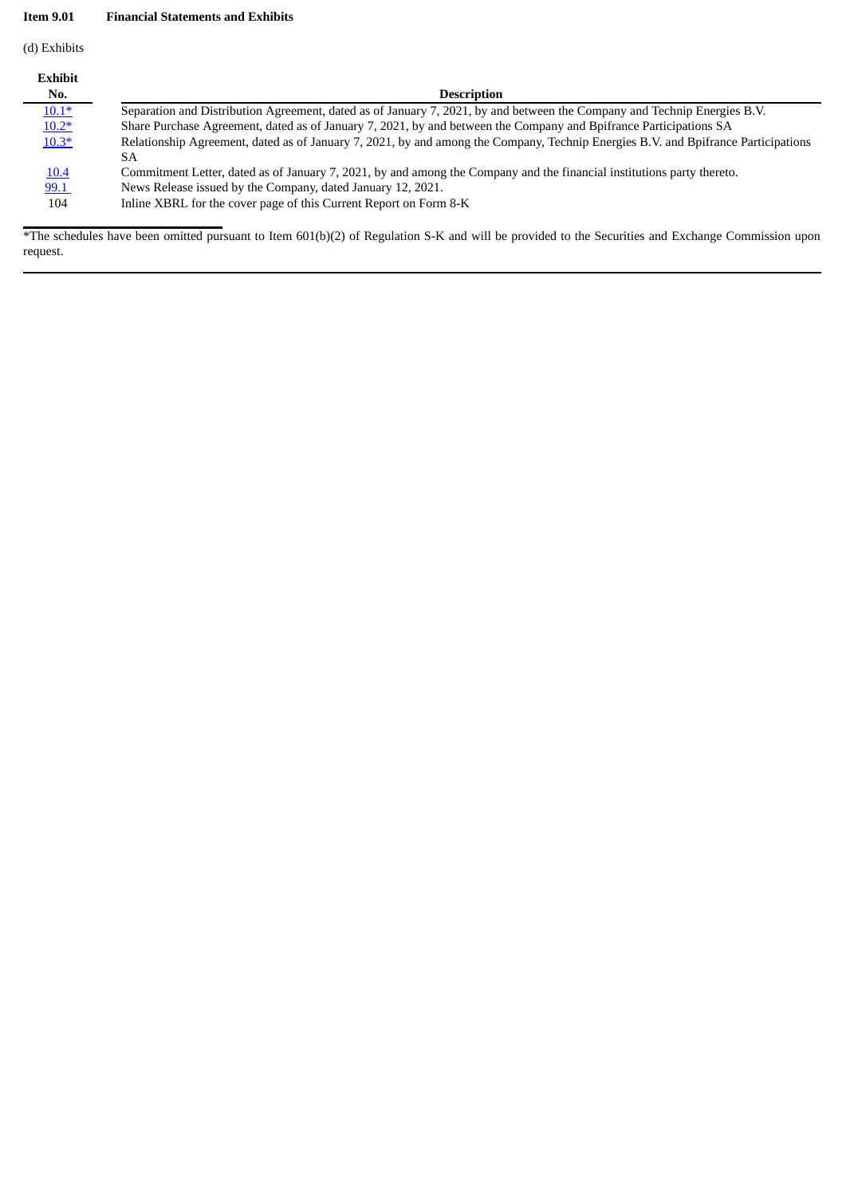### **Item 9.01 Financial Statements and Exhibits**

(d) Exhibits

| <b>Exhibit</b> |                                                                                                                                   |
|----------------|-----------------------------------------------------------------------------------------------------------------------------------|
| No.            | <b>Description</b>                                                                                                                |
| $10.1*$        | Separation and Distribution Agreement, dated as of January 7, 2021, by and between the Company and Technip Energies B.V.          |
| $10.2*$        | Share Purchase Agreement, dated as of January 7, 2021, by and between the Company and Bpifrance Participations SA                 |
| $10.3*$        | Relationship Agreement, dated as of January 7, 2021, by and among the Company, Technip Energies B.V. and Bpifrance Participations |
|                | <b>SA</b>                                                                                                                         |
| <u>10.4</u>    | Commitment Letter, dated as of January 7, 2021, by and among the Company and the financial institutions party thereto.            |
| 99.1           | News Release issued by the Company, dated January 12, 2021.                                                                       |
| 104            | Inline XBRL for the cover page of this Current Report on Form 8-K                                                                 |

\*The schedules have been omitted pursuant to Item 601(b)(2) of Regulation S-K and will be provided to the Securities and Exchange Commission upon request.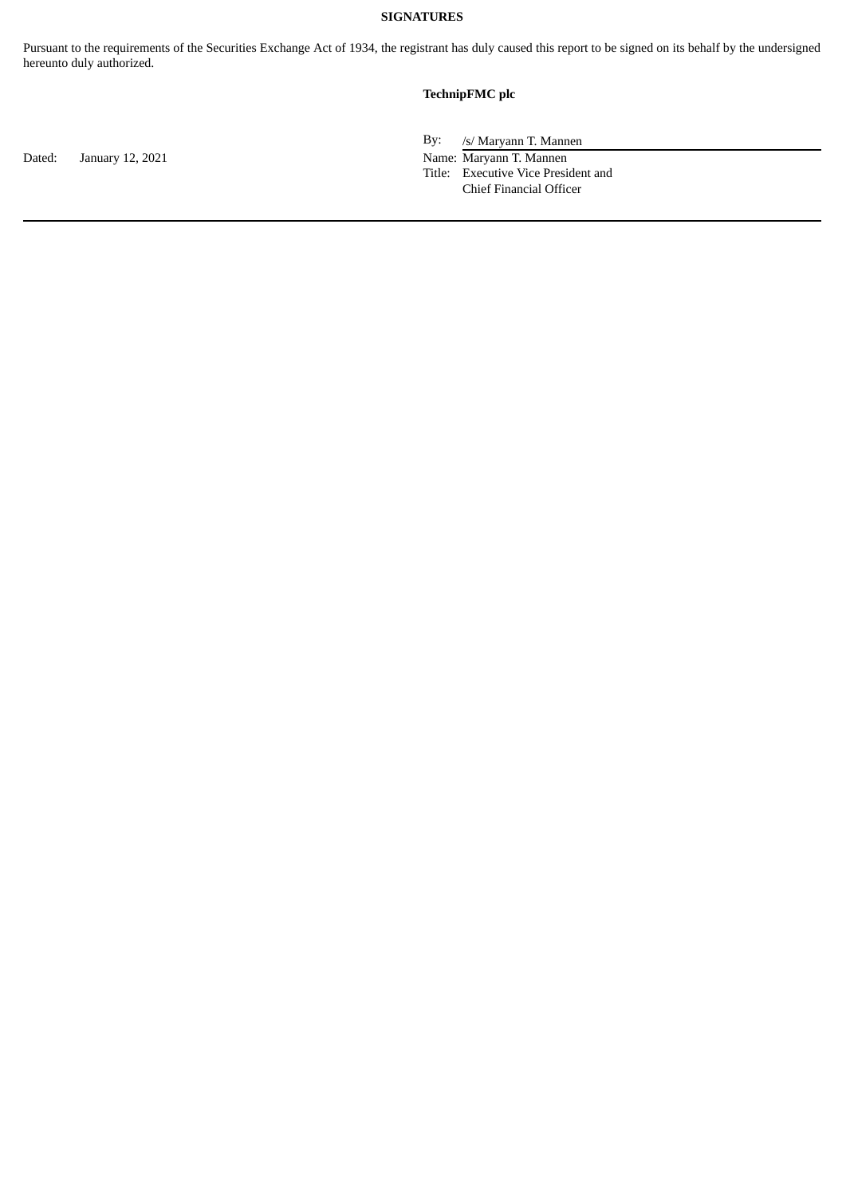#### **SIGNATURES**

Pursuant to the requirements of the Securities Exchange Act of 1934, the registrant has duly caused this report to be signed on its behalf by the undersigned hereunto duly authorized.

## **TechnipFMC plc**

Dated: January 12, 2021 Case and School and School and School and Name: Maryann T. Mannen

By: /s/ Maryann T. Mannen

Title: Executive Vice President and Chief Financial Officer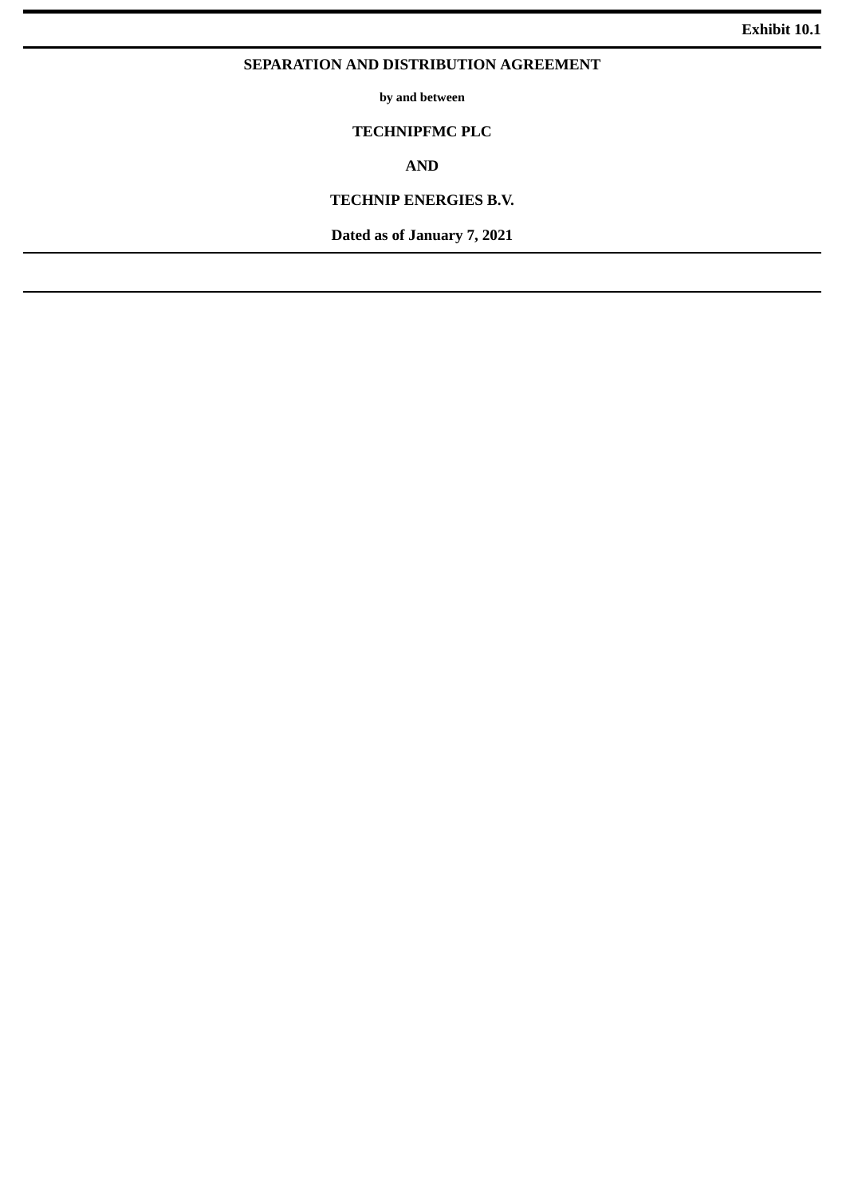**Exhibit 10.1**

### <span id="page-9-0"></span>**SEPARATION AND DISTRIBUTION AGREEMENT**

**by and between**

#### **TECHNIPFMC PLC**

**AND**

# **TECHNIP ENERGIES B.V.**

**Dated as of January 7, 2021**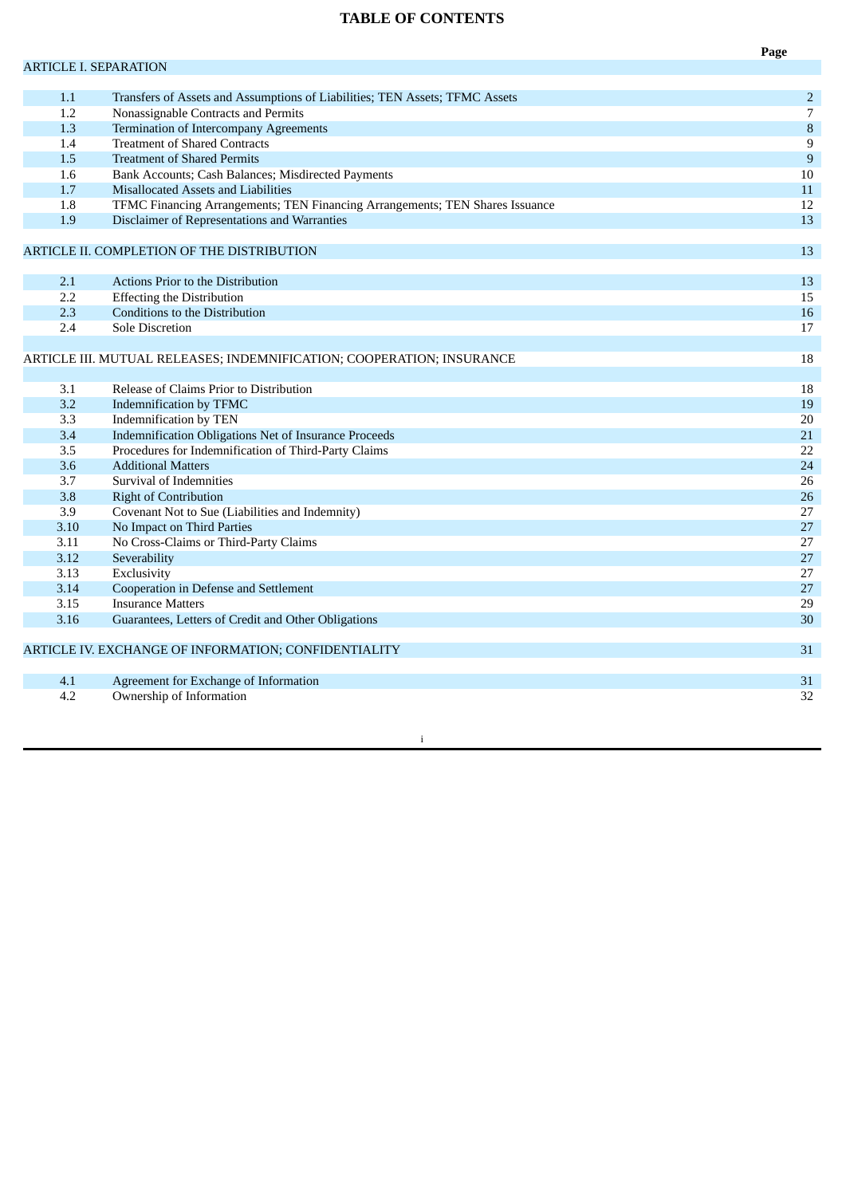# **TABLE OF CONTENTS**

|                              |                                                                              | Page             |
|------------------------------|------------------------------------------------------------------------------|------------------|
| <b>ARTICLE I. SEPARATION</b> |                                                                              |                  |
|                              |                                                                              |                  |
| 1.1                          | Transfers of Assets and Assumptions of Liabilities; TEN Assets; TFMC Assets  | 2                |
| 1.2                          | Nonassignable Contracts and Permits                                          | 7                |
| 1.3                          | Termination of Intercompany Agreements                                       | 8                |
| 1.4                          | <b>Treatment of Shared Contracts</b>                                         | $\boldsymbol{9}$ |
| 1.5                          | <b>Treatment of Shared Permits</b>                                           | $\boldsymbol{9}$ |
| 1.6                          | Bank Accounts; Cash Balances; Misdirected Payments                           | 10               |
| 1.7                          | <b>Misallocated Assets and Liabilities</b>                                   | 11               |
| 1.8                          | TFMC Financing Arrangements; TEN Financing Arrangements; TEN Shares Issuance | 12               |
| 1.9                          | Disclaimer of Representations and Warranties                                 | 13               |
|                              |                                                                              |                  |
|                              | ARTICLE II. COMPLETION OF THE DISTRIBUTION                                   | 13               |
|                              |                                                                              |                  |
| 2.1                          | <b>Actions Prior to the Distribution</b>                                     | 13               |
| 2.2                          | <b>Effecting the Distribution</b>                                            | 15               |
| 2.3                          | <b>Conditions to the Distribution</b>                                        | 16               |
| 2.4                          | <b>Sole Discretion</b>                                                       | 17               |
|                              |                                                                              |                  |
|                              | ARTICLE III. MUTUAL RELEASES; INDEMNIFICATION; COOPERATION; INSURANCE        | 18               |
|                              |                                                                              |                  |
| 3.1                          | Release of Claims Prior to Distribution                                      | 18               |
| 3.2                          | Indemnification by TFMC                                                      | 19               |
| 3.3                          | Indemnification by TEN                                                       | 20               |
| 3.4                          | Indemnification Obligations Net of Insurance Proceeds                        | 21               |
| 3.5                          | Procedures for Indemnification of Third-Party Claims                         | 22               |
| 3.6                          | <b>Additional Matters</b>                                                    | 24               |
| 3.7                          | Survival of Indemnities                                                      | 26               |
| 3.8                          | <b>Right of Contribution</b>                                                 | 26               |
| 3.9                          | Covenant Not to Sue (Liabilities and Indemnity)                              | 27               |
| 3.10                         | No Impact on Third Parties                                                   | 27               |
| 3.11                         | No Cross-Claims or Third-Party Claims                                        | 27               |
| 3.12                         | Severability                                                                 | 27               |
| 3.13                         | Exclusivity                                                                  | 27               |
| 3.14                         | Cooperation in Defense and Settlement                                        | 27               |
| 3.15                         | <b>Insurance Matters</b>                                                     | 29               |
| 3.16                         | Guarantees, Letters of Credit and Other Obligations                          | 30               |
|                              |                                                                              |                  |
|                              | ARTICLE IV. EXCHANGE OF INFORMATION; CONFIDENTIALITY                         | 31               |
|                              |                                                                              |                  |
| 4.1                          | Agreement for Exchange of Information                                        | 31               |
| 4.2                          | Ownership of Information                                                     | 32               |
|                              |                                                                              |                  |
|                              |                                                                              |                  |

i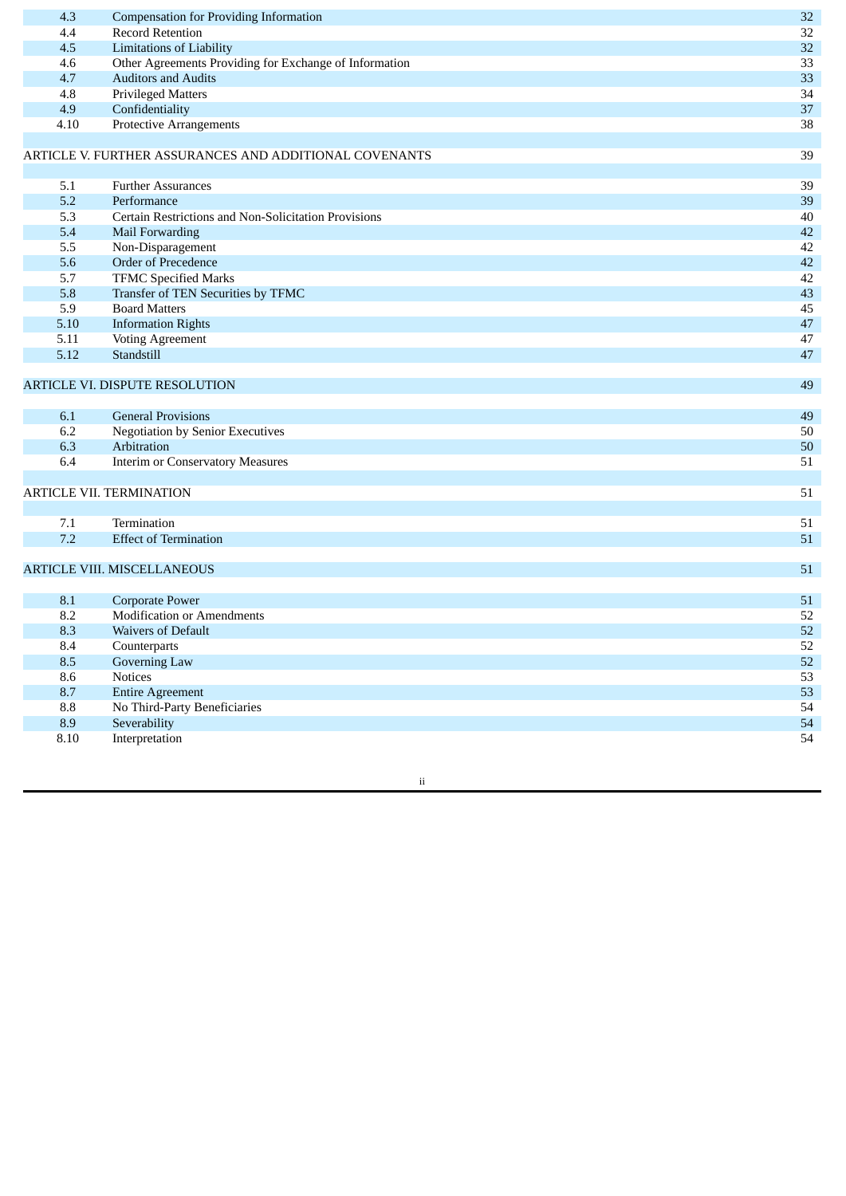| 4.3  | Compensation for Providing Information                      | 32 |
|------|-------------------------------------------------------------|----|
| 4.4  | <b>Record Retention</b>                                     | 32 |
| 4.5  | <b>Limitations of Liability</b>                             | 32 |
| 4.6  | Other Agreements Providing for Exchange of Information      | 33 |
| 4.7  | <b>Auditors and Audits</b>                                  | 33 |
| 4.8  | <b>Privileged Matters</b>                                   | 34 |
| 4.9  | Confidentiality                                             | 37 |
| 4.10 | <b>Protective Arrangements</b>                              | 38 |
|      |                                                             |    |
|      | ARTICLE V. FURTHER ASSURANCES AND ADDITIONAL COVENANTS      | 39 |
|      |                                                             |    |
| 5.1  | <b>Further Assurances</b>                                   | 39 |
| 5.2  | Performance                                                 | 39 |
| 5.3  | <b>Certain Restrictions and Non-Solicitation Provisions</b> | 40 |

| 5.4              | Mail Forwarding                    | 42 |
|------------------|------------------------------------|----|
| $5.5\phantom{0}$ | Non-Disparagement                  | 42 |
| 5.6              | Order of Precedence                | 42 |
| 5.7              | <b>TFMC Specified Marks</b>        | 42 |
| 5.8              | Transfer of TEN Securities by TFMC | 43 |
| 5.9              | <b>Board Matters</b>               | 45 |
| 5.10             | <b>Information Rights</b>          | 47 |
| 5.11             | <b>Voting Agreement</b>            | 47 |
| 5.12             | Standstill                         | 47 |

#### ARTICLE VI. DISPUTE RESOLUTION

| 6.1                             | <b>General Provisions</b>               | 49 |
|---------------------------------|-----------------------------------------|----|
| 6.2                             | <b>Negotiation by Senior Executives</b> | 50 |
| 6.3                             | Arbitration                             | 50 |
| 6.4                             | <b>Interim or Conservatory Measures</b> | 51 |
|                                 |                                         |    |
| <b>ARTICLE VII. TERMINATION</b> |                                         |    |

4 9

5 1

#### 7.1 **Termination** 5 1 7.2 Effect of Termination 5 1

#### ARTICLE VIII. MISCELLANEOUS

| 8.1  | Corporate Power                   | 51 |
|------|-----------------------------------|----|
| 8.2  | <b>Modification or Amendments</b> | 52 |
| 8.3  | <b>Waivers of Default</b>         | 52 |
| 8.4  | Counterparts                      | 52 |
| 8.5  | Governing Law                     | 52 |
| 8.6  | <b>Notices</b>                    | 53 |
| 8.7  | <b>Entire Agreement</b>           | 53 |
| 8.8  | No Third-Party Beneficiaries      | 54 |
| 8.9  | Severability                      | 54 |
| 8.10 | Interpretation                    | 54 |
|      |                                   |    |

#### i i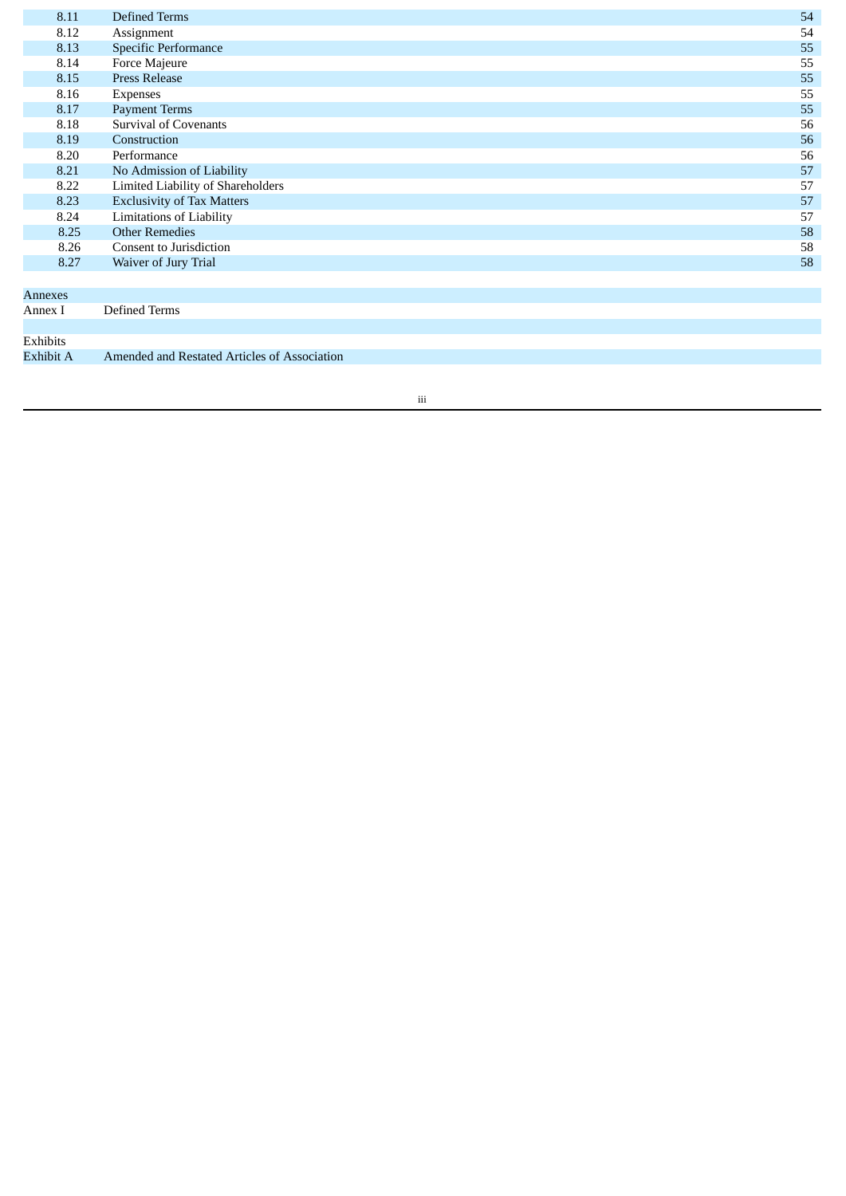| 8.11           | <b>Defined Terms</b>                         | 54 |
|----------------|----------------------------------------------|----|
| 8.12           | Assignment                                   | 54 |
| 8.13           | Specific Performance                         | 55 |
| 8.14           | Force Majeure                                | 55 |
| 8.15           | <b>Press Release</b>                         | 55 |
| 8.16           | <b>Expenses</b>                              | 55 |
| 8.17           | <b>Payment Terms</b>                         | 55 |
| 8.18           | <b>Survival of Covenants</b>                 | 56 |
| 8.19           | Construction                                 | 56 |
| 8.20           | Performance                                  | 56 |
| 8.21           | No Admission of Liability                    | 57 |
| 8.22           | Limited Liability of Shareholders            | 57 |
| 8.23           | <b>Exclusivity of Tax Matters</b>            | 57 |
| 8.24           | <b>Limitations of Liability</b>              | 57 |
| 8.25           | <b>Other Remedies</b>                        | 58 |
| 8.26           | <b>Consent to Jurisdiction</b>               | 58 |
| 8.27           | Waiver of Jury Trial                         | 58 |
|                |                                              |    |
| <b>Annexes</b> |                                              |    |
| Annex I        | <b>Defined Terms</b>                         |    |
|                |                                              |    |
| Exhibits       |                                              |    |
| Exhibit A      | Amended and Restated Articles of Association |    |

i i i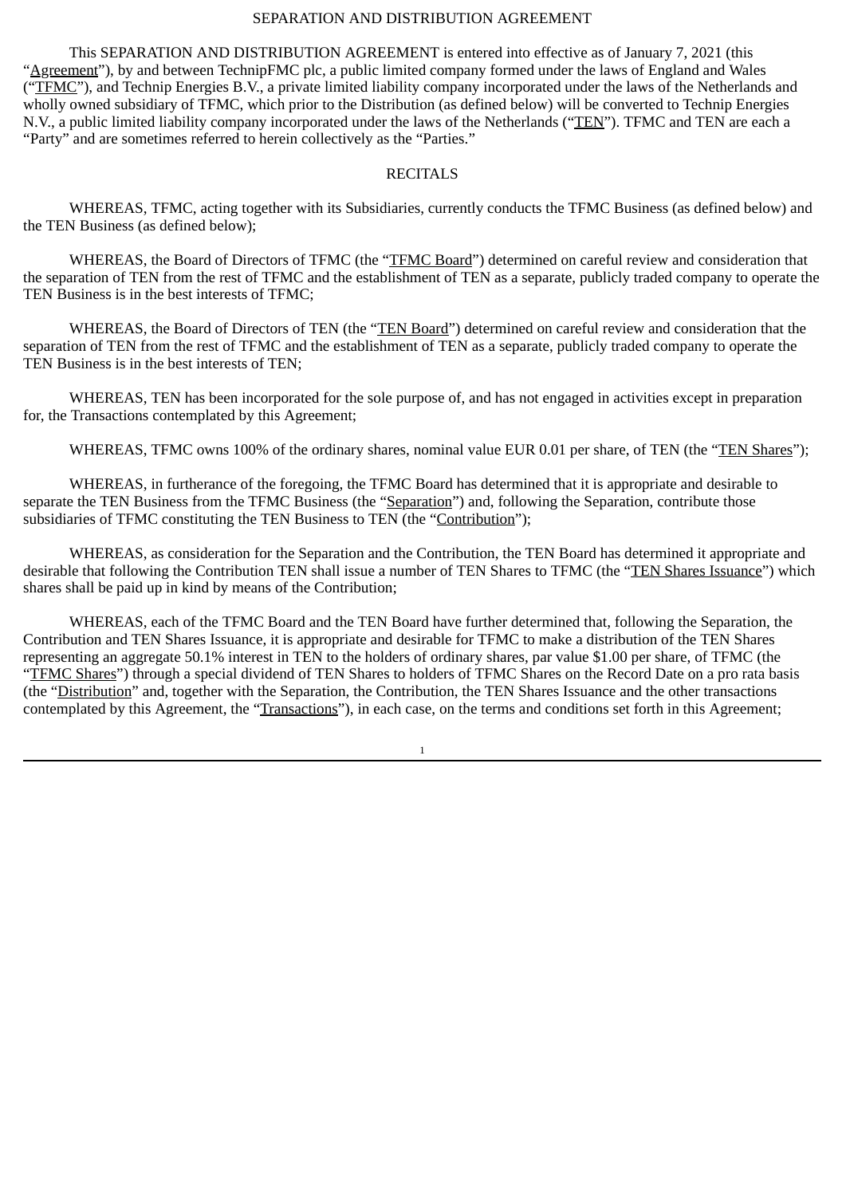#### SEPARATION AND DISTRIBUTION AGREEMENT

This SEPARATION AND DISTRIBUTION AGREEMENT is entered into effective as of January 7, 2021 (this "Agreement"), by and between TechnipFMC plc, a public limited company formed under the laws of England and Wales ("TFMC"), and Technip Energies B.V., a private limited liability company incorporated under the laws of the Netherlands and wholly owned subsidiary of TFMC, which prior to the Distribution (as defined below) will be converted to Technip Energies N.V., a public limited liability company incorporated under the laws of the Netherlands ("TEN"). TFMC and TEN are each a "Party" and are sometimes referred to herein collectively as the "Parties."

#### RECITALS

WHEREAS, TFMC, acting together with its Subsidiaries, currently conducts the TFMC Business (as defined below) and the TEN Business (as defined below);

WHEREAS, the Board of Directors of TFMC (the "TFMC Board") determined on careful review and consideration that the separation of TEN from the rest of TFMC and the establishment of TEN as a separate, publicly traded company to operate the TEN Business is in the best interests of TFMC;

WHEREAS, the Board of Directors of TEN (the "TEN Board") determined on careful review and consideration that the separation of TEN from the rest of TFMC and the establishment of TEN as a separate, publicly traded company to operate the TEN Business is in the best interests of TEN;

WHEREAS, TEN has been incorporated for the sole purpose of, and has not engaged in activities except in preparation for, the Transactions contemplated by this Agreement;

WHEREAS, TFMC owns 100% of the ordinary shares, nominal value EUR 0.01 per share, of TEN (the "TEN Shares");

WHEREAS, in furtherance of the foregoing, the TFMC Board has determined that it is appropriate and desirable to separate the TEN Business from the TFMC Business (the "Separation") and, following the Separation, contribute those subsidiaries of TFMC constituting the TEN Business to TEN (the "Contribution");

WHEREAS, as consideration for the Separation and the Contribution, the TEN Board has determined it appropriate and desirable that following the Contribution TEN shall issue a number of TEN Shares to TFMC (the "TEN Shares Issuance") which shares shall be paid up in kind by means of the Contribution;

WHEREAS, each of the TFMC Board and the TEN Board have further determined that, following the Separation, the Contribution and TEN Shares Issuance, it is appropriate and desirable for TFMC to make a distribution of the TEN Shares representing an aggregate 50.1% interest in TEN to the holders of ordinary shares, par value \$1.00 per share, of TFMC (the "TFMC Shares") through a special dividend of TEN Shares to holders of TFMC Shares on the Record Date on a pro rata basis (the "Distribution" and, together with the Separation, the Contribution, the TEN Shares Issuance and the other transactions contemplated by this Agreement, the "Transactions"), in each case, on the terms and conditions set forth in this Agreement;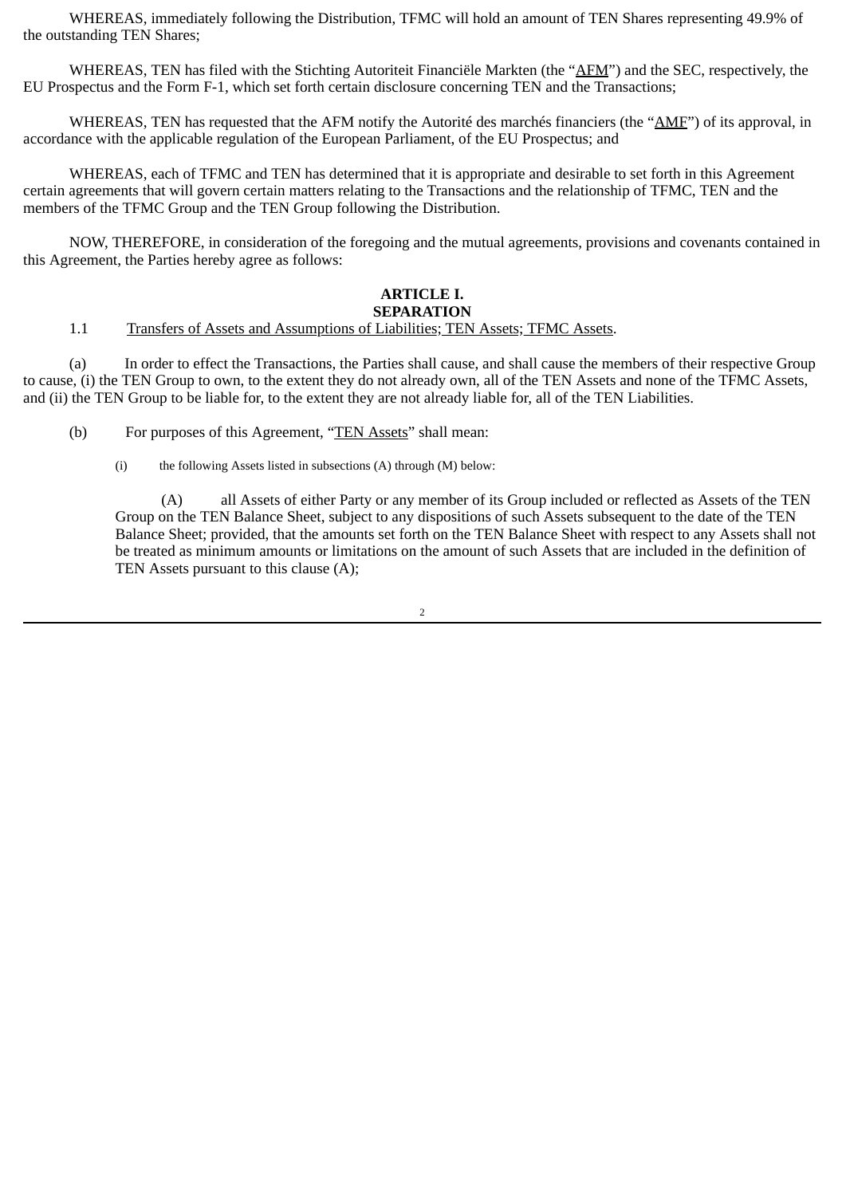WHEREAS, immediately following the Distribution, TFMC will hold an amount of TEN Shares representing 49.9% of the outstanding TEN Shares;

WHEREAS, TEN has filed with the Stichting Autoriteit Financiële Markten (the "AFM") and the SEC, respectively, the EU Prospectus and the Form F-1, which set forth certain disclosure concerning TEN and the Transactions;

WHEREAS, TEN has requested that the AFM notify the Autorité des marchés financiers (the "AMF") of its approval, in accordance with the applicable regulation of the European Parliament, of the EU Prospectus; and

WHEREAS, each of TFMC and TEN has determined that it is appropriate and desirable to set forth in this Agreement certain agreements that will govern certain matters relating to the Transactions and the relationship of TFMC, TEN and the members of the TFMC Group and the TEN Group following the Distribution.

NOW, THEREFORE, in consideration of the foregoing and the mutual agreements, provisions and covenants contained in this Agreement, the Parties hereby agree as follows:

# **ARTICLE I.**

# **SEPARATION**

# 1.1 Transfers of Assets and Assumptions of Liabilities; TEN Assets; TFMC Assets.

(a) In order to effect the Transactions, the Parties shall cause, and shall cause the members of their respective Group to cause, (i) the TEN Group to own, to the extent they do not already own, all of the TEN Assets and none of the TFMC Assets, and (ii) the TEN Group to be liable for, to the extent they are not already liable for, all of the TEN Liabilities.

(b) For purposes of this Agreement, "TEN Assets" shall mean:

(i) the following Assets listed in subsections (A) through (M) below:

(A) all Assets of either Party or any member of its Group included or reflected as Assets of the TEN Group on the TEN Balance Sheet, subject to any dispositions of such Assets subsequent to the date of the TEN Balance Sheet; provided, that the amounts set forth on the TEN Balance Sheet with respect to any Assets shall not be treated as minimum amounts or limitations on the amount of such Assets that are included in the definition of TEN Assets pursuant to this clause (A);

 $\overline{2}$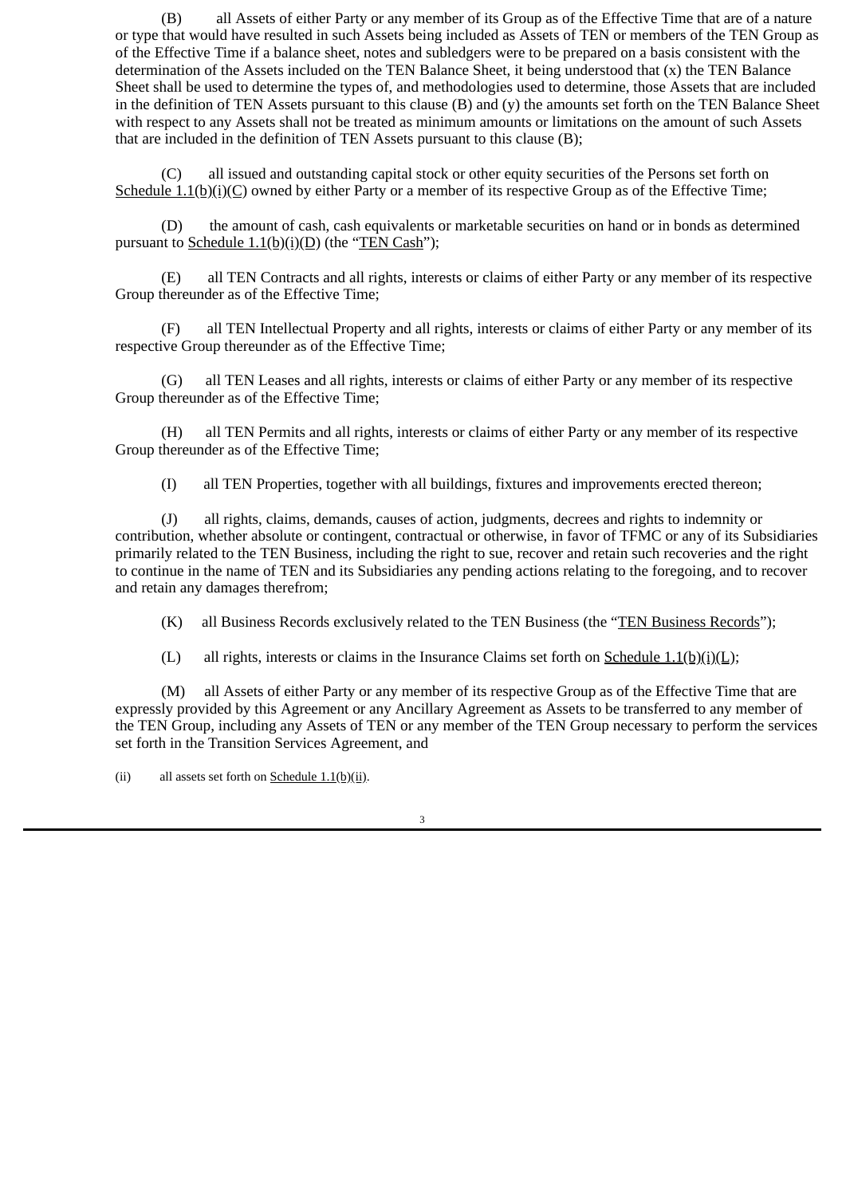(B) all Assets of either Party or any member of its Group as of the Effective Time that are of a nature or type that would have resulted in such Assets being included as Assets of TEN or members of the TEN Group as of the Effective Time if a balance sheet, notes and subledgers were to be prepared on a basis consistent with the determination of the Assets included on the TEN Balance Sheet, it being understood that (x) the TEN Balance Sheet shall be used to determine the types of, and methodologies used to determine, those Assets that are included in the definition of TEN Assets pursuant to this clause (B) and (y) the amounts set forth on the TEN Balance Sheet with respect to any Assets shall not be treated as minimum amounts or limitations on the amount of such Assets that are included in the definition of TEN Assets pursuant to this clause (B);

(C) all issued and outstanding capital stock or other equity securities of the Persons set forth on Schedule  $1.1(b)(i)(C)$  owned by either Party or a member of its respective Group as of the Effective Time;

(D) the amount of cash, cash equivalents or marketable securities on hand or in bonds as determined pursuant to Schedule  $1.1(b)(i)(D)$  (the "TEN Cash");

(E) all TEN Contracts and all rights, interests or claims of either Party or any member of its respective Group thereunder as of the Effective Time;

(F) all TEN Intellectual Property and all rights, interests or claims of either Party or any member of its respective Group thereunder as of the Effective Time;

(G) all TEN Leases and all rights, interests or claims of either Party or any member of its respective Group thereunder as of the Effective Time;

(H) all TEN Permits and all rights, interests or claims of either Party or any member of its respective Group thereunder as of the Effective Time;

(I) all TEN Properties, together with all buildings, fixtures and improvements erected thereon;

(J) all rights, claims, demands, causes of action, judgments, decrees and rights to indemnity or contribution, whether absolute or contingent, contractual or otherwise, in favor of TFMC or any of its Subsidiaries primarily related to the TEN Business, including the right to sue, recover and retain such recoveries and the right to continue in the name of TEN and its Subsidiaries any pending actions relating to the foregoing, and to recover and retain any damages therefrom;

(K) all Business Records exclusively related to the TEN Business (the "TEN Business Records");

(L) all rights, interests or claims in the Insurance Claims set forth on Schedule  $1.1(b)(i)(L)$ ;

(M) all Assets of either Party or any member of its respective Group as of the Effective Time that are expressly provided by this Agreement or any Ancillary Agreement as Assets to be transferred to any member of the TEN Group, including any Assets of TEN or any member of the TEN Group necessary to perform the services set forth in the Transition Services Agreement, and

(ii) all assets set forth on  $S$ chedule  $1.1$ (b)(ii).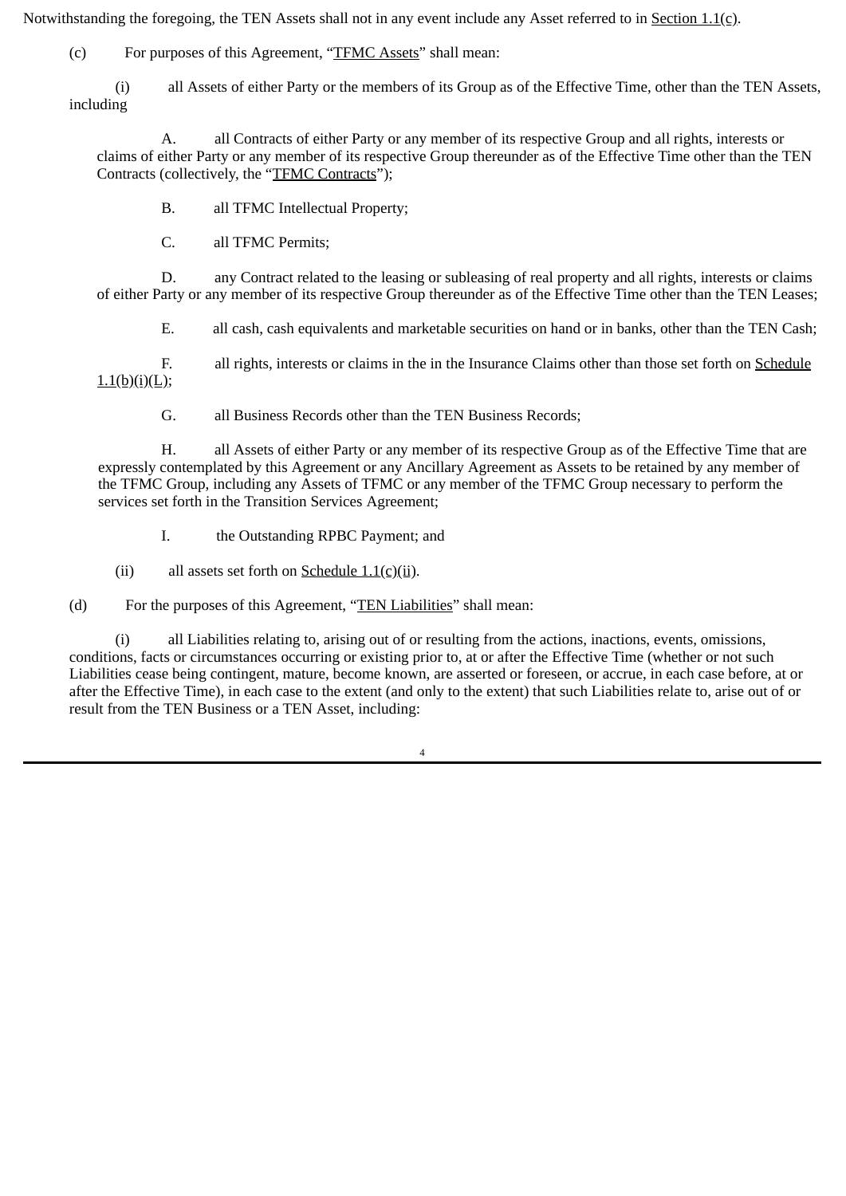Notwithstanding the foregoing, the TEN Assets shall not in any event include any Asset referred to in Section  $1.1(c)$ .

(c) For purposes of this Agreement, "TFMC Assets" shall mean:

(i) all Assets of either Party or the members of its Group as of the Effective Time, other than the TEN Assets, including

A. all Contracts of either Party or any member of its respective Group and all rights, interests or claims of either Party or any member of its respective Group thereunder as of the Effective Time other than the TEN Contracts (collectively, the "TFMC Contracts");

B. all TFMC Intellectual Property;

C. all TFMC Permits;

D. any Contract related to the leasing or subleasing of real property and all rights, interests or claims of either Party or any member of its respective Group thereunder as of the Effective Time other than the TEN Leases;

E. all cash, cash equivalents and marketable securities on hand or in banks, other than the TEN Cash;

F. all rights, interests or claims in the in the Insurance Claims other than those set forth on Schedule  $1.1(b)(i)(L);$ 

G. all Business Records other than the TEN Business Records;

H. all Assets of either Party or any member of its respective Group as of the Effective Time that are expressly contemplated by this Agreement or any Ancillary Agreement as Assets to be retained by any member of the TFMC Group, including any Assets of TFMC or any member of the TFMC Group necessary to perform the services set forth in the Transition Services Agreement;

- I. the Outstanding RPBC Payment; and
- (ii) all assets set forth on Schedule  $1.1(c)$ (ii).

(d) For the purposes of this Agreement, "TEN Liabilities" shall mean:

(i) all Liabilities relating to, arising out of or resulting from the actions, inactions, events, omissions, conditions, facts or circumstances occurring or existing prior to, at or after the Effective Time (whether or not such Liabilities cease being contingent, mature, become known, are asserted or foreseen, or accrue, in each case before, at or after the Effective Time), in each case to the extent (and only to the extent) that such Liabilities relate to, arise out of or result from the TEN Business or a TEN Asset, including: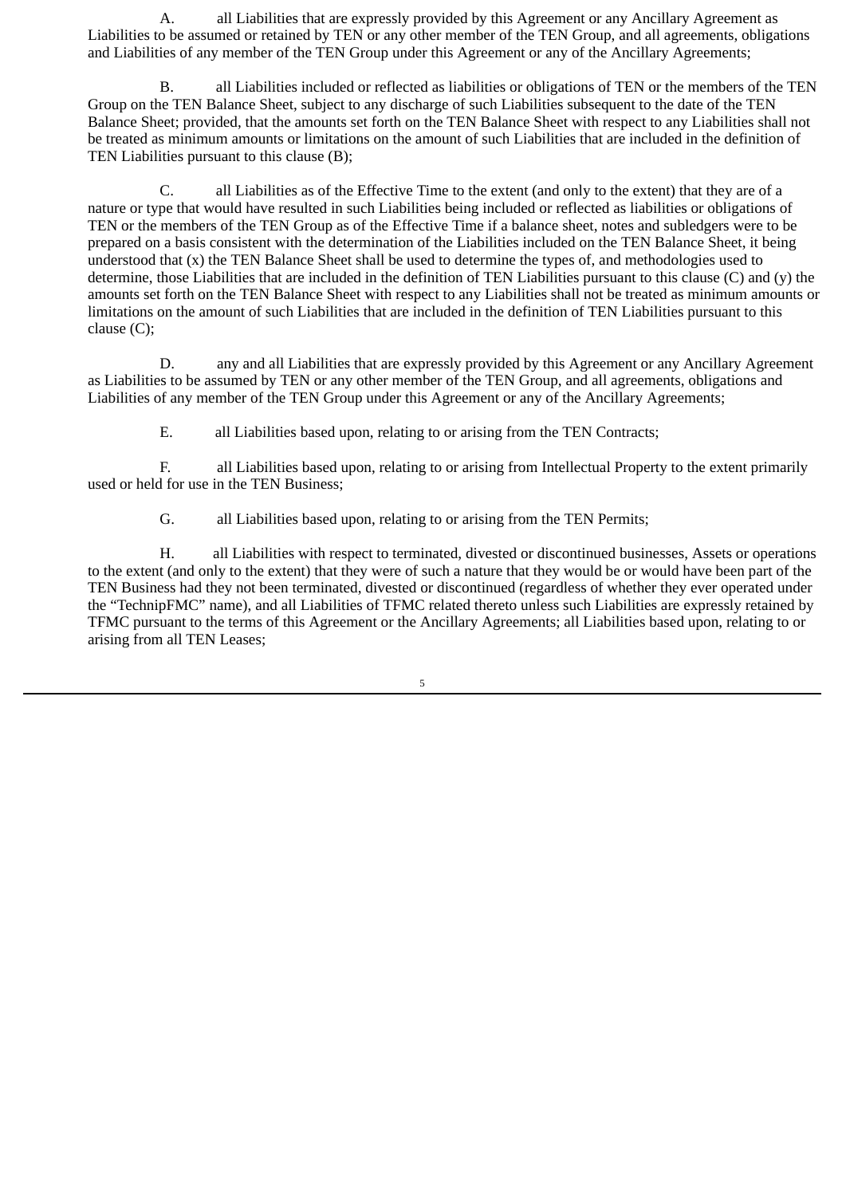A. all Liabilities that are expressly provided by this Agreement or any Ancillary Agreement as Liabilities to be assumed or retained by TEN or any other member of the TEN Group, and all agreements, obligations and Liabilities of any member of the TEN Group under this Agreement or any of the Ancillary Agreements;

 B. all Liabilities included or reflected as liabilities or obligations of TEN or the members of the TEN Group on the TEN Balance Sheet, subject to any discharge of such Liabilities subsequent to the date of the TEN Balance Sheet; provided, that the amounts set forth on the TEN Balance Sheet with respect to any Liabilities shall not be treated as minimum amounts or limitations on the amount of such Liabilities that are included in the definition of TEN Liabilities pursuant to this clause (B);

 C. all Liabilities as of the Effective Time to the extent (and only to the extent) that they are of a nature or type that would have resulted in such Liabilities being included or reflected as liabilities or obligations of TEN or the members of the TEN Group as of the Effective Time if a balance sheet, notes and subledgers were to be prepared on a basis consistent with the determination of the Liabilities included on the TEN Balance Sheet, it being understood that (x) the TEN Balance Sheet shall be used to determine the types of, and methodologies used to determine, those Liabilities that are included in the definition of TEN Liabilities pursuant to this clause (C) and (y) the amounts set forth on the TEN Balance Sheet with respect to any Liabilities shall not be treated as minimum amounts or limitations on the amount of such Liabilities that are included in the definition of TEN Liabilities pursuant to this clause (C);

 D. any and all Liabilities that are expressly provided by this Agreement or any Ancillary Agreement as Liabilities to be assumed by TEN or any other member of the TEN Group, and all agreements, obligations and Liabilities of any member of the TEN Group under this Agreement or any of the Ancillary Agreements;

E. all Liabilities based upon, relating to or arising from the TEN Contracts;

 F. all Liabilities based upon, relating to or arising from Intellectual Property to the extent primarily used or held for use in the TEN Business;

G. all Liabilities based upon, relating to or arising from the TEN Permits;

 H. all Liabilities with respect to terminated, divested or discontinued businesses, Assets or operations to the extent (and only to the extent) that they were of such a nature that they would be or would have been part of the TEN Business had they not been terminated, divested or discontinued (regardless of whether they ever operated under the "TechnipFMC" name), and all Liabilities of TFMC related thereto unless such Liabilities are expressly retained by TFMC pursuant to the terms of this Agreement or the Ancillary Agreements; all Liabilities based upon, relating to or arising from all TEN Leases;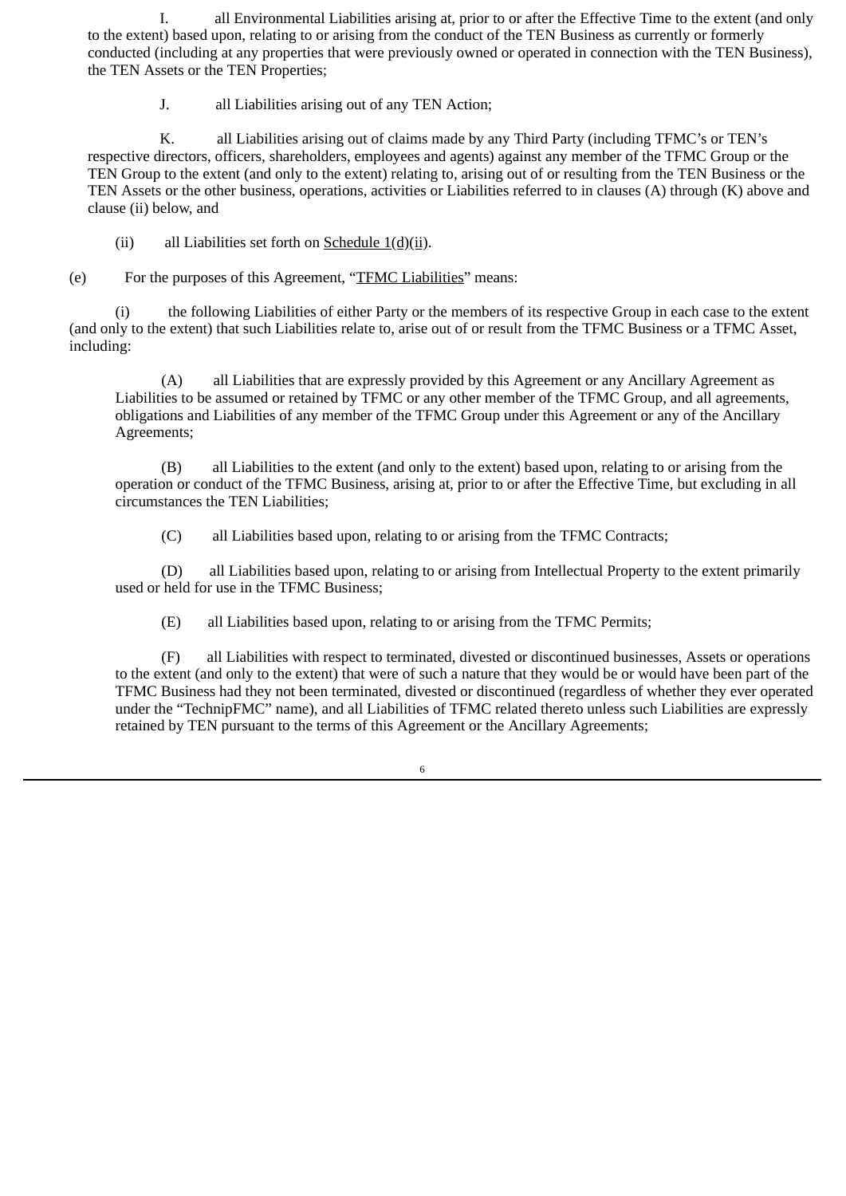I. all Environmental Liabilities arising at, prior to or after the Effective Time to the extent (and only to the extent) based upon, relating to or arising from the conduct of the TEN Business as currently or formerly conducted (including at any properties that were previously owned or operated in connection with the TEN Business), the TEN Assets or the TEN Properties;

J. all Liabilities arising out of any TEN Action;

 K. all Liabilities arising out of claims made by any Third Party (including TFMC's or TEN's respective directors, officers, shareholders, employees and agents) against any member of the TFMC Group or the TEN Group to the extent (and only to the extent) relating to, arising out of or resulting from the TEN Business or the TEN Assets or the other business, operations, activities or Liabilities referred to in clauses (A) through (K) above and clause (ii) below, and

(ii) all Liabilities set forth on Schedule 1(d)(ii).

(e) For the purposes of this Agreement, "TFMC Liabilities" means:

(i) the following Liabilities of either Party or the members of its respective Group in each case to the extent (and only to the extent) that such Liabilities relate to, arise out of or result from the TFMC Business or a TFMC Asset, including:

(A) all Liabilities that are expressly provided by this Agreement or any Ancillary Agreement as Liabilities to be assumed or retained by TFMC or any other member of the TFMC Group, and all agreements, obligations and Liabilities of any member of the TFMC Group under this Agreement or any of the Ancillary Agreements;

(B) all Liabilities to the extent (and only to the extent) based upon, relating to or arising from the operation or conduct of the TFMC Business, arising at, prior to or after the Effective Time, but excluding in all circumstances the TEN Liabilities;

(C) all Liabilities based upon, relating to or arising from the TFMC Contracts;

(D) all Liabilities based upon, relating to or arising from Intellectual Property to the extent primarily used or held for use in the TFMC Business;

(E) all Liabilities based upon, relating to or arising from the TFMC Permits;

(F) all Liabilities with respect to terminated, divested or discontinued businesses, Assets or operations to the extent (and only to the extent) that were of such a nature that they would be or would have been part of the TFMC Business had they not been terminated, divested or discontinued (regardless of whether they ever operated under the "TechnipFMC" name), and all Liabilities of TFMC related thereto unless such Liabilities are expressly retained by TEN pursuant to the terms of this Agreement or the Ancillary Agreements;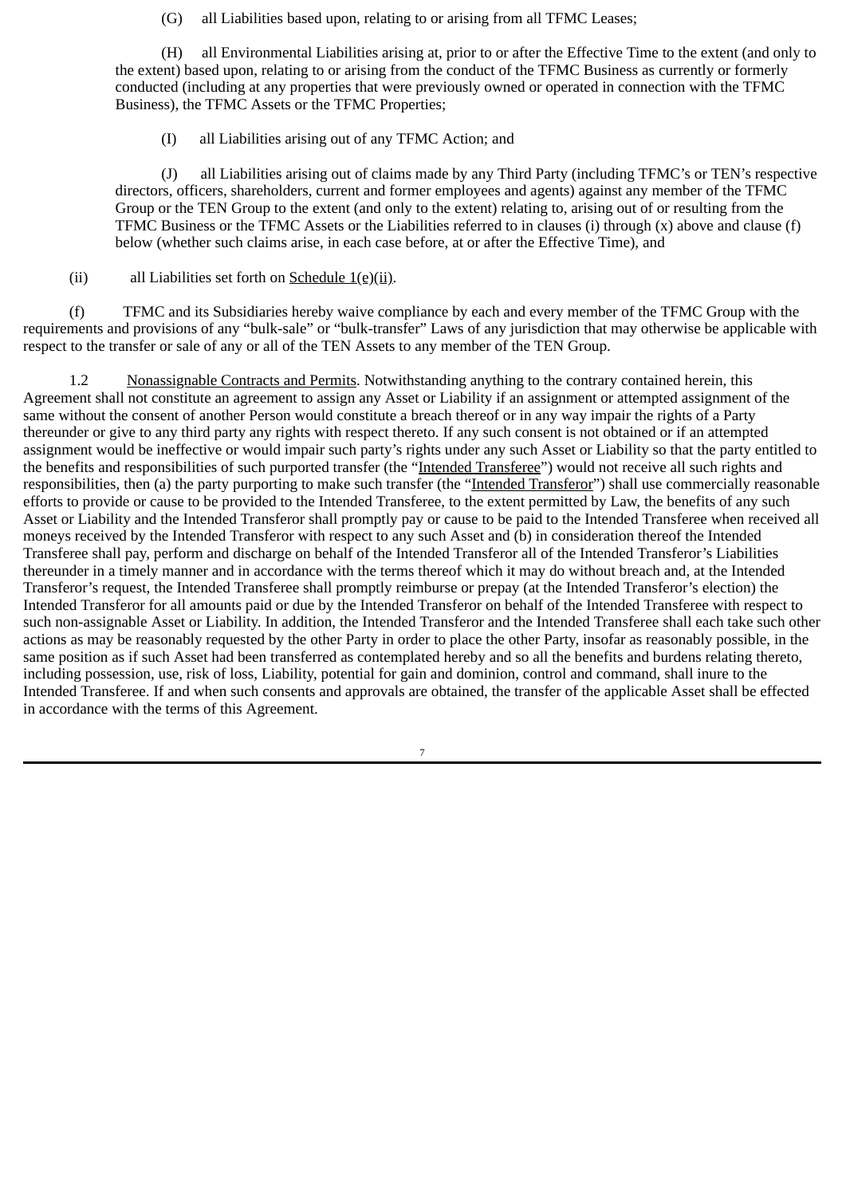(G) all Liabilities based upon, relating to or arising from all TFMC Leases;

(H) all Environmental Liabilities arising at, prior to or after the Effective Time to the extent (and only to the extent) based upon, relating to or arising from the conduct of the TFMC Business as currently or formerly conducted (including at any properties that were previously owned or operated in connection with the TFMC Business), the TFMC Assets or the TFMC Properties;

(I) all Liabilities arising out of any TFMC Action; and

(J) all Liabilities arising out of claims made by any Third Party (including TFMC's or TEN's respective directors, officers, shareholders, current and former employees and agents) against any member of the TFMC Group or the TEN Group to the extent (and only to the extent) relating to, arising out of or resulting from the TFMC Business or the TFMC Assets or the Liabilities referred to in clauses (i) through (x) above and clause (f) below (whether such claims arise, in each case before, at or after the Effective Time), and

(ii) all Liabilities set forth on Schedule  $1(e)(ii)$ .

(f) TFMC and its Subsidiaries hereby waive compliance by each and every member of the TFMC Group with the requirements and provisions of any "bulk-sale" or "bulk-transfer" Laws of any jurisdiction that may otherwise be applicable with respect to the transfer or sale of any or all of the TEN Assets to any member of the TEN Group.

1.2 Nonassignable Contracts and Permits. Notwithstanding anything to the contrary contained herein, this Agreement shall not constitute an agreement to assign any Asset or Liability if an assignment or attempted assignment of the same without the consent of another Person would constitute a breach thereof or in any way impair the rights of a Party thereunder or give to any third party any rights with respect thereto. If any such consent is not obtained or if an attempted assignment would be ineffective or would impair such party's rights under any such Asset or Liability so that the party entitled to the benefits and responsibilities of such purported transfer (the "Intended Transferee") would not receive all such rights and responsibilities, then (a) the party purporting to make such transfer (the "Intended Transferor") shall use commercially reasonable efforts to provide or cause to be provided to the Intended Transferee, to the extent permitted by Law, the benefits of any such Asset or Liability and the Intended Transferor shall promptly pay or cause to be paid to the Intended Transferee when received all moneys received by the Intended Transferor with respect to any such Asset and (b) in consideration thereof the Intended Transferee shall pay, perform and discharge on behalf of the Intended Transferor all of the Intended Transferor's Liabilities thereunder in a timely manner and in accordance with the terms thereof which it may do without breach and, at the Intended Transferor's request, the Intended Transferee shall promptly reimburse or prepay (at the Intended Transferor's election) the Intended Transferor for all amounts paid or due by the Intended Transferor on behalf of the Intended Transferee with respect to such non-assignable Asset or Liability. In addition, the Intended Transferor and the Intended Transferee shall each take such other actions as may be reasonably requested by the other Party in order to place the other Party, insofar as reasonably possible, in the same position as if such Asset had been transferred as contemplated hereby and so all the benefits and burdens relating thereto, including possession, use, risk of loss, Liability, potential for gain and dominion, control and command, shall inure to the Intended Transferee. If and when such consents and approvals are obtained, the transfer of the applicable Asset shall be effected in accordance with the terms of this Agreement.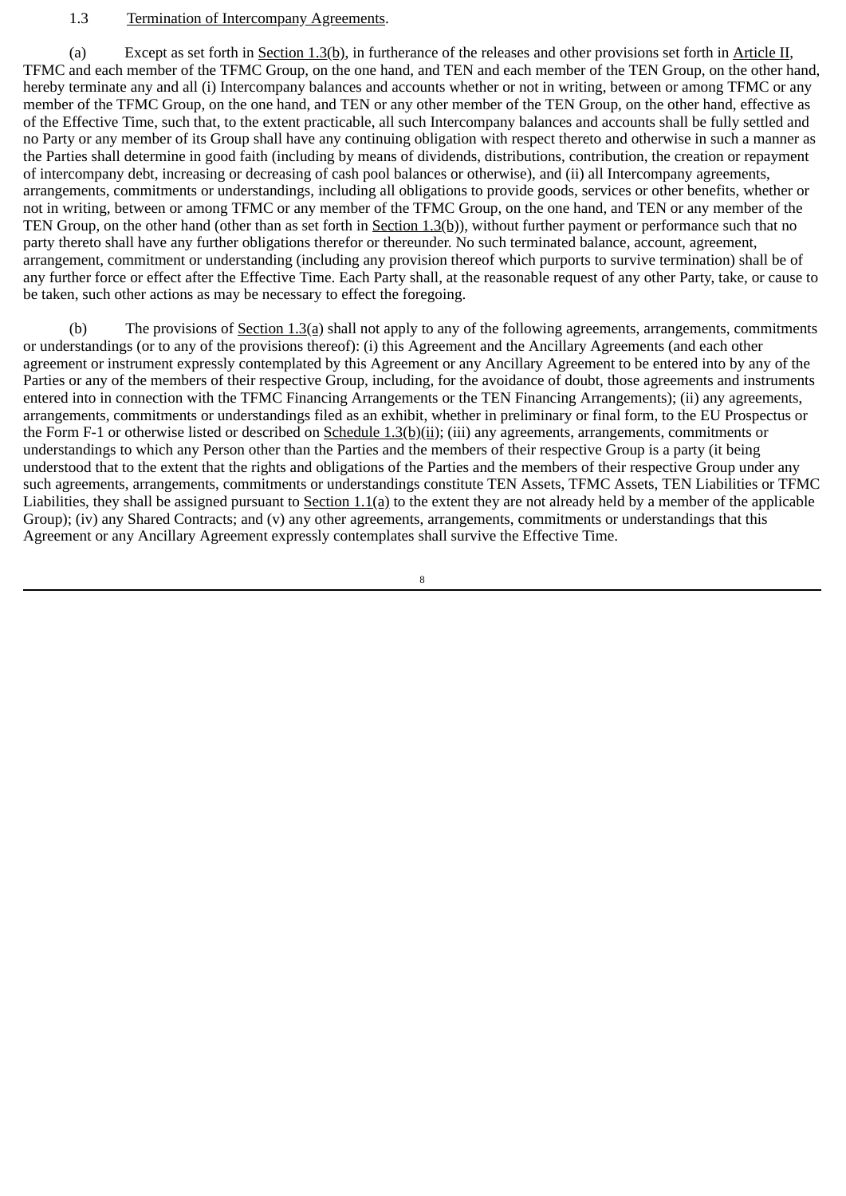#### 1.3 Termination of Intercompany Agreements.

(a) Except as set forth in Section 1.3(b), in furtherance of the releases and other provisions set forth in Article II, TFMC and each member of the TFMC Group, on the one hand, and TEN and each member of the TEN Group, on the other hand, hereby terminate any and all (i) Intercompany balances and accounts whether or not in writing, between or among TFMC or any member of the TFMC Group, on the one hand, and TEN or any other member of the TEN Group, on the other hand, effective as of the Effective Time, such that, to the extent practicable, all such Intercompany balances and accounts shall be fully settled and no Party or any member of its Group shall have any continuing obligation with respect thereto and otherwise in such a manner as the Parties shall determine in good faith (including by means of dividends, distributions, contribution, the creation or repayment of intercompany debt, increasing or decreasing of cash pool balances or otherwise), and (ii) all Intercompany agreements, arrangements, commitments or understandings, including all obligations to provide goods, services or other benefits, whether or not in writing, between or among TFMC or any member of the TFMC Group, on the one hand, and TEN or any member of the TEN Group, on the other hand (other than as set forth in Section  $1.3(b)$ ), without further payment or performance such that no party thereto shall have any further obligations therefor or thereunder. No such terminated balance, account, agreement, arrangement, commitment or understanding (including any provision thereof which purports to survive termination) shall be of any further force or effect after the Effective Time. Each Party shall, at the reasonable request of any other Party, take, or cause to be taken, such other actions as may be necessary to effect the foregoing.

(b) The provisions of <u>Section 1.3(a</u>) shall not apply to any of the following agreements, arrangements, commitments or understandings (or to any of the provisions thereof): (i) this Agreement and the Ancillary Agreements (and each other agreement or instrument expressly contemplated by this Agreement or any Ancillary Agreement to be entered into by any of the Parties or any of the members of their respective Group, including, for the avoidance of doubt, those agreements and instruments entered into in connection with the TFMC Financing Arrangements or the TEN Financing Arrangements); (ii) any agreements, arrangements, commitments or understandings filed as an exhibit, whether in preliminary or final form, to the EU Prospectus or the Form F-1 or otherwise listed or described on Schedule 1.3(b)(ii); (iii) any agreements, arrangements, commitments or understandings to which any Person other than the Parties and the members of their respective Group is a party (it being understood that to the extent that the rights and obligations of the Parties and the members of their respective Group under any such agreements, arrangements, commitments or understandings constitute TEN Assets, TFMC Assets, TEN Liabilities or TFMC Liabilities, they shall be assigned pursuant to Section 1.1(a) to the extent they are not already held by a member of the applicable Group); (iv) any Shared Contracts; and (v) any other agreements, arrangements, commitments or understandings that this Agreement or any Ancillary Agreement expressly contemplates shall survive the Effective Time.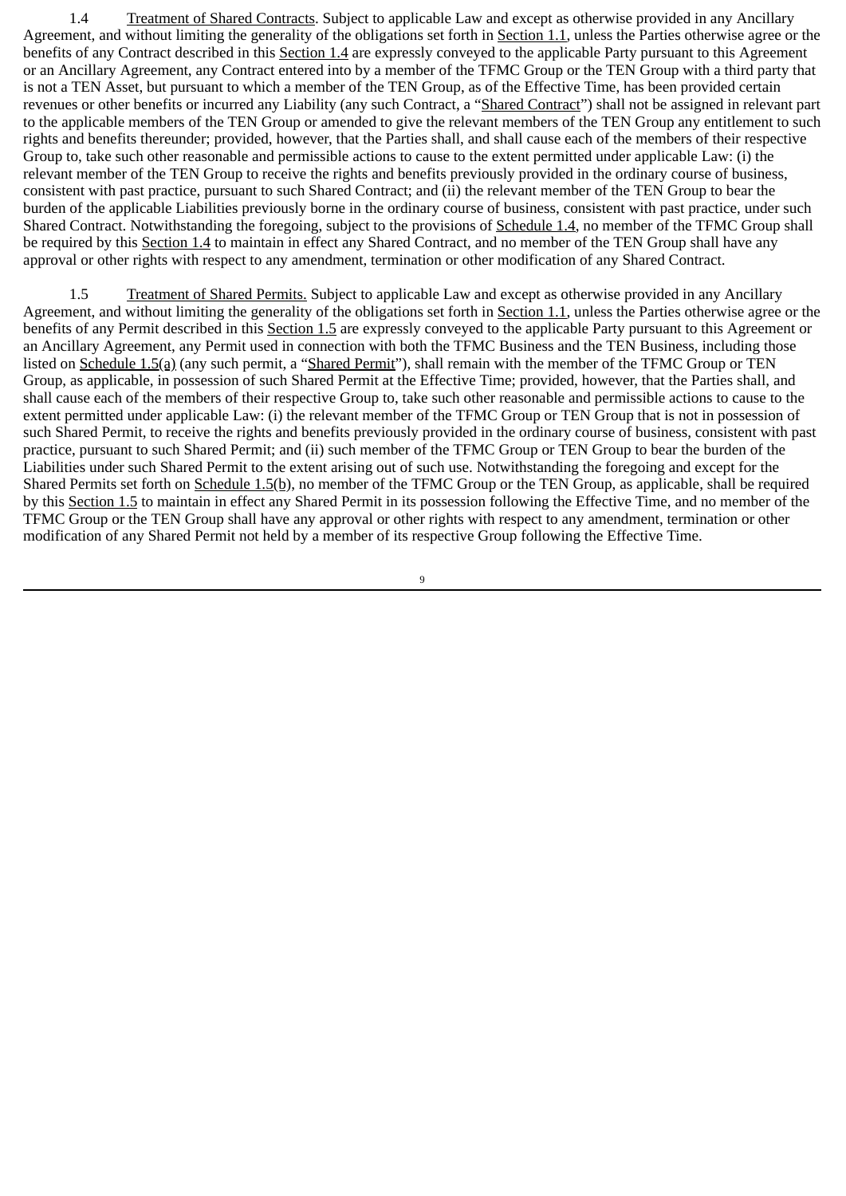1.4 Treatment of Shared Contracts. Subject to applicable Law and except as otherwise provided in any Ancillary Agreement, and without limiting the generality of the obligations set forth in Section 1.1, unless the Parties otherwise agree or the benefits of any Contract described in this Section 1.4 are expressly conveyed to the applicable Party pursuant to this Agreement or an Ancillary Agreement, any Contract entered into by a member of the TFMC Group or the TEN Group with a third party that is not a TEN Asset, but pursuant to which a member of the TEN Group, as of the Effective Time, has been provided certain revenues or other benefits or incurred any Liability (any such Contract, a "Shared Contract") shall not be assigned in relevant part to the applicable members of the TEN Group or amended to give the relevant members of the TEN Group any entitlement to such rights and benefits thereunder; provided, however, that the Parties shall, and shall cause each of the members of their respective Group to, take such other reasonable and permissible actions to cause to the extent permitted under applicable Law: (i) the relevant member of the TEN Group to receive the rights and benefits previously provided in the ordinary course of business, consistent with past practice, pursuant to such Shared Contract; and (ii) the relevant member of the TEN Group to bear the burden of the applicable Liabilities previously borne in the ordinary course of business, consistent with past practice, under such Shared Contract. Notwithstanding the foregoing, subject to the provisions of Schedule 1.4, no member of the TFMC Group shall be required by this Section 1.4 to maintain in effect any Shared Contract, and no member of the TEN Group shall have any approval or other rights with respect to any amendment, termination or other modification of any Shared Contract.

1.5 Treatment of Shared Permits. Subject to applicable Law and except as otherwise provided in any Ancillary Agreement, and without limiting the generality of the obligations set forth in Section 1.1, unless the Parties otherwise agree or the benefits of any Permit described in this Section 1.5 are expressly conveyed to the applicable Party pursuant to this Agreement or an Ancillary Agreement, any Permit used in connection with both the TFMC Business and the TEN Business, including those listed on Schedule 1.5(a) (any such permit, a "Shared Permit"), shall remain with the member of the TFMC Group or TEN Group, as applicable, in possession of such Shared Permit at the Effective Time; provided, however, that the Parties shall, and shall cause each of the members of their respective Group to, take such other reasonable and permissible actions to cause to the extent permitted under applicable Law: (i) the relevant member of the TFMC Group or TEN Group that is not in possession of such Shared Permit, to receive the rights and benefits previously provided in the ordinary course of business, consistent with past practice, pursuant to such Shared Permit; and (ii) such member of the TFMC Group or TEN Group to bear the burden of the Liabilities under such Shared Permit to the extent arising out of such use. Notwithstanding the foregoing and except for the Shared Permits set forth on Schedule 1.5(b), no member of the TFMC Group or the TEN Group, as applicable, shall be required by this Section 1.5 to maintain in effect any Shared Permit in its possession following the Effective Time, and no member of the TFMC Group or the TEN Group shall have any approval or other rights with respect to any amendment, termination or other modification of any Shared Permit not held by a member of its respective Group following the Effective Time.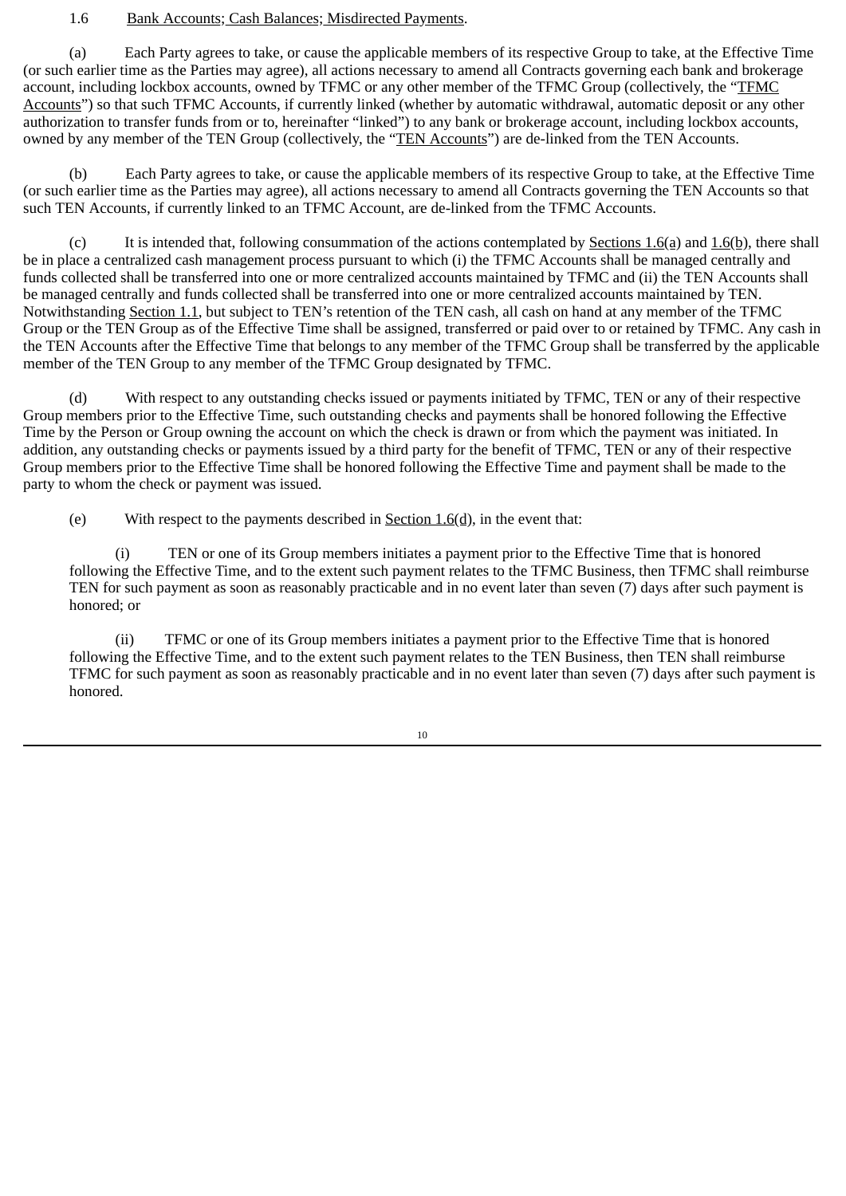#### 1.6 Bank Accounts; Cash Balances; Misdirected Payments.

(a) Each Party agrees to take, or cause the applicable members of its respective Group to take, at the Effective Time (or such earlier time as the Parties may agree), all actions necessary to amend all Contracts governing each bank and brokerage account, including lockbox accounts, owned by TFMC or any other member of the TFMC Group (collectively, the "TFMC Accounts") so that such TFMC Accounts, if currently linked (whether by automatic withdrawal, automatic deposit or any other authorization to transfer funds from or to, hereinafter "linked") to any bank or brokerage account, including lockbox accounts, owned by any member of the TEN Group (collectively, the "TEN Accounts") are de-linked from the TEN Accounts.

(b) Each Party agrees to take, or cause the applicable members of its respective Group to take, at the Effective Time (or such earlier time as the Parties may agree), all actions necessary to amend all Contracts governing the TEN Accounts so that such TEN Accounts, if currently linked to an TFMC Account, are de-linked from the TFMC Accounts.

(c) It is intended that, following consummation of the actions contemplated by Sections 1.6(a) and 1.6(b), there shall be in place a centralized cash management process pursuant to which (i) the TFMC Accounts shall be managed centrally and funds collected shall be transferred into one or more centralized accounts maintained by TFMC and (ii) the TEN Accounts shall be managed centrally and funds collected shall be transferred into one or more centralized accounts maintained by TEN. Notwithstanding Section 1.1, but subject to TEN's retention of the TEN cash, all cash on hand at any member of the TFMC Group or the TEN Group as of the Effective Time shall be assigned, transferred or paid over to or retained by TFMC. Any cash in the TEN Accounts after the Effective Time that belongs to any member of the TFMC Group shall be transferred by the applicable member of the TEN Group to any member of the TFMC Group designated by TFMC.

(d) With respect to any outstanding checks issued or payments initiated by TFMC, TEN or any of their respective Group members prior to the Effective Time, such outstanding checks and payments shall be honored following the Effective Time by the Person or Group owning the account on which the check is drawn or from which the payment was initiated. In addition, any outstanding checks or payments issued by a third party for the benefit of TFMC, TEN or any of their respective Group members prior to the Effective Time shall be honored following the Effective Time and payment shall be made to the party to whom the check or payment was issued.

(e) With respect to the payments described in  $Section 1.6(d)$ , in the event that:

(i) TEN or one of its Group members initiates a payment prior to the Effective Time that is honored following the Effective Time, and to the extent such payment relates to the TFMC Business, then TFMC shall reimburse TEN for such payment as soon as reasonably practicable and in no event later than seven (7) days after such payment is honored; or

(ii) TFMC or one of its Group members initiates a payment prior to the Effective Time that is honored following the Effective Time, and to the extent such payment relates to the TEN Business, then TEN shall reimburse TFMC for such payment as soon as reasonably practicable and in no event later than seven (7) days after such payment is honored.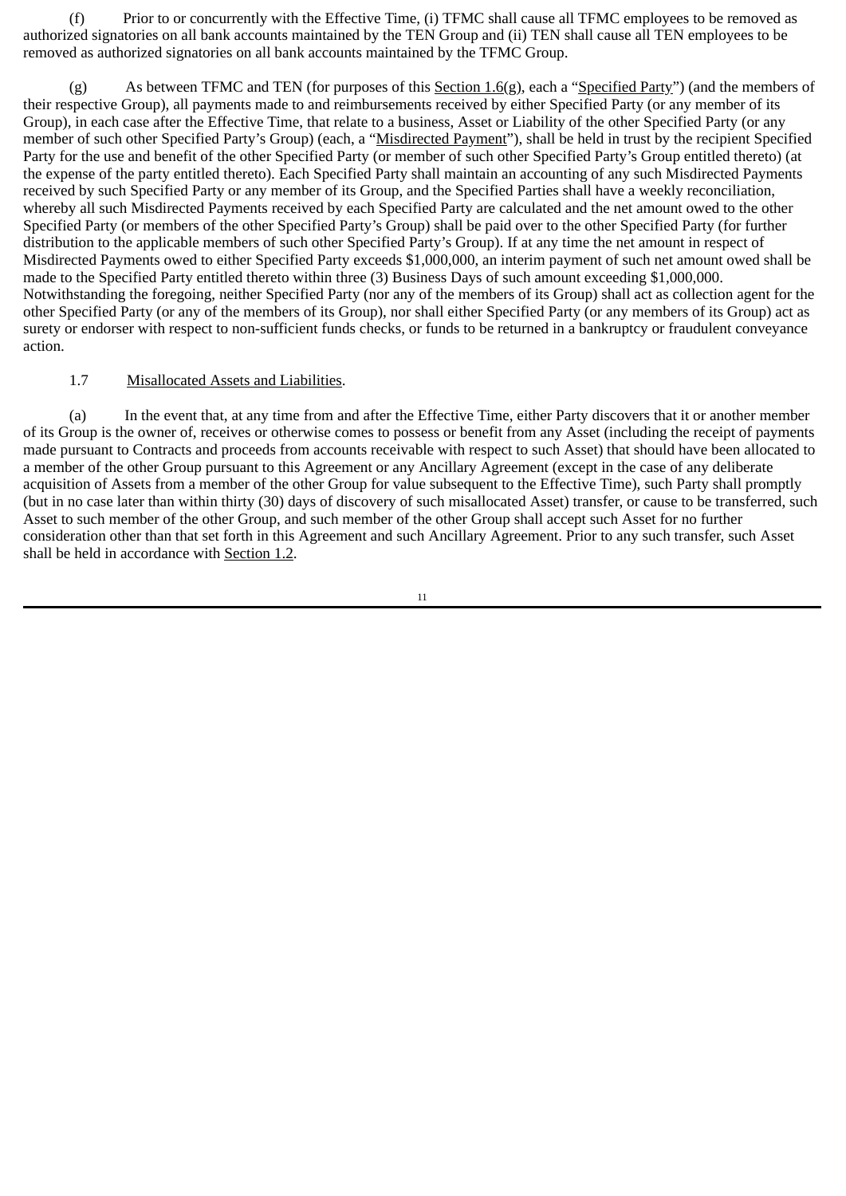(f) Prior to or concurrently with the Effective Time, (i) TFMC shall cause all TFMC employees to be removed as authorized signatories on all bank accounts maintained by the TEN Group and (ii) TEN shall cause all TEN employees to be removed as authorized signatories on all bank accounts maintained by the TFMC Group.

(g) As between TFMC and TEN (for purposes of this Section 1.6(g), each a "Specified Party") (and the members of their respective Group), all payments made to and reimbursements received by either Specified Party (or any member of its Group), in each case after the Effective Time, that relate to a business, Asset or Liability of the other Specified Party (or any member of such other Specified Party's Group) (each, a "Misdirected Payment"), shall be held in trust by the recipient Specified Party for the use and benefit of the other Specified Party (or member of such other Specified Party's Group entitled thereto) (at the expense of the party entitled thereto). Each Specified Party shall maintain an accounting of any such Misdirected Payments received by such Specified Party or any member of its Group, and the Specified Parties shall have a weekly reconciliation, whereby all such Misdirected Payments received by each Specified Party are calculated and the net amount owed to the other Specified Party (or members of the other Specified Party's Group) shall be paid over to the other Specified Party (for further distribution to the applicable members of such other Specified Party's Group). If at any time the net amount in respect of Misdirected Payments owed to either Specified Party exceeds \$1,000,000, an interim payment of such net amount owed shall be made to the Specified Party entitled thereto within three (3) Business Days of such amount exceeding \$1,000,000. Notwithstanding the foregoing, neither Specified Party (nor any of the members of its Group) shall act as collection agent for the other Specified Party (or any of the members of its Group), nor shall either Specified Party (or any members of its Group) act as surety or endorser with respect to non-sufficient funds checks, or funds to be returned in a bankruptcy or fraudulent conveyance action.

#### 1.7 Misallocated Assets and Liabilities.

(a) In the event that, at any time from and after the Effective Time, either Party discovers that it or another member of its Group is the owner of, receives or otherwise comes to possess or benefit from any Asset (including the receipt of payments made pursuant to Contracts and proceeds from accounts receivable with respect to such Asset) that should have been allocated to a member of the other Group pursuant to this Agreement or any Ancillary Agreement (except in the case of any deliberate acquisition of Assets from a member of the other Group for value subsequent to the Effective Time), such Party shall promptly (but in no case later than within thirty (30) days of discovery of such misallocated Asset) transfer, or cause to be transferred, such Asset to such member of the other Group, and such member of the other Group shall accept such Asset for no further consideration other than that set forth in this Agreement and such Ancillary Agreement. Prior to any such transfer, such Asset shall be held in accordance with Section 1.2.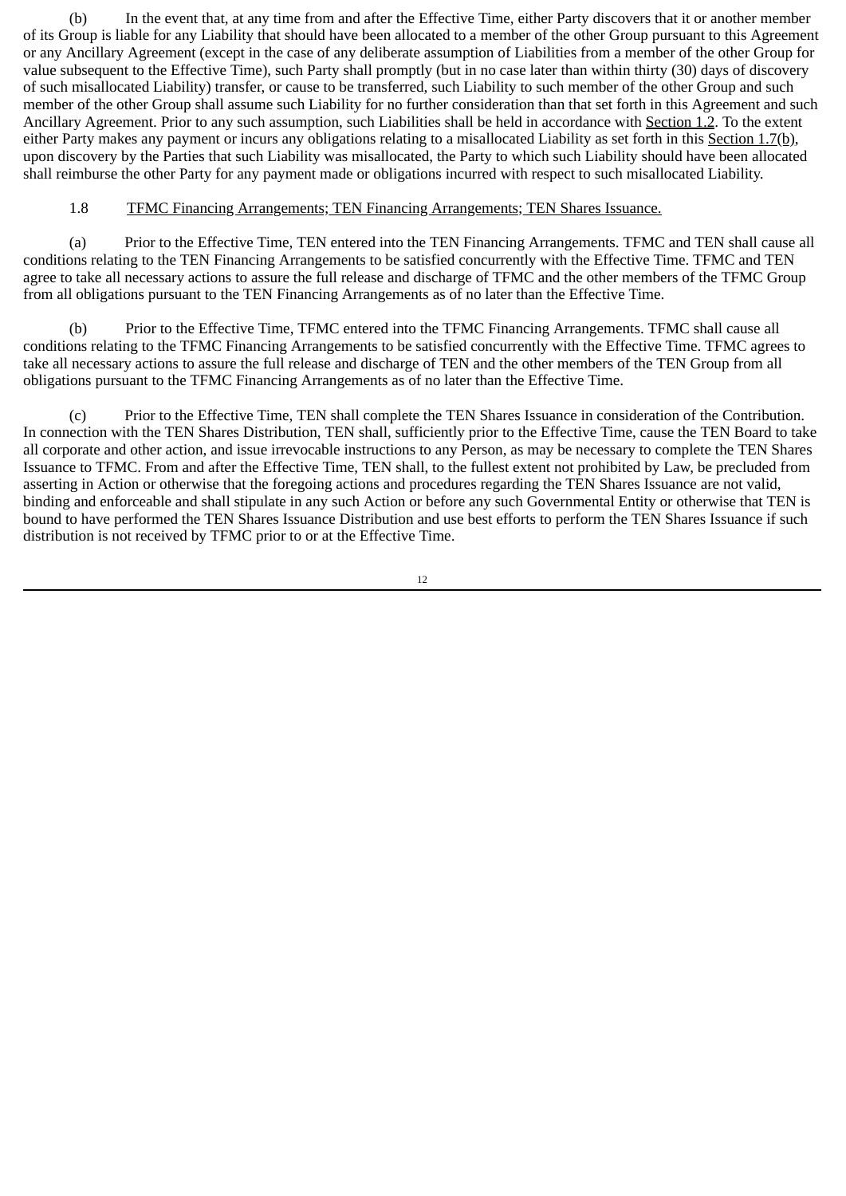(b) In the event that, at any time from and after the Effective Time, either Party discovers that it or another member of its Group is liable for any Liability that should have been allocated to a member of the other Group pursuant to this Agreement or any Ancillary Agreement (except in the case of any deliberate assumption of Liabilities from a member of the other Group for value subsequent to the Effective Time), such Party shall promptly (but in no case later than within thirty (30) days of discovery of such misallocated Liability) transfer, or cause to be transferred, such Liability to such member of the other Group and such member of the other Group shall assume such Liability for no further consideration than that set forth in this Agreement and such Ancillary Agreement. Prior to any such assumption, such Liabilities shall be held in accordance with Section 1.2. To the extent either Party makes any payment or incurs any obligations relating to a misallocated Liability as set forth in this Section 1.7(b), upon discovery by the Parties that such Liability was misallocated, the Party to which such Liability should have been allocated shall reimburse the other Party for any payment made or obligations incurred with respect to such misallocated Liability.

#### 1.8 TFMC Financing Arrangements; TEN Financing Arrangements; TEN Shares Issuance.

(a) Prior to the Effective Time, TEN entered into the TEN Financing Arrangements. TFMC and TEN shall cause all conditions relating to the TEN Financing Arrangements to be satisfied concurrently with the Effective Time. TFMC and TEN agree to take all necessary actions to assure the full release and discharge of TFMC and the other members of the TFMC Group from all obligations pursuant to the TEN Financing Arrangements as of no later than the Effective Time.

(b) Prior to the Effective Time, TFMC entered into the TFMC Financing Arrangements. TFMC shall cause all conditions relating to the TFMC Financing Arrangements to be satisfied concurrently with the Effective Time. TFMC agrees to take all necessary actions to assure the full release and discharge of TEN and the other members of the TEN Group from all obligations pursuant to the TFMC Financing Arrangements as of no later than the Effective Time.

(c) Prior to the Effective Time, TEN shall complete the TEN Shares Issuance in consideration of the Contribution. In connection with the TEN Shares Distribution, TEN shall, sufficiently prior to the Effective Time, cause the TEN Board to take all corporate and other action, and issue irrevocable instructions to any Person, as may be necessary to complete the TEN Shares Issuance to TFMC. From and after the Effective Time, TEN shall, to the fullest extent not prohibited by Law, be precluded from asserting in Action or otherwise that the foregoing actions and procedures regarding the TEN Shares Issuance are not valid, binding and enforceable and shall stipulate in any such Action or before any such Governmental Entity or otherwise that TEN is bound to have performed the TEN Shares Issuance Distribution and use best efforts to perform the TEN Shares Issuance if such distribution is not received by TFMC prior to or at the Effective Time.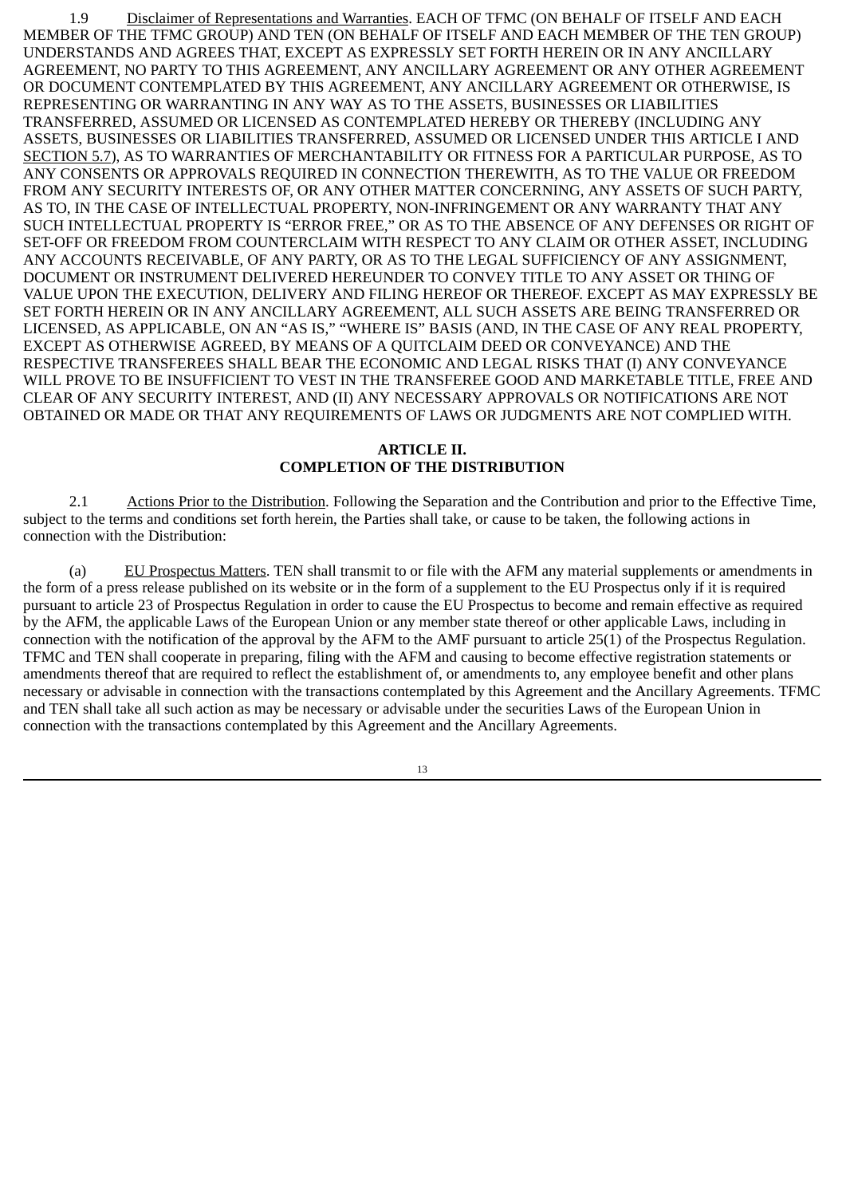1.9 Disclaimer of Representations and Warranties. EACH OF TFMC (ON BEHALF OF ITSELF AND EACH MEMBER OF THE TFMC GROUP) AND TEN (ON BEHALF OF ITSELF AND EACH MEMBER OF THE TEN GROUP) UNDERSTANDS AND AGREES THAT, EXCEPT AS EXPRESSLY SET FORTH HEREIN OR IN ANY ANCILLARY AGREEMENT, NO PARTY TO THIS AGREEMENT, ANY ANCILLARY AGREEMENT OR ANY OTHER AGREEMENT OR DOCUMENT CONTEMPLATED BY THIS AGREEMENT, ANY ANCILLARY AGREEMENT OR OTHERWISE, IS REPRESENTING OR WARRANTING IN ANY WAY AS TO THE ASSETS, BUSINESSES OR LIABILITIES TRANSFERRED, ASSUMED OR LICENSED AS CONTEMPLATED HEREBY OR THEREBY (INCLUDING ANY ASSETS, BUSINESSES OR LIABILITIES TRANSFERRED, ASSUMED OR LICENSED UNDER THIS ARTICLE I AND SECTION 5.7), AS TO WARRANTIES OF MERCHANTABILITY OR FITNESS FOR A PARTICULAR PURPOSE, AS TO ANY CONSENTS OR APPROVALS REQUIRED IN CONNECTION THEREWITH, AS TO THE VALUE OR FREEDOM FROM ANY SECURITY INTERESTS OF, OR ANY OTHER MATTER CONCERNING, ANY ASSETS OF SUCH PARTY, AS TO, IN THE CASE OF INTELLECTUAL PROPERTY, NON-INFRINGEMENT OR ANY WARRANTY THAT ANY SUCH INTELLECTUAL PROPERTY IS "ERROR FREE," OR AS TO THE ABSENCE OF ANY DEFENSES OR RIGHT OF SET-OFF OR FREEDOM FROM COUNTERCLAIM WITH RESPECT TO ANY CLAIM OR OTHER ASSET, INCLUDING ANY ACCOUNTS RECEIVABLE, OF ANY PARTY, OR AS TO THE LEGAL SUFFICIENCY OF ANY ASSIGNMENT, DOCUMENT OR INSTRUMENT DELIVERED HEREUNDER TO CONVEY TITLE TO ANY ASSET OR THING OF VALUE UPON THE EXECUTION, DELIVERY AND FILING HEREOF OR THEREOF. EXCEPT AS MAY EXPRESSLY BE SET FORTH HEREIN OR IN ANY ANCILLARY AGREEMENT, ALL SUCH ASSETS ARE BEING TRANSFERRED OR LICENSED, AS APPLICABLE, ON AN "AS IS," "WHERE IS" BASIS (AND, IN THE CASE OF ANY REAL PROPERTY, EXCEPT AS OTHERWISE AGREED, BY MEANS OF A QUITCLAIM DEED OR CONVEYANCE) AND THE RESPECTIVE TRANSFEREES SHALL BEAR THE ECONOMIC AND LEGAL RISKS THAT (I) ANY CONVEYANCE WILL PROVE TO BE INSUFFICIENT TO VEST IN THE TRANSFEREE GOOD AND MARKETABLE TITLE, FREE AND CLEAR OF ANY SECURITY INTEREST, AND (II) ANY NECESSARY APPROVALS OR NOTIFICATIONS ARE NOT OBTAINED OR MADE OR THAT ANY REQUIREMENTS OF LAWS OR JUDGMENTS ARE NOT COMPLIED WITH.

#### **ARTICLE II. COMPLETION OF THE DISTRIBUTION**

2.1 Actions Prior to the Distribution. Following the Separation and the Contribution and prior to the Effective Time, subject to the terms and conditions set forth herein, the Parties shall take, or cause to be taken, the following actions in connection with the Distribution:

(a) EU Prospectus Matters. TEN shall transmit to or file with the AFM any material supplements or amendments in the form of a press release published on its website or in the form of a supplement to the EU Prospectus only if it is required pursuant to article 23 of Prospectus Regulation in order to cause the EU Prospectus to become and remain effective as required by the AFM, the applicable Laws of the European Union or any member state thereof or other applicable Laws, including in connection with the notification of the approval by the AFM to the AMF pursuant to article 25(1) of the Prospectus Regulation. TFMC and TEN shall cooperate in preparing, filing with the AFM and causing to become effective registration statements or amendments thereof that are required to reflect the establishment of, or amendments to, any employee benefit and other plans necessary or advisable in connection with the transactions contemplated by this Agreement and the Ancillary Agreements. TFMC and TEN shall take all such action as may be necessary or advisable under the securities Laws of the European Union in connection with the transactions contemplated by this Agreement and the Ancillary Agreements.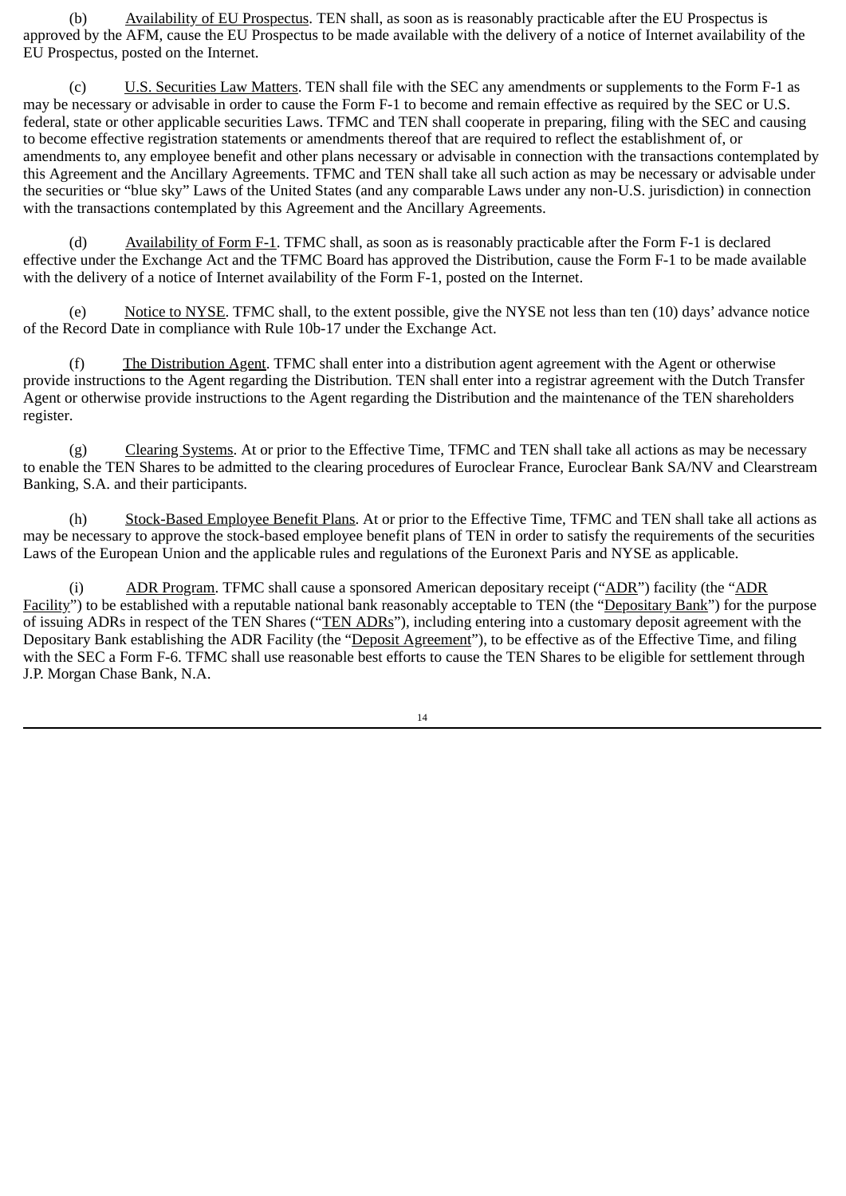(b) Availability of EU Prospectus. TEN shall, as soon as is reasonably practicable after the EU Prospectus is approved by the AFM, cause the EU Prospectus to be made available with the delivery of a notice of Internet availability of the EU Prospectus, posted on the Internet.

(c) U.S. Securities Law Matters. TEN shall file with the SEC any amendments or supplements to the Form F-1 as may be necessary or advisable in order to cause the Form F-1 to become and remain effective as required by the SEC or U.S. federal, state or other applicable securities Laws. TFMC and TEN shall cooperate in preparing, filing with the SEC and causing to become effective registration statements or amendments thereof that are required to reflect the establishment of, or amendments to, any employee benefit and other plans necessary or advisable in connection with the transactions contemplated by this Agreement and the Ancillary Agreements. TFMC and TEN shall take all such action as may be necessary or advisable under the securities or "blue sky" Laws of the United States (and any comparable Laws under any non-U.S. jurisdiction) in connection with the transactions contemplated by this Agreement and the Ancillary Agreements.

(d) Availability of Form F-1. TFMC shall, as soon as is reasonably practicable after the Form F-1 is declared effective under the Exchange Act and the TFMC Board has approved the Distribution, cause the Form F-1 to be made available with the delivery of a notice of Internet availability of the Form F-1, posted on the Internet.

(e) Notice to NYSE. TFMC shall, to the extent possible, give the NYSE not less than ten (10) days' advance notice of the Record Date in compliance with Rule 10b-17 under the Exchange Act.

(f) The Distribution Agent. TFMC shall enter into a distribution agent agreement with the Agent or otherwise provide instructions to the Agent regarding the Distribution. TEN shall enter into a registrar agreement with the Dutch Transfer Agent or otherwise provide instructions to the Agent regarding the Distribution and the maintenance of the TEN shareholders register.

(g) Clearing Systems. At or prior to the Effective Time, TFMC and TEN shall take all actions as may be necessary to enable the TEN Shares to be admitted to the clearing procedures of Euroclear France, Euroclear Bank SA/NV and Clearstream Banking, S.A. and their participants.

(h) Stock-Based Employee Benefit Plans. At or prior to the Effective Time, TFMC and TEN shall take all actions as may be necessary to approve the stock-based employee benefit plans of TEN in order to satisfy the requirements of the securities Laws of the European Union and the applicable rules and regulations of the Euronext Paris and NYSE as applicable.

(i) ADR Program. TFMC shall cause a sponsored American depositary receipt ("ADR") facility (the "ADR Facility") to be established with a reputable national bank reasonably acceptable to TEN (the "Depositary Bank") for the purpose of issuing ADRs in respect of the TEN Shares ("TEN ADRs"), including entering into a customary deposit agreement with the Depositary Bank establishing the ADR Facility (the "Deposit Agreement"), to be effective as of the Effective Time, and filing with the SEC a Form F-6. TFMC shall use reasonable best efforts to cause the TEN Shares to be eligible for settlement through J.P. Morgan Chase Bank, N.A.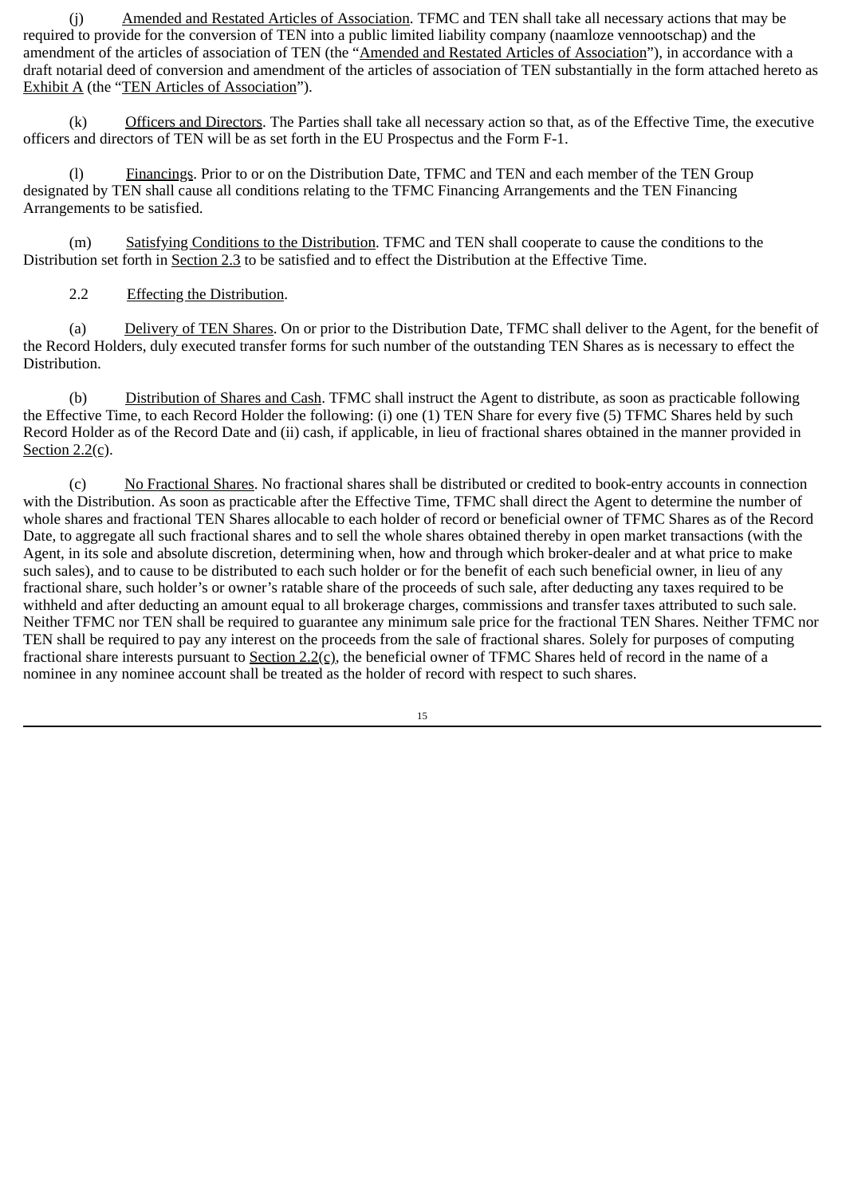(j) Amended and Restated Articles of Association. TFMC and TEN shall take all necessary actions that may be required to provide for the conversion of TEN into a public limited liability company (naamloze vennootschap) and the amendment of the articles of association of TEN (the "Amended and Restated Articles of Association"), in accordance with a draft notarial deed of conversion and amendment of the articles of association of TEN substantially in the form attached hereto as Exhibit A (the "TEN Articles of Association").

(k) Officers and Directors. The Parties shall take all necessary action so that, as of the Effective Time, the executive officers and directors of TEN will be as set forth in the EU Prospectus and the Form F-1.

(l) Financings. Prior to or on the Distribution Date, TFMC and TEN and each member of the TEN Group designated by TEN shall cause all conditions relating to the TFMC Financing Arrangements and the TEN Financing Arrangements to be satisfied.

(m) Satisfying Conditions to the Distribution. TFMC and TEN shall cooperate to cause the conditions to the Distribution set forth in Section 2.3 to be satisfied and to effect the Distribution at the Effective Time.

2.2 Effecting the Distribution.

(a) Delivery of TEN Shares. On or prior to the Distribution Date, TFMC shall deliver to the Agent, for the benefit of the Record Holders, duly executed transfer forms for such number of the outstanding TEN Shares as is necessary to effect the Distribution.

(b) Distribution of Shares and Cash. TFMC shall instruct the Agent to distribute, as soon as practicable following the Effective Time, to each Record Holder the following: (i) one (1) TEN Share for every five (5) TFMC Shares held by such Record Holder as of the Record Date and (ii) cash, if applicable, in lieu of fractional shares obtained in the manner provided in Section  $2.2(c)$ .

(c) No Fractional Shares. No fractional shares shall be distributed or credited to book-entry accounts in connection with the Distribution. As soon as practicable after the Effective Time, TFMC shall direct the Agent to determine the number of whole shares and fractional TEN Shares allocable to each holder of record or beneficial owner of TFMC Shares as of the Record Date, to aggregate all such fractional shares and to sell the whole shares obtained thereby in open market transactions (with the Agent, in its sole and absolute discretion, determining when, how and through which broker-dealer and at what price to make such sales), and to cause to be distributed to each such holder or for the benefit of each such beneficial owner, in lieu of any fractional share, such holder's or owner's ratable share of the proceeds of such sale, after deducting any taxes required to be withheld and after deducting an amount equal to all brokerage charges, commissions and transfer taxes attributed to such sale. Neither TFMC nor TEN shall be required to guarantee any minimum sale price for the fractional TEN Shares. Neither TFMC nor TEN shall be required to pay any interest on the proceeds from the sale of fractional shares. Solely for purposes of computing fractional share interests pursuant to Section 2.2(c), the beneficial owner of TFMC Shares held of record in the name of a nominee in any nominee account shall be treated as the holder of record with respect to such shares.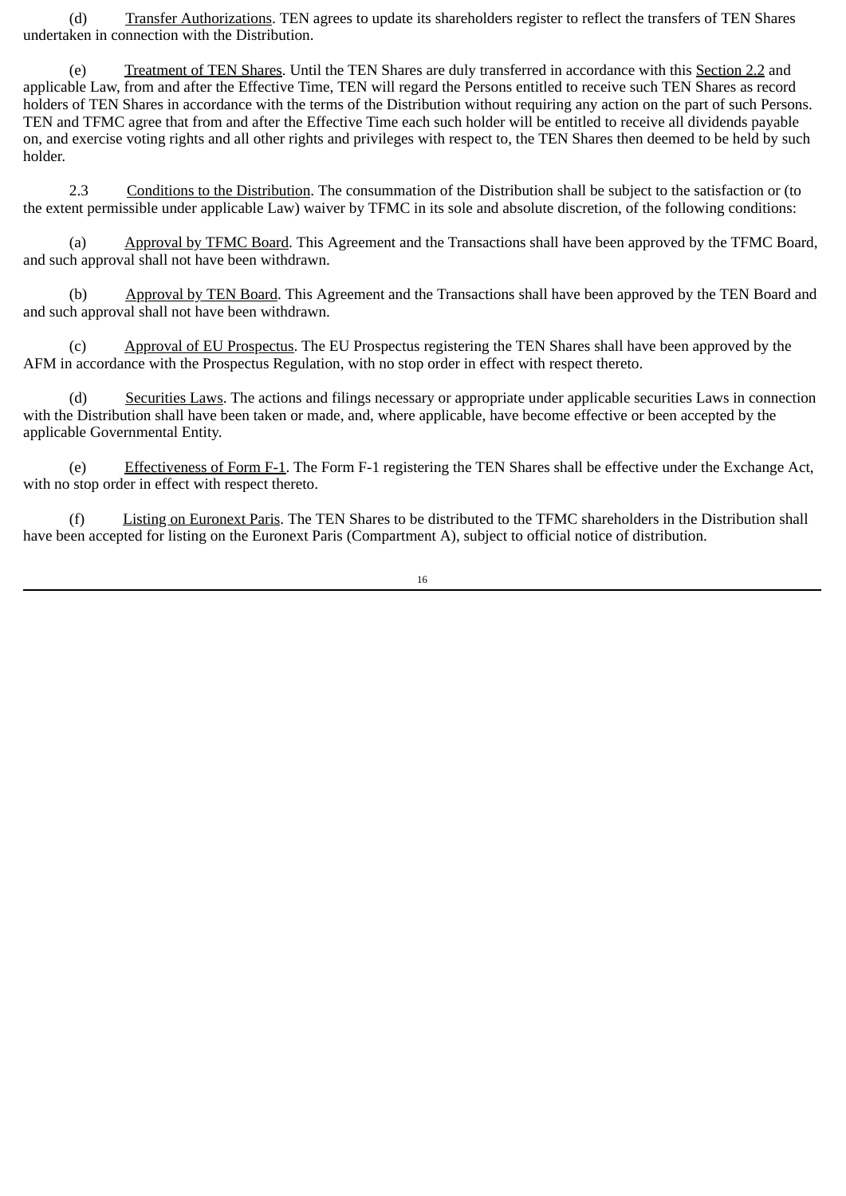(d) Transfer Authorizations. TEN agrees to update its shareholders register to reflect the transfers of TEN Shares undertaken in connection with the Distribution.

(e) Treatment of TEN Shares. Until the TEN Shares are duly transferred in accordance with this Section 2.2 and applicable Law, from and after the Effective Time, TEN will regard the Persons entitled to receive such TEN Shares as record holders of TEN Shares in accordance with the terms of the Distribution without requiring any action on the part of such Persons. TEN and TFMC agree that from and after the Effective Time each such holder will be entitled to receive all dividends payable on, and exercise voting rights and all other rights and privileges with respect to, the TEN Shares then deemed to be held by such holder.

2.3 Conditions to the Distribution. The consummation of the Distribution shall be subject to the satisfaction or (to the extent permissible under applicable Law) waiver by TFMC in its sole and absolute discretion, of the following conditions:

(a) Approval by TFMC Board. This Agreement and the Transactions shall have been approved by the TFMC Board, and such approval shall not have been withdrawn.

(b) Approval by TEN Board. This Agreement and the Transactions shall have been approved by the TEN Board and and such approval shall not have been withdrawn.

(c) Approval of EU Prospectus. The EU Prospectus registering the TEN Shares shall have been approved by the AFM in accordance with the Prospectus Regulation, with no stop order in effect with respect thereto.

(d) Securities Laws. The actions and filings necessary or appropriate under applicable securities Laws in connection with the Distribution shall have been taken or made, and, where applicable, have become effective or been accepted by the applicable Governmental Entity.

(e) Effectiveness of Form F-1. The Form F-1 registering the TEN Shares shall be effective under the Exchange Act, with no stop order in effect with respect thereto.

(f) Listing on Euronext Paris. The TEN Shares to be distributed to the TFMC shareholders in the Distribution shall have been accepted for listing on the Euronext Paris (Compartment A), subject to official notice of distribution.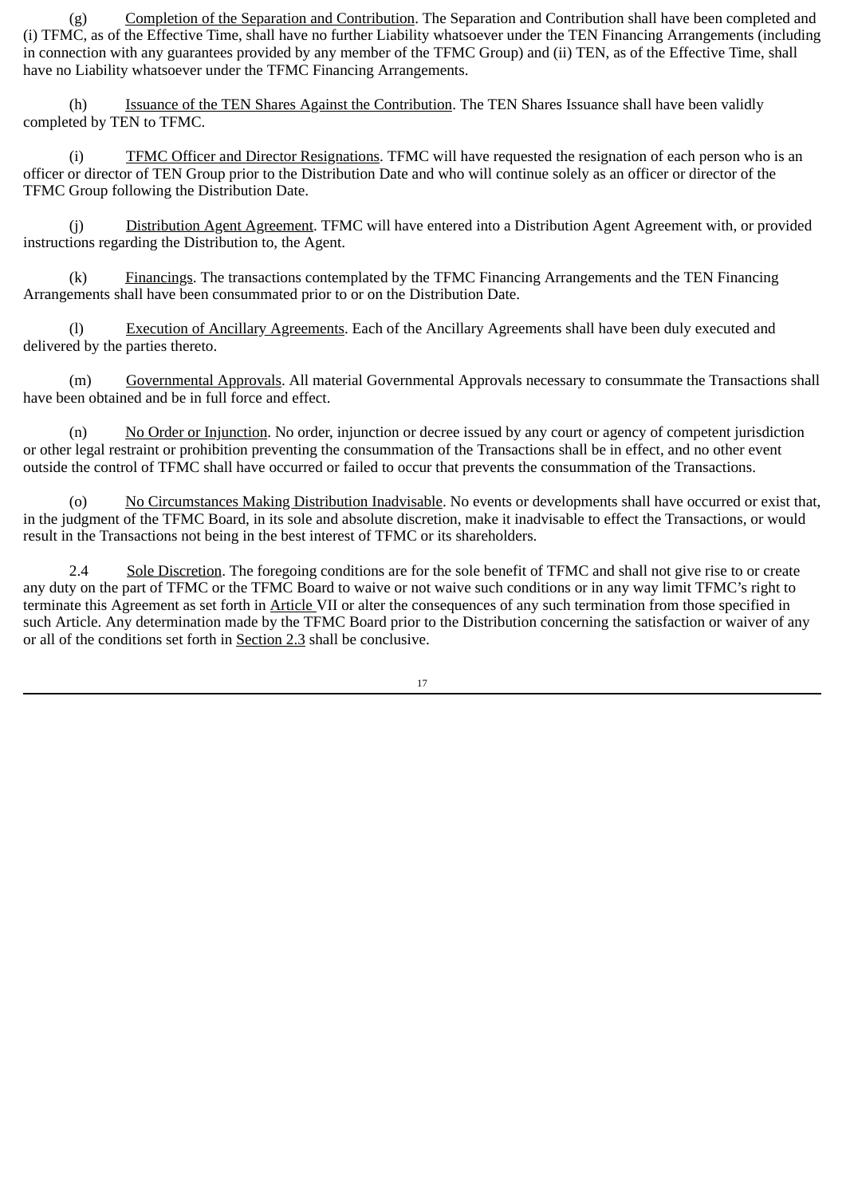(g) Completion of the Separation and Contribution. The Separation and Contribution shall have been completed and (i) TFMC, as of the Effective Time, shall have no further Liability whatsoever under the TEN Financing Arrangements (including in connection with any guarantees provided by any member of the TFMC Group) and (ii) TEN, as of the Effective Time, shall have no Liability whatsoever under the TFMC Financing Arrangements.

(h) Issuance of the TEN Shares Against the Contribution. The TEN Shares Issuance shall have been validly completed by TEN to TFMC.

(i) TFMC Officer and Director Resignations. TFMC will have requested the resignation of each person who is an officer or director of TEN Group prior to the Distribution Date and who will continue solely as an officer or director of the TFMC Group following the Distribution Date.

(j) Distribution Agent Agreement. TFMC will have entered into a Distribution Agent Agreement with, or provided instructions regarding the Distribution to, the Agent.

(k) Financings. The transactions contemplated by the TFMC Financing Arrangements and the TEN Financing Arrangements shall have been consummated prior to or on the Distribution Date.

(l) Execution of Ancillary Agreements. Each of the Ancillary Agreements shall have been duly executed and delivered by the parties thereto.

(m) Governmental Approvals. All material Governmental Approvals necessary to consummate the Transactions shall have been obtained and be in full force and effect.

(n) No Order or Injunction. No order, injunction or decree issued by any court or agency of competent jurisdiction or other legal restraint or prohibition preventing the consummation of the Transactions shall be in effect, and no other event outside the control of TFMC shall have occurred or failed to occur that prevents the consummation of the Transactions.

(o) No Circumstances Making Distribution Inadvisable. No events or developments shall have occurred or exist that, in the judgment of the TFMC Board, in its sole and absolute discretion, make it inadvisable to effect the Transactions, or would result in the Transactions not being in the best interest of TFMC or its shareholders.

2.4 Sole Discretion. The foregoing conditions are for the sole benefit of TFMC and shall not give rise to or create any duty on the part of TFMC or the TFMC Board to waive or not waive such conditions or in any way limit TFMC's right to terminate this Agreement as set forth in Article VII or alter the consequences of any such termination from those specified in such Article. Any determination made by the TFMC Board prior to the Distribution concerning the satisfaction or waiver of any or all of the conditions set forth in Section 2.3 shall be conclusive.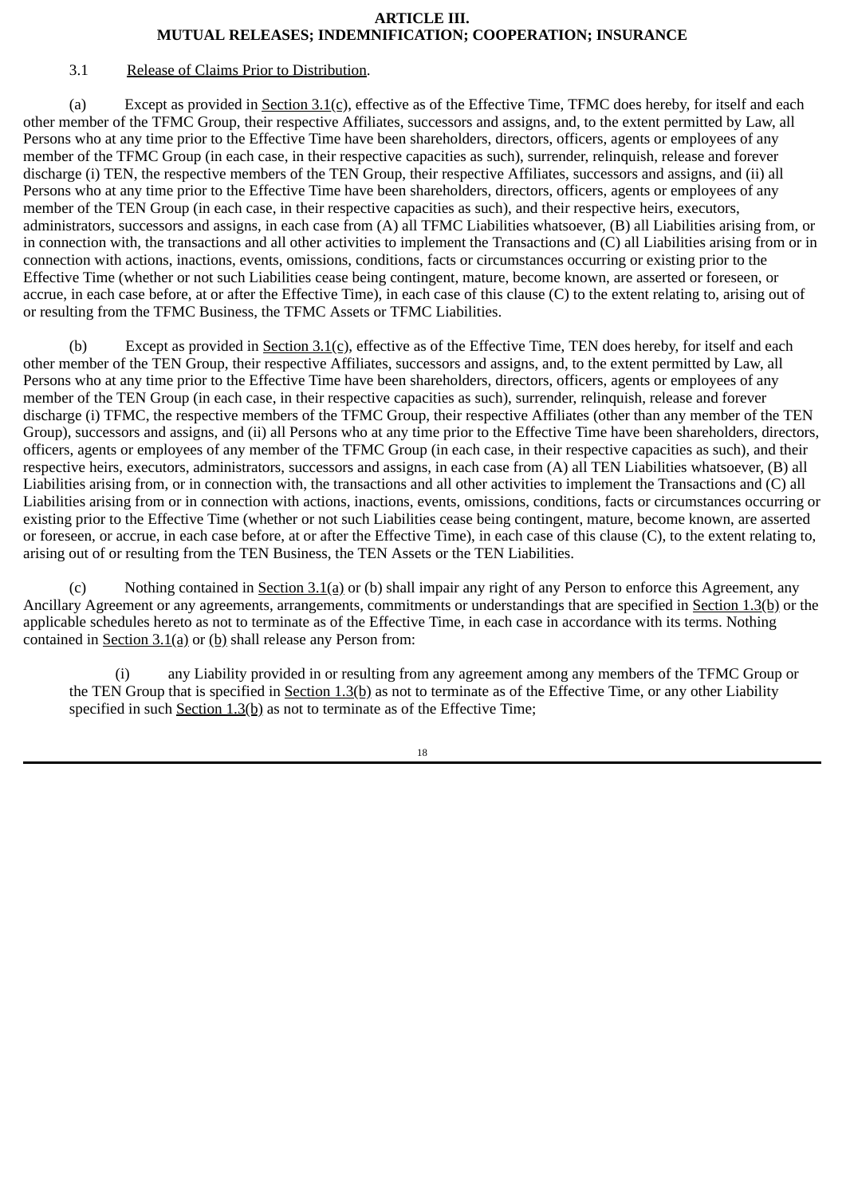#### **ARTICLE III. MUTUAL RELEASES; INDEMNIFICATION; COOPERATION; INSURANCE**

#### 3.1 Release of Claims Prior to Distribution.

(a) Except as provided in Section 3.1(c), effective as of the Effective Time, TFMC does hereby, for itself and each other member of the TFMC Group, their respective Affiliates, successors and assigns, and, to the extent permitted by Law, all Persons who at any time prior to the Effective Time have been shareholders, directors, officers, agents or employees of any member of the TFMC Group (in each case, in their respective capacities as such), surrender, relinquish, release and forever discharge (i) TEN, the respective members of the TEN Group, their respective Affiliates, successors and assigns, and (ii) all Persons who at any time prior to the Effective Time have been shareholders, directors, officers, agents or employees of any member of the TEN Group (in each case, in their respective capacities as such), and their respective heirs, executors, administrators, successors and assigns, in each case from (A) all TFMC Liabilities whatsoever, (B) all Liabilities arising from, or in connection with, the transactions and all other activities to implement the Transactions and (C) all Liabilities arising from or in connection with actions, inactions, events, omissions, conditions, facts or circumstances occurring or existing prior to the Effective Time (whether or not such Liabilities cease being contingent, mature, become known, are asserted or foreseen, or accrue, in each case before, at or after the Effective Time), in each case of this clause (C) to the extent relating to, arising out of or resulting from the TFMC Business, the TFMC Assets or TFMC Liabilities.

Except as provided in Section 3.1(c), effective as of the Effective Time, TEN does hereby, for itself and each other member of the TEN Group, their respective Affiliates, successors and assigns, and, to the extent permitted by Law, all Persons who at any time prior to the Effective Time have been shareholders, directors, officers, agents or employees of any member of the TEN Group (in each case, in their respective capacities as such), surrender, relinquish, release and forever discharge (i) TFMC, the respective members of the TFMC Group, their respective Affiliates (other than any member of the TEN Group), successors and assigns, and (ii) all Persons who at any time prior to the Effective Time have been shareholders, directors, officers, agents or employees of any member of the TFMC Group (in each case, in their respective capacities as such), and their respective heirs, executors, administrators, successors and assigns, in each case from (A) all TEN Liabilities whatsoever, (B) all Liabilities arising from, or in connection with, the transactions and all other activities to implement the Transactions and (C) all Liabilities arising from or in connection with actions, inactions, events, omissions, conditions, facts or circumstances occurring or existing prior to the Effective Time (whether or not such Liabilities cease being contingent, mature, become known, are asserted or foreseen, or accrue, in each case before, at or after the Effective Time), in each case of this clause (C), to the extent relating to, arising out of or resulting from the TEN Business, the TEN Assets or the TEN Liabilities.

(c) Nothing contained in Section  $3.1(q)$  or (b) shall impair any right of any Person to enforce this Agreement, any Ancillary Agreement or any agreements, arrangements, commitments or understandings that are specified in Section 1.3(b) or the applicable schedules hereto as not to terminate as of the Effective Time, in each case in accordance with its terms. Nothing contained in Section 3.1(a) or (b) shall release any Person from:

(i) any Liability provided in or resulting from any agreement among any members of the TFMC Group or the TEN Group that is specified in Section 1.3(b) as not to terminate as of the Effective Time, or any other Liability specified in such Section 1.3(b) as not to terminate as of the Effective Time;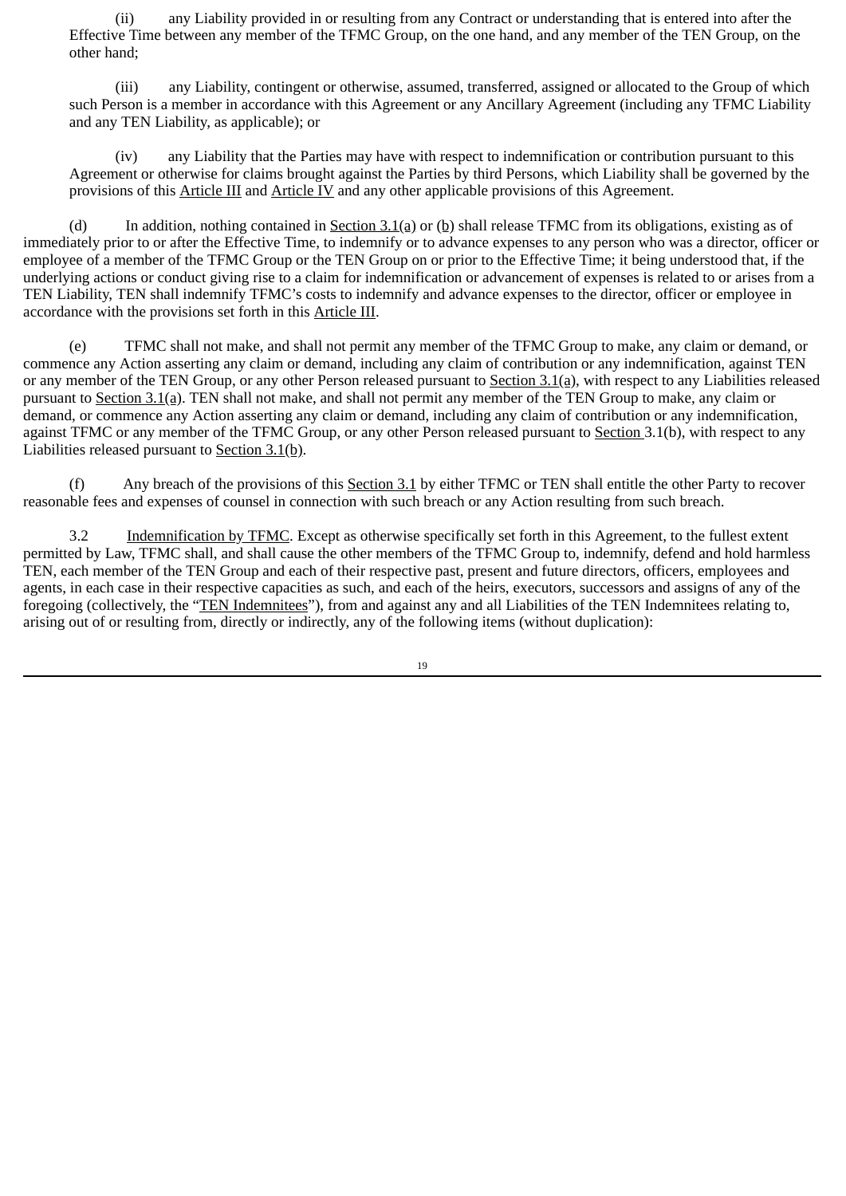(ii) any Liability provided in or resulting from any Contract or understanding that is entered into after the Effective Time between any member of the TFMC Group, on the one hand, and any member of the TEN Group, on the other hand;

(iii) any Liability, contingent or otherwise, assumed, transferred, assigned or allocated to the Group of which such Person is a member in accordance with this Agreement or any Ancillary Agreement (including any TFMC Liability and any TEN Liability, as applicable); or

(iv) any Liability that the Parties may have with respect to indemnification or contribution pursuant to this Agreement or otherwise for claims brought against the Parties by third Persons, which Liability shall be governed by the provisions of this Article III and Article IV and any other applicable provisions of this Agreement.

(d) In addition, nothing contained in Section  $3.1(a)$  or (b) shall release TFMC from its obligations, existing as of immediately prior to or after the Effective Time, to indemnify or to advance expenses to any person who was a director, officer or employee of a member of the TFMC Group or the TEN Group on or prior to the Effective Time; it being understood that, if the underlying actions or conduct giving rise to a claim for indemnification or advancement of expenses is related to or arises from a TEN Liability, TEN shall indemnify TFMC's costs to indemnify and advance expenses to the director, officer or employee in accordance with the provisions set forth in this Article III.

(e) TFMC shall not make, and shall not permit any member of the TFMC Group to make, any claim or demand, or commence any Action asserting any claim or demand, including any claim of contribution or any indemnification, against TEN or any member of the TEN Group, or any other Person released pursuant to Section 3.1(a), with respect to any Liabilities released pursuant to Section 3.1(a). TEN shall not make, and shall not permit any member of the TEN Group to make, any claim or demand, or commence any Action asserting any claim or demand, including any claim of contribution or any indemnification, against TFMC or any member of the TFMC Group, or any other Person released pursuant to Section 3.1(b), with respect to any Liabilities released pursuant to Section 3.1(b).

(f) Any breach of the provisions of this  $Section 3.1$  by either TFMC or TEN shall entitle the other Party to recover reasonable fees and expenses of counsel in connection with such breach or any Action resulting from such breach.

3.2 Indemnification by TFMC. Except as otherwise specifically set forth in this Agreement, to the fullest extent permitted by Law, TFMC shall, and shall cause the other members of the TFMC Group to, indemnify, defend and hold harmless TEN, each member of the TEN Group and each of their respective past, present and future directors, officers, employees and agents, in each case in their respective capacities as such, and each of the heirs, executors, successors and assigns of any of the foregoing (collectively, the "TEN Indemnitees"), from and against any and all Liabilities of the TEN Indemnitees relating to, arising out of or resulting from, directly or indirectly, any of the following items (without duplication):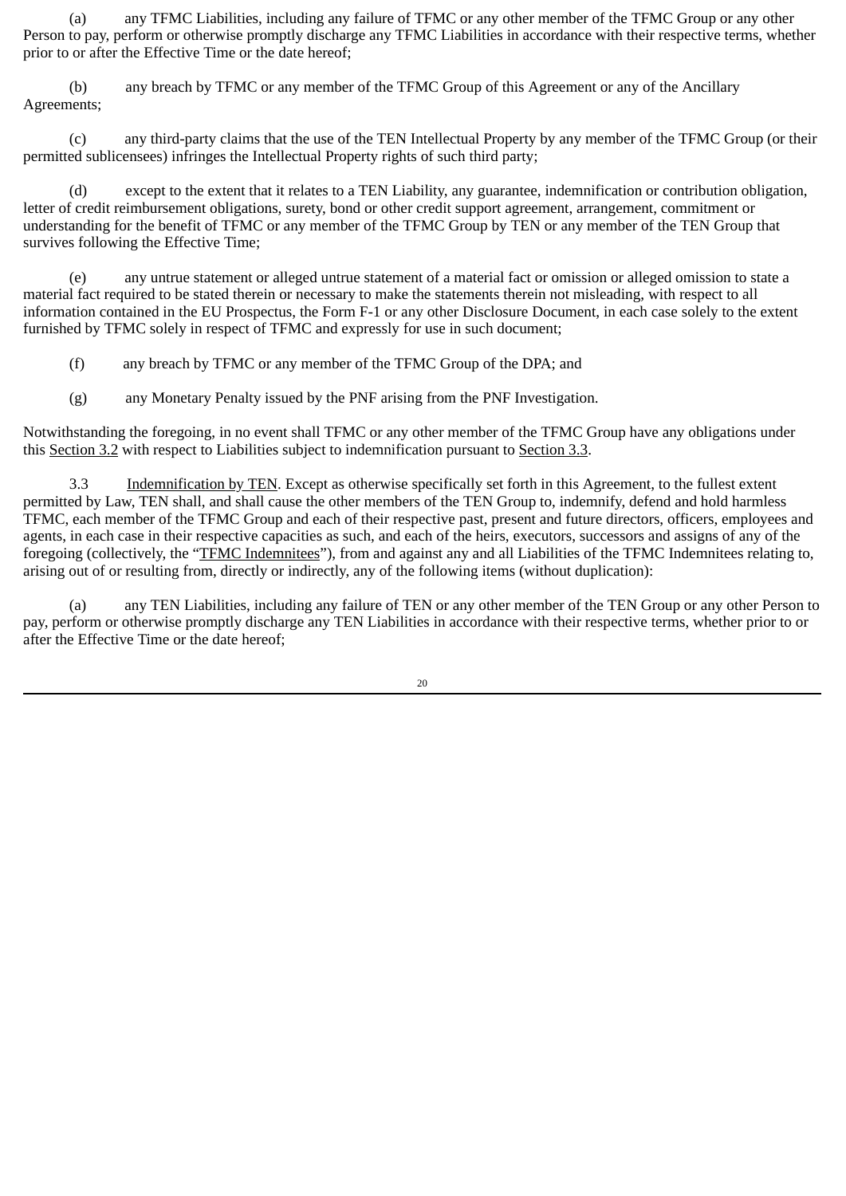(a) any TFMC Liabilities, including any failure of TFMC or any other member of the TFMC Group or any other Person to pay, perform or otherwise promptly discharge any TFMC Liabilities in accordance with their respective terms, whether prior to or after the Effective Time or the date hereof;

(b) any breach by TFMC or any member of the TFMC Group of this Agreement or any of the Ancillary Agreements;

(c) any third-party claims that the use of the TEN Intellectual Property by any member of the TFMC Group (or their permitted sublicensees) infringes the Intellectual Property rights of such third party;

(d) except to the extent that it relates to a TEN Liability, any guarantee, indemnification or contribution obligation, letter of credit reimbursement obligations, surety, bond or other credit support agreement, arrangement, commitment or understanding for the benefit of TFMC or any member of the TFMC Group by TEN or any member of the TEN Group that survives following the Effective Time;

(e) any untrue statement or alleged untrue statement of a material fact or omission or alleged omission to state a material fact required to be stated therein or necessary to make the statements therein not misleading, with respect to all information contained in the EU Prospectus, the Form F-1 or any other Disclosure Document, in each case solely to the extent furnished by TFMC solely in respect of TFMC and expressly for use in such document;

- (f) any breach by TFMC or any member of the TFMC Group of the DPA; and
- (g) any Monetary Penalty issued by the PNF arising from the PNF Investigation.

Notwithstanding the foregoing, in no event shall TFMC or any other member of the TFMC Group have any obligations under this Section 3.2 with respect to Liabilities subject to indemnification pursuant to Section 3.3.

3.3 Indemnification by TEN. Except as otherwise specifically set forth in this Agreement, to the fullest extent permitted by Law, TEN shall, and shall cause the other members of the TEN Group to, indemnify, defend and hold harmless TFMC, each member of the TFMC Group and each of their respective past, present and future directors, officers, employees and agents, in each case in their respective capacities as such, and each of the heirs, executors, successors and assigns of any of the foregoing (collectively, the "TFMC Indemnitees"), from and against any and all Liabilities of the TFMC Indemnitees relating to, arising out of or resulting from, directly or indirectly, any of the following items (without duplication):

(a) any TEN Liabilities, including any failure of TEN or any other member of the TEN Group or any other Person to pay, perform or otherwise promptly discharge any TEN Liabilities in accordance with their respective terms, whether prior to or after the Effective Time or the date hereof;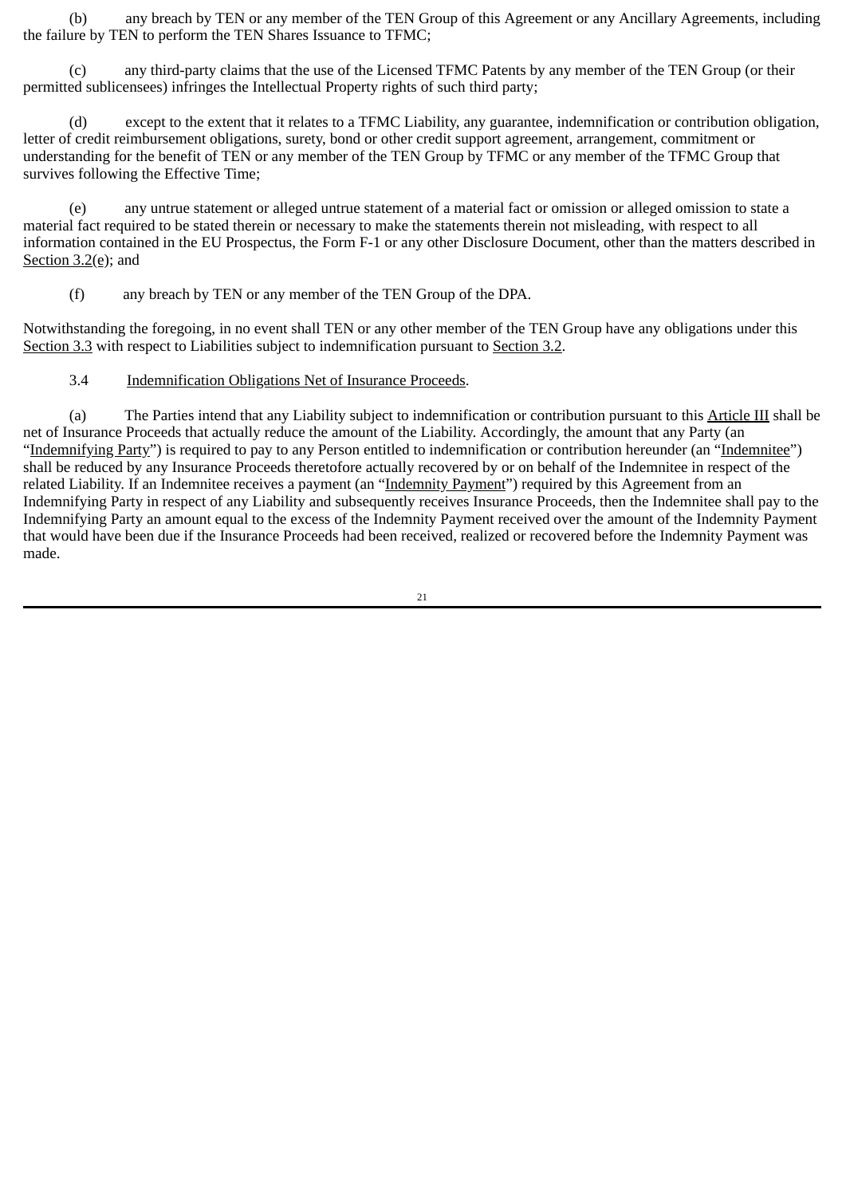(b) any breach by TEN or any member of the TEN Group of this Agreement or any Ancillary Agreements, including the failure by TEN to perform the TEN Shares Issuance to TFMC;

(c) any third-party claims that the use of the Licensed TFMC Patents by any member of the TEN Group (or their permitted sublicensees) infringes the Intellectual Property rights of such third party;

except to the extent that it relates to a TFMC Liability, any guarantee, indemnification or contribution obligation, letter of credit reimbursement obligations, surety, bond or other credit support agreement, arrangement, commitment or understanding for the benefit of TEN or any member of the TEN Group by TFMC or any member of the TFMC Group that survives following the Effective Time;

(e) any untrue statement or alleged untrue statement of a material fact or omission or alleged omission to state a material fact required to be stated therein or necessary to make the statements therein not misleading, with respect to all information contained in the EU Prospectus, the Form F-1 or any other Disclosure Document, other than the matters described in Section 3.2(e); and

(f) any breach by TEN or any member of the TEN Group of the DPA.

Notwithstanding the foregoing, in no event shall TEN or any other member of the TEN Group have any obligations under this Section 3.3 with respect to Liabilities subject to indemnification pursuant to Section 3.2.

### 3.4 Indemnification Obligations Net of Insurance Proceeds.

(a) The Parties intend that any Liability subject to indemnification or contribution pursuant to this Article III shall be net of Insurance Proceeds that actually reduce the amount of the Liability. Accordingly, the amount that any Party (an "Indemnifying Party") is required to pay to any Person entitled to indemnification or contribution hereunder (an "Indemnitee") shall be reduced by any Insurance Proceeds theretofore actually recovered by or on behalf of the Indemnitee in respect of the related Liability. If an Indemnitee receives a payment (an "Indemnity Payment") required by this Agreement from an Indemnifying Party in respect of any Liability and subsequently receives Insurance Proceeds, then the Indemnitee shall pay to the Indemnifying Party an amount equal to the excess of the Indemnity Payment received over the amount of the Indemnity Payment that would have been due if the Insurance Proceeds had been received, realized or recovered before the Indemnity Payment was made.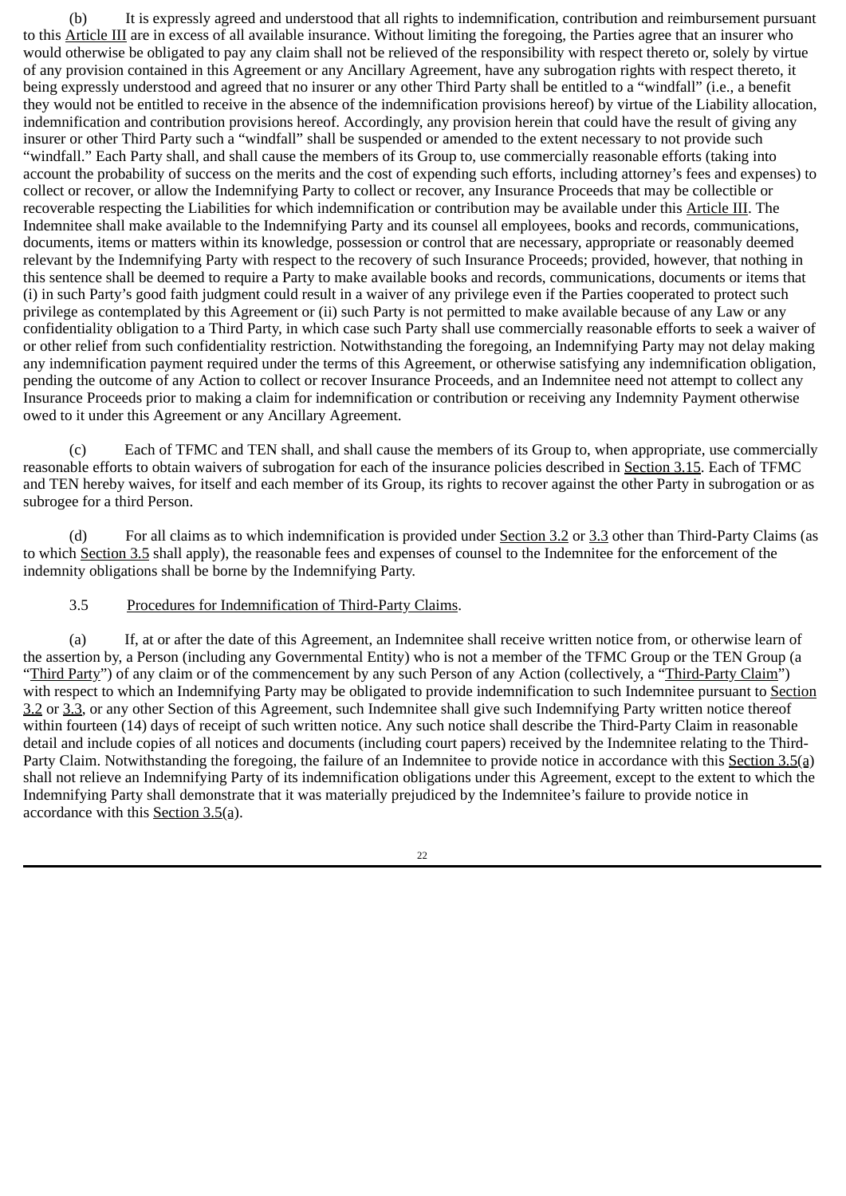(b) It is expressly agreed and understood that all rights to indemnification, contribution and reimbursement pursuant to this Article III are in excess of all available insurance. Without limiting the foregoing, the Parties agree that an insurer who would otherwise be obligated to pay any claim shall not be relieved of the responsibility with respect thereto or, solely by virtue of any provision contained in this Agreement or any Ancillary Agreement, have any subrogation rights with respect thereto, it being expressly understood and agreed that no insurer or any other Third Party shall be entitled to a "windfall" (i.e., a benefit they would not be entitled to receive in the absence of the indemnification provisions hereof) by virtue of the Liability allocation, indemnification and contribution provisions hereof. Accordingly, any provision herein that could have the result of giving any insurer or other Third Party such a "windfall" shall be suspended or amended to the extent necessary to not provide such "windfall." Each Party shall, and shall cause the members of its Group to, use commercially reasonable efforts (taking into account the probability of success on the merits and the cost of expending such efforts, including attorney's fees and expenses) to collect or recover, or allow the Indemnifying Party to collect or recover, any Insurance Proceeds that may be collectible or recoverable respecting the Liabilities for which indemnification or contribution may be available under this Article III. The Indemnitee shall make available to the Indemnifying Party and its counsel all employees, books and records, communications, documents, items or matters within its knowledge, possession or control that are necessary, appropriate or reasonably deemed relevant by the Indemnifying Party with respect to the recovery of such Insurance Proceeds; provided, however, that nothing in this sentence shall be deemed to require a Party to make available books and records, communications, documents or items that (i) in such Party's good faith judgment could result in a waiver of any privilege even if the Parties cooperated to protect such privilege as contemplated by this Agreement or (ii) such Party is not permitted to make available because of any Law or any confidentiality obligation to a Third Party, in which case such Party shall use commercially reasonable efforts to seek a waiver of or other relief from such confidentiality restriction. Notwithstanding the foregoing, an Indemnifying Party may not delay making any indemnification payment required under the terms of this Agreement, or otherwise satisfying any indemnification obligation, pending the outcome of any Action to collect or recover Insurance Proceeds, and an Indemnitee need not attempt to collect any Insurance Proceeds prior to making a claim for indemnification or contribution or receiving any Indemnity Payment otherwise owed to it under this Agreement or any Ancillary Agreement.

(c) Each of TFMC and TEN shall, and shall cause the members of its Group to, when appropriate, use commercially reasonable efforts to obtain waivers of subrogation for each of the insurance policies described in Section 3.15. Each of TFMC and TEN hereby waives, for itself and each member of its Group, its rights to recover against the other Party in subrogation or as subrogee for a third Person.

(d) For all claims as to which indemnification is provided under Section  $3.2$  or  $3.3$  other than Third-Party Claims (as to which Section 3.5 shall apply), the reasonable fees and expenses of counsel to the Indemnitee for the enforcement of the indemnity obligations shall be borne by the Indemnifying Party.

#### 3.5 Procedures for Indemnification of Third-Party Claims.

(a) If, at or after the date of this Agreement, an Indemnitee shall receive written notice from, or otherwise learn of the assertion by, a Person (including any Governmental Entity) who is not a member of the TFMC Group or the TEN Group (a "Third Party") of any claim or of the commencement by any such Person of any Action (collectively, a "Third-Party Claim") with respect to which an Indemnifying Party may be obligated to provide indemnification to such Indemnitee pursuant to Section 3.2 or 3.3, or any other Section of this Agreement, such Indemnitee shall give such Indemnifying Party written notice thereof within fourteen (14) days of receipt of such written notice. Any such notice shall describe the Third-Party Claim in reasonable detail and include copies of all notices and documents (including court papers) received by the Indemnitee relating to the Third-Party Claim. Notwithstanding the foregoing, the failure of an Indemnitee to provide notice in accordance with this Section 3.5(a) shall not relieve an Indemnifying Party of its indemnification obligations under this Agreement, except to the extent to which the Indemnifying Party shall demonstrate that it was materially prejudiced by the Indemnitee's failure to provide notice in accordance with this Section 3.5(a).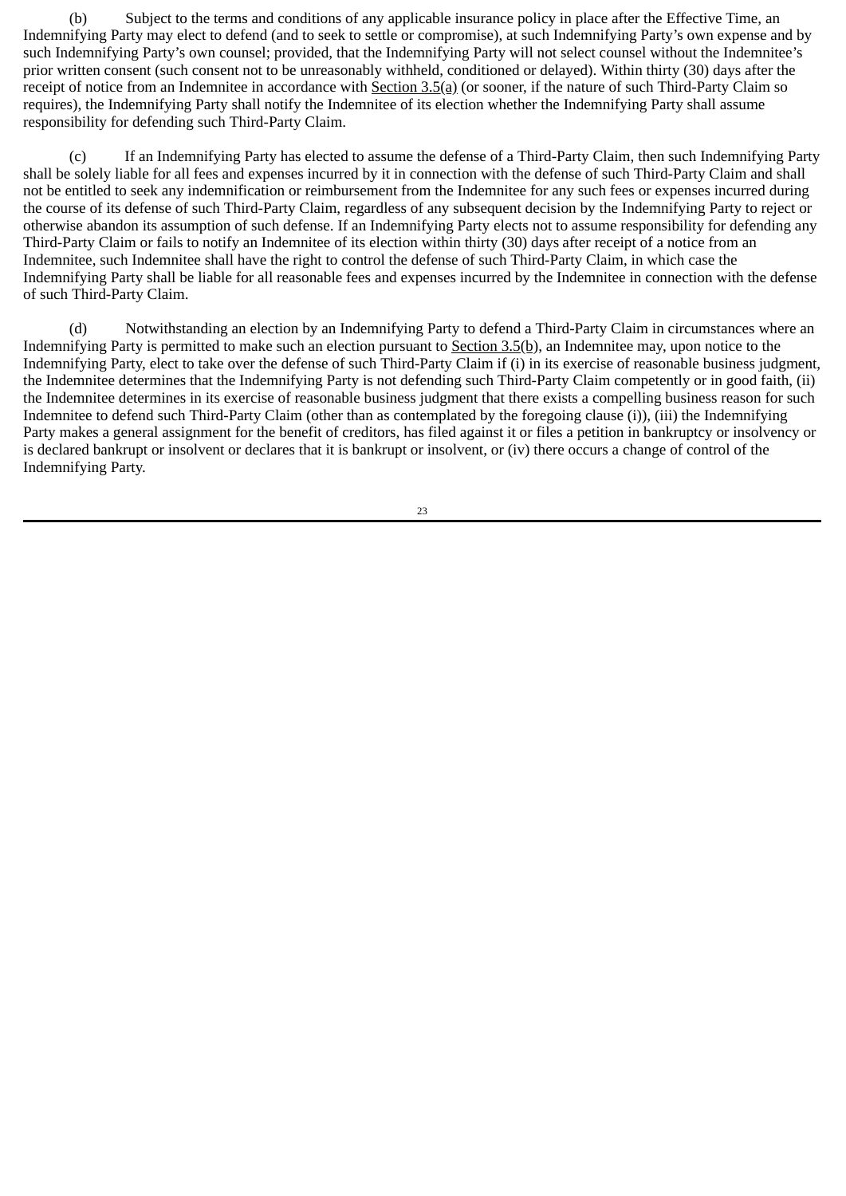(b) Subject to the terms and conditions of any applicable insurance policy in place after the Effective Time, an Indemnifying Party may elect to defend (and to seek to settle or compromise), at such Indemnifying Party's own expense and by such Indemnifying Party's own counsel; provided, that the Indemnifying Party will not select counsel without the Indemnitee's prior written consent (such consent not to be unreasonably withheld, conditioned or delayed). Within thirty (30) days after the receipt of notice from an Indemnitee in accordance with Section 3.5(a) (or sooner, if the nature of such Third-Party Claim so requires), the Indemnifying Party shall notify the Indemnitee of its election whether the Indemnifying Party shall assume responsibility for defending such Third-Party Claim.

(c) If an Indemnifying Party has elected to assume the defense of a Third-Party Claim, then such Indemnifying Party shall be solely liable for all fees and expenses incurred by it in connection with the defense of such Third-Party Claim and shall not be entitled to seek any indemnification or reimbursement from the Indemnitee for any such fees or expenses incurred during the course of its defense of such Third-Party Claim, regardless of any subsequent decision by the Indemnifying Party to reject or otherwise abandon its assumption of such defense. If an Indemnifying Party elects not to assume responsibility for defending any Third-Party Claim or fails to notify an Indemnitee of its election within thirty (30) days after receipt of a notice from an Indemnitee, such Indemnitee shall have the right to control the defense of such Third-Party Claim, in which case the Indemnifying Party shall be liable for all reasonable fees and expenses incurred by the Indemnitee in connection with the defense of such Third-Party Claim.

(d) Notwithstanding an election by an Indemnifying Party to defend a Third-Party Claim in circumstances where an Indemnifying Party is permitted to make such an election pursuant to Section 3.5(b), an Indemnitee may, upon notice to the Indemnifying Party, elect to take over the defense of such Third-Party Claim if (i) in its exercise of reasonable business judgment, the Indemnitee determines that the Indemnifying Party is not defending such Third-Party Claim competently or in good faith, (ii) the Indemnitee determines in its exercise of reasonable business judgment that there exists a compelling business reason for such Indemnitee to defend such Third-Party Claim (other than as contemplated by the foregoing clause (i)), (iii) the Indemnifying Party makes a general assignment for the benefit of creditors, has filed against it or files a petition in bankruptcy or insolvency or is declared bankrupt or insolvent or declares that it is bankrupt or insolvent, or (iv) there occurs a change of control of the Indemnifying Party.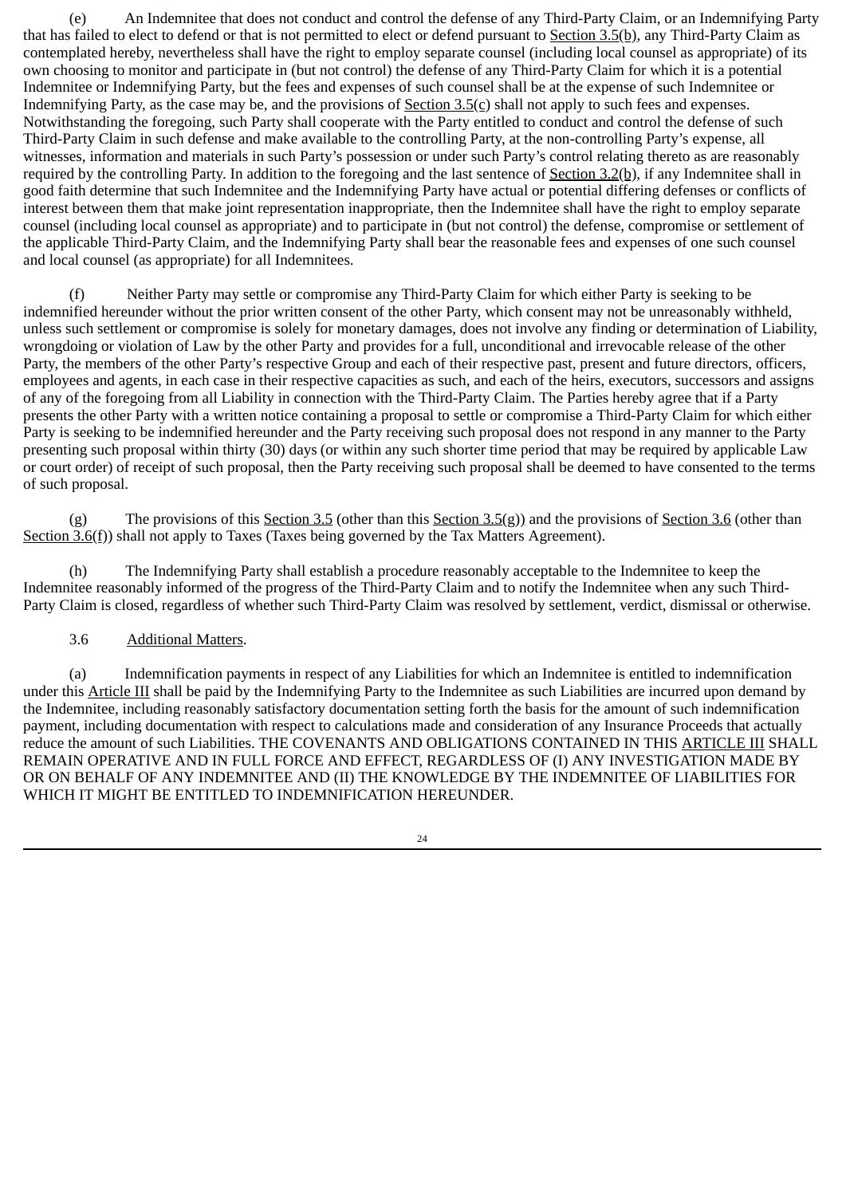(e) An Indemnitee that does not conduct and control the defense of any Third-Party Claim, or an Indemnifying Party that has failed to elect to defend or that is not permitted to elect or defend pursuant to Section 3.5(b), any Third-Party Claim as contemplated hereby, nevertheless shall have the right to employ separate counsel (including local counsel as appropriate) of its own choosing to monitor and participate in (but not control) the defense of any Third-Party Claim for which it is a potential Indemnitee or Indemnifying Party, but the fees and expenses of such counsel shall be at the expense of such Indemnitee or Indemnifying Party, as the case may be, and the provisions of Section 3.5(c) shall not apply to such fees and expenses. Notwithstanding the foregoing, such Party shall cooperate with the Party entitled to conduct and control the defense of such Third-Party Claim in such defense and make available to the controlling Party, at the non-controlling Party's expense, all witnesses, information and materials in such Party's possession or under such Party's control relating thereto as are reasonably required by the controlling Party. In addition to the foregoing and the last sentence of Section 3.2(b), if any Indemnitee shall in good faith determine that such Indemnitee and the Indemnifying Party have actual or potential differing defenses or conflicts of interest between them that make joint representation inappropriate, then the Indemnitee shall have the right to employ separate counsel (including local counsel as appropriate) and to participate in (but not control) the defense, compromise or settlement of the applicable Third-Party Claim, and the Indemnifying Party shall bear the reasonable fees and expenses of one such counsel and local counsel (as appropriate) for all Indemnitees.

(f) Neither Party may settle or compromise any Third-Party Claim for which either Party is seeking to be indemnified hereunder without the prior written consent of the other Party, which consent may not be unreasonably withheld, unless such settlement or compromise is solely for monetary damages, does not involve any finding or determination of Liability, wrongdoing or violation of Law by the other Party and provides for a full, unconditional and irrevocable release of the other Party, the members of the other Party's respective Group and each of their respective past, present and future directors, officers, employees and agents, in each case in their respective capacities as such, and each of the heirs, executors, successors and assigns of any of the foregoing from all Liability in connection with the Third-Party Claim. The Parties hereby agree that if a Party presents the other Party with a written notice containing a proposal to settle or compromise a Third-Party Claim for which either Party is seeking to be indemnified hereunder and the Party receiving such proposal does not respond in any manner to the Party presenting such proposal within thirty (30) days (or within any such shorter time period that may be required by applicable Law or court order) of receipt of such proposal, then the Party receiving such proposal shall be deemed to have consented to the terms of such proposal.

(g) The provisions of this Section 3.5 (other than this Section  $3.5(g)$ ) and the provisions of Section 3.6 (other than Section 3.6(f)) shall not apply to Taxes (Taxes being governed by the Tax Matters Agreement).

(h) The Indemnifying Party shall establish a procedure reasonably acceptable to the Indemnitee to keep the Indemnitee reasonably informed of the progress of the Third-Party Claim and to notify the Indemnitee when any such Third-Party Claim is closed, regardless of whether such Third-Party Claim was resolved by settlement, verdict, dismissal or otherwise.

# 3.6 Additional Matters.

(a) Indemnification payments in respect of any Liabilities for which an Indemnitee is entitled to indemnification under this Article III shall be paid by the Indemnifying Party to the Indemnitee as such Liabilities are incurred upon demand by the Indemnitee, including reasonably satisfactory documentation setting forth the basis for the amount of such indemnification payment, including documentation with respect to calculations made and consideration of any Insurance Proceeds that actually reduce the amount of such Liabilities. THE COVENANTS AND OBLIGATIONS CONTAINED IN THIS ARTICLE III SHALL REMAIN OPERATIVE AND IN FULL FORCE AND EFFECT, REGARDLESS OF (I) ANY INVESTIGATION MADE BY OR ON BEHALF OF ANY INDEMNITEE AND (II) THE KNOWLEDGE BY THE INDEMNITEE OF LIABILITIES FOR WHICH IT MIGHT BE ENTITLED TO INDEMNIFICATION HEREUNDER.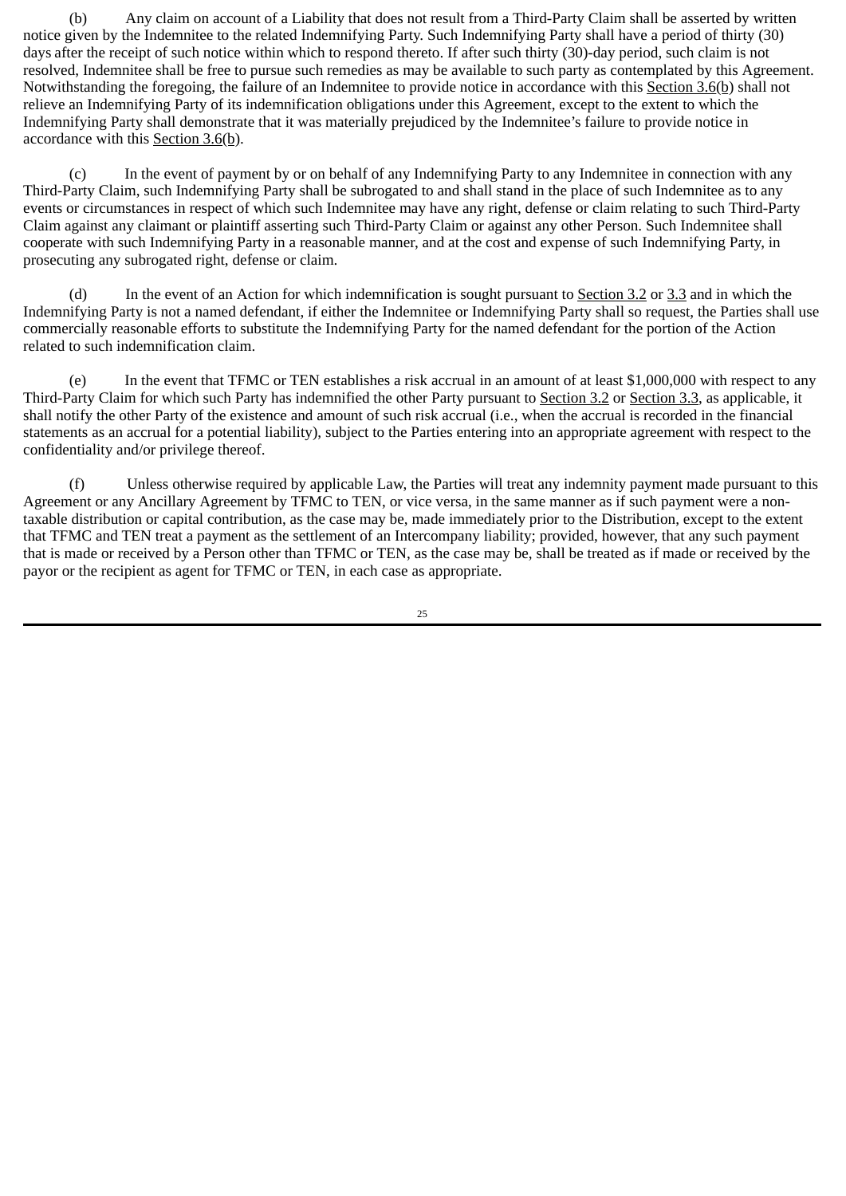(b) Any claim on account of a Liability that does not result from a Third-Party Claim shall be asserted by written notice given by the Indemnitee to the related Indemnifying Party. Such Indemnifying Party shall have a period of thirty (30) days after the receipt of such notice within which to respond thereto. If after such thirty (30)-day period, such claim is not resolved, Indemnitee shall be free to pursue such remedies as may be available to such party as contemplated by this Agreement. Notwithstanding the foregoing, the failure of an Indemnitee to provide notice in accordance with this Section 3.6(b) shall not relieve an Indemnifying Party of its indemnification obligations under this Agreement, except to the extent to which the Indemnifying Party shall demonstrate that it was materially prejudiced by the Indemnitee's failure to provide notice in accordance with this Section 3.6(b).

(c) In the event of payment by or on behalf of any Indemnifying Party to any Indemnitee in connection with any Third-Party Claim, such Indemnifying Party shall be subrogated to and shall stand in the place of such Indemnitee as to any events or circumstances in respect of which such Indemnitee may have any right, defense or claim relating to such Third-Party Claim against any claimant or plaintiff asserting such Third-Party Claim or against any other Person. Such Indemnitee shall cooperate with such Indemnifying Party in a reasonable manner, and at the cost and expense of such Indemnifying Party, in prosecuting any subrogated right, defense or claim.

(d) In the event of an Action for which indemnification is sought pursuant to Section 3.2 or 3.3 and in which the Indemnifying Party is not a named defendant, if either the Indemnitee or Indemnifying Party shall so request, the Parties shall use commercially reasonable efforts to substitute the Indemnifying Party for the named defendant for the portion of the Action related to such indemnification claim.

(e) In the event that TFMC or TEN establishes a risk accrual in an amount of at least \$1,000,000 with respect to any Third-Party Claim for which such Party has indemnified the other Party pursuant to Section 3.2 or Section 3.3, as applicable, it shall notify the other Party of the existence and amount of such risk accrual (i.e., when the accrual is recorded in the financial statements as an accrual for a potential liability), subject to the Parties entering into an appropriate agreement with respect to the confidentiality and/or privilege thereof.

(f) Unless otherwise required by applicable Law, the Parties will treat any indemnity payment made pursuant to this Agreement or any Ancillary Agreement by TFMC to TEN, or vice versa, in the same manner as if such payment were a nontaxable distribution or capital contribution, as the case may be, made immediately prior to the Distribution, except to the extent that TFMC and TEN treat a payment as the settlement of an Intercompany liability; provided, however, that any such payment that is made or received by a Person other than TFMC or TEN, as the case may be, shall be treated as if made or received by the payor or the recipient as agent for TFMC or TEN, in each case as appropriate.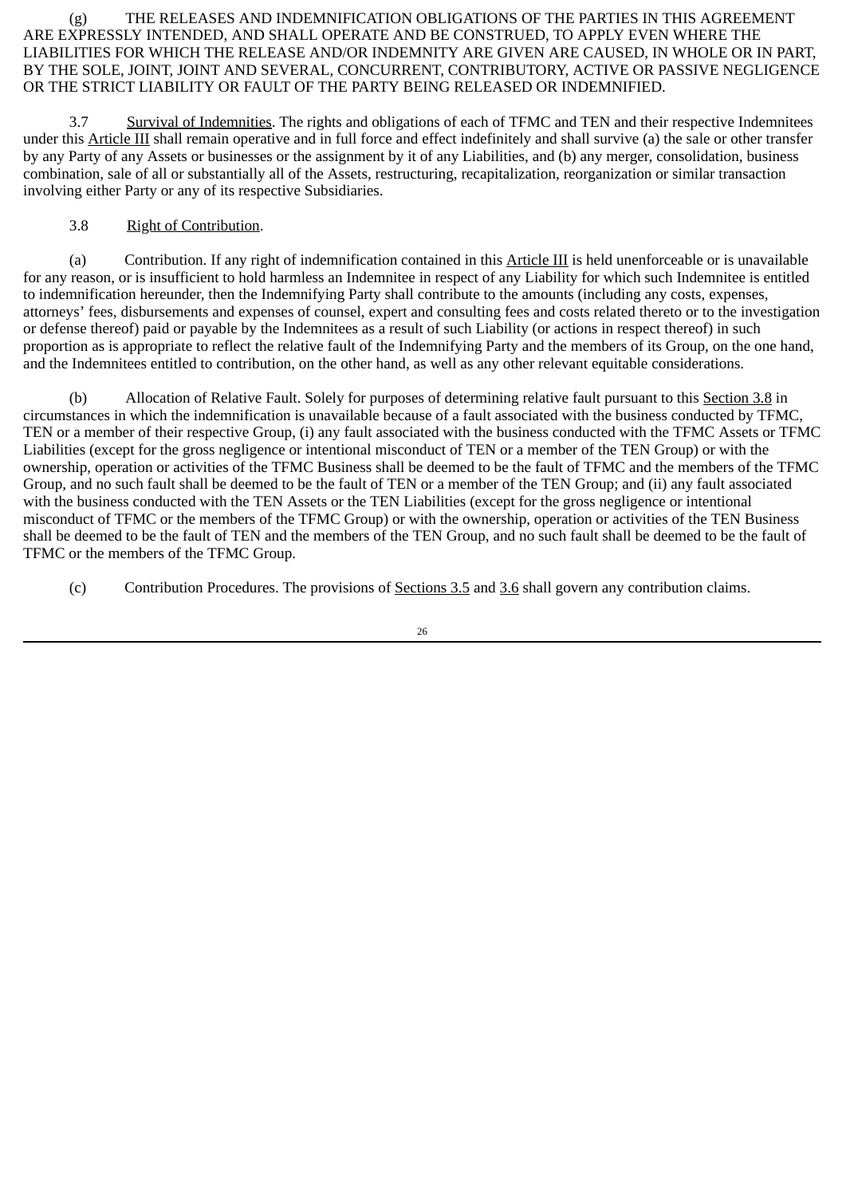(g) THE RELEASES AND INDEMNIFICATION OBLIGATIONS OF THE PARTIES IN THIS AGREEMENT ARE EXPRESSLY INTENDED, AND SHALL OPERATE AND BE CONSTRUED, TO APPLY EVEN WHERE THE LIABILITIES FOR WHICH THE RELEASE AND/OR INDEMNITY ARE GIVEN ARE CAUSED, IN WHOLE OR IN PART, BY THE SOLE, JOINT, JOINT AND SEVERAL, CONCURRENT, CONTRIBUTORY, ACTIVE OR PASSIVE NEGLIGENCE OR THE STRICT LIABILITY OR FAULT OF THE PARTY BEING RELEASED OR INDEMNIFIED.

3.7 Survival of Indemnities. The rights and obligations of each of TFMC and TEN and their respective Indemnitees under this Article III shall remain operative and in full force and effect indefinitely and shall survive (a) the sale or other transfer by any Party of any Assets or businesses or the assignment by it of any Liabilities, and (b) any merger, consolidation, business combination, sale of all or substantially all of the Assets, restructuring, recapitalization, reorganization or similar transaction involving either Party or any of its respective Subsidiaries.

# 3.8 Right of Contribution.

(a) Contribution. If any right of indemnification contained in this Article III is held unenforceable or is unavailable for any reason, or is insufficient to hold harmless an Indemnitee in respect of any Liability for which such Indemnitee is entitled to indemnification hereunder, then the Indemnifying Party shall contribute to the amounts (including any costs, expenses, attorneys' fees, disbursements and expenses of counsel, expert and consulting fees and costs related thereto or to the investigation or defense thereof) paid or payable by the Indemnitees as a result of such Liability (or actions in respect thereof) in such proportion as is appropriate to reflect the relative fault of the Indemnifying Party and the members of its Group, on the one hand, and the Indemnitees entitled to contribution, on the other hand, as well as any other relevant equitable considerations.

(b) Allocation of Relative Fault. Solely for purposes of determining relative fault pursuant to this Section 3.8 in circumstances in which the indemnification is unavailable because of a fault associated with the business conducted by TFMC, TEN or a member of their respective Group, (i) any fault associated with the business conducted with the TFMC Assets or TFMC Liabilities (except for the gross negligence or intentional misconduct of TEN or a member of the TEN Group) or with the ownership, operation or activities of the TFMC Business shall be deemed to be the fault of TFMC and the members of the TFMC Group, and no such fault shall be deemed to be the fault of TEN or a member of the TEN Group; and (ii) any fault associated with the business conducted with the TEN Assets or the TEN Liabilities (except for the gross negligence or intentional misconduct of TFMC or the members of the TFMC Group) or with the ownership, operation or activities of the TEN Business shall be deemed to be the fault of TEN and the members of the TEN Group, and no such fault shall be deemed to be the fault of TFMC or the members of the TFMC Group.

(c) Contribution Procedures. The provisions of Sections 3.5 and 3.6 shall govern any contribution claims.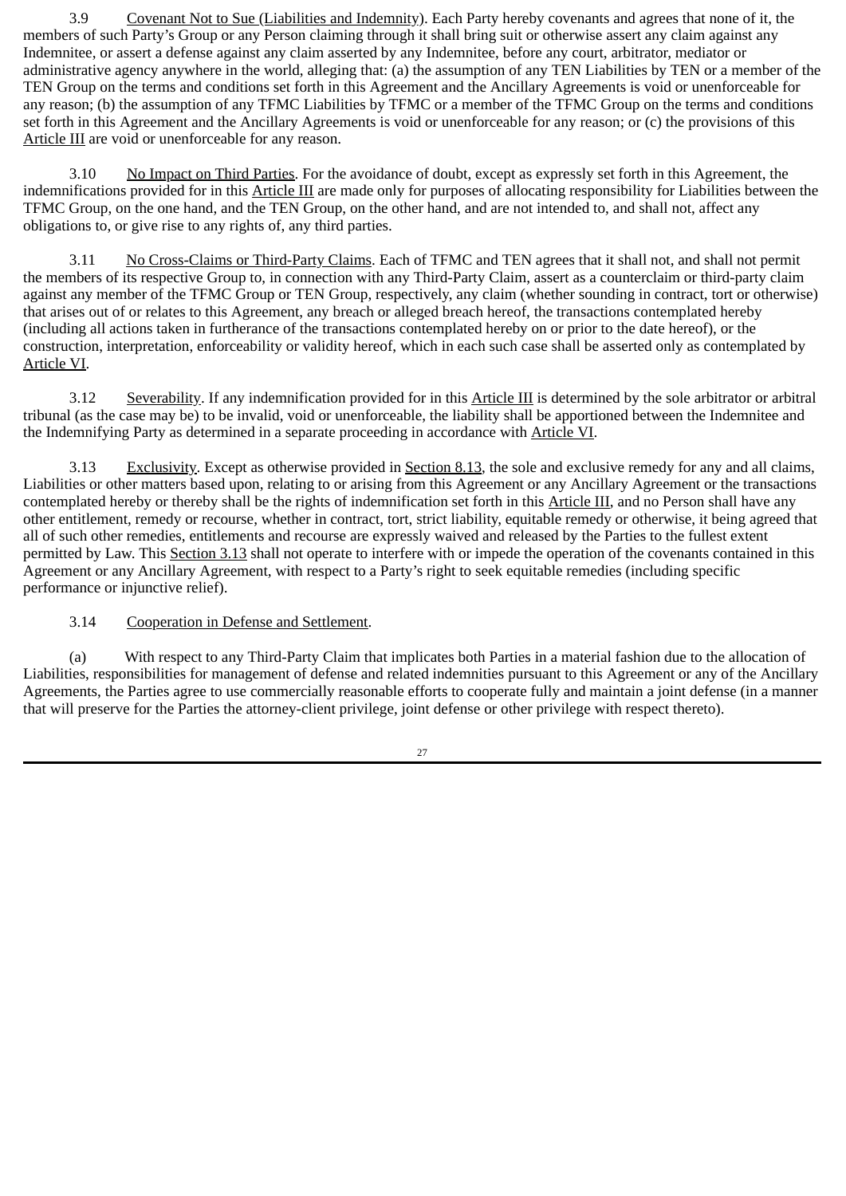3.9 Covenant Not to Sue (Liabilities and Indemnity). Each Party hereby covenants and agrees that none of it, the members of such Party's Group or any Person claiming through it shall bring suit or otherwise assert any claim against any Indemnitee, or assert a defense against any claim asserted by any Indemnitee, before any court, arbitrator, mediator or administrative agency anywhere in the world, alleging that: (a) the assumption of any TEN Liabilities by TEN or a member of the TEN Group on the terms and conditions set forth in this Agreement and the Ancillary Agreements is void or unenforceable for any reason; (b) the assumption of any TFMC Liabilities by TFMC or a member of the TFMC Group on the terms and conditions set forth in this Agreement and the Ancillary Agreements is void or unenforceable for any reason; or (c) the provisions of this Article III are void or unenforceable for any reason.

3.10 No Impact on Third Parties. For the avoidance of doubt, except as expressly set forth in this Agreement, the indemnifications provided for in this Article III are made only for purposes of allocating responsibility for Liabilities between the TFMC Group, on the one hand, and the TEN Group, on the other hand, and are not intended to, and shall not, affect any obligations to, or give rise to any rights of, any third parties.

3.11 No Cross-Claims or Third-Party Claims. Each of TFMC and TEN agrees that it shall not, and shall not permit the members of its respective Group to, in connection with any Third-Party Claim, assert as a counterclaim or third-party claim against any member of the TFMC Group or TEN Group, respectively, any claim (whether sounding in contract, tort or otherwise) that arises out of or relates to this Agreement, any breach or alleged breach hereof, the transactions contemplated hereby (including all actions taken in furtherance of the transactions contemplated hereby on or prior to the date hereof), or the construction, interpretation, enforceability or validity hereof, which in each such case shall be asserted only as contemplated by Article VI.

3.12 Severability. If any indemnification provided for in this Article III is determined by the sole arbitrator or arbitral tribunal (as the case may be) to be invalid, void or unenforceable, the liability shall be apportioned between the Indemnitee and the Indemnifying Party as determined in a separate proceeding in accordance with Article VI.

3.13 Exclusivity. Except as otherwise provided in Section 8.13, the sole and exclusive remedy for any and all claims, Liabilities or other matters based upon, relating to or arising from this Agreement or any Ancillary Agreement or the transactions contemplated hereby or thereby shall be the rights of indemnification set forth in this Article III, and no Person shall have any other entitlement, remedy or recourse, whether in contract, tort, strict liability, equitable remedy or otherwise, it being agreed that all of such other remedies, entitlements and recourse are expressly waived and released by the Parties to the fullest extent permitted by Law. This Section 3.13 shall not operate to interfere with or impede the operation of the covenants contained in this Agreement or any Ancillary Agreement, with respect to a Party's right to seek equitable remedies (including specific performance or injunctive relief).

3.14 Cooperation in Defense and Settlement.

(a) With respect to any Third-Party Claim that implicates both Parties in a material fashion due to the allocation of Liabilities, responsibilities for management of defense and related indemnities pursuant to this Agreement or any of the Ancillary Agreements, the Parties agree to use commercially reasonable efforts to cooperate fully and maintain a joint defense (in a manner that will preserve for the Parties the attorney-client privilege, joint defense or other privilege with respect thereto).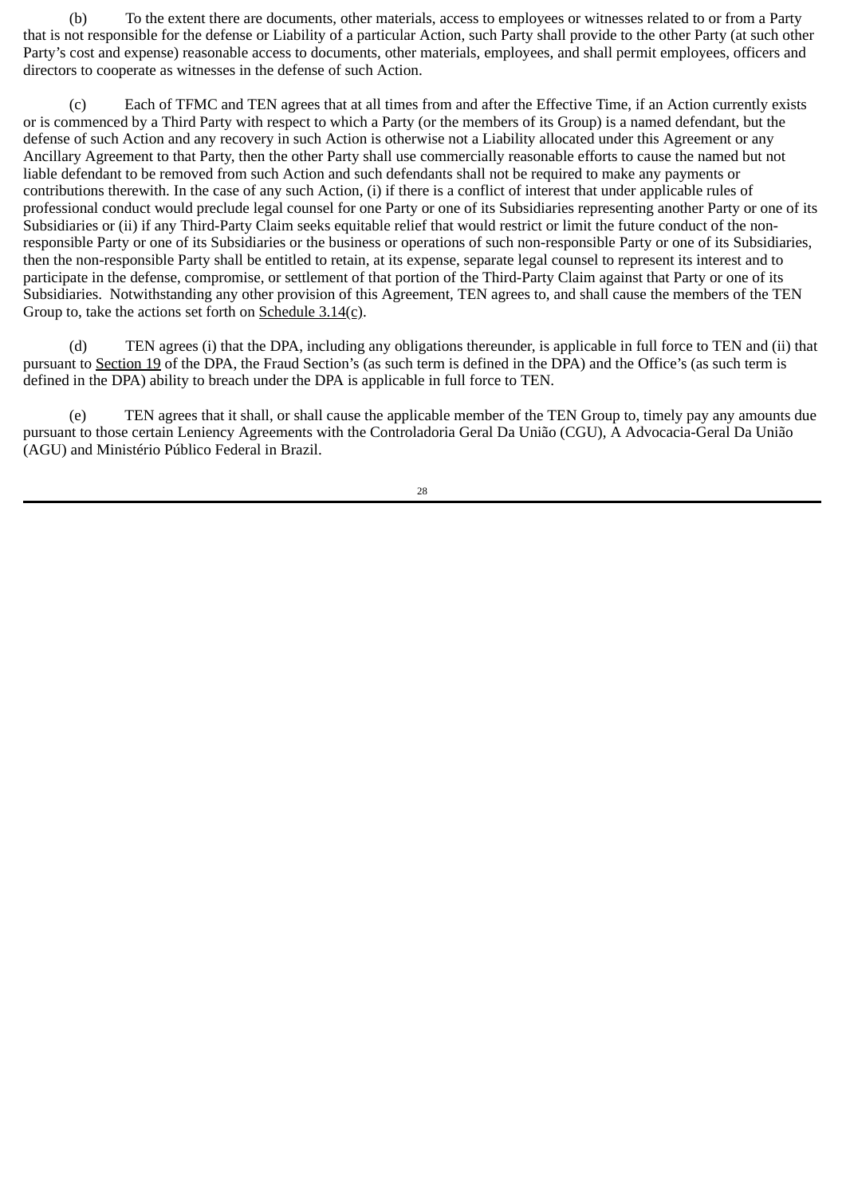(b) To the extent there are documents, other materials, access to employees or witnesses related to or from a Party that is not responsible for the defense or Liability of a particular Action, such Party shall provide to the other Party (at such other Party's cost and expense) reasonable access to documents, other materials, employees, and shall permit employees, officers and directors to cooperate as witnesses in the defense of such Action.

(c) Each of TFMC and TEN agrees that at all times from and after the Effective Time, if an Action currently exists or is commenced by a Third Party with respect to which a Party (or the members of its Group) is a named defendant, but the defense of such Action and any recovery in such Action is otherwise not a Liability allocated under this Agreement or any Ancillary Agreement to that Party, then the other Party shall use commercially reasonable efforts to cause the named but not liable defendant to be removed from such Action and such defendants shall not be required to make any payments or contributions therewith. In the case of any such Action, (i) if there is a conflict of interest that under applicable rules of professional conduct would preclude legal counsel for one Party or one of its Subsidiaries representing another Party or one of its Subsidiaries or (ii) if any Third-Party Claim seeks equitable relief that would restrict or limit the future conduct of the nonresponsible Party or one of its Subsidiaries or the business or operations of such non-responsible Party or one of its Subsidiaries, then the non-responsible Party shall be entitled to retain, at its expense, separate legal counsel to represent its interest and to participate in the defense, compromise, or settlement of that portion of the Third-Party Claim against that Party or one of its Subsidiaries. Notwithstanding any other provision of this Agreement, TEN agrees to, and shall cause the members of the TEN Group to, take the actions set forth on Schedule 3.14(c).

(d) TEN agrees (i) that the DPA, including any obligations thereunder, is applicable in full force to TEN and (ii) that pursuant to Section 19 of the DPA, the Fraud Section's (as such term is defined in the DPA) and the Office's (as such term is defined in the DPA) ability to breach under the DPA is applicable in full force to TEN.

(e) TEN agrees that it shall, or shall cause the applicable member of the TEN Group to, timely pay any amounts due pursuant to those certain Leniency Agreements with the Controladoria Geral Da União (CGU), A Advocacia-Geral Da União (AGU) and Ministério Público Federal in Brazil.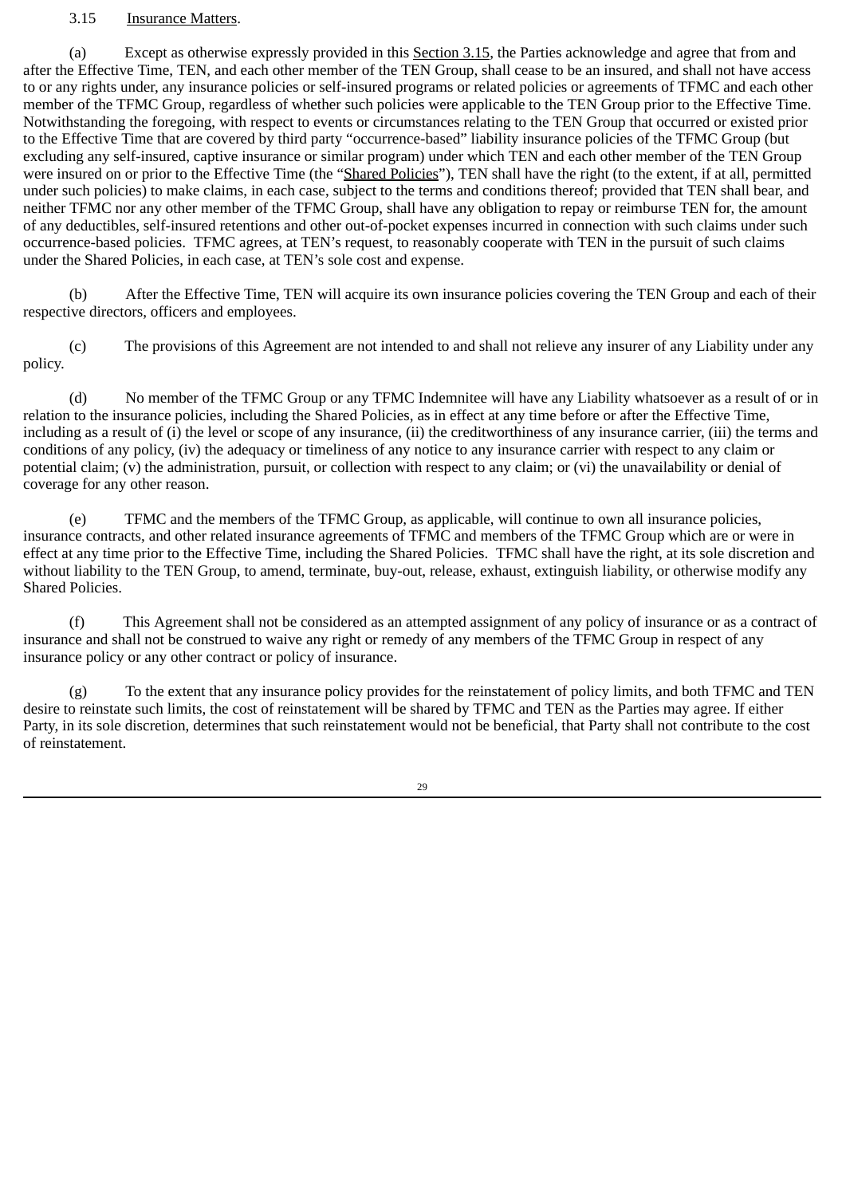### 3.15 Insurance Matters.

(a) Except as otherwise expressly provided in this Section 3.15, the Parties acknowledge and agree that from and after the Effective Time, TEN, and each other member of the TEN Group, shall cease to be an insured, and shall not have access to or any rights under, any insurance policies or self-insured programs or related policies or agreements of TFMC and each other member of the TFMC Group, regardless of whether such policies were applicable to the TEN Group prior to the Effective Time. Notwithstanding the foregoing, with respect to events or circumstances relating to the TEN Group that occurred or existed prior to the Effective Time that are covered by third party "occurrence-based" liability insurance policies of the TFMC Group (but excluding any self-insured, captive insurance or similar program) under which TEN and each other member of the TEN Group were insured on or prior to the Effective Time (the "Shared Policies"), TEN shall have the right (to the extent, if at all, permitted under such policies) to make claims, in each case, subject to the terms and conditions thereof; provided that TEN shall bear, and neither TFMC nor any other member of the TFMC Group, shall have any obligation to repay or reimburse TEN for, the amount of any deductibles, self-insured retentions and other out-of-pocket expenses incurred in connection with such claims under such occurrence-based policies. TFMC agrees, at TEN's request, to reasonably cooperate with TEN in the pursuit of such claims under the Shared Policies, in each case, at TEN's sole cost and expense.

(b) After the Effective Time, TEN will acquire its own insurance policies covering the TEN Group and each of their respective directors, officers and employees.

(c) The provisions of this Agreement are not intended to and shall not relieve any insurer of any Liability under any policy.

(d) No member of the TFMC Group or any TFMC Indemnitee will have any Liability whatsoever as a result of or in relation to the insurance policies, including the Shared Policies, as in effect at any time before or after the Effective Time, including as a result of (i) the level or scope of any insurance, (ii) the creditworthiness of any insurance carrier, (iii) the terms and conditions of any policy, (iv) the adequacy or timeliness of any notice to any insurance carrier with respect to any claim or potential claim; (v) the administration, pursuit, or collection with respect to any claim; or (vi) the unavailability or denial of coverage for any other reason.

(e) TFMC and the members of the TFMC Group, as applicable, will continue to own all insurance policies, insurance contracts, and other related insurance agreements of TFMC and members of the TFMC Group which are or were in effect at any time prior to the Effective Time, including the Shared Policies. TFMC shall have the right, at its sole discretion and without liability to the TEN Group, to amend, terminate, buy-out, release, exhaust, extinguish liability, or otherwise modify any Shared Policies.

(f) This Agreement shall not be considered as an attempted assignment of any policy of insurance or as a contract of insurance and shall not be construed to waive any right or remedy of any members of the TFMC Group in respect of any insurance policy or any other contract or policy of insurance.

(g) To the extent that any insurance policy provides for the reinstatement of policy limits, and both TFMC and TEN desire to reinstate such limits, the cost of reinstatement will be shared by TFMC and TEN as the Parties may agree. If either Party, in its sole discretion, determines that such reinstatement would not be beneficial, that Party shall not contribute to the cost of reinstatement.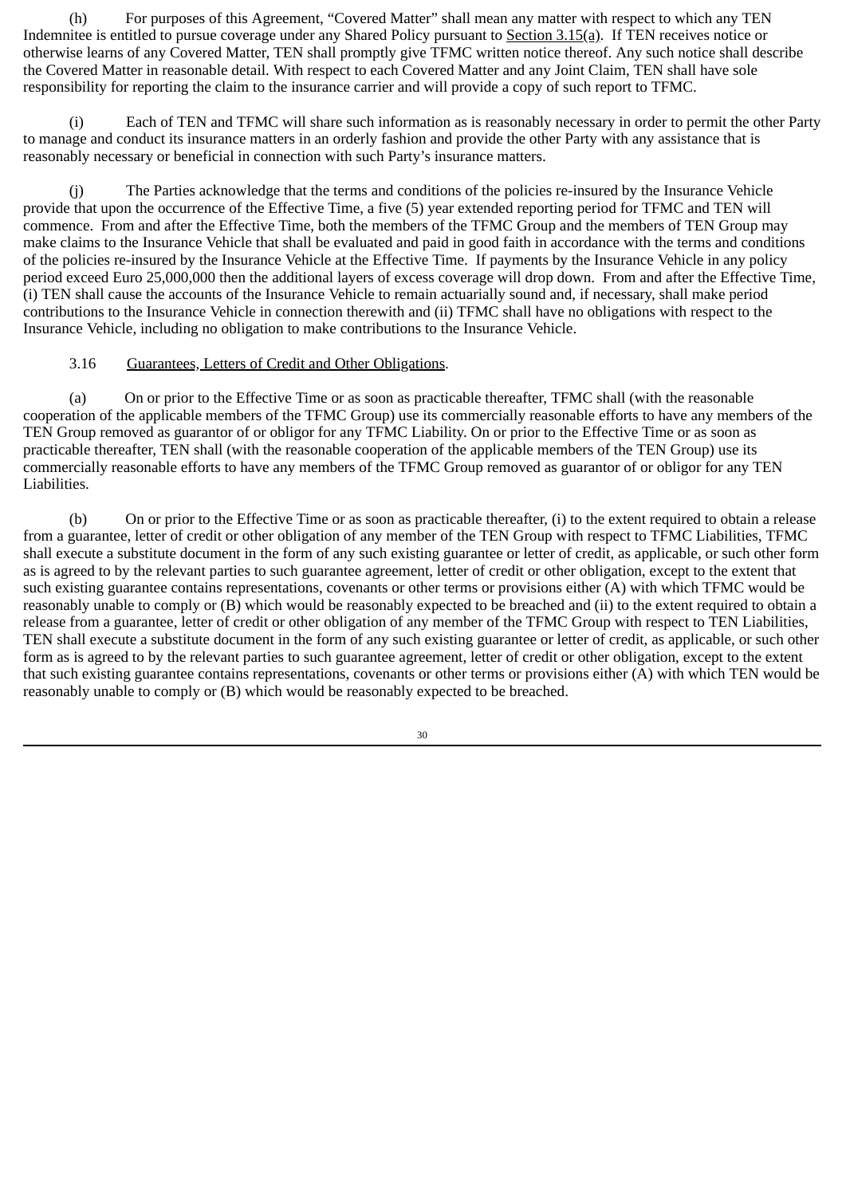(h) For purposes of this Agreement, "Covered Matter" shall mean any matter with respect to which any TEN Indemnitee is entitled to pursue coverage under any Shared Policy pursuant to Section 3.15(a). If TEN receives notice or otherwise learns of any Covered Matter, TEN shall promptly give TFMC written notice thereof. Any such notice shall describe the Covered Matter in reasonable detail. With respect to each Covered Matter and any Joint Claim, TEN shall have sole responsibility for reporting the claim to the insurance carrier and will provide a copy of such report to TFMC.

(i) Each of TEN and TFMC will share such information as is reasonably necessary in order to permit the other Party to manage and conduct its insurance matters in an orderly fashion and provide the other Party with any assistance that is reasonably necessary or beneficial in connection with such Party's insurance matters.

(j) The Parties acknowledge that the terms and conditions of the policies re-insured by the Insurance Vehicle provide that upon the occurrence of the Effective Time, a five (5) year extended reporting period for TFMC and TEN will commence. From and after the Effective Time, both the members of the TFMC Group and the members of TEN Group may make claims to the Insurance Vehicle that shall be evaluated and paid in good faith in accordance with the terms and conditions of the policies re-insured by the Insurance Vehicle at the Effective Time. If payments by the Insurance Vehicle in any policy period exceed Euro 25,000,000 then the additional layers of excess coverage will drop down. From and after the Effective Time, (i) TEN shall cause the accounts of the Insurance Vehicle to remain actuarially sound and, if necessary, shall make period contributions to the Insurance Vehicle in connection therewith and (ii) TFMC shall have no obligations with respect to the Insurance Vehicle, including no obligation to make contributions to the Insurance Vehicle.

## 3.16 Guarantees, Letters of Credit and Other Obligations.

(a) On or prior to the Effective Time or as soon as practicable thereafter, TFMC shall (with the reasonable cooperation of the applicable members of the TFMC Group) use its commercially reasonable efforts to have any members of the TEN Group removed as guarantor of or obligor for any TFMC Liability. On or prior to the Effective Time or as soon as practicable thereafter, TEN shall (with the reasonable cooperation of the applicable members of the TEN Group) use its commercially reasonable efforts to have any members of the TFMC Group removed as guarantor of or obligor for any TEN Liabilities.

(b) On or prior to the Effective Time or as soon as practicable thereafter, (i) to the extent required to obtain a release from a guarantee, letter of credit or other obligation of any member of the TEN Group with respect to TFMC Liabilities, TFMC shall execute a substitute document in the form of any such existing guarantee or letter of credit, as applicable, or such other form as is agreed to by the relevant parties to such guarantee agreement, letter of credit or other obligation, except to the extent that such existing guarantee contains representations, covenants or other terms or provisions either (A) with which TFMC would be reasonably unable to comply or (B) which would be reasonably expected to be breached and (ii) to the extent required to obtain a release from a guarantee, letter of credit or other obligation of any member of the TFMC Group with respect to TEN Liabilities, TEN shall execute a substitute document in the form of any such existing guarantee or letter of credit, as applicable, or such other form as is agreed to by the relevant parties to such guarantee agreement, letter of credit or other obligation, except to the extent that such existing guarantee contains representations, covenants or other terms or provisions either (A) with which TEN would be reasonably unable to comply or (B) which would be reasonably expected to be breached.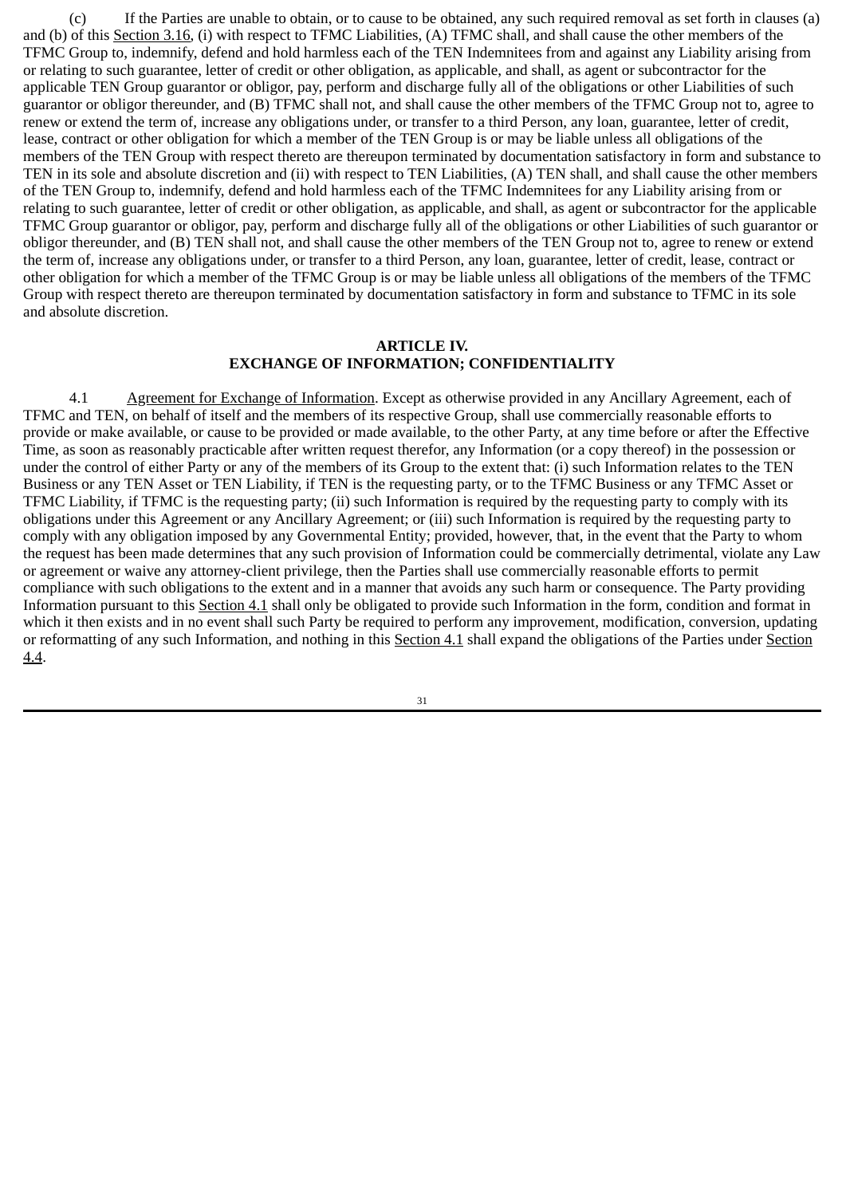(c) If the Parties are unable to obtain, or to cause to be obtained, any such required removal as set forth in clauses (a) and (b) of this Section 3.16, (i) with respect to TFMC Liabilities, (A) TFMC shall, and shall cause the other members of the TFMC Group to, indemnify, defend and hold harmless each of the TEN Indemnitees from and against any Liability arising from or relating to such guarantee, letter of credit or other obligation, as applicable, and shall, as agent or subcontractor for the applicable TEN Group guarantor or obligor, pay, perform and discharge fully all of the obligations or other Liabilities of such guarantor or obligor thereunder, and (B) TFMC shall not, and shall cause the other members of the TFMC Group not to, agree to renew or extend the term of, increase any obligations under, or transfer to a third Person, any loan, guarantee, letter of credit, lease, contract or other obligation for which a member of the TEN Group is or may be liable unless all obligations of the members of the TEN Group with respect thereto are thereupon terminated by documentation satisfactory in form and substance to TEN in its sole and absolute discretion and (ii) with respect to TEN Liabilities, (A) TEN shall, and shall cause the other members of the TEN Group to, indemnify, defend and hold harmless each of the TFMC Indemnitees for any Liability arising from or relating to such guarantee, letter of credit or other obligation, as applicable, and shall, as agent or subcontractor for the applicable TFMC Group guarantor or obligor, pay, perform and discharge fully all of the obligations or other Liabilities of such guarantor or obligor thereunder, and (B) TEN shall not, and shall cause the other members of the TEN Group not to, agree to renew or extend the term of, increase any obligations under, or transfer to a third Person, any loan, guarantee, letter of credit, lease, contract or other obligation for which a member of the TFMC Group is or may be liable unless all obligations of the members of the TFMC Group with respect thereto are thereupon terminated by documentation satisfactory in form and substance to TFMC in its sole and absolute discretion.

#### **ARTICLE IV. EXCHANGE OF INFORMATION; CONFIDENTIALITY**

4.1 Agreement for Exchange of Information. Except as otherwise provided in any Ancillary Agreement, each of TFMC and TEN, on behalf of itself and the members of its respective Group, shall use commercially reasonable efforts to provide or make available, or cause to be provided or made available, to the other Party, at any time before or after the Effective Time, as soon as reasonably practicable after written request therefor, any Information (or a copy thereof) in the possession or under the control of either Party or any of the members of its Group to the extent that: (i) such Information relates to the TEN Business or any TEN Asset or TEN Liability, if TEN is the requesting party, or to the TFMC Business or any TFMC Asset or TFMC Liability, if TFMC is the requesting party; (ii) such Information is required by the requesting party to comply with its obligations under this Agreement or any Ancillary Agreement; or (iii) such Information is required by the requesting party to comply with any obligation imposed by any Governmental Entity; provided, however, that, in the event that the Party to whom the request has been made determines that any such provision of Information could be commercially detrimental, violate any Law or agreement or waive any attorney-client privilege, then the Parties shall use commercially reasonable efforts to permit compliance with such obligations to the extent and in a manner that avoids any such harm or consequence. The Party providing Information pursuant to this Section 4.1 shall only be obligated to provide such Information in the form, condition and format in which it then exists and in no event shall such Party be required to perform any improvement, modification, conversion, updating or reformatting of any such Information, and nothing in this Section 4.1 shall expand the obligations of the Parties under Section 4.4.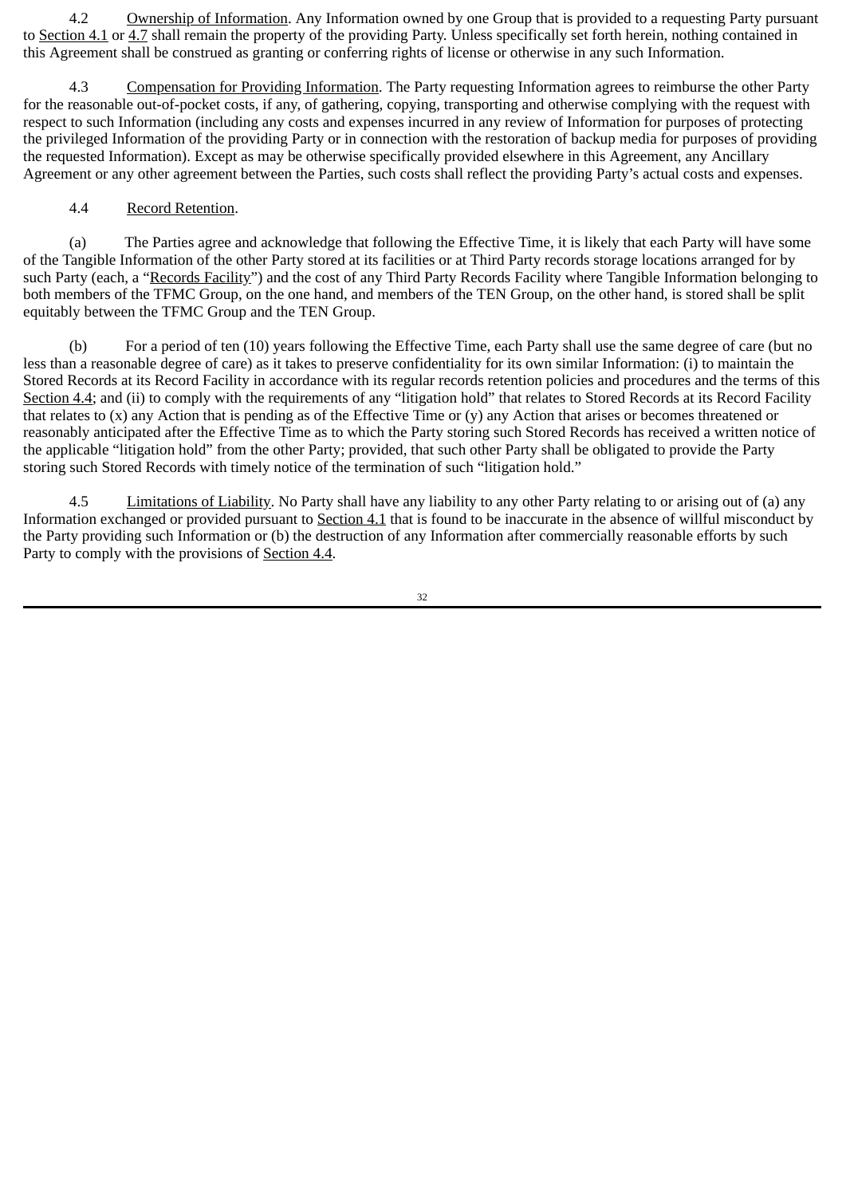4.2 Ownership of Information. Any Information owned by one Group that is provided to a requesting Party pursuant to Section 4.1 or 4.7 shall remain the property of the providing Party. Unless specifically set forth herein, nothing contained in this Agreement shall be construed as granting or conferring rights of license or otherwise in any such Information.

4.3 Compensation for Providing Information. The Party requesting Information agrees to reimburse the other Party for the reasonable out-of-pocket costs, if any, of gathering, copying, transporting and otherwise complying with the request with respect to such Information (including any costs and expenses incurred in any review of Information for purposes of protecting the privileged Information of the providing Party or in connection with the restoration of backup media for purposes of providing the requested Information). Except as may be otherwise specifically provided elsewhere in this Agreement, any Ancillary Agreement or any other agreement between the Parties, such costs shall reflect the providing Party's actual costs and expenses.

# 4.4 Record Retention.

(a) The Parties agree and acknowledge that following the Effective Time, it is likely that each Party will have some of the Tangible Information of the other Party stored at its facilities or at Third Party records storage locations arranged for by such Party (each, a "Records Facility") and the cost of any Third Party Records Facility where Tangible Information belonging to both members of the TFMC Group, on the one hand, and members of the TEN Group, on the other hand, is stored shall be split equitably between the TFMC Group and the TEN Group.

(b) For a period of ten (10) years following the Effective Time, each Party shall use the same degree of care (but no less than a reasonable degree of care) as it takes to preserve confidentiality for its own similar Information: (i) to maintain the Stored Records at its Record Facility in accordance with its regular records retention policies and procedures and the terms of this Section 4.4; and (ii) to comply with the requirements of any "litigation hold" that relates to Stored Records at its Record Facility that relates to (x) any Action that is pending as of the Effective Time or (y) any Action that arises or becomes threatened or reasonably anticipated after the Effective Time as to which the Party storing such Stored Records has received a written notice of the applicable "litigation hold" from the other Party; provided, that such other Party shall be obligated to provide the Party storing such Stored Records with timely notice of the termination of such "litigation hold."

4.5 Limitations of Liability. No Party shall have any liability to any other Party relating to or arising out of (a) any Information exchanged or provided pursuant to Section 4.1 that is found to be inaccurate in the absence of willful misconduct by the Party providing such Information or (b) the destruction of any Information after commercially reasonable efforts by such Party to comply with the provisions of Section 4.4.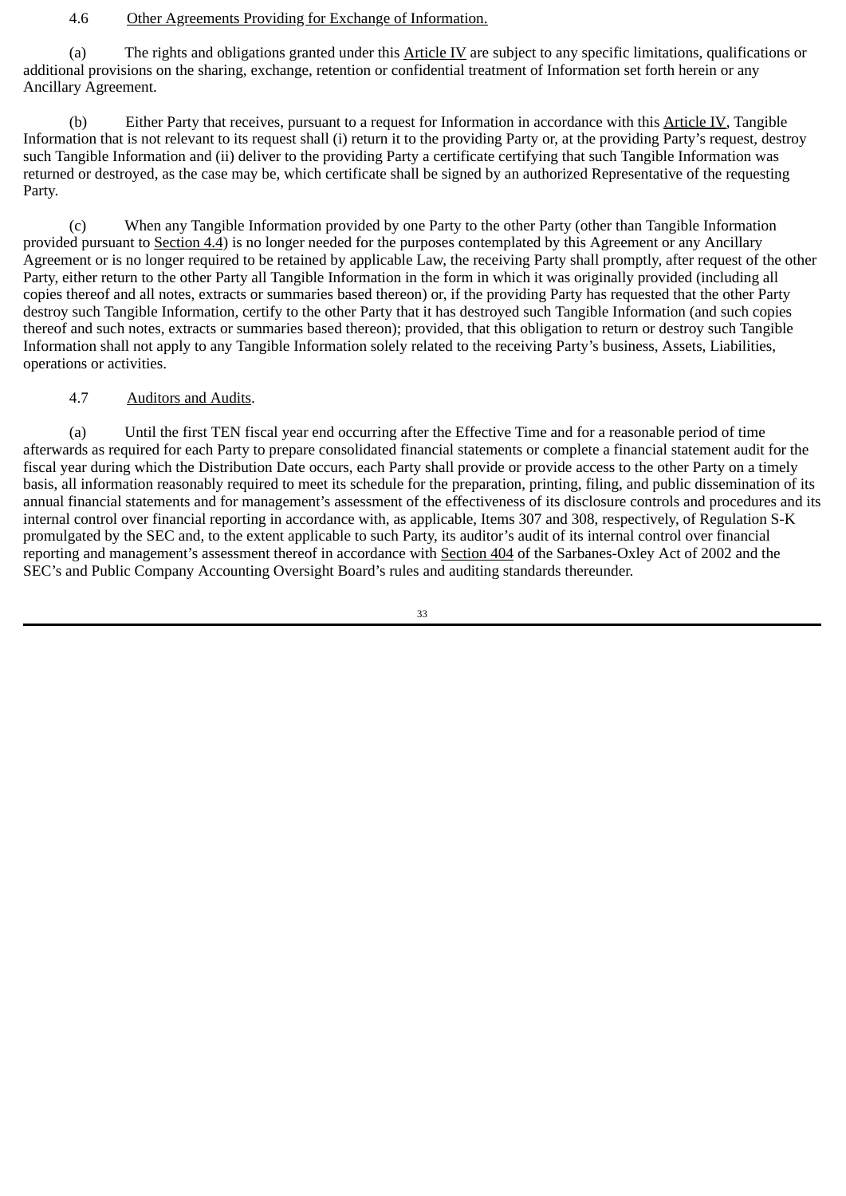### 4.6 Other Agreements Providing for Exchange of Information.

(a) The rights and obligations granted under this  $Article IV$  are subject to any specific limitations, qualifications or additional provisions on the sharing, exchange, retention or confidential treatment of Information set forth herein or any Ancillary Agreement.

(b) Either Party that receives, pursuant to a request for Information in accordance with this Article IV, Tangible Information that is not relevant to its request shall (i) return it to the providing Party or, at the providing Party's request, destroy such Tangible Information and (ii) deliver to the providing Party a certificate certifying that such Tangible Information was returned or destroyed, as the case may be, which certificate shall be signed by an authorized Representative of the requesting Party.

(c) When any Tangible Information provided by one Party to the other Party (other than Tangible Information provided pursuant to Section 4.4) is no longer needed for the purposes contemplated by this Agreement or any Ancillary Agreement or is no longer required to be retained by applicable Law, the receiving Party shall promptly, after request of the other Party, either return to the other Party all Tangible Information in the form in which it was originally provided (including all copies thereof and all notes, extracts or summaries based thereon) or, if the providing Party has requested that the other Party destroy such Tangible Information, certify to the other Party that it has destroyed such Tangible Information (and such copies thereof and such notes, extracts or summaries based thereon); provided, that this obligation to return or destroy such Tangible Information shall not apply to any Tangible Information solely related to the receiving Party's business, Assets, Liabilities, operations or activities.

# 4.7 Auditors and Audits.

(a) Until the first TEN fiscal year end occurring after the Effective Time and for a reasonable period of time afterwards as required for each Party to prepare consolidated financial statements or complete a financial statement audit for the fiscal year during which the Distribution Date occurs, each Party shall provide or provide access to the other Party on a timely basis, all information reasonably required to meet its schedule for the preparation, printing, filing, and public dissemination of its annual financial statements and for management's assessment of the effectiveness of its disclosure controls and procedures and its internal control over financial reporting in accordance with, as applicable, Items 307 and 308, respectively, of Regulation S-K promulgated by the SEC and, to the extent applicable to such Party, its auditor's audit of its internal control over financial reporting and management's assessment thereof in accordance with Section 404 of the Sarbanes-Oxley Act of 2002 and the SEC's and Public Company Accounting Oversight Board's rules and auditing standards thereunder.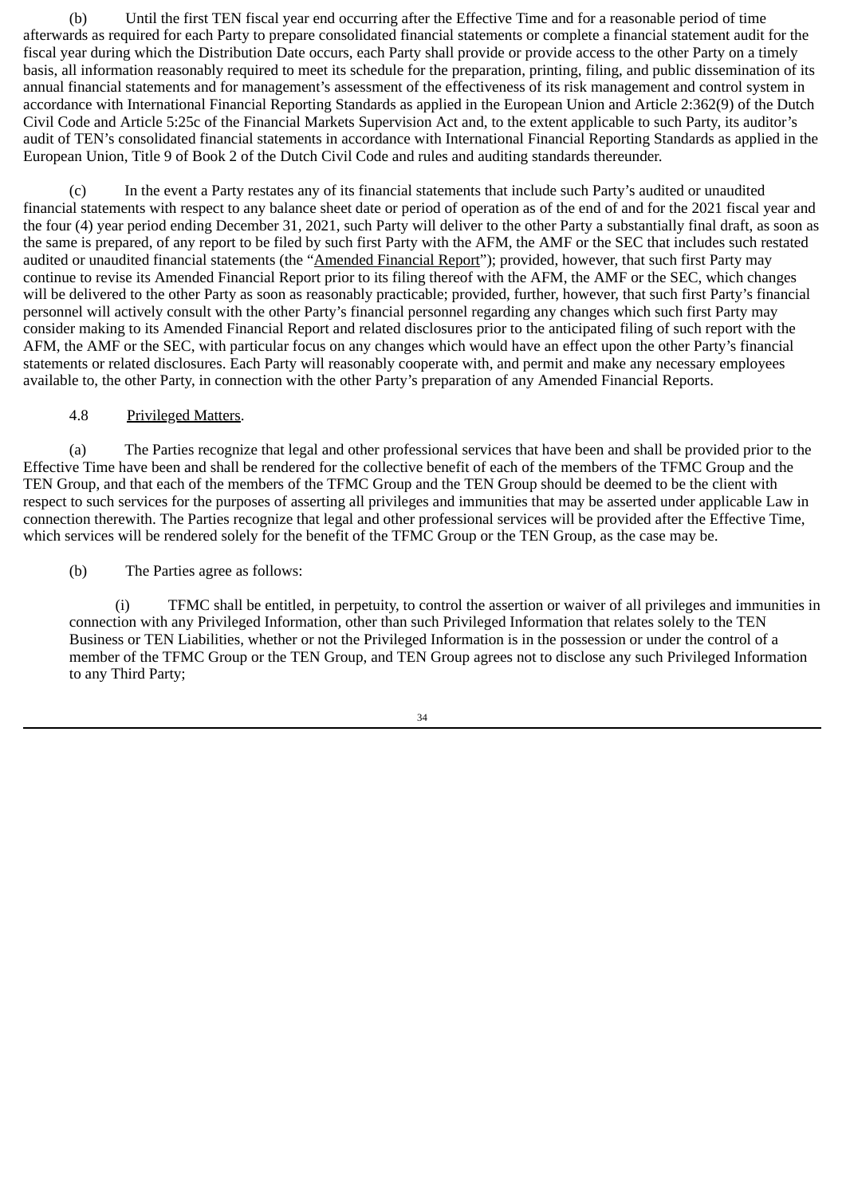(b) Until the first TEN fiscal year end occurring after the Effective Time and for a reasonable period of time afterwards as required for each Party to prepare consolidated financial statements or complete a financial statement audit for the fiscal year during which the Distribution Date occurs, each Party shall provide or provide access to the other Party on a timely basis, all information reasonably required to meet its schedule for the preparation, printing, filing, and public dissemination of its annual financial statements and for management's assessment of the effectiveness of its risk management and control system in accordance with International Financial Reporting Standards as applied in the European Union and Article 2:362(9) of the Dutch Civil Code and Article 5:25c of the Financial Markets Supervision Act and, to the extent applicable to such Party, its auditor's audit of TEN's consolidated financial statements in accordance with International Financial Reporting Standards as applied in the European Union, Title 9 of Book 2 of the Dutch Civil Code and rules and auditing standards thereunder.

(c) In the event a Party restates any of its financial statements that include such Party's audited or unaudited financial statements with respect to any balance sheet date or period of operation as of the end of and for the 2021 fiscal year and the four (4) year period ending December 31, 2021, such Party will deliver to the other Party a substantially final draft, as soon as the same is prepared, of any report to be filed by such first Party with the AFM, the AMF or the SEC that includes such restated audited or unaudited financial statements (the "Amended Financial Report"); provided, however, that such first Party may continue to revise its Amended Financial Report prior to its filing thereof with the AFM, the AMF or the SEC, which changes will be delivered to the other Party as soon as reasonably practicable; provided, further, however, that such first Party's financial personnel will actively consult with the other Party's financial personnel regarding any changes which such first Party may consider making to its Amended Financial Report and related disclosures prior to the anticipated filing of such report with the AFM, the AMF or the SEC, with particular focus on any changes which would have an effect upon the other Party's financial statements or related disclosures. Each Party will reasonably cooperate with, and permit and make any necessary employees available to, the other Party, in connection with the other Party's preparation of any Amended Financial Reports.

# 4.8 Privileged Matters.

(a) The Parties recognize that legal and other professional services that have been and shall be provided prior to the Effective Time have been and shall be rendered for the collective benefit of each of the members of the TFMC Group and the TEN Group, and that each of the members of the TFMC Group and the TEN Group should be deemed to be the client with respect to such services for the purposes of asserting all privileges and immunities that may be asserted under applicable Law in connection therewith. The Parties recognize that legal and other professional services will be provided after the Effective Time, which services will be rendered solely for the benefit of the TFMC Group or the TEN Group, as the case may be.

(b) The Parties agree as follows:

(i) TFMC shall be entitled, in perpetuity, to control the assertion or waiver of all privileges and immunities in connection with any Privileged Information, other than such Privileged Information that relates solely to the TEN Business or TEN Liabilities, whether or not the Privileged Information is in the possession or under the control of a member of the TFMC Group or the TEN Group, and TEN Group agrees not to disclose any such Privileged Information to any Third Party;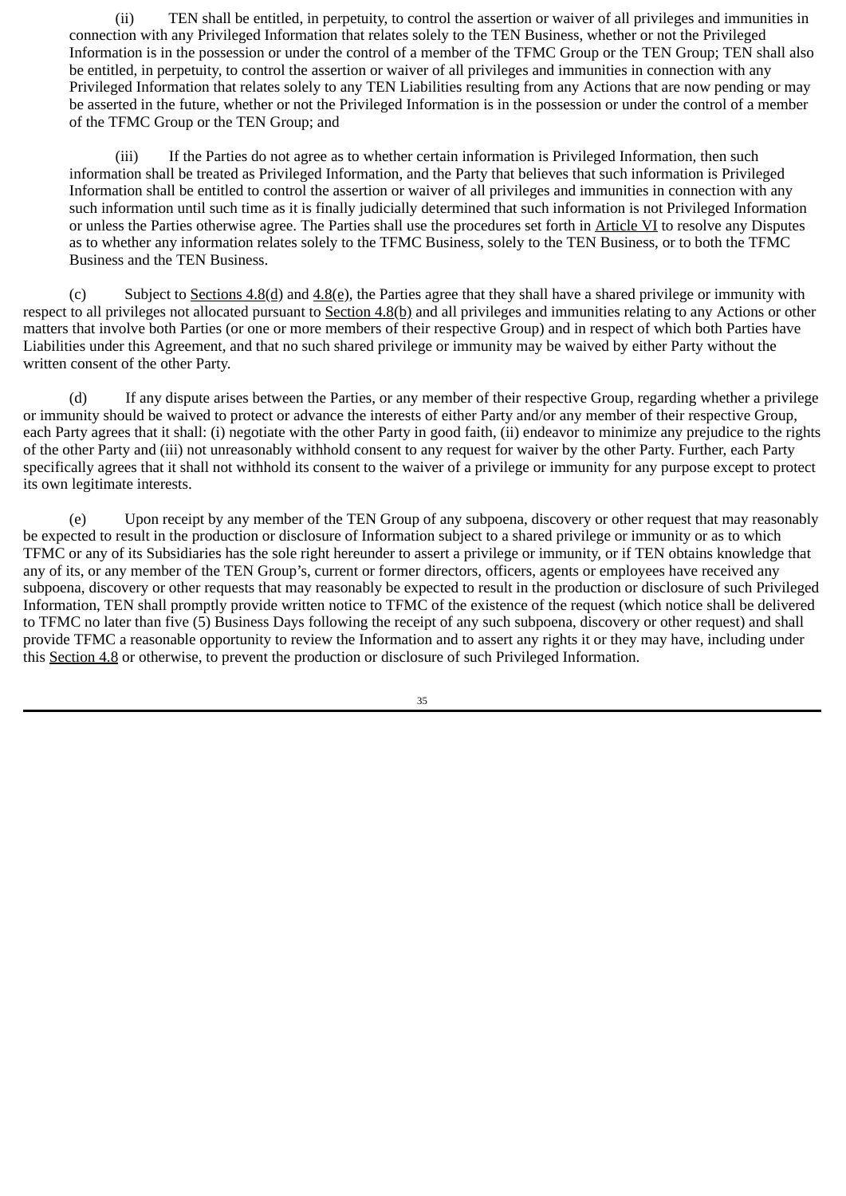(ii) TEN shall be entitled, in perpetuity, to control the assertion or waiver of all privileges and immunities in connection with any Privileged Information that relates solely to the TEN Business, whether or not the Privileged Information is in the possession or under the control of a member of the TFMC Group or the TEN Group; TEN shall also be entitled, in perpetuity, to control the assertion or waiver of all privileges and immunities in connection with any Privileged Information that relates solely to any TEN Liabilities resulting from any Actions that are now pending or may be asserted in the future, whether or not the Privileged Information is in the possession or under the control of a member of the TFMC Group or the TEN Group; and

(iii) If the Parties do not agree as to whether certain information is Privileged Information, then such information shall be treated as Privileged Information, and the Party that believes that such information is Privileged Information shall be entitled to control the assertion or waiver of all privileges and immunities in connection with any such information until such time as it is finally judicially determined that such information is not Privileged Information or unless the Parties otherwise agree. The Parties shall use the procedures set forth in Article VI to resolve any Disputes as to whether any information relates solely to the TFMC Business, solely to the TEN Business, or to both the TFMC Business and the TEN Business.

(c) Subject to Sections 4.8(d) and 4.8(e), the Parties agree that they shall have a shared privilege or immunity with respect to all privileges not allocated pursuant to Section 4.8(b) and all privileges and immunities relating to any Actions or other matters that involve both Parties (or one or more members of their respective Group) and in respect of which both Parties have Liabilities under this Agreement, and that no such shared privilege or immunity may be waived by either Party without the written consent of the other Party.

(d) If any dispute arises between the Parties, or any member of their respective Group, regarding whether a privilege or immunity should be waived to protect or advance the interests of either Party and/or any member of their respective Group, each Party agrees that it shall: (i) negotiate with the other Party in good faith, (ii) endeavor to minimize any prejudice to the rights of the other Party and (iii) not unreasonably withhold consent to any request for waiver by the other Party. Further, each Party specifically agrees that it shall not withhold its consent to the waiver of a privilege or immunity for any purpose except to protect its own legitimate interests.

(e) Upon receipt by any member of the TEN Group of any subpoena, discovery or other request that may reasonably be expected to result in the production or disclosure of Information subject to a shared privilege or immunity or as to which TFMC or any of its Subsidiaries has the sole right hereunder to assert a privilege or immunity, or if TEN obtains knowledge that any of its, or any member of the TEN Group's, current or former directors, officers, agents or employees have received any subpoena, discovery or other requests that may reasonably be expected to result in the production or disclosure of such Privileged Information, TEN shall promptly provide written notice to TFMC of the existence of the request (which notice shall be delivered to TFMC no later than five (5) Business Days following the receipt of any such subpoena, discovery or other request) and shall provide TFMC a reasonable opportunity to review the Information and to assert any rights it or they may have, including under this Section 4.8 or otherwise, to prevent the production or disclosure of such Privileged Information.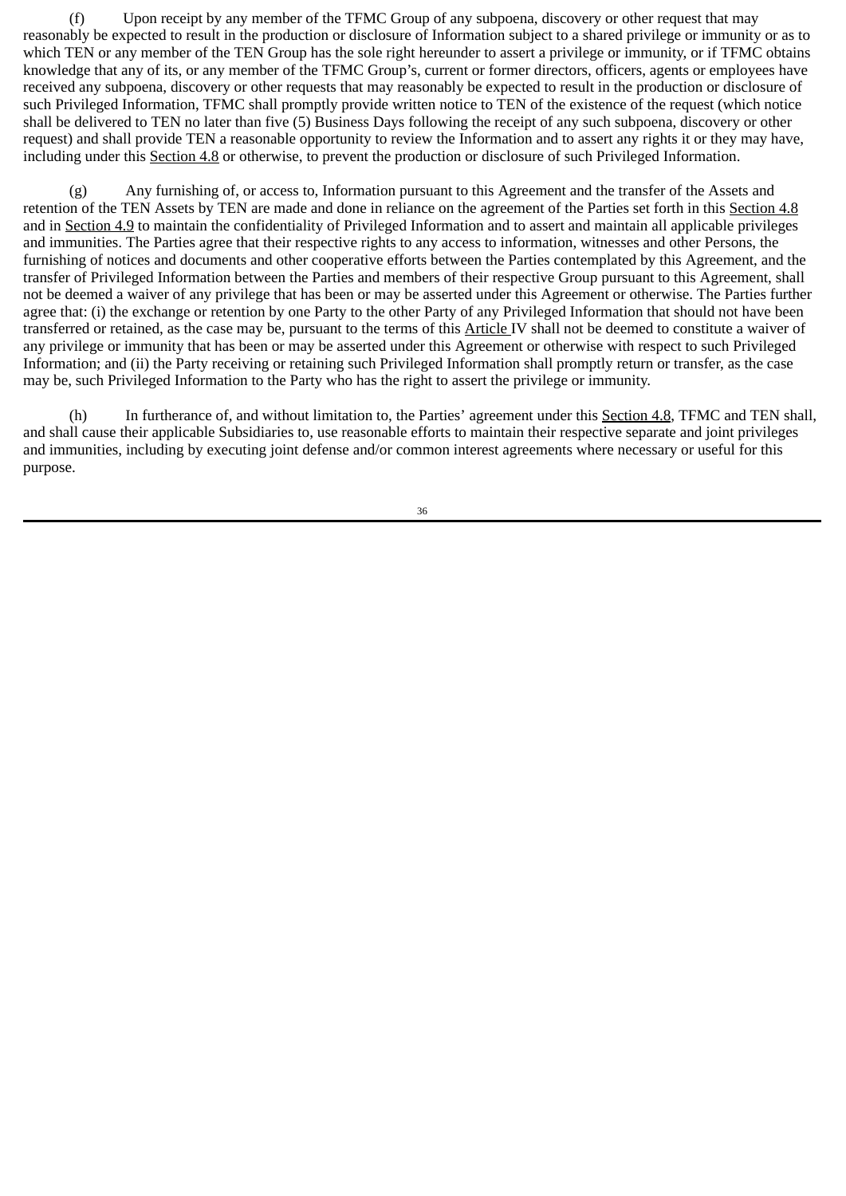(f) Upon receipt by any member of the TFMC Group of any subpoena, discovery or other request that may reasonably be expected to result in the production or disclosure of Information subject to a shared privilege or immunity or as to which TEN or any member of the TEN Group has the sole right hereunder to assert a privilege or immunity, or if TFMC obtains knowledge that any of its, or any member of the TFMC Group's, current or former directors, officers, agents or employees have received any subpoena, discovery or other requests that may reasonably be expected to result in the production or disclosure of such Privileged Information, TFMC shall promptly provide written notice to TEN of the existence of the request (which notice shall be delivered to TEN no later than five (5) Business Days following the receipt of any such subpoena, discovery or other request) and shall provide TEN a reasonable opportunity to review the Information and to assert any rights it or they may have, including under this Section 4.8 or otherwise, to prevent the production or disclosure of such Privileged Information.

(g) Any furnishing of, or access to, Information pursuant to this Agreement and the transfer of the Assets and retention of the TEN Assets by TEN are made and done in reliance on the agreement of the Parties set forth in this Section 4.8 and in Section 4.9 to maintain the confidentiality of Privileged Information and to assert and maintain all applicable privileges and immunities. The Parties agree that their respective rights to any access to information, witnesses and other Persons, the furnishing of notices and documents and other cooperative efforts between the Parties contemplated by this Agreement, and the transfer of Privileged Information between the Parties and members of their respective Group pursuant to this Agreement, shall not be deemed a waiver of any privilege that has been or may be asserted under this Agreement or otherwise. The Parties further agree that: (i) the exchange or retention by one Party to the other Party of any Privileged Information that should not have been transferred or retained, as the case may be, pursuant to the terms of this Article IV shall not be deemed to constitute a waiver of any privilege or immunity that has been or may be asserted under this Agreement or otherwise with respect to such Privileged Information; and (ii) the Party receiving or retaining such Privileged Information shall promptly return or transfer, as the case may be, such Privileged Information to the Party who has the right to assert the privilege or immunity.

(h) In furtherance of, and without limitation to, the Parties' agreement under this Section 4.8, TFMC and TEN shall, and shall cause their applicable Subsidiaries to, use reasonable efforts to maintain their respective separate and joint privileges and immunities, including by executing joint defense and/or common interest agreements where necessary or useful for this purpose.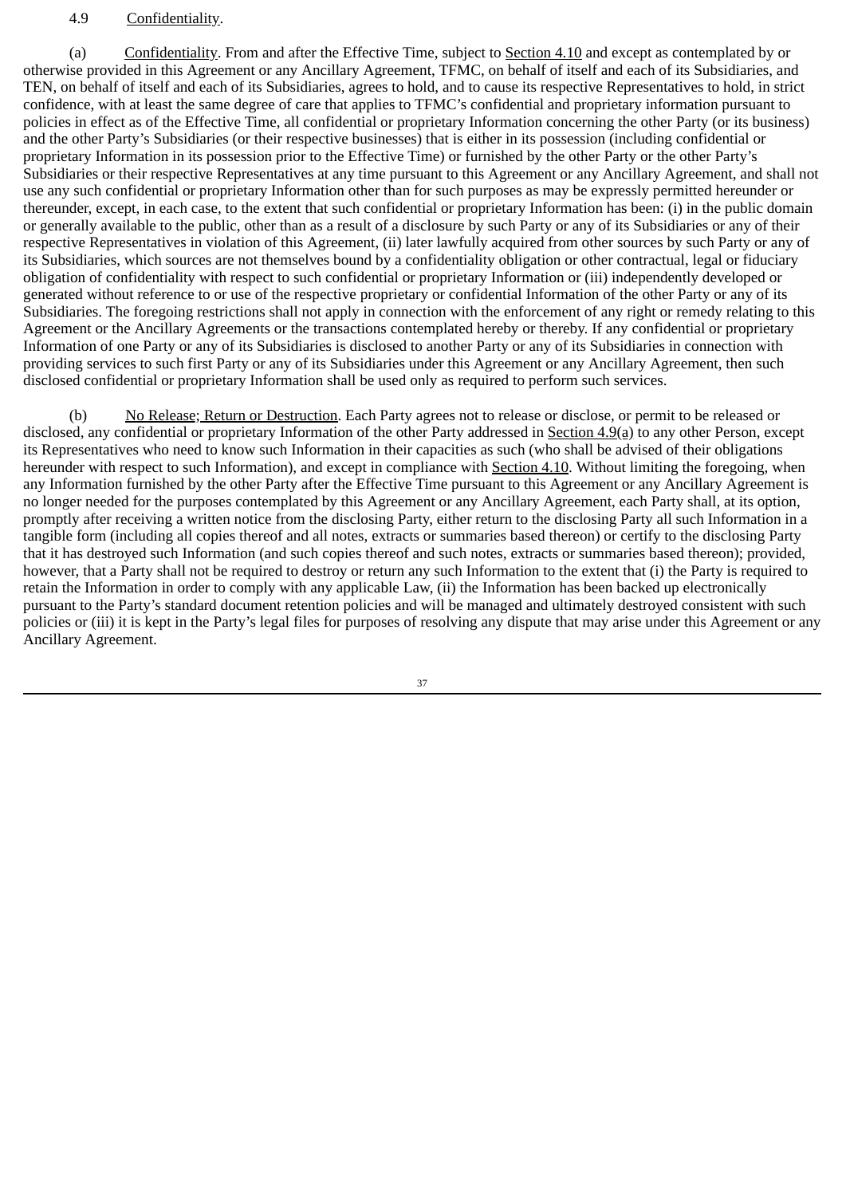## 4.9 Confidentiality.

(a) Confidentiality. From and after the Effective Time, subject to Section 4.10 and except as contemplated by or otherwise provided in this Agreement or any Ancillary Agreement, TFMC, on behalf of itself and each of its Subsidiaries, and TEN, on behalf of itself and each of its Subsidiaries, agrees to hold, and to cause its respective Representatives to hold, in strict confidence, with at least the same degree of care that applies to TFMC's confidential and proprietary information pursuant to policies in effect as of the Effective Time, all confidential or proprietary Information concerning the other Party (or its business) and the other Party's Subsidiaries (or their respective businesses) that is either in its possession (including confidential or proprietary Information in its possession prior to the Effective Time) or furnished by the other Party or the other Party's Subsidiaries or their respective Representatives at any time pursuant to this Agreement or any Ancillary Agreement, and shall not use any such confidential or proprietary Information other than for such purposes as may be expressly permitted hereunder or thereunder, except, in each case, to the extent that such confidential or proprietary Information has been: (i) in the public domain or generally available to the public, other than as a result of a disclosure by such Party or any of its Subsidiaries or any of their respective Representatives in violation of this Agreement, (ii) later lawfully acquired from other sources by such Party or any of its Subsidiaries, which sources are not themselves bound by a confidentiality obligation or other contractual, legal or fiduciary obligation of confidentiality with respect to such confidential or proprietary Information or (iii) independently developed or generated without reference to or use of the respective proprietary or confidential Information of the other Party or any of its Subsidiaries. The foregoing restrictions shall not apply in connection with the enforcement of any right or remedy relating to this Agreement or the Ancillary Agreements or the transactions contemplated hereby or thereby. If any confidential or proprietary Information of one Party or any of its Subsidiaries is disclosed to another Party or any of its Subsidiaries in connection with providing services to such first Party or any of its Subsidiaries under this Agreement or any Ancillary Agreement, then such disclosed confidential or proprietary Information shall be used only as required to perform such services.

(b) No Release; Return or Destruction. Each Party agrees not to release or disclose, or permit to be released or disclosed, any confidential or proprietary Information of the other Party addressed in Section 4.9(a) to any other Person, except its Representatives who need to know such Information in their capacities as such (who shall be advised of their obligations hereunder with respect to such Information), and except in compliance with Section 4.10. Without limiting the foregoing, when any Information furnished by the other Party after the Effective Time pursuant to this Agreement or any Ancillary Agreement is no longer needed for the purposes contemplated by this Agreement or any Ancillary Agreement, each Party shall, at its option, promptly after receiving a written notice from the disclosing Party, either return to the disclosing Party all such Information in a tangible form (including all copies thereof and all notes, extracts or summaries based thereon) or certify to the disclosing Party that it has destroyed such Information (and such copies thereof and such notes, extracts or summaries based thereon); provided, however, that a Party shall not be required to destroy or return any such Information to the extent that (i) the Party is required to retain the Information in order to comply with any applicable Law, (ii) the Information has been backed up electronically pursuant to the Party's standard document retention policies and will be managed and ultimately destroyed consistent with such policies or (iii) it is kept in the Party's legal files for purposes of resolving any dispute that may arise under this Agreement or any Ancillary Agreement.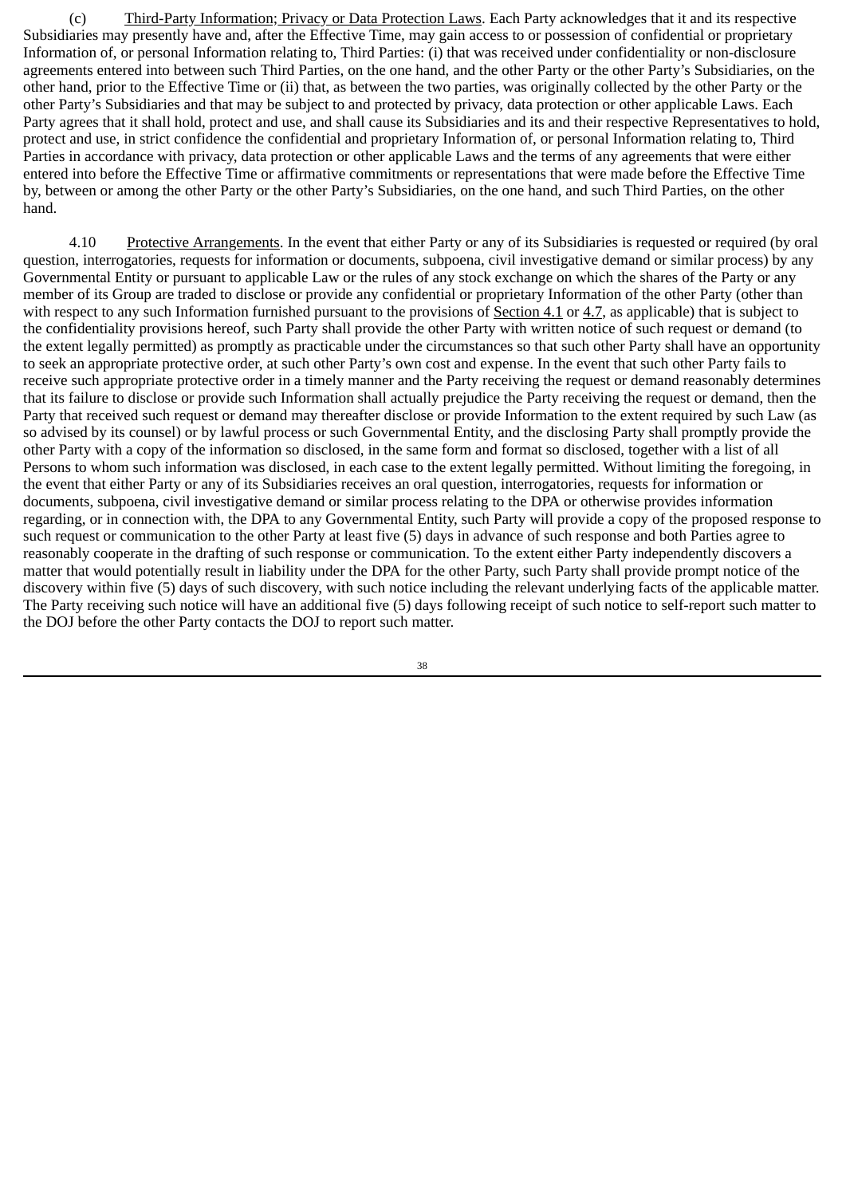(c) Third-Party Information; Privacy or Data Protection Laws. Each Party acknowledges that it and its respective Subsidiaries may presently have and, after the Effective Time, may gain access to or possession of confidential or proprietary Information of, or personal Information relating to, Third Parties: (i) that was received under confidentiality or non-disclosure agreements entered into between such Third Parties, on the one hand, and the other Party or the other Party's Subsidiaries, on the other hand, prior to the Effective Time or (ii) that, as between the two parties, was originally collected by the other Party or the other Party's Subsidiaries and that may be subject to and protected by privacy, data protection or other applicable Laws. Each Party agrees that it shall hold, protect and use, and shall cause its Subsidiaries and its and their respective Representatives to hold, protect and use, in strict confidence the confidential and proprietary Information of, or personal Information relating to, Third Parties in accordance with privacy, data protection or other applicable Laws and the terms of any agreements that were either entered into before the Effective Time or affirmative commitments or representations that were made before the Effective Time by, between or among the other Party or the other Party's Subsidiaries, on the one hand, and such Third Parties, on the other hand.

4.10 Protective Arrangements. In the event that either Party or any of its Subsidiaries is requested or required (by oral question, interrogatories, requests for information or documents, subpoena, civil investigative demand or similar process) by any Governmental Entity or pursuant to applicable Law or the rules of any stock exchange on which the shares of the Party or any member of its Group are traded to disclose or provide any confidential or proprietary Information of the other Party (other than with respect to any such Information furnished pursuant to the provisions of Section 4.1 or 4.7, as applicable) that is subject to the confidentiality provisions hereof, such Party shall provide the other Party with written notice of such request or demand (to the extent legally permitted) as promptly as practicable under the circumstances so that such other Party shall have an opportunity to seek an appropriate protective order, at such other Party's own cost and expense. In the event that such other Party fails to receive such appropriate protective order in a timely manner and the Party receiving the request or demand reasonably determines that its failure to disclose or provide such Information shall actually prejudice the Party receiving the request or demand, then the Party that received such request or demand may thereafter disclose or provide Information to the extent required by such Law (as so advised by its counsel) or by lawful process or such Governmental Entity, and the disclosing Party shall promptly provide the other Party with a copy of the information so disclosed, in the same form and format so disclosed, together with a list of all Persons to whom such information was disclosed, in each case to the extent legally permitted. Without limiting the foregoing, in the event that either Party or any of its Subsidiaries receives an oral question, interrogatories, requests for information or documents, subpoena, civil investigative demand or similar process relating to the DPA or otherwise provides information regarding, or in connection with, the DPA to any Governmental Entity, such Party will provide a copy of the proposed response to such request or communication to the other Party at least five (5) days in advance of such response and both Parties agree to reasonably cooperate in the drafting of such response or communication. To the extent either Party independently discovers a matter that would potentially result in liability under the DPA for the other Party, such Party shall provide prompt notice of the discovery within five (5) days of such discovery, with such notice including the relevant underlying facts of the applicable matter. The Party receiving such notice will have an additional five (5) days following receipt of such notice to self-report such matter to the DOJ before the other Party contacts the DOJ to report such matter.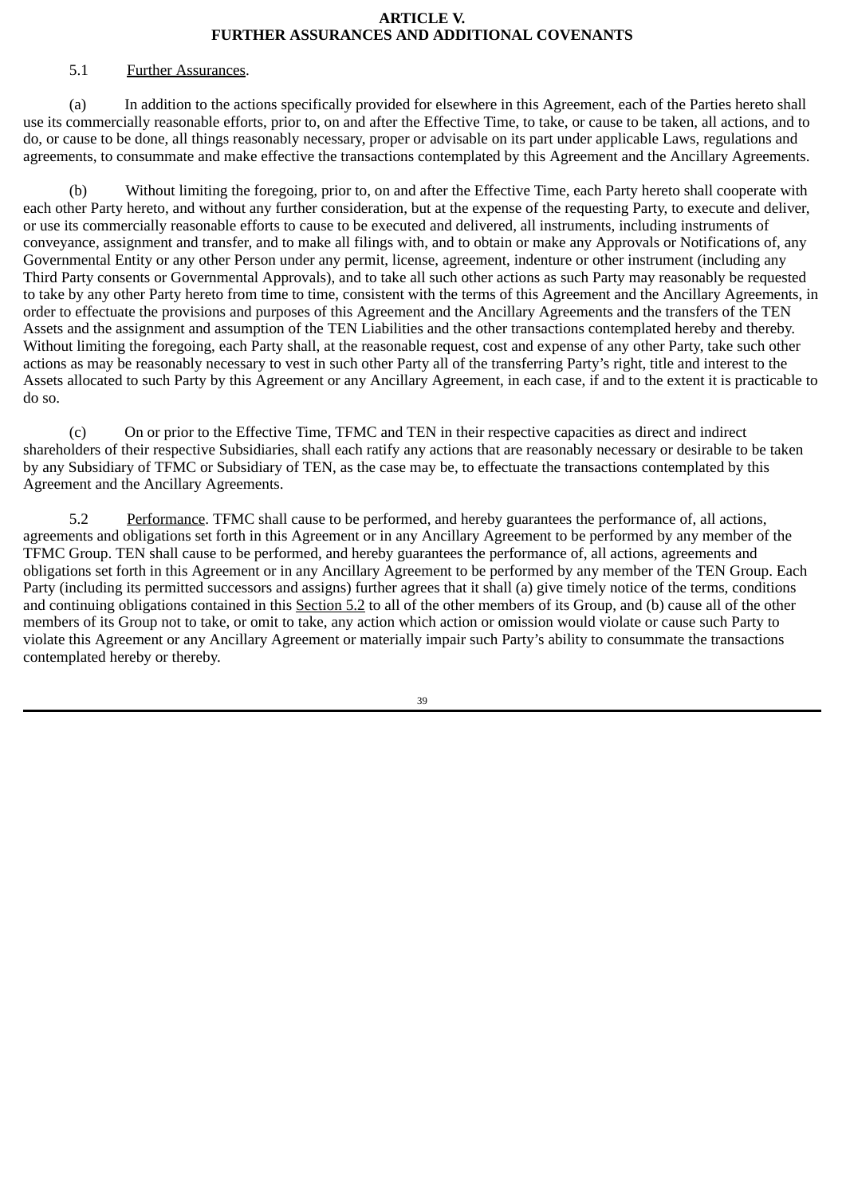### **ARTICLE V. FURTHER ASSURANCES AND ADDITIONAL COVENANTS**

## 5.1 Further Assurances.

(a) In addition to the actions specifically provided for elsewhere in this Agreement, each of the Parties hereto shall use its commercially reasonable efforts, prior to, on and after the Effective Time, to take, or cause to be taken, all actions, and to do, or cause to be done, all things reasonably necessary, proper or advisable on its part under applicable Laws, regulations and agreements, to consummate and make effective the transactions contemplated by this Agreement and the Ancillary Agreements.

(b) Without limiting the foregoing, prior to, on and after the Effective Time, each Party hereto shall cooperate with each other Party hereto, and without any further consideration, but at the expense of the requesting Party, to execute and deliver, or use its commercially reasonable efforts to cause to be executed and delivered, all instruments, including instruments of conveyance, assignment and transfer, and to make all filings with, and to obtain or make any Approvals or Notifications of, any Governmental Entity or any other Person under any permit, license, agreement, indenture or other instrument (including any Third Party consents or Governmental Approvals), and to take all such other actions as such Party may reasonably be requested to take by any other Party hereto from time to time, consistent with the terms of this Agreement and the Ancillary Agreements, in order to effectuate the provisions and purposes of this Agreement and the Ancillary Agreements and the transfers of the TEN Assets and the assignment and assumption of the TEN Liabilities and the other transactions contemplated hereby and thereby. Without limiting the foregoing, each Party shall, at the reasonable request, cost and expense of any other Party, take such other actions as may be reasonably necessary to vest in such other Party all of the transferring Party's right, title and interest to the Assets allocated to such Party by this Agreement or any Ancillary Agreement, in each case, if and to the extent it is practicable to do so.

(c) On or prior to the Effective Time, TFMC and TEN in their respective capacities as direct and indirect shareholders of their respective Subsidiaries, shall each ratify any actions that are reasonably necessary or desirable to be taken by any Subsidiary of TFMC or Subsidiary of TEN, as the case may be, to effectuate the transactions contemplated by this Agreement and the Ancillary Agreements.

5.2 Performance. TFMC shall cause to be performed, and hereby guarantees the performance of, all actions, agreements and obligations set forth in this Agreement or in any Ancillary Agreement to be performed by any member of the TFMC Group. TEN shall cause to be performed, and hereby guarantees the performance of, all actions, agreements and obligations set forth in this Agreement or in any Ancillary Agreement to be performed by any member of the TEN Group. Each Party (including its permitted successors and assigns) further agrees that it shall (a) give timely notice of the terms, conditions and continuing obligations contained in this Section 5.2 to all of the other members of its Group, and (b) cause all of the other members of its Group not to take, or omit to take, any action which action or omission would violate or cause such Party to violate this Agreement or any Ancillary Agreement or materially impair such Party's ability to consummate the transactions contemplated hereby or thereby.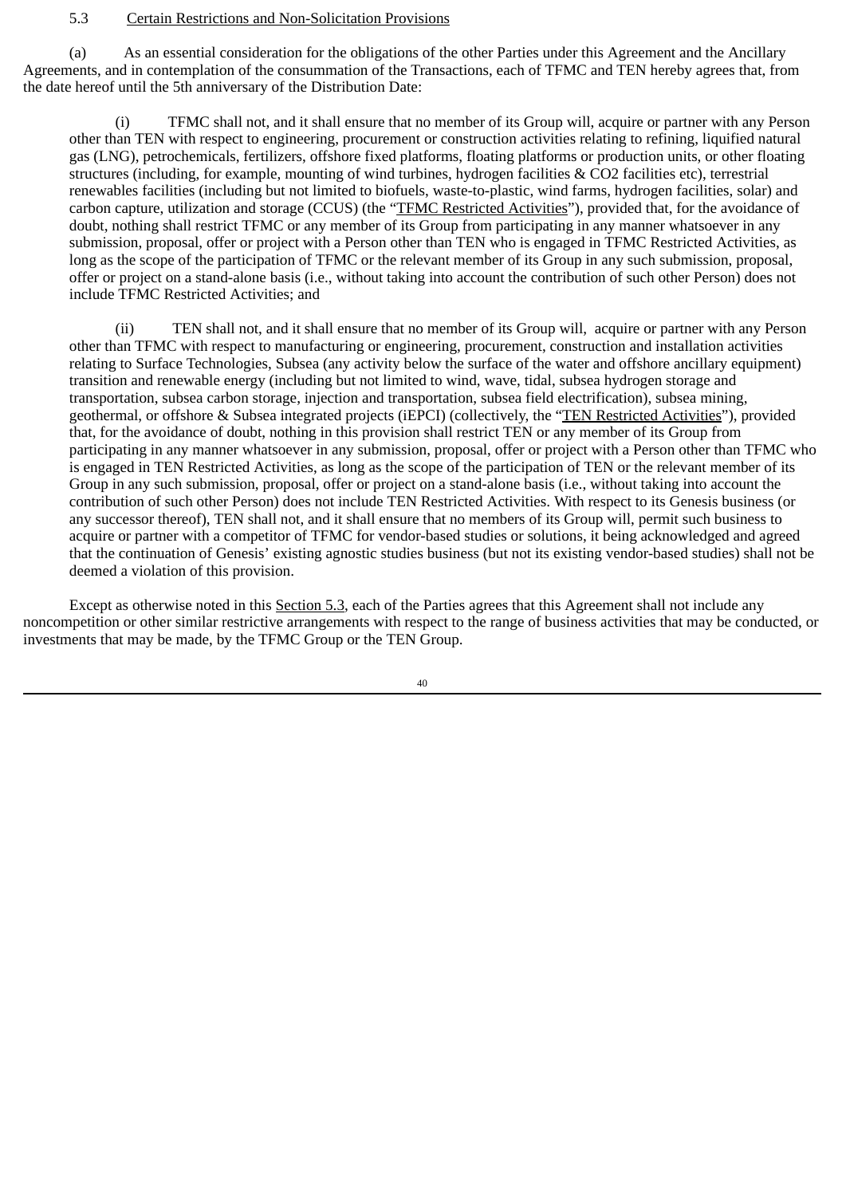### 5.3 Certain Restrictions and Non-Solicitation Provisions

(a) As an essential consideration for the obligations of the other Parties under this Agreement and the Ancillary Agreements, and in contemplation of the consummation of the Transactions, each of TFMC and TEN hereby agrees that, from the date hereof until the 5th anniversary of the Distribution Date:

(i) TFMC shall not, and it shall ensure that no member of its Group will, acquire or partner with any Person other than TEN with respect to engineering, procurement or construction activities relating to refining, liquified natural gas (LNG), petrochemicals, fertilizers, offshore fixed platforms, floating platforms or production units, or other floating structures (including, for example, mounting of wind turbines, hydrogen facilities & CO2 facilities etc), terrestrial renewables facilities (including but not limited to biofuels, waste-to-plastic, wind farms, hydrogen facilities, solar) and carbon capture, utilization and storage (CCUS) (the "TFMC Restricted Activities"), provided that, for the avoidance of doubt, nothing shall restrict TFMC or any member of its Group from participating in any manner whatsoever in any submission, proposal, offer or project with a Person other than TEN who is engaged in TFMC Restricted Activities, as long as the scope of the participation of TFMC or the relevant member of its Group in any such submission, proposal, offer or project on a stand-alone basis (i.e., without taking into account the contribution of such other Person) does not include TFMC Restricted Activities; and

(ii) TEN shall not, and it shall ensure that no member of its Group will, acquire or partner with any Person other than TFMC with respect to manufacturing or engineering, procurement, construction and installation activities relating to Surface Technologies, Subsea (any activity below the surface of the water and offshore ancillary equipment) transition and renewable energy (including but not limited to wind, wave, tidal, subsea hydrogen storage and transportation, subsea carbon storage, injection and transportation, subsea field electrification), subsea mining, geothermal, or offshore & Subsea integrated projects (iEPCI) (collectively, the "TEN Restricted Activities"), provided that, for the avoidance of doubt, nothing in this provision shall restrict TEN or any member of its Group from participating in any manner whatsoever in any submission, proposal, offer or project with a Person other than TFMC who is engaged in TEN Restricted Activities, as long as the scope of the participation of TEN or the relevant member of its Group in any such submission, proposal, offer or project on a stand-alone basis (i.e., without taking into account the contribution of such other Person) does not include TEN Restricted Activities. With respect to its Genesis business (or any successor thereof), TEN shall not, and it shall ensure that no members of its Group will, permit such business to acquire or partner with a competitor of TFMC for vendor-based studies or solutions, it being acknowledged and agreed that the continuation of Genesis' existing agnostic studies business (but not its existing vendor-based studies) shall not be deemed a violation of this provision.

Except as otherwise noted in this Section 5.3, each of the Parties agrees that this Agreement shall not include any noncompetition or other similar restrictive arrangements with respect to the range of business activities that may be conducted, or investments that may be made, by the TFMC Group or the TEN Group.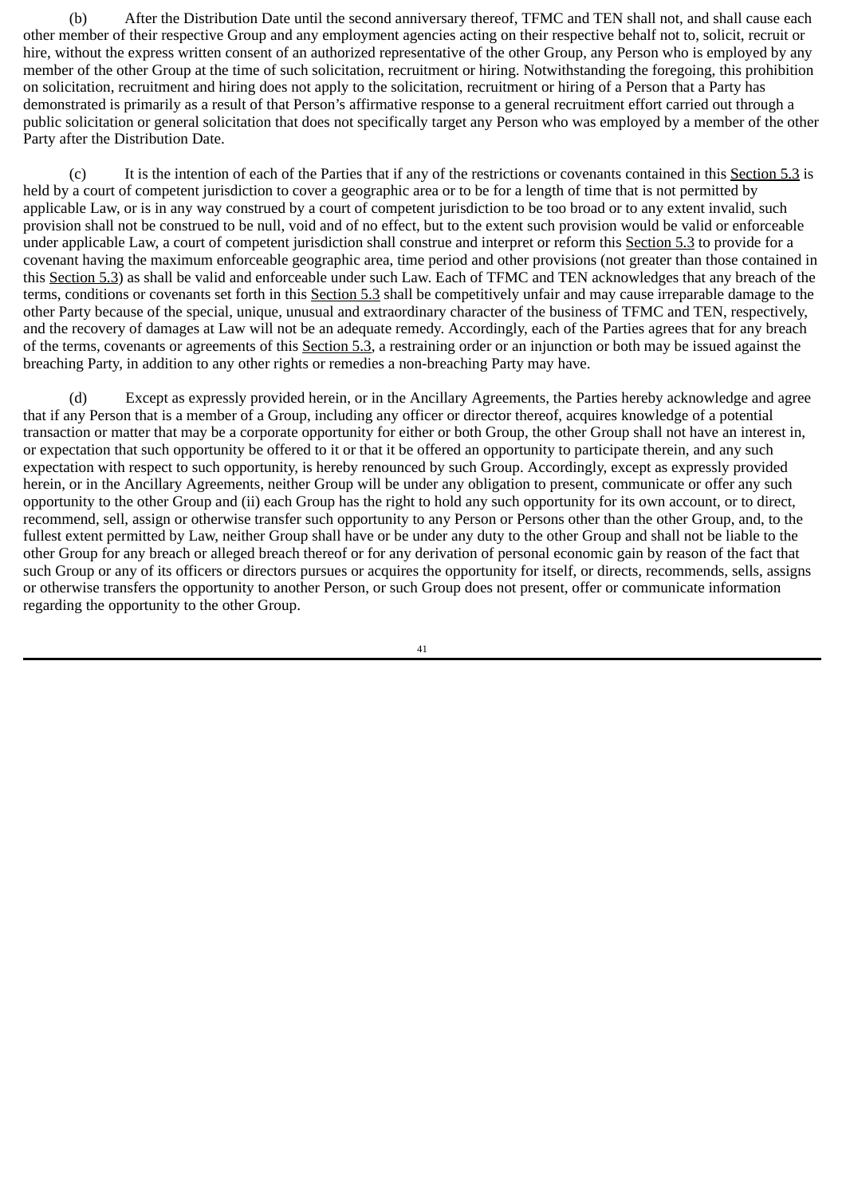(b) After the Distribution Date until the second anniversary thereof, TFMC and TEN shall not, and shall cause each other member of their respective Group and any employment agencies acting on their respective behalf not to, solicit, recruit or hire, without the express written consent of an authorized representative of the other Group, any Person who is employed by any member of the other Group at the time of such solicitation, recruitment or hiring. Notwithstanding the foregoing, this prohibition on solicitation, recruitment and hiring does not apply to the solicitation, recruitment or hiring of a Person that a Party has demonstrated is primarily as a result of that Person's affirmative response to a general recruitment effort carried out through a public solicitation or general solicitation that does not specifically target any Person who was employed by a member of the other Party after the Distribution Date.

(c) It is the intention of each of the Parties that if any of the restrictions or covenants contained in this Section 5.3 is held by a court of competent jurisdiction to cover a geographic area or to be for a length of time that is not permitted by applicable Law, or is in any way construed by a court of competent jurisdiction to be too broad or to any extent invalid, such provision shall not be construed to be null, void and of no effect, but to the extent such provision would be valid or enforceable under applicable Law, a court of competent jurisdiction shall construe and interpret or reform this Section 5.3 to provide for a covenant having the maximum enforceable geographic area, time period and other provisions (not greater than those contained in this Section 5.3) as shall be valid and enforceable under such Law. Each of TFMC and TEN acknowledges that any breach of the terms, conditions or covenants set forth in this Section 5.3 shall be competitively unfair and may cause irreparable damage to the other Party because of the special, unique, unusual and extraordinary character of the business of TFMC and TEN, respectively, and the recovery of damages at Law will not be an adequate remedy. Accordingly, each of the Parties agrees that for any breach of the terms, covenants or agreements of this Section 5.3, a restraining order or an injunction or both may be issued against the breaching Party, in addition to any other rights or remedies a non-breaching Party may have.

(d) Except as expressly provided herein, or in the Ancillary Agreements, the Parties hereby acknowledge and agree that if any Person that is a member of a Group, including any officer or director thereof, acquires knowledge of a potential transaction or matter that may be a corporate opportunity for either or both Group, the other Group shall not have an interest in, or expectation that such opportunity be offered to it or that it be offered an opportunity to participate therein, and any such expectation with respect to such opportunity, is hereby renounced by such Group. Accordingly, except as expressly provided herein, or in the Ancillary Agreements, neither Group will be under any obligation to present, communicate or offer any such opportunity to the other Group and (ii) each Group has the right to hold any such opportunity for its own account, or to direct, recommend, sell, assign or otherwise transfer such opportunity to any Person or Persons other than the other Group, and, to the fullest extent permitted by Law, neither Group shall have or be under any duty to the other Group and shall not be liable to the other Group for any breach or alleged breach thereof or for any derivation of personal economic gain by reason of the fact that such Group or any of its officers or directors pursues or acquires the opportunity for itself, or directs, recommends, sells, assigns or otherwise transfers the opportunity to another Person, or such Group does not present, offer or communicate information regarding the opportunity to the other Group.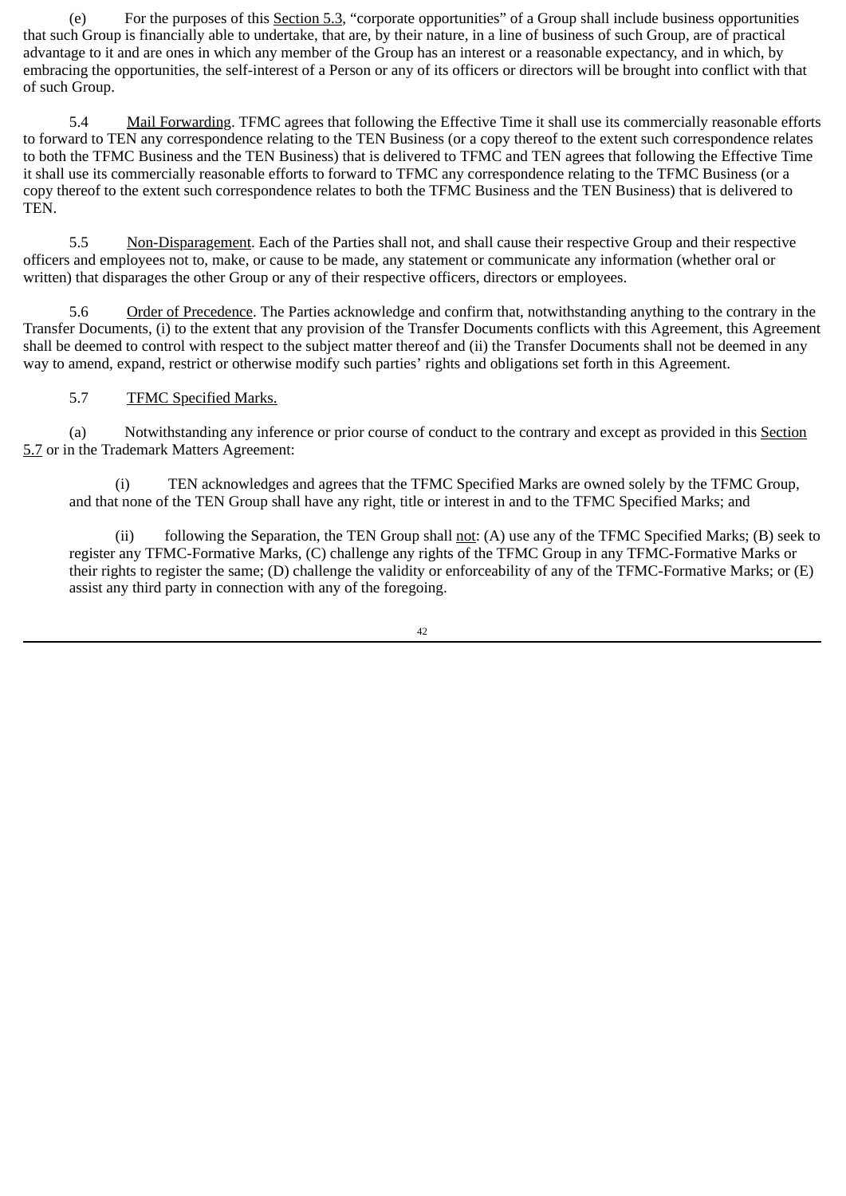(e) For the purposes of this Section 5.3, "corporate opportunities" of a Group shall include business opportunities that such Group is financially able to undertake, that are, by their nature, in a line of business of such Group, are of practical advantage to it and are ones in which any member of the Group has an interest or a reasonable expectancy, and in which, by embracing the opportunities, the self-interest of a Person or any of its officers or directors will be brought into conflict with that of such Group.

5.4 Mail Forwarding. TFMC agrees that following the Effective Time it shall use its commercially reasonable efforts to forward to TEN any correspondence relating to the TEN Business (or a copy thereof to the extent such correspondence relates to both the TFMC Business and the TEN Business) that is delivered to TFMC and TEN agrees that following the Effective Time it shall use its commercially reasonable efforts to forward to TFMC any correspondence relating to the TFMC Business (or a copy thereof to the extent such correspondence relates to both the TFMC Business and the TEN Business) that is delivered to TEN.

5.5 Non-Disparagement. Each of the Parties shall not, and shall cause their respective Group and their respective officers and employees not to, make, or cause to be made, any statement or communicate any information (whether oral or written) that disparages the other Group or any of their respective officers, directors or employees.

5.6 Order of Precedence. The Parties acknowledge and confirm that, notwithstanding anything to the contrary in the Transfer Documents, (i) to the extent that any provision of the Transfer Documents conflicts with this Agreement, this Agreement shall be deemed to control with respect to the subject matter thereof and (ii) the Transfer Documents shall not be deemed in any way to amend, expand, restrict or otherwise modify such parties' rights and obligations set forth in this Agreement.

# 5.7 TFMC Specified Marks.

(a) Notwithstanding any inference or prior course of conduct to the contrary and except as provided in this Section 5.7 or in the Trademark Matters Agreement:

(i) TEN acknowledges and agrees that the TFMC Specified Marks are owned solely by the TFMC Group, and that none of the TEN Group shall have any right, title or interest in and to the TFMC Specified Marks; and

(ii) following the Separation, the TEN Group shall not: (A) use any of the TFMC Specified Marks; (B) seek to register any TFMC-Formative Marks, (C) challenge any rights of the TFMC Group in any TFMC-Formative Marks or their rights to register the same; (D) challenge the validity or enforceability of any of the TFMC-Formative Marks; or (E) assist any third party in connection with any of the foregoing.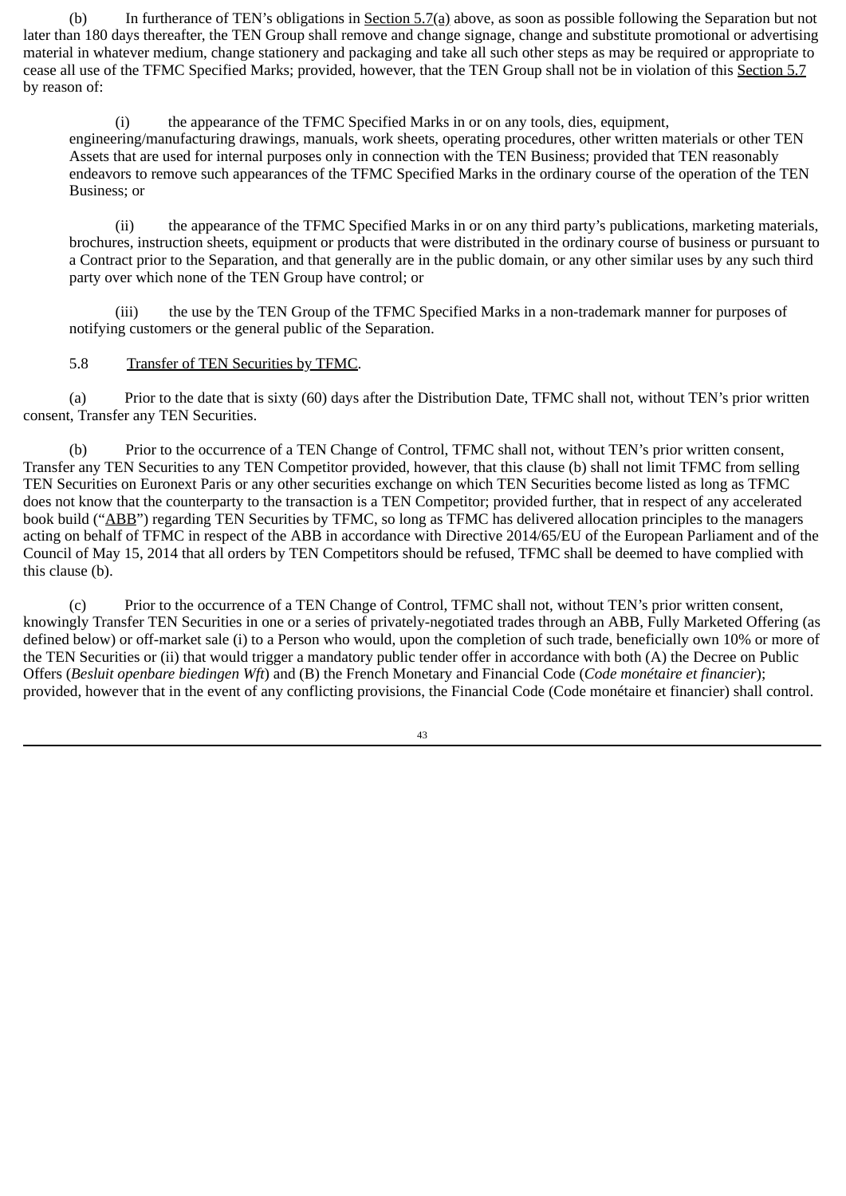(b) In furtherance of TEN's obligations in Section  $5.7(a)$  above, as soon as possible following the Separation but not later than 180 days thereafter, the TEN Group shall remove and change signage, change and substitute promotional or advertising material in whatever medium, change stationery and packaging and take all such other steps as may be required or appropriate to cease all use of the TFMC Specified Marks; provided, however, that the TEN Group shall not be in violation of this Section 5.7 by reason of:

(i) the appearance of the TFMC Specified Marks in or on any tools, dies, equipment, engineering/manufacturing drawings, manuals, work sheets, operating procedures, other written materials or other TEN Assets that are used for internal purposes only in connection with the TEN Business; provided that TEN reasonably endeavors to remove such appearances of the TFMC Specified Marks in the ordinary course of the operation of the TEN Business; or

(ii) the appearance of the TFMC Specified Marks in or on any third party's publications, marketing materials, brochures, instruction sheets, equipment or products that were distributed in the ordinary course of business or pursuant to a Contract prior to the Separation, and that generally are in the public domain, or any other similar uses by any such third party over which none of the TEN Group have control; or

(iii) the use by the TEN Group of the TFMC Specified Marks in a non-trademark manner for purposes of notifying customers or the general public of the Separation.

# 5.8 Transfer of TEN Securities by TFMC.

(a) Prior to the date that is sixty (60) days after the Distribution Date, TFMC shall not, without TEN's prior written consent, Transfer any TEN Securities.

(b) Prior to the occurrence of a TEN Change of Control, TFMC shall not, without TEN's prior written consent, Transfer any TEN Securities to any TEN Competitor provided, however, that this clause (b) shall not limit TFMC from selling TEN Securities on Euronext Paris or any other securities exchange on which TEN Securities become listed as long as TFMC does not know that the counterparty to the transaction is a TEN Competitor; provided further, that in respect of any accelerated book build ("ABB") regarding TEN Securities by TFMC, so long as TFMC has delivered allocation principles to the managers acting on behalf of TFMC in respect of the ABB in accordance with Directive 2014/65/EU of the European Parliament and of the Council of May 15, 2014 that all orders by TEN Competitors should be refused, TFMC shall be deemed to have complied with this clause (b).

(c) Prior to the occurrence of a TEN Change of Control, TFMC shall not, without TEN's prior written consent, knowingly Transfer TEN Securities in one or a series of privately-negotiated trades through an ABB, Fully Marketed Offering (as defined below) or off-market sale (i) to a Person who would, upon the completion of such trade, beneficially own 10% or more of the TEN Securities or (ii) that would trigger a mandatory public tender offer in accordance with both (A) the Decree on Public Offers (*Besluit openbare biedingen Wft*) and (B) the French Monetary and Financial Code (*Code monétaire et financier*); provided, however that in the event of any conflicting provisions, the Financial Code (Code monétaire et financier) shall control.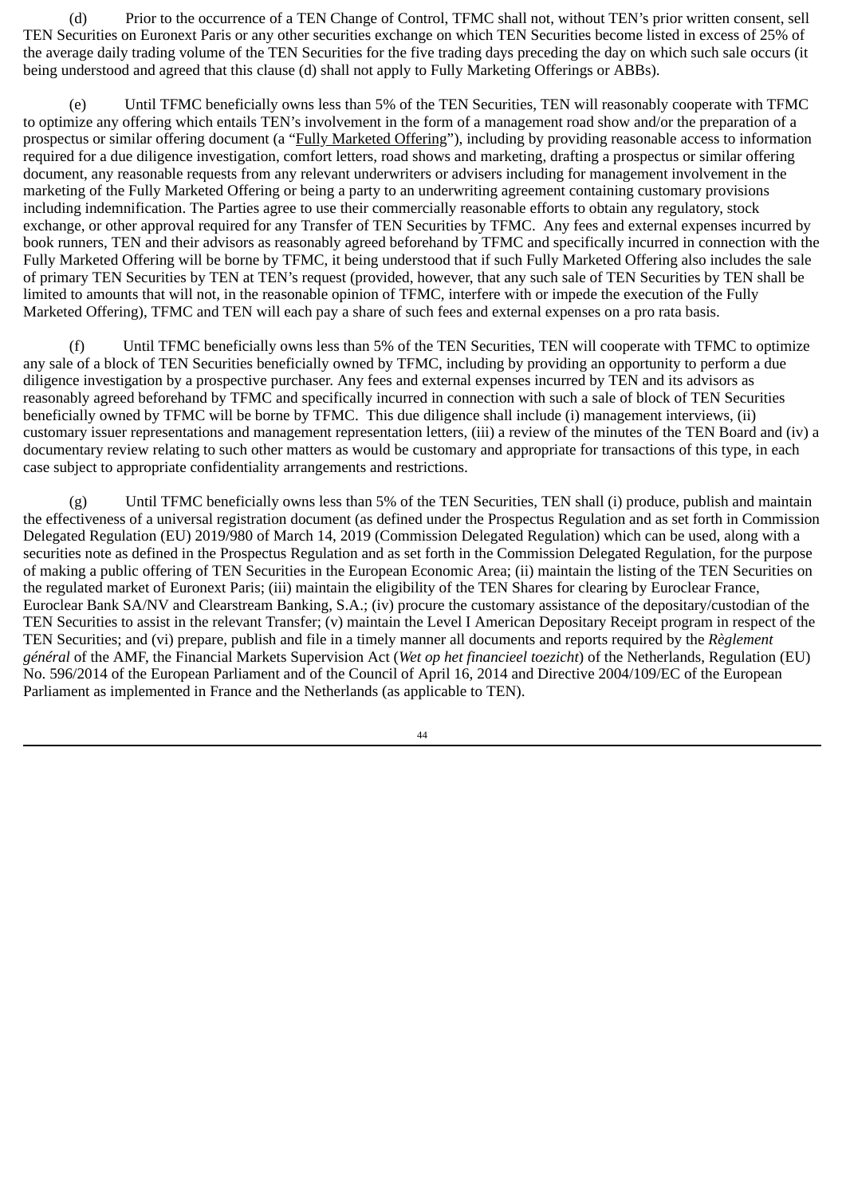(d) Prior to the occurrence of a TEN Change of Control, TFMC shall not, without TEN's prior written consent, sell TEN Securities on Euronext Paris or any other securities exchange on which TEN Securities become listed in excess of 25% of the average daily trading volume of the TEN Securities for the five trading days preceding the day on which such sale occurs (it being understood and agreed that this clause (d) shall not apply to Fully Marketing Offerings or ABBs).

(e) Until TFMC beneficially owns less than 5% of the TEN Securities, TEN will reasonably cooperate with TFMC to optimize any offering which entails TEN's involvement in the form of a management road show and/or the preparation of a prospectus or similar offering document (a "Fully Marketed Offering"), including by providing reasonable access to information required for a due diligence investigation, comfort letters, road shows and marketing, drafting a prospectus or similar offering document, any reasonable requests from any relevant underwriters or advisers including for management involvement in the marketing of the Fully Marketed Offering or being a party to an underwriting agreement containing customary provisions including indemnification. The Parties agree to use their commercially reasonable efforts to obtain any regulatory, stock exchange, or other approval required for any Transfer of TEN Securities by TFMC. Any fees and external expenses incurred by book runners, TEN and their advisors as reasonably agreed beforehand by TFMC and specifically incurred in connection with the Fully Marketed Offering will be borne by TFMC, it being understood that if such Fully Marketed Offering also includes the sale of primary TEN Securities by TEN at TEN's request (provided, however, that any such sale of TEN Securities by TEN shall be limited to amounts that will not, in the reasonable opinion of TFMC, interfere with or impede the execution of the Fully Marketed Offering), TFMC and TEN will each pay a share of such fees and external expenses on a pro rata basis.

(f) Until TFMC beneficially owns less than 5% of the TEN Securities, TEN will cooperate with TFMC to optimize any sale of a block of TEN Securities beneficially owned by TFMC, including by providing an opportunity to perform a due diligence investigation by a prospective purchaser. Any fees and external expenses incurred by TEN and its advisors as reasonably agreed beforehand by TFMC and specifically incurred in connection with such a sale of block of TEN Securities beneficially owned by TFMC will be borne by TFMC. This due diligence shall include (i) management interviews, (ii) customary issuer representations and management representation letters, (iii) a review of the minutes of the TEN Board and (iv) a documentary review relating to such other matters as would be customary and appropriate for transactions of this type, in each case subject to appropriate confidentiality arrangements and restrictions.

(g) Until TFMC beneficially owns less than 5% of the TEN Securities, TEN shall (i) produce, publish and maintain the effectiveness of a universal registration document (as defined under the Prospectus Regulation and as set forth in Commission Delegated Regulation (EU) 2019/980 of March 14, 2019 (Commission Delegated Regulation) which can be used, along with a securities note as defined in the Prospectus Regulation and as set forth in the Commission Delegated Regulation, for the purpose of making a public offering of TEN Securities in the European Economic Area; (ii) maintain the listing of the TEN Securities on the regulated market of Euronext Paris; (iii) maintain the eligibility of the TEN Shares for clearing by Euroclear France, Euroclear Bank SA/NV and Clearstream Banking, S.A.; (iv) procure the customary assistance of the depositary/custodian of the TEN Securities to assist in the relevant Transfer; (v) maintain the Level I American Depositary Receipt program in respect of the TEN Securities; and (vi) prepare, publish and file in a timely manner all documents and reports required by the *Règlement général* of the AMF, the Financial Markets Supervision Act (*Wet op het financieel toezicht*) of the Netherlands, Regulation (EU) No. 596/2014 of the European Parliament and of the Council of April 16, 2014 and Directive 2004/109/EC of the European Parliament as implemented in France and the Netherlands (as applicable to TEN).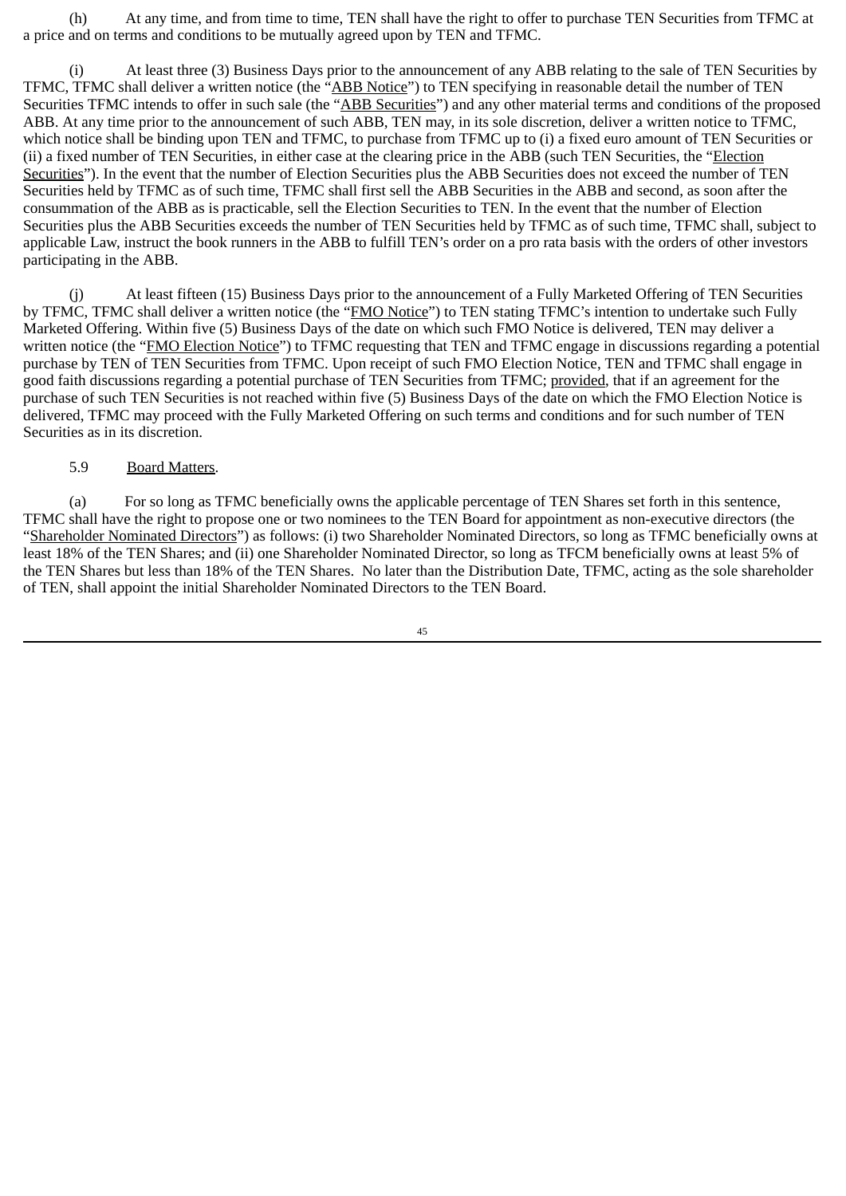(h) At any time, and from time to time, TEN shall have the right to offer to purchase TEN Securities from TFMC at a price and on terms and conditions to be mutually agreed upon by TEN and TFMC.

(i) At least three (3) Business Days prior to the announcement of any ABB relating to the sale of TEN Securities by TFMC, TFMC shall deliver a written notice (the "ABB Notice") to TEN specifying in reasonable detail the number of TEN Securities TFMC intends to offer in such sale (the "ABB Securities") and any other material terms and conditions of the proposed ABB. At any time prior to the announcement of such ABB, TEN may, in its sole discretion, deliver a written notice to TFMC, which notice shall be binding upon TEN and TFMC, to purchase from TFMC up to (i) a fixed euro amount of TEN Securities or (ii) a fixed number of TEN Securities, in either case at the clearing price in the ABB (such TEN Securities, the "Election Securities"). In the event that the number of Election Securities plus the ABB Securities does not exceed the number of TEN Securities held by TFMC as of such time, TFMC shall first sell the ABB Securities in the ABB and second, as soon after the consummation of the ABB as is practicable, sell the Election Securities to TEN. In the event that the number of Election Securities plus the ABB Securities exceeds the number of TEN Securities held by TFMC as of such time, TFMC shall, subject to applicable Law, instruct the book runners in the ABB to fulfill TEN's order on a pro rata basis with the orders of other investors participating in the ABB.

(j) At least fifteen (15) Business Days prior to the announcement of a Fully Marketed Offering of TEN Securities by TFMC, TFMC shall deliver a written notice (the "FMO Notice") to TEN stating TFMC's intention to undertake such Fully Marketed Offering. Within five (5) Business Days of the date on which such FMO Notice is delivered, TEN may deliver a written notice (the "FMO Election Notice") to TFMC requesting that TEN and TFMC engage in discussions regarding a potential purchase by TEN of TEN Securities from TFMC. Upon receipt of such FMO Election Notice, TEN and TFMC shall engage in good faith discussions regarding a potential purchase of TEN Securities from TFMC; provided, that if an agreement for the purchase of such TEN Securities is not reached within five (5) Business Days of the date on which the FMO Election Notice is delivered, TFMC may proceed with the Fully Marketed Offering on such terms and conditions and for such number of TEN Securities as in its discretion.

#### 5.9 Board Matters.

(a) For so long as TFMC beneficially owns the applicable percentage of TEN Shares set forth in this sentence, TFMC shall have the right to propose one or two nominees to the TEN Board for appointment as non-executive directors (the "Shareholder Nominated Directors") as follows: (i) two Shareholder Nominated Directors, so long as TFMC beneficially owns at least 18% of the TEN Shares; and (ii) one Shareholder Nominated Director, so long as TFCM beneficially owns at least 5% of the TEN Shares but less than 18% of the TEN Shares. No later than the Distribution Date, TFMC, acting as the sole shareholder of TEN, shall appoint the initial Shareholder Nominated Directors to the TEN Board.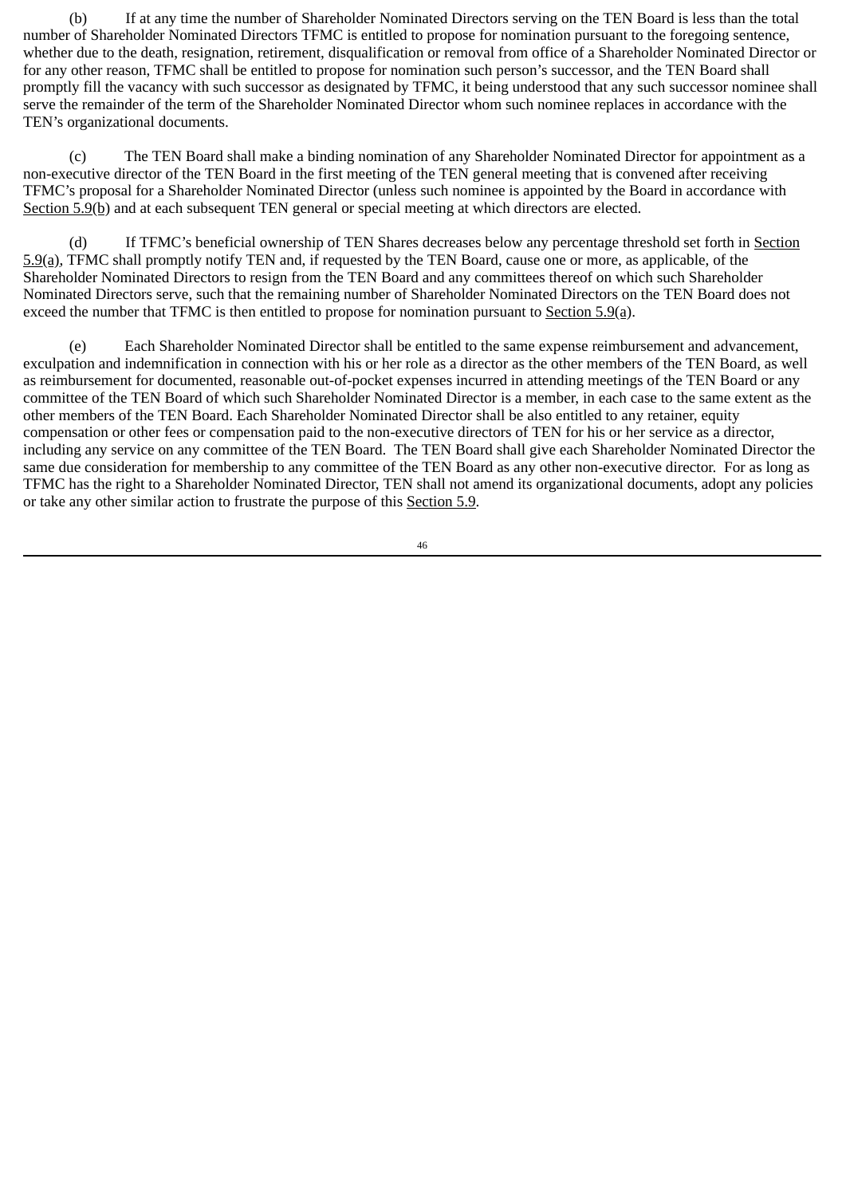(b) If at any time the number of Shareholder Nominated Directors serving on the TEN Board is less than the total number of Shareholder Nominated Directors TFMC is entitled to propose for nomination pursuant to the foregoing sentence, whether due to the death, resignation, retirement, disqualification or removal from office of a Shareholder Nominated Director or for any other reason, TFMC shall be entitled to propose for nomination such person's successor, and the TEN Board shall promptly fill the vacancy with such successor as designated by TFMC, it being understood that any such successor nominee shall serve the remainder of the term of the Shareholder Nominated Director whom such nominee replaces in accordance with the TEN's organizational documents.

(c) The TEN Board shall make a binding nomination of any Shareholder Nominated Director for appointment as a non-executive director of the TEN Board in the first meeting of the TEN general meeting that is convened after receiving TFMC's proposal for a Shareholder Nominated Director (unless such nominee is appointed by the Board in accordance with Section 5.9(b) and at each subsequent TEN general or special meeting at which directors are elected.

(d) If TFMC's beneficial ownership of TEN Shares decreases below any percentage threshold set forth in Section 5.9(a), TFMC shall promptly notify TEN and, if requested by the TEN Board, cause one or more, as applicable, of the Shareholder Nominated Directors to resign from the TEN Board and any committees thereof on which such Shareholder Nominated Directors serve, such that the remaining number of Shareholder Nominated Directors on the TEN Board does not exceed the number that TFMC is then entitled to propose for nomination pursuant to Section 5.9(a).

(e) Each Shareholder Nominated Director shall be entitled to the same expense reimbursement and advancement, exculpation and indemnification in connection with his or her role as a director as the other members of the TEN Board, as well as reimbursement for documented, reasonable out-of-pocket expenses incurred in attending meetings of the TEN Board or any committee of the TEN Board of which such Shareholder Nominated Director is a member, in each case to the same extent as the other members of the TEN Board. Each Shareholder Nominated Director shall be also entitled to any retainer, equity compensation or other fees or compensation paid to the non-executive directors of TEN for his or her service as a director, including any service on any committee of the TEN Board. The TEN Board shall give each Shareholder Nominated Director the same due consideration for membership to any committee of the TEN Board as any other non-executive director. For as long as TFMC has the right to a Shareholder Nominated Director, TEN shall not amend its organizational documents, adopt any policies or take any other similar action to frustrate the purpose of this Section 5.9.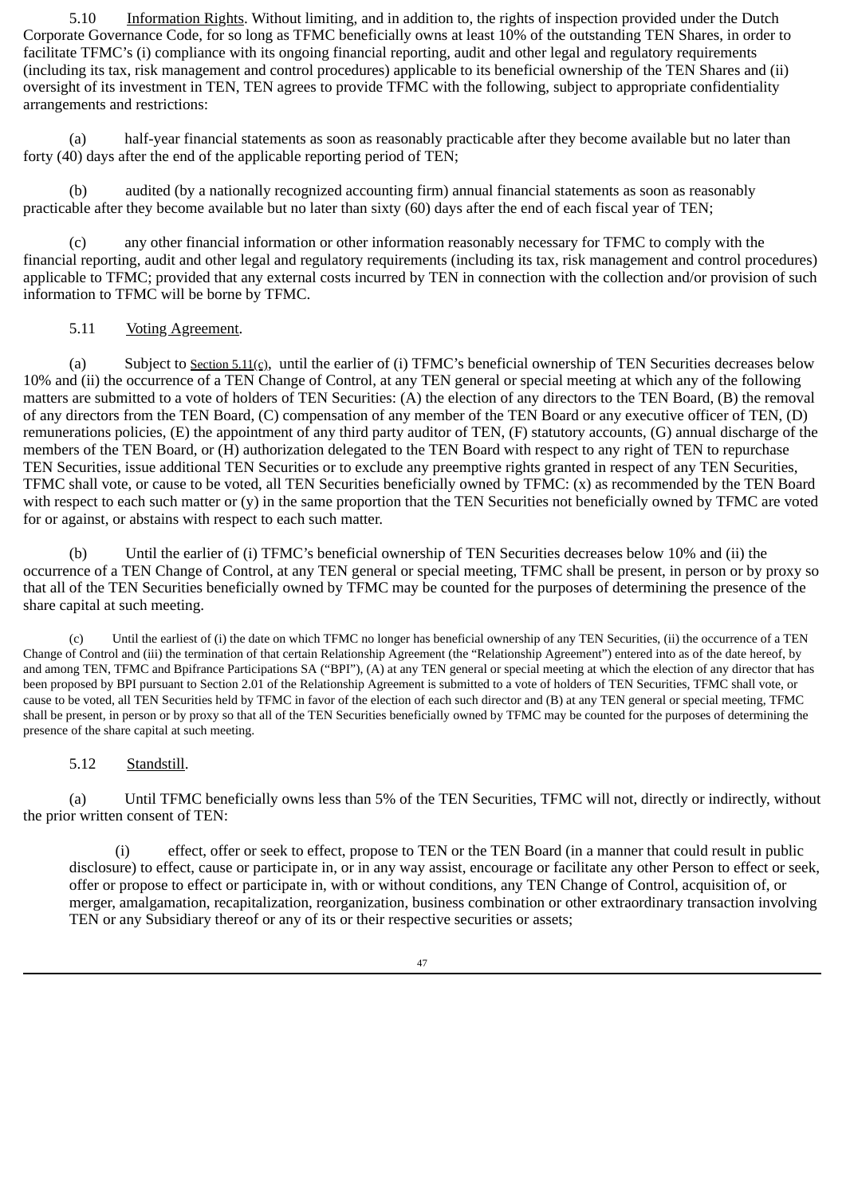5.10 Information Rights. Without limiting, and in addition to, the rights of inspection provided under the Dutch Corporate Governance Code, for so long as TFMC beneficially owns at least 10% of the outstanding TEN Shares, in order to facilitate TFMC's (i) compliance with its ongoing financial reporting, audit and other legal and regulatory requirements (including its tax, risk management and control procedures) applicable to its beneficial ownership of the TEN Shares and (ii) oversight of its investment in TEN, TEN agrees to provide TFMC with the following, subject to appropriate confidentiality arrangements and restrictions:

(a) half-year financial statements as soon as reasonably practicable after they become available but no later than forty (40) days after the end of the applicable reporting period of TEN;

(b) audited (by a nationally recognized accounting firm) annual financial statements as soon as reasonably practicable after they become available but no later than sixty (60) days after the end of each fiscal year of TEN;

(c) any other financial information or other information reasonably necessary for TFMC to comply with the financial reporting, audit and other legal and regulatory requirements (including its tax, risk management and control procedures) applicable to TFMC; provided that any external costs incurred by TEN in connection with the collection and/or provision of such information to TFMC will be borne by TFMC.

# 5.11 Voting Agreement.

(a) Subject to  $S_{\text{ection}}$  5.11(c), until the earlier of (i) TFMC's beneficial ownership of TEN Securities decreases below 10% and (ii) the occurrence of a TEN Change of Control, at any TEN general or special meeting at which any of the following matters are submitted to a vote of holders of TEN Securities: (A) the election of any directors to the TEN Board, (B) the removal of any directors from the TEN Board, (C) compensation of any member of the TEN Board or any executive officer of TEN, (D) remunerations policies, (E) the appointment of any third party auditor of TEN, (F) statutory accounts, (G) annual discharge of the members of the TEN Board, or (H) authorization delegated to the TEN Board with respect to any right of TEN to repurchase TEN Securities, issue additional TEN Securities or to exclude any preemptive rights granted in respect of any TEN Securities, TFMC shall vote, or cause to be voted, all TEN Securities beneficially owned by TFMC: (x) as recommended by the TEN Board with respect to each such matter or (y) in the same proportion that the TEN Securities not beneficially owned by TFMC are voted for or against, or abstains with respect to each such matter.

(b) Until the earlier of (i) TFMC's beneficial ownership of TEN Securities decreases below 10% and (ii) the occurrence of a TEN Change of Control, at any TEN general or special meeting, TFMC shall be present, in person or by proxy so that all of the TEN Securities beneficially owned by TFMC may be counted for the purposes of determining the presence of the share capital at such meeting.

(c) Until the earliest of (i) the date on which TFMC no longer has beneficial ownership of any TEN Securities, (ii) the occurrence of a TEN Change of Control and (iii) the termination of that certain Relationship Agreement (the "Relationship Agreement") entered into as of the date hereof, by and among TEN, TFMC and Bpifrance Participations SA ("BPI"), (A) at any TEN general or special meeting at which the election of any director that has been proposed by BPI pursuant to Section 2.01 of the Relationship Agreement is submitted to a vote of holders of TEN Securities, TFMC shall vote, or cause to be voted, all TEN Securities held by TFMC in favor of the election of each such director and (B) at any TEN general or special meeting, TFMC shall be present, in person or by proxy so that all of the TEN Securities beneficially owned by TFMC may be counted for the purposes of determining the presence of the share capital at such meeting.

### 5.12 Standstill.

(a) Until TFMC beneficially owns less than 5% of the TEN Securities, TFMC will not, directly or indirectly, without the prior written consent of TEN:

(i) effect, offer or seek to effect, propose to TEN or the TEN Board (in a manner that could result in public disclosure) to effect, cause or participate in, or in any way assist, encourage or facilitate any other Person to effect or seek, offer or propose to effect or participate in, with or without conditions, any TEN Change of Control, acquisition of, or merger, amalgamation, recapitalization, reorganization, business combination or other extraordinary transaction involving TEN or any Subsidiary thereof or any of its or their respective securities or assets;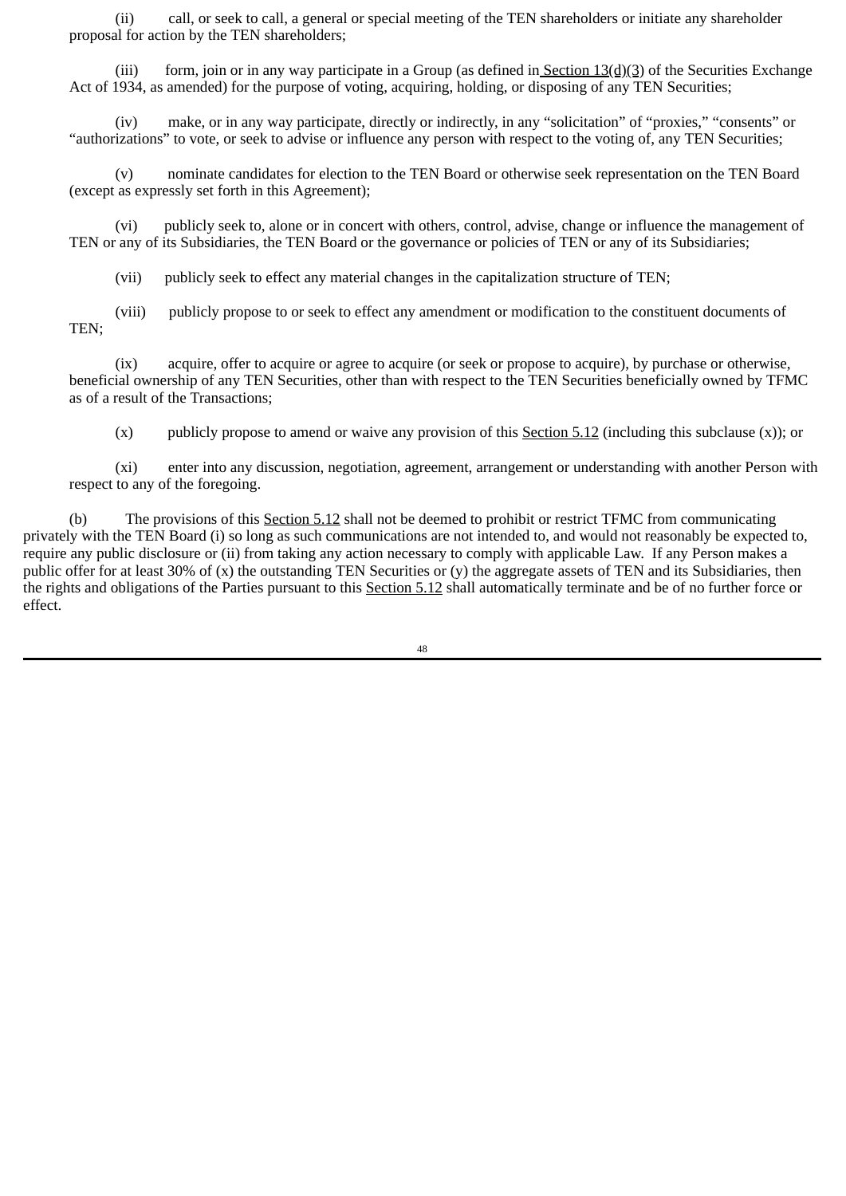(ii) call, or seek to call, a general or special meeting of the TEN shareholders or initiate any shareholder proposal for action by the TEN shareholders;

(iii) form, join or in any way participate in a Group (as defined in Section  $13(d)(3)$  of the Securities Exchange Act of 1934, as amended) for the purpose of voting, acquiring, holding, or disposing of any TEN Securities;

(iv) make, or in any way participate, directly or indirectly, in any "solicitation" of "proxies," "consents" or "authorizations" to vote, or seek to advise or influence any person with respect to the voting of, any TEN Securities;

(v) nominate candidates for election to the TEN Board or otherwise seek representation on the TEN Board (except as expressly set forth in this Agreement);

(vi) publicly seek to, alone or in concert with others, control, advise, change or influence the management of TEN or any of its Subsidiaries, the TEN Board or the governance or policies of TEN or any of its Subsidiaries;

(vii) publicly seek to effect any material changes in the capitalization structure of TEN;

(viii) publicly propose to or seek to effect any amendment or modification to the constituent documents of TEN;

(ix) acquire, offer to acquire or agree to acquire (or seek or propose to acquire), by purchase or otherwise, beneficial ownership of any TEN Securities, other than with respect to the TEN Securities beneficially owned by TFMC as of a result of the Transactions;

 $(x)$  publicly propose to amend or waive any provision of this Section 5.12 (including this subclause  $(x)$ ); or

(xi) enter into any discussion, negotiation, agreement, arrangement or understanding with another Person with respect to any of the foregoing.

(b) The provisions of this Section 5.12 shall not be deemed to prohibit or restrict TFMC from communicating privately with the TEN Board (i) so long as such communications are not intended to, and would not reasonably be expected to, require any public disclosure or (ii) from taking any action necessary to comply with applicable Law. If any Person makes a public offer for at least  $30\%$  of (x) the outstanding TEN Securities or (y) the aggregate assets of TEN and its Subsidiaries, then the rights and obligations of the Parties pursuant to this Section 5.12 shall automatically terminate and be of no further force or effect.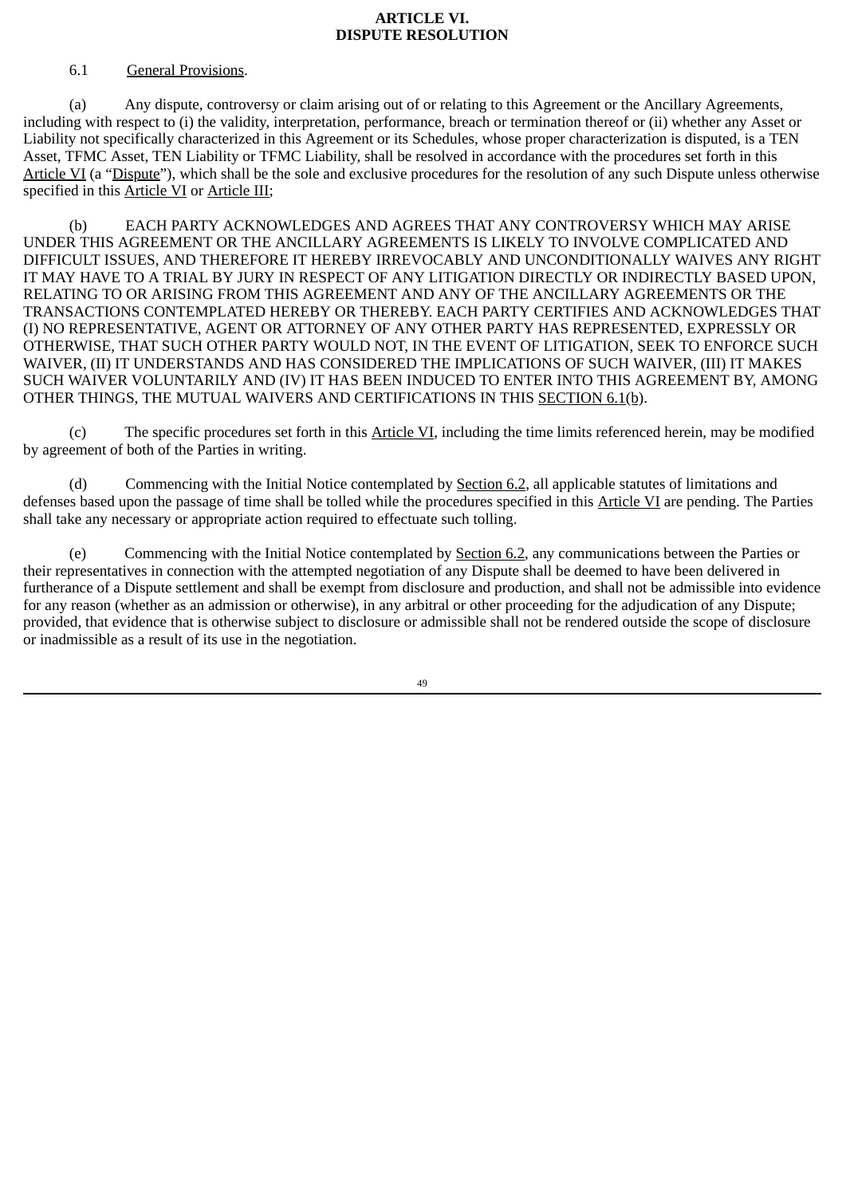### **ARTICLE VI. DISPUTE RESOLUTION**

## 6.1 General Provisions.

(a) Any dispute, controversy or claim arising out of or relating to this Agreement or the Ancillary Agreements, including with respect to (i) the validity, interpretation, performance, breach or termination thereof or (ii) whether any Asset or Liability not specifically characterized in this Agreement or its Schedules, whose proper characterization is disputed, is a TEN Asset, TFMC Asset, TEN Liability or TFMC Liability, shall be resolved in accordance with the procedures set forth in this Article VI (a "Dispute"), which shall be the sole and exclusive procedures for the resolution of any such Dispute unless otherwise specified in this Article VI or Article III;

(b) EACH PARTY ACKNOWLEDGES AND AGREES THAT ANY CONTROVERSY WHICH MAY ARISE UNDER THIS AGREEMENT OR THE ANCILLARY AGREEMENTS IS LIKELY TO INVOLVE COMPLICATED AND DIFFICULT ISSUES, AND THEREFORE IT HEREBY IRREVOCABLY AND UNCONDITIONALLY WAIVES ANY RIGHT IT MAY HAVE TO A TRIAL BY JURY IN RESPECT OF ANY LITIGATION DIRECTLY OR INDIRECTLY BASED UPON, RELATING TO OR ARISING FROM THIS AGREEMENT AND ANY OF THE ANCILLARY AGREEMENTS OR THE TRANSACTIONS CONTEMPLATED HEREBY OR THEREBY. EACH PARTY CERTIFIES AND ACKNOWLEDGES THAT (I) NO REPRESENTATIVE, AGENT OR ATTORNEY OF ANY OTHER PARTY HAS REPRESENTED, EXPRESSLY OR OTHERWISE, THAT SUCH OTHER PARTY WOULD NOT, IN THE EVENT OF LITIGATION, SEEK TO ENFORCE SUCH WAIVER, (II) IT UNDERSTANDS AND HAS CONSIDERED THE IMPLICATIONS OF SUCH WAIVER, (III) IT MAKES SUCH WAIVER VOLUNTARILY AND (IV) IT HAS BEEN INDUCED TO ENTER INTO THIS AGREEMENT BY, AMONG OTHER THINGS, THE MUTUAL WAIVERS AND CERTIFICATIONS IN THIS SECTION 6.1(b).

(c) The specific procedures set forth in this  $\Delta$ rticle VI, including the time limits referenced herein, may be modified by agreement of both of the Parties in writing.

(d) Commencing with the Initial Notice contemplated by **Section 6.2**, all applicable statutes of limitations and defenses based upon the passage of time shall be tolled while the procedures specified in this Article VI are pending. The Parties shall take any necessary or appropriate action required to effectuate such tolling.

(e) Commencing with the Initial Notice contemplated by Section 6.2, any communications between the Parties or their representatives in connection with the attempted negotiation of any Dispute shall be deemed to have been delivered in furtherance of a Dispute settlement and shall be exempt from disclosure and production, and shall not be admissible into evidence for any reason (whether as an admission or otherwise), in any arbitral or other proceeding for the adjudication of any Dispute; provided, that evidence that is otherwise subject to disclosure or admissible shall not be rendered outside the scope of disclosure or inadmissible as a result of its use in the negotiation.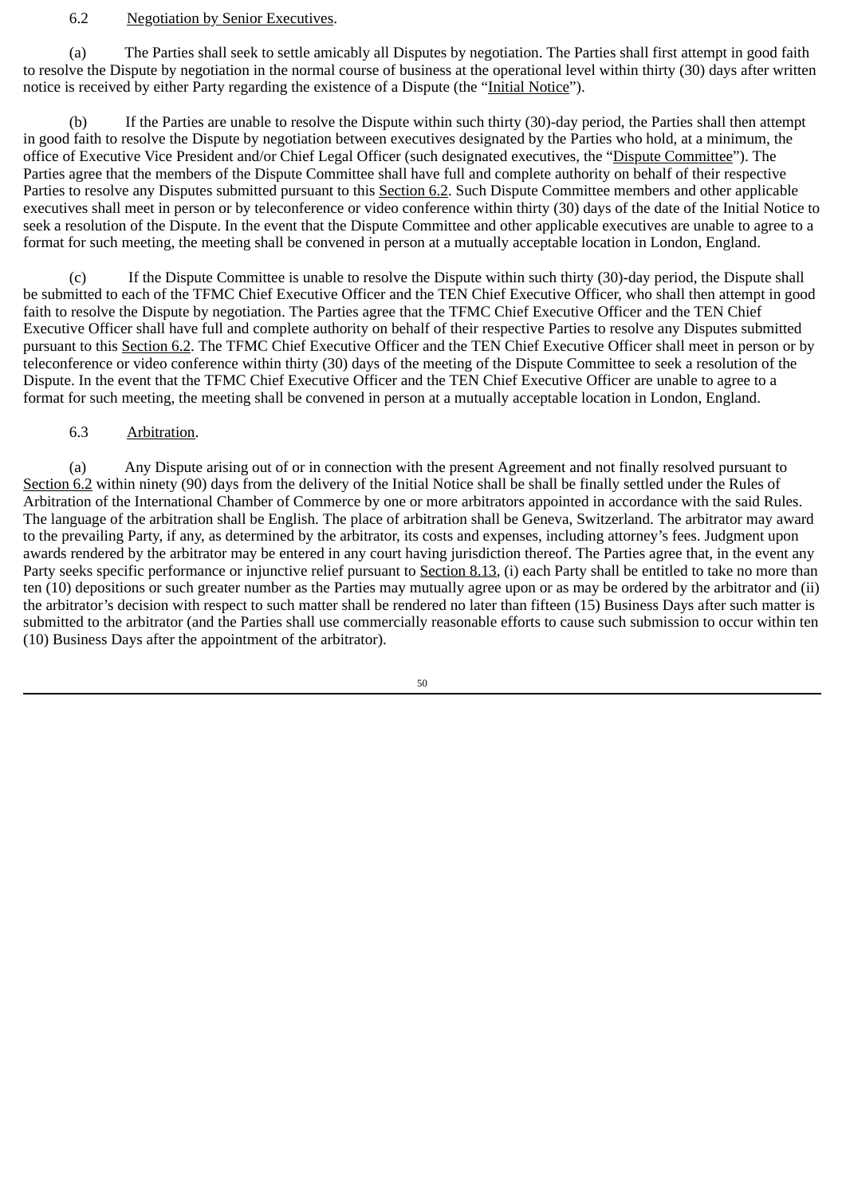## 6.2 Negotiation by Senior Executives.

(a) The Parties shall seek to settle amicably all Disputes by negotiation. The Parties shall first attempt in good faith to resolve the Dispute by negotiation in the normal course of business at the operational level within thirty (30) days after written notice is received by either Party regarding the existence of a Dispute (the "Initial Notice").

If the Parties are unable to resolve the Dispute within such thirty (30)-day period, the Parties shall then attempt in good faith to resolve the Dispute by negotiation between executives designated by the Parties who hold, at a minimum, the office of Executive Vice President and/or Chief Legal Officer (such designated executives, the "Dispute Committee"). The Parties agree that the members of the Dispute Committee shall have full and complete authority on behalf of their respective Parties to resolve any Disputes submitted pursuant to this Section 6.2. Such Dispute Committee members and other applicable executives shall meet in person or by teleconference or video conference within thirty (30) days of the date of the Initial Notice to seek a resolution of the Dispute. In the event that the Dispute Committee and other applicable executives are unable to agree to a format for such meeting, the meeting shall be convened in person at a mutually acceptable location in London, England.

(c) If the Dispute Committee is unable to resolve the Dispute within such thirty (30)-day period, the Dispute shall be submitted to each of the TFMC Chief Executive Officer and the TEN Chief Executive Officer, who shall then attempt in good faith to resolve the Dispute by negotiation. The Parties agree that the TFMC Chief Executive Officer and the TEN Chief Executive Officer shall have full and complete authority on behalf of their respective Parties to resolve any Disputes submitted pursuant to this Section 6.2. The TFMC Chief Executive Officer and the TEN Chief Executive Officer shall meet in person or by teleconference or video conference within thirty (30) days of the meeting of the Dispute Committee to seek a resolution of the Dispute. In the event that the TFMC Chief Executive Officer and the TEN Chief Executive Officer are unable to agree to a format for such meeting, the meeting shall be convened in person at a mutually acceptable location in London, England.

# 6.3 Arbitration.

(a) Any Dispute arising out of or in connection with the present Agreement and not finally resolved pursuant to Section 6.2 within ninety (90) days from the delivery of the Initial Notice shall be shall be finally settled under the Rules of Arbitration of the International Chamber of Commerce by one or more arbitrators appointed in accordance with the said Rules. The language of the arbitration shall be English. The place of arbitration shall be Geneva, Switzerland. The arbitrator may award to the prevailing Party, if any, as determined by the arbitrator, its costs and expenses, including attorney's fees. Judgment upon awards rendered by the arbitrator may be entered in any court having jurisdiction thereof. The Parties agree that, in the event any Party seeks specific performance or injunctive relief pursuant to Section 8.13, (i) each Party shall be entitled to take no more than ten (10) depositions or such greater number as the Parties may mutually agree upon or as may be ordered by the arbitrator and (ii) the arbitrator's decision with respect to such matter shall be rendered no later than fifteen (15) Business Days after such matter is submitted to the arbitrator (and the Parties shall use commercially reasonable efforts to cause such submission to occur within ten (10) Business Days after the appointment of the arbitrator).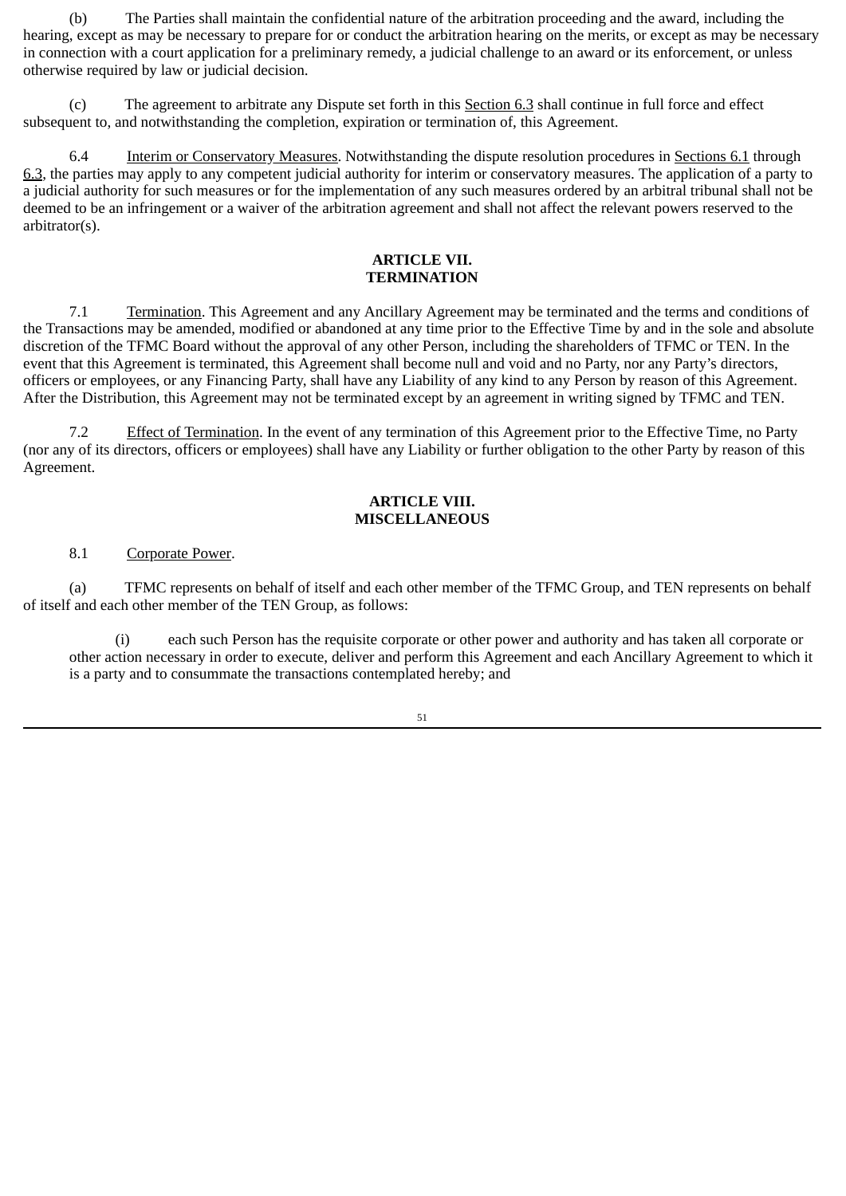(b) The Parties shall maintain the confidential nature of the arbitration proceeding and the award, including the hearing, except as may be necessary to prepare for or conduct the arbitration hearing on the merits, or except as may be necessary in connection with a court application for a preliminary remedy, a judicial challenge to an award or its enforcement, or unless otherwise required by law or judicial decision.

(c) The agreement to arbitrate any Dispute set forth in this Section 6.3 shall continue in full force and effect subsequent to, and notwithstanding the completion, expiration or termination of, this Agreement.

6.4 Interim or Conservatory Measures. Notwithstanding the dispute resolution procedures in Sections 6.1 through 6.3, the parties may apply to any competent judicial authority for interim or conservatory measures. The application of a party to a judicial authority for such measures or for the implementation of any such measures ordered by an arbitral tribunal shall not be deemed to be an infringement or a waiver of the arbitration agreement and shall not affect the relevant powers reserved to the arbitrator(s).

## **ARTICLE VII. TERMINATION**

7.1 Termination. This Agreement and any Ancillary Agreement may be terminated and the terms and conditions of the Transactions may be amended, modified or abandoned at any time prior to the Effective Time by and in the sole and absolute discretion of the TFMC Board without the approval of any other Person, including the shareholders of TFMC or TEN. In the event that this Agreement is terminated, this Agreement shall become null and void and no Party, nor any Party's directors, officers or employees, or any Financing Party, shall have any Liability of any kind to any Person by reason of this Agreement. After the Distribution, this Agreement may not be terminated except by an agreement in writing signed by TFMC and TEN.

7.2 Effect of Termination. In the event of any termination of this Agreement prior to the Effective Time, no Party (nor any of its directors, officers or employees) shall have any Liability or further obligation to the other Party by reason of this Agreement.

# **ARTICLE VIII. MISCELLANEOUS**

8.1 Corporate Power.

(a) TFMC represents on behalf of itself and each other member of the TFMC Group, and TEN represents on behalf of itself and each other member of the TEN Group, as follows:

(i) each such Person has the requisite corporate or other power and authority and has taken all corporate or other action necessary in order to execute, deliver and perform this Agreement and each Ancillary Agreement to which it is a party and to consummate the transactions contemplated hereby; and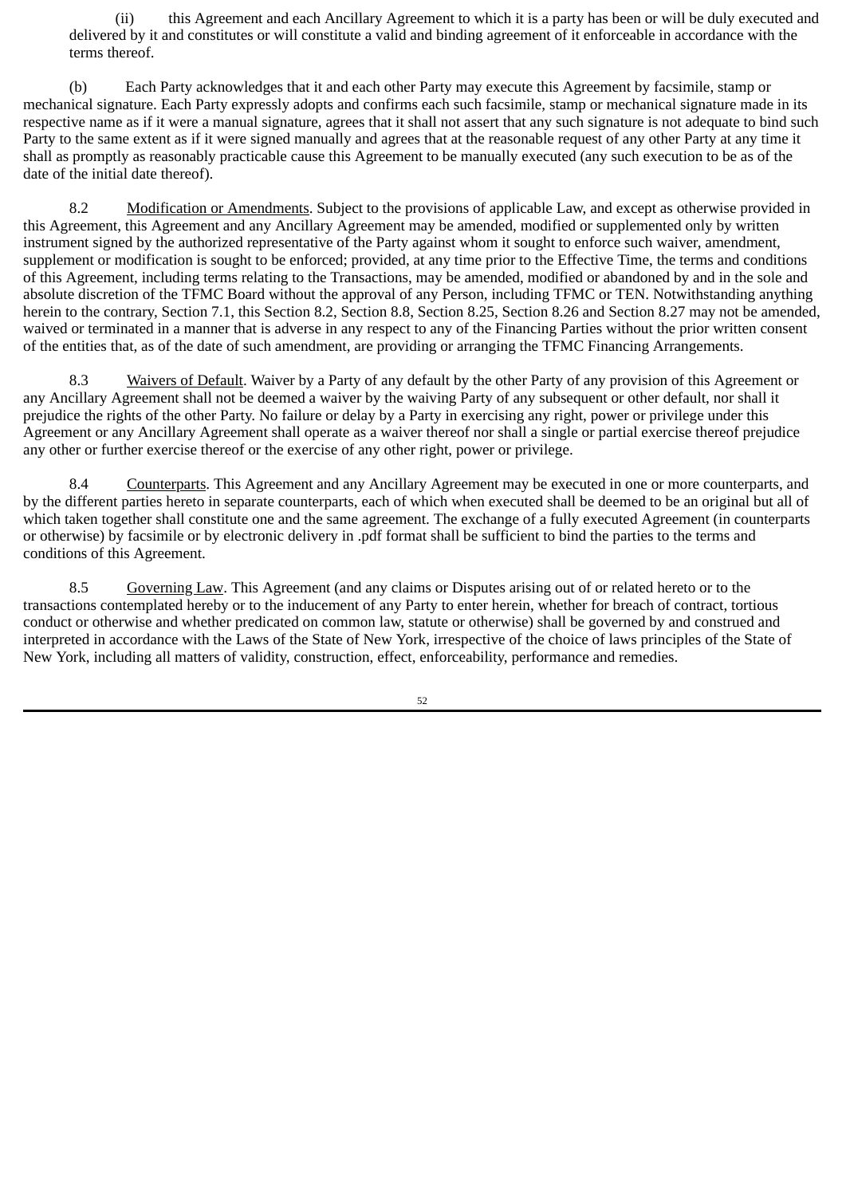(ii) this Agreement and each Ancillary Agreement to which it is a party has been or will be duly executed and delivered by it and constitutes or will constitute a valid and binding agreement of it enforceable in accordance with the terms thereof.

(b) Each Party acknowledges that it and each other Party may execute this Agreement by facsimile, stamp or mechanical signature. Each Party expressly adopts and confirms each such facsimile, stamp or mechanical signature made in its respective name as if it were a manual signature, agrees that it shall not assert that any such signature is not adequate to bind such Party to the same extent as if it were signed manually and agrees that at the reasonable request of any other Party at any time it shall as promptly as reasonably practicable cause this Agreement to be manually executed (any such execution to be as of the date of the initial date thereof).

8.2 Modification or Amendments. Subject to the provisions of applicable Law, and except as otherwise provided in this Agreement, this Agreement and any Ancillary Agreement may be amended, modified or supplemented only by written instrument signed by the authorized representative of the Party against whom it sought to enforce such waiver, amendment, supplement or modification is sought to be enforced; provided, at any time prior to the Effective Time, the terms and conditions of this Agreement, including terms relating to the Transactions, may be amended, modified or abandoned by and in the sole and absolute discretion of the TFMC Board without the approval of any Person, including TFMC or TEN. Notwithstanding anything herein to the contrary, Section 7.1, this Section 8.2, Section 8.8, Section 8.25, Section 8.26 and Section 8.27 may not be amended, waived or terminated in a manner that is adverse in any respect to any of the Financing Parties without the prior written consent of the entities that, as of the date of such amendment, are providing or arranging the TFMC Financing Arrangements.

8.3 Waivers of Default. Waiver by a Party of any default by the other Party of any provision of this Agreement or any Ancillary Agreement shall not be deemed a waiver by the waiving Party of any subsequent or other default, nor shall it prejudice the rights of the other Party. No failure or delay by a Party in exercising any right, power or privilege under this Agreement or any Ancillary Agreement shall operate as a waiver thereof nor shall a single or partial exercise thereof prejudice any other or further exercise thereof or the exercise of any other right, power or privilege.

8.4 Counterparts. This Agreement and any Ancillary Agreement may be executed in one or more counterparts, and by the different parties hereto in separate counterparts, each of which when executed shall be deemed to be an original but all of which taken together shall constitute one and the same agreement. The exchange of a fully executed Agreement (in counterparts or otherwise) by facsimile or by electronic delivery in .pdf format shall be sufficient to bind the parties to the terms and conditions of this Agreement.

8.5 Governing Law. This Agreement (and any claims or Disputes arising out of or related hereto or to the transactions contemplated hereby or to the inducement of any Party to enter herein, whether for breach of contract, tortious conduct or otherwise and whether predicated on common law, statute or otherwise) shall be governed by and construed and interpreted in accordance with the Laws of the State of New York, irrespective of the choice of laws principles of the State of New York, including all matters of validity, construction, effect, enforceability, performance and remedies.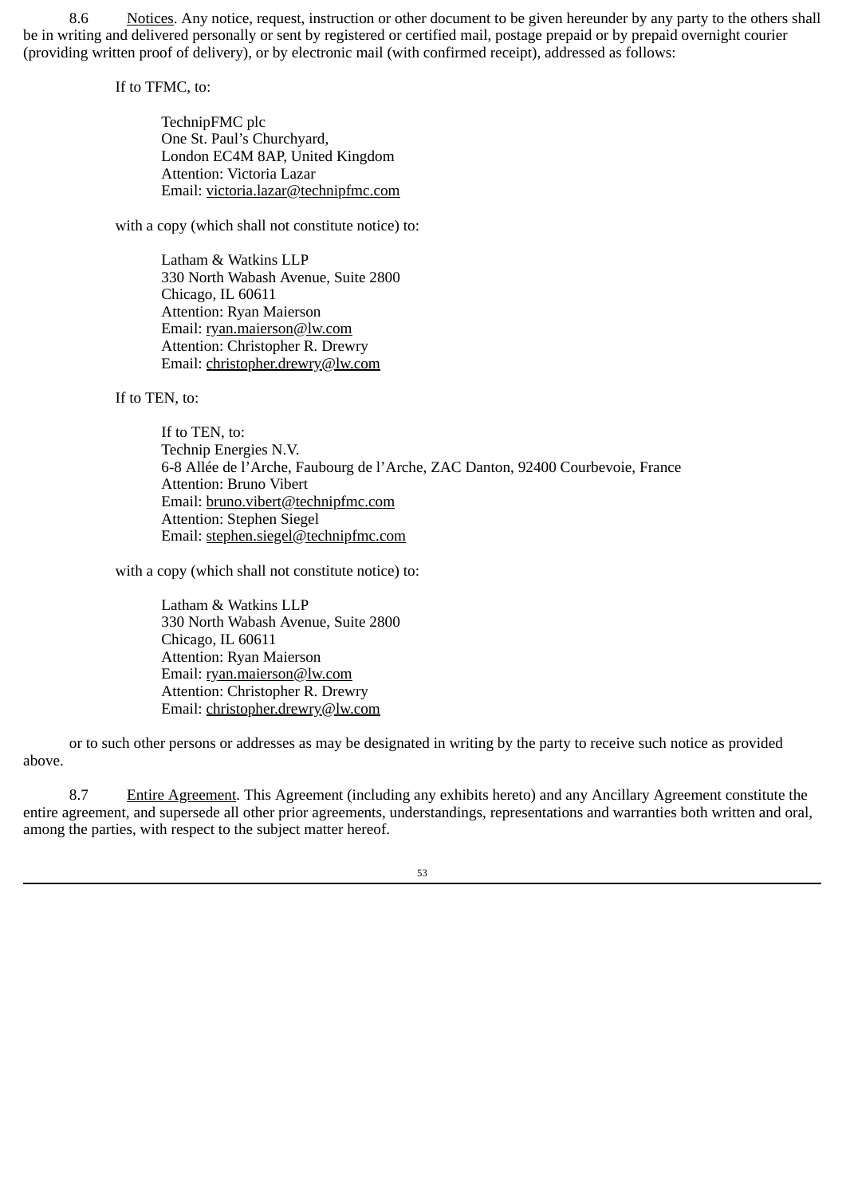8.6 Notices. Any notice, request, instruction or other document to be given hereunder by any party to the others shall be in writing and delivered personally or sent by registered or certified mail, postage prepaid or by prepaid overnight courier (providing written proof of delivery), or by electronic mail (with confirmed receipt), addressed as follows:

If to TFMC, to:

TechnipFMC plc One St. Paul's Churchyard, London EC4M 8AP, United Kingdom Attention: Victoria Lazar Email: victoria.lazar@technipfmc.com

with a copy (which shall not constitute notice) to:

Latham & Watkins LLP 330 North Wabash Avenue, Suite 2800 Chicago, IL 60611 Attention: Ryan Maierson Email: ryan.maierson@lw.com Attention: Christopher R. Drewry Email: christopher.drewry@lw.com

If to TEN, to:

If to TEN, to: Technip Energies N.V. 6-8 Allée de l'Arche, Faubourg de l'Arche, ZAC Danton, 92400 Courbevoie, France Attention: Bruno Vibert Email: bruno.vibert@technipfmc.com Attention: Stephen Siegel Email: stephen.siegel@technipfmc.com

with a copy (which shall not constitute notice) to:

Latham & Watkins LLP 330 North Wabash Avenue, Suite 2800 Chicago, IL 60611 Attention: Ryan Maierson Email: ryan.maierson@lw.com Attention: Christopher R. Drewry Email: christopher.drewry@lw.com

or to such other persons or addresses as may be designated in writing by the party to receive such notice as provided above.

8.7 Entire Agreement. This Agreement (including any exhibits hereto) and any Ancillary Agreement constitute the entire agreement, and supersede all other prior agreements, understandings, representations and warranties both written and oral, among the parties, with respect to the subject matter hereof.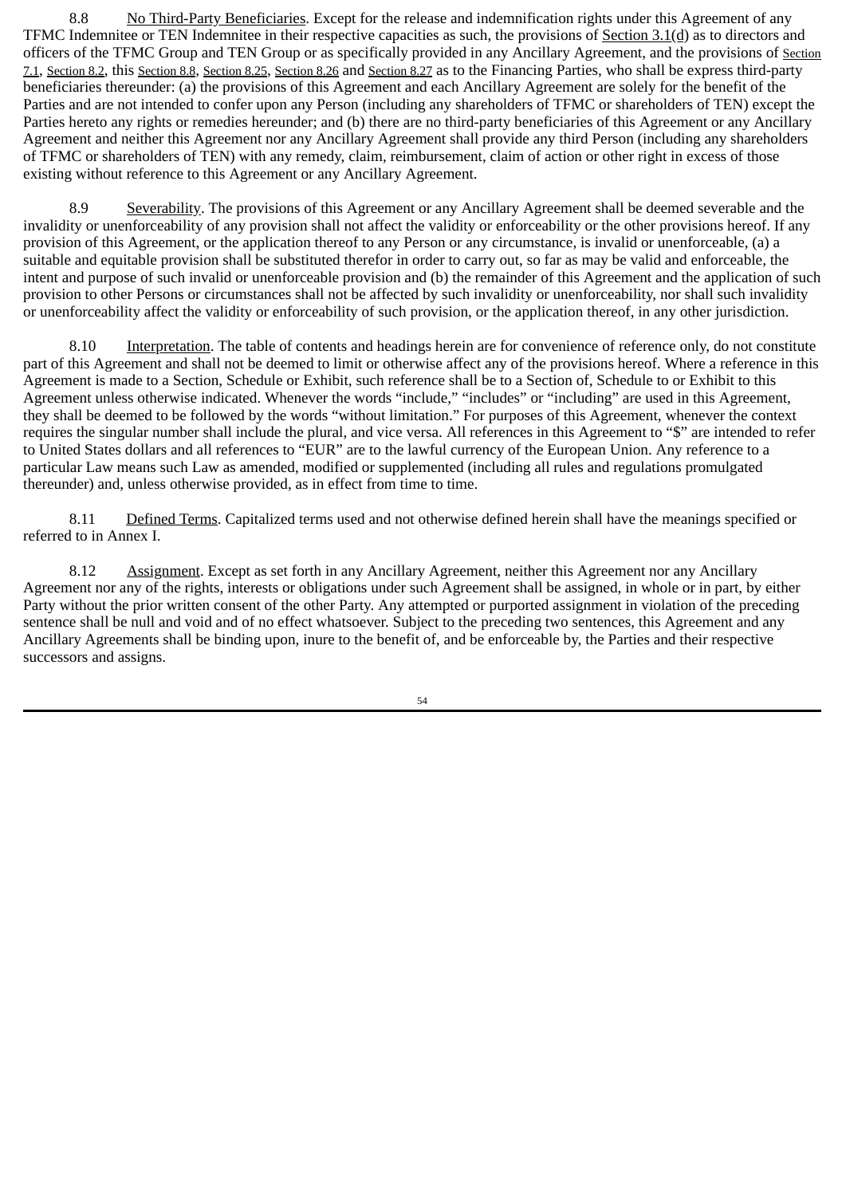8.8 No Third-Party Beneficiaries. Except for the release and indemnification rights under this Agreement of any TFMC Indemnitee or TEN Indemnitee in their respective capacities as such, the provisions of Section 3.1(d) as to directors and officers of the TFMC Group and TEN Group or as specifically provided in any Ancillary Agreement, and the provisions of Section 7.1, Section 8.2, this Section 8.8, Section 8.25, Section 8.26 and Section 8.27 as to the Financing Parties, who shall be express third-party beneficiaries thereunder: (a) the provisions of this Agreement and each Ancillary Agreement are solely for the benefit of the Parties and are not intended to confer upon any Person (including any shareholders of TFMC or shareholders of TEN) except the Parties hereto any rights or remedies hereunder; and (b) there are no third-party beneficiaries of this Agreement or any Ancillary Agreement and neither this Agreement nor any Ancillary Agreement shall provide any third Person (including any shareholders of TFMC or shareholders of TEN) with any remedy, claim, reimbursement, claim of action or other right in excess of those existing without reference to this Agreement or any Ancillary Agreement.

8.9 Severability. The provisions of this Agreement or any Ancillary Agreement shall be deemed severable and the invalidity or unenforceability of any provision shall not affect the validity or enforceability or the other provisions hereof. If any provision of this Agreement, or the application thereof to any Person or any circumstance, is invalid or unenforceable, (a) a suitable and equitable provision shall be substituted therefor in order to carry out, so far as may be valid and enforceable, the intent and purpose of such invalid or unenforceable provision and (b) the remainder of this Agreement and the application of such provision to other Persons or circumstances shall not be affected by such invalidity or unenforceability, nor shall such invalidity or unenforceability affect the validity or enforceability of such provision, or the application thereof, in any other jurisdiction.

8.10 Interpretation. The table of contents and headings herein are for convenience of reference only, do not constitute part of this Agreement and shall not be deemed to limit or otherwise affect any of the provisions hereof. Where a reference in this Agreement is made to a Section, Schedule or Exhibit, such reference shall be to a Section of, Schedule to or Exhibit to this Agreement unless otherwise indicated. Whenever the words "include," "includes" or "including" are used in this Agreement, they shall be deemed to be followed by the words "without limitation." For purposes of this Agreement, whenever the context requires the singular number shall include the plural, and vice versa. All references in this Agreement to "\$" are intended to refer to United States dollars and all references to "EUR" are to the lawful currency of the European Union. Any reference to a particular Law means such Law as amended, modified or supplemented (including all rules and regulations promulgated thereunder) and, unless otherwise provided, as in effect from time to time.

8.11 Defined Terms. Capitalized terms used and not otherwise defined herein shall have the meanings specified or referred to in Annex I.

8.12 Assignment. Except as set forth in any Ancillary Agreement, neither this Agreement nor any Ancillary Agreement nor any of the rights, interests or obligations under such Agreement shall be assigned, in whole or in part, by either Party without the prior written consent of the other Party. Any attempted or purported assignment in violation of the preceding sentence shall be null and void and of no effect whatsoever. Subject to the preceding two sentences, this Agreement and any Ancillary Agreements shall be binding upon, inure to the benefit of, and be enforceable by, the Parties and their respective successors and assigns.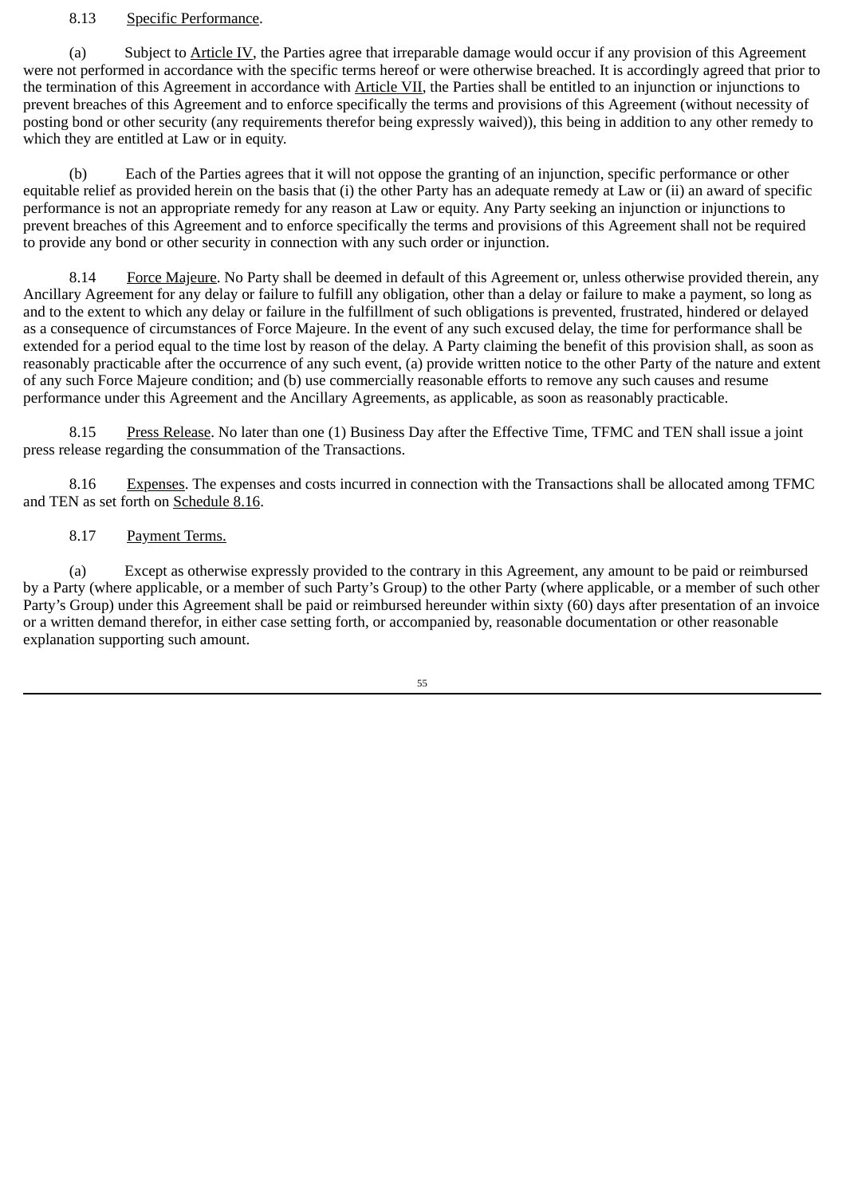## 8.13 Specific Performance.

(a) Subject to Article IV, the Parties agree that irreparable damage would occur if any provision of this Agreement were not performed in accordance with the specific terms hereof or were otherwise breached. It is accordingly agreed that prior to the termination of this Agreement in accordance with Article VII, the Parties shall be entitled to an injunction or injunctions to prevent breaches of this Agreement and to enforce specifically the terms and provisions of this Agreement (without necessity of posting bond or other security (any requirements therefor being expressly waived)), this being in addition to any other remedy to which they are entitled at Law or in equity.

(b) Each of the Parties agrees that it will not oppose the granting of an injunction, specific performance or other equitable relief as provided herein on the basis that (i) the other Party has an adequate remedy at Law or (ii) an award of specific performance is not an appropriate remedy for any reason at Law or equity. Any Party seeking an injunction or injunctions to prevent breaches of this Agreement and to enforce specifically the terms and provisions of this Agreement shall not be required to provide any bond or other security in connection with any such order or injunction.

8.14 Force Majeure. No Party shall be deemed in default of this Agreement or, unless otherwise provided therein, any Ancillary Agreement for any delay or failure to fulfill any obligation, other than a delay or failure to make a payment, so long as and to the extent to which any delay or failure in the fulfillment of such obligations is prevented, frustrated, hindered or delayed as a consequence of circumstances of Force Majeure. In the event of any such excused delay, the time for performance shall be extended for a period equal to the time lost by reason of the delay. A Party claiming the benefit of this provision shall, as soon as reasonably practicable after the occurrence of any such event, (a) provide written notice to the other Party of the nature and extent of any such Force Majeure condition; and (b) use commercially reasonable efforts to remove any such causes and resume performance under this Agreement and the Ancillary Agreements, as applicable, as soon as reasonably practicable.

8.15 Press Release. No later than one (1) Business Day after the Effective Time, TFMC and TEN shall issue a joint press release regarding the consummation of the Transactions.

8.16 Expenses. The expenses and costs incurred in connection with the Transactions shall be allocated among TFMC and TEN as set forth on Schedule 8.16.

# 8.17 Payment Terms.

(a) Except as otherwise expressly provided to the contrary in this Agreement, any amount to be paid or reimbursed by a Party (where applicable, or a member of such Party's Group) to the other Party (where applicable, or a member of such other Party's Group) under this Agreement shall be paid or reimbursed hereunder within sixty (60) days after presentation of an invoice or a written demand therefor, in either case setting forth, or accompanied by, reasonable documentation or other reasonable explanation supporting such amount.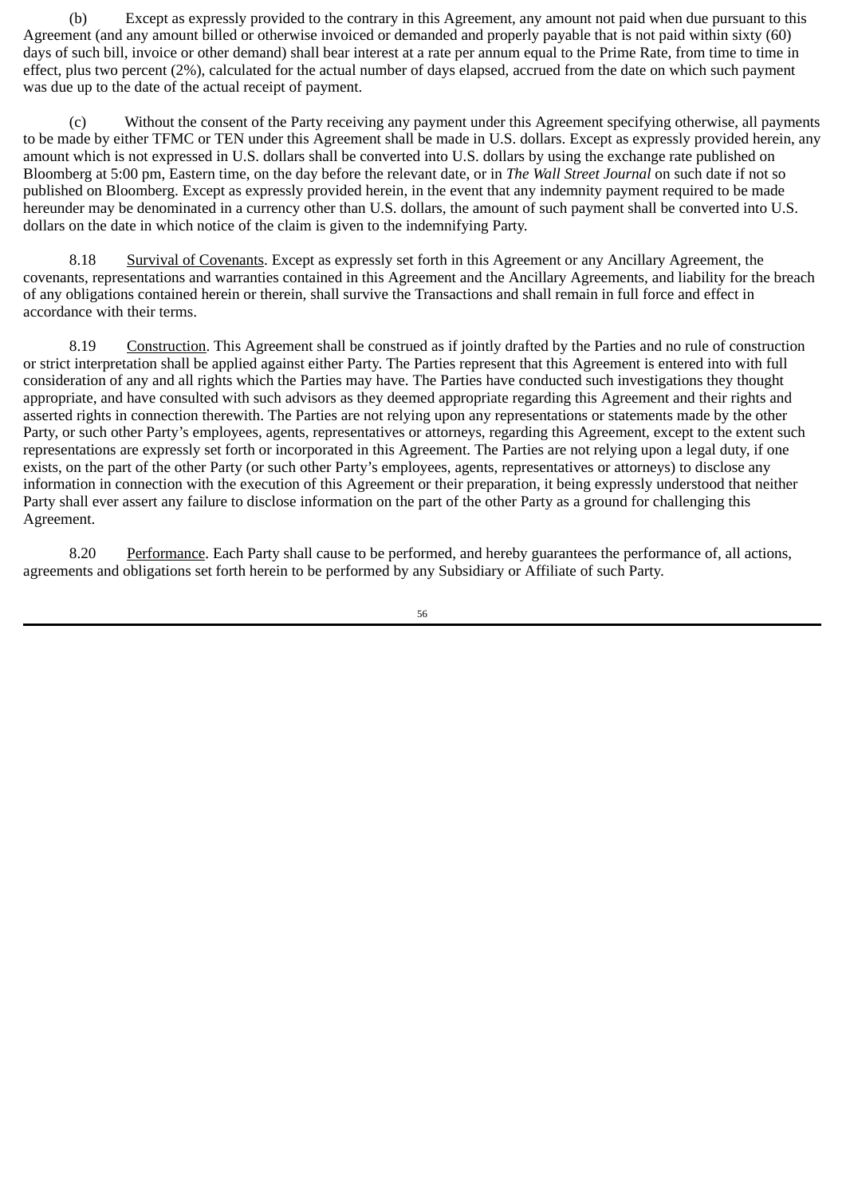(b) Except as expressly provided to the contrary in this Agreement, any amount not paid when due pursuant to this Agreement (and any amount billed or otherwise invoiced or demanded and properly payable that is not paid within sixty (60) days of such bill, invoice or other demand) shall bear interest at a rate per annum equal to the Prime Rate, from time to time in effect, plus two percent (2%), calculated for the actual number of days elapsed, accrued from the date on which such payment was due up to the date of the actual receipt of payment.

Without the consent of the Party receiving any payment under this Agreement specifying otherwise, all payments to be made by either TFMC or TEN under this Agreement shall be made in U.S. dollars. Except as expressly provided herein, any amount which is not expressed in U.S. dollars shall be converted into U.S. dollars by using the exchange rate published on Bloomberg at 5:00 pm, Eastern time, on the day before the relevant date, or in *The Wall Street Journal* on such date if not so published on Bloomberg. Except as expressly provided herein, in the event that any indemnity payment required to be made hereunder may be denominated in a currency other than U.S. dollars, the amount of such payment shall be converted into U.S. dollars on the date in which notice of the claim is given to the indemnifying Party.

8.18 Survival of Covenants. Except as expressly set forth in this Agreement or any Ancillary Agreement, the covenants, representations and warranties contained in this Agreement and the Ancillary Agreements, and liability for the breach of any obligations contained herein or therein, shall survive the Transactions and shall remain in full force and effect in accordance with their terms.

8.19 Construction. This Agreement shall be construed as if jointly drafted by the Parties and no rule of construction or strict interpretation shall be applied against either Party. The Parties represent that this Agreement is entered into with full consideration of any and all rights which the Parties may have. The Parties have conducted such investigations they thought appropriate, and have consulted with such advisors as they deemed appropriate regarding this Agreement and their rights and asserted rights in connection therewith. The Parties are not relying upon any representations or statements made by the other Party, or such other Party's employees, agents, representatives or attorneys, regarding this Agreement, except to the extent such representations are expressly set forth or incorporated in this Agreement. The Parties are not relying upon a legal duty, if one exists, on the part of the other Party (or such other Party's employees, agents, representatives or attorneys) to disclose any information in connection with the execution of this Agreement or their preparation, it being expressly understood that neither Party shall ever assert any failure to disclose information on the part of the other Party as a ground for challenging this Agreement.

8.20 Performance. Each Party shall cause to be performed, and hereby guarantees the performance of, all actions, agreements and obligations set forth herein to be performed by any Subsidiary or Affiliate of such Party.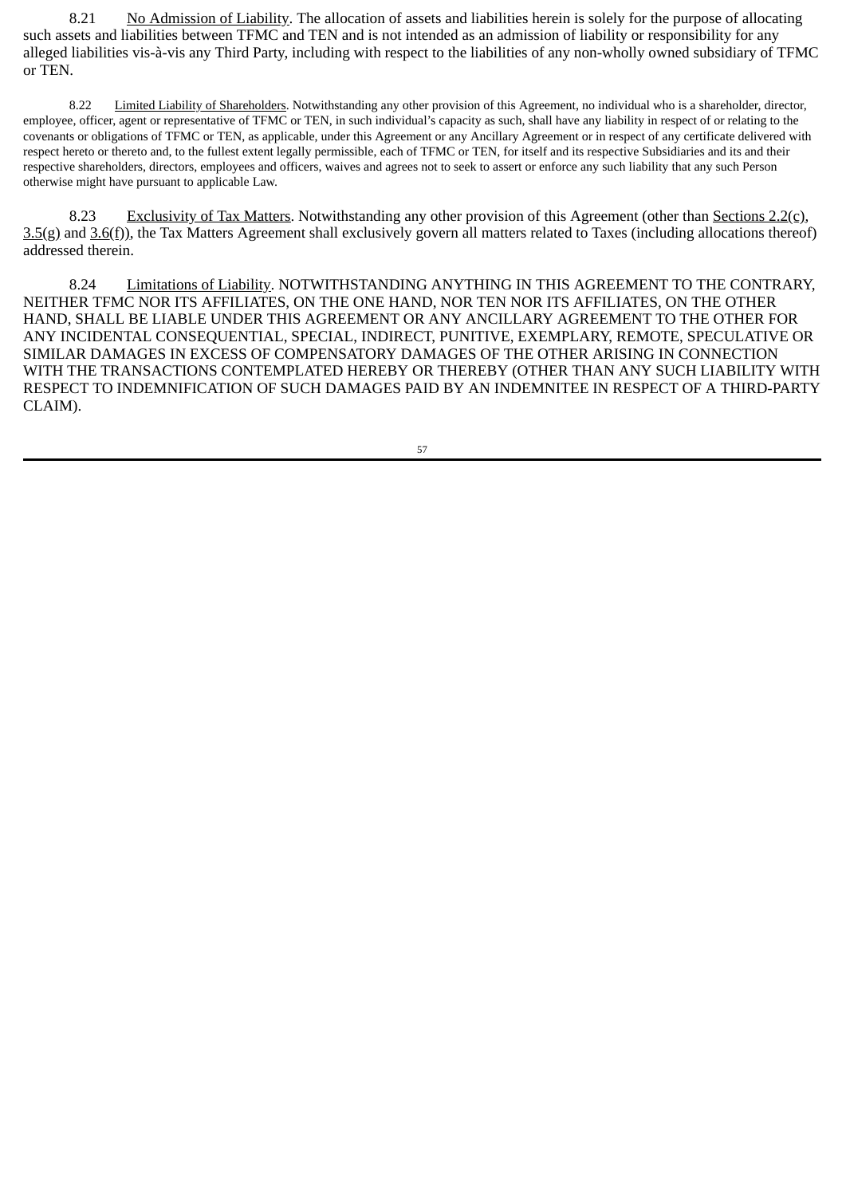8.21 No Admission of Liability. The allocation of assets and liabilities herein is solely for the purpose of allocating such assets and liabilities between TFMC and TEN and is not intended as an admission of liability or responsibility for any alleged liabilities vis-à-vis any Third Party, including with respect to the liabilities of any non-wholly owned subsidiary of TFMC or TEN.

8.22 Limited Liability of Shareholders. Notwithstanding any other provision of this Agreement, no individual who is a shareholder, director, employee, officer, agent or representative of TFMC or TEN, in such individual's capacity as such, shall have any liability in respect of or relating to the covenants or obligations of TFMC or TEN, as applicable, under this Agreement or any Ancillary Agreement or in respect of any certificate delivered with respect hereto or thereto and, to the fullest extent legally permissible, each of TFMC or TEN, for itself and its respective Subsidiaries and its and their respective shareholders, directors, employees and officers, waives and agrees not to seek to assert or enforce any such liability that any such Person otherwise might have pursuant to applicable Law.

8.23 Exclusivity of Tax Matters. Notwithstanding any other provision of this Agreement (other than Sections 2.2(c), 3.5(g) and 3.6(f)), the Tax Matters Agreement shall exclusively govern all matters related to Taxes (including allocations thereof) addressed therein.

8.24 Limitations of Liability. NOTWITHSTANDING ANYTHING IN THIS AGREEMENT TO THE CONTRARY, NEITHER TFMC NOR ITS AFFILIATES, ON THE ONE HAND, NOR TEN NOR ITS AFFILIATES, ON THE OTHER HAND, SHALL BE LIABLE UNDER THIS AGREEMENT OR ANY ANCILLARY AGREEMENT TO THE OTHER FOR ANY INCIDENTAL CONSEQUENTIAL, SPECIAL, INDIRECT, PUNITIVE, EXEMPLARY, REMOTE, SPECULATIVE OR SIMILAR DAMAGES IN EXCESS OF COMPENSATORY DAMAGES OF THE OTHER ARISING IN CONNECTION WITH THE TRANSACTIONS CONTEMPLATED HEREBY OR THEREBY (OTHER THAN ANY SUCH LIABILITY WITH RESPECT TO INDEMNIFICATION OF SUCH DAMAGES PAID BY AN INDEMNITEE IN RESPECT OF A THIRD-PARTY CLAIM).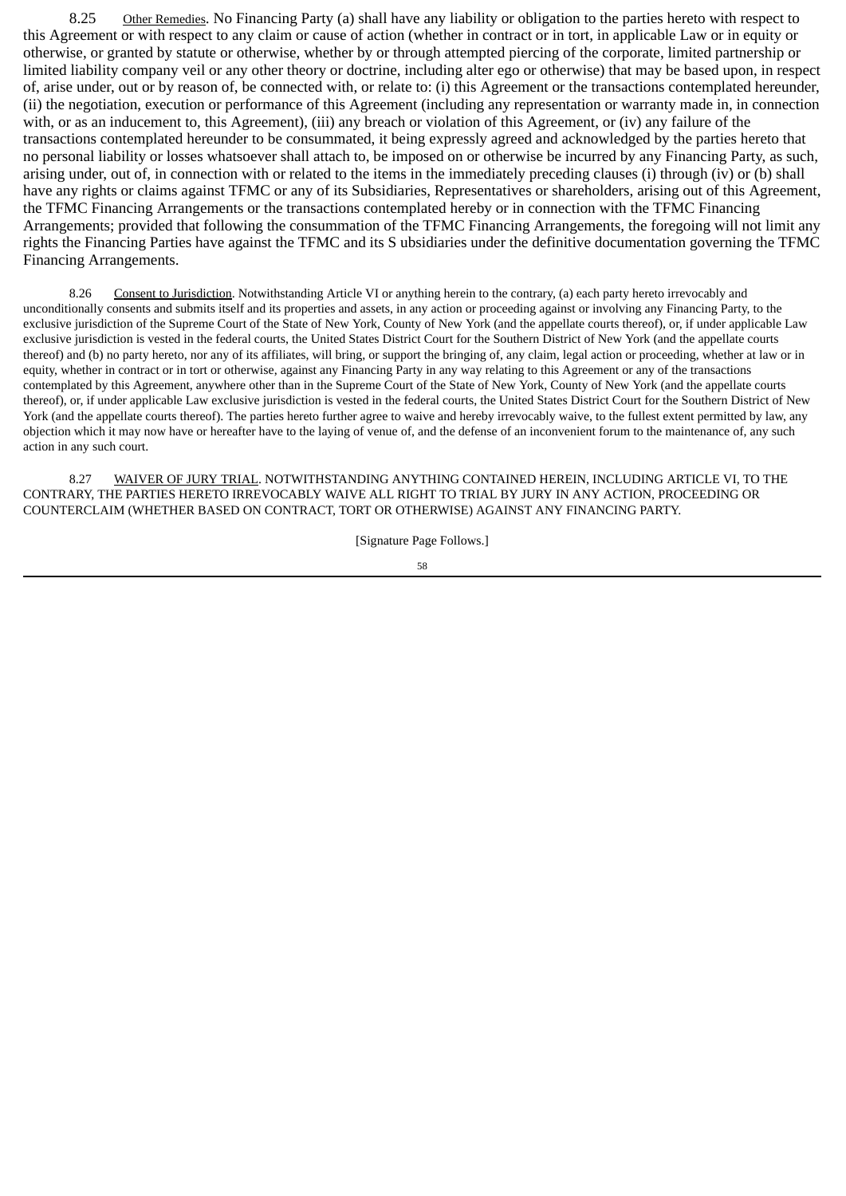8.25 Other Remedies. No Financing Party (a) shall have any liability or obligation to the parties hereto with respect to this Agreement or with respect to any claim or cause of action (whether in contract or in tort, in applicable Law or in equity or otherwise, or granted by statute or otherwise, whether by or through attempted piercing of the corporate, limited partnership or limited liability company veil or any other theory or doctrine, including alter ego or otherwise) that may be based upon, in respect of, arise under, out or by reason of, be connected with, or relate to: (i) this Agreement or the transactions contemplated hereunder, (ii) the negotiation, execution or performance of this Agreement (including any representation or warranty made in, in connection with, or as an inducement to, this Agreement), (iii) any breach or violation of this Agreement, or (iv) any failure of the transactions contemplated hereunder to be consummated, it being expressly agreed and acknowledged by the parties hereto that no personal liability or losses whatsoever shall attach to, be imposed on or otherwise be incurred by any Financing Party, as such, arising under, out of, in connection with or related to the items in the immediately preceding clauses (i) through (iv) or (b) shall have any rights or claims against TFMC or any of its Subsidiaries, Representatives or shareholders, arising out of this Agreement, the TFMC Financing Arrangements or the transactions contemplated hereby or in connection with the TFMC Financing Arrangements; provided that following the consummation of the TFMC Financing Arrangements, the foregoing will not limit any rights the Financing Parties have against the TFMC and its S ubsidiaries under the definitive documentation governing the TFMC Financing Arrangements.

8.26 Consent to Jurisdiction. Notwithstanding Article VI or anything herein to the contrary, (a) each party hereto irrevocably and unconditionally consents and submits itself and its properties and assets, in any action or proceeding against or involving any Financing Party, to the exclusive jurisdiction of the Supreme Court of the State of New York, County of New York (and the appellate courts thereof), or, if under applicable Law exclusive jurisdiction is vested in the federal courts, the United States District Court for the Southern District of New York (and the appellate courts thereof) and (b) no party hereto, nor any of its affiliates, will bring, or support the bringing of, any claim, legal action or proceeding, whether at law or in equity, whether in contract or in tort or otherwise, against any Financing Party in any way relating to this Agreement or any of the transactions contemplated by this Agreement, anywhere other than in the Supreme Court of the State of New York, County of New York (and the appellate courts thereof), or, if under applicable Law exclusive jurisdiction is vested in the federal courts, the United States District Court for the Southern District of New York (and the appellate courts thereof). The parties hereto further agree to waive and hereby irrevocably waive, to the fullest extent permitted by law, any objection which it may now have or hereafter have to the laying of venue of, and the defense of an inconvenient forum to the maintenance of, any such action in any such court.

8.27 WAIVER OF JURY TRIAL. NOTWITHSTANDING ANYTHING CONTAINED HEREIN, INCLUDING ARTICLE VI, TO THE CONTRARY, THE PARTIES HERETO IRREVOCABLY WAIVE ALL RIGHT TO TRIAL BY JURY IN ANY ACTION, PROCEEDING OR COUNTERCLAIM (WHETHER BASED ON CONTRACT, TORT OR OTHERWISE) AGAINST ANY FINANCING PARTY.

[Signature Page Follows.]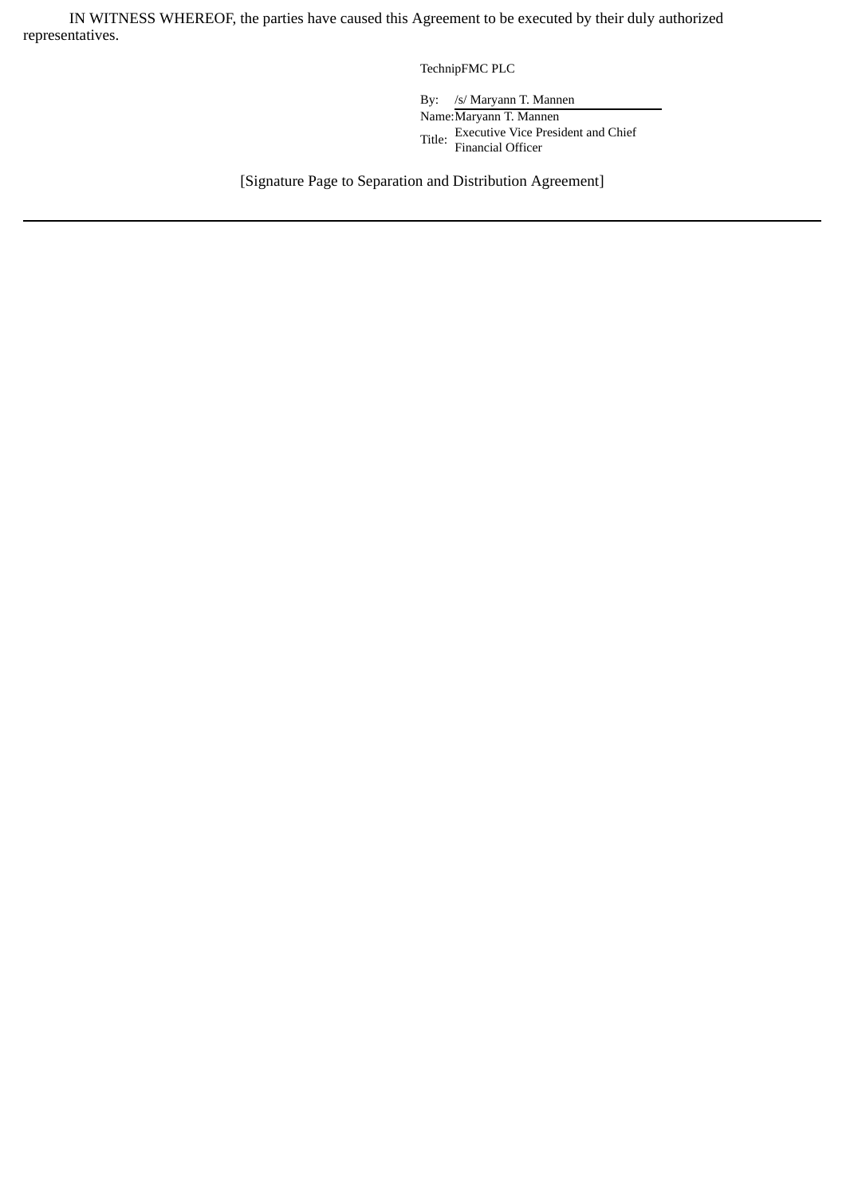IN WITNESS WHEREOF, the parties have caused this Agreement to be executed by their duly authorized representatives.

TechnipFMC PLC

By: /s/ Maryann T. Mannen

Name: Maryann T. Mannen Title: Executive Vice President and Chief Financial Officer

[Signature Page to Separation and Distribution Agreement]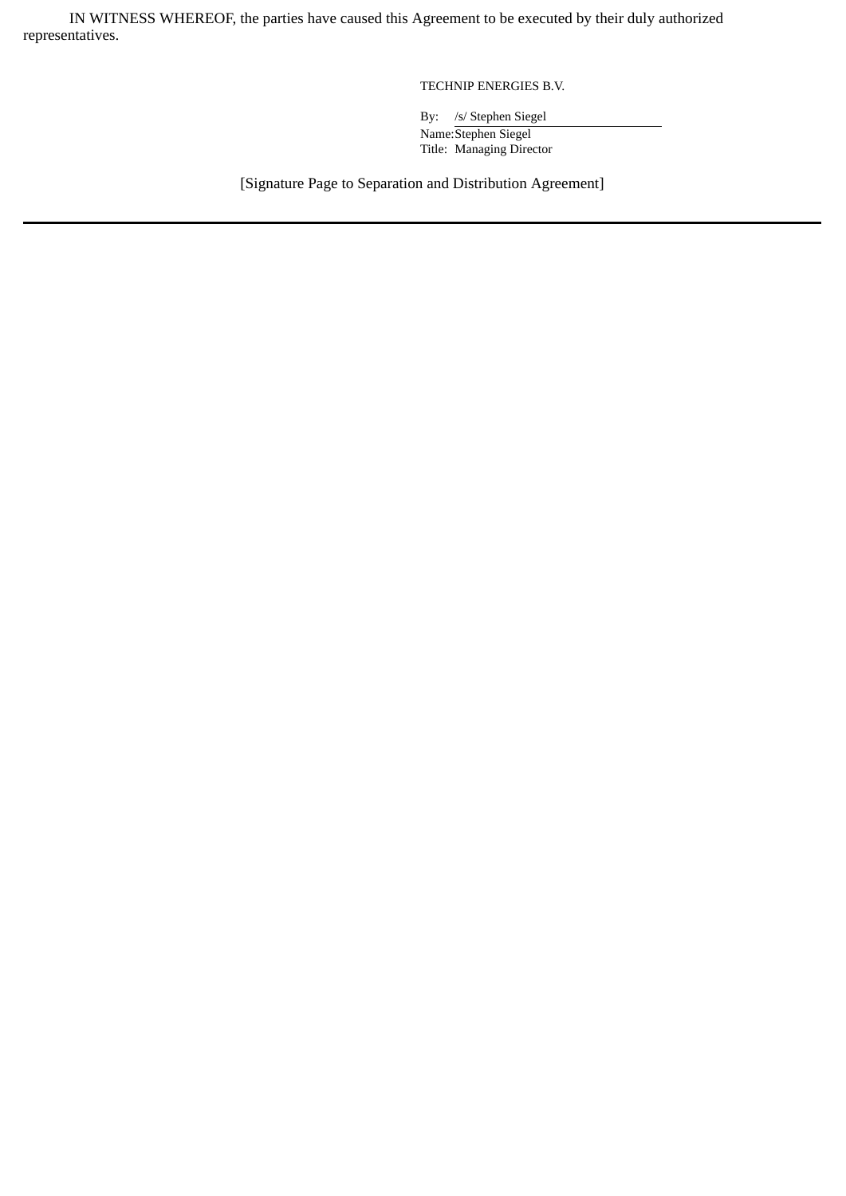IN WITNESS WHEREOF, the parties have caused this Agreement to be executed by their duly authorized representatives.

TECHNIP ENERGIES B.V.

By: /s/ Stephen Siegel Name:Stephen Siegel Title: Managing Director

[Signature Page to Separation and Distribution Agreement]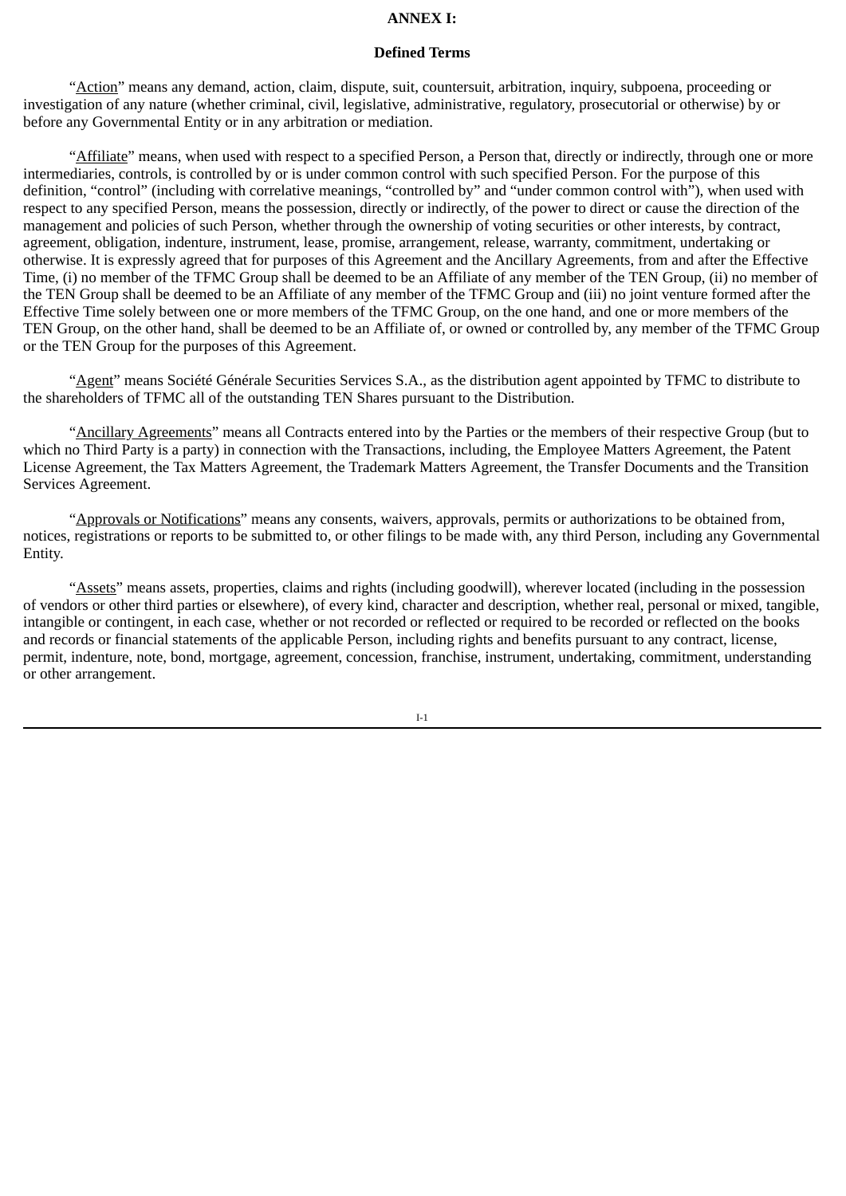#### **ANNEX I:**

#### **Defined Terms**

"Action" means any demand, action, claim, dispute, suit, countersuit, arbitration, inquiry, subpoena, proceeding or investigation of any nature (whether criminal, civil, legislative, administrative, regulatory, prosecutorial or otherwise) by or before any Governmental Entity or in any arbitration or mediation.

"Affiliate" means, when used with respect to a specified Person, a Person that, directly or indirectly, through one or more intermediaries, controls, is controlled by or is under common control with such specified Person. For the purpose of this definition, "control" (including with correlative meanings, "controlled by" and "under common control with"), when used with respect to any specified Person, means the possession, directly or indirectly, of the power to direct or cause the direction of the management and policies of such Person, whether through the ownership of voting securities or other interests, by contract, agreement, obligation, indenture, instrument, lease, promise, arrangement, release, warranty, commitment, undertaking or otherwise. It is expressly agreed that for purposes of this Agreement and the Ancillary Agreements, from and after the Effective Time, (i) no member of the TFMC Group shall be deemed to be an Affiliate of any member of the TEN Group, (ii) no member of the TEN Group shall be deemed to be an Affiliate of any member of the TFMC Group and (iii) no joint venture formed after the Effective Time solely between one or more members of the TFMC Group, on the one hand, and one or more members of the TEN Group, on the other hand, shall be deemed to be an Affiliate of, or owned or controlled by, any member of the TFMC Group or the TEN Group for the purposes of this Agreement.

"Agent" means Société Générale Securities Services S.A., as the distribution agent appointed by TFMC to distribute to the shareholders of TFMC all of the outstanding TEN Shares pursuant to the Distribution.

"Ancillary Agreements" means all Contracts entered into by the Parties or the members of their respective Group (but to which no Third Party is a party) in connection with the Transactions, including, the Employee Matters Agreement, the Patent License Agreement, the Tax Matters Agreement, the Trademark Matters Agreement, the Transfer Documents and the Transition Services Agreement.

"Approvals or Notifications" means any consents, waivers, approvals, permits or authorizations to be obtained from, notices, registrations or reports to be submitted to, or other filings to be made with, any third Person, including any Governmental Entity.

"Assets" means assets, properties, claims and rights (including goodwill), wherever located (including in the possession of vendors or other third parties or elsewhere), of every kind, character and description, whether real, personal or mixed, tangible, intangible or contingent, in each case, whether or not recorded or reflected or required to be recorded or reflected on the books and records or financial statements of the applicable Person, including rights and benefits pursuant to any contract, license, permit, indenture, note, bond, mortgage, agreement, concession, franchise, instrument, undertaking, commitment, understanding or other arrangement.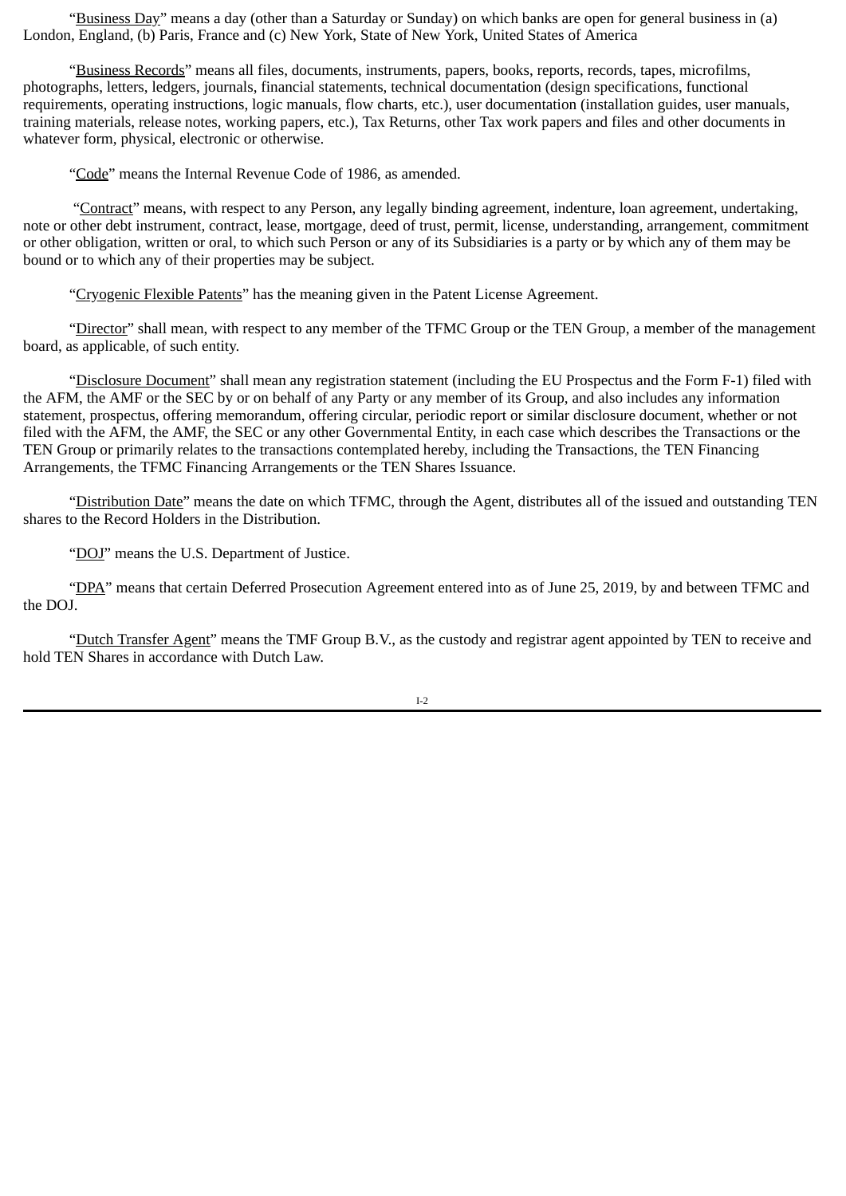"Business Day" means a day (other than a Saturday or Sunday) on which banks are open for general business in (a) London, England, (b) Paris, France and (c) New York, State of New York, United States of America

"Business Records" means all files, documents, instruments, papers, books, reports, records, tapes, microfilms, photographs, letters, ledgers, journals, financial statements, technical documentation (design specifications, functional requirements, operating instructions, logic manuals, flow charts, etc.), user documentation (installation guides, user manuals, training materials, release notes, working papers, etc.), Tax Returns, other Tax work papers and files and other documents in whatever form, physical, electronic or otherwise.

"Code" means the Internal Revenue Code of 1986, as amended.

 "Contract" means, with respect to any Person, any legally binding agreement, indenture, loan agreement, undertaking, note or other debt instrument, contract, lease, mortgage, deed of trust, permit, license, understanding, arrangement, commitment or other obligation, written or oral, to which such Person or any of its Subsidiaries is a party or by which any of them may be bound or to which any of their properties may be subject.

"Cryogenic Flexible Patents" has the meaning given in the Patent License Agreement.

"Director" shall mean, with respect to any member of the TFMC Group or the TEN Group, a member of the management board, as applicable, of such entity.

"Disclosure Document" shall mean any registration statement (including the EU Prospectus and the Form F-1) filed with the AFM, the AMF or the SEC by or on behalf of any Party or any member of its Group, and also includes any information statement, prospectus, offering memorandum, offering circular, periodic report or similar disclosure document, whether or not filed with the AFM, the AMF, the SEC or any other Governmental Entity, in each case which describes the Transactions or the TEN Group or primarily relates to the transactions contemplated hereby, including the Transactions, the TEN Financing Arrangements, the TFMC Financing Arrangements or the TEN Shares Issuance.

"Distribution Date" means the date on which TFMC, through the Agent, distributes all of the issued and outstanding TEN shares to the Record Holders in the Distribution.

"DOJ" means the U.S. Department of Justice.

"DPA" means that certain Deferred Prosecution Agreement entered into as of June 25, 2019, by and between TFMC and the DOJ.

"Dutch Transfer Agent" means the TMF Group B.V., as the custody and registrar agent appointed by TEN to receive and hold TEN Shares in accordance with Dutch Law.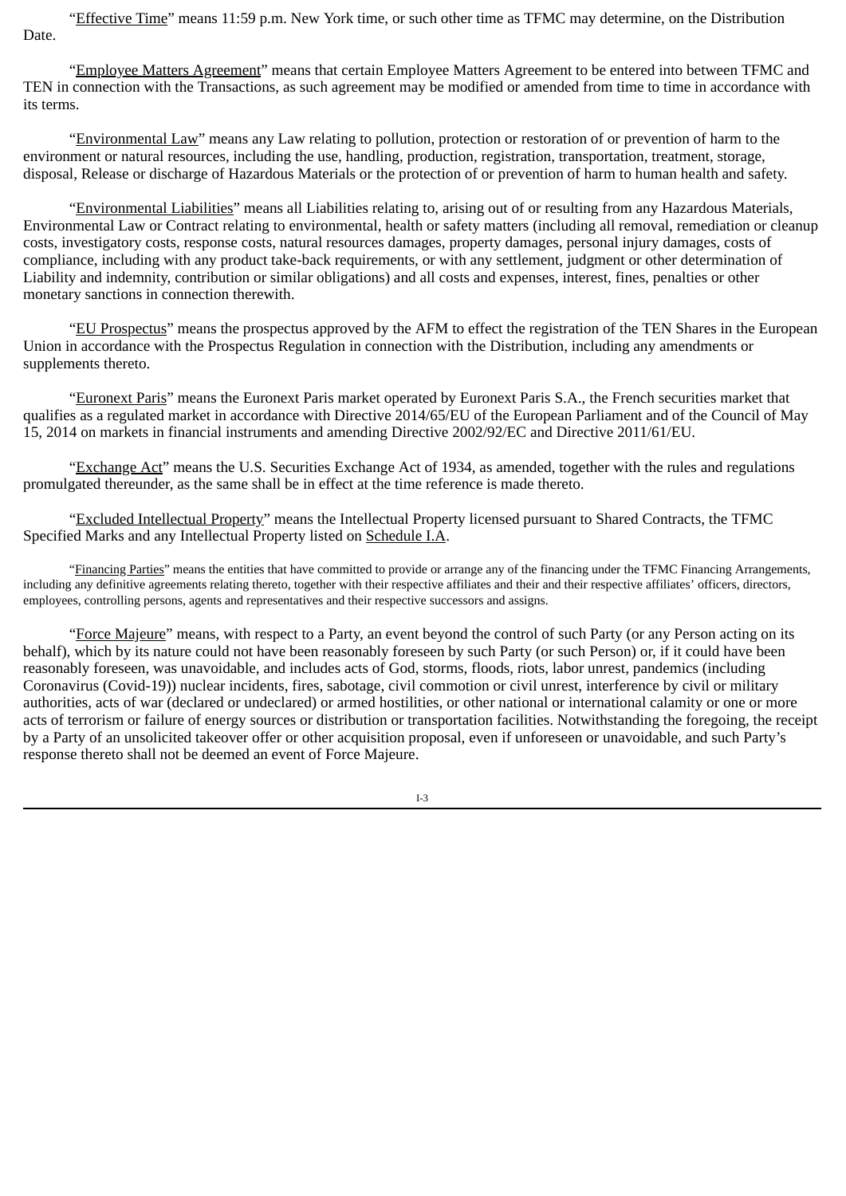"Effective Time" means 11:59 p.m. New York time, or such other time as TFMC may determine, on the Distribution Date.

"Employee Matters Agreement" means that certain Employee Matters Agreement to be entered into between TFMC and TEN in connection with the Transactions, as such agreement may be modified or amended from time to time in accordance with its terms.

"Environmental Law" means any Law relating to pollution, protection or restoration of or prevention of harm to the environment or natural resources, including the use, handling, production, registration, transportation, treatment, storage, disposal, Release or discharge of Hazardous Materials or the protection of or prevention of harm to human health and safety.

"Environmental Liabilities" means all Liabilities relating to, arising out of or resulting from any Hazardous Materials, Environmental Law or Contract relating to environmental, health or safety matters (including all removal, remediation or cleanup costs, investigatory costs, response costs, natural resources damages, property damages, personal injury damages, costs of compliance, including with any product take-back requirements, or with any settlement, judgment or other determination of Liability and indemnity, contribution or similar obligations) and all costs and expenses, interest, fines, penalties or other monetary sanctions in connection therewith.

"EU Prospectus" means the prospectus approved by the AFM to effect the registration of the TEN Shares in the European Union in accordance with the Prospectus Regulation in connection with the Distribution, including any amendments or supplements thereto.

"Euronext Paris" means the Euronext Paris market operated by Euronext Paris S.A., the French securities market that qualifies as a regulated market in accordance with Directive 2014/65/EU of the European Parliament and of the Council of May 15, 2014 on markets in financial instruments and amending Directive 2002/92/EC and Directive 2011/61/EU.

"Exchange Act" means the U.S. Securities Exchange Act of 1934, as amended, together with the rules and regulations promulgated thereunder, as the same shall be in effect at the time reference is made thereto.

"Excluded Intellectual Property" means the Intellectual Property licensed pursuant to Shared Contracts, the TFMC Specified Marks and any Intellectual Property listed on Schedule I.A.

"Financing Parties" means the entities that have committed to provide or arrange any of the financing under the TFMC Financing Arrangements, including any definitive agreements relating thereto, together with their respective affiliates and their and their respective affiliates' officers, directors, employees, controlling persons, agents and representatives and their respective successors and assigns.

"Force Majeure" means, with respect to a Party, an event beyond the control of such Party (or any Person acting on its behalf), which by its nature could not have been reasonably foreseen by such Party (or such Person) or, if it could have been reasonably foreseen, was unavoidable, and includes acts of God, storms, floods, riots, labor unrest, pandemics (including Coronavirus (Covid-19)) nuclear incidents, fires, sabotage, civil commotion or civil unrest, interference by civil or military authorities, acts of war (declared or undeclared) or armed hostilities, or other national or international calamity or one or more acts of terrorism or failure of energy sources or distribution or transportation facilities. Notwithstanding the foregoing, the receipt by a Party of an unsolicited takeover offer or other acquisition proposal, even if unforeseen or unavoidable, and such Party's response thereto shall not be deemed an event of Force Majeure.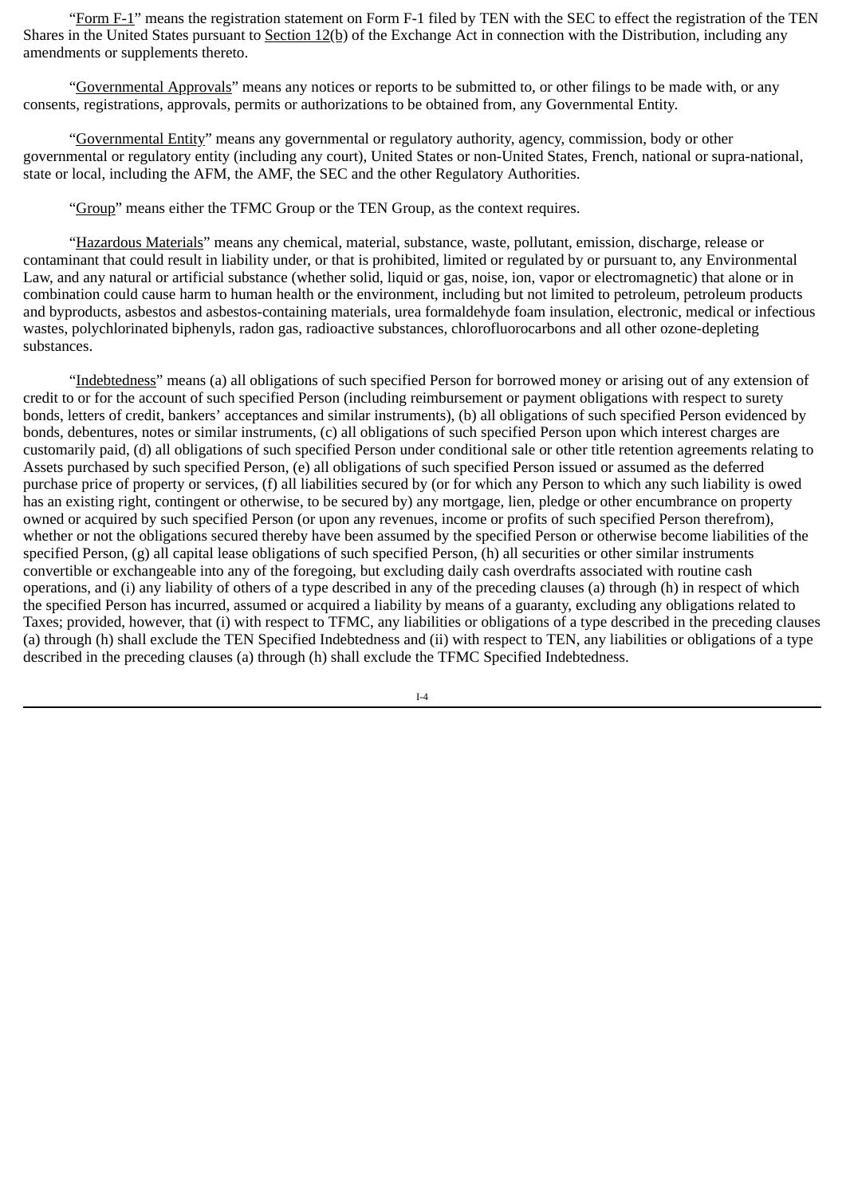"Form F-1" means the registration statement on Form F-1 filed by TEN with the SEC to effect the registration of the TEN Shares in the United States pursuant to Section 12(b) of the Exchange Act in connection with the Distribution, including any amendments or supplements thereto.

"Governmental Approvals" means any notices or reports to be submitted to, or other filings to be made with, or any consents, registrations, approvals, permits or authorizations to be obtained from, any Governmental Entity.

"Governmental Entity" means any governmental or regulatory authority, agency, commission, body or other governmental or regulatory entity (including any court), United States or non-United States, French, national or supra-national, state or local, including the AFM, the AMF, the SEC and the other Regulatory Authorities.

"Group" means either the TFMC Group or the TEN Group, as the context requires.

"Hazardous Materials" means any chemical, material, substance, waste, pollutant, emission, discharge, release or contaminant that could result in liability under, or that is prohibited, limited or regulated by or pursuant to, any Environmental Law, and any natural or artificial substance (whether solid, liquid or gas, noise, ion, vapor or electromagnetic) that alone or in combination could cause harm to human health or the environment, including but not limited to petroleum, petroleum products and byproducts, asbestos and asbestos-containing materials, urea formaldehyde foam insulation, electronic, medical or infectious wastes, polychlorinated biphenyls, radon gas, radioactive substances, chlorofluorocarbons and all other ozone-depleting substances.

"Indebtedness" means (a) all obligations of such specified Person for borrowed money or arising out of any extension of credit to or for the account of such specified Person (including reimbursement or payment obligations with respect to surety bonds, letters of credit, bankers' acceptances and similar instruments), (b) all obligations of such specified Person evidenced by bonds, debentures, notes or similar instruments, (c) all obligations of such specified Person upon which interest charges are customarily paid, (d) all obligations of such specified Person under conditional sale or other title retention agreements relating to Assets purchased by such specified Person, (e) all obligations of such specified Person issued or assumed as the deferred purchase price of property or services, (f) all liabilities secured by (or for which any Person to which any such liability is owed has an existing right, contingent or otherwise, to be secured by) any mortgage, lien, pledge or other encumbrance on property owned or acquired by such specified Person (or upon any revenues, income or profits of such specified Person therefrom), whether or not the obligations secured thereby have been assumed by the specified Person or otherwise become liabilities of the specified Person, (g) all capital lease obligations of such specified Person, (h) all securities or other similar instruments convertible or exchangeable into any of the foregoing, but excluding daily cash overdrafts associated with routine cash operations, and (i) any liability of others of a type described in any of the preceding clauses (a) through (h) in respect of which the specified Person has incurred, assumed or acquired a liability by means of a guaranty, excluding any obligations related to Taxes; provided, however, that (i) with respect to TFMC, any liabilities or obligations of a type described in the preceding clauses (a) through (h) shall exclude the TEN Specified Indebtedness and (ii) with respect to TEN, any liabilities or obligations of a type described in the preceding clauses (a) through (h) shall exclude the TFMC Specified Indebtedness.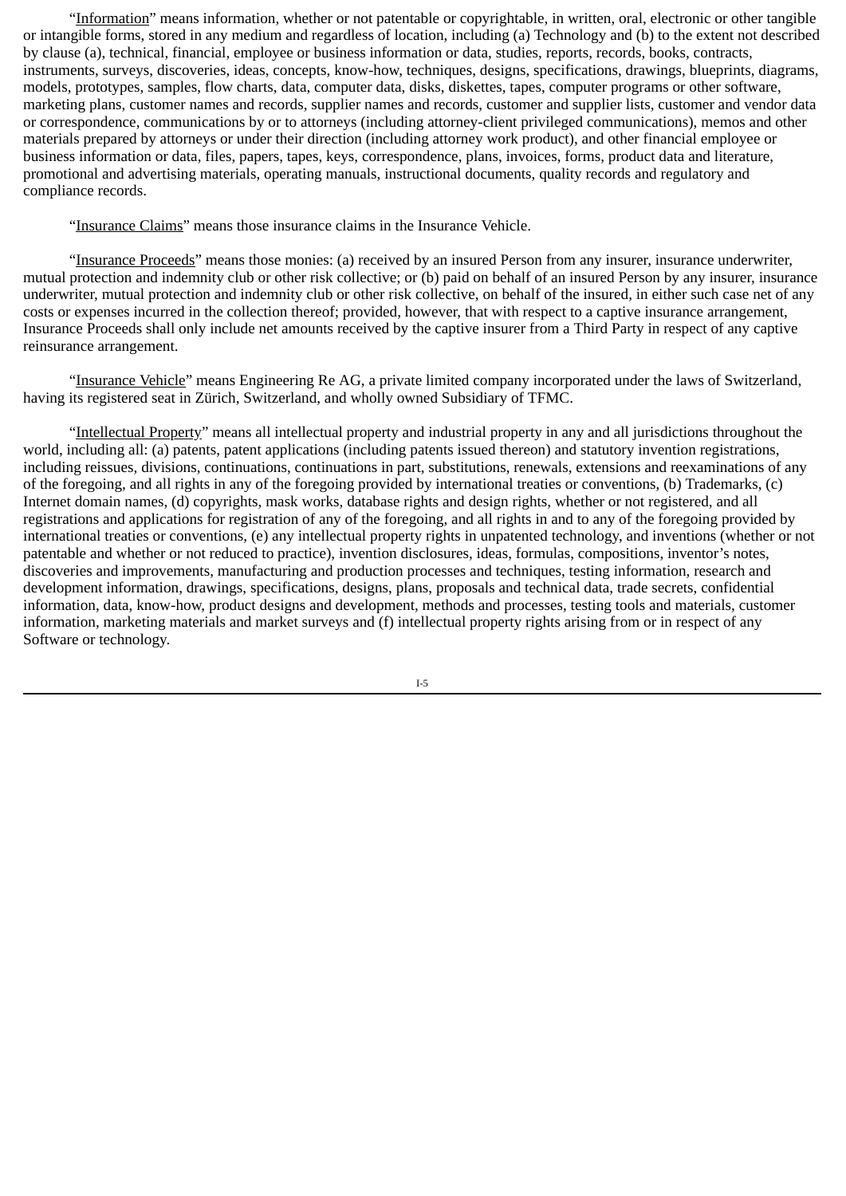"Information" means information, whether or not patentable or copyrightable, in written, oral, electronic or other tangible or intangible forms, stored in any medium and regardless of location, including (a) Technology and (b) to the extent not described by clause (a), technical, financial, employee or business information or data, studies, reports, records, books, contracts, instruments, surveys, discoveries, ideas, concepts, know-how, techniques, designs, specifications, drawings, blueprints, diagrams, models, prototypes, samples, flow charts, data, computer data, disks, diskettes, tapes, computer programs or other software, marketing plans, customer names and records, supplier names and records, customer and supplier lists, customer and vendor data or correspondence, communications by or to attorneys (including attorney-client privileged communications), memos and other materials prepared by attorneys or under their direction (including attorney work product), and other financial employee or business information or data, files, papers, tapes, keys, correspondence, plans, invoices, forms, product data and literature, promotional and advertising materials, operating manuals, instructional documents, quality records and regulatory and compliance records.

"Insurance Claims" means those insurance claims in the Insurance Vehicle.

"Insurance Proceeds" means those monies: (a) received by an insured Person from any insurer, insurance underwriter, mutual protection and indemnity club or other risk collective; or (b) paid on behalf of an insured Person by any insurer, insurance underwriter, mutual protection and indemnity club or other risk collective, on behalf of the insured, in either such case net of any costs or expenses incurred in the collection thereof; provided, however, that with respect to a captive insurance arrangement, Insurance Proceeds shall only include net amounts received by the captive insurer from a Third Party in respect of any captive reinsurance arrangement.

"Insurance Vehicle" means Engineering Re AG, a private limited company incorporated under the laws of Switzerland, having its registered seat in Zürich, Switzerland, and wholly owned Subsidiary of TFMC.

"Intellectual Property" means all intellectual property and industrial property in any and all jurisdictions throughout the world, including all: (a) patents, patent applications (including patents issued thereon) and statutory invention registrations, including reissues, divisions, continuations, continuations in part, substitutions, renewals, extensions and reexaminations of any of the foregoing, and all rights in any of the foregoing provided by international treaties or conventions, (b) Trademarks, (c) Internet domain names, (d) copyrights, mask works, database rights and design rights, whether or not registered, and all registrations and applications for registration of any of the foregoing, and all rights in and to any of the foregoing provided by international treaties or conventions, (e) any intellectual property rights in unpatented technology, and inventions (whether or not patentable and whether or not reduced to practice), invention disclosures, ideas, formulas, compositions, inventor's notes, discoveries and improvements, manufacturing and production processes and techniques, testing information, research and development information, drawings, specifications, designs, plans, proposals and technical data, trade secrets, confidential information, data, know-how, product designs and development, methods and processes, testing tools and materials, customer information, marketing materials and market surveys and (f) intellectual property rights arising from or in respect of any Software or technology.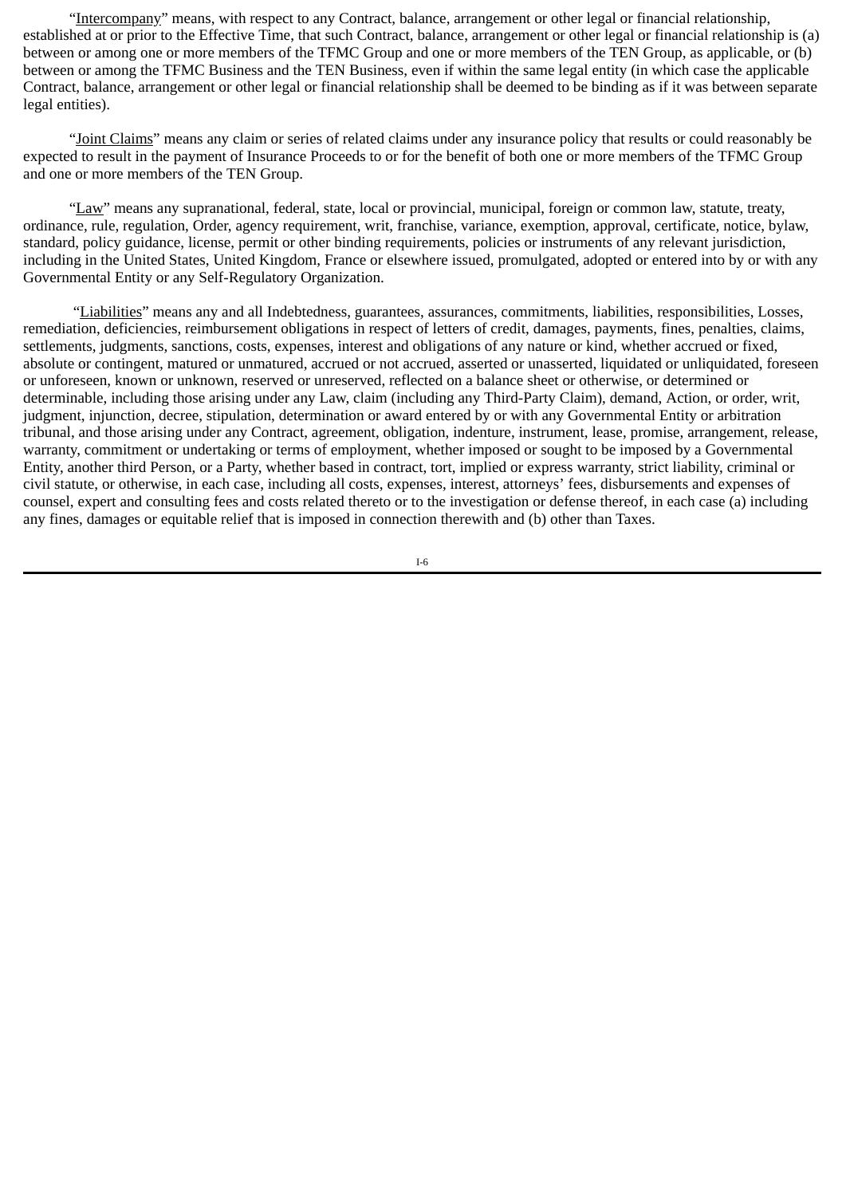"Intercompany" means, with respect to any Contract, balance, arrangement or other legal or financial relationship, established at or prior to the Effective Time, that such Contract, balance, arrangement or other legal or financial relationship is (a) between or among one or more members of the TFMC Group and one or more members of the TEN Group, as applicable, or (b) between or among the TFMC Business and the TEN Business, even if within the same legal entity (in which case the applicable Contract, balance, arrangement or other legal or financial relationship shall be deemed to be binding as if it was between separate legal entities).

"Joint Claims" means any claim or series of related claims under any insurance policy that results or could reasonably be expected to result in the payment of Insurance Proceeds to or for the benefit of both one or more members of the TFMC Group and one or more members of the TEN Group.

"Law" means any supranational, federal, state, local or provincial, municipal, foreign or common law, statute, treaty, ordinance, rule, regulation, Order, agency requirement, writ, franchise, variance, exemption, approval, certificate, notice, bylaw, standard, policy guidance, license, permit or other binding requirements, policies or instruments of any relevant jurisdiction, including in the United States, United Kingdom, France or elsewhere issued, promulgated, adopted or entered into by or with any Governmental Entity or any Self-Regulatory Organization.

"Liabilities" means any and all Indebtedness, guarantees, assurances, commitments, liabilities, responsibilities, Losses, remediation, deficiencies, reimbursement obligations in respect of letters of credit, damages, payments, fines, penalties, claims, settlements, judgments, sanctions, costs, expenses, interest and obligations of any nature or kind, whether accrued or fixed, absolute or contingent, matured or unmatured, accrued or not accrued, asserted or unasserted, liquidated or unliquidated, foreseen or unforeseen, known or unknown, reserved or unreserved, reflected on a balance sheet or otherwise, or determined or determinable, including those arising under any Law, claim (including any Third-Party Claim), demand, Action, or order, writ, judgment, injunction, decree, stipulation, determination or award entered by or with any Governmental Entity or arbitration tribunal, and those arising under any Contract, agreement, obligation, indenture, instrument, lease, promise, arrangement, release, warranty, commitment or undertaking or terms of employment, whether imposed or sought to be imposed by a Governmental Entity, another third Person, or a Party, whether based in contract, tort, implied or express warranty, strict liability, criminal or civil statute, or otherwise, in each case, including all costs, expenses, interest, attorneys' fees, disbursements and expenses of counsel, expert and consulting fees and costs related thereto or to the investigation or defense thereof, in each case (a) including any fines, damages or equitable relief that is imposed in connection therewith and (b) other than Taxes.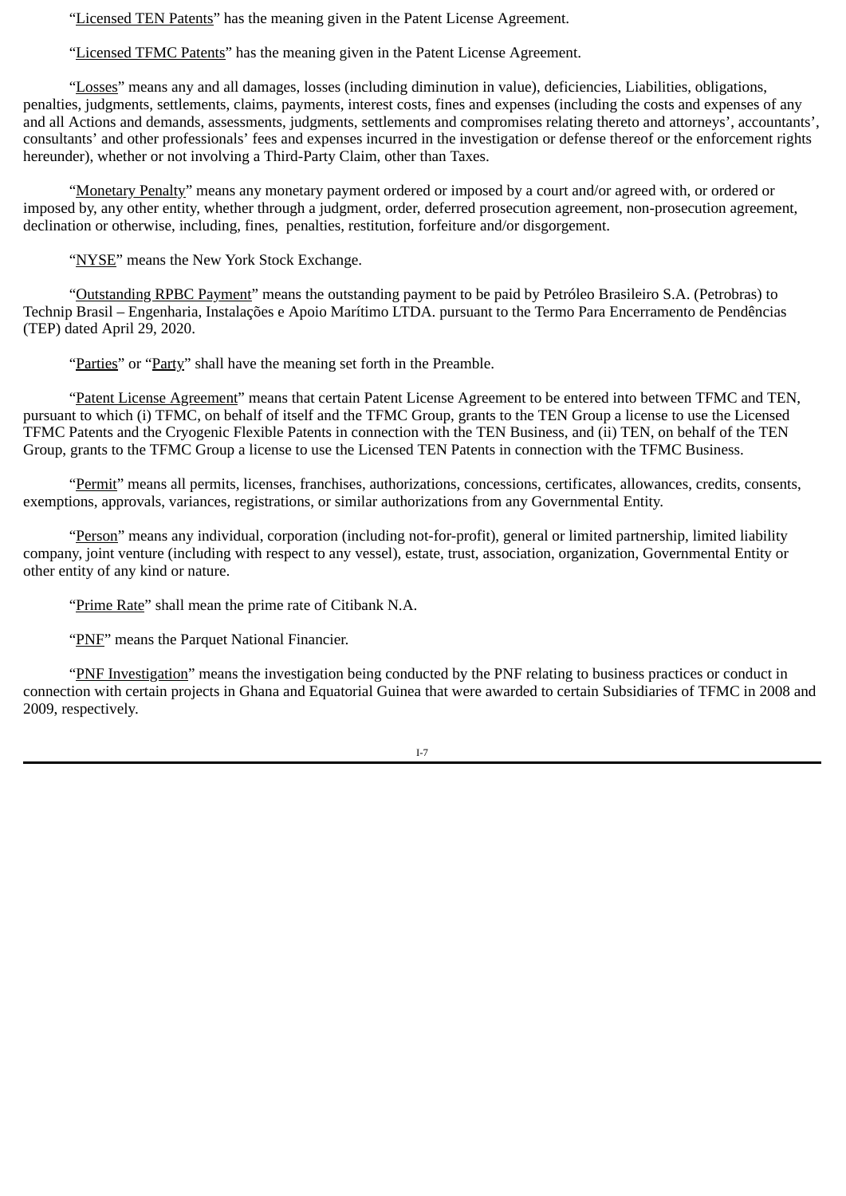"Licensed TEN Patents" has the meaning given in the Patent License Agreement.

"Licensed TFMC Patents" has the meaning given in the Patent License Agreement.

"Losses" means any and all damages, losses (including diminution in value), deficiencies, Liabilities, obligations, penalties, judgments, settlements, claims, payments, interest costs, fines and expenses (including the costs and expenses of any and all Actions and demands, assessments, judgments, settlements and compromises relating thereto and attorneys', accountants', consultants' and other professionals' fees and expenses incurred in the investigation or defense thereof or the enforcement rights hereunder), whether or not involving a Third-Party Claim, other than Taxes.

"Monetary Penalty" means any monetary payment ordered or imposed by a court and/or agreed with, or ordered or imposed by, any other entity, whether through a judgment, order, deferred prosecution agreement, non-prosecution agreement, declination or otherwise, including, fines, penalties, restitution, forfeiture and/or disgorgement.

"NYSE" means the New York Stock Exchange.

"Outstanding RPBC Payment" means the outstanding payment to be paid by Petróleo Brasileiro S.A. (Petrobras) to Technip Brasil – Engenharia, Instalações e Apoio Marítimo LTDA. pursuant to the Termo Para Encerramento de Pendências (TEP) dated April 29, 2020.

"Parties" or "Party" shall have the meaning set forth in the Preamble.

"Patent License Agreement" means that certain Patent License Agreement to be entered into between TFMC and TEN, pursuant to which (i) TFMC, on behalf of itself and the TFMC Group, grants to the TEN Group a license to use the Licensed TFMC Patents and the Cryogenic Flexible Patents in connection with the TEN Business, and (ii) TEN, on behalf of the TEN Group, grants to the TFMC Group a license to use the Licensed TEN Patents in connection with the TFMC Business.

"Permit" means all permits, licenses, franchises, authorizations, concessions, certificates, allowances, credits, consents, exemptions, approvals, variances, registrations, or similar authorizations from any Governmental Entity.

"Person" means any individual, corporation (including not-for-profit), general or limited partnership, limited liability company, joint venture (including with respect to any vessel), estate, trust, association, organization, Governmental Entity or other entity of any kind or nature.

"Prime Rate" shall mean the prime rate of Citibank N.A.

"PNF" means the Parquet National Financier.

"PNF Investigation" means the investigation being conducted by the PNF relating to business practices or conduct in connection with certain projects in Ghana and Equatorial Guinea that were awarded to certain Subsidiaries of TFMC in 2008 and 2009, respectively.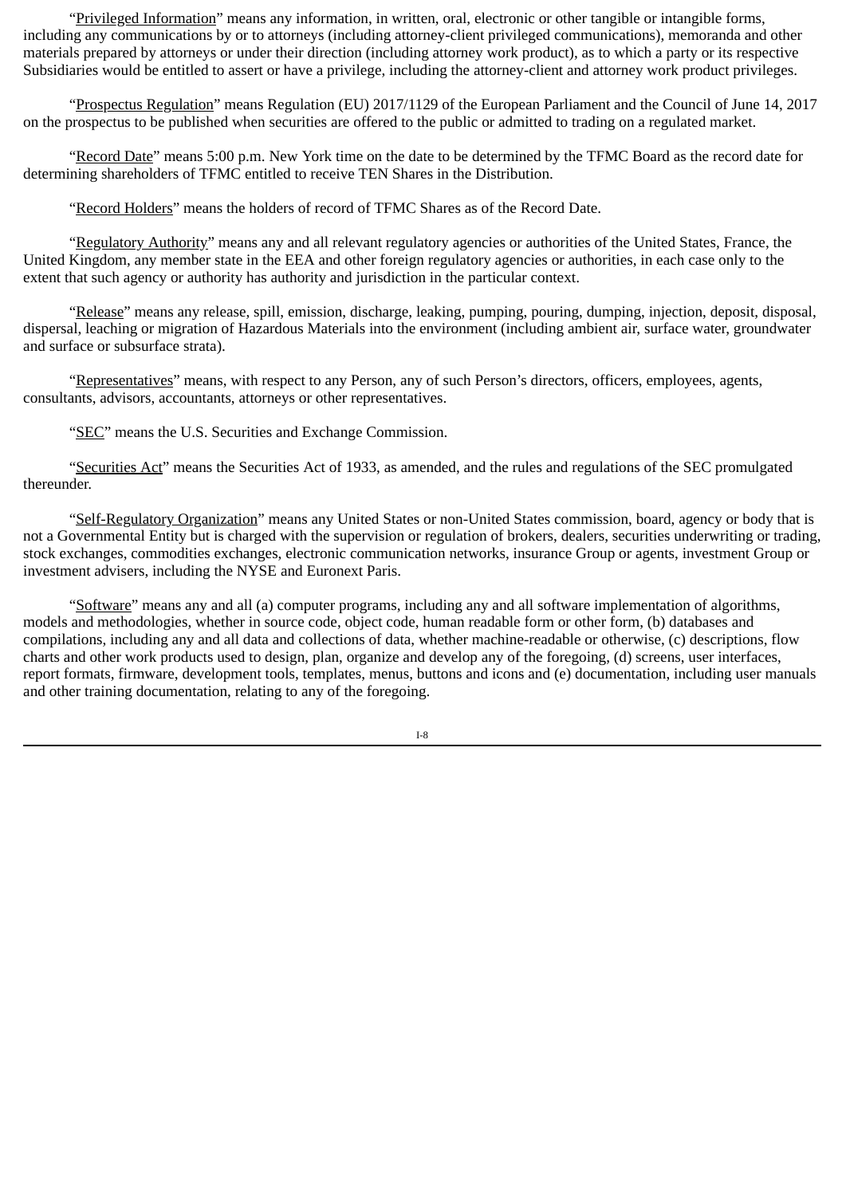"Privileged Information" means any information, in written, oral, electronic or other tangible or intangible forms, including any communications by or to attorneys (including attorney-client privileged communications), memoranda and other materials prepared by attorneys or under their direction (including attorney work product), as to which a party or its respective Subsidiaries would be entitled to assert or have a privilege, including the attorney-client and attorney work product privileges.

"Prospectus Regulation" means Regulation (EU) 2017/1129 of the European Parliament and the Council of June 14, 2017 on the prospectus to be published when securities are offered to the public or admitted to trading on a regulated market.

"Record Date" means 5:00 p.m. New York time on the date to be determined by the TFMC Board as the record date for determining shareholders of TFMC entitled to receive TEN Shares in the Distribution.

"Record Holders" means the holders of record of TFMC Shares as of the Record Date.

"Regulatory Authority" means any and all relevant regulatory agencies or authorities of the United States, France, the United Kingdom, any member state in the EEA and other foreign regulatory agencies or authorities, in each case only to the extent that such agency or authority has authority and jurisdiction in the particular context.

"Release" means any release, spill, emission, discharge, leaking, pumping, pouring, dumping, injection, deposit, disposal, dispersal, leaching or migration of Hazardous Materials into the environment (including ambient air, surface water, groundwater and surface or subsurface strata).

"Representatives" means, with respect to any Person, any of such Person's directors, officers, employees, agents, consultants, advisors, accountants, attorneys or other representatives.

"SEC" means the U.S. Securities and Exchange Commission.

"Securities Act" means the Securities Act of 1933, as amended, and the rules and regulations of the SEC promulgated thereunder.

"Self-Regulatory Organization" means any United States or non-United States commission, board, agency or body that is not a Governmental Entity but is charged with the supervision or regulation of brokers, dealers, securities underwriting or trading, stock exchanges, commodities exchanges, electronic communication networks, insurance Group or agents, investment Group or investment advisers, including the NYSE and Euronext Paris.

"Software" means any and all (a) computer programs, including any and all software implementation of algorithms, models and methodologies, whether in source code, object code, human readable form or other form, (b) databases and compilations, including any and all data and collections of data, whether machine-readable or otherwise, (c) descriptions, flow charts and other work products used to design, plan, organize and develop any of the foregoing, (d) screens, user interfaces, report formats, firmware, development tools, templates, menus, buttons and icons and (e) documentation, including user manuals and other training documentation, relating to any of the foregoing.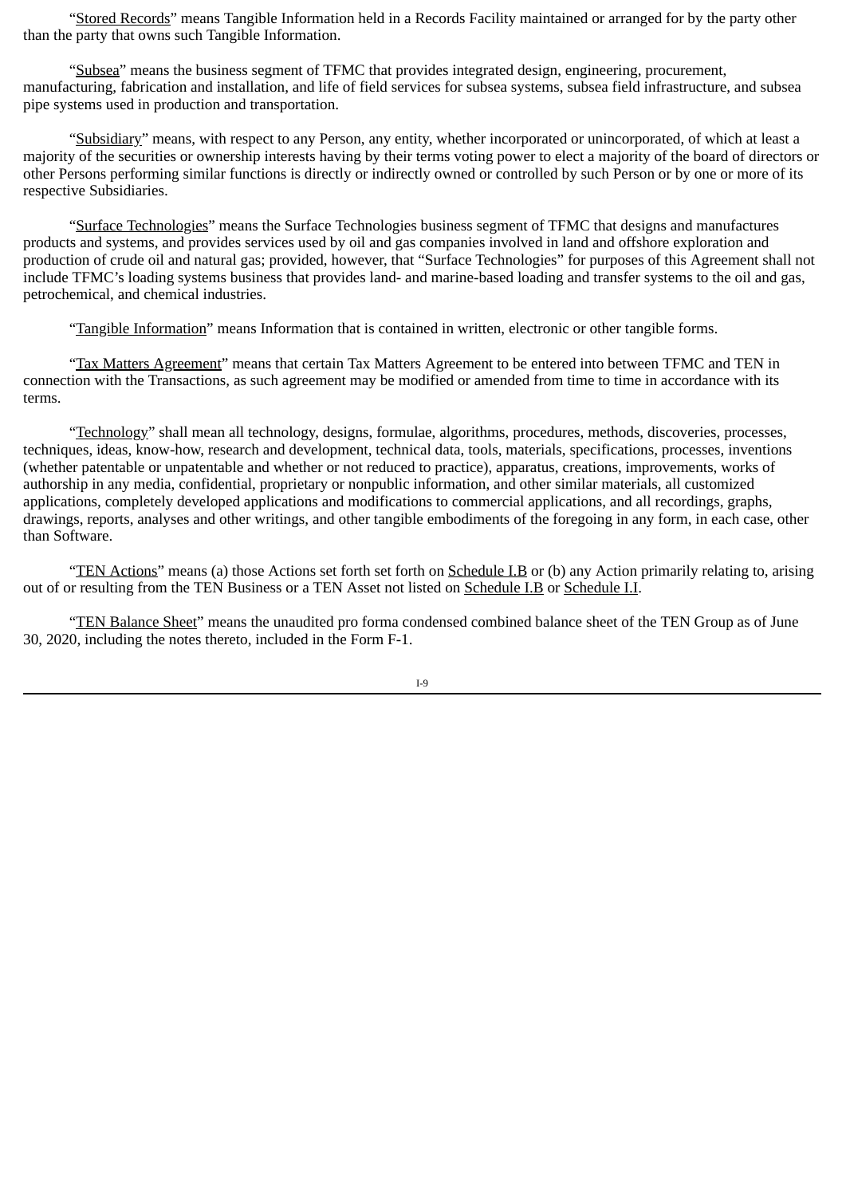"Stored Records" means Tangible Information held in a Records Facility maintained or arranged for by the party other than the party that owns such Tangible Information.

"Subsea" means the business segment of TFMC that provides integrated design, engineering, procurement, manufacturing, fabrication and installation, and life of field services for subsea systems, subsea field infrastructure, and subsea pipe systems used in production and transportation.

"Subsidiary" means, with respect to any Person, any entity, whether incorporated or unincorporated, of which at least a majority of the securities or ownership interests having by their terms voting power to elect a majority of the board of directors or other Persons performing similar functions is directly or indirectly owned or controlled by such Person or by one or more of its respective Subsidiaries.

"Surface Technologies" means the Surface Technologies business segment of TFMC that designs and manufactures products and systems, and provides services used by oil and gas companies involved in land and offshore exploration and production of crude oil and natural gas; provided, however, that "Surface Technologies" for purposes of this Agreement shall not include TFMC's loading systems business that provides land- and marine-based loading and transfer systems to the oil and gas, petrochemical, and chemical industries.

"Tangible Information" means Information that is contained in written, electronic or other tangible forms.

"Tax Matters Agreement" means that certain Tax Matters Agreement to be entered into between TFMC and TEN in connection with the Transactions, as such agreement may be modified or amended from time to time in accordance with its terms.

"Technology" shall mean all technology, designs, formulae, algorithms, procedures, methods, discoveries, processes, techniques, ideas, know-how, research and development, technical data, tools, materials, specifications, processes, inventions (whether patentable or unpatentable and whether or not reduced to practice), apparatus, creations, improvements, works of authorship in any media, confidential, proprietary or nonpublic information, and other similar materials, all customized applications, completely developed applications and modifications to commercial applications, and all recordings, graphs, drawings, reports, analyses and other writings, and other tangible embodiments of the foregoing in any form, in each case, other than Software.

"TEN Actions" means (a) those Actions set forth set forth on Schedule I.B or (b) any Action primarily relating to, arising out of or resulting from the TEN Business or a TEN Asset not listed on Schedule I.B or Schedule I.I.

"TEN Balance Sheet" means the unaudited pro forma condensed combined balance sheet of the TEN Group as of June 30, 2020, including the notes thereto, included in the Form F-1.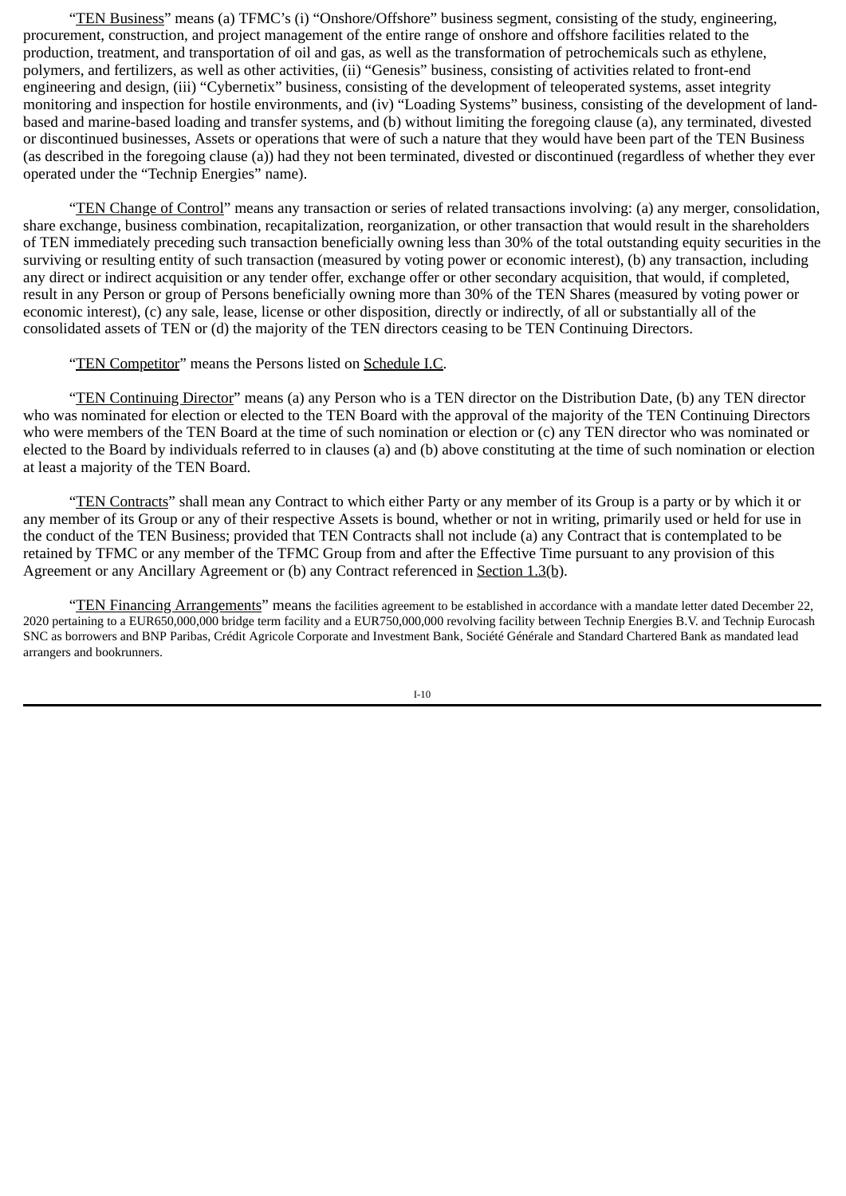"TEN Business" means (a) TFMC's (i) "Onshore/Offshore" business segment, consisting of the study, engineering, procurement, construction, and project management of the entire range of onshore and offshore facilities related to the production, treatment, and transportation of oil and gas, as well as the transformation of petrochemicals such as ethylene, polymers, and fertilizers, as well as other activities, (ii) "Genesis" business, consisting of activities related to front-end engineering and design, (iii) "Cybernetix" business, consisting of the development of teleoperated systems, asset integrity monitoring and inspection for hostile environments, and (iv) "Loading Systems" business, consisting of the development of landbased and marine-based loading and transfer systems, and (b) without limiting the foregoing clause (a), any terminated, divested or discontinued businesses, Assets or operations that were of such a nature that they would have been part of the TEN Business (as described in the foregoing clause (a)) had they not been terminated, divested or discontinued (regardless of whether they ever operated under the "Technip Energies" name).

"TEN Change of Control" means any transaction or series of related transactions involving: (a) any merger, consolidation, share exchange, business combination, recapitalization, reorganization, or other transaction that would result in the shareholders of TEN immediately preceding such transaction beneficially owning less than 30% of the total outstanding equity securities in the surviving or resulting entity of such transaction (measured by voting power or economic interest), (b) any transaction, including any direct or indirect acquisition or any tender offer, exchange offer or other secondary acquisition, that would, if completed, result in any Person or group of Persons beneficially owning more than 30% of the TEN Shares (measured by voting power or economic interest), (c) any sale, lease, license or other disposition, directly or indirectly, of all or substantially all of the consolidated assets of TEN or (d) the majority of the TEN directors ceasing to be TEN Continuing Directors.

"TEN Competitor" means the Persons listed on Schedule I.C.

"TEN Continuing Director" means (a) any Person who is a TEN director on the Distribution Date, (b) any TEN director who was nominated for election or elected to the TEN Board with the approval of the majority of the TEN Continuing Directors who were members of the TEN Board at the time of such nomination or election or (c) any TEN director who was nominated or elected to the Board by individuals referred to in clauses (a) and (b) above constituting at the time of such nomination or election at least a majority of the TEN Board.

"TEN Contracts" shall mean any Contract to which either Party or any member of its Group is a party or by which it or any member of its Group or any of their respective Assets is bound, whether or not in writing, primarily used or held for use in the conduct of the TEN Business; provided that TEN Contracts shall not include (a) any Contract that is contemplated to be retained by TFMC or any member of the TFMC Group from and after the Effective Time pursuant to any provision of this Agreement or any Ancillary Agreement or (b) any Contract referenced in Section 1.3(b).

"TEN Financing Arrangements" means the facilities agreement to be established in accordance with a mandate letter dated December 22, 2020 pertaining to a EUR650,000,000 bridge term facility and a EUR750,000,000 revolving facility between Technip Energies B.V. and Technip Eurocash SNC as borrowers and BNP Paribas, Crédit Agricole Corporate and Investment Bank, Société Générale and Standard Chartered Bank as mandated lead arrangers and bookrunners.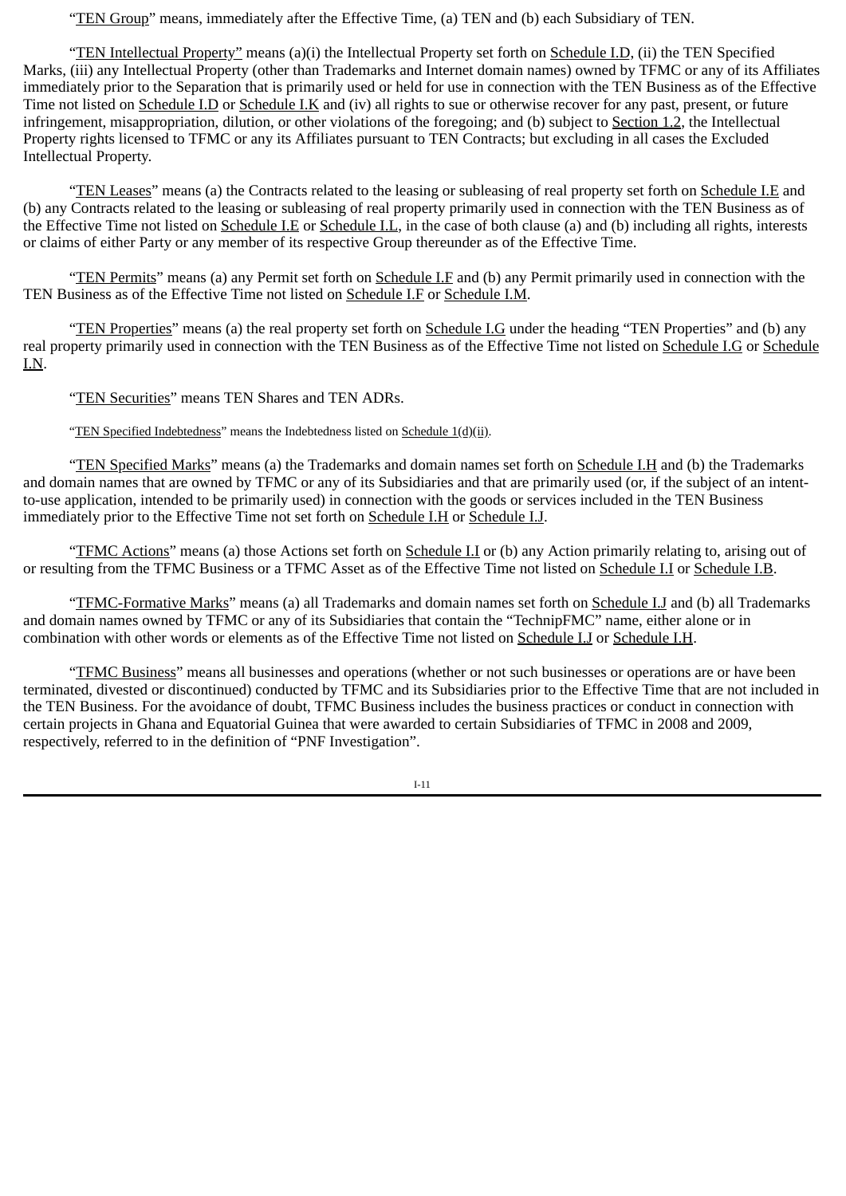"TEN Group" means, immediately after the Effective Time, (a) TEN and (b) each Subsidiary of TEN.

"TEN Intellectual Property" means (a)(i) the Intellectual Property set forth on Schedule I.D, (ii) the TEN Specified Marks, (iii) any Intellectual Property (other than Trademarks and Internet domain names) owned by TFMC or any of its Affiliates immediately prior to the Separation that is primarily used or held for use in connection with the TEN Business as of the Effective Time not listed on Schedule I.D or Schedule I.K and (iv) all rights to sue or otherwise recover for any past, present, or future infringement, misappropriation, dilution, or other violations of the foregoing; and (b) subject to Section 1.2, the Intellectual Property rights licensed to TFMC or any its Affiliates pursuant to TEN Contracts; but excluding in all cases the Excluded Intellectual Property.

"TEN Leases" means (a) the Contracts related to the leasing or subleasing of real property set forth on Schedule I.E and (b) any Contracts related to the leasing or subleasing of real property primarily used in connection with the TEN Business as of the Effective Time not listed on Schedule I.E or Schedule I.L, in the case of both clause (a) and (b) including all rights, interests or claims of either Party or any member of its respective Group thereunder as of the Effective Time.

"TEN Permits" means (a) any Permit set forth on Schedule I.F and (b) any Permit primarily used in connection with the TEN Business as of the Effective Time not listed on Schedule I.F or Schedule I.M.

"TEN Properties" means (a) the real property set forth on Schedule I.G under the heading "TEN Properties" and (b) any real property primarily used in connection with the TEN Business as of the Effective Time not listed on Schedule I.G or Schedule I.N.

"TEN Securities" means TEN Shares and TEN ADRs.

"TEN Specified Indebtedness" means the Indebtedness listed on Schedule 1(d)(ii).

"TEN Specified Marks" means (a) the Trademarks and domain names set forth on Schedule I.H and (b) the Trademarks and domain names that are owned by TFMC or any of its Subsidiaries and that are primarily used (or, if the subject of an intentto-use application, intended to be primarily used) in connection with the goods or services included in the TEN Business immediately prior to the Effective Time not set forth on Schedule I.H or Schedule I.J.

"TFMC Actions" means (a) those Actions set forth on Schedule I.I or (b) any Action primarily relating to, arising out of or resulting from the TFMC Business or a TFMC Asset as of the Effective Time not listed on Schedule I.I or Schedule I.B.

"TFMC-Formative Marks" means (a) all Trademarks and domain names set forth on Schedule I.J and (b) all Trademarks and domain names owned by TFMC or any of its Subsidiaries that contain the "TechnipFMC" name, either alone or in combination with other words or elements as of the Effective Time not listed on Schedule I.J or Schedule I.H.

"TFMC Business" means all businesses and operations (whether or not such businesses or operations are or have been terminated, divested or discontinued) conducted by TFMC and its Subsidiaries prior to the Effective Time that are not included in the TEN Business. For the avoidance of doubt, TFMC Business includes the business practices or conduct in connection with certain projects in Ghana and Equatorial Guinea that were awarded to certain Subsidiaries of TFMC in 2008 and 2009, respectively, referred to in the definition of "PNF Investigation".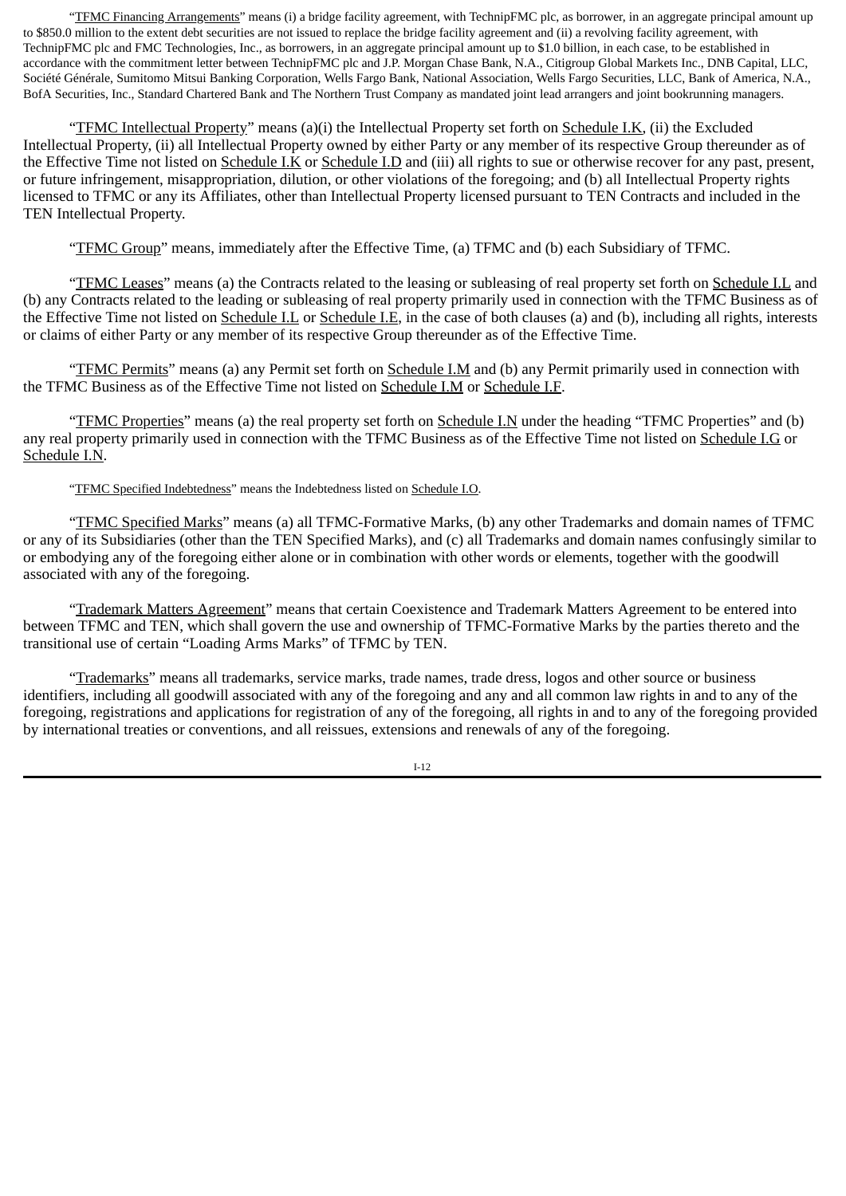"TFMC Financing Arrangements" means (i) a bridge facility agreement, with TechnipFMC plc, as borrower, in an aggregate principal amount up to \$850.0 million to the extent debt securities are not issued to replace the bridge facility agreement and (ii) a revolving facility agreement, with TechnipFMC plc and FMC Technologies, Inc., as borrowers, in an aggregate principal amount up to \$1.0 billion, in each case, to be established in accordance with the commitment letter between TechnipFMC plc and J.P. Morgan Chase Bank, N.A., Citigroup Global Markets Inc., DNB Capital, LLC, Société Générale, Sumitomo Mitsui Banking Corporation, Wells Fargo Bank, National Association, Wells Fargo Securities, LLC, Bank of America, N.A., BofA Securities, Inc., Standard Chartered Bank and The Northern Trust Company as mandated joint lead arrangers and joint bookrunning managers.

"TFMC Intellectual Property" means (a)(i) the Intellectual Property set forth on Schedule I.K, (ii) the Excluded Intellectual Property, (ii) all Intellectual Property owned by either Party or any member of its respective Group thereunder as of the Effective Time not listed on Schedule I.K or Schedule I.D and (iii) all rights to sue or otherwise recover for any past, present, or future infringement, misappropriation, dilution, or other violations of the foregoing; and (b) all Intellectual Property rights licensed to TFMC or any its Affiliates, other than Intellectual Property licensed pursuant to TEN Contracts and included in the TEN Intellectual Property.

"TFMC Group" means, immediately after the Effective Time, (a) TFMC and (b) each Subsidiary of TFMC.

"TFMC Leases" means (a) the Contracts related to the leasing or subleasing of real property set forth on Schedule I.L and (b) any Contracts related to the leading or subleasing of real property primarily used in connection with the TFMC Business as of the Effective Time not listed on Schedule I.L or Schedule I.E, in the case of both clauses (a) and (b), including all rights, interests or claims of either Party or any member of its respective Group thereunder as of the Effective Time.

"TFMC Permits" means (a) any Permit set forth on Schedule I.M and (b) any Permit primarily used in connection with the TFMC Business as of the Effective Time not listed on Schedule I.M or Schedule I.F.

"TFMC Properties" means (a) the real property set forth on Schedule I.N under the heading "TFMC Properties" and (b) any real property primarily used in connection with the TFMC Business as of the Effective Time not listed on Schedule I.G or Schedule I.N.

"TFMC Specified Indebtedness" means the Indebtedness listed on Schedule I.O.

"TFMC Specified Marks" means (a) all TFMC-Formative Marks, (b) any other Trademarks and domain names of TFMC or any of its Subsidiaries (other than the TEN Specified Marks), and (c) all Trademarks and domain names confusingly similar to or embodying any of the foregoing either alone or in combination with other words or elements, together with the goodwill associated with any of the foregoing.

"Trademark Matters Agreement" means that certain Coexistence and Trademark Matters Agreement to be entered into between TFMC and TEN, which shall govern the use and ownership of TFMC-Formative Marks by the parties thereto and the transitional use of certain "Loading Arms Marks" of TFMC by TEN.

"Trademarks" means all trademarks, service marks, trade names, trade dress, logos and other source or business identifiers, including all goodwill associated with any of the foregoing and any and all common law rights in and to any of the foregoing, registrations and applications for registration of any of the foregoing, all rights in and to any of the foregoing provided by international treaties or conventions, and all reissues, extensions and renewals of any of the foregoing.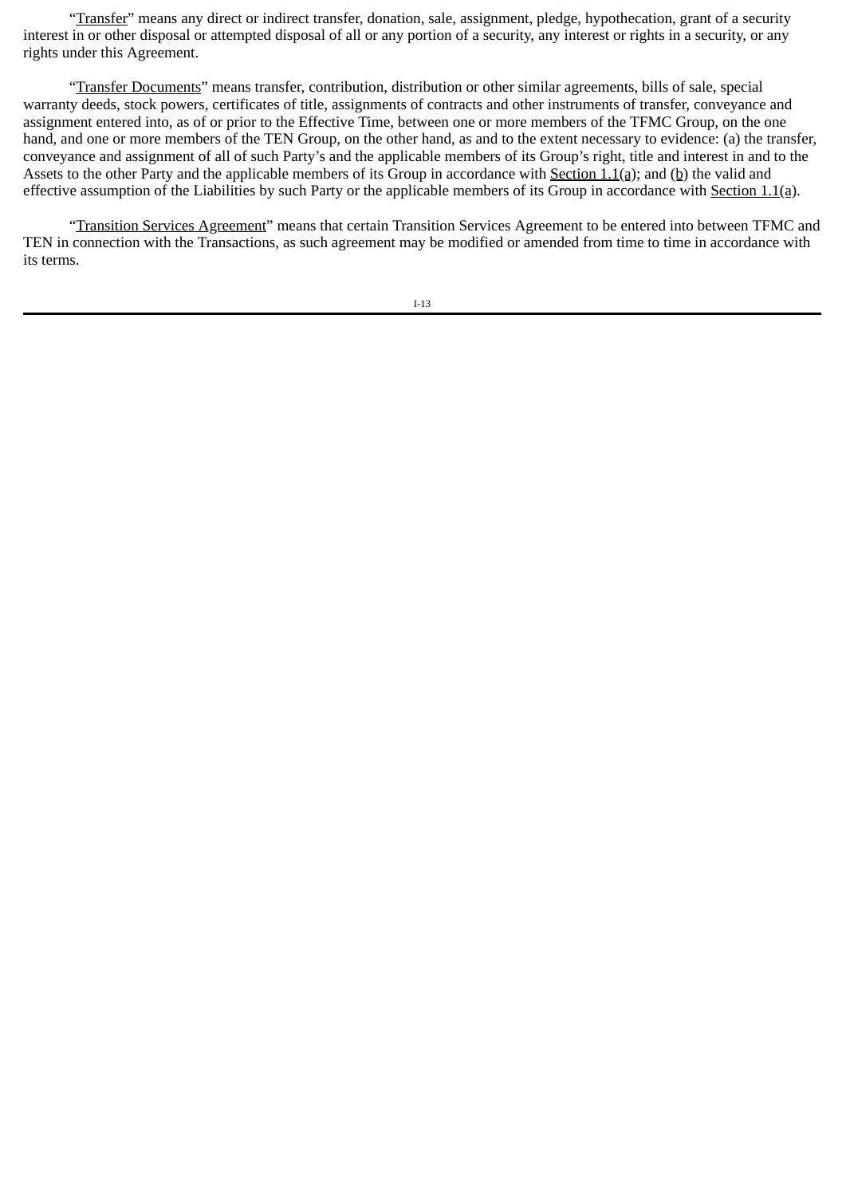"Transfer" means any direct or indirect transfer, donation, sale, assignment, pledge, hypothecation, grant of a security interest in or other disposal or attempted disposal of all or any portion of a security, any interest or rights in a security, or any rights under this Agreement.

"Transfer Documents" means transfer, contribution, distribution or other similar agreements, bills of sale, special warranty deeds, stock powers, certificates of title, assignments of contracts and other instruments of transfer, conveyance and assignment entered into, as of or prior to the Effective Time, between one or more members of the TFMC Group, on the one hand, and one or more members of the TEN Group, on the other hand, as and to the extent necessary to evidence: (a) the transfer, conveyance and assignment of all of such Party's and the applicable members of its Group's right, title and interest in and to the Assets to the other Party and the applicable members of its Group in accordance with Section 1.1(a); and (b) the valid and effective assumption of the Liabilities by such Party or the applicable members of its Group in accordance with Section  $1.1(a)$ .

"Transition Services Agreement" means that certain Transition Services Agreement to be entered into between TFMC and TEN in connection with the Transactions, as such agreement may be modified or amended from time to time in accordance with its terms.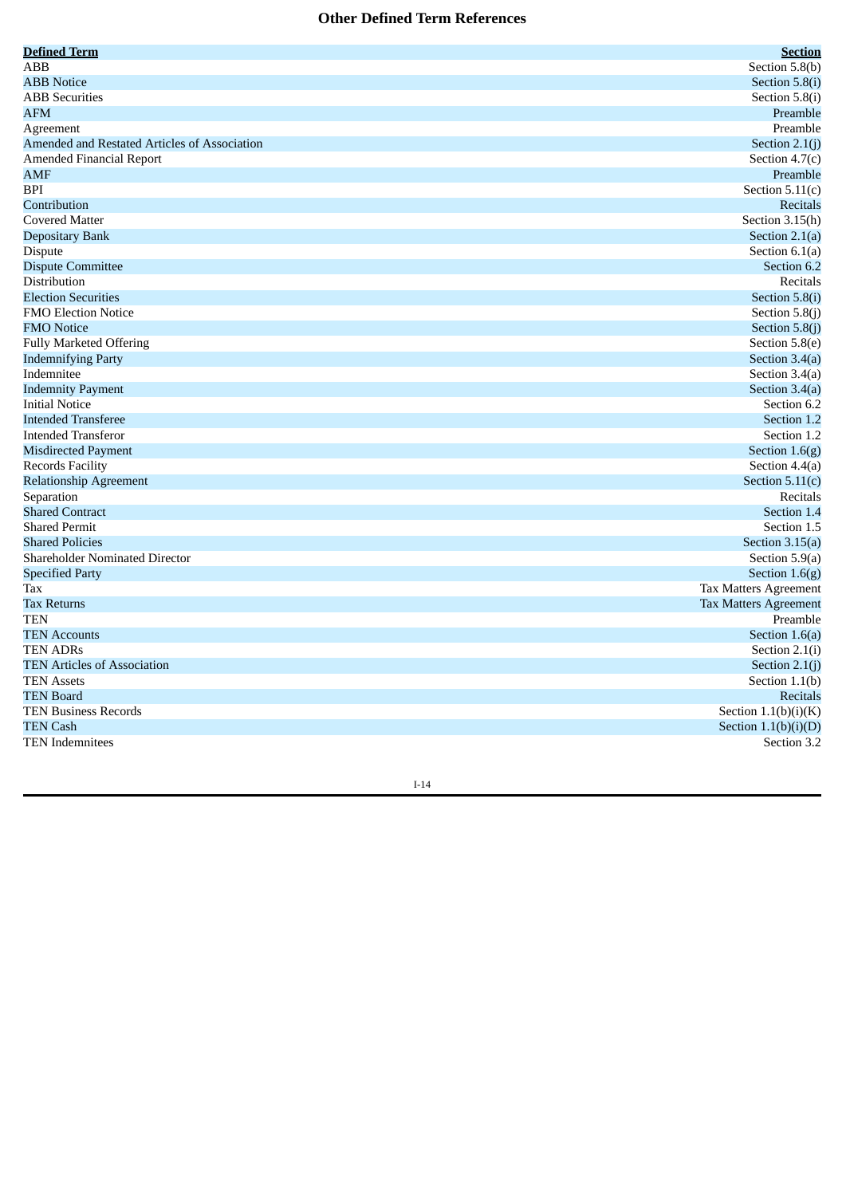# **Other Defined Term References**

| <b>ABB</b><br>Section 5.8(b)<br><b>ABB Notice</b><br>Section 5.8(i)<br><b>ABB</b> Securities<br>Section 5.8(i)<br>AFM<br>Agreement | Preamble<br>Preamble<br>Preamble<br>Recitals |
|------------------------------------------------------------------------------------------------------------------------------------|----------------------------------------------|
|                                                                                                                                    |                                              |
|                                                                                                                                    |                                              |
|                                                                                                                                    |                                              |
|                                                                                                                                    |                                              |
|                                                                                                                                    |                                              |
| Amended and Restated Articles of Association<br>Section 2.1(j)                                                                     |                                              |
| Section $4.7(c)$<br>Amended Financial Report                                                                                       |                                              |
| AMF                                                                                                                                |                                              |
| <b>BPI</b><br>Section $5.11(c)$                                                                                                    |                                              |
| Contribution                                                                                                                       |                                              |
| <b>Covered Matter</b><br>Section 3.15(h)                                                                                           |                                              |
| Section 2.1(a)<br>Depositary Bank                                                                                                  |                                              |
| Section $6.1(a)$<br>Dispute                                                                                                        |                                              |
| Section 6.2<br><b>Dispute Committee</b>                                                                                            |                                              |
| Distribution                                                                                                                       | Recitals                                     |
| <b>Election Securities</b><br>Section 5.8(i)                                                                                       |                                              |
| <b>FMO Election Notice</b><br>Section 5.8(j)                                                                                       |                                              |
| <b>FMO</b> Notice<br>Section 5.8(j)                                                                                                |                                              |
| <b>Fully Marketed Offering</b><br>Section 5.8(e)                                                                                   |                                              |
| <b>Indemnifying Party</b><br>Section $3.4(a)$                                                                                      |                                              |
| Indemnitee<br>Section $3.4(a)$                                                                                                     |                                              |
| <b>Indemnity Payment</b><br>Section $3.4(a)$                                                                                       |                                              |
| <b>Initial Notice</b><br>Section 6.2                                                                                               |                                              |
| <b>Intended Transferee</b><br>Section 1.2                                                                                          |                                              |
| <b>Intended Transferor</b><br>Section 1.2                                                                                          |                                              |
| <b>Misdirected Payment</b><br>Section $1.6(g)$                                                                                     |                                              |
| Records Facility<br>Section $4.4(a)$                                                                                               |                                              |
| <b>Relationship Agreement</b><br>Section $5.11(c)$                                                                                 |                                              |
| Separation                                                                                                                         | Recitals                                     |
| <b>Shared Contract</b><br>Section 1.4                                                                                              |                                              |
| <b>Shared Permit</b><br>Section 1.5                                                                                                |                                              |
| <b>Shared Policies</b><br>Section $3.15(a)$                                                                                        |                                              |
| <b>Shareholder Nominated Director</b><br>Section $5.9(a)$                                                                          |                                              |
| <b>Specified Party</b><br>Section 1.6(g)                                                                                           |                                              |
| Tax<br><b>Tax Matters Agreement</b>                                                                                                |                                              |
| <b>Tax Returns</b><br><b>Tax Matters Agreement</b>                                                                                 |                                              |
| <b>TEN</b>                                                                                                                         | Preamble                                     |
| <b>TEN Accounts</b><br>Section $1.6(a)$                                                                                            |                                              |
| <b>TEN ADRs</b><br>Section 2.1(i)                                                                                                  |                                              |
| <b>TEN Articles of Association</b><br>Section 2.1(j)                                                                               |                                              |
| <b>TEN Assets</b><br>Section 1.1(b)                                                                                                |                                              |
| <b>TEN Board</b>                                                                                                                   | Recitals                                     |
| <b>TEN Business Records</b><br>Section $1.1(b)(i)(K)$                                                                              |                                              |
| <b>TEN Cash</b><br>Section $1.1(b)(i)(D)$                                                                                          |                                              |
| <b>TEN Indemnitees</b><br>Section 3.2                                                                                              |                                              |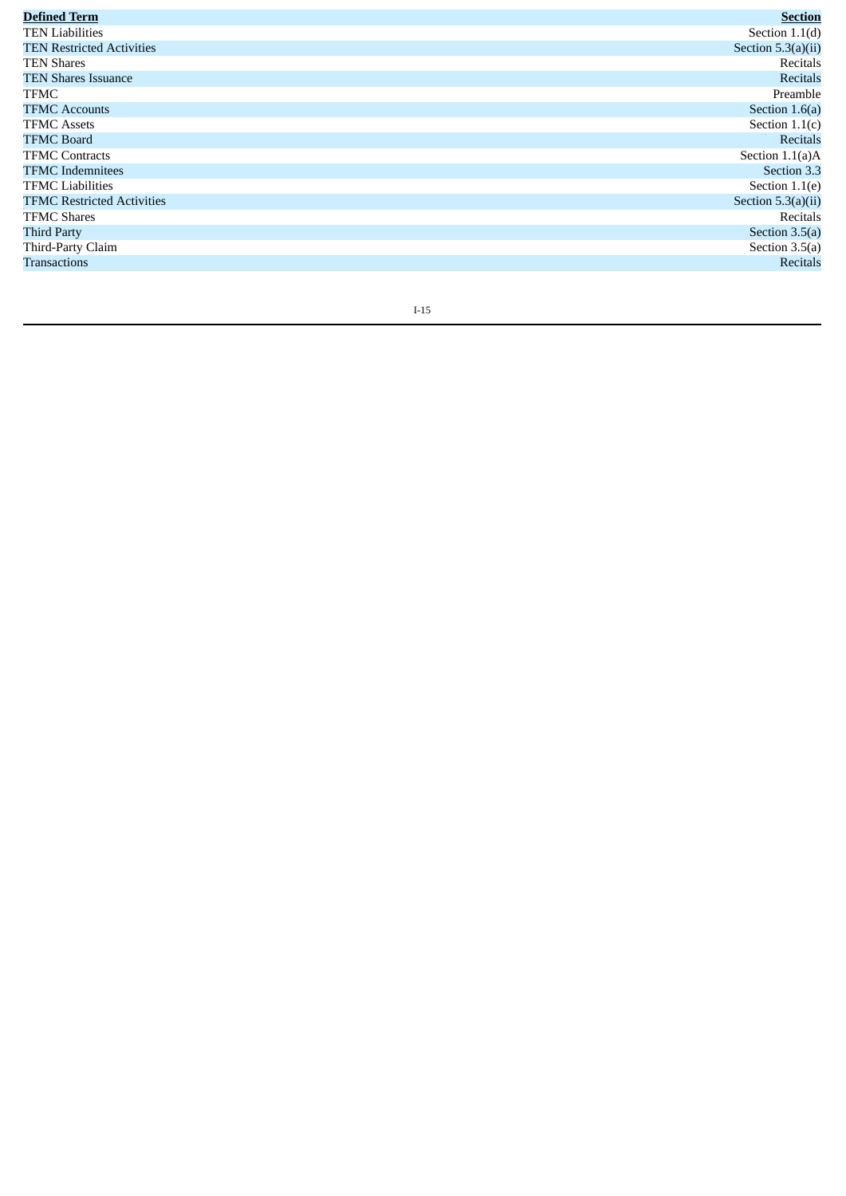| <b>Defined Term</b>               | <b>Section</b>     |
|-----------------------------------|--------------------|
|                                   |                    |
| <b>TEN Liabilities</b>            | Section $1.1(d)$   |
| <b>TEN Restricted Activities</b>  | Section 5.3(a)(ii) |
| <b>TEN Shares</b>                 | Recitals           |
| <b>TEN Shares Issuance</b>        | Recitals           |
| <b>TFMC</b>                       | Preamble           |
| <b>TFMC Accounts</b>              | Section $1.6(a)$   |
| <b>TFMC Assets</b>                | Section $1.1(c)$   |
| <b>TFMC Board</b>                 | Recitals           |
| <b>TFMC Contracts</b>             | Section $1.1(a)$ A |
| <b>TFMC</b> Indemnitees           | Section 3.3        |
| <b>TFMC</b> Liabilities           | Section $1.1(e)$   |
| <b>TFMC Restricted Activities</b> | Section 5.3(a)(ii) |
| <b>TFMC Shares</b>                | Recitals           |
| <b>Third Party</b>                | Section $3.5(a)$   |
| Third-Party Claim                 | Section $3.5(a)$   |
| <b>Transactions</b>               | Recitals           |
|                                   |                    |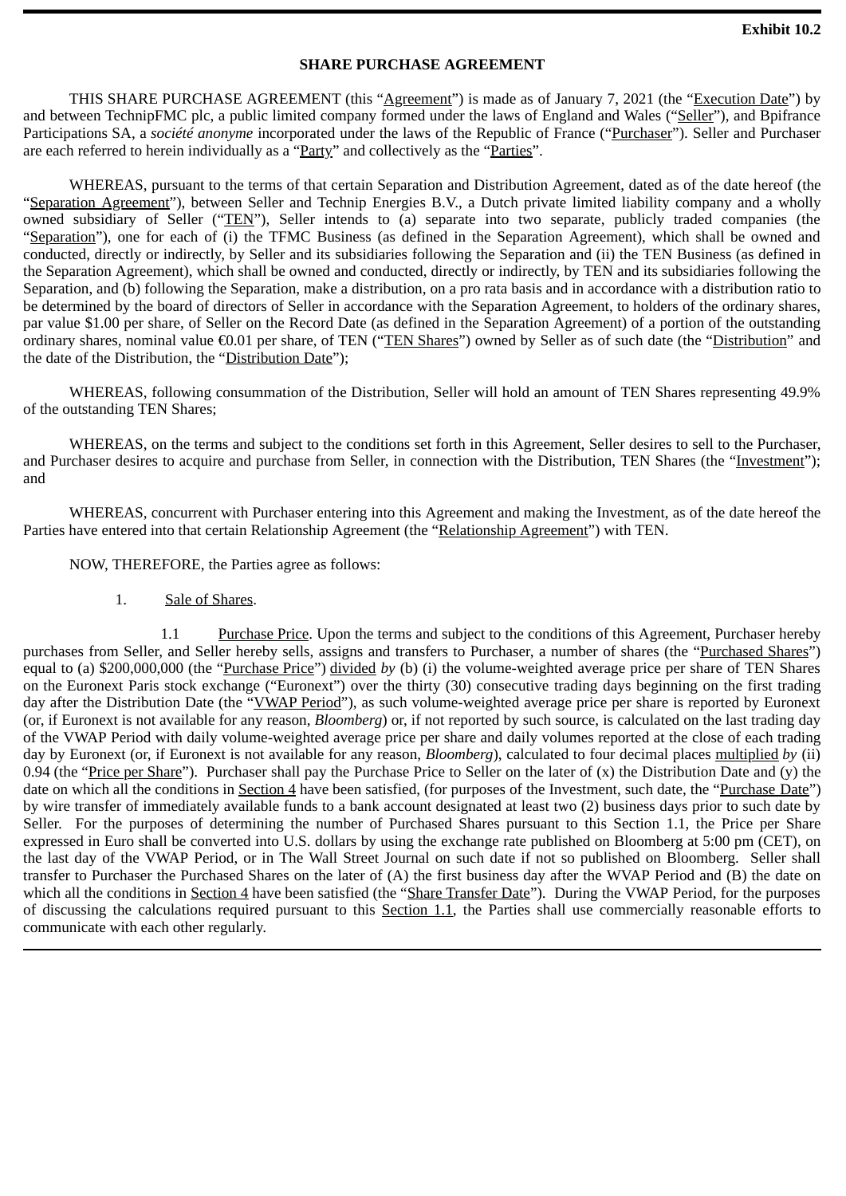### **SHARE PURCHASE AGREEMENT**

THIS SHARE PURCHASE AGREEMENT (this "Agreement") is made as of January 7, 2021 (the "Execution Date") by and between TechnipFMC plc, a public limited company formed under the laws of England and Wales ("Seller"), and Bpifrance Participations SA, a *société anonyme* incorporated under the laws of the Republic of France ("Purchaser"). Seller and Purchaser are each referred to herein individually as a "Party" and collectively as the "Parties".

WHEREAS, pursuant to the terms of that certain Separation and Distribution Agreement, dated as of the date hereof (the "Separation Agreement"), between Seller and Technip Energies B.V., a Dutch private limited liability company and a wholly owned subsidiary of Seller ("TEN"), Seller intends to (a) separate into two separate, publicly traded companies (the "Separation"), one for each of (i) the TFMC Business (as defined in the Separation Agreement), which shall be owned and conducted, directly or indirectly, by Seller and its subsidiaries following the Separation and (ii) the TEN Business (as defined in the Separation Agreement), which shall be owned and conducted, directly or indirectly, by TEN and its subsidiaries following the Separation, and (b) following the Separation, make a distribution, on a pro rata basis and in accordance with a distribution ratio to be determined by the board of directors of Seller in accordance with the Separation Agreement, to holders of the ordinary shares, par value \$1.00 per share, of Seller on the Record Date (as defined in the Separation Agreement) of a portion of the outstanding ordinary shares, nominal value €0.01 per share, of TEN ("TEN Shares") owned by Seller as of such date (the "Distribution" and the date of the Distribution, the "Distribution Date");

WHEREAS, following consummation of the Distribution, Seller will hold an amount of TEN Shares representing 49.9% of the outstanding TEN Shares;

WHEREAS, on the terms and subject to the conditions set forth in this Agreement, Seller desires to sell to the Purchaser, and Purchaser desires to acquire and purchase from Seller, in connection with the Distribution, TEN Shares (the "Investment"); and

WHEREAS, concurrent with Purchaser entering into this Agreement and making the Investment, as of the date hereof the Parties have entered into that certain Relationship Agreement (the "Relationship Agreement") with TEN.

NOW, THEREFORE, the Parties agree as follows:

1. Sale of Shares.

1.1 Purchase Price. Upon the terms and subject to the conditions of this Agreement, Purchaser hereby purchases from Seller, and Seller hereby sells, assigns and transfers to Purchaser, a number of shares (the "Purchased Shares") equal to (a) \$200,000,000 (the "Purchase Price") divided *by* (b) (i) the volume-weighted average price per share of TEN Shares on the Euronext Paris stock exchange ("Euronext") over the thirty (30) consecutive trading days beginning on the first trading day after the Distribution Date (the "VWAP Period"), as such volume-weighted average price per share is reported by Euronext (or, if Euronext is not available for any reason, *Bloomberg*) or, if not reported by such source, is calculated on the last trading day of the VWAP Period with daily volume-weighted average price per share and daily volumes reported at the close of each trading day by Euronext (or, if Euronext is not available for any reason, *Bloomberg*), calculated to four decimal places multiplied *by* (ii) 0.94 (the "Price per Share"). Purchaser shall pay the Purchase Price to Seller on the later of  $(x)$  the Distribution Date and  $(y)$  the date on which all the conditions in Section 4 have been satisfied, (for purposes of the Investment, such date, the "Purchase Date") by wire transfer of immediately available funds to a bank account designated at least two (2) business days prior to such date by Seller. For the purposes of determining the number of Purchased Shares pursuant to this Section 1.1, the Price per Share expressed in Euro shall be converted into U.S. dollars by using the exchange rate published on Bloomberg at 5:00 pm (CET), on the last day of the VWAP Period, or in The Wall Street Journal on such date if not so published on Bloomberg. Seller shall transfer to Purchaser the Purchased Shares on the later of (A) the first business day after the WVAP Period and (B) the date on which all the conditions in Section 4 have been satisfied (the "Share Transfer Date"). During the VWAP Period, for the purposes of discussing the calculations required pursuant to this Section 1.1, the Parties shall use commercially reasonable efforts to communicate with each other regularly.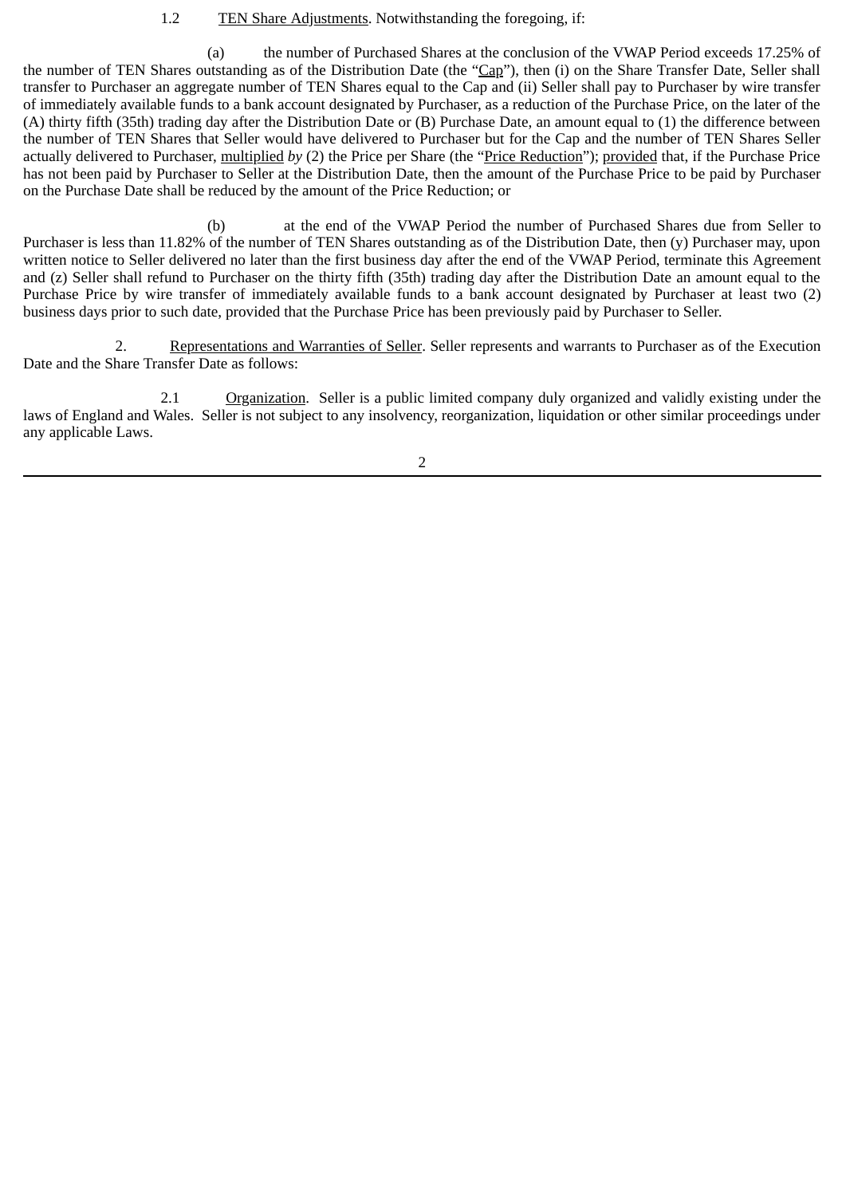### 1.2 TEN Share Adjustments. Notwithstanding the foregoing, if:

(a) the number of Purchased Shares at the conclusion of the VWAP Period exceeds 17.25% of the number of TEN Shares outstanding as of the Distribution Date (the "Cap"), then (i) on the Share Transfer Date, Seller shall transfer to Purchaser an aggregate number of TEN Shares equal to the Cap and (ii) Seller shall pay to Purchaser by wire transfer of immediately available funds to a bank account designated by Purchaser, as a reduction of the Purchase Price, on the later of the (A) thirty fifth (35th) trading day after the Distribution Date or (B) Purchase Date, an amount equal to (1) the difference between the number of TEN Shares that Seller would have delivered to Purchaser but for the Cap and the number of TEN Shares Seller actually delivered to Purchaser, multiplied *by* (2) the Price per Share (the "Price Reduction"); provided that, if the Purchase Price has not been paid by Purchaser to Seller at the Distribution Date, then the amount of the Purchase Price to be paid by Purchaser on the Purchase Date shall be reduced by the amount of the Price Reduction; or

(b) at the end of the VWAP Period the number of Purchased Shares due from Seller to Purchaser is less than 11.82% of the number of TEN Shares outstanding as of the Distribution Date, then (y) Purchaser may, upon written notice to Seller delivered no later than the first business day after the end of the VWAP Period, terminate this Agreement and (z) Seller shall refund to Purchaser on the thirty fifth (35th) trading day after the Distribution Date an amount equal to the Purchase Price by wire transfer of immediately available funds to a bank account designated by Purchaser at least two (2) business days prior to such date, provided that the Purchase Price has been previously paid by Purchaser to Seller.

2. Representations and Warranties of Seller. Seller represents and warrants to Purchaser as of the Execution Date and the Share Transfer Date as follows:

2.1 Organization. Seller is a public limited company duly organized and validly existing under the laws of England and Wales. Seller is not subject to any insolvency, reorganization, liquidation or other similar proceedings under any applicable Laws.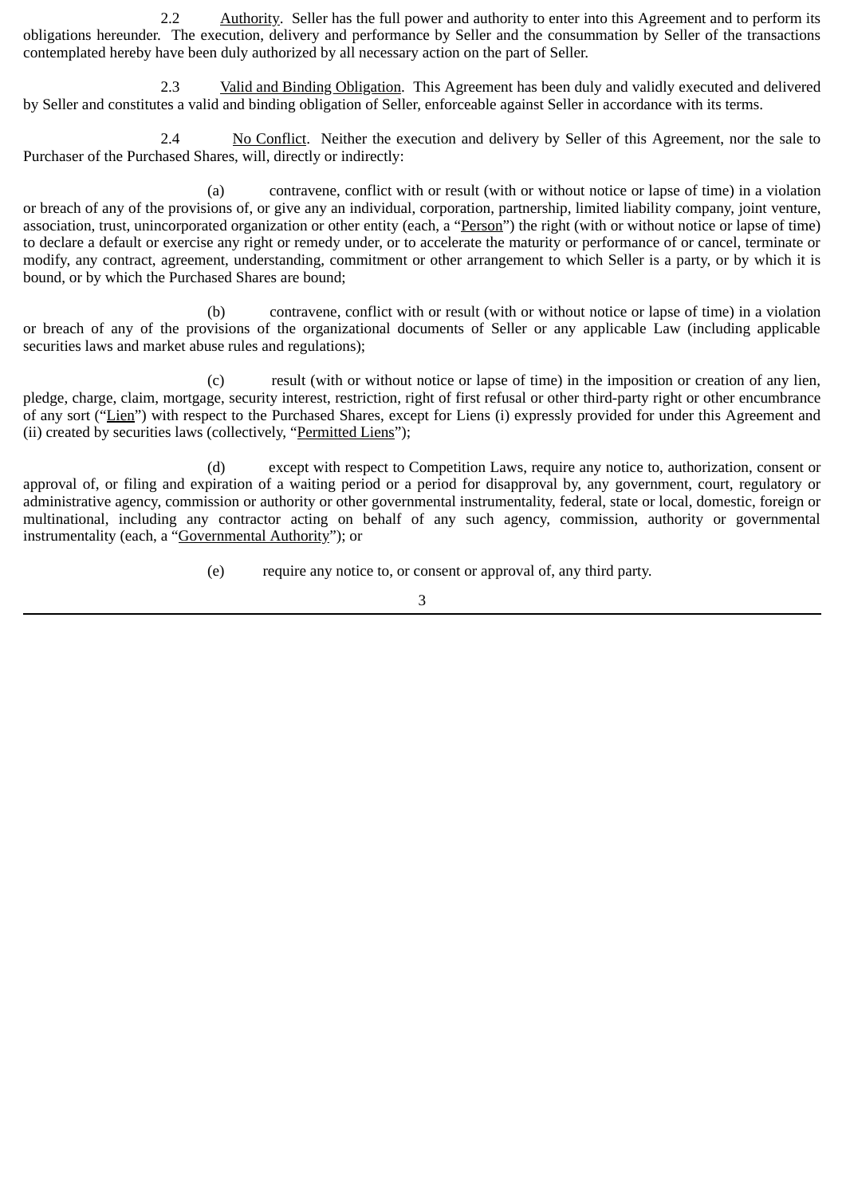2.2 Authority. Seller has the full power and authority to enter into this Agreement and to perform its obligations hereunder. The execution, delivery and performance by Seller and the consummation by Seller of the transactions contemplated hereby have been duly authorized by all necessary action on the part of Seller.

2.3 Valid and Binding Obligation. This Agreement has been duly and validly executed and delivered by Seller and constitutes a valid and binding obligation of Seller, enforceable against Seller in accordance with its terms.

2.4 No Conflict. Neither the execution and delivery by Seller of this Agreement, nor the sale to Purchaser of the Purchased Shares, will, directly or indirectly:

(a) contravene, conflict with or result (with or without notice or lapse of time) in a violation or breach of any of the provisions of, or give any an individual, corporation, partnership, limited liability company, joint venture, association, trust, unincorporated organization or other entity (each, a "Person") the right (with or without notice or lapse of time) to declare a default or exercise any right or remedy under, or to accelerate the maturity or performance of or cancel, terminate or modify, any contract, agreement, understanding, commitment or other arrangement to which Seller is a party, or by which it is bound, or by which the Purchased Shares are bound;

(b) contravene, conflict with or result (with or without notice or lapse of time) in a violation or breach of any of the provisions of the organizational documents of Seller or any applicable Law (including applicable securities laws and market abuse rules and regulations);

(c) result (with or without notice or lapse of time) in the imposition or creation of any lien, pledge, charge, claim, mortgage, security interest, restriction, right of first refusal or other third-party right or other encumbrance of any sort ("Lien") with respect to the Purchased Shares, except for Liens (i) expressly provided for under this Agreement and (ii) created by securities laws (collectively, "Permitted Liens");

(d) except with respect to Competition Laws, require any notice to, authorization, consent or approval of, or filing and expiration of a waiting period or a period for disapproval by, any government, court, regulatory or administrative agency, commission or authority or other governmental instrumentality, federal, state or local, domestic, foreign or multinational, including any contractor acting on behalf of any such agency, commission, authority or governmental instrumentality (each, a "Governmental Authority"); or

(e) require any notice to, or consent or approval of, any third party.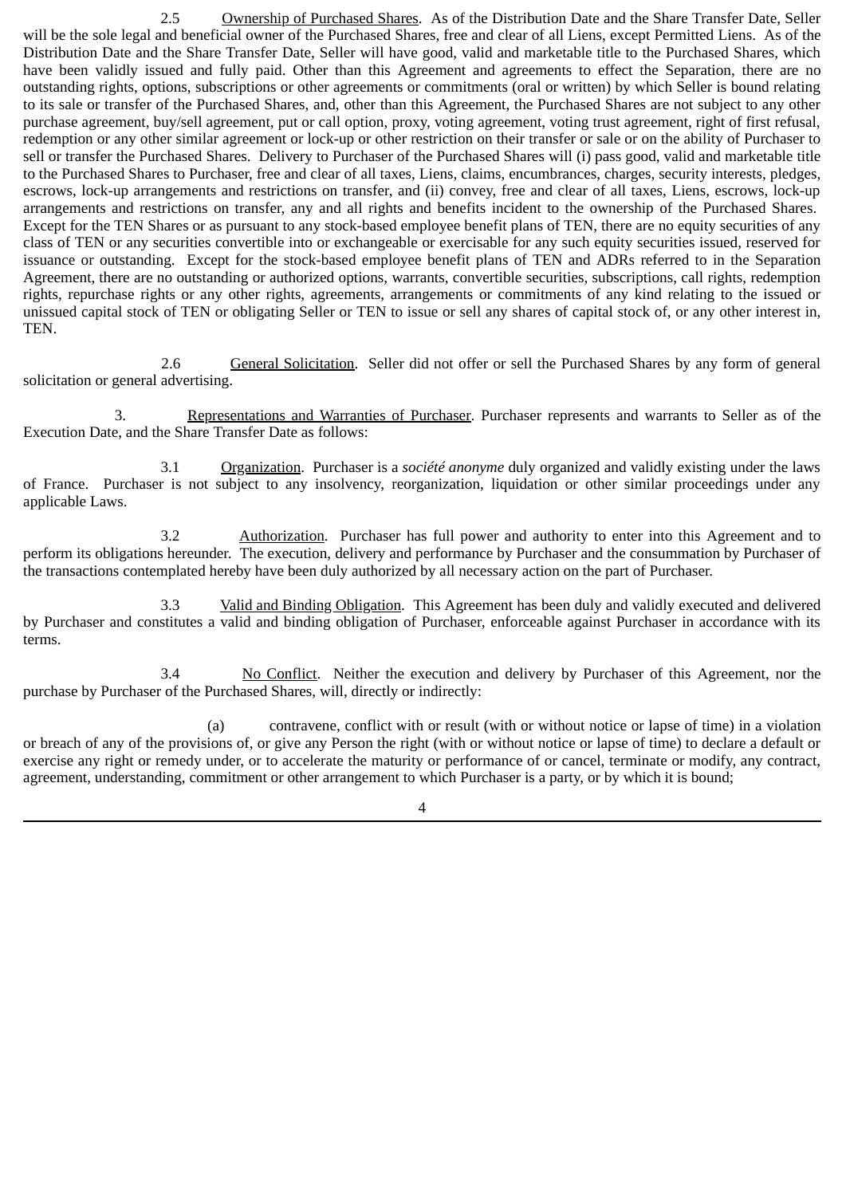2.5 Ownership of Purchased Shares. As of the Distribution Date and the Share Transfer Date, Seller will be the sole legal and beneficial owner of the Purchased Shares, free and clear of all Liens, except Permitted Liens. As of the Distribution Date and the Share Transfer Date, Seller will have good, valid and marketable title to the Purchased Shares, which have been validly issued and fully paid. Other than this Agreement and agreements to effect the Separation, there are no outstanding rights, options, subscriptions or other agreements or commitments (oral or written) by which Seller is bound relating to its sale or transfer of the Purchased Shares, and, other than this Agreement, the Purchased Shares are not subject to any other purchase agreement, buy/sell agreement, put or call option, proxy, voting agreement, voting trust agreement, right of first refusal, redemption or any other similar agreement or lock-up or other restriction on their transfer or sale or on the ability of Purchaser to sell or transfer the Purchased Shares. Delivery to Purchaser of the Purchased Shares will (i) pass good, valid and marketable title to the Purchased Shares to Purchaser, free and clear of all taxes, Liens, claims, encumbrances, charges, security interests, pledges, escrows, lock-up arrangements and restrictions on transfer, and (ii) convey, free and clear of all taxes, Liens, escrows, lock-up arrangements and restrictions on transfer, any and all rights and benefits incident to the ownership of the Purchased Shares. Except for the TEN Shares or as pursuant to any stock-based employee benefit plans of TEN, there are no equity securities of any class of TEN or any securities convertible into or exchangeable or exercisable for any such equity securities issued, reserved for issuance or outstanding. Except for the stock-based employee benefit plans of TEN and ADRs referred to in the Separation Agreement, there are no outstanding or authorized options, warrants, convertible securities, subscriptions, call rights, redemption rights, repurchase rights or any other rights, agreements, arrangements or commitments of any kind relating to the issued or unissued capital stock of TEN or obligating Seller or TEN to issue or sell any shares of capital stock of, or any other interest in, TEN.

2.6 General Solicitation. Seller did not offer or sell the Purchased Shares by any form of general solicitation or general advertising.

3. Representations and Warranties of Purchaser. Purchaser represents and warrants to Seller as of the Execution Date, and the Share Transfer Date as follows:

3.1 Organization. Purchaser is a *société anonyme* duly organized and validly existing under the laws of France. Purchaser is not subject to any insolvency, reorganization, liquidation or other similar proceedings under any applicable Laws.

3.2 Authorization. Purchaser has full power and authority to enter into this Agreement and to perform its obligations hereunder. The execution, delivery and performance by Purchaser and the consummation by Purchaser of the transactions contemplated hereby have been duly authorized by all necessary action on the part of Purchaser.

3.3 Valid and Binding Obligation. This Agreement has been duly and validly executed and delivered by Purchaser and constitutes a valid and binding obligation of Purchaser, enforceable against Purchaser in accordance with its terms.

3.4 No Conflict. Neither the execution and delivery by Purchaser of this Agreement, nor the purchase by Purchaser of the Purchased Shares, will, directly or indirectly:

(a) contravene, conflict with or result (with or without notice or lapse of time) in a violation or breach of any of the provisions of, or give any Person the right (with or without notice or lapse of time) to declare a default or exercise any right or remedy under, or to accelerate the maturity or performance of or cancel, terminate or modify, any contract, agreement, understanding, commitment or other arrangement to which Purchaser is a party, or by which it is bound;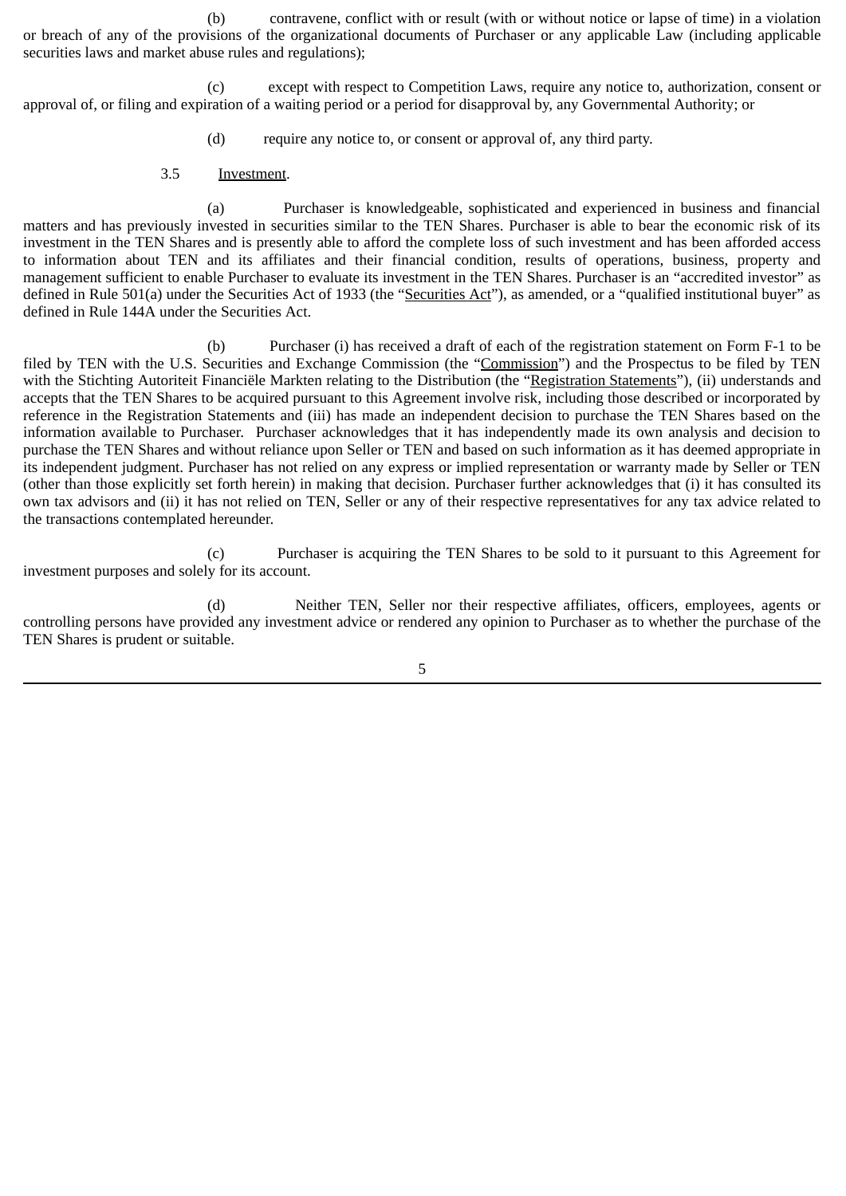(b) contravene, conflict with or result (with or without notice or lapse of time) in a violation or breach of any of the provisions of the organizational documents of Purchaser or any applicable Law (including applicable securities laws and market abuse rules and regulations);

(c) except with respect to Competition Laws, require any notice to, authorization, consent or approval of, or filing and expiration of a waiting period or a period for disapproval by, any Governmental Authority; or

(d) require any notice to, or consent or approval of, any third party.

# 3.5 Investment.

(a) Purchaser is knowledgeable, sophisticated and experienced in business and financial matters and has previously invested in securities similar to the TEN Shares. Purchaser is able to bear the economic risk of its investment in the TEN Shares and is presently able to afford the complete loss of such investment and has been afforded access to information about TEN and its affiliates and their financial condition, results of operations, business, property and management sufficient to enable Purchaser to evaluate its investment in the TEN Shares. Purchaser is an "accredited investor" as defined in Rule 501(a) under the Securities Act of 1933 (the "Securities Act"), as amended, or a "qualified institutional buyer" as defined in Rule 144A under the Securities Act.

(b) Purchaser (i) has received a draft of each of the registration statement on Form F-1 to be filed by TEN with the U.S. Securities and Exchange Commission (the "Commission") and the Prospectus to be filed by TEN with the Stichting Autoriteit Financiële Markten relating to the Distribution (the "Registration Statements"), (ii) understands and accepts that the TEN Shares to be acquired pursuant to this Agreement involve risk, including those described or incorporated by reference in the Registration Statements and (iii) has made an independent decision to purchase the TEN Shares based on the information available to Purchaser. Purchaser acknowledges that it has independently made its own analysis and decision to purchase the TEN Shares and without reliance upon Seller or TEN and based on such information as it has deemed appropriate in its independent judgment. Purchaser has not relied on any express or implied representation or warranty made by Seller or TEN (other than those explicitly set forth herein) in making that decision. Purchaser further acknowledges that (i) it has consulted its own tax advisors and (ii) it has not relied on TEN, Seller or any of their respective representatives for any tax advice related to the transactions contemplated hereunder.

(c) Purchaser is acquiring the TEN Shares to be sold to it pursuant to this Agreement for investment purposes and solely for its account.

(d) Neither TEN, Seller nor their respective affiliates, officers, employees, agents or controlling persons have provided any investment advice or rendered any opinion to Purchaser as to whether the purchase of the TEN Shares is prudent or suitable.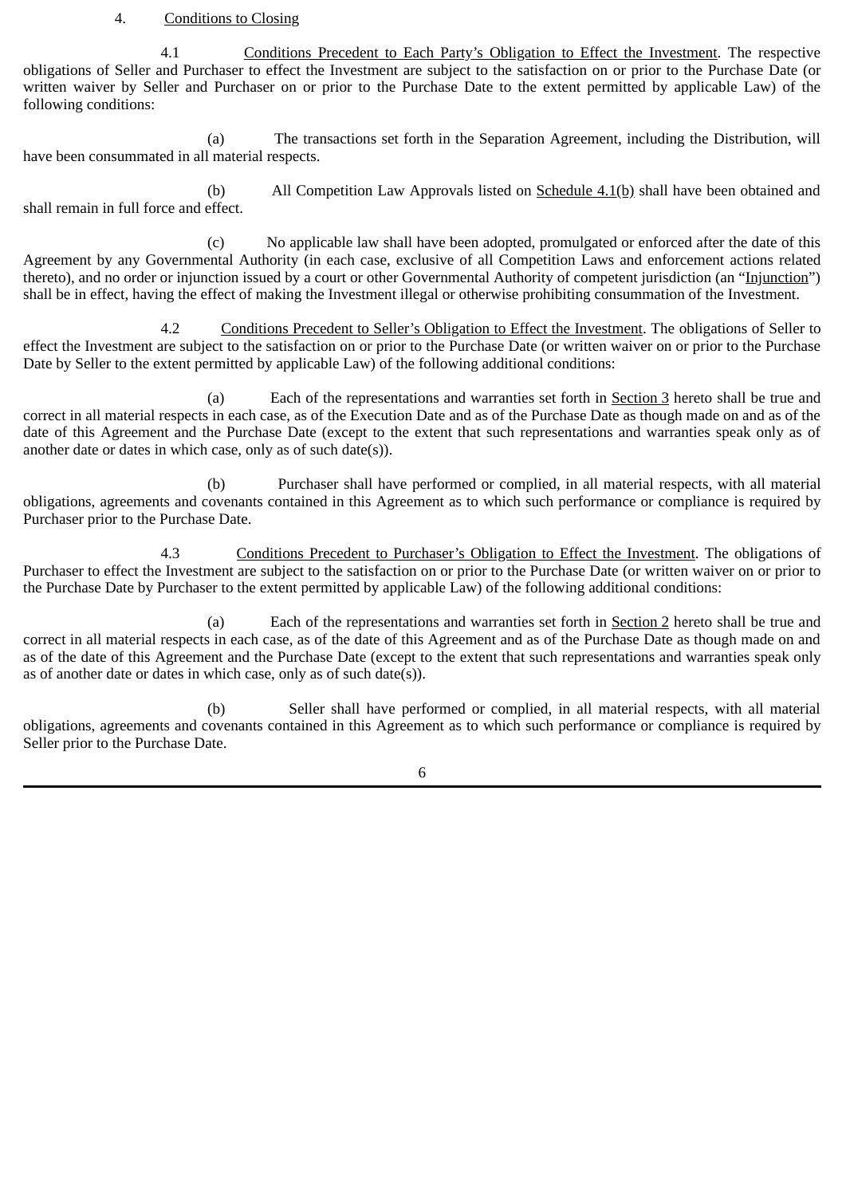### 4. Conditions to Closing

4.1 Conditions Precedent to Each Party's Obligation to Effect the Investment. The respective obligations of Seller and Purchaser to effect the Investment are subject to the satisfaction on or prior to the Purchase Date (or written waiver by Seller and Purchaser on or prior to the Purchase Date to the extent permitted by applicable Law) of the following conditions:

(a) The transactions set forth in the Separation Agreement, including the Distribution, will have been consummated in all material respects.

(b) All Competition Law Approvals listed on  $S$ chedule  $4.1(p)$  shall have been obtained and shall remain in full force and effect.

(c) No applicable law shall have been adopted, promulgated or enforced after the date of this Agreement by any Governmental Authority (in each case, exclusive of all Competition Laws and enforcement actions related thereto), and no order or injunction issued by a court or other Governmental Authority of competent jurisdiction (an "Injunction") shall be in effect, having the effect of making the Investment illegal or otherwise prohibiting consummation of the Investment.

4.2 Conditions Precedent to Seller's Obligation to Effect the Investment. The obligations of Seller to effect the Investment are subject to the satisfaction on or prior to the Purchase Date (or written waiver on or prior to the Purchase Date by Seller to the extent permitted by applicable Law) of the following additional conditions:

(a) Each of the representations and warranties set forth in Section 3 hereto shall be true and correct in all material respects in each case, as of the Execution Date and as of the Purchase Date as though made on and as of the date of this Agreement and the Purchase Date (except to the extent that such representations and warranties speak only as of another date or dates in which case, only as of such date(s)).

(b) Purchaser shall have performed or complied, in all material respects, with all material obligations, agreements and covenants contained in this Agreement as to which such performance or compliance is required by Purchaser prior to the Purchase Date.

4.3 Conditions Precedent to Purchaser's Obligation to Effect the Investment. The obligations of Purchaser to effect the Investment are subject to the satisfaction on or prior to the Purchase Date (or written waiver on or prior to the Purchase Date by Purchaser to the extent permitted by applicable Law) of the following additional conditions:

(a) Each of the representations and warranties set forth in Section 2 hereto shall be true and correct in all material respects in each case, as of the date of this Agreement and as of the Purchase Date as though made on and as of the date of this Agreement and the Purchase Date (except to the extent that such representations and warranties speak only as of another date or dates in which case, only as of such date(s)).

(b) Seller shall have performed or complied, in all material respects, with all material obligations, agreements and covenants contained in this Agreement as to which such performance or compliance is required by Seller prior to the Purchase Date.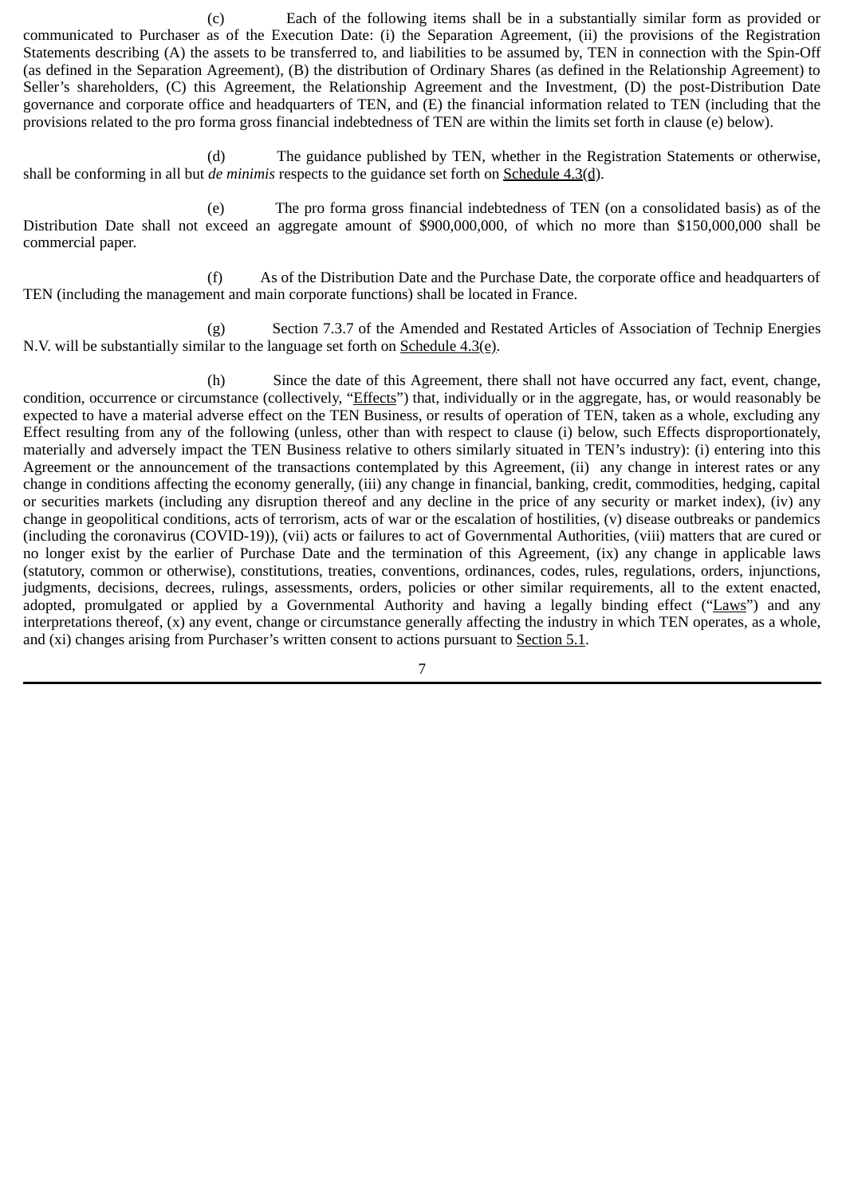(c) Each of the following items shall be in a substantially similar form as provided or communicated to Purchaser as of the Execution Date: (i) the Separation Agreement, (ii) the provisions of the Registration Statements describing (A) the assets to be transferred to, and liabilities to be assumed by, TEN in connection with the Spin-Off (as defined in the Separation Agreement), (B) the distribution of Ordinary Shares (as defined in the Relationship Agreement) to Seller's shareholders, (C) this Agreement, the Relationship Agreement and the Investment, (D) the post-Distribution Date governance and corporate office and headquarters of TEN, and  $(E)$  the financial information related to TEN (including that the provisions related to the pro forma gross financial indebtedness of TEN are within the limits set forth in clause (e) below).

(d) The guidance published by TEN, whether in the Registration Statements or otherwise, shall be conforming in all but *de minimis* respects to the guidance set forth on Schedule 4.3(d).

(e) The pro forma gross financial indebtedness of TEN (on a consolidated basis) as of the Distribution Date shall not exceed an aggregate amount of \$900,000,000, of which no more than \$150,000,000 shall be commercial paper.

(f) As of the Distribution Date and the Purchase Date, the corporate office and headquarters of TEN (including the management and main corporate functions) shall be located in France.

(g) Section 7.3.7 of the Amended and Restated Articles of Association of Technip Energies N.V. will be substantially similar to the language set forth on  $S$ chedule  $4.3$ (e).

(h) Since the date of this Agreement, there shall not have occurred any fact, event, change, condition, occurrence or circumstance (collectively, "Effects") that, individually or in the aggregate, has, or would reasonably be expected to have a material adverse effect on the TEN Business, or results of operation of TEN, taken as a whole, excluding any Effect resulting from any of the following (unless, other than with respect to clause (i) below, such Effects disproportionately, materially and adversely impact the TEN Business relative to others similarly situated in TEN's industry): (i) entering into this Agreement or the announcement of the transactions contemplated by this Agreement, (ii) any change in interest rates or any change in conditions affecting the economy generally, (iii) any change in financial, banking, credit, commodities, hedging, capital or securities markets (including any disruption thereof and any decline in the price of any security or market index), (iv) any change in geopolitical conditions, acts of terrorism, acts of war or the escalation of hostilities, (v) disease outbreaks or pandemics (including the coronavirus (COVID-19)), (vii) acts or failures to act of Governmental Authorities, (viii) matters that are cured or no longer exist by the earlier of Purchase Date and the termination of this Agreement, (ix) any change in applicable laws (statutory, common or otherwise), constitutions, treaties, conventions, ordinances, codes, rules, regulations, orders, injunctions, judgments, decisions, decrees, rulings, assessments, orders, policies or other similar requirements, all to the extent enacted, adopted, promulgated or applied by a Governmental Authority and having a legally binding effect ("Laws") and any interpretations thereof, (x) any event, change or circumstance generally affecting the industry in which TEN operates, as a whole, and (xi) changes arising from Purchaser's written consent to actions pursuant to Section 5.1.

<sup>7</sup>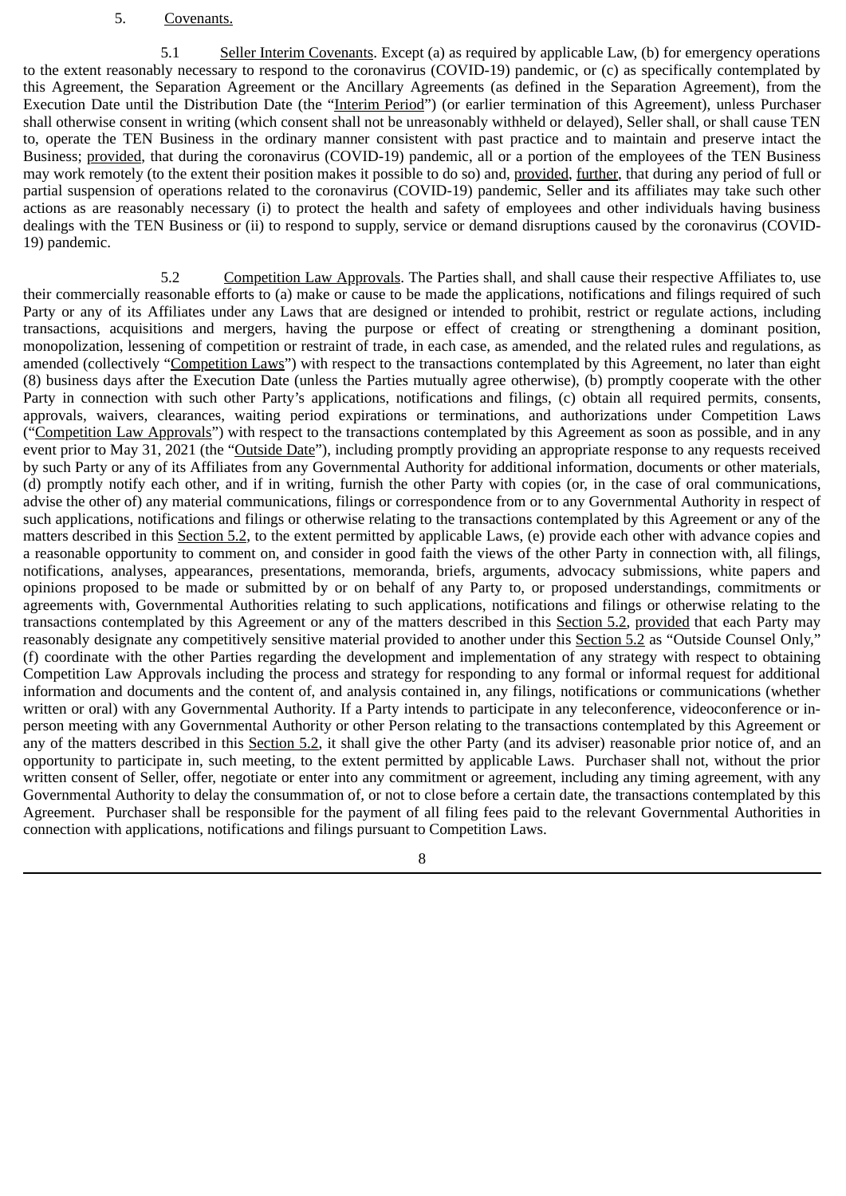### 5. Covenants.

5.1 Seller Interim Covenants. Except (a) as required by applicable Law, (b) for emergency operations to the extent reasonably necessary to respond to the coronavirus (COVID-19) pandemic, or (c) as specifically contemplated by this Agreement, the Separation Agreement or the Ancillary Agreements (as defined in the Separation Agreement), from the Execution Date until the Distribution Date (the "Interim Period") (or earlier termination of this Agreement), unless Purchaser shall otherwise consent in writing (which consent shall not be unreasonably withheld or delayed), Seller shall, or shall cause TEN to, operate the TEN Business in the ordinary manner consistent with past practice and to maintain and preserve intact the Business; provided, that during the coronavirus (COVID-19) pandemic, all or a portion of the employees of the TEN Business may work remotely (to the extent their position makes it possible to do so) and, provided, further, that during any period of full or partial suspension of operations related to the coronavirus (COVID-19) pandemic, Seller and its affiliates may take such other actions as are reasonably necessary (i) to protect the health and safety of employees and other individuals having business dealings with the TEN Business or (ii) to respond to supply, service or demand disruptions caused by the coronavirus (COVID-19) pandemic.

5.2 Competition Law Approvals. The Parties shall, and shall cause their respective Affiliates to, use their commercially reasonable efforts to (a) make or cause to be made the applications, notifications and filings required of such Party or any of its Affiliates under any Laws that are designed or intended to prohibit, restrict or regulate actions, including transactions, acquisitions and mergers, having the purpose or effect of creating or strengthening a dominant position, monopolization, lessening of competition or restraint of trade, in each case, as amended, and the related rules and regulations, as amended (collectively "Competition Laws") with respect to the transactions contemplated by this Agreement, no later than eight (8) business days after the Execution Date (unless the Parties mutually agree otherwise), (b) promptly cooperate with the other Party in connection with such other Party's applications, notifications and filings, (c) obtain all required permits, consents, approvals, waivers, clearances, waiting period expirations or terminations, and authorizations under Competition Laws ("Competition Law Approvals") with respect to the transactions contemplated by this Agreement as soon as possible, and in any event prior to May 31, 2021 (the "Outside Date"), including promptly providing an appropriate response to any requests received by such Party or any of its Affiliates from any Governmental Authority for additional information, documents or other materials, (d) promptly notify each other, and if in writing, furnish the other Party with copies (or, in the case of oral communications, advise the other of) any material communications, filings or correspondence from or to any Governmental Authority in respect of such applications, notifications and filings or otherwise relating to the transactions contemplated by this Agreement or any of the matters described in this Section 5.2, to the extent permitted by applicable Laws, (e) provide each other with advance copies and a reasonable opportunity to comment on, and consider in good faith the views of the other Party in connection with, all filings, notifications, analyses, appearances, presentations, memoranda, briefs, arguments, advocacy submissions, white papers and opinions proposed to be made or submitted by or on behalf of any Party to, or proposed understandings, commitments or agreements with, Governmental Authorities relating to such applications, notifications and filings or otherwise relating to the transactions contemplated by this Agreement or any of the matters described in this Section 5.2, provided that each Party may reasonably designate any competitively sensitive material provided to another under this Section 5.2 as "Outside Counsel Only," (f) coordinate with the other Parties regarding the development and implementation of any strategy with respect to obtaining Competition Law Approvals including the process and strategy for responding to any formal or informal request for additional information and documents and the content of, and analysis contained in, any filings, notifications or communications (whether written or oral) with any Governmental Authority. If a Party intends to participate in any teleconference, videoconference or inperson meeting with any Governmental Authority or other Person relating to the transactions contemplated by this Agreement or any of the matters described in this Section 5.2, it shall give the other Party (and its adviser) reasonable prior notice of, and an opportunity to participate in, such meeting, to the extent permitted by applicable Laws. Purchaser shall not, without the prior written consent of Seller, offer, negotiate or enter into any commitment or agreement, including any timing agreement, with any Governmental Authority to delay the consummation of, or not to close before a certain date, the transactions contemplated by this Agreement. Purchaser shall be responsible for the payment of all filing fees paid to the relevant Governmental Authorities in connection with applications, notifications and filings pursuant to Competition Laws.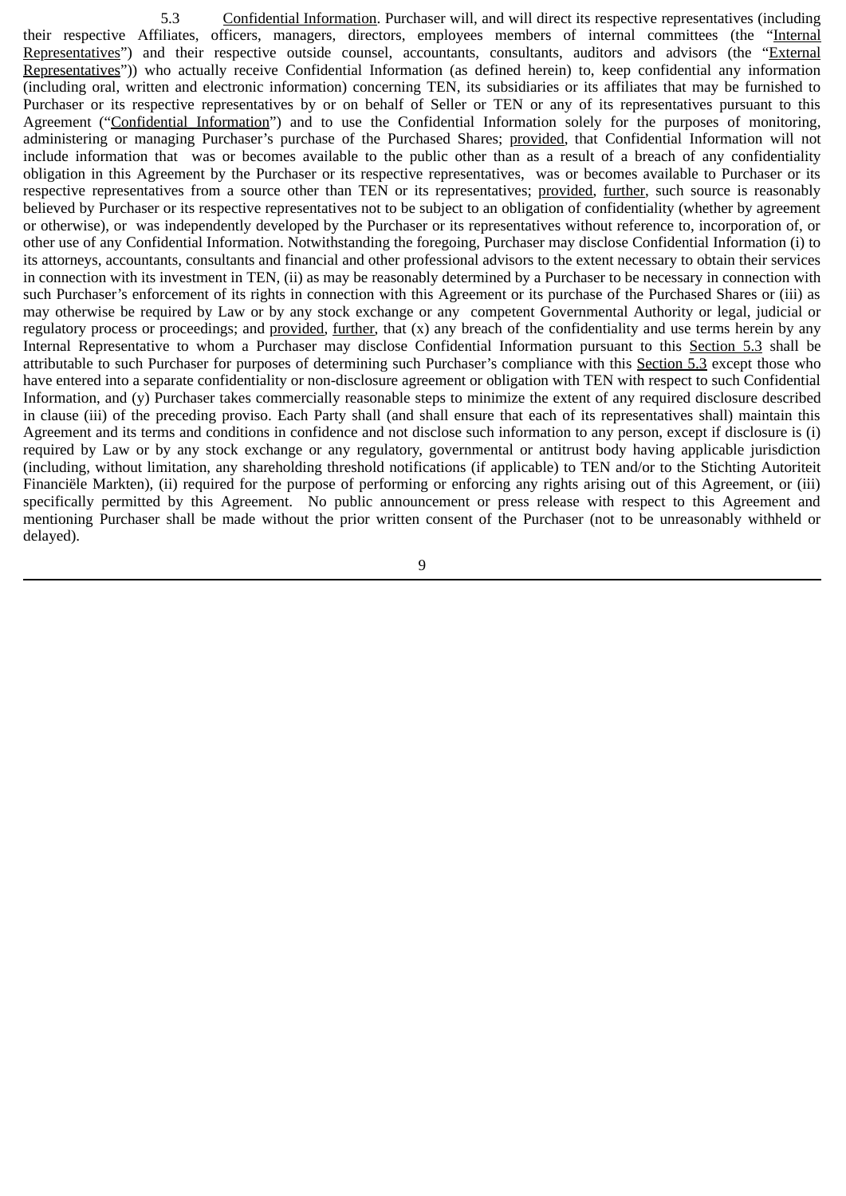5.3 Confidential Information. Purchaser will, and will direct its respective representatives (including their respective Affiliates, officers, managers, directors, employees members of internal committees (the "Internal Representatives") and their respective outside counsel, accountants, consultants, auditors and advisors (the "External Representatives")) who actually receive Confidential Information (as defined herein) to, keep confidential any information (including oral, written and electronic information) concerning TEN, its subsidiaries or its affiliates that may be furnished to Purchaser or its respective representatives by or on behalf of Seller or TEN or any of its representatives pursuant to this Agreement ("Confidential Information") and to use the Confidential Information solely for the purposes of monitoring, administering or managing Purchaser's purchase of the Purchased Shares; provided, that Confidential Information will not include information that was or becomes available to the public other than as a result of a breach of any confidentiality obligation in this Agreement by the Purchaser or its respective representatives, was or becomes available to Purchaser or its respective representatives from a source other than TEN or its representatives; provided, further, such source is reasonably believed by Purchaser or its respective representatives not to be subject to an obligation of confidentiality (whether by agreement or otherwise), or was independently developed by the Purchaser or its representatives without reference to, incorporation of, or other use of any Confidential Information. Notwithstanding the foregoing, Purchaser may disclose Confidential Information (i) to its attorneys, accountants, consultants and financial and other professional advisors to the extent necessary to obtain their services in connection with its investment in TEN, (ii) as may be reasonably determined by a Purchaser to be necessary in connection with such Purchaser's enforcement of its rights in connection with this Agreement or its purchase of the Purchased Shares or (iii) as may otherwise be required by Law or by any stock exchange or any competent Governmental Authority or legal, judicial or regulatory process or proceedings; and provided, further, that (x) any breach of the confidentiality and use terms herein by any Internal Representative to whom a Purchaser may disclose Confidential Information pursuant to this Section 5.3 shall be attributable to such Purchaser for purposes of determining such Purchaser's compliance with this Section 5.3 except those who have entered into a separate confidentiality or non-disclosure agreement or obligation with TEN with respect to such Confidential Information, and (y) Purchaser takes commercially reasonable steps to minimize the extent of any required disclosure described in clause (iii) of the preceding proviso. Each Party shall (and shall ensure that each of its representatives shall) maintain this Agreement and its terms and conditions in confidence and not disclose such information to any person, except if disclosure is (i) required by Law or by any stock exchange or any regulatory, governmental or antitrust body having applicable jurisdiction (including, without limitation, any shareholding threshold notifications (if applicable) to TEN and/or to the Stichting Autoriteit Financiële Markten), (ii) required for the purpose of performing or enforcing any rights arising out of this Agreement, or (iii) specifically permitted by this Agreement. No public announcement or press release with respect to this Agreement and mentioning Purchaser shall be made without the prior written consent of the Purchaser (not to be unreasonably withheld or delayed).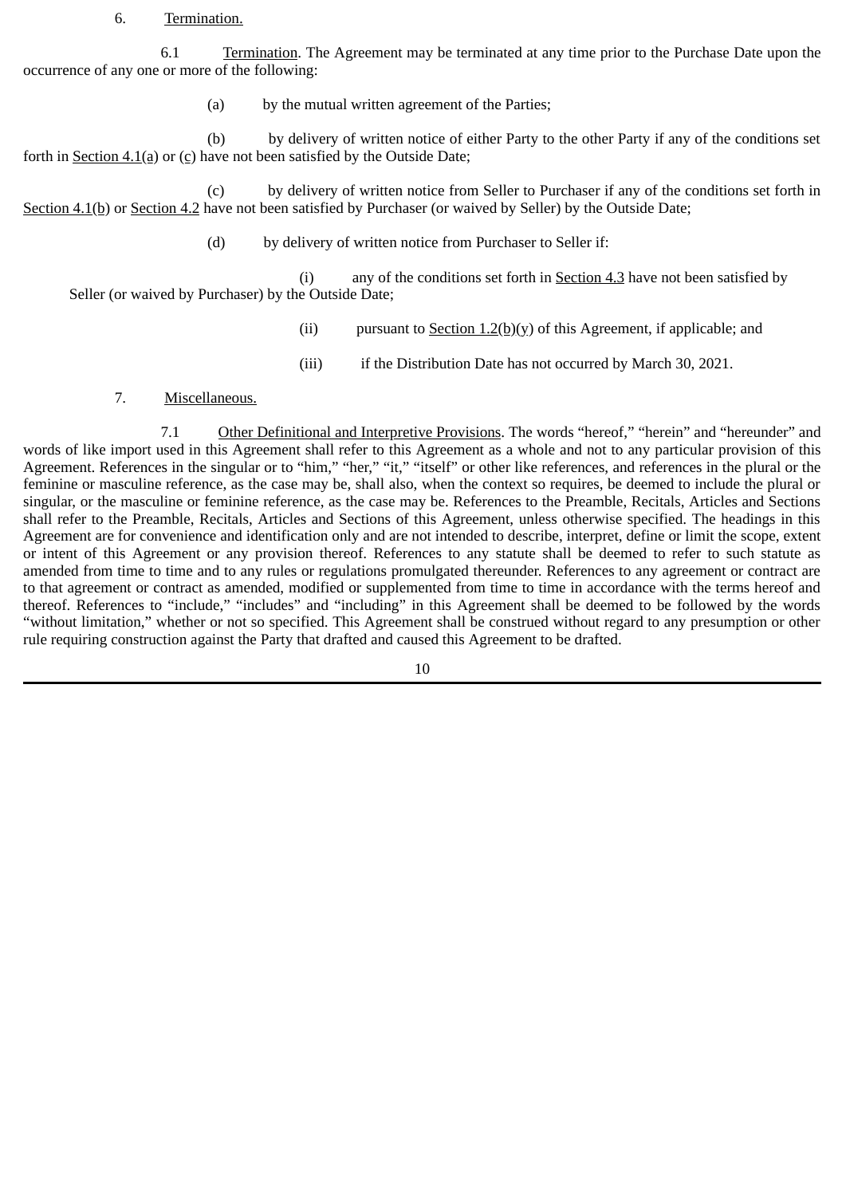### 6. Termination.

6.1 Termination. The Agreement may be terminated at any time prior to the Purchase Date upon the occurrence of any one or more of the following:

(a) by the mutual written agreement of the Parties;

(b) by delivery of written notice of either Party to the other Party if any of the conditions set forth in Section  $4.1(a)$  or (c) have not been satisfied by the Outside Date;

(c) by delivery of written notice from Seller to Purchaser if any of the conditions set forth in Section 4.1(b) or Section 4.2 have not been satisfied by Purchaser (or waived by Seller) by the Outside Date;

(d) by delivery of written notice from Purchaser to Seller if:

(i) any of the conditions set forth in Section 4.3 have not been satisfied by Seller (or waived by Purchaser) by the Outside Date;

- (ii) pursuant to <u>Section 1.2(b)(y</u>) of this Agreement, if applicable; and
- (iii) if the Distribution Date has not occurred by March 30, 2021.

## 7. Miscellaneous.

7.1 Other Definitional and Interpretive Provisions. The words "hereof," "herein" and "hereunder" and words of like import used in this Agreement shall refer to this Agreement as a whole and not to any particular provision of this Agreement. References in the singular or to "him," "her," "it," "itself" or other like references, and references in the plural or the feminine or masculine reference, as the case may be, shall also, when the context so requires, be deemed to include the plural or singular, or the masculine or feminine reference, as the case may be. References to the Preamble, Recitals, Articles and Sections shall refer to the Preamble, Recitals, Articles and Sections of this Agreement, unless otherwise specified. The headings in this Agreement are for convenience and identification only and are not intended to describe, interpret, define or limit the scope, extent or intent of this Agreement or any provision thereof. References to any statute shall be deemed to refer to such statute as amended from time to time and to any rules or regulations promulgated thereunder. References to any agreement or contract are to that agreement or contract as amended, modified or supplemented from time to time in accordance with the terms hereof and thereof. References to "include," "includes" and "including" in this Agreement shall be deemed to be followed by the words "without limitation," whether or not so specified. This Agreement shall be construed without regard to any presumption or other rule requiring construction against the Party that drafted and caused this Agreement to be drafted.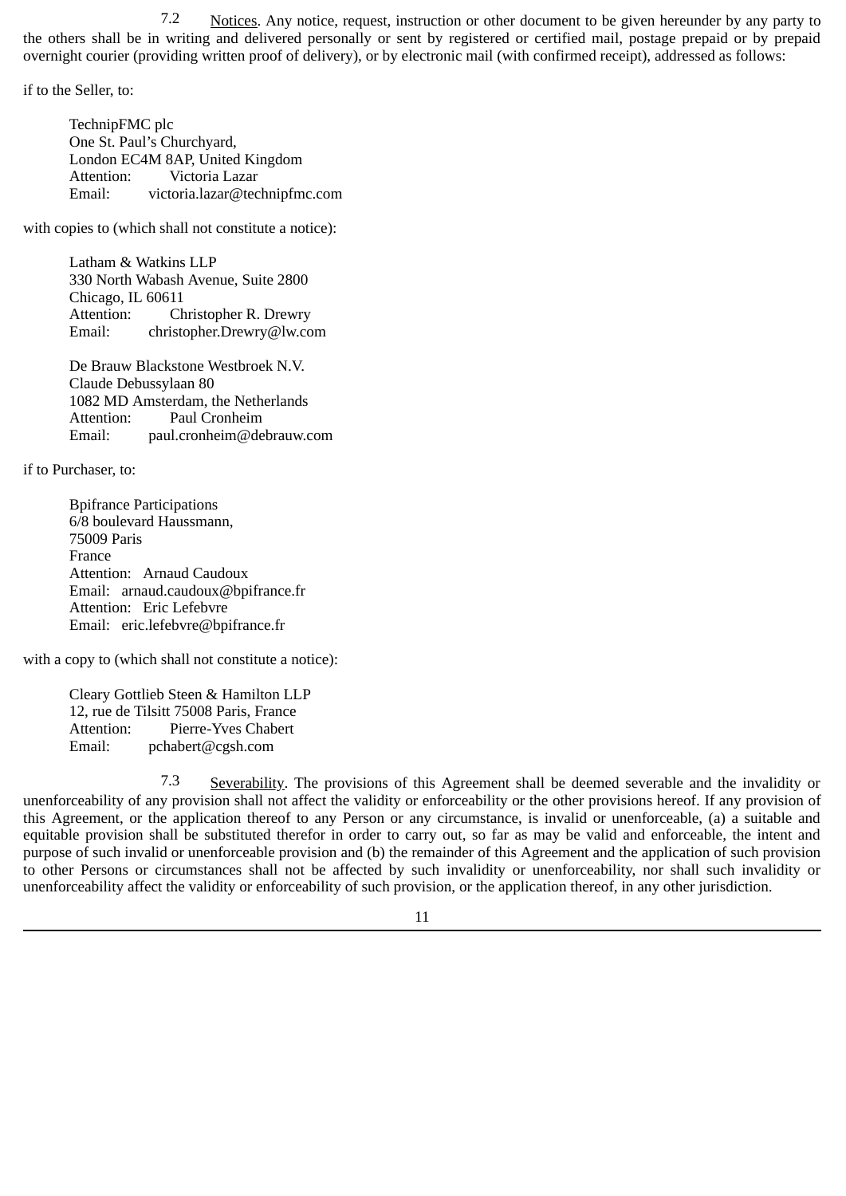7.2 Notices. Any notice, request, instruction or other document to be given hereunder by any party to the others shall be in writing and delivered personally or sent by registered or certified mail, postage prepaid or by prepaid overnight courier (providing written proof of delivery), or by electronic mail (with confirmed receipt), addressed as follows:

if to the Seller, to:

TechnipFMC plc One St. Paul's Churchyard, London EC4M 8AP, United Kingdom Attention: Victoria Lazar Email: victoria.lazar@technipfmc.com

with copies to (which shall not constitute a notice):

Latham & Watkins LLP 330 North Wabash Avenue, Suite 2800 Chicago, IL 60611 Attention: Christopher R. Drewry Email: christopher.Drewry@lw.com

De Brauw Blackstone Westbroek N.V. Claude Debussylaan 80 1082 MD Amsterdam, the Netherlands Attention: Paul Cronheim Email: paul.cronheim@debrauw.com

if to Purchaser, to:

Bpifrance Participations 6/8 boulevard Haussmann, 75009 Paris France Attention: Arnaud Caudoux Email: arnaud.caudoux@bpifrance.fr Attention: Eric Lefebvre Email: eric.lefebvre@bpifrance.fr

with a copy to (which shall not constitute a notice):

Cleary Gottlieb Steen & Hamilton LLP 12, rue de Tilsitt 75008 Paris, France Attention: Pierre-Yves Chabert Email: pchabert@cgsh.com

7.3 Severability. The provisions of this Agreement shall be deemed severable and the invalidity or unenforceability of any provision shall not affect the validity or enforceability or the other provisions hereof. If any provision of this Agreement, or the application thereof to any Person or any circumstance, is invalid or unenforceable, (a) a suitable and equitable provision shall be substituted therefor in order to carry out, so far as may be valid and enforceable, the intent and purpose of such invalid or unenforceable provision and (b) the remainder of this Agreement and the application of such provision to other Persons or circumstances shall not be affected by such invalidity or unenforceability, nor shall such invalidity or unenforceability affect the validity or enforceability of such provision, or the application thereof, in any other jurisdiction.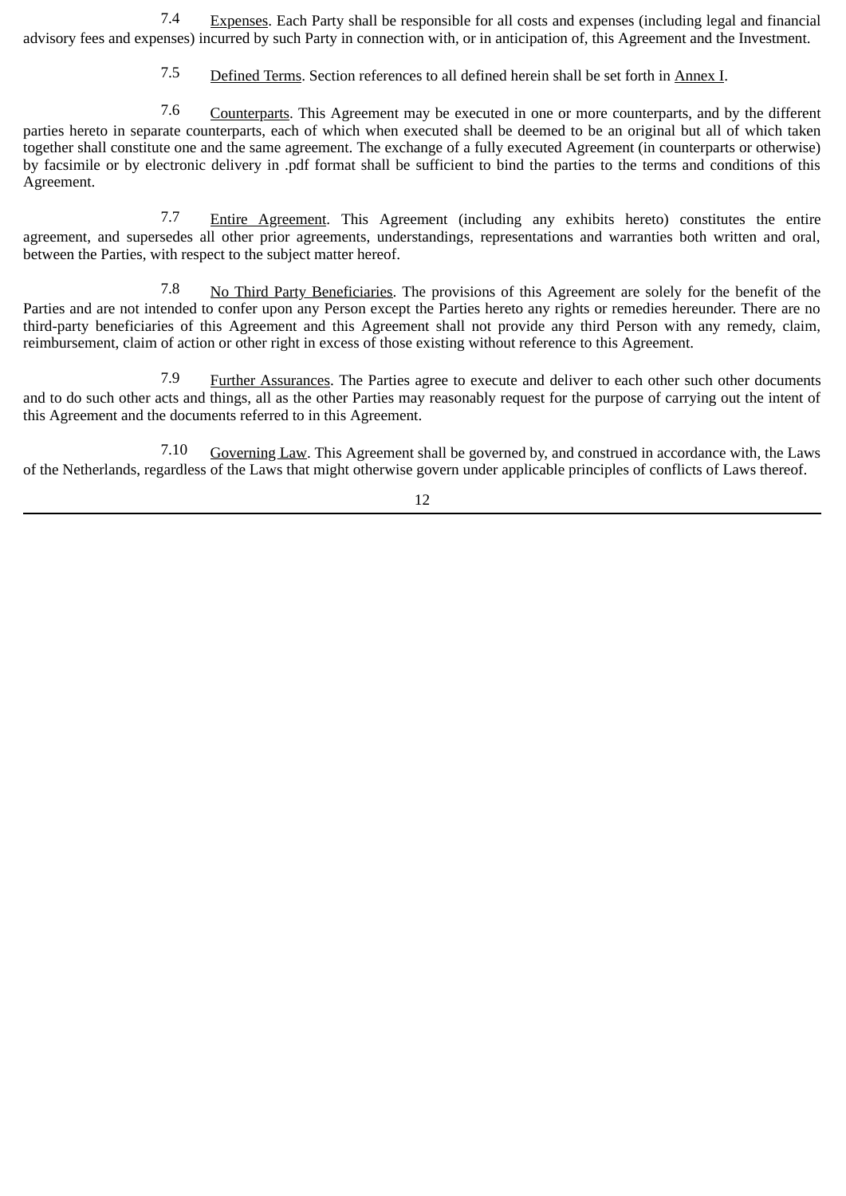7.4 Expenses. Each Party shall be responsible for all costs and expenses (including legal and financial advisory fees and expenses) incurred by such Party in connection with, or in anticipation of, this Agreement and the Investment.

7.5 Defined Terms. Section references to all defined herein shall be set forth in Annex I.

7.6 Counterparts. This Agreement may be executed in one or more counterparts, and by the different parties hereto in separate counterparts, each of which when executed shall be deemed to be an original but all of which taken together shall constitute one and the same agreement. The exchange of a fully executed Agreement (in counterparts or otherwise) by facsimile or by electronic delivery in .pdf format shall be sufficient to bind the parties to the terms and conditions of this Agreement.

7.7 Entire Agreement. This Agreement (including any exhibits hereto) constitutes the entire agreement, and supersedes all other prior agreements, understandings, representations and warranties both written and oral, between the Parties, with respect to the subject matter hereof.

7.8 No Third Party Beneficiaries. The provisions of this Agreement are solely for the benefit of the Parties and are not intended to confer upon any Person except the Parties hereto any rights or remedies hereunder. There are no third-party beneficiaries of this Agreement and this Agreement shall not provide any third Person with any remedy, claim, reimbursement, claim of action or other right in excess of those existing without reference to this Agreement.

7.9 Further Assurances. The Parties agree to execute and deliver to each other such other documents and to do such other acts and things, all as the other Parties may reasonably request for the purpose of carrying out the intent of this Agreement and the documents referred to in this Agreement.

7.10 Governing Law. This Agreement shall be governed by, and construed in accordance with, the Laws of the Netherlands, regardless of the Laws that might otherwise govern under applicable principles of conflicts of Laws thereof.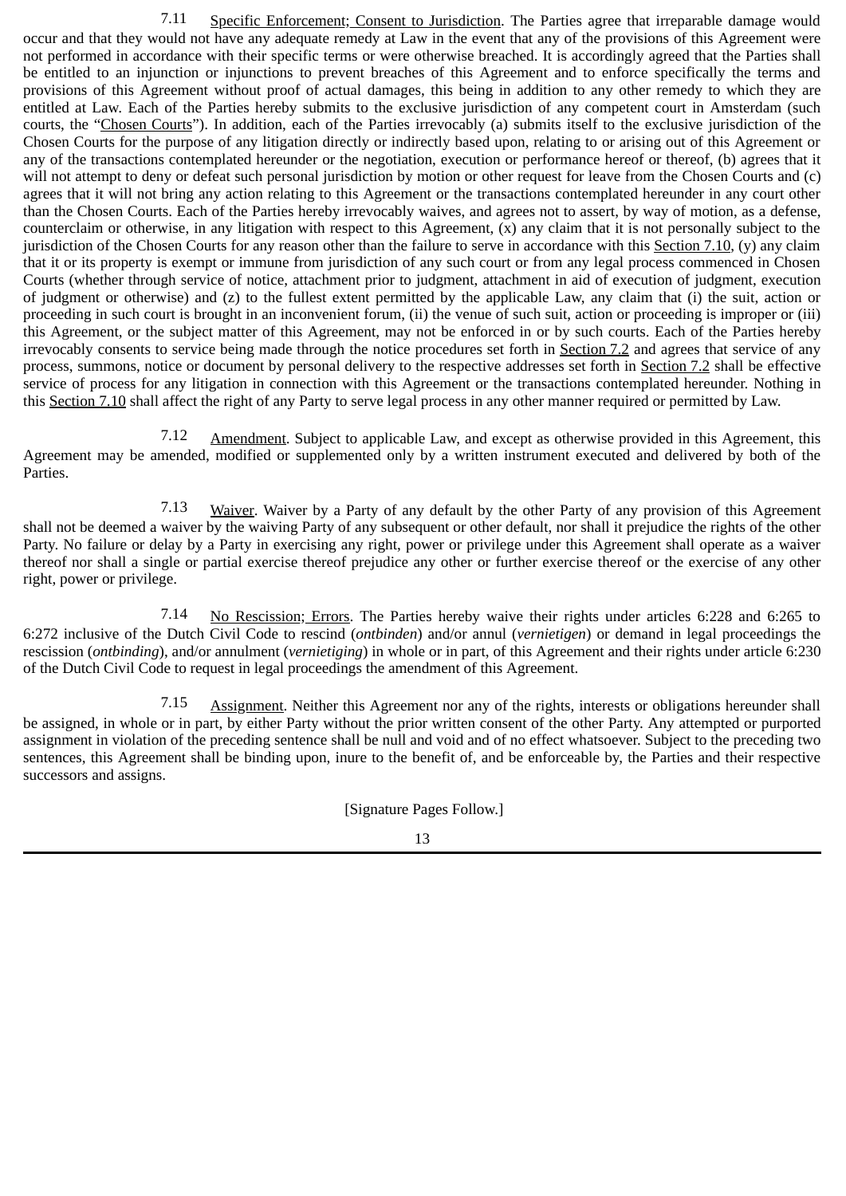7.11 Specific Enforcement; Consent to Jurisdiction. The Parties agree that irreparable damage would occur and that they would not have any adequate remedy at Law in the event that any of the provisions of this Agreement were not performed in accordance with their specific terms or were otherwise breached. It is accordingly agreed that the Parties shall be entitled to an injunction or injunctions to prevent breaches of this Agreement and to enforce specifically the terms and provisions of this Agreement without proof of actual damages, this being in addition to any other remedy to which they are entitled at Law. Each of the Parties hereby submits to the exclusive jurisdiction of any competent court in Amsterdam (such courts, the "Chosen Courts"). In addition, each of the Parties irrevocably (a) submits itself to the exclusive jurisdiction of the Chosen Courts for the purpose of any litigation directly or indirectly based upon, relating to or arising out of this Agreement or any of the transactions contemplated hereunder or the negotiation, execution or performance hereof or thereof, (b) agrees that it will not attempt to deny or defeat such personal jurisdiction by motion or other request for leave from the Chosen Courts and (c) agrees that it will not bring any action relating to this Agreement or the transactions contemplated hereunder in any court other than the Chosen Courts. Each of the Parties hereby irrevocably waives, and agrees not to assert, by way of motion, as a defense, counterclaim or otherwise, in any litigation with respect to this Agreement, (x) any claim that it is not personally subject to the jurisdiction of the Chosen Courts for any reason other than the failure to serve in accordance with this Section 7.10, (y) any claim that it or its property is exempt or immune from jurisdiction of any such court or from any legal process commenced in Chosen Courts (whether through service of notice, attachment prior to judgment, attachment in aid of execution of judgment, execution of judgment or otherwise) and (z) to the fullest extent permitted by the applicable Law, any claim that (i) the suit, action or proceeding in such court is brought in an inconvenient forum, (ii) the venue of such suit, action or proceeding is improper or (iii) this Agreement, or the subject matter of this Agreement, may not be enforced in or by such courts. Each of the Parties hereby irrevocably consents to service being made through the notice procedures set forth in Section 7.2 and agrees that service of any process, summons, notice or document by personal delivery to the respective addresses set forth in Section 7.2 shall be effective service of process for any litigation in connection with this Agreement or the transactions contemplated hereunder. Nothing in this Section 7.10 shall affect the right of any Party to serve legal process in any other manner required or permitted by Law.

7.12 Amendment. Subject to applicable Law, and except as otherwise provided in this Agreement, this Agreement may be amended, modified or supplemented only by a written instrument executed and delivered by both of the Parties.

7.13 Waiver. Waiver by a Party of any default by the other Party of any provision of this Agreement shall not be deemed a waiver by the waiving Party of any subsequent or other default, nor shall it prejudice the rights of the other Party. No failure or delay by a Party in exercising any right, power or privilege under this Agreement shall operate as a waiver thereof nor shall a single or partial exercise thereof prejudice any other or further exercise thereof or the exercise of any other right, power or privilege.

7.14 No Rescission; Errors. The Parties hereby waive their rights under articles 6:228 and 6:265 to 6:272 inclusive of the Dutch Civil Code to rescind (*ontbinden*) and/or annul (*vernietigen*) or demand in legal proceedings the rescission (*ontbinding*), and/or annulment (*vernietiging*) in whole or in part, of this Agreement and their rights under article 6:230 of the Dutch Civil Code to request in legal proceedings the amendment of this Agreement.

7.15 Assignment. Neither this Agreement nor any of the rights, interests or obligations hereunder shall be assigned, in whole or in part, by either Party without the prior written consent of the other Party. Any attempted or purported assignment in violation of the preceding sentence shall be null and void and of no effect whatsoever. Subject to the preceding two sentences, this Agreement shall be binding upon, inure to the benefit of, and be enforceable by, the Parties and their respective successors and assigns.

[Signature Pages Follow.]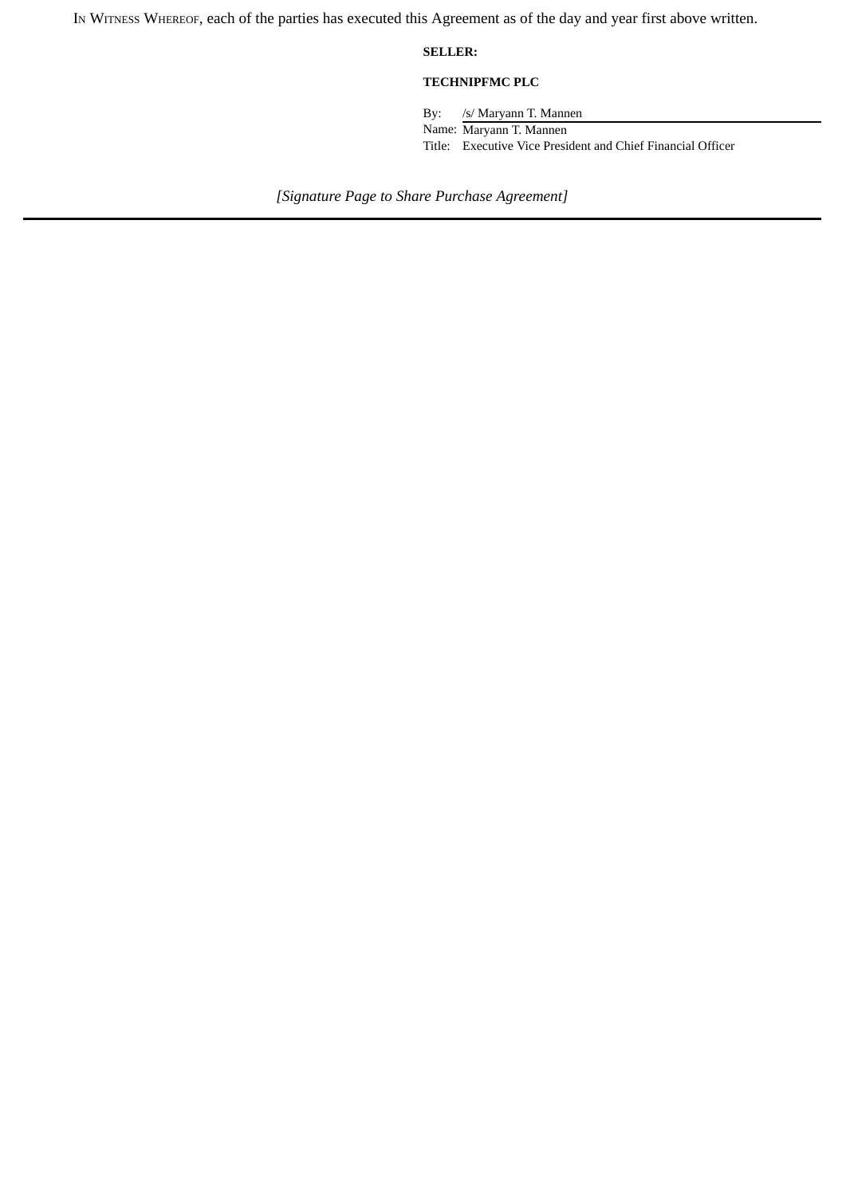IN WITNESS WHEREOF, each of the parties has executed this Agreement as of the day and year first above written.

**SELLER:**

## **TECHNIPFMC PLC**

By: /s/ Maryann T. Mannen

Name: Maryann T. Mannen

Title: Executive Vice President and Chief Financial Officer

*[Signature Page to Share Purchase Agreement]*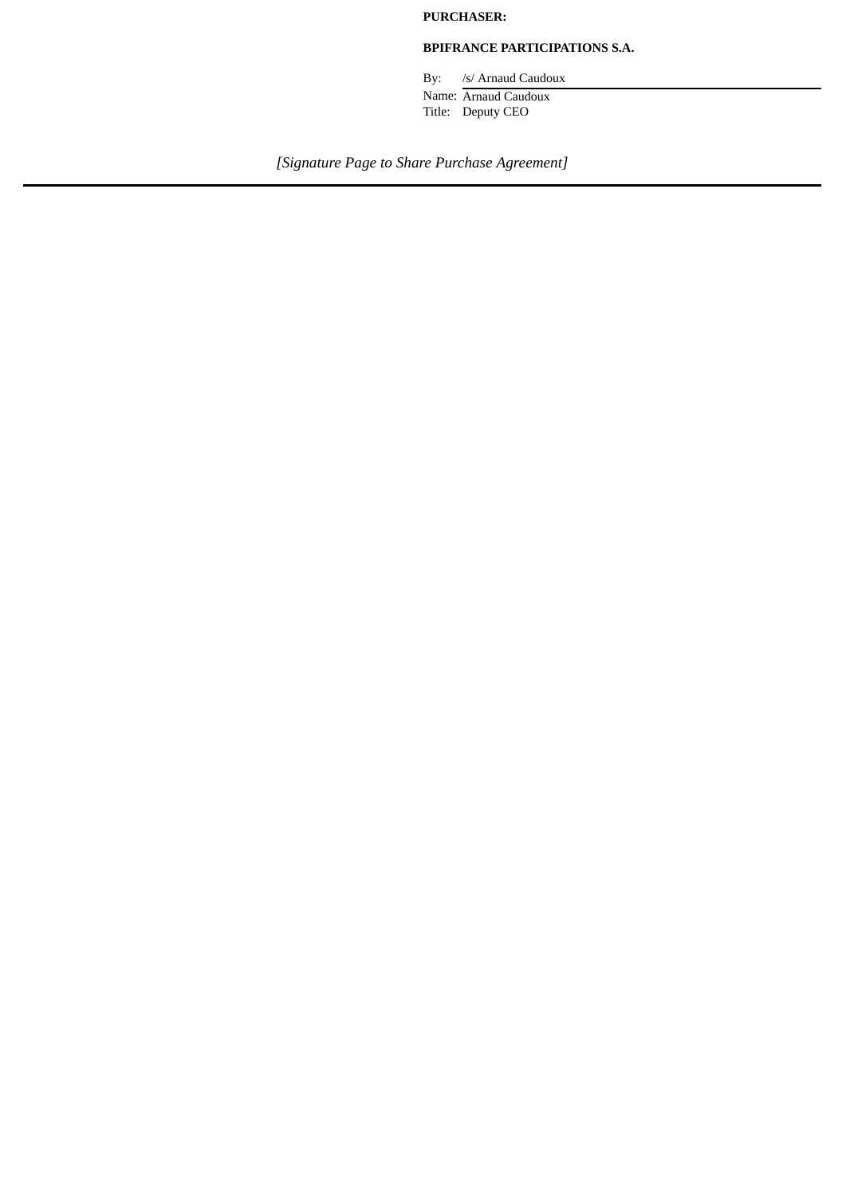# **PURCHASER:**

# **BPIFRANCE PARTICIPATIONS S.A.**

By: /s/ Arnaud Caudoux

Name: Arnaud Caudoux Title: Deputy CEO

*[Signature Page to Share Purchase Agreement]*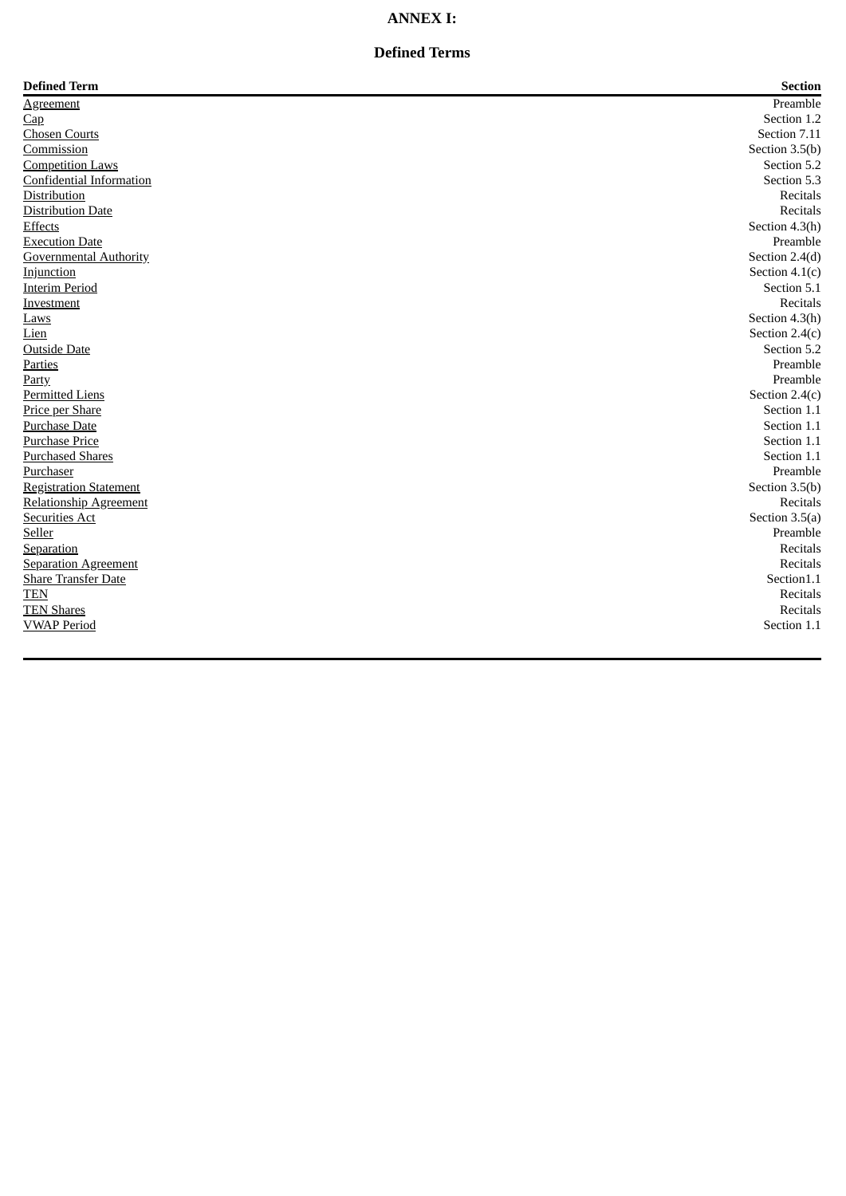# **ANNEX I:**

# **Defined Terms**

| <b>Defined Term</b>             | <b>Section</b>   |
|---------------------------------|------------------|
| Agreement                       | Preamble         |
| Cap                             | Section 1.2      |
| <b>Chosen Courts</b>            | Section 7.11     |
| Commission                      | Section 3.5(b)   |
| <b>Competition Laws</b>         | Section 5.2      |
| <b>Confidential Information</b> | Section 5.3      |
| Distribution                    | Recitals         |
| <b>Distribution Date</b>        | Recitals         |
| Effects                         | Section 4.3(h)   |
| <b>Execution Date</b>           | Preamble         |
| <b>Governmental Authority</b>   | Section 2.4(d)   |
| Injunction                      | Section $4.1(c)$ |
| <b>Interim Period</b>           | Section 5.1      |
| Investment                      | Recitals         |
| Laws                            | Section 4.3(h)   |
| <b>Lien</b>                     | Section $2.4(c)$ |
| <b>Outside Date</b>             | Section 5.2      |
| Parties                         | Preamble         |
| Party                           | Preamble         |
| <b>Permitted Liens</b>          | Section 2.4(c)   |
| Price per Share                 | Section 1.1      |
| <b>Purchase Date</b>            | Section 1.1      |
| <b>Purchase Price</b>           | Section 1.1      |
| <b>Purchased Shares</b>         | Section 1.1      |
| Purchaser                       | Preamble         |
| <b>Registration Statement</b>   | Section 3.5(b)   |
| <b>Relationship Agreement</b>   | Recitals         |
| Securities Act                  | Section $3.5(a)$ |
| Seller                          | Preamble         |
| Separation                      | Recitals         |
| <b>Separation Agreement</b>     | Recitals         |
| <b>Share Transfer Date</b>      | Section1.1       |
| <b>TEN</b>                      | Recitals         |
| <b>TEN Shares</b>               | Recitals         |
| <b>VWAP Period</b>              | Section 1.1      |
|                                 |                  |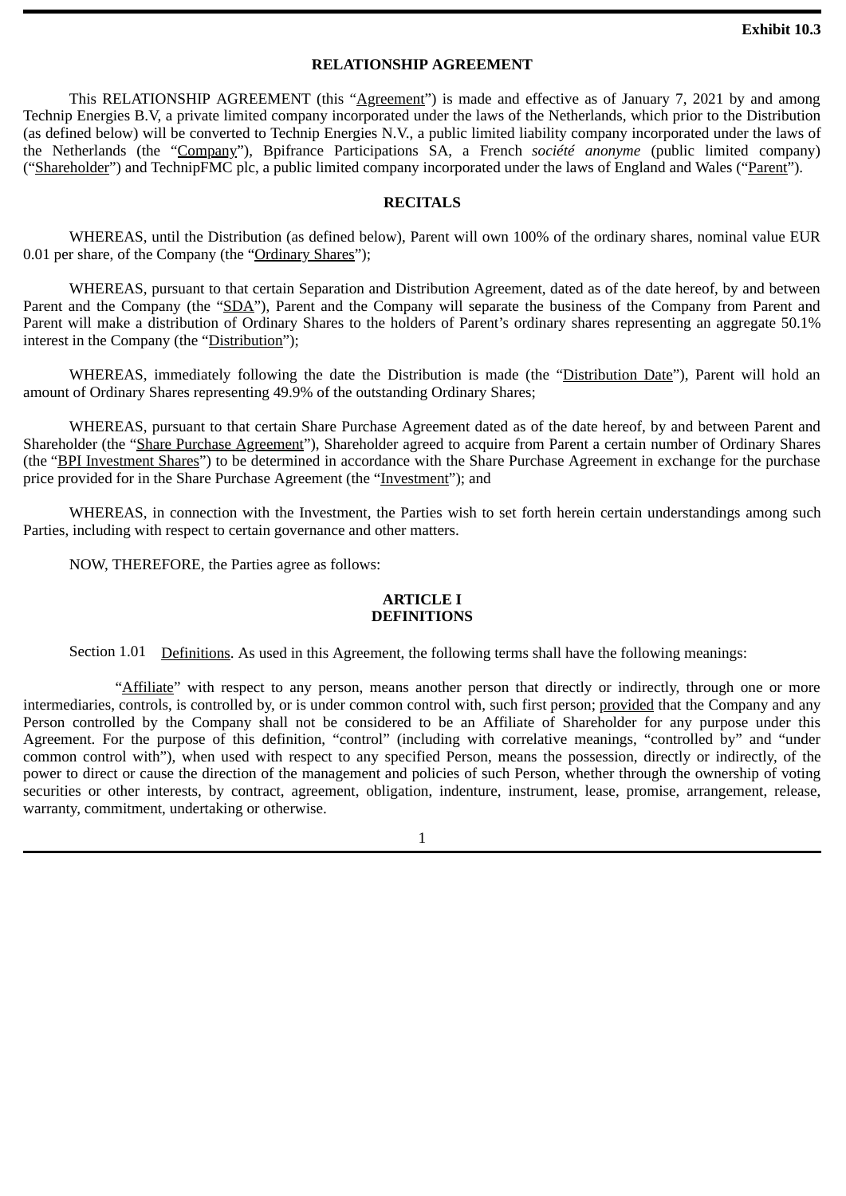### **RELATIONSHIP AGREEMENT**

This RELATIONSHIP AGREEMENT (this "Agreement") is made and effective as of January 7, 2021 by and among Technip Energies B.V, a private limited company incorporated under the laws of the Netherlands, which prior to the Distribution (as defined below) will be converted to Technip Energies N.V., a public limited liability company incorporated under the laws of the Netherlands (the "Company"), Bpifrance Participations SA, a French *société anonyme* (public limited company) ("Shareholder") and TechnipFMC plc, a public limited company incorporated under the laws of England and Wales ("Parent").

#### **RECITALS**

WHEREAS, until the Distribution (as defined below), Parent will own 100% of the ordinary shares, nominal value EUR 0.01 per share, of the Company (the "Ordinary Shares");

WHEREAS, pursuant to that certain Separation and Distribution Agreement, dated as of the date hereof, by and between Parent and the Company (the "SDA"), Parent and the Company will separate the business of the Company from Parent and Parent will make a distribution of Ordinary Shares to the holders of Parent's ordinary shares representing an aggregate 50.1% interest in the Company (the "Distribution");

WHEREAS, immediately following the date the Distribution is made (the "Distribution Date"), Parent will hold an amount of Ordinary Shares representing 49.9% of the outstanding Ordinary Shares;

WHEREAS, pursuant to that certain Share Purchase Agreement dated as of the date hereof, by and between Parent and Shareholder (the "Share Purchase Agreement"), Shareholder agreed to acquire from Parent a certain number of Ordinary Shares (the "BPI Investment Shares") to be determined in accordance with the Share Purchase Agreement in exchange for the purchase price provided for in the Share Purchase Agreement (the "Investment"); and

WHEREAS, in connection with the Investment, the Parties wish to set forth herein certain understandings among such Parties, including with respect to certain governance and other matters.

NOW, THEREFORE, the Parties agree as follows:

#### **ARTICLE I DEFINITIONS**

Section 1.01 Definitions. As used in this Agreement, the following terms shall have the following meanings:

"Affiliate" with respect to any person, means another person that directly or indirectly, through one or more intermediaries, controls, is controlled by, or is under common control with, such first person; provided that the Company and any Person controlled by the Company shall not be considered to be an Affiliate of Shareholder for any purpose under this Agreement. For the purpose of this definition, "control" (including with correlative meanings, "controlled by" and "under common control with"), when used with respect to any specified Person, means the possession, directly or indirectly, of the power to direct or cause the direction of the management and policies of such Person, whether through the ownership of voting securities or other interests, by contract, agreement, obligation, indenture, instrument, lease, promise, arrangement, release, warranty, commitment, undertaking or otherwise.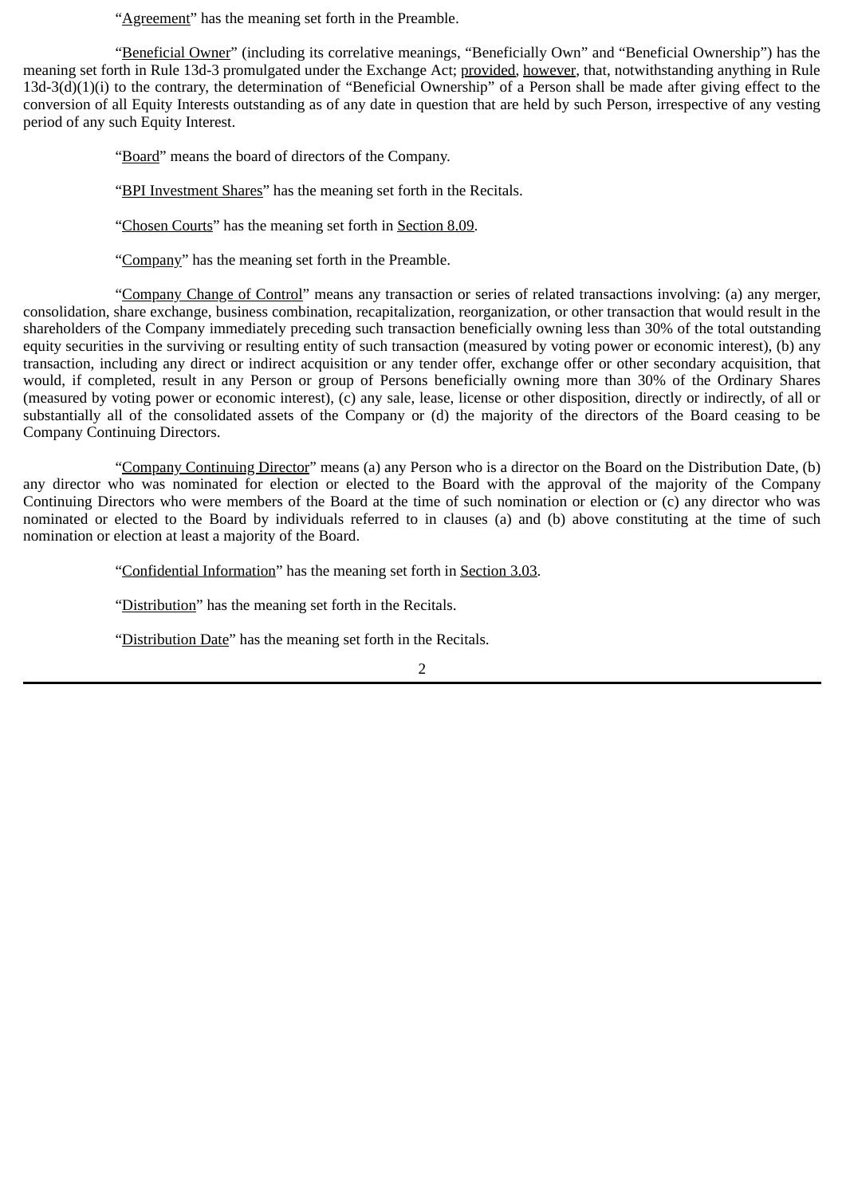"Agreement" has the meaning set forth in the Preamble.

"Beneficial Owner" (including its correlative meanings, "Beneficially Own" and "Beneficial Ownership") has the meaning set forth in Rule 13d-3 promulgated under the Exchange Act; provided, however, that, notwithstanding anything in Rule 13d-3(d)(1)(i) to the contrary, the determination of "Beneficial Ownership" of a Person shall be made after giving effect to the conversion of all Equity Interests outstanding as of any date in question that are held by such Person, irrespective of any vesting period of any such Equity Interest.

"Board" means the board of directors of the Company.

"BPI Investment Shares" has the meaning set forth in the Recitals.

"Chosen Courts" has the meaning set forth in Section 8.09.

"Company" has the meaning set forth in the Preamble.

"Company Change of Control" means any transaction or series of related transactions involving: (a) any merger, consolidation, share exchange, business combination, recapitalization, reorganization, or other transaction that would result in the shareholders of the Company immediately preceding such transaction beneficially owning less than 30% of the total outstanding equity securities in the surviving or resulting entity of such transaction (measured by voting power or economic interest), (b) any transaction, including any direct or indirect acquisition or any tender offer, exchange offer or other secondary acquisition, that would, if completed, result in any Person or group of Persons beneficially owning more than 30% of the Ordinary Shares (measured by voting power or economic interest), (c) any sale, lease, license or other disposition, directly or indirectly, of all or substantially all of the consolidated assets of the Company or (d) the majority of the directors of the Board ceasing to be Company Continuing Directors.

"Company Continuing Director" means (a) any Person who is a director on the Board on the Distribution Date, (b) any director who was nominated for election or elected to the Board with the approval of the majority of the Company Continuing Directors who were members of the Board at the time of such nomination or election or (c) any director who was nominated or elected to the Board by individuals referred to in clauses (a) and (b) above constituting at the time of such nomination or election at least a majority of the Board.

"Confidential Information" has the meaning set forth in Section 3.03.

"Distribution" has the meaning set forth in the Recitals.

"Distribution Date" has the meaning set forth in the Recitals.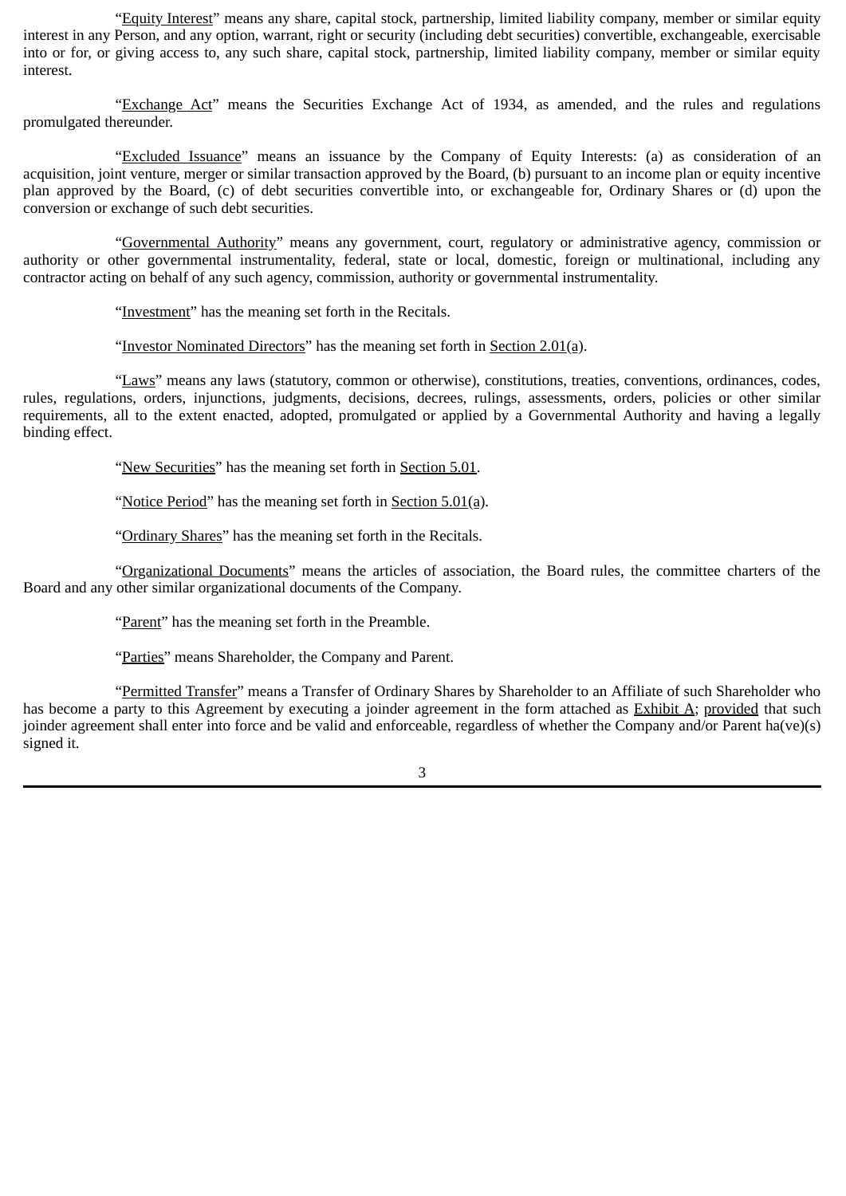"Equity Interest" means any share, capital stock, partnership, limited liability company, member or similar equity interest in any Person, and any option, warrant, right or security (including debt securities) convertible, exchangeable, exercisable into or for, or giving access to, any such share, capital stock, partnership, limited liability company, member or similar equity interest.

"Exchange Act" means the Securities Exchange Act of 1934, as amended, and the rules and regulations promulgated thereunder.

"Excluded Issuance" means an issuance by the Company of Equity Interests: (a) as consideration of an acquisition, joint venture, merger or similar transaction approved by the Board, (b) pursuant to an income plan or equity incentive plan approved by the Board, (c) of debt securities convertible into, or exchangeable for, Ordinary Shares or (d) upon the conversion or exchange of such debt securities.

"Governmental Authority" means any government, court, regulatory or administrative agency, commission or authority or other governmental instrumentality, federal, state or local, domestic, foreign or multinational, including any contractor acting on behalf of any such agency, commission, authority or governmental instrumentality.

"Investment" has the meaning set forth in the Recitals.

"Investor Nominated Directors" has the meaning set forth in Section 2.01(a).

"Laws" means any laws (statutory, common or otherwise), constitutions, treaties, conventions, ordinances, codes, rules, regulations, orders, injunctions, judgments, decisions, decrees, rulings, assessments, orders, policies or other similar requirements, all to the extent enacted, adopted, promulgated or applied by a Governmental Authority and having a legally binding effect.

"New Securities" has the meaning set forth in Section 5.01.

"Notice Period" has the meaning set forth in Section 5.01(a).

"Ordinary Shares" has the meaning set forth in the Recitals.

"Organizational Documents" means the articles of association, the Board rules, the committee charters of the Board and any other similar organizational documents of the Company.

"Parent" has the meaning set forth in the Preamble.

"Parties" means Shareholder, the Company and Parent.

"Permitted Transfer" means a Transfer of Ordinary Shares by Shareholder to an Affiliate of such Shareholder who has become a party to this Agreement by executing a joinder agreement in the form attached as Exhibit A; provided that such joinder agreement shall enter into force and be valid and enforceable, regardless of whether the Company and/or Parent ha(ve)(s) signed it.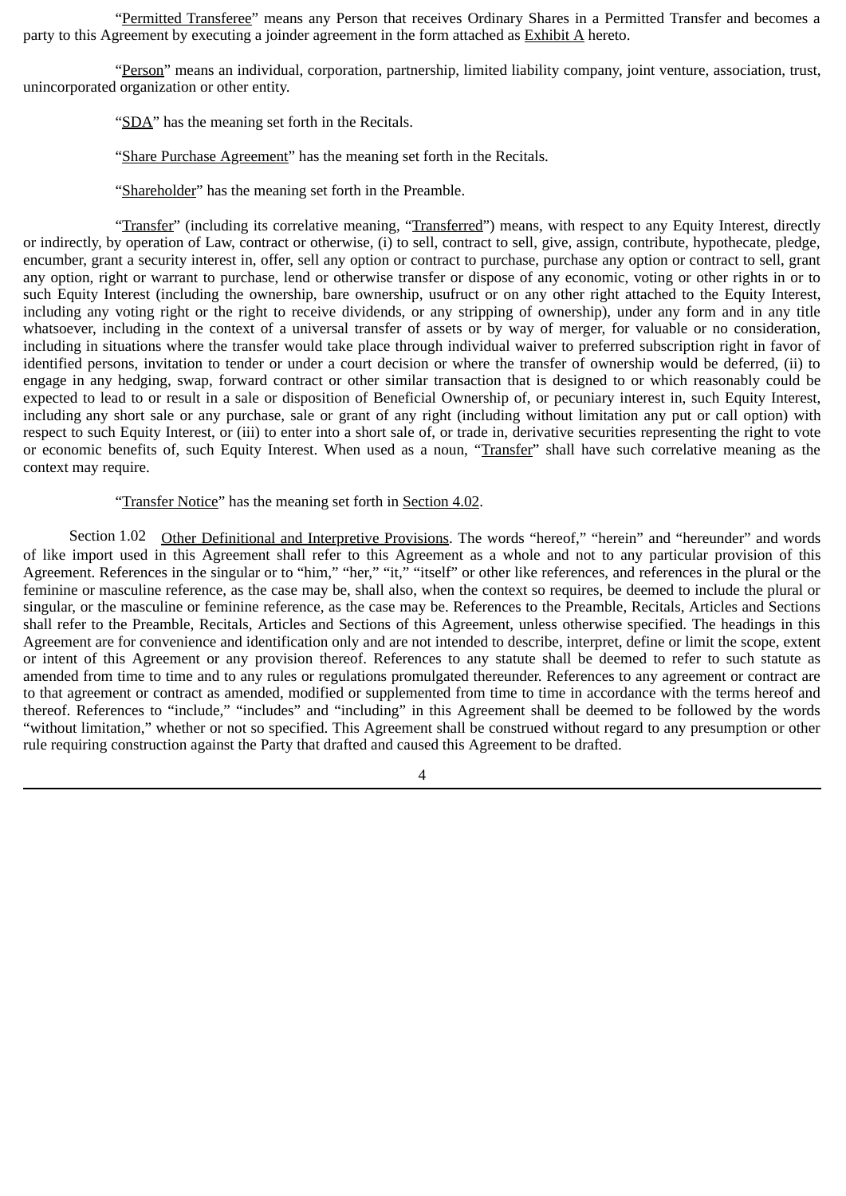"Permitted Transferee" means any Person that receives Ordinary Shares in a Permitted Transfer and becomes a party to this Agreement by executing a joinder agreement in the form attached as Exhibit A hereto.

"Person" means an individual, corporation, partnership, limited liability company, joint venture, association, trust, unincorporated organization or other entity.

"SDA" has the meaning set forth in the Recitals.

"Share Purchase Agreement" has the meaning set forth in the Recitals.

"Shareholder" has the meaning set forth in the Preamble.

"Transfer" (including its correlative meaning, "Transferred") means, with respect to any Equity Interest, directly or indirectly, by operation of Law, contract or otherwise, (i) to sell, contract to sell, give, assign, contribute, hypothecate, pledge, encumber, grant a security interest in, offer, sell any option or contract to purchase, purchase any option or contract to sell, grant any option, right or warrant to purchase, lend or otherwise transfer or dispose of any economic, voting or other rights in or to such Equity Interest (including the ownership, bare ownership, usufruct or on any other right attached to the Equity Interest, including any voting right or the right to receive dividends, or any stripping of ownership), under any form and in any title whatsoever, including in the context of a universal transfer of assets or by way of merger, for valuable or no consideration, including in situations where the transfer would take place through individual waiver to preferred subscription right in favor of identified persons, invitation to tender or under a court decision or where the transfer of ownership would be deferred, (ii) to engage in any hedging, swap, forward contract or other similar transaction that is designed to or which reasonably could be expected to lead to or result in a sale or disposition of Beneficial Ownership of, or pecuniary interest in, such Equity Interest, including any short sale or any purchase, sale or grant of any right (including without limitation any put or call option) with respect to such Equity Interest, or (iii) to enter into a short sale of, or trade in, derivative securities representing the right to vote or economic benefits of, such Equity Interest. When used as a noun, "Transfer" shall have such correlative meaning as the context may require.

"Transfer Notice" has the meaning set forth in Section 4.02.

Section 1.02 Other Definitional and Interpretive Provisions. The words "hereof," "herein" and "hereunder" and words of like import used in this Agreement shall refer to this Agreement as a whole and not to any particular provision of this Agreement. References in the singular or to "him," "her," "it," "itself" or other like references, and references in the plural or the feminine or masculine reference, as the case may be, shall also, when the context so requires, be deemed to include the plural or singular, or the masculine or feminine reference, as the case may be. References to the Preamble, Recitals, Articles and Sections shall refer to the Preamble, Recitals, Articles and Sections of this Agreement, unless otherwise specified. The headings in this Agreement are for convenience and identification only and are not intended to describe, interpret, define or limit the scope, extent or intent of this Agreement or any provision thereof. References to any statute shall be deemed to refer to such statute as amended from time to time and to any rules or regulations promulgated thereunder. References to any agreement or contract are to that agreement or contract as amended, modified or supplemented from time to time in accordance with the terms hereof and thereof. References to "include," "includes" and "including" in this Agreement shall be deemed to be followed by the words "without limitation," whether or not so specified. This Agreement shall be construed without regard to any presumption or other rule requiring construction against the Party that drafted and caused this Agreement to be drafted.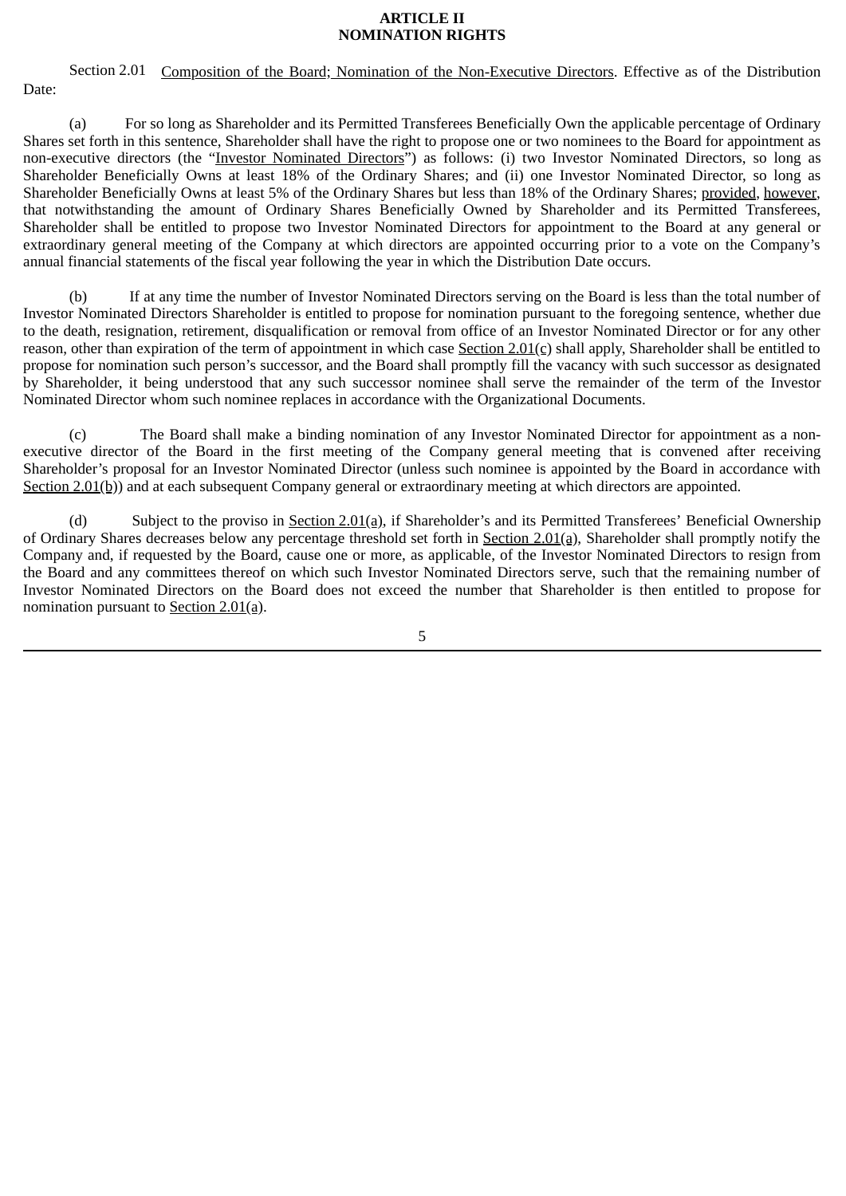#### **ARTICLE II NOMINATION RIGHTS**

Section 2.01 Composition of the Board; Nomination of the Non-Executive Directors. Effective as of the Distribution Date:

(a) For so long as Shareholder and its Permitted Transferees Beneficially Own the applicable percentage of Ordinary Shares set forth in this sentence, Shareholder shall have the right to propose one or two nominees to the Board for appointment as non-executive directors (the "Investor Nominated Directors") as follows: (i) two Investor Nominated Directors, so long as Shareholder Beneficially Owns at least 18% of the Ordinary Shares; and (ii) one Investor Nominated Director, so long as Shareholder Beneficially Owns at least 5% of the Ordinary Shares but less than 18% of the Ordinary Shares; provided, however, that notwithstanding the amount of Ordinary Shares Beneficially Owned by Shareholder and its Permitted Transferees, Shareholder shall be entitled to propose two Investor Nominated Directors for appointment to the Board at any general or extraordinary general meeting of the Company at which directors are appointed occurring prior to a vote on the Company's annual financial statements of the fiscal year following the year in which the Distribution Date occurs.

(b) If at any time the number of Investor Nominated Directors serving on the Board is less than the total number of Investor Nominated Directors Shareholder is entitled to propose for nomination pursuant to the foregoing sentence, whether due to the death, resignation, retirement, disqualification or removal from office of an Investor Nominated Director or for any other reason, other than expiration of the term of appointment in which case Section 2.01(c) shall apply, Shareholder shall be entitled to propose for nomination such person's successor, and the Board shall promptly fill the vacancy with such successor as designated by Shareholder, it being understood that any such successor nominee shall serve the remainder of the term of the Investor Nominated Director whom such nominee replaces in accordance with the Organizational Documents.

(c) The Board shall make a binding nomination of any Investor Nominated Director for appointment as a nonexecutive director of the Board in the first meeting of the Company general meeting that is convened after receiving Shareholder's proposal for an Investor Nominated Director (unless such nominee is appointed by the Board in accordance with Section 2.01(b)) and at each subsequent Company general or extraordinary meeting at which directors are appointed.

(d) Subject to the proviso in Section 2.01(a), if Shareholder's and its Permitted Transferees' Beneficial Ownership of Ordinary Shares decreases below any percentage threshold set forth in Section 2.01(a), Shareholder shall promptly notify the Company and, if requested by the Board, cause one or more, as applicable, of the Investor Nominated Directors to resign from the Board and any committees thereof on which such Investor Nominated Directors serve, such that the remaining number of Investor Nominated Directors on the Board does not exceed the number that Shareholder is then entitled to propose for nomination pursuant to Section 2.01(a).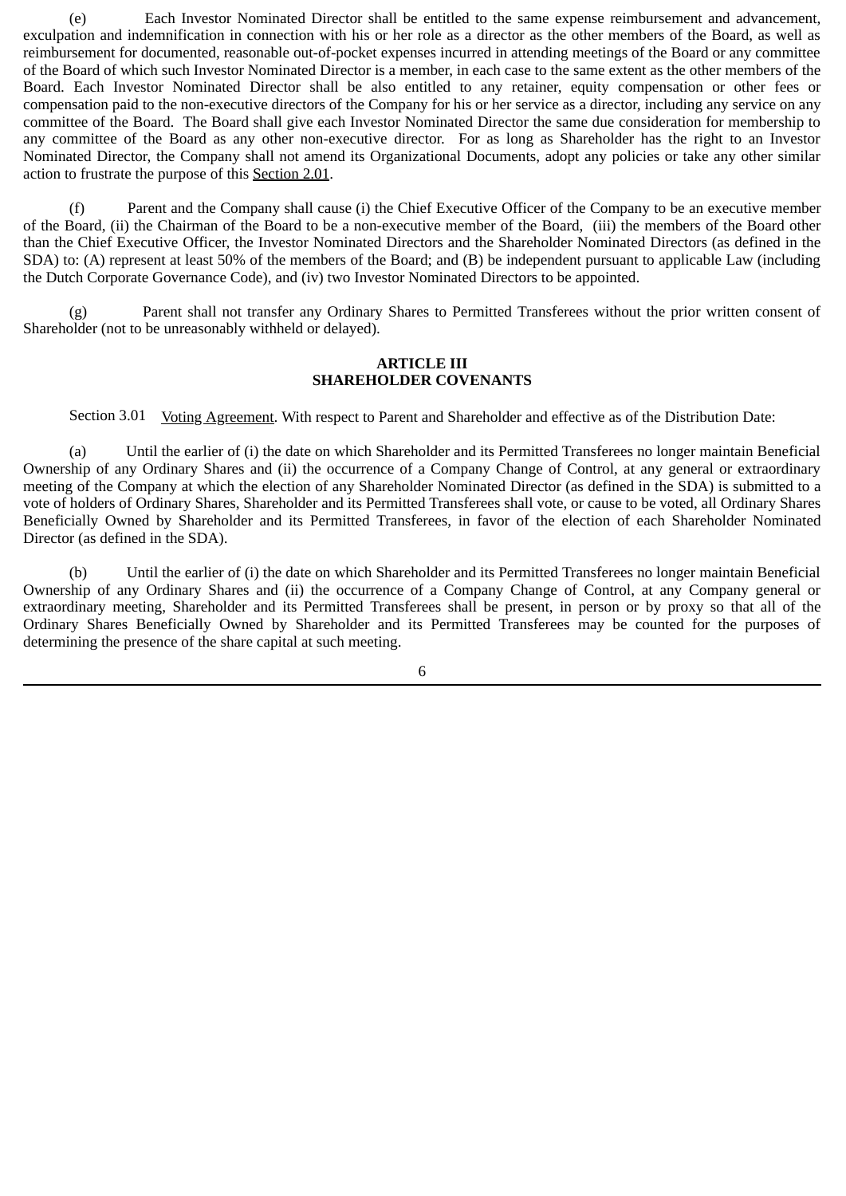(e) Each Investor Nominated Director shall be entitled to the same expense reimbursement and advancement, exculpation and indemnification in connection with his or her role as a director as the other members of the Board, as well as reimbursement for documented, reasonable out-of-pocket expenses incurred in attending meetings of the Board or any committee of the Board of which such Investor Nominated Director is a member, in each case to the same extent as the other members of the Board. Each Investor Nominated Director shall be also entitled to any retainer, equity compensation or other fees or compensation paid to the non-executive directors of the Company for his or her service as a director, including any service on any committee of the Board. The Board shall give each Investor Nominated Director the same due consideration for membership to any committee of the Board as any other non-executive director. For as long as Shareholder has the right to an Investor Nominated Director, the Company shall not amend its Organizational Documents, adopt any policies or take any other similar action to frustrate the purpose of this Section 2.01.

(f) Parent and the Company shall cause (i) the Chief Executive Officer of the Company to be an executive member of the Board, (ii) the Chairman of the Board to be a non-executive member of the Board, (iii) the members of the Board other than the Chief Executive Officer, the Investor Nominated Directors and the Shareholder Nominated Directors (as defined in the SDA) to: (A) represent at least 50% of the members of the Board; and (B) be independent pursuant to applicable Law (including the Dutch Corporate Governance Code), and (iv) two Investor Nominated Directors to be appointed.

(g) Parent shall not transfer any Ordinary Shares to Permitted Transferees without the prior written consent of Shareholder (not to be unreasonably withheld or delayed).

# **ARTICLE III SHAREHOLDER COVENANTS**

Section 3.01 Voting Agreement. With respect to Parent and Shareholder and effective as of the Distribution Date:

(a) Until the earlier of (i) the date on which Shareholder and its Permitted Transferees no longer maintain Beneficial Ownership of any Ordinary Shares and (ii) the occurrence of a Company Change of Control, at any general or extraordinary meeting of the Company at which the election of any Shareholder Nominated Director (as defined in the SDA) is submitted to a vote of holders of Ordinary Shares, Shareholder and its Permitted Transferees shall vote, or cause to be voted, all Ordinary Shares Beneficially Owned by Shareholder and its Permitted Transferees, in favor of the election of each Shareholder Nominated Director (as defined in the SDA).

(b) Until the earlier of (i) the date on which Shareholder and its Permitted Transferees no longer maintain Beneficial Ownership of any Ordinary Shares and (ii) the occurrence of a Company Change of Control, at any Company general or extraordinary meeting, Shareholder and its Permitted Transferees shall be present, in person or by proxy so that all of the Ordinary Shares Beneficially Owned by Shareholder and its Permitted Transferees may be counted for the purposes of determining the presence of the share capital at such meeting.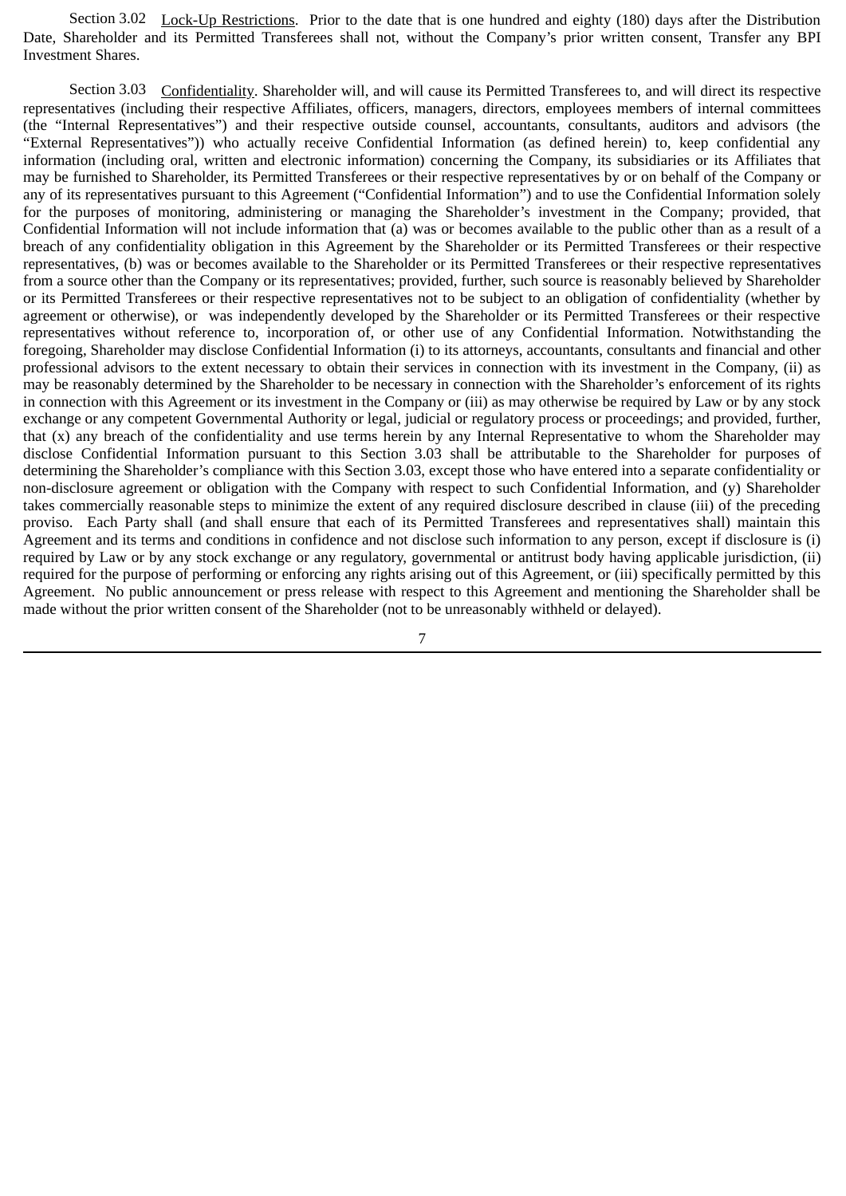Section 3.02 Lock-Up Restrictions. Prior to the date that is one hundred and eighty (180) days after the Distribution Date, Shareholder and its Permitted Transferees shall not, without the Company's prior written consent, Transfer any BPI Investment Shares.

Section 3.03 Confidentiality. Shareholder will, and will cause its Permitted Transferees to, and will direct its respective representatives (including their respective Affiliates, officers, managers, directors, employees members of internal committees (the "Internal Representatives") and their respective outside counsel, accountants, consultants, auditors and advisors (the "External Representatives")) who actually receive Confidential Information (as defined herein) to, keep confidential any information (including oral, written and electronic information) concerning the Company, its subsidiaries or its Affiliates that may be furnished to Shareholder, its Permitted Transferees or their respective representatives by or on behalf of the Company or any of its representatives pursuant to this Agreement ("Confidential Information") and to use the Confidential Information solely for the purposes of monitoring, administering or managing the Shareholder's investment in the Company; provided, that Confidential Information will not include information that (a) was or becomes available to the public other than as a result of a breach of any confidentiality obligation in this Agreement by the Shareholder or its Permitted Transferees or their respective representatives, (b) was or becomes available to the Shareholder or its Permitted Transferees or their respective representatives from a source other than the Company or its representatives; provided, further, such source is reasonably believed by Shareholder or its Permitted Transferees or their respective representatives not to be subject to an obligation of confidentiality (whether by agreement or otherwise), or was independently developed by the Shareholder or its Permitted Transferees or their respective representatives without reference to, incorporation of, or other use of any Confidential Information. Notwithstanding the foregoing, Shareholder may disclose Confidential Information (i) to its attorneys, accountants, consultants and financial and other professional advisors to the extent necessary to obtain their services in connection with its investment in the Company, (ii) as may be reasonably determined by the Shareholder to be necessary in connection with the Shareholder's enforcement of its rights in connection with this Agreement or its investment in the Company or (iii) as may otherwise be required by Law or by any stock exchange or any competent Governmental Authority or legal, judicial or regulatory process or proceedings; and provided, further, that (x) any breach of the confidentiality and use terms herein by any Internal Representative to whom the Shareholder may disclose Confidential Information pursuant to this Section 3.03 shall be attributable to the Shareholder for purposes of determining the Shareholder's compliance with this Section 3.03, except those who have entered into a separate confidentiality or non-disclosure agreement or obligation with the Company with respect to such Confidential Information, and (y) Shareholder takes commercially reasonable steps to minimize the extent of any required disclosure described in clause (iii) of the preceding proviso. Each Party shall (and shall ensure that each of its Permitted Transferees and representatives shall) maintain this Agreement and its terms and conditions in confidence and not disclose such information to any person, except if disclosure is (i) required by Law or by any stock exchange or any regulatory, governmental or antitrust body having applicable jurisdiction, (ii) required for the purpose of performing or enforcing any rights arising out of this Agreement, or (iii) specifically permitted by this Agreement. No public announcement or press release with respect to this Agreement and mentioning the Shareholder shall be made without the prior written consent of the Shareholder (not to be unreasonably withheld or delayed).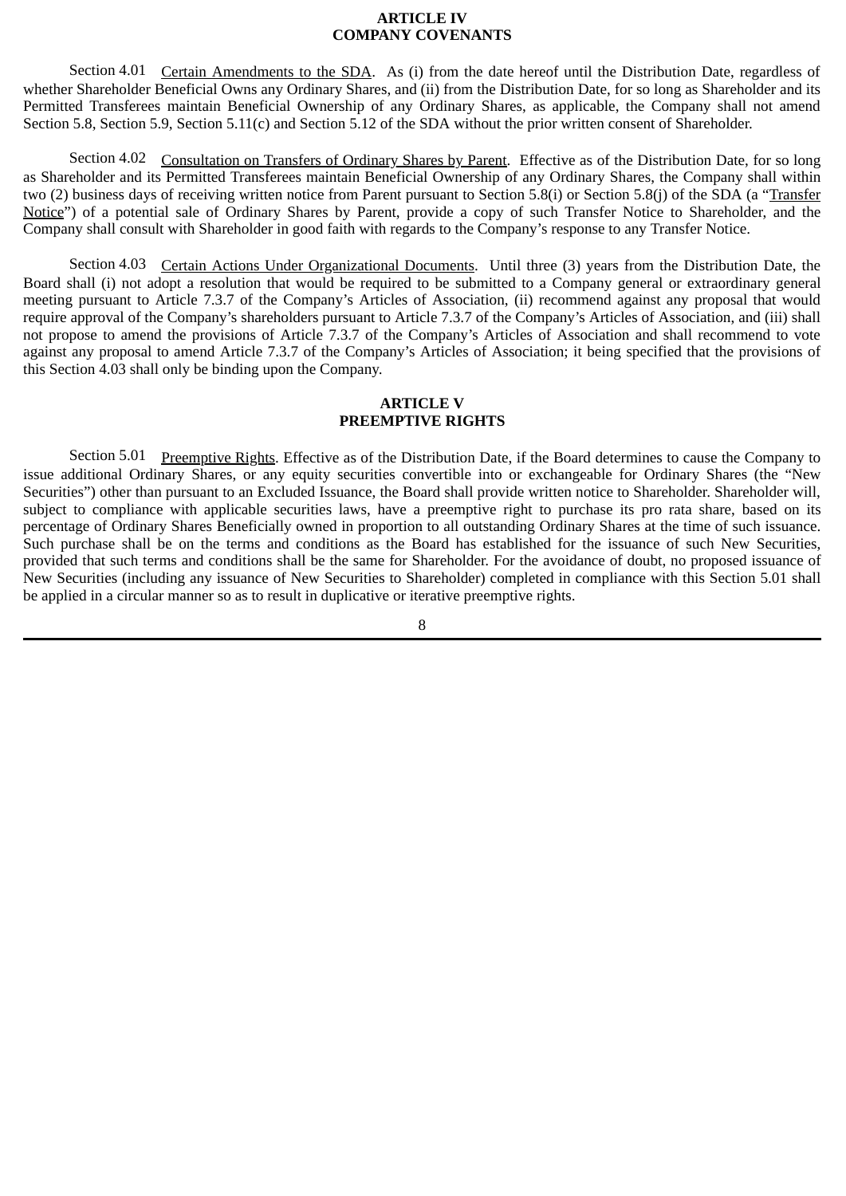#### **ARTICLE IV COMPANY COVENANTS**

Section 4.01 Certain Amendments to the SDA. As (i) from the date hereof until the Distribution Date, regardless of whether Shareholder Beneficial Owns any Ordinary Shares, and (ii) from the Distribution Date, for so long as Shareholder and its Permitted Transferees maintain Beneficial Ownership of any Ordinary Shares, as applicable, the Company shall not amend Section 5.8, Section 5.9, Section 5.11(c) and Section 5.12 of the SDA without the prior written consent of Shareholder.

Section 4.02 Consultation on Transfers of Ordinary Shares by Parent. Effective as of the Distribution Date, for so long as Shareholder and its Permitted Transferees maintain Beneficial Ownership of any Ordinary Shares, the Company shall within two (2) business days of receiving written notice from Parent pursuant to Section 5.8(i) or Section 5.8(j) of the SDA (a "Transfer Notice") of a potential sale of Ordinary Shares by Parent, provide a copy of such Transfer Notice to Shareholder, and the Company shall consult with Shareholder in good faith with regards to the Company's response to any Transfer Notice.

Section 4.03 Certain Actions Under Organizational Documents. Until three (3) years from the Distribution Date, the Board shall (i) not adopt a resolution that would be required to be submitted to a Company general or extraordinary general meeting pursuant to Article 7.3.7 of the Company's Articles of Association, (ii) recommend against any proposal that would require approval of the Company's shareholders pursuant to Article 7.3.7 of the Company's Articles of Association, and (iii) shall not propose to amend the provisions of Article 7.3.7 of the Company's Articles of Association and shall recommend to vote against any proposal to amend Article 7.3.7 of the Company's Articles of Association; it being specified that the provisions of this Section 4.03 shall only be binding upon the Company.

### **ARTICLE V PREEMPTIVE RIGHTS**

Section 5.01 Preemptive Rights. Effective as of the Distribution Date, if the Board determines to cause the Company to issue additional Ordinary Shares, or any equity securities convertible into or exchangeable for Ordinary Shares (the "New Securities") other than pursuant to an Excluded Issuance, the Board shall provide written notice to Shareholder. Shareholder will, subject to compliance with applicable securities laws, have a preemptive right to purchase its pro rata share, based on its percentage of Ordinary Shares Beneficially owned in proportion to all outstanding Ordinary Shares at the time of such issuance. Such purchase shall be on the terms and conditions as the Board has established for the issuance of such New Securities, provided that such terms and conditions shall be the same for Shareholder. For the avoidance of doubt, no proposed issuance of New Securities (including any issuance of New Securities to Shareholder) completed in compliance with this Section 5.01 shall be applied in a circular manner so as to result in duplicative or iterative preemptive rights.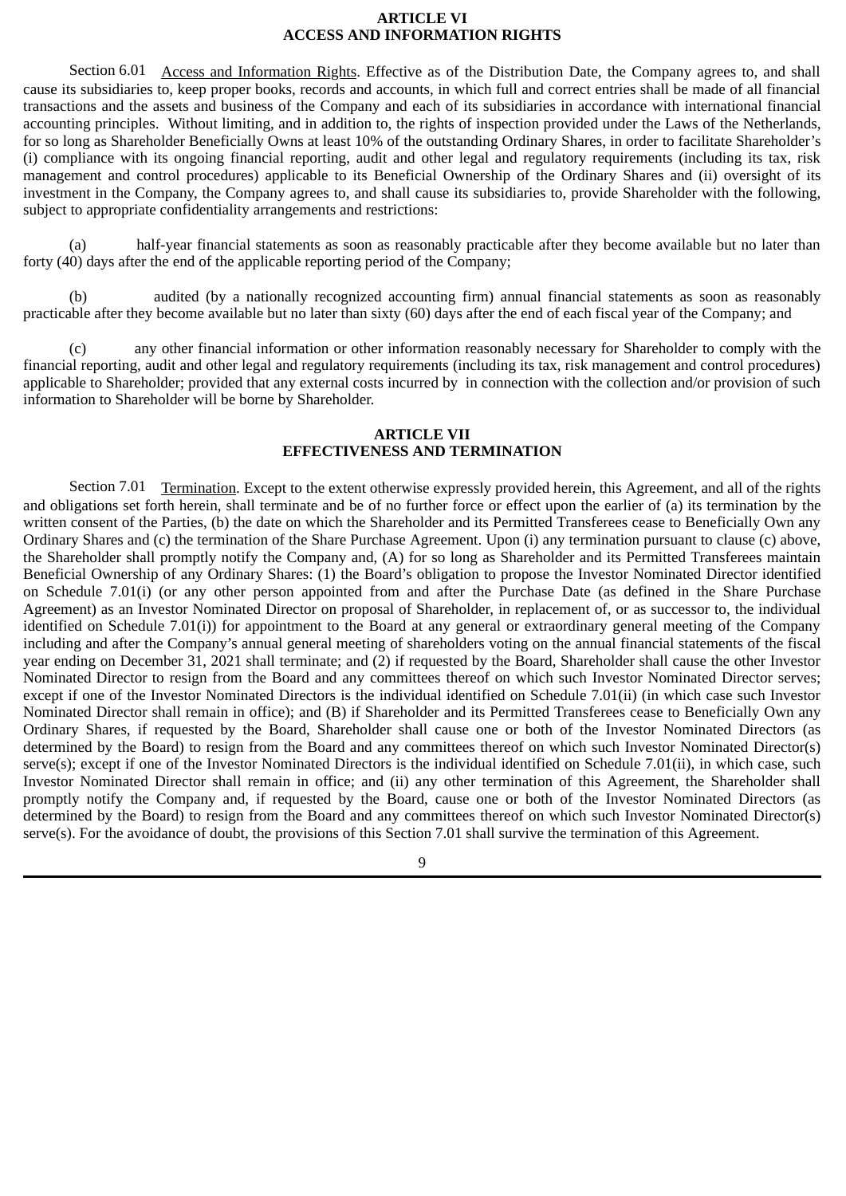#### **ARTICLE VI ACCESS AND INFORMATION RIGHTS**

Section 6.01 Access and Information Rights. Effective as of the Distribution Date, the Company agrees to, and shall cause its subsidiaries to, keep proper books, records and accounts, in which full and correct entries shall be made of all financial transactions and the assets and business of the Company and each of its subsidiaries in accordance with international financial accounting principles. Without limiting, and in addition to, the rights of inspection provided under the Laws of the Netherlands, for so long as Shareholder Beneficially Owns at least 10% of the outstanding Ordinary Shares, in order to facilitate Shareholder's (i) compliance with its ongoing financial reporting, audit and other legal and regulatory requirements (including its tax, risk management and control procedures) applicable to its Beneficial Ownership of the Ordinary Shares and (ii) oversight of its investment in the Company, the Company agrees to, and shall cause its subsidiaries to, provide Shareholder with the following, subject to appropriate confidentiality arrangements and restrictions:

(a) half-year financial statements as soon as reasonably practicable after they become available but no later than forty (40) days after the end of the applicable reporting period of the Company;

(b) audited (by a nationally recognized accounting firm) annual financial statements as soon as reasonably practicable after they become available but no later than sixty (60) days after the end of each fiscal year of the Company; and

(c) any other financial information or other information reasonably necessary for Shareholder to comply with the financial reporting, audit and other legal and regulatory requirements (including its tax, risk management and control procedures) applicable to Shareholder; provided that any external costs incurred by in connection with the collection and/or provision of such information to Shareholder will be borne by Shareholder.

### **ARTICLE VII EFFECTIVENESS AND TERMINATION**

Section 7.01 Termination. Except to the extent otherwise expressly provided herein, this Agreement, and all of the rights and obligations set forth herein, shall terminate and be of no further force or effect upon the earlier of (a) its termination by the written consent of the Parties, (b) the date on which the Shareholder and its Permitted Transferees cease to Beneficially Own any Ordinary Shares and (c) the termination of the Share Purchase Agreement. Upon (i) any termination pursuant to clause (c) above, the Shareholder shall promptly notify the Company and, (A) for so long as Shareholder and its Permitted Transferees maintain Beneficial Ownership of any Ordinary Shares: (1) the Board's obligation to propose the Investor Nominated Director identified on Schedule 7.01(i) (or any other person appointed from and after the Purchase Date (as defined in the Share Purchase Agreement) as an Investor Nominated Director on proposal of Shareholder, in replacement of, or as successor to, the individual identified on Schedule 7.01(i)) for appointment to the Board at any general or extraordinary general meeting of the Company including and after the Company's annual general meeting of shareholders voting on the annual financial statements of the fiscal year ending on December 31, 2021 shall terminate; and (2) if requested by the Board, Shareholder shall cause the other Investor Nominated Director to resign from the Board and any committees thereof on which such Investor Nominated Director serves; except if one of the Investor Nominated Directors is the individual identified on Schedule 7.01(ii) (in which case such Investor Nominated Director shall remain in office); and (B) if Shareholder and its Permitted Transferees cease to Beneficially Own any Ordinary Shares, if requested by the Board, Shareholder shall cause one or both of the Investor Nominated Directors (as determined by the Board) to resign from the Board and any committees thereof on which such Investor Nominated Director(s) serve(s); except if one of the Investor Nominated Directors is the individual identified on Schedule 7.01(ii), in which case, such Investor Nominated Director shall remain in office; and (ii) any other termination of this Agreement, the Shareholder shall promptly notify the Company and, if requested by the Board, cause one or both of the Investor Nominated Directors (as determined by the Board) to resign from the Board and any committees thereof on which such Investor Nominated Director(s) serve(s). For the avoidance of doubt, the provisions of this Section 7.01 shall survive the termination of this Agreement.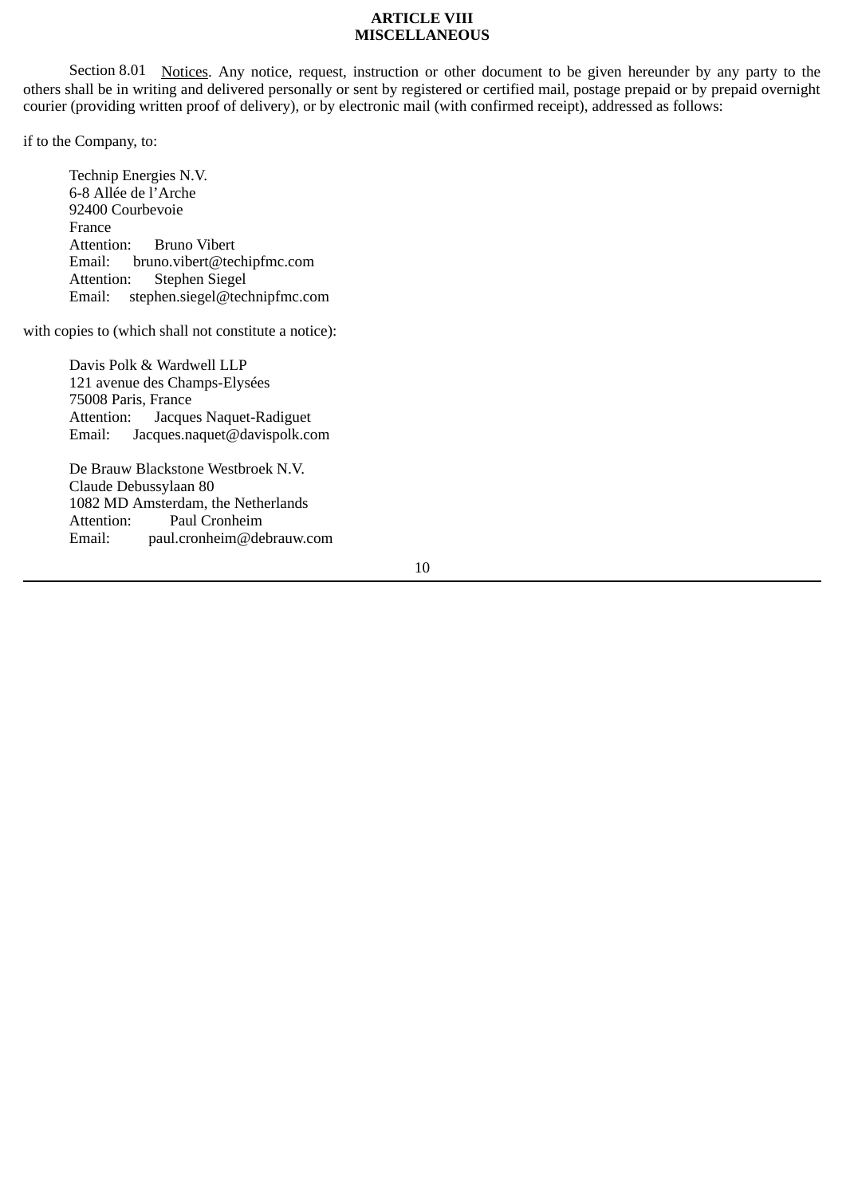### **ARTICLE VIII MISCELLANEOUS**

Section 8.01 Notices. Any notice, request, instruction or other document to be given hereunder by any party to the others shall be in writing and delivered personally or sent by registered or certified mail, postage prepaid or by prepaid overnight courier (providing written proof of delivery), or by electronic mail (with confirmed receipt), addressed as follows:

if to the Company, to:

Technip Energies N.V. 6-8 Allée de l'Arche 92400 Courbevoie France<br>Attention: **Bruno Vibert** Email: bruno.vibert@techipfmc.com Attention: Stephen Siegel Email: stephen.siegel@technipfmc.com

with copies to (which shall not constitute a notice):

Davis Polk & Wardwell LLP 121 avenue des Champs-Elysées 75008 Paris, France Jacques Naquet-Radiguet Email: Jacques.naquet@davispolk.com

De Brauw Blackstone Westbroek N.V. Claude Debussylaan 80 1082 MD Amsterdam, the Netherlands Attention: Paul Cronheim Email: paul.cronheim@debrauw.com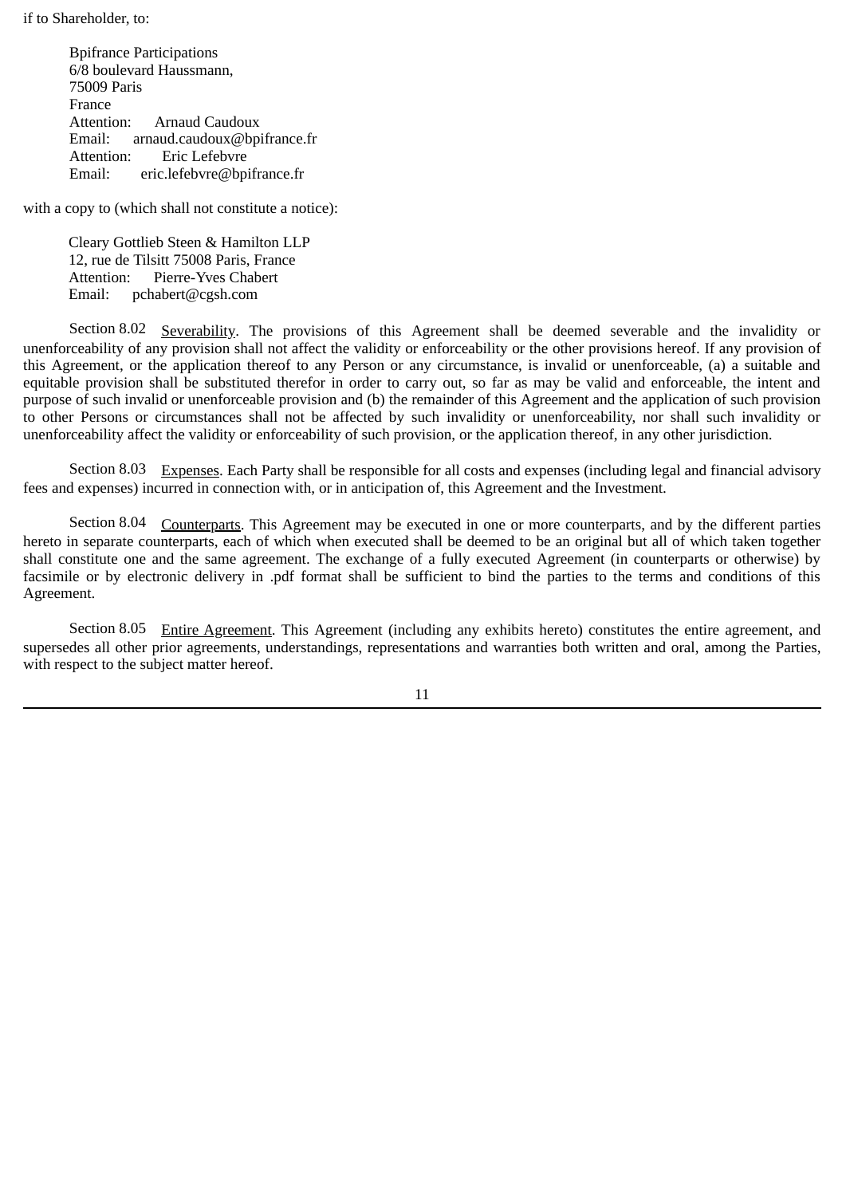if to Shareholder, to:

Bpifrance Participations 6/8 boulevard Haussmann, 75009 Paris France Attention: Arnaud Caudoux Email: arnaud.caudoux@bpifrance.fr Attention: Eric Lefebvre Email: eric.lefebvre@bpifrance.fr

with a copy to (which shall not constitute a notice):

Cleary Gottlieb Steen & Hamilton LLP 12, rue de Tilsitt 75008 Paris, France Attention: Pierre-Yves Chabert Email: pchabert@cgsh.com

Section 8.02 Severability. The provisions of this Agreement shall be deemed severable and the invalidity or unenforceability of any provision shall not affect the validity or enforceability or the other provisions hereof. If any provision of this Agreement, or the application thereof to any Person or any circumstance, is invalid or unenforceable, (a) a suitable and equitable provision shall be substituted therefor in order to carry out, so far as may be valid and enforceable, the intent and purpose of such invalid or unenforceable provision and (b) the remainder of this Agreement and the application of such provision to other Persons or circumstances shall not be affected by such invalidity or unenforceability, nor shall such invalidity or unenforceability affect the validity or enforceability of such provision, or the application thereof, in any other jurisdiction.

Section 8.03 Expenses. Each Party shall be responsible for all costs and expenses (including legal and financial advisory fees and expenses) incurred in connection with, or in anticipation of, this Agreement and the Investment.

Section 8.04 Counterparts. This Agreement may be executed in one or more counterparts, and by the different parties hereto in separate counterparts, each of which when executed shall be deemed to be an original but all of which taken together shall constitute one and the same agreement. The exchange of a fully executed Agreement (in counterparts or otherwise) by facsimile or by electronic delivery in .pdf format shall be sufficient to bind the parties to the terms and conditions of this Agreement.

Section 8.05 Entire Agreement. This Agreement (including any exhibits hereto) constitutes the entire agreement, and supersedes all other prior agreements, understandings, representations and warranties both written and oral, among the Parties, with respect to the subject matter hereof.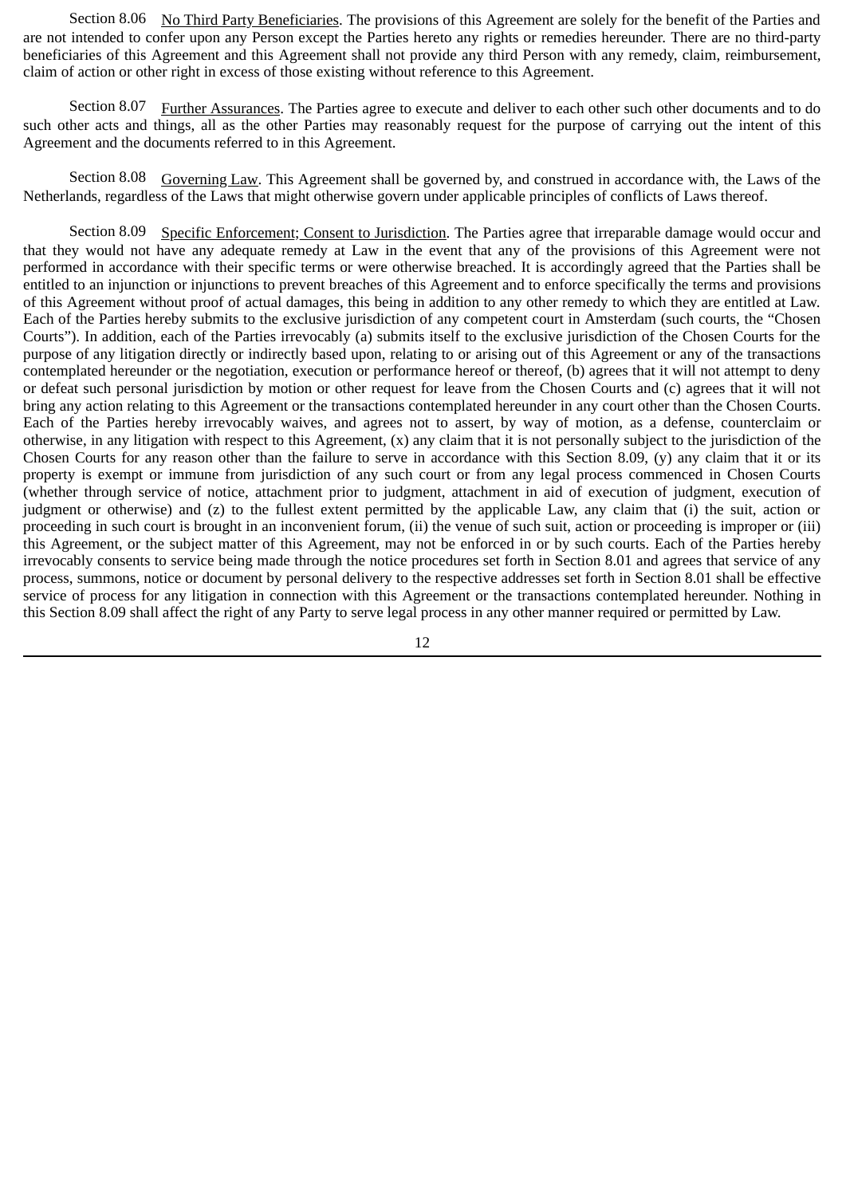Section 8.06 No Third Party Beneficiaries. The provisions of this Agreement are solely for the benefit of the Parties and are not intended to confer upon any Person except the Parties hereto any rights or remedies hereunder. There are no third-party beneficiaries of this Agreement and this Agreement shall not provide any third Person with any remedy, claim, reimbursement, claim of action or other right in excess of those existing without reference to this Agreement.

Section 8.07 Further Assurances. The Parties agree to execute and deliver to each other such other documents and to do such other acts and things, all as the other Parties may reasonably request for the purpose of carrying out the intent of this Agreement and the documents referred to in this Agreement.

Section 8.08 Governing Law. This Agreement shall be governed by, and construed in accordance with, the Laws of the Netherlands, regardless of the Laws that might otherwise govern under applicable principles of conflicts of Laws thereof.

Section 8.09 Specific Enforcement; Consent to Jurisdiction. The Parties agree that irreparable damage would occur and that they would not have any adequate remedy at Law in the event that any of the provisions of this Agreement were not performed in accordance with their specific terms or were otherwise breached. It is accordingly agreed that the Parties shall be entitled to an injunction or injunctions to prevent breaches of this Agreement and to enforce specifically the terms and provisions of this Agreement without proof of actual damages, this being in addition to any other remedy to which they are entitled at Law. Each of the Parties hereby submits to the exclusive jurisdiction of any competent court in Amsterdam (such courts, the "Chosen Courts"). In addition, each of the Parties irrevocably (a) submits itself to the exclusive jurisdiction of the Chosen Courts for the purpose of any litigation directly or indirectly based upon, relating to or arising out of this Agreement or any of the transactions contemplated hereunder or the negotiation, execution or performance hereof or thereof, (b) agrees that it will not attempt to deny or defeat such personal jurisdiction by motion or other request for leave from the Chosen Courts and (c) agrees that it will not bring any action relating to this Agreement or the transactions contemplated hereunder in any court other than the Chosen Courts. Each of the Parties hereby irrevocably waives, and agrees not to assert, by way of motion, as a defense, counterclaim or otherwise, in any litigation with respect to this Agreement, (x) any claim that it is not personally subject to the jurisdiction of the Chosen Courts for any reason other than the failure to serve in accordance with this Section 8.09, (y) any claim that it or its property is exempt or immune from jurisdiction of any such court or from any legal process commenced in Chosen Courts (whether through service of notice, attachment prior to judgment, attachment in aid of execution of judgment, execution of judgment or otherwise) and (z) to the fullest extent permitted by the applicable Law, any claim that (i) the suit, action or proceeding in such court is brought in an inconvenient forum, (ii) the venue of such suit, action or proceeding is improper or (iii) this Agreement, or the subject matter of this Agreement, may not be enforced in or by such courts. Each of the Parties hereby irrevocably consents to service being made through the notice procedures set forth in Section 8.01 and agrees that service of any process, summons, notice or document by personal delivery to the respective addresses set forth in Section 8.01 shall be effective service of process for any litigation in connection with this Agreement or the transactions contemplated hereunder. Nothing in this Section 8.09 shall affect the right of any Party to serve legal process in any other manner required or permitted by Law.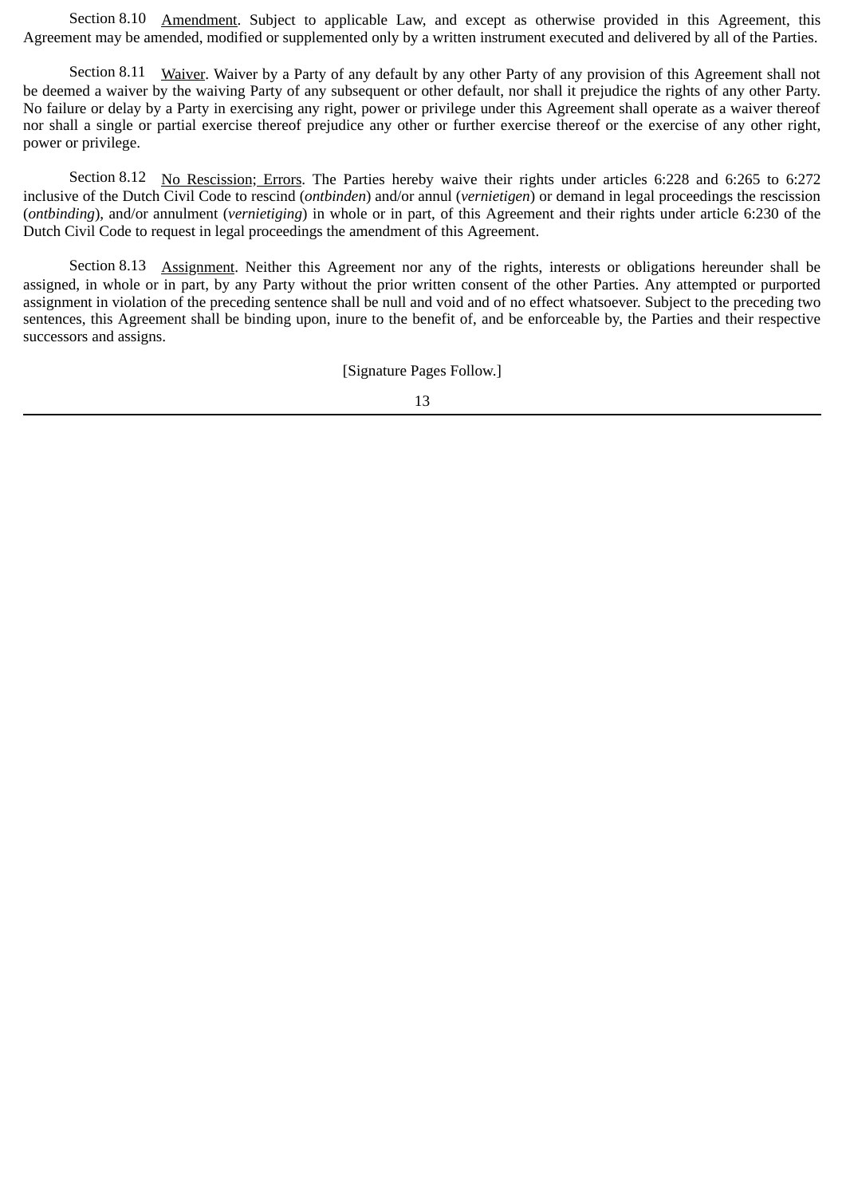Section 8.10 Amendment. Subject to applicable Law, and except as otherwise provided in this Agreement, this Agreement may be amended, modified or supplemented only by a written instrument executed and delivered by all of the Parties.

Section 8.11 Waiver. Waiver by a Party of any default by any other Party of any provision of this Agreement shall not be deemed a waiver by the waiving Party of any subsequent or other default, nor shall it prejudice the rights of any other Party. No failure or delay by a Party in exercising any right, power or privilege under this Agreement shall operate as a waiver thereof nor shall a single or partial exercise thereof prejudice any other or further exercise thereof or the exercise of any other right, power or privilege.

Section 8.12 No Rescission; Errors. The Parties hereby waive their rights under articles 6:228 and 6:265 to 6:272 inclusive of the Dutch Civil Code to rescind (*ontbinden*) and/or annul (*vernietigen*) or demand in legal proceedings the rescission (*ontbinding*), and/or annulment (*vernietiging*) in whole or in part, of this Agreement and their rights under article 6:230 of the Dutch Civil Code to request in legal proceedings the amendment of this Agreement.

Section 8.13 Assignment. Neither this Agreement nor any of the rights, interests or obligations hereunder shall be assigned, in whole or in part, by any Party without the prior written consent of the other Parties. Any attempted or purported assignment in violation of the preceding sentence shall be null and void and of no effect whatsoever. Subject to the preceding two sentences, this Agreement shall be binding upon, inure to the benefit of, and be enforceable by, the Parties and their respective successors and assigns.

[Signature Pages Follow.]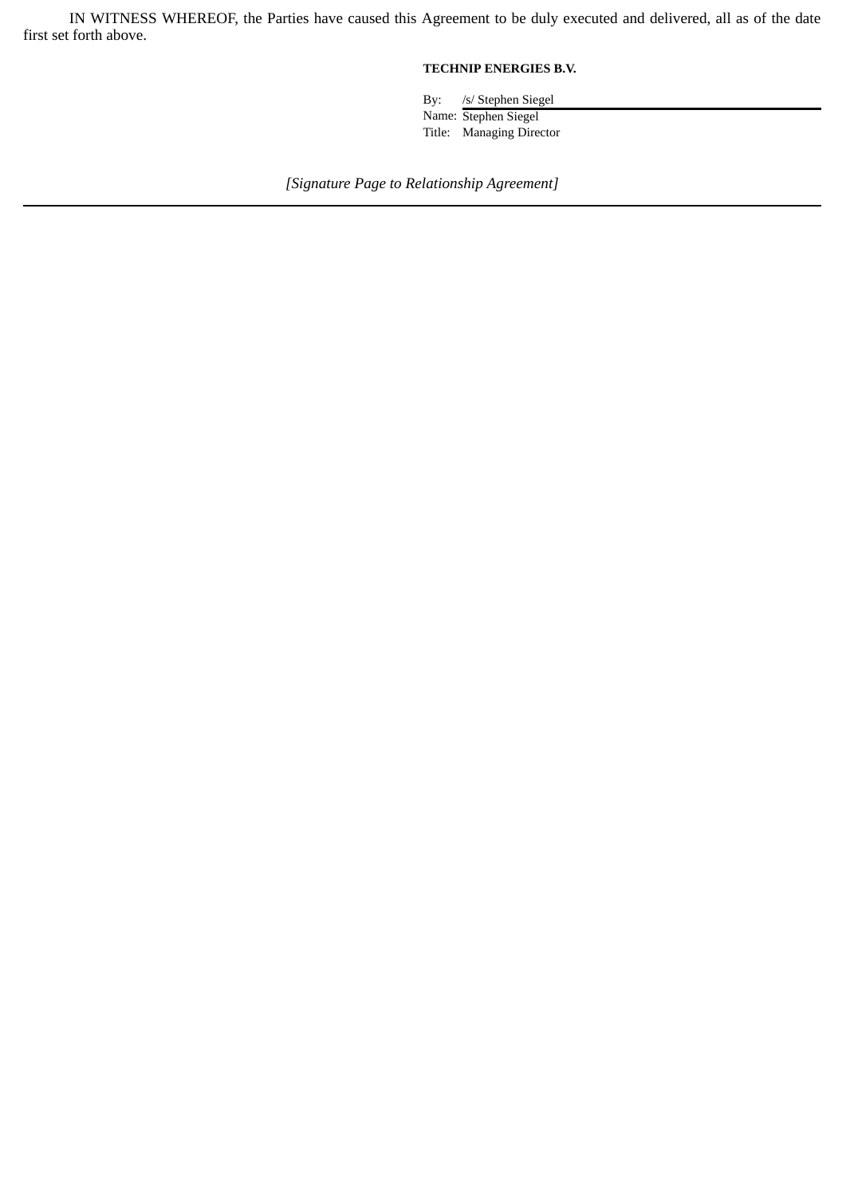IN WITNESS WHEREOF, the Parties have caused this Agreement to be duly executed and delivered, all as of the date first set forth above.

**TECHNIP ENERGIES B.V.**

By: /s/ Stephen Siegel Name: Stephen Siegel Title: Managing Director

*[Signature Page to Relationship Agreement]*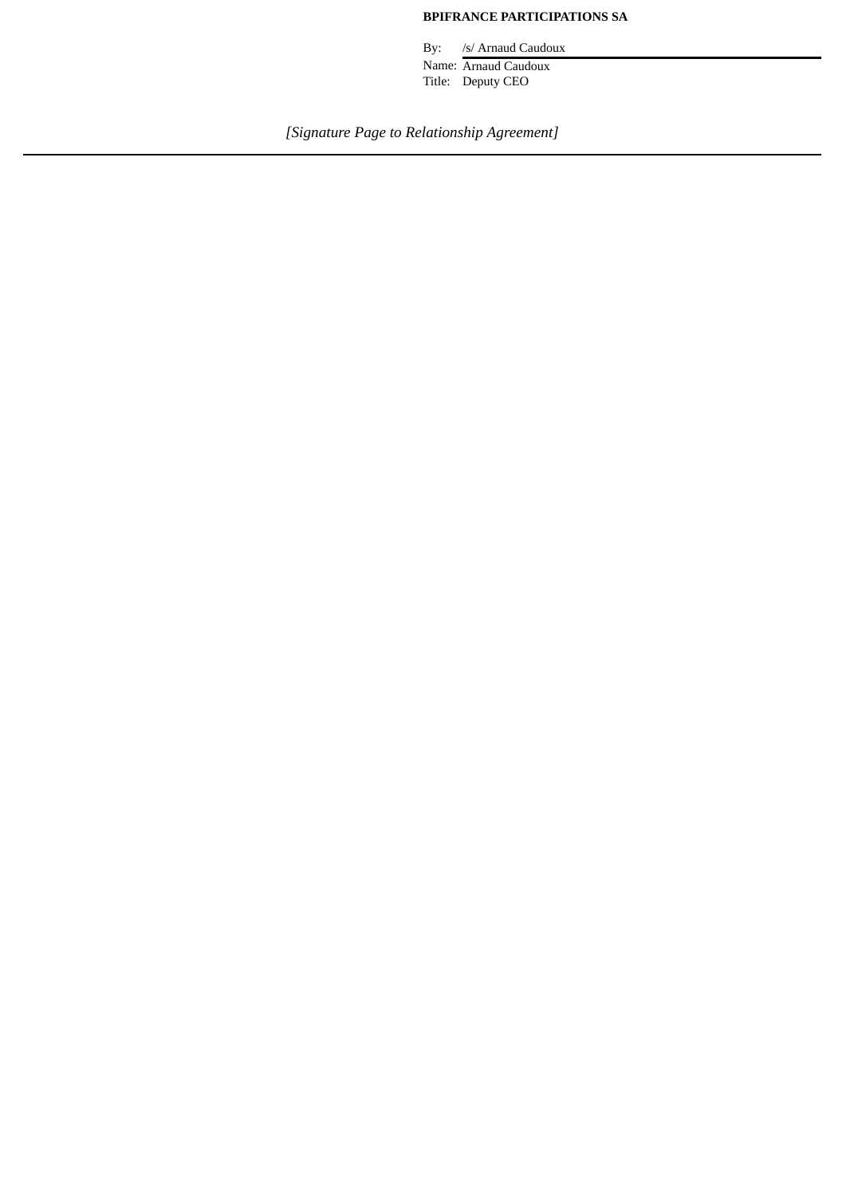# **BPIFRANCE PARTICIPATIONS SA**

By: /s/ Arnaud Caudoux Name: Arnaud Caudoux Title: Deputy CEO

*[Signature Page to Relationship Agreement]*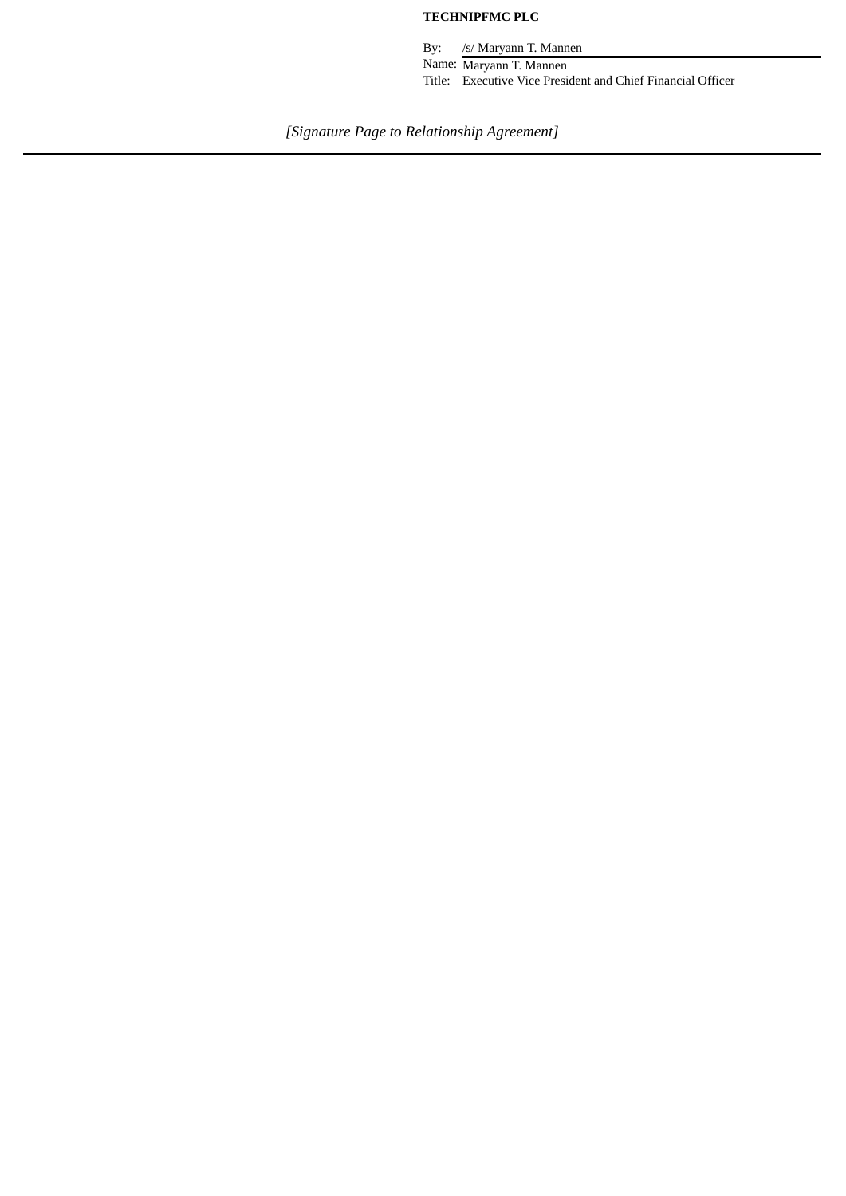# **TECHNIPFMC PLC**

By: /s/ Maryann T. Mannen

Name: Maryann T. Mannen

Title: Executive Vice President and Chief Financial Officer

*[Signature Page to Relationship Agreement]*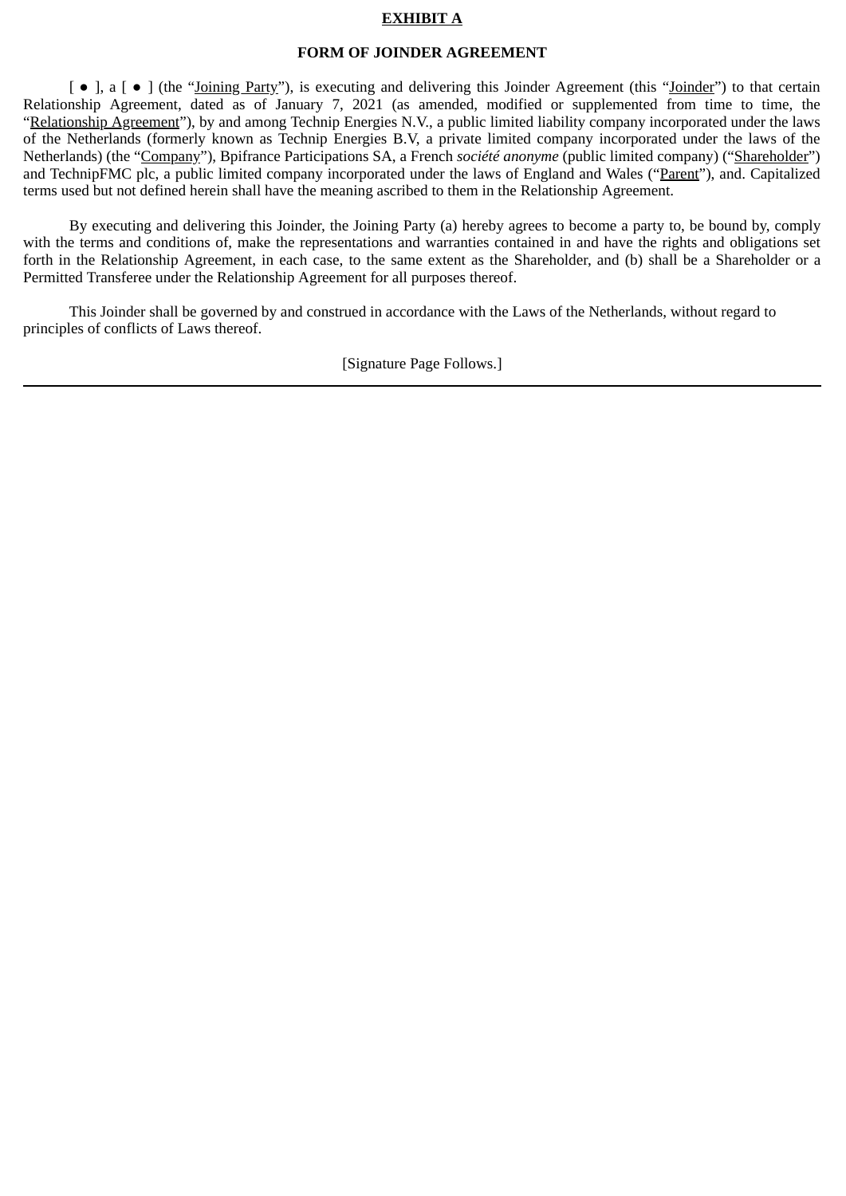### **EXHIBIT A**

#### **FORM OF JOINDER AGREEMENT**

[  $\bullet$  ], a [  $\bullet$  ] (the "Joining Party"), is executing and delivering this Joinder Agreement (this "Joinder") to that certain Relationship Agreement, dated as of January 7, 2021 (as amended, modified or supplemented from time to time, the "Relationship Agreement"), by and among Technip Energies N.V., a public limited liability company incorporated under the laws of the Netherlands (formerly known as Technip Energies B.V, a private limited company incorporated under the laws of the Netherlands) (the "Company"), Bpifrance Participations SA, a French *société anonyme* (public limited company) ("Shareholder") and TechnipFMC plc, a public limited company incorporated under the laws of England and Wales ("Parent"), and. Capitalized terms used but not defined herein shall have the meaning ascribed to them in the Relationship Agreement.

By executing and delivering this Joinder, the Joining Party (a) hereby agrees to become a party to, be bound by, comply with the terms and conditions of, make the representations and warranties contained in and have the rights and obligations set forth in the Relationship Agreement, in each case, to the same extent as the Shareholder, and (b) shall be a Shareholder or a Permitted Transferee under the Relationship Agreement for all purposes thereof.

This Joinder shall be governed by and construed in accordance with the Laws of the Netherlands, without regard to principles of conflicts of Laws thereof.

[Signature Page Follows.]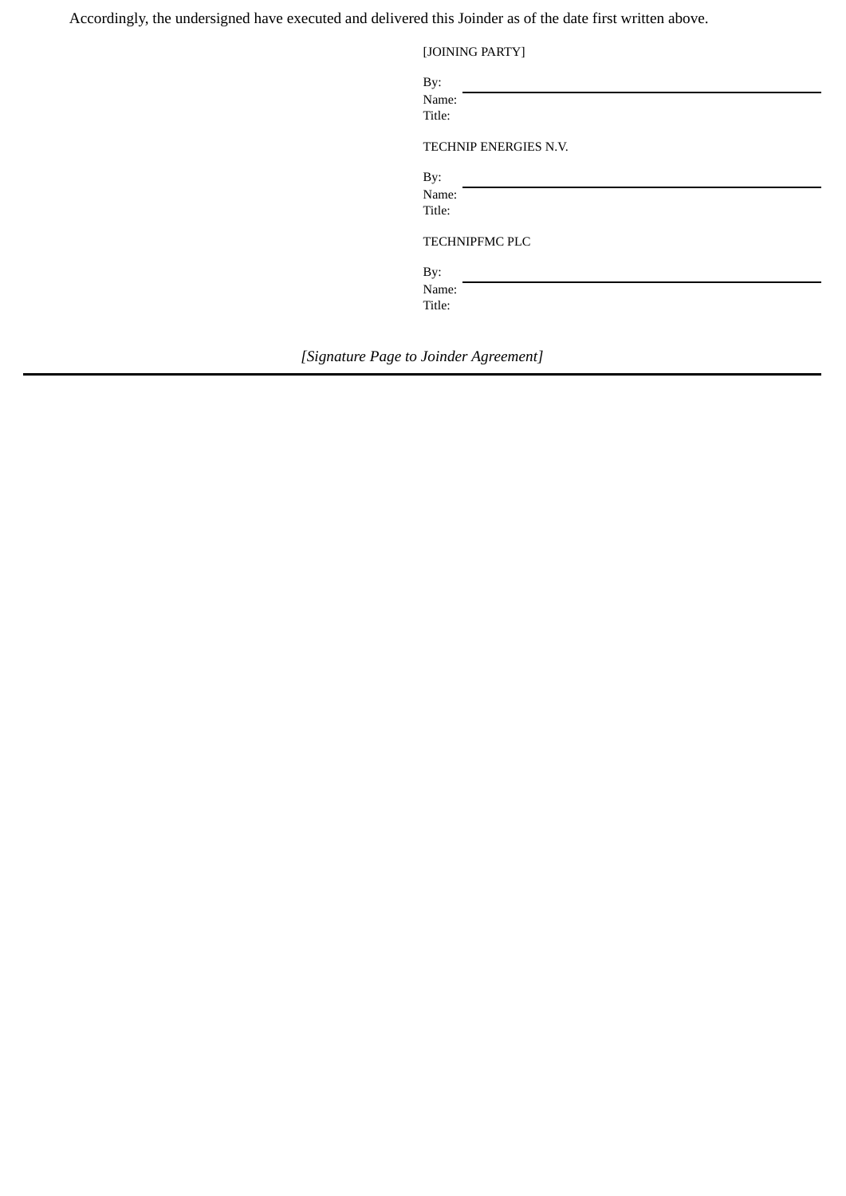Accordingly, the undersigned have executed and delivered this Joinder as of the date first written above.

| By:                   |  |  |
|-----------------------|--|--|
| Name:                 |  |  |
| Title:                |  |  |
| TECHNIP ENERGIES N.V. |  |  |
| By:                   |  |  |
| Name:                 |  |  |
| Title:                |  |  |
| TECHNIPFMC PLC        |  |  |
| By:                   |  |  |
| Name:                 |  |  |
| Title:                |  |  |

*[Signature Page to Joinder Agreement]*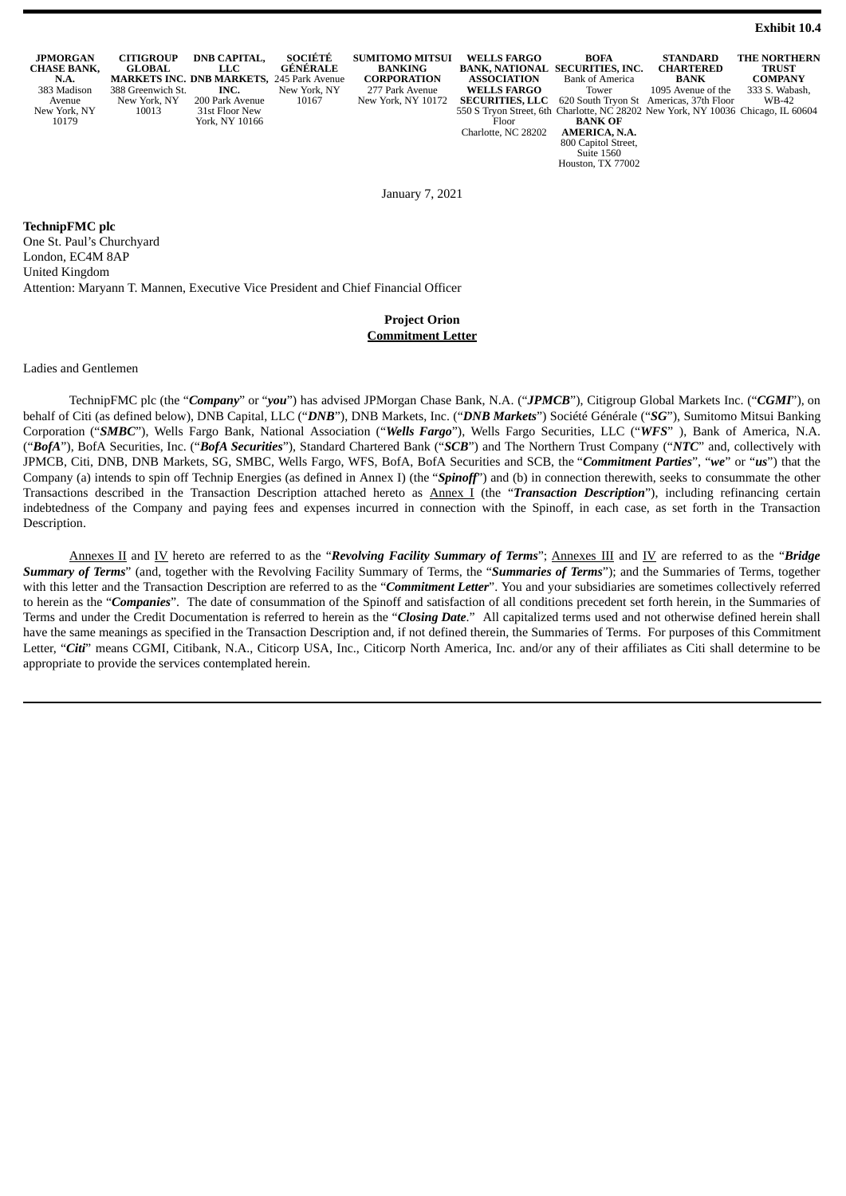**JPMORGAN CHASE BANK, N.A.** 383 Madison Avenue New York, NY 10179 **CITIGROUP GLOBAL MARKETS INC. DNB MARKETS,** 245 Park Avenue 388 Greenwich St. New York, NY 10013 **DNB CAPITAL, LLC INC.** 200 Park Avenue 31st Floor New York, NY 10166 **SOCIÉTÉ GÉNÉRALE** New York, NY 10167 **SUMITOMO MITSUI BANKING CORPORATION** 277 Park Avenue New York, NY 10172 **WELLS FARGO BANK, NATIONAL SECURITIES, INC. ASSOCIATION WELLS FARGO SECURITIES, LLC** 550 S Tryon Street, 6th Floor Charlotte, NC 28202 **BOFA** Bank of America Tower 620 South Tryon St Charlotte, NC 28202 **BANK OF AMERICA, N.A.** 800 Capitol Street, Suite 1560 Houston, TX 77002 **STANDARD CHARTERED BANK** 1095 Avenue of the Americas, 37th Floor New York, NY 10036 WB-42 Chicago, IL 60604 **THE NORTHERN TRUST COMPANY** 333 S. Wabash, January 7, 2021 **TechnipFMC plc** One St. Paul's Churchyard

London, EC4M 8AP United Kingdom Attention: Maryann T. Mannen, Executive Vice President and Chief Financial Officer

> **Project Orion Commitment Letter**

Ladies and Gentlemen

TechnipFMC plc (the "*Company*" or "*you*") has advised JPMorgan Chase Bank, N.A. ("*JPMCB*"), Citigroup Global Markets Inc. ("*CGMI*"), on behalf of Citi (as defined below), DNB Capital, LLC ("*DNB*"), DNB Markets, Inc. ("*DNB Markets*") Société Générale ("*SG*"), Sumitomo Mitsui Banking Corporation ("*SMBC*"), Wells Fargo Bank, National Association ("*Wells Fargo*"), Wells Fargo Securities, LLC ("*WFS*" ), Bank of America, N.A. ("*BofA*"), BofA Securities, Inc. ("*BofA Securities*"), Standard Chartered Bank ("*SCB*") and The Northern Trust Company ("*NTC*" and, collectively with JPMCB, Citi, DNB, DNB Markets, SG, SMBC, Wells Fargo, WFS, BofA, BofA Securities and SCB, the "*Commitment Parties*", "*we*" or "*us*") that the Company (a) intends to spin off Technip Energies (as defined in Annex I) (the "*Spinoff*") and (b) in connection therewith, seeks to consummate the other Transactions described in the Transaction Description attached hereto as Annex I (the "*Transaction Description*"), including refinancing certain indebtedness of the Company and paying fees and expenses incurred in connection with the Spinoff, in each case, as set forth in the Transaction Description.

Annexes II and IV hereto are referred to as the "*Revolving Facility Summary of Terms*"; Annexes III and IV are referred to as the "*Bridge Summary of Terms*" (and, together with the Revolving Facility Summary of Terms, the "*Summaries of Terms*"); and the Summaries of Terms, together with this letter and the Transaction Description are referred to as the "*Commitment Letter*". You and your subsidiaries are sometimes collectively referred to herein as the "*Companies*". The date of consummation of the Spinoff and satisfaction of all conditions precedent set forth herein, in the Summaries of Terms and under the Credit Documentation is referred to herein as the "*Closing Date*." All capitalized terms used and not otherwise defined herein shall have the same meanings as specified in the Transaction Description and, if not defined therein, the Summaries of Terms. For purposes of this Commitment Letter, "*Citi*" means CGMI, Citibank, N.A., Citicorp USA, Inc., Citicorp North America, Inc. and/or any of their affiliates as Citi shall determine to be appropriate to provide the services contemplated herein.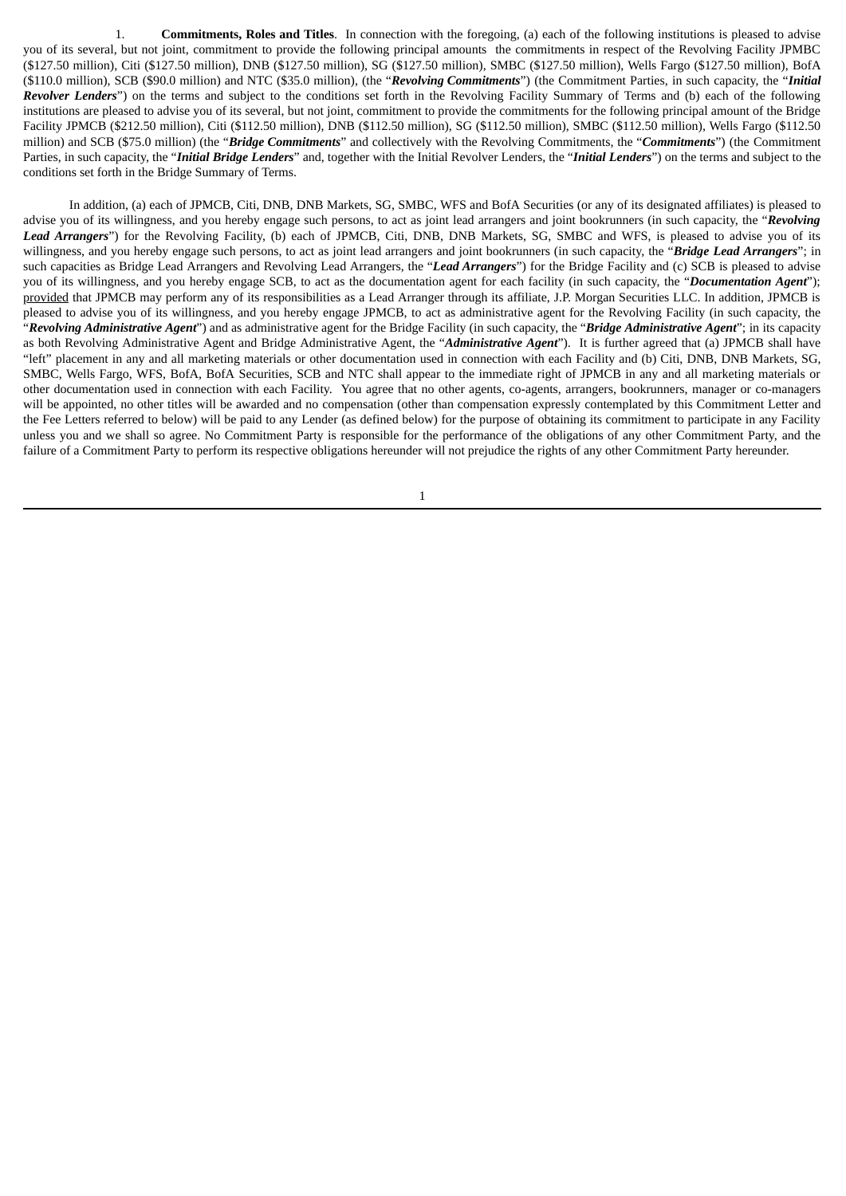1. **Commitments, Roles and Titles**. In connection with the foregoing, (a) each of the following institutions is pleased to advise you of its several, but not joint, commitment to provide the following principal amounts the commitments in respect of the Revolving Facility JPMBC (\$127.50 million), Citi (\$127.50 million), DNB (\$127.50 million), SG (\$127.50 million), SMBC (\$127.50 million), Wells Fargo (\$127.50 million), BofA (\$110.0 million), SCB (\$90.0 million) and NTC (\$35.0 million), (the "*Revolving Commitments*") (the Commitment Parties, in such capacity, the "*Initial Revolver Lenders*") on the terms and subject to the conditions set forth in the Revolving Facility Summary of Terms and (b) each of the following institutions are pleased to advise you of its several, but not joint, commitment to provide the commitments for the following principal amount of the Bridge Facility JPMCB (\$212.50 million), Citi (\$112.50 million), DNB (\$112.50 million), SG (\$112.50 million), SMBC (\$112.50 million), Wells Fargo (\$112.50 million) and SCB (\$75.0 million) (the "*Bridge Commitments*" and collectively with the Revolving Commitments, the "*Commitments*") (the Commitment Parties, in such capacity, the "*Initial Bridge Lenders*" and, together with the Initial Revolver Lenders, the "*Initial Lenders*") on the terms and subject to the conditions set forth in the Bridge Summary of Terms.

In addition, (a) each of JPMCB, Citi, DNB, DNB Markets, SG, SMBC, WFS and BofA Securities (or any of its designated affiliates) is pleased to advise you of its willingness, and you hereby engage such persons, to act as joint lead arrangers and joint bookrunners (in such capacity, the "*Revolving Lead Arrangers*") for the Revolving Facility, (b) each of JPMCB, Citi, DNB, DNB Markets, SG, SMBC and WFS, is pleased to advise you of its willingness, and you hereby engage such persons, to act as joint lead arrangers and joint bookrunners (in such capacity, the "*Bridge Lead Arrangers*"; in such capacities as Bridge Lead Arrangers and Revolving Lead Arrangers, the "*Lead Arrangers*") for the Bridge Facility and (c) SCB is pleased to advise you of its willingness, and you hereby engage SCB, to act as the documentation agent for each facility (in such capacity, the "*Documentation Agent*"); provided that JPMCB may perform any of its responsibilities as a Lead Arranger through its affiliate, J.P. Morgan Securities LLC. In addition, JPMCB is pleased to advise you of its willingness, and you hereby engage JPMCB, to act as administrative agent for the Revolving Facility (in such capacity, the "*Revolving Administrative Agent*") and as administrative agent for the Bridge Facility (in such capacity, the "*Bridge Administrative Agent*"; in its capacity as both Revolving Administrative Agent and Bridge Administrative Agent, the "*Administrative Agent*"). It is further agreed that (a) JPMCB shall have "left" placement in any and all marketing materials or other documentation used in connection with each Facility and (b) Citi, DNB, DNB Markets, SG, SMBC, Wells Fargo, WFS, BofA, BofA Securities, SCB and NTC shall appear to the immediate right of JPMCB in any and all marketing materials or other documentation used in connection with each Facility. You agree that no other agents, co-agents, arrangers, bookrunners, manager or co-managers will be appointed, no other titles will be awarded and no compensation (other than compensation expressly contemplated by this Commitment Letter and the Fee Letters referred to below) will be paid to any Lender (as defined below) for the purpose of obtaining its commitment to participate in any Facility unless you and we shall so agree. No Commitment Party is responsible for the performance of the obligations of any other Commitment Party, and the failure of a Commitment Party to perform its respective obligations hereunder will not prejudice the rights of any other Commitment Party hereunder.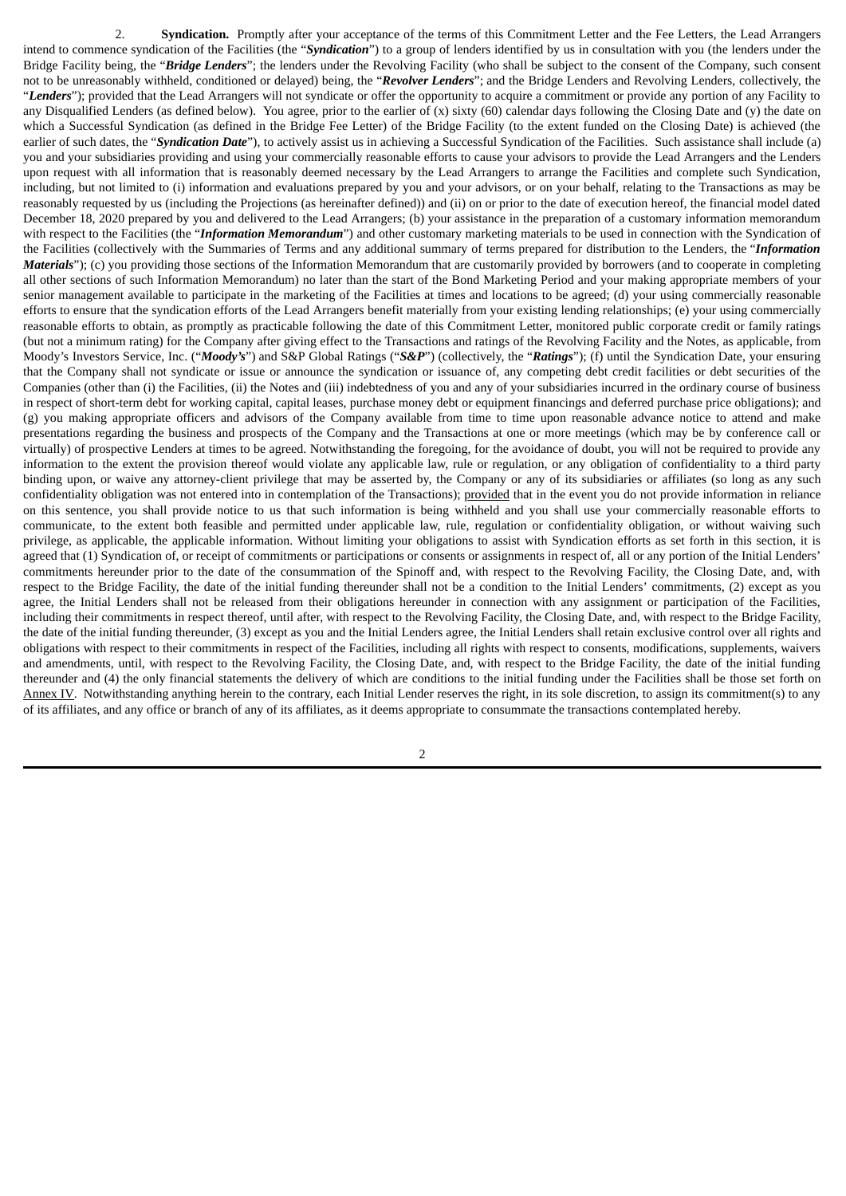2. **Syndication.** Promptly after your acceptance of the terms of this Commitment Letter and the Fee Letters, the Lead Arrangers intend to commence syndication of the Facilities (the "*Syndication*") to a group of lenders identified by us in consultation with you (the lenders under the Bridge Facility being, the "*Bridge Lenders*"; the lenders under the Revolving Facility (who shall be subject to the consent of the Company, such consent not to be unreasonably withheld, conditioned or delayed) being, the "*Revolver Lenders*"; and the Bridge Lenders and Revolving Lenders, collectively, the "*Lenders*"); provided that the Lead Arrangers will not syndicate or offer the opportunity to acquire a commitment or provide any portion of any Facility to any Disqualified Lenders (as defined below). You agree, prior to the earlier of  $(x)$  sixty (60) calendar days following the Closing Date and  $(y)$  the date on which a Successful Syndication (as defined in the Bridge Fee Letter) of the Bridge Facility (to the extent funded on the Closing Date) is achieved (the earlier of such dates, the "*Syndication Date*"), to actively assist us in achieving a Successful Syndication of the Facilities. Such assistance shall include (a) you and your subsidiaries providing and using your commercially reasonable efforts to cause your advisors to provide the Lead Arrangers and the Lenders upon request with all information that is reasonably deemed necessary by the Lead Arrangers to arrange the Facilities and complete such Syndication, including, but not limited to (i) information and evaluations prepared by you and your advisors, or on your behalf, relating to the Transactions as may be reasonably requested by us (including the Projections (as hereinafter defined)) and (ii) on or prior to the date of execution hereof, the financial model dated December 18, 2020 prepared by you and delivered to the Lead Arrangers; (b) your assistance in the preparation of a customary information memorandum with respect to the Facilities (the "*Information Memorandum*") and other customary marketing materials to be used in connection with the Syndication of the Facilities (collectively with the Summaries of Terms and any additional summary of terms prepared for distribution to the Lenders, the "*Information Materials*"); (c) you providing those sections of the Information Memorandum that are customarily provided by borrowers (and to cooperate in completing all other sections of such Information Memorandum) no later than the start of the Bond Marketing Period and your making appropriate members of your senior management available to participate in the marketing of the Facilities at times and locations to be agreed; (d) your using commercially reasonable efforts to ensure that the syndication efforts of the Lead Arrangers benefit materially from your existing lending relationships; (e) your using commercially reasonable efforts to obtain, as promptly as practicable following the date of this Commitment Letter, monitored public corporate credit or family ratings (but not a minimum rating) for the Company after giving effect to the Transactions and ratings of the Revolving Facility and the Notes, as applicable, from Moody's Investors Service, Inc. ("*Moody's*") and S&P Global Ratings ("*S&P*") (collectively, the "*Ratings*"); (f) until the Syndication Date, your ensuring that the Company shall not syndicate or issue or announce the syndication or issuance of, any competing debt credit facilities or debt securities of the Companies (other than (i) the Facilities, (ii) the Notes and (iii) indebtedness of you and any of your subsidiaries incurred in the ordinary course of business in respect of short-term debt for working capital, capital leases, purchase money debt or equipment financings and deferred purchase price obligations); and (g) you making appropriate officers and advisors of the Company available from time to time upon reasonable advance notice to attend and make presentations regarding the business and prospects of the Company and the Transactions at one or more meetings (which may be by conference call or virtually) of prospective Lenders at times to be agreed. Notwithstanding the foregoing, for the avoidance of doubt, you will not be required to provide any information to the extent the provision thereof would violate any applicable law, rule or regulation, or any obligation of confidentiality to a third party binding upon, or waive any attorney-client privilege that may be asserted by, the Company or any of its subsidiaries or affiliates (so long as any such confidentiality obligation was not entered into in contemplation of the Transactions); provided that in the event you do not provide information in reliance on this sentence, you shall provide notice to us that such information is being withheld and you shall use your commercially reasonable efforts to communicate, to the extent both feasible and permitted under applicable law, rule, regulation or confidentiality obligation, or without waiving such privilege, as applicable, the applicable information. Without limiting your obligations to assist with Syndication efforts as set forth in this section, it is agreed that (1) Syndication of, or receipt of commitments or participations or consents or assignments in respect of, all or any portion of the Initial Lenders' commitments hereunder prior to the date of the consummation of the Spinoff and, with respect to the Revolving Facility, the Closing Date, and, with respect to the Bridge Facility, the date of the initial funding thereunder shall not be a condition to the Initial Lenders' commitments, (2) except as you agree, the Initial Lenders shall not be released from their obligations hereunder in connection with any assignment or participation of the Facilities, including their commitments in respect thereof, until after, with respect to the Revolving Facility, the Closing Date, and, with respect to the Bridge Facility, the date of the initial funding thereunder, (3) except as you and the Initial Lenders agree, the Initial Lenders shall retain exclusive control over all rights and obligations with respect to their commitments in respect of the Facilities, including all rights with respect to consents, modifications, supplements, waivers and amendments, until, with respect to the Revolving Facility, the Closing Date, and, with respect to the Bridge Facility, the date of the initial funding thereunder and (4) the only financial statements the delivery of which are conditions to the initial funding under the Facilities shall be those set forth on Annex IV. Notwithstanding anything herein to the contrary, each Initial Lender reserves the right, in its sole discretion, to assign its commitment(s) to any of its affiliates, and any office or branch of any of its affiliates, as it deems appropriate to consummate the transactions contemplated hereby.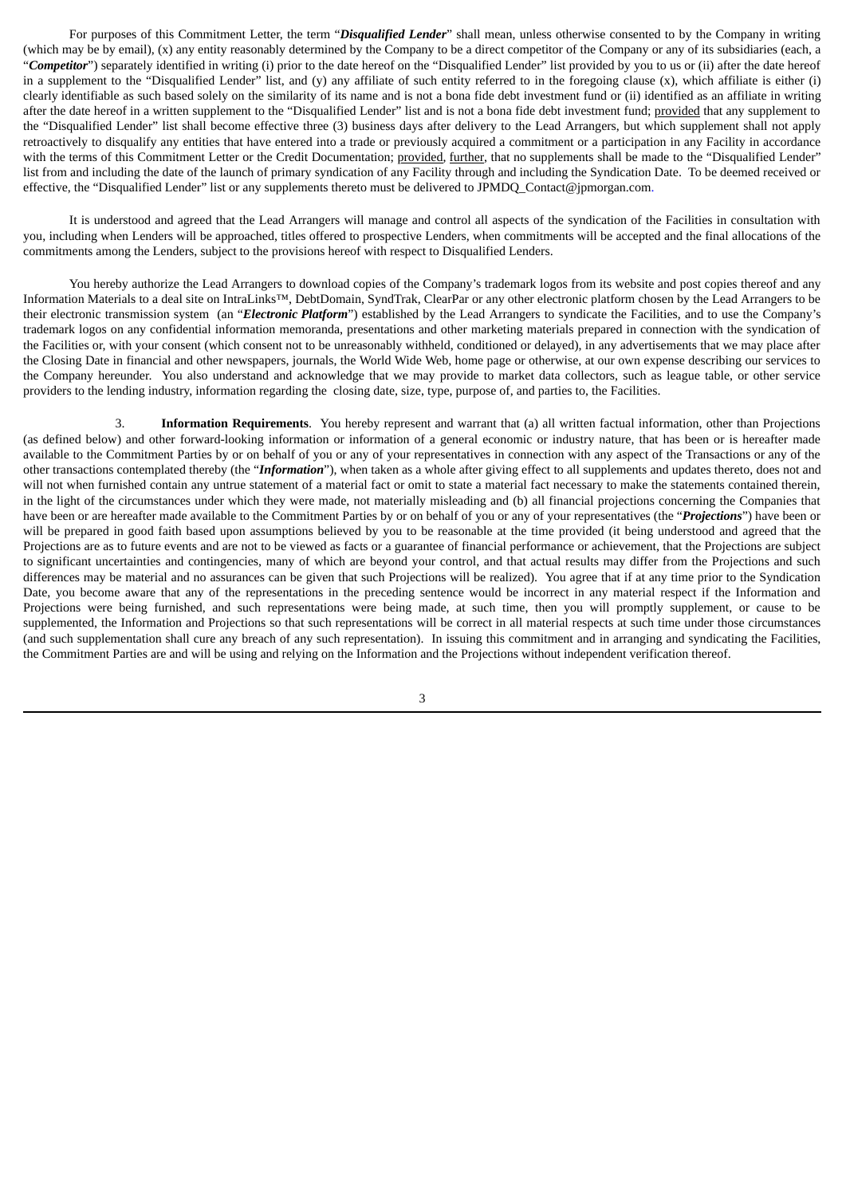For purposes of this Commitment Letter, the term "*Disqualified Lender*" shall mean, unless otherwise consented to by the Company in writing (which may be by email), (x) any entity reasonably determined by the Company to be a direct competitor of the Company or any of its subsidiaries (each, a "Competitor") separately identified in writing (i) prior to the date hereof on the "Disqualified Lender" list provided by you to us or (ii) after the date hereof in a supplement to the "Disqualified Lender" list, and (y) any affiliate of such entity referred to in the foregoing clause (x), which affiliate is either (i) clearly identifiable as such based solely on the similarity of its name and is not a bona fide debt investment fund or (ii) identified as an affiliate in writing after the date hereof in a written supplement to the "Disqualified Lender" list and is not a bona fide debt investment fund; provided that any supplement to the "Disqualified Lender" list shall become effective three (3) business days after delivery to the Lead Arrangers, but which supplement shall not apply retroactively to disqualify any entities that have entered into a trade or previously acquired a commitment or a participation in any Facility in accordance with the terms of this Commitment Letter or the Credit Documentation; provided, further, that no supplements shall be made to the "Disqualified Lender" list from and including the date of the launch of primary syndication of any Facility through and including the Syndication Date. To be deemed received or effective, the "Disqualified Lender" list or any supplements thereto must be delivered to JPMDQ\_Contact@jpmorgan.com.

It is understood and agreed that the Lead Arrangers will manage and control all aspects of the syndication of the Facilities in consultation with you, including when Lenders will be approached, titles offered to prospective Lenders, when commitments will be accepted and the final allocations of the commitments among the Lenders, subject to the provisions hereof with respect to Disqualified Lenders.

You hereby authorize the Lead Arrangers to download copies of the Company's trademark logos from its website and post copies thereof and any Information Materials to a deal site on IntraLinks™, DebtDomain, SyndTrak, ClearPar or any other electronic platform chosen by the Lead Arrangers to be their electronic transmission system (an "*Electronic Platform*") established by the Lead Arrangers to syndicate the Facilities, and to use the Company's trademark logos on any confidential information memoranda, presentations and other marketing materials prepared in connection with the syndication of the Facilities or, with your consent (which consent not to be unreasonably withheld, conditioned or delayed), in any advertisements that we may place after the Closing Date in financial and other newspapers, journals, the World Wide Web, home page or otherwise, at our own expense describing our services to the Company hereunder. You also understand and acknowledge that we may provide to market data collectors, such as league table, or other service providers to the lending industry, information regarding the closing date, size, type, purpose of, and parties to, the Facilities.

3. **Information Requirements**. You hereby represent and warrant that (a) all written factual information, other than Projections (as defined below) and other forward-looking information or information of a general economic or industry nature, that has been or is hereafter made available to the Commitment Parties by or on behalf of you or any of your representatives in connection with any aspect of the Transactions or any of the other transactions contemplated thereby (the "*Information*"), when taken as a whole after giving effect to all supplements and updates thereto, does not and will not when furnished contain any untrue statement of a material fact or omit to state a material fact necessary to make the statements contained therein, in the light of the circumstances under which they were made, not materially misleading and (b) all financial projections concerning the Companies that have been or are hereafter made available to the Commitment Parties by or on behalf of you or any of your representatives (the "*Projections*") have been or will be prepared in good faith based upon assumptions believed by you to be reasonable at the time provided (it being understood and agreed that the Projections are as to future events and are not to be viewed as facts or a guarantee of financial performance or achievement, that the Projections are subject to significant uncertainties and contingencies, many of which are beyond your control, and that actual results may differ from the Projections and such differences may be material and no assurances can be given that such Projections will be realized). You agree that if at any time prior to the Syndication Date, you become aware that any of the representations in the preceding sentence would be incorrect in any material respect if the Information and Projections were being furnished, and such representations were being made, at such time, then you will promptly supplement, or cause to be supplemented, the Information and Projections so that such representations will be correct in all material respects at such time under those circumstances (and such supplementation shall cure any breach of any such representation). In issuing this commitment and in arranging and syndicating the Facilities, the Commitment Parties are and will be using and relying on the Information and the Projections without independent verification thereof.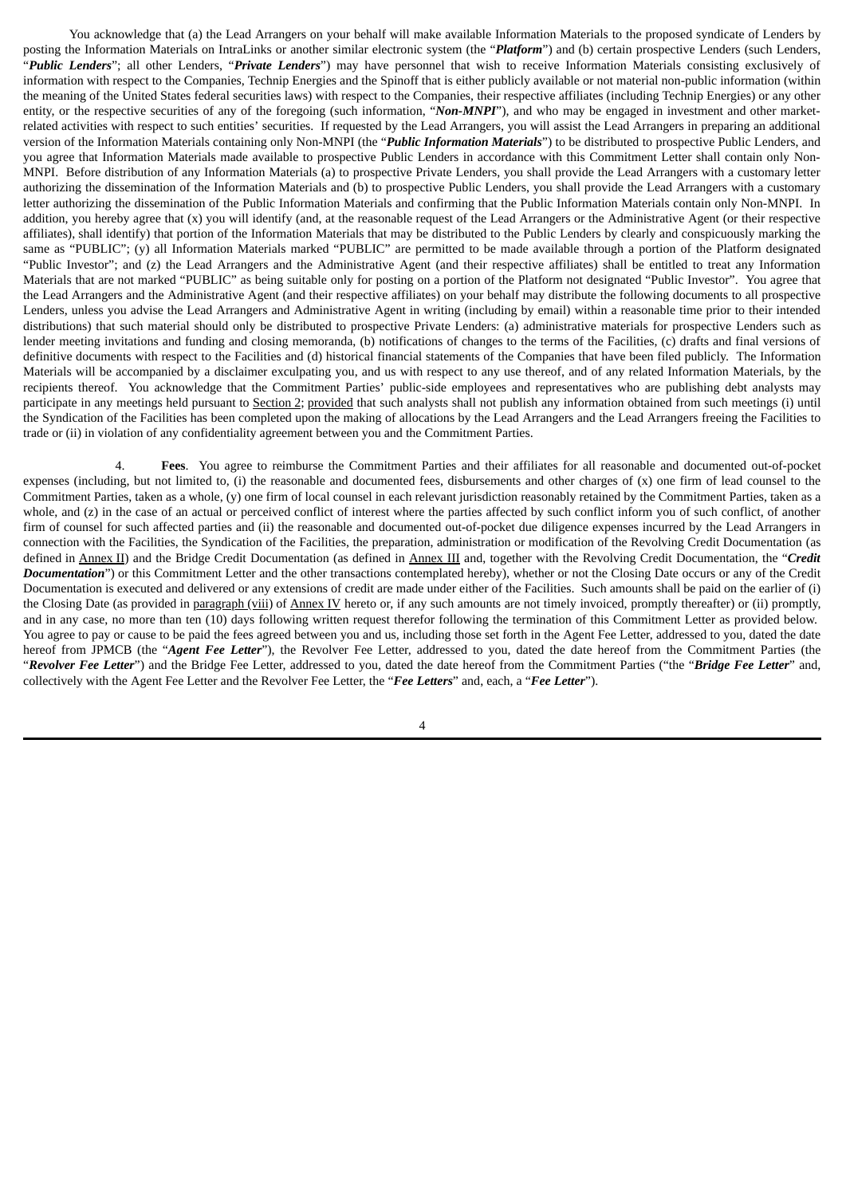You acknowledge that (a) the Lead Arrangers on your behalf will make available Information Materials to the proposed syndicate of Lenders by posting the Information Materials on IntraLinks or another similar electronic system (the "*Platform*") and (b) certain prospective Lenders (such Lenders, "*Public Lenders*"; all other Lenders, "*Private Lenders*") may have personnel that wish to receive Information Materials consisting exclusively of information with respect to the Companies, Technip Energies and the Spinoff that is either publicly available or not material non-public information (within the meaning of the United States federal securities laws) with respect to the Companies, their respective affiliates (including Technip Energies) or any other entity, or the respective securities of any of the foregoing (such information, "*Non-MNPI*"), and who may be engaged in investment and other marketrelated activities with respect to such entities' securities. If requested by the Lead Arrangers, you will assist the Lead Arrangers in preparing an additional version of the Information Materials containing only Non-MNPI (the "*Public Information Materials*") to be distributed to prospective Public Lenders, and you agree that Information Materials made available to prospective Public Lenders in accordance with this Commitment Letter shall contain only Non-MNPI. Before distribution of any Information Materials (a) to prospective Private Lenders, you shall provide the Lead Arrangers with a customary letter authorizing the dissemination of the Information Materials and (b) to prospective Public Lenders, you shall provide the Lead Arrangers with a customary letter authorizing the dissemination of the Public Information Materials and confirming that the Public Information Materials contain only Non-MNPI. In addition, you hereby agree that (x) you will identify (and, at the reasonable request of the Lead Arrangers or the Administrative Agent (or their respective affiliates), shall identify) that portion of the Information Materials that may be distributed to the Public Lenders by clearly and conspicuously marking the same as "PUBLIC"; (y) all Information Materials marked "PUBLIC" are permitted to be made available through a portion of the Platform designated "Public Investor"; and (z) the Lead Arrangers and the Administrative Agent (and their respective affiliates) shall be entitled to treat any Information Materials that are not marked "PUBLIC" as being suitable only for posting on a portion of the Platform not designated "Public Investor". You agree that the Lead Arrangers and the Administrative Agent (and their respective affiliates) on your behalf may distribute the following documents to all prospective Lenders, unless you advise the Lead Arrangers and Administrative Agent in writing (including by email) within a reasonable time prior to their intended distributions) that such material should only be distributed to prospective Private Lenders: (a) administrative materials for prospective Lenders such as lender meeting invitations and funding and closing memoranda, (b) notifications of changes to the terms of the Facilities, (c) drafts and final versions of definitive documents with respect to the Facilities and (d) historical financial statements of the Companies that have been filed publicly. The Information Materials will be accompanied by a disclaimer exculpating you, and us with respect to any use thereof, and of any related Information Materials, by the recipients thereof. You acknowledge that the Commitment Parties' public-side employees and representatives who are publishing debt analysts may participate in any meetings held pursuant to Section 2; provided that such analysts shall not publish any information obtained from such meetings (i) until the Syndication of the Facilities has been completed upon the making of allocations by the Lead Arrangers and the Lead Arrangers freeing the Facilities to trade or (ii) in violation of any confidentiality agreement between you and the Commitment Parties.

4. **Fees**. You agree to reimburse the Commitment Parties and their affiliates for all reasonable and documented out-of-pocket expenses (including, but not limited to, (i) the reasonable and documented fees, disbursements and other charges of  $(x)$  one firm of lead counsel to the Commitment Parties, taken as a whole, (y) one firm of local counsel in each relevant jurisdiction reasonably retained by the Commitment Parties, taken as a whole, and (z) in the case of an actual or perceived conflict of interest where the parties affected by such conflict inform you of such conflict, of another firm of counsel for such affected parties and (ii) the reasonable and documented out-of-pocket due diligence expenses incurred by the Lead Arrangers in connection with the Facilities, the Syndication of the Facilities, the preparation, administration or modification of the Revolving Credit Documentation (as defined in Annex II) and the Bridge Credit Documentation (as defined in Annex III and, together with the Revolving Credit Documentation, the "*Credit Documentation*") or this Commitment Letter and the other transactions contemplated hereby), whether or not the Closing Date occurs or any of the Credit Documentation is executed and delivered or any extensions of credit are made under either of the Facilities. Such amounts shall be paid on the earlier of (i) the Closing Date (as provided in paragraph (viii) of Annex IV hereto or, if any such amounts are not timely invoiced, promptly thereafter) or (ii) promptly, and in any case, no more than ten (10) days following written request therefor following the termination of this Commitment Letter as provided below. You agree to pay or cause to be paid the fees agreed between you and us, including those set forth in the Agent Fee Letter, addressed to you, dated the date hereof from JPMCB (the "*Agent Fee Letter*"), the Revolver Fee Letter, addressed to you, dated the date hereof from the Commitment Parties (the "*Revolver Fee Letter*") and the Bridge Fee Letter, addressed to you, dated the date hereof from the Commitment Parties ("the "*Bridge Fee Letter*" and, collectively with the Agent Fee Letter and the Revolver Fee Letter, the "*Fee Letters*" and, each, a "*Fee Letter*").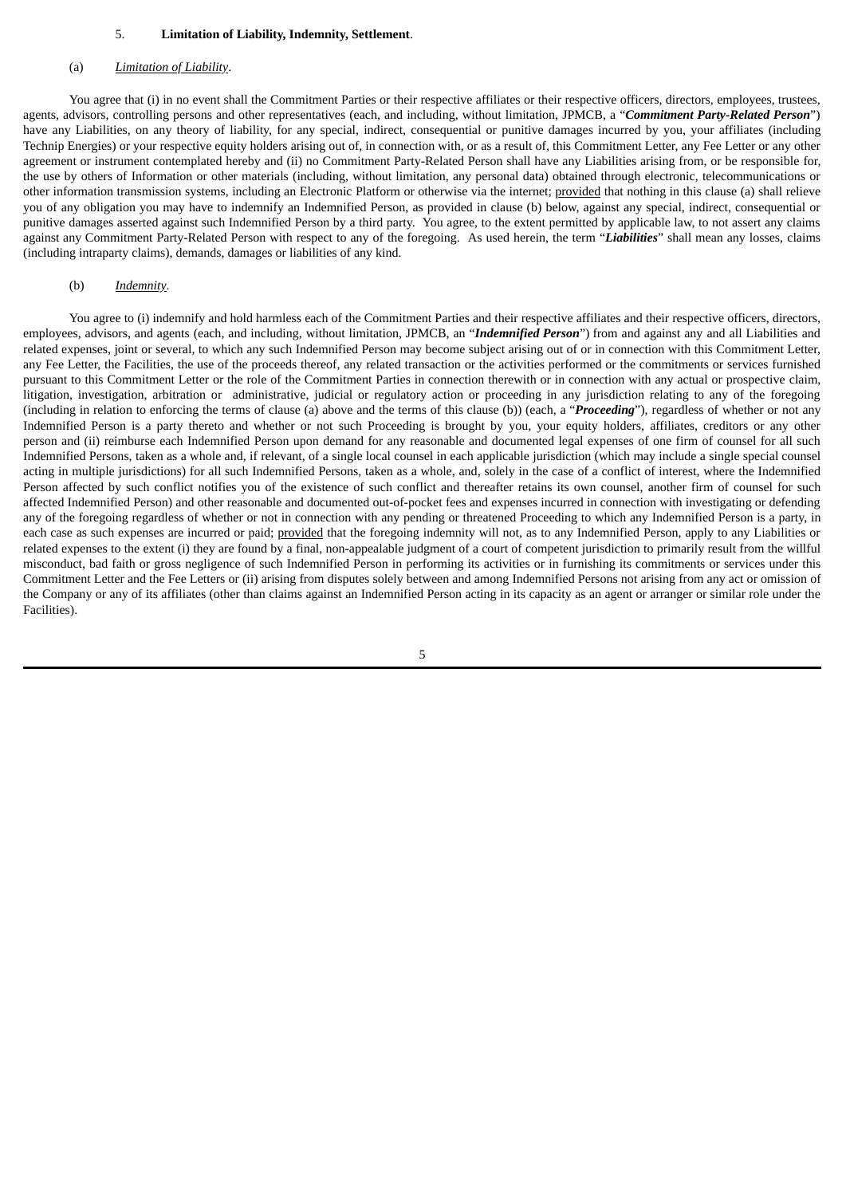#### 5. **Limitation of Liability, Indemnity, Settlement**.

#### (a) *Limitation of Liability*.

You agree that (i) in no event shall the Commitment Parties or their respective affiliates or their respective officers, directors, employees, trustees, agents, advisors, controlling persons and other representatives (each, and including, without limitation, JPMCB, a "*Commitment Party-Related Person*") have any Liabilities, on any theory of liability, for any special, indirect, consequential or punitive damages incurred by you, your affiliates (including Technip Energies) or your respective equity holders arising out of, in connection with, or as a result of, this Commitment Letter, any Fee Letter or any other agreement or instrument contemplated hereby and (ii) no Commitment Party-Related Person shall have any Liabilities arising from, or be responsible for, the use by others of Information or other materials (including, without limitation, any personal data) obtained through electronic, telecommunications or other information transmission systems, including an Electronic Platform or otherwise via the internet; provided that nothing in this clause (a) shall relieve you of any obligation you may have to indemnify an Indemnified Person, as provided in clause (b) below, against any special, indirect, consequential or punitive damages asserted against such Indemnified Person by a third party. You agree, to the extent permitted by applicable law, to not assert any claims against any Commitment Party-Related Person with respect to any of the foregoing. As used herein, the term "*Liabilities*" shall mean any losses, claims (including intraparty claims), demands, damages or liabilities of any kind.

#### (b) *Indemnity*.

You agree to (i) indemnify and hold harmless each of the Commitment Parties and their respective affiliates and their respective officers, directors, employees, advisors, and agents (each, and including, without limitation, JPMCB, an "*Indemnified Person*") from and against any and all Liabilities and related expenses, joint or several, to which any such Indemnified Person may become subject arising out of or in connection with this Commitment Letter, any Fee Letter, the Facilities, the use of the proceeds thereof, any related transaction or the activities performed or the commitments or services furnished pursuant to this Commitment Letter or the role of the Commitment Parties in connection therewith or in connection with any actual or prospective claim, litigation, investigation, arbitration or administrative, judicial or regulatory action or proceeding in any jurisdiction relating to any of the foregoing (including in relation to enforcing the terms of clause (a) above and the terms of this clause (b)) (each, a "*Proceeding*"), regardless of whether or not any Indemnified Person is a party thereto and whether or not such Proceeding is brought by you, your equity holders, affiliates, creditors or any other person and (ii) reimburse each Indemnified Person upon demand for any reasonable and documented legal expenses of one firm of counsel for all such Indemnified Persons, taken as a whole and, if relevant, of a single local counsel in each applicable jurisdiction (which may include a single special counsel acting in multiple jurisdictions) for all such Indemnified Persons, taken as a whole, and, solely in the case of a conflict of interest, where the Indemnified Person affected by such conflict notifies you of the existence of such conflict and thereafter retains its own counsel, another firm of counsel for such affected Indemnified Person) and other reasonable and documented out-of-pocket fees and expenses incurred in connection with investigating or defending any of the foregoing regardless of whether or not in connection with any pending or threatened Proceeding to which any Indemnified Person is a party, in each case as such expenses are incurred or paid; provided that the foregoing indemnity will not, as to any Indemnified Person, apply to any Liabilities or related expenses to the extent (i) they are found by a final, non-appealable judgment of a court of competent jurisdiction to primarily result from the willful misconduct, bad faith or gross negligence of such Indemnified Person in performing its activities or in furnishing its commitments or services under this Commitment Letter and the Fee Letters or (ii) arising from disputes solely between and among Indemnified Persons not arising from any act or omission of the Company or any of its affiliates (other than claims against an Indemnified Person acting in its capacity as an agent or arranger or similar role under the Facilities).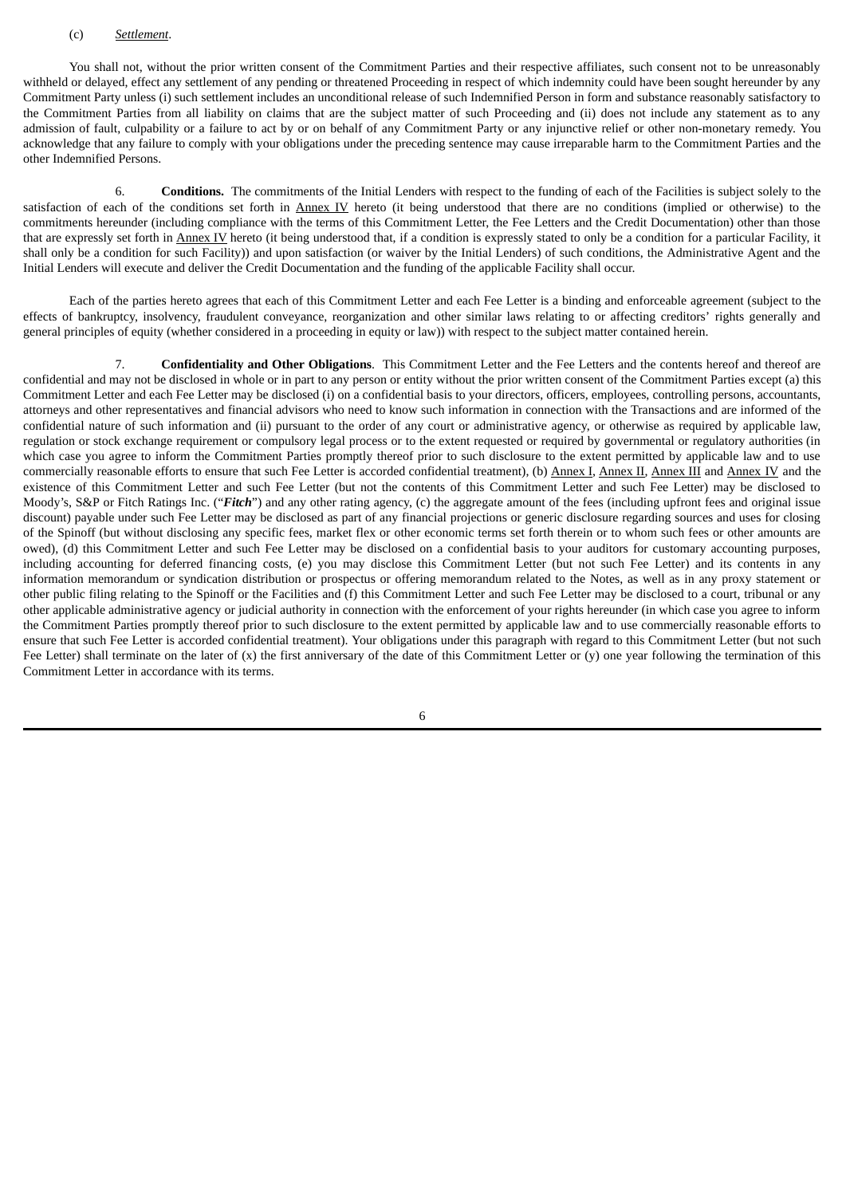#### (c) *Settlement*.

You shall not, without the prior written consent of the Commitment Parties and their respective affiliates, such consent not to be unreasonably withheld or delayed, effect any settlement of any pending or threatened Proceeding in respect of which indemnity could have been sought hereunder by any Commitment Party unless (i) such settlement includes an unconditional release of such Indemnified Person in form and substance reasonably satisfactory to the Commitment Parties from all liability on claims that are the subject matter of such Proceeding and (ii) does not include any statement as to any admission of fault, culpability or a failure to act by or on behalf of any Commitment Party or any injunctive relief or other non-monetary remedy. You acknowledge that any failure to comply with your obligations under the preceding sentence may cause irreparable harm to the Commitment Parties and the other Indemnified Persons.

6. **Conditions.** The commitments of the Initial Lenders with respect to the funding of each of the Facilities is subject solely to the satisfaction of each of the conditions set forth in Annex IV hereto (it being understood that there are no conditions (implied or otherwise) to the commitments hereunder (including compliance with the terms of this Commitment Letter, the Fee Letters and the Credit Documentation) other than those that are expressly set forth in Annex IV hereto (it being understood that, if a condition is expressly stated to only be a condition for a particular Facility, it shall only be a condition for such Facility)) and upon satisfaction (or waiver by the Initial Lenders) of such conditions, the Administrative Agent and the Initial Lenders will execute and deliver the Credit Documentation and the funding of the applicable Facility shall occur.

Each of the parties hereto agrees that each of this Commitment Letter and each Fee Letter is a binding and enforceable agreement (subject to the effects of bankruptcy, insolvency, fraudulent conveyance, reorganization and other similar laws relating to or affecting creditors' rights generally and general principles of equity (whether considered in a proceeding in equity or law)) with respect to the subject matter contained herein.

7. **Confidentiality and Other Obligations**. This Commitment Letter and the Fee Letters and the contents hereof and thereof are confidential and may not be disclosed in whole or in part to any person or entity without the prior written consent of the Commitment Parties except (a) this Commitment Letter and each Fee Letter may be disclosed (i) on a confidential basis to your directors, officers, employees, controlling persons, accountants, attorneys and other representatives and financial advisors who need to know such information in connection with the Transactions and are informed of the confidential nature of such information and (ii) pursuant to the order of any court or administrative agency, or otherwise as required by applicable law, regulation or stock exchange requirement or compulsory legal process or to the extent requested or required by governmental or regulatory authorities (in which case you agree to inform the Commitment Parties promptly thereof prior to such disclosure to the extent permitted by applicable law and to use commercially reasonable efforts to ensure that such Fee Letter is accorded confidential treatment), (b) Annex I, Annex II, Annex III and Annex IV and the existence of this Commitment Letter and such Fee Letter (but not the contents of this Commitment Letter and such Fee Letter) may be disclosed to Moody's, S&P or Fitch Ratings Inc. ("*Fitch*") and any other rating agency, (c) the aggregate amount of the fees (including upfront fees and original issue discount) payable under such Fee Letter may be disclosed as part of any financial projections or generic disclosure regarding sources and uses for closing of the Spinoff (but without disclosing any specific fees, market flex or other economic terms set forth therein or to whom such fees or other amounts are owed), (d) this Commitment Letter and such Fee Letter may be disclosed on a confidential basis to your auditors for customary accounting purposes, including accounting for deferred financing costs, (e) you may disclose this Commitment Letter (but not such Fee Letter) and its contents in any information memorandum or syndication distribution or prospectus or offering memorandum related to the Notes, as well as in any proxy statement or other public filing relating to the Spinoff or the Facilities and (f) this Commitment Letter and such Fee Letter may be disclosed to a court, tribunal or any other applicable administrative agency or judicial authority in connection with the enforcement of your rights hereunder (in which case you agree to inform the Commitment Parties promptly thereof prior to such disclosure to the extent permitted by applicable law and to use commercially reasonable efforts to ensure that such Fee Letter is accorded confidential treatment). Your obligations under this paragraph with regard to this Commitment Letter (but not such Fee Letter) shall terminate on the later of  $(x)$  the first anniversary of the date of this Commitment Letter or  $(y)$  one year following the termination of this Commitment Letter in accordance with its terms.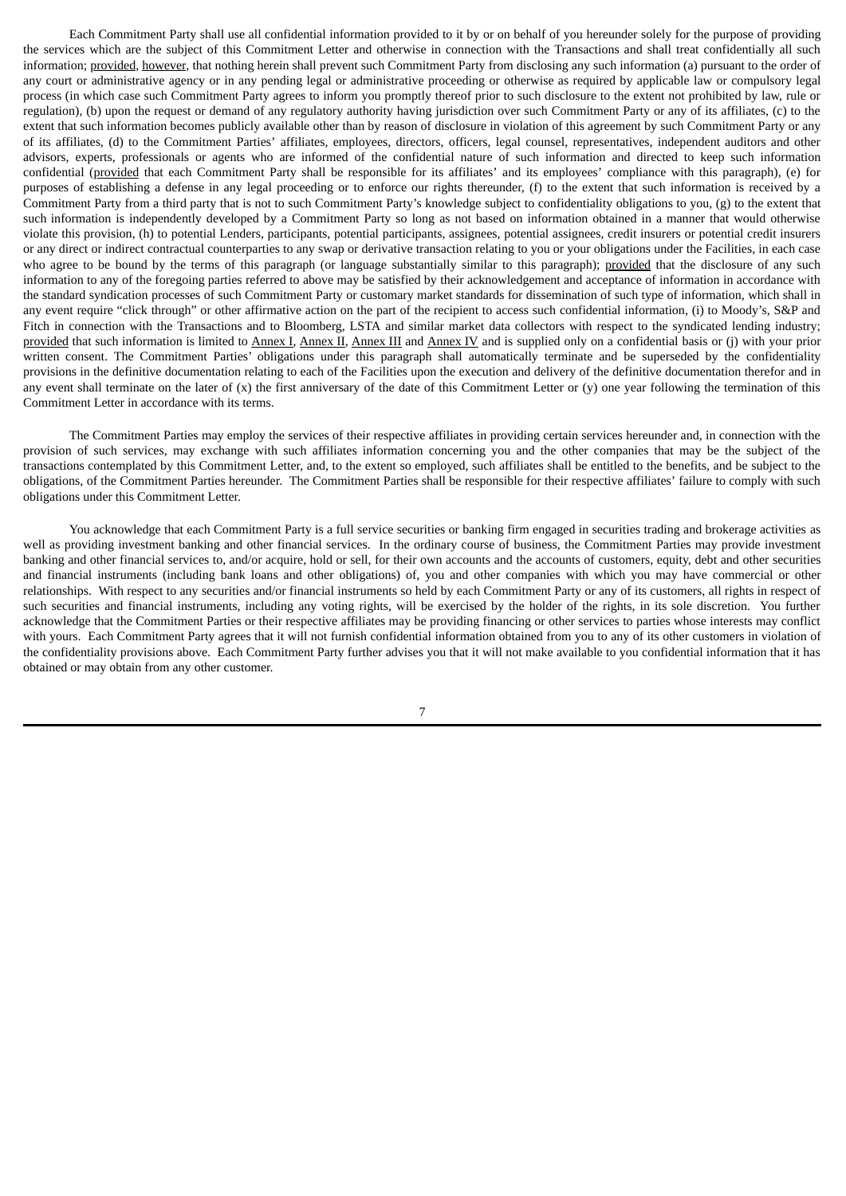Each Commitment Party shall use all confidential information provided to it by or on behalf of you hereunder solely for the purpose of providing the services which are the subject of this Commitment Letter and otherwise in connection with the Transactions and shall treat confidentially all such information; provided, however, that nothing herein shall prevent such Commitment Party from disclosing any such information (a) pursuant to the order of any court or administrative agency or in any pending legal or administrative proceeding or otherwise as required by applicable law or compulsory legal process (in which case such Commitment Party agrees to inform you promptly thereof prior to such disclosure to the extent not prohibited by law, rule or regulation), (b) upon the request or demand of any regulatory authority having jurisdiction over such Commitment Party or any of its affiliates, (c) to the extent that such information becomes publicly available other than by reason of disclosure in violation of this agreement by such Commitment Party or any of its affiliates, (d) to the Commitment Parties' affiliates, employees, directors, officers, legal counsel, representatives, independent auditors and other advisors, experts, professionals or agents who are informed of the confidential nature of such information and directed to keep such information confidential (provided that each Commitment Party shall be responsible for its affiliates' and its employees' compliance with this paragraph), (e) for purposes of establishing a defense in any legal proceeding or to enforce our rights thereunder, (f) to the extent that such information is received by a Commitment Party from a third party that is not to such Commitment Party's knowledge subject to confidentiality obligations to you, (g) to the extent that such information is independently developed by a Commitment Party so long as not based on information obtained in a manner that would otherwise violate this provision, (h) to potential Lenders, participants, potential participants, assignees, potential assignees, credit insurers or potential credit insurers or any direct or indirect contractual counterparties to any swap or derivative transaction relating to you or your obligations under the Facilities, in each case who agree to be bound by the terms of this paragraph (or language substantially similar to this paragraph); provided that the disclosure of any such information to any of the foregoing parties referred to above may be satisfied by their acknowledgement and acceptance of information in accordance with the standard syndication processes of such Commitment Party or customary market standards for dissemination of such type of information, which shall in any event require "click through" or other affirmative action on the part of the recipient to access such confidential information, (i) to Moody's, S&P and Fitch in connection with the Transactions and to Bloomberg, LSTA and similar market data collectors with respect to the syndicated lending industry; provided that such information is limited to Annex I, Annex II, Annex III and Annex IV and is supplied only on a confidential basis or (j) with your prior written consent. The Commitment Parties' obligations under this paragraph shall automatically terminate and be superseded by the confidentiality provisions in the definitive documentation relating to each of the Facilities upon the execution and delivery of the definitive documentation therefor and in any event shall terminate on the later of  $(x)$  the first anniversary of the date of this Commitment Letter or  $(y)$  one year following the termination of this Commitment Letter in accordance with its terms.

The Commitment Parties may employ the services of their respective affiliates in providing certain services hereunder and, in connection with the provision of such services, may exchange with such affiliates information concerning you and the other companies that may be the subject of the transactions contemplated by this Commitment Letter, and, to the extent so employed, such affiliates shall be entitled to the benefits, and be subject to the obligations, of the Commitment Parties hereunder. The Commitment Parties shall be responsible for their respective affiliates' failure to comply with such obligations under this Commitment Letter.

You acknowledge that each Commitment Party is a full service securities or banking firm engaged in securities trading and brokerage activities as well as providing investment banking and other financial services. In the ordinary course of business, the Commitment Parties may provide investment banking and other financial services to, and/or acquire, hold or sell, for their own accounts and the accounts of customers, equity, debt and other securities and financial instruments (including bank loans and other obligations) of, you and other companies with which you may have commercial or other relationships. With respect to any securities and/or financial instruments so held by each Commitment Party or any of its customers, all rights in respect of such securities and financial instruments, including any voting rights, will be exercised by the holder of the rights, in its sole discretion. You further acknowledge that the Commitment Parties or their respective affiliates may be providing financing or other services to parties whose interests may conflict with yours. Each Commitment Party agrees that it will not furnish confidential information obtained from you to any of its other customers in violation of the confidentiality provisions above. Each Commitment Party further advises you that it will not make available to you confidential information that it has obtained or may obtain from any other customer.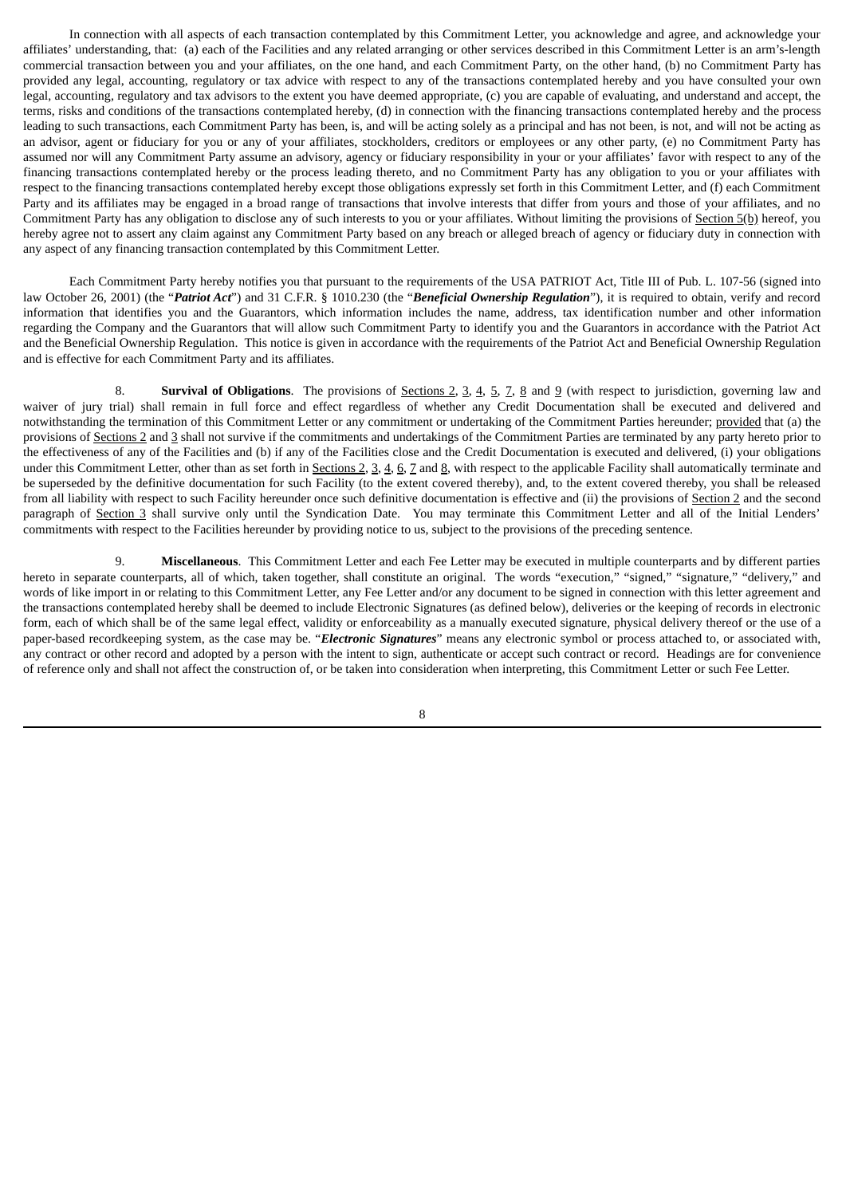In connection with all aspects of each transaction contemplated by this Commitment Letter, you acknowledge and agree, and acknowledge your affiliates' understanding, that: (a) each of the Facilities and any related arranging or other services described in this Commitment Letter is an arm's-length commercial transaction between you and your affiliates, on the one hand, and each Commitment Party, on the other hand, (b) no Commitment Party has provided any legal, accounting, regulatory or tax advice with respect to any of the transactions contemplated hereby and you have consulted your own legal, accounting, regulatory and tax advisors to the extent you have deemed appropriate, (c) you are capable of evaluating, and understand and accept, the terms, risks and conditions of the transactions contemplated hereby, (d) in connection with the financing transactions contemplated hereby and the process leading to such transactions, each Commitment Party has been, is, and will be acting solely as a principal and has not been, is not, and will not be acting as an advisor, agent or fiduciary for you or any of your affiliates, stockholders, creditors or employees or any other party, (e) no Commitment Party has assumed nor will any Commitment Party assume an advisory, agency or fiduciary responsibility in your or your affiliates' favor with respect to any of the financing transactions contemplated hereby or the process leading thereto, and no Commitment Party has any obligation to you or your affiliates with respect to the financing transactions contemplated hereby except those obligations expressly set forth in this Commitment Letter, and (f) each Commitment Party and its affiliates may be engaged in a broad range of transactions that involve interests that differ from yours and those of your affiliates, and no Commitment Party has any obligation to disclose any of such interests to you or your affiliates. Without limiting the provisions of Section 5(b) hereof, you hereby agree not to assert any claim against any Commitment Party based on any breach or alleged breach of agency or fiduciary duty in connection with any aspect of any financing transaction contemplated by this Commitment Letter.

Each Commitment Party hereby notifies you that pursuant to the requirements of the USA PATRIOT Act, Title III of Pub. L. 107-56 (signed into law October 26, 2001) (the "*Patriot Act*") and 31 C.F.R. § 1010.230 (the "*Beneficial Ownership Regulation*"), it is required to obtain, verify and record information that identifies you and the Guarantors, which information includes the name, address, tax identification number and other information regarding the Company and the Guarantors that will allow such Commitment Party to identify you and the Guarantors in accordance with the Patriot Act and the Beneficial Ownership Regulation. This notice is given in accordance with the requirements of the Patriot Act and Beneficial Ownership Regulation and is effective for each Commitment Party and its affiliates.

8. **Survival of Obligations**. The provisions of Sections 2, 3, 4, 5, 7, 8 and 9 (with respect to jurisdiction, governing law and waiver of jury trial) shall remain in full force and effect regardless of whether any Credit Documentation shall be executed and delivered and notwithstanding the termination of this Commitment Letter or any commitment or undertaking of the Commitment Parties hereunder; provided that (a) the provisions of Sections 2 and 3 shall not survive if the commitments and undertakings of the Commitment Parties are terminated by any party hereto prior to the effectiveness of any of the Facilities and (b) if any of the Facilities close and the Credit Documentation is executed and delivered, (i) your obligations under this Commitment Letter, other than as set forth in Sections 2, 3, 4, 6, 7 and 8, with respect to the applicable Facility shall automatically terminate and be superseded by the definitive documentation for such Facility (to the extent covered thereby), and, to the extent covered thereby, you shall be released from all liability with respect to such Facility hereunder once such definitive documentation is effective and (ii) the provisions of Section 2 and the second paragraph of Section 3 shall survive only until the Syndication Date. You may terminate this Commitment Letter and all of the Initial Lenders' commitments with respect to the Facilities hereunder by providing notice to us, subject to the provisions of the preceding sentence.

9. **Miscellaneous**. This Commitment Letter and each Fee Letter may be executed in multiple counterparts and by different parties hereto in separate counterparts, all of which, taken together, shall constitute an original. The words "execution," "signed," "signature," "delivery," and words of like import in or relating to this Commitment Letter, any Fee Letter and/or any document to be signed in connection with this letter agreement and the transactions contemplated hereby shall be deemed to include Electronic Signatures (as defined below), deliveries or the keeping of records in electronic form, each of which shall be of the same legal effect, validity or enforceability as a manually executed signature, physical delivery thereof or the use of a paper-based recordkeeping system, as the case may be. "*Electronic Signatures*" means any electronic symbol or process attached to, or associated with, any contract or other record and adopted by a person with the intent to sign, authenticate or accept such contract or record. Headings are for convenience of reference only and shall not affect the construction of, or be taken into consideration when interpreting, this Commitment Letter or such Fee Letter.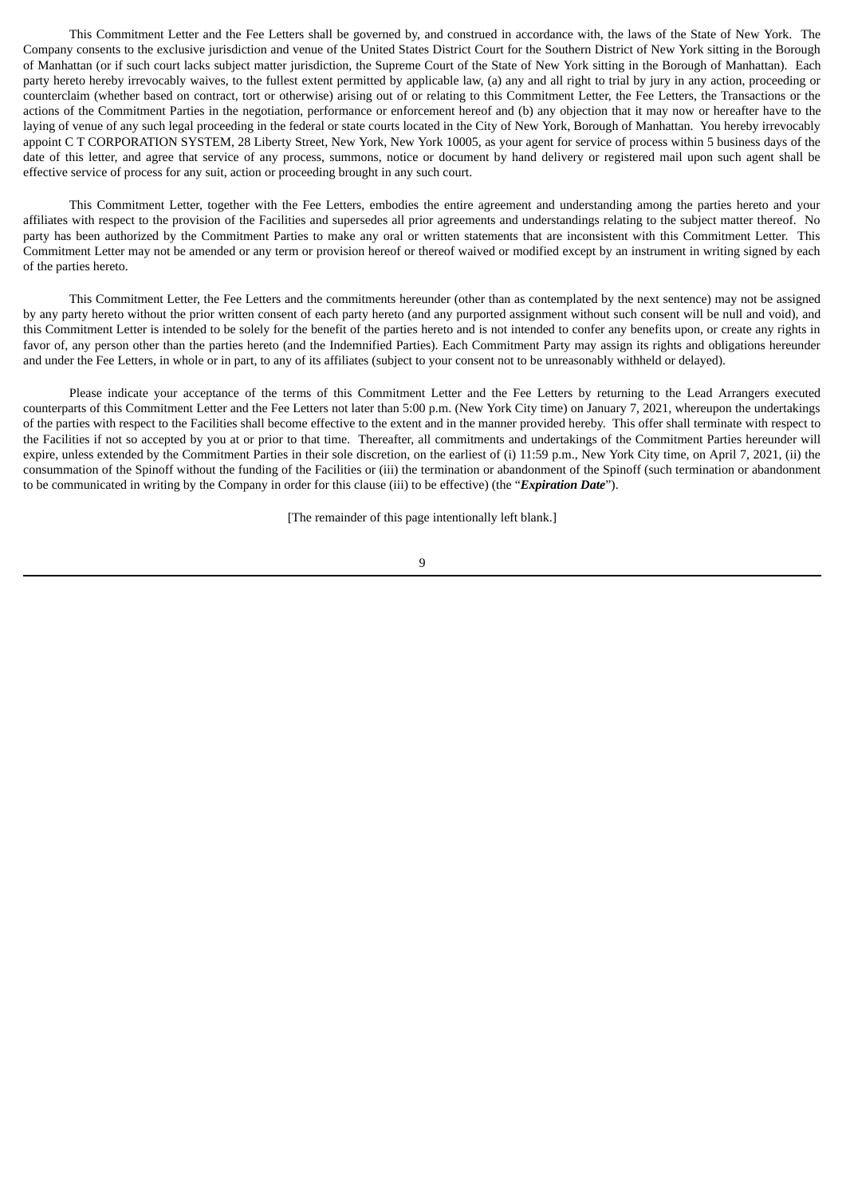This Commitment Letter and the Fee Letters shall be governed by, and construed in accordance with, the laws of the State of New York. The Company consents to the exclusive jurisdiction and venue of the United States District Court for the Southern District of New York sitting in the Borough of Manhattan (or if such court lacks subject matter jurisdiction, the Supreme Court of the State of New York sitting in the Borough of Manhattan). Each party hereto hereby irrevocably waives, to the fullest extent permitted by applicable law, (a) any and all right to trial by jury in any action, proceeding or counterclaim (whether based on contract, tort or otherwise) arising out of or relating to this Commitment Letter, the Fee Letters, the Transactions or the actions of the Commitment Parties in the negotiation, performance or enforcement hereof and (b) any objection that it may now or hereafter have to the laying of venue of any such legal proceeding in the federal or state courts located in the City of New York, Borough of Manhattan. You hereby irrevocably appoint C T CORPORATION SYSTEM, 28 Liberty Street, New York, New York 10005, as your agent for service of process within 5 business days of the date of this letter, and agree that service of any process, summons, notice or document by hand delivery or registered mail upon such agent shall be effective service of process for any suit, action or proceeding brought in any such court.

This Commitment Letter, together with the Fee Letters, embodies the entire agreement and understanding among the parties hereto and your affiliates with respect to the provision of the Facilities and supersedes all prior agreements and understandings relating to the subject matter thereof. No party has been authorized by the Commitment Parties to make any oral or written statements that are inconsistent with this Commitment Letter. This Commitment Letter may not be amended or any term or provision hereof or thereof waived or modified except by an instrument in writing signed by each of the parties hereto.

This Commitment Letter, the Fee Letters and the commitments hereunder (other than as contemplated by the next sentence) may not be assigned by any party hereto without the prior written consent of each party hereto (and any purported assignment without such consent will be null and void), and this Commitment Letter is intended to be solely for the benefit of the parties hereto and is not intended to confer any benefits upon, or create any rights in favor of, any person other than the parties hereto (and the Indemnified Parties). Each Commitment Party may assign its rights and obligations hereunder and under the Fee Letters, in whole or in part, to any of its affiliates (subject to your consent not to be unreasonably withheld or delayed).

Please indicate your acceptance of the terms of this Commitment Letter and the Fee Letters by returning to the Lead Arrangers executed counterparts of this Commitment Letter and the Fee Letters not later than 5:00 p.m. (New York City time) on January 7, 2021, whereupon the undertakings of the parties with respect to the Facilities shall become effective to the extent and in the manner provided hereby. This offer shall terminate with respect to the Facilities if not so accepted by you at or prior to that time. Thereafter, all commitments and undertakings of the Commitment Parties hereunder will expire, unless extended by the Commitment Parties in their sole discretion, on the earliest of (i) 11:59 p.m., New York City time, on April 7, 2021, (ii) the consummation of the Spinoff without the funding of the Facilities or (iii) the termination or abandonment of the Spinoff (such termination or abandonment to be communicated in writing by the Company in order for this clause (iii) to be effective) (the "*Expiration Date*").

[The remainder of this page intentionally left blank.]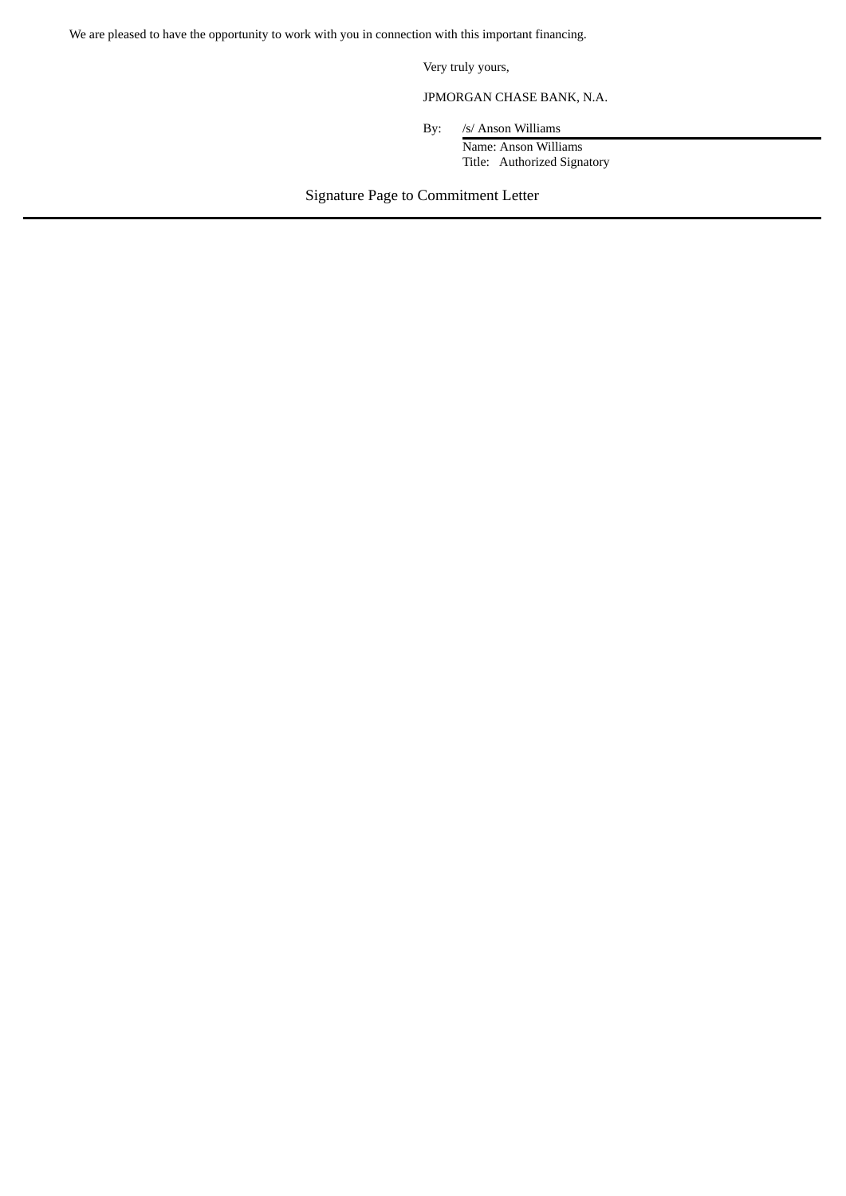We are pleased to have the opportunity to work with you in connection with this important financing.

Very truly yours,

JPMORGAN CHASE BANK, N.A.

By: /s/ Anson Williams

Name: Anson Williams Title: Authorized Signatory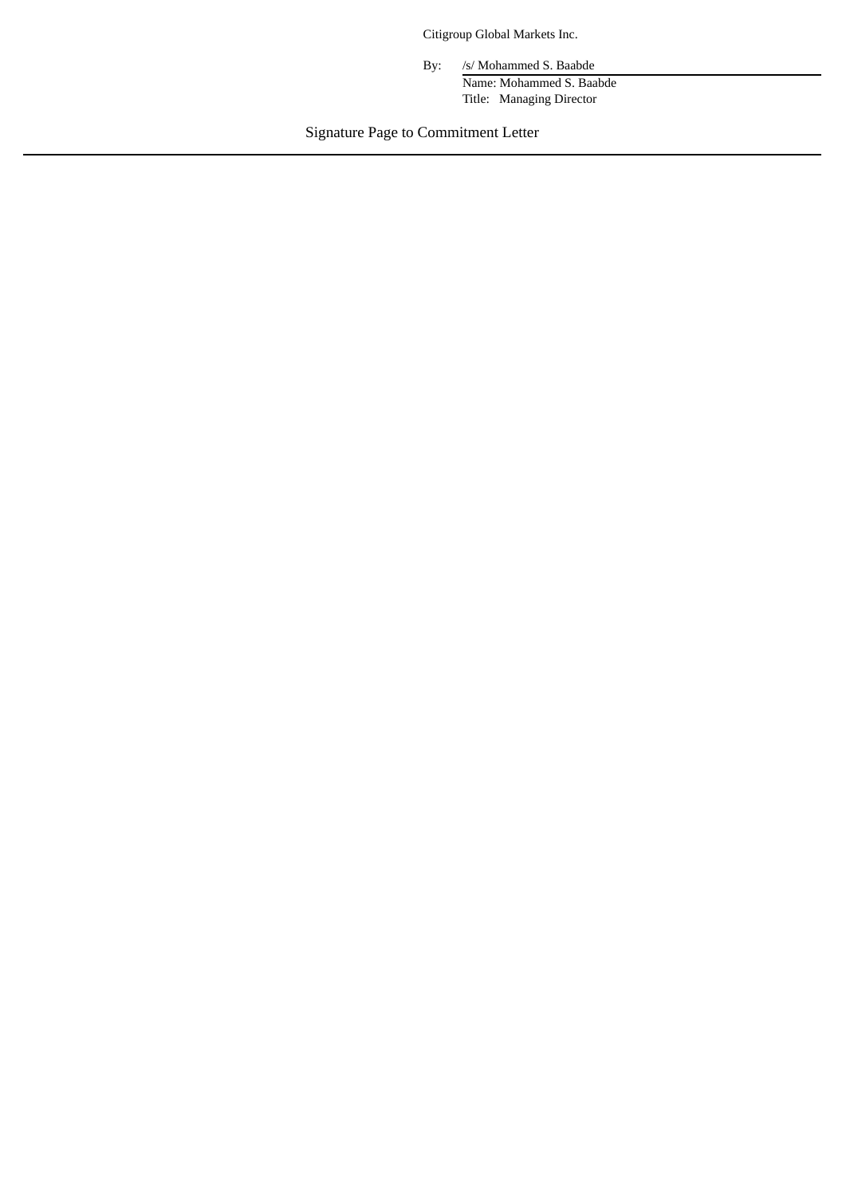Citigroup Global Markets Inc.

By: /s/ Mohammed S. Baabde

Name: Mohammed S. Baabde Title: Managing Director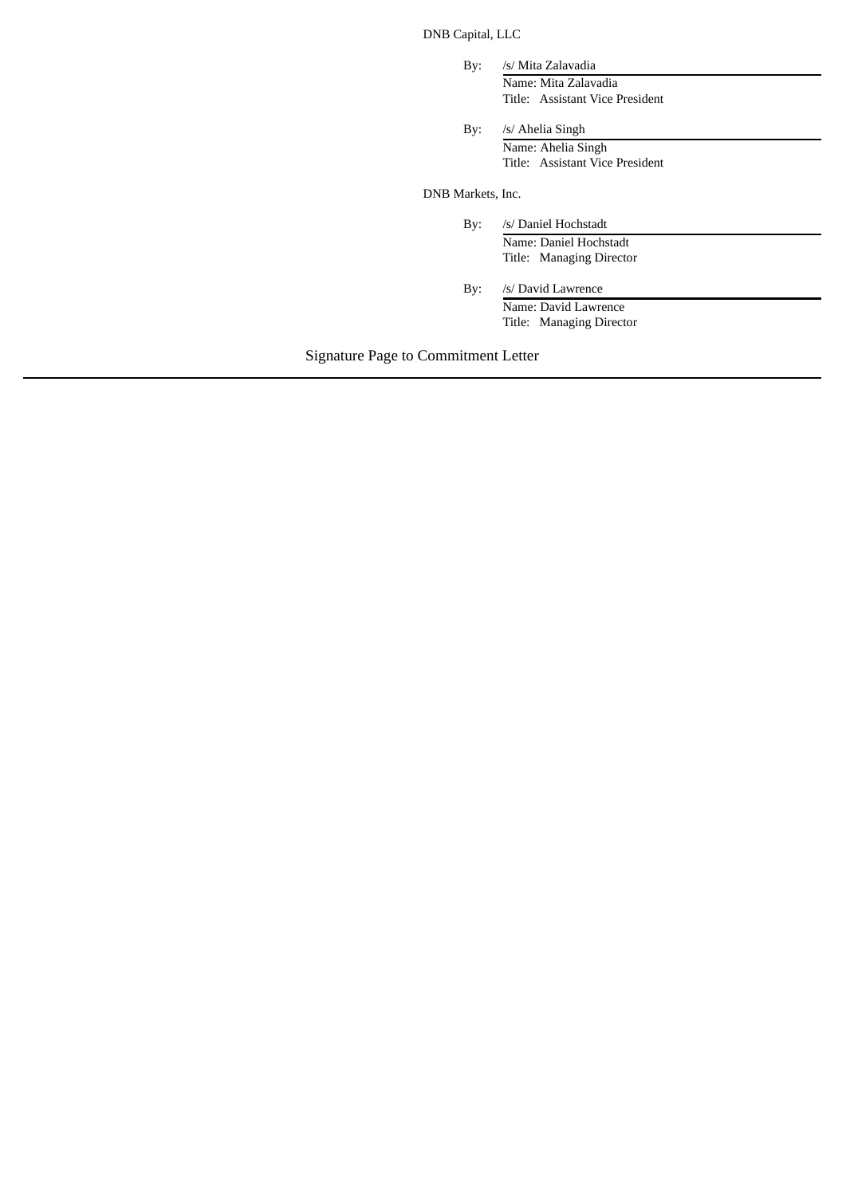DNB Capital, LLC

By: /s/ Mita Zalavadia

Name: Mita Zalavadia Title: Assistant Vice President

By: /s/ Ahelia Singh

Name: Ahelia Singh Title: Assistant Vice President

DNB Markets, Inc.

| By: | /s/ Daniel Hochstadt     |
|-----|--------------------------|
|     | Name: Daniel Hochstadt   |
|     | Title: Managing Director |
| By: | /s/ David Lawrence       |
|     | Name: David Lawrence     |

Title: Managing Director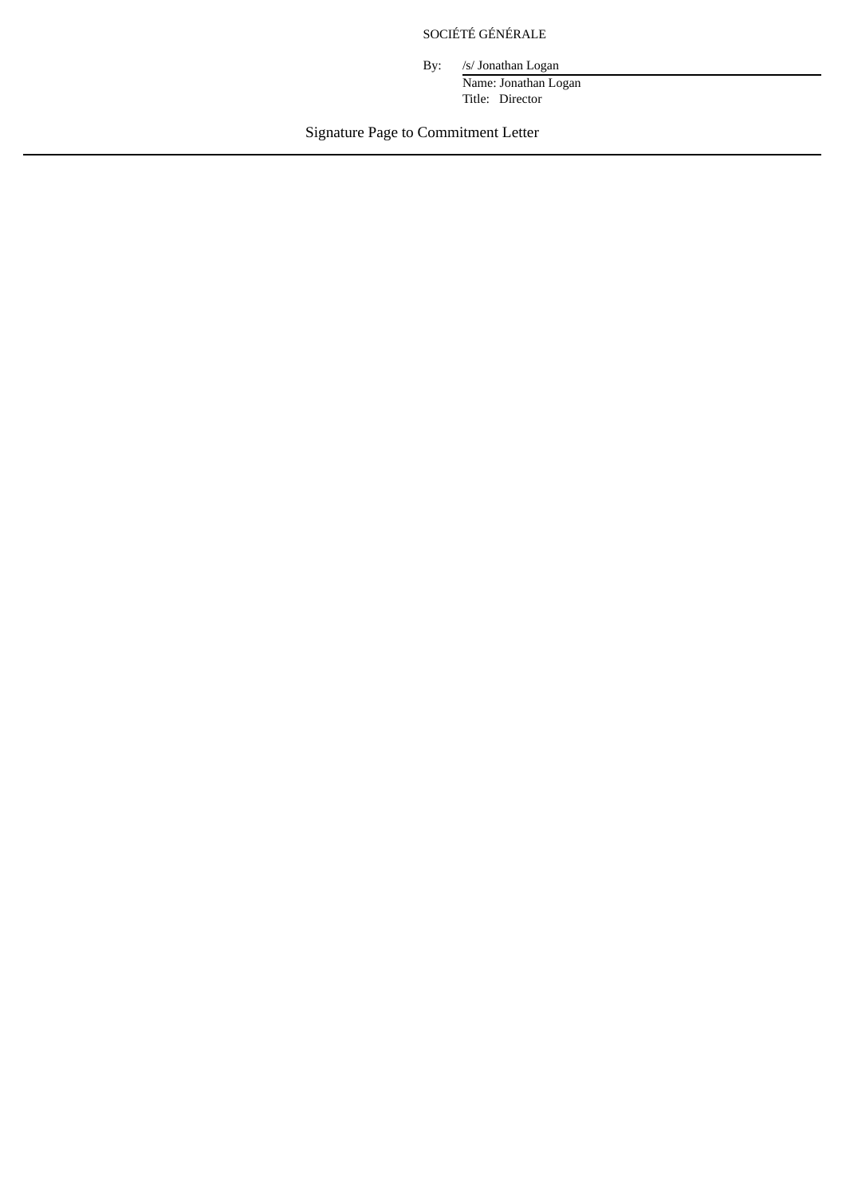SOCIÉTÉ GÉNÉRALE

By: /s/ Jonathan Logan

Name: Jonathan Logan Title: Director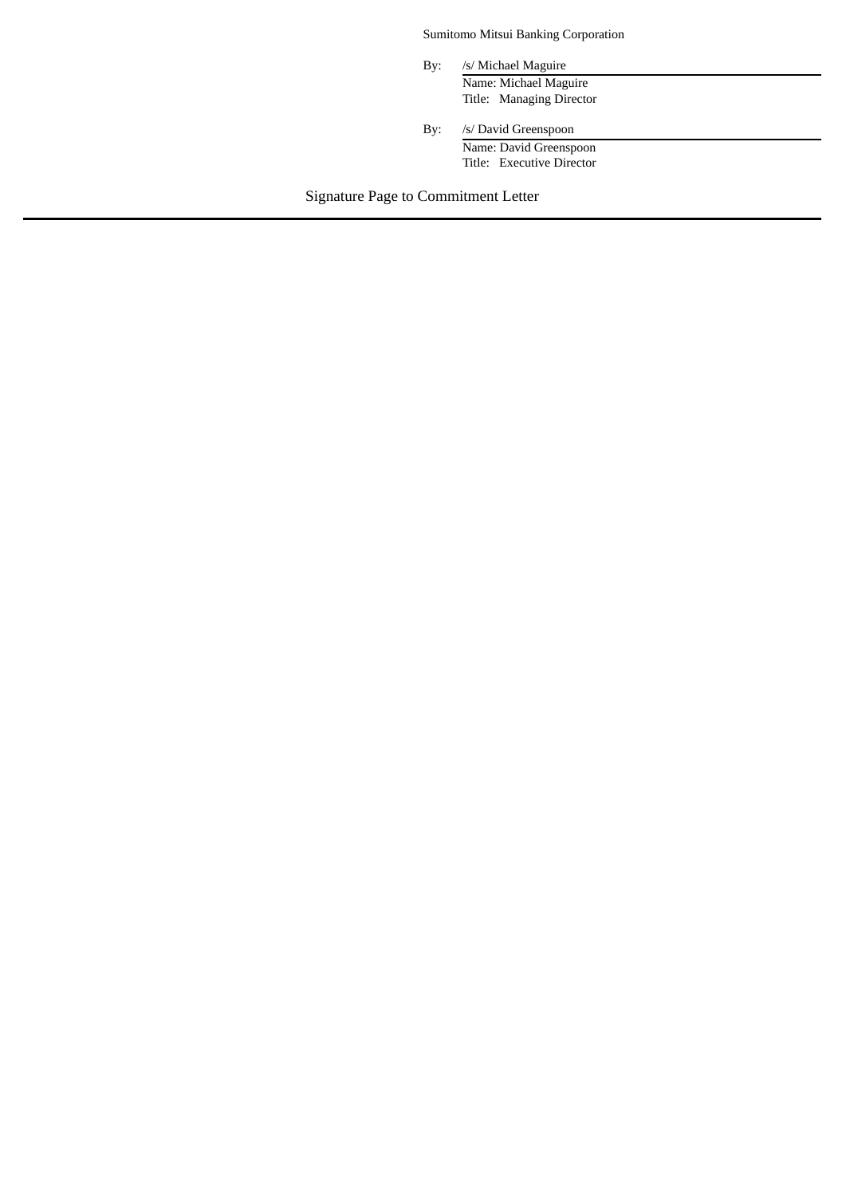Sumitomo Mitsui Banking Corporation

- By: /s/ Michael Maguire Name: Michael Maguire Title: Managing Director
- By: /s/ David Greenspoon

Name: David Greenspoon Title: Executive Director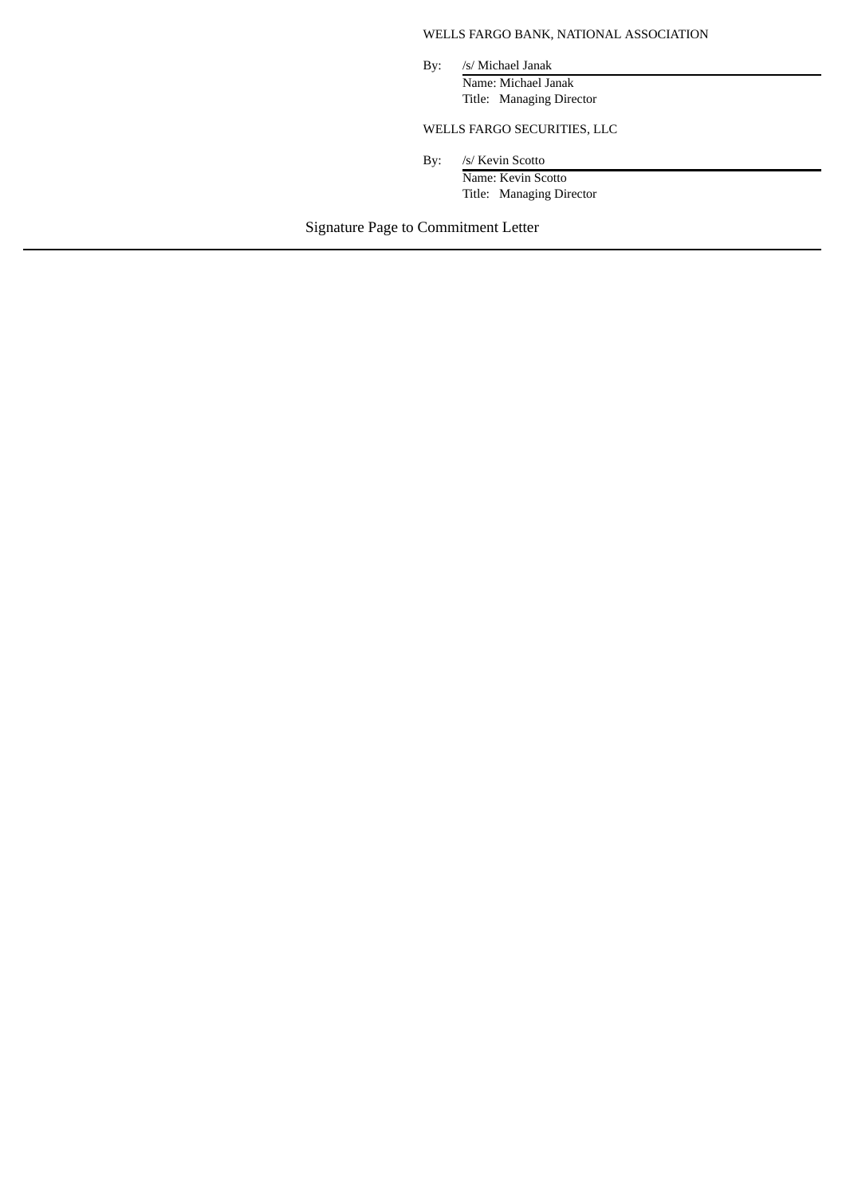# WELLS FARGO BANK, NATIONAL ASSOCIATION

By: /s/ Michael Janak Name: Michael Janak Title: Managing Director

# WELLS FARGO SECURITIES, LLC

By: /s/ Kevin Scotto

Name: Kevin Scotto Title: Managing Director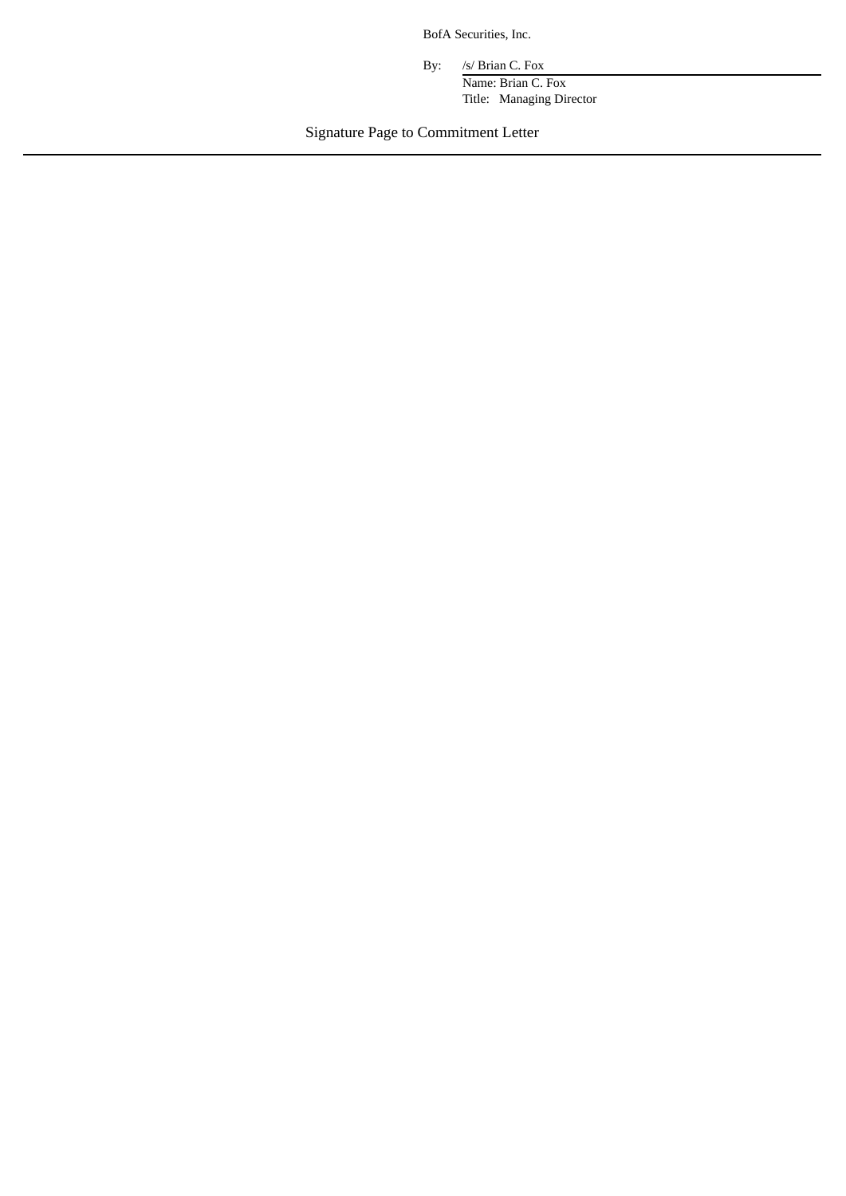BofA Securities, Inc.

By: /s/ Brian C. Fox

Name: Brian C. Fox Title: Managing Director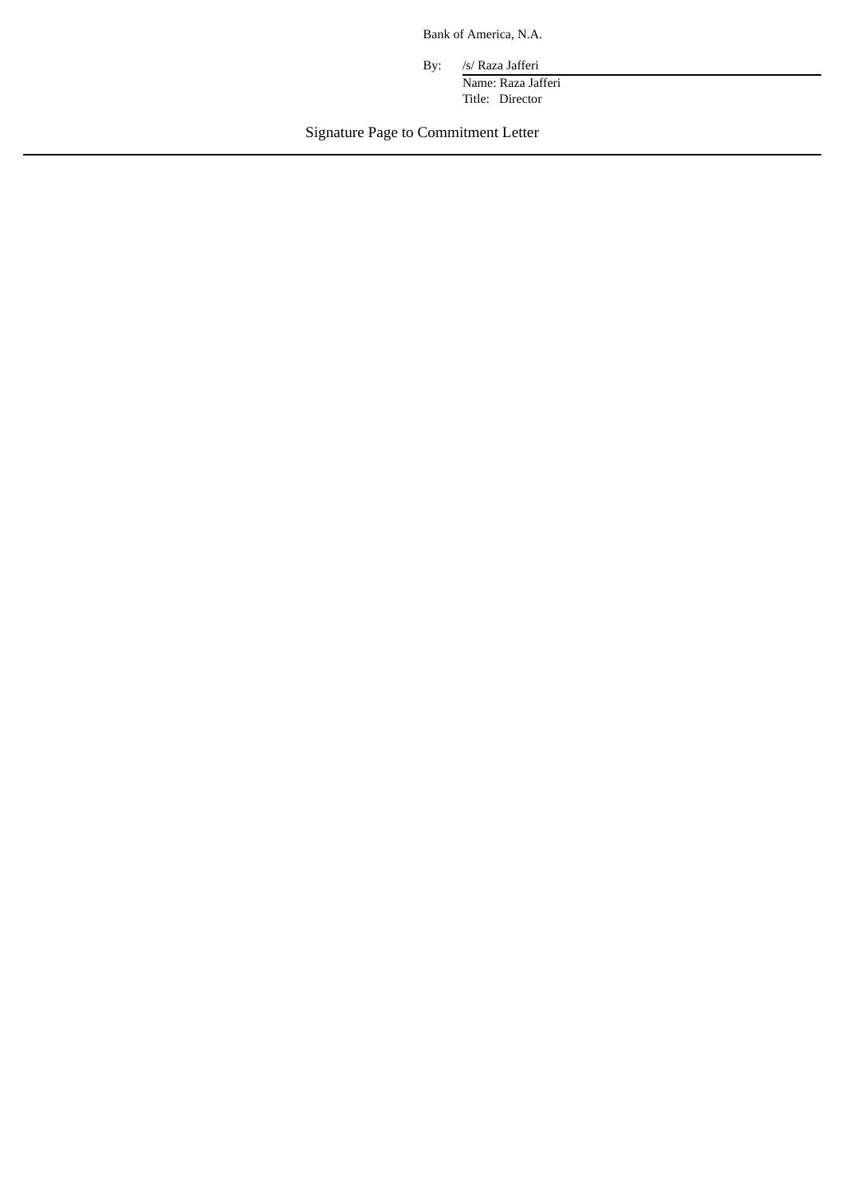Bank of America, N.A.

By: /s/ Raza Jafferi Name: Raza Jafferi

Title: Director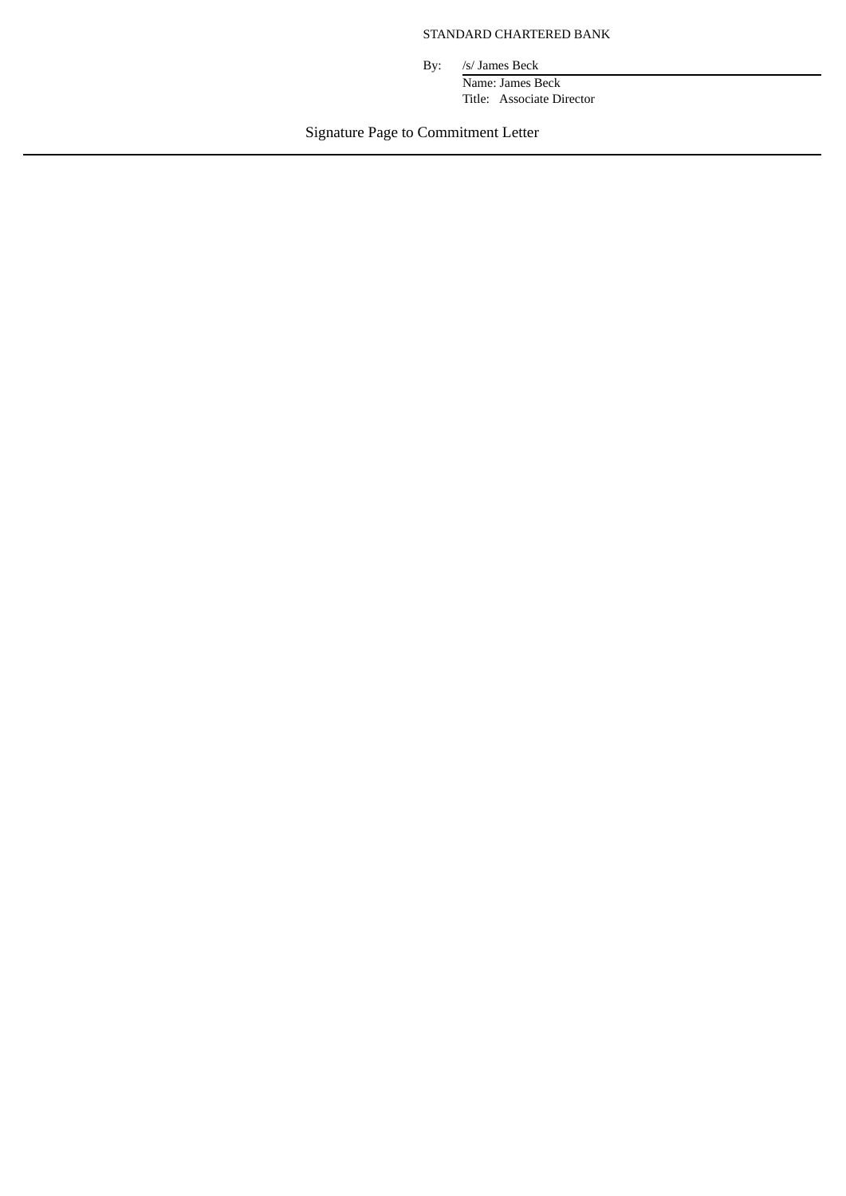# STANDARD CHARTERED BANK

By: /s/ James Beck

Name: James Beck Title: Associate Director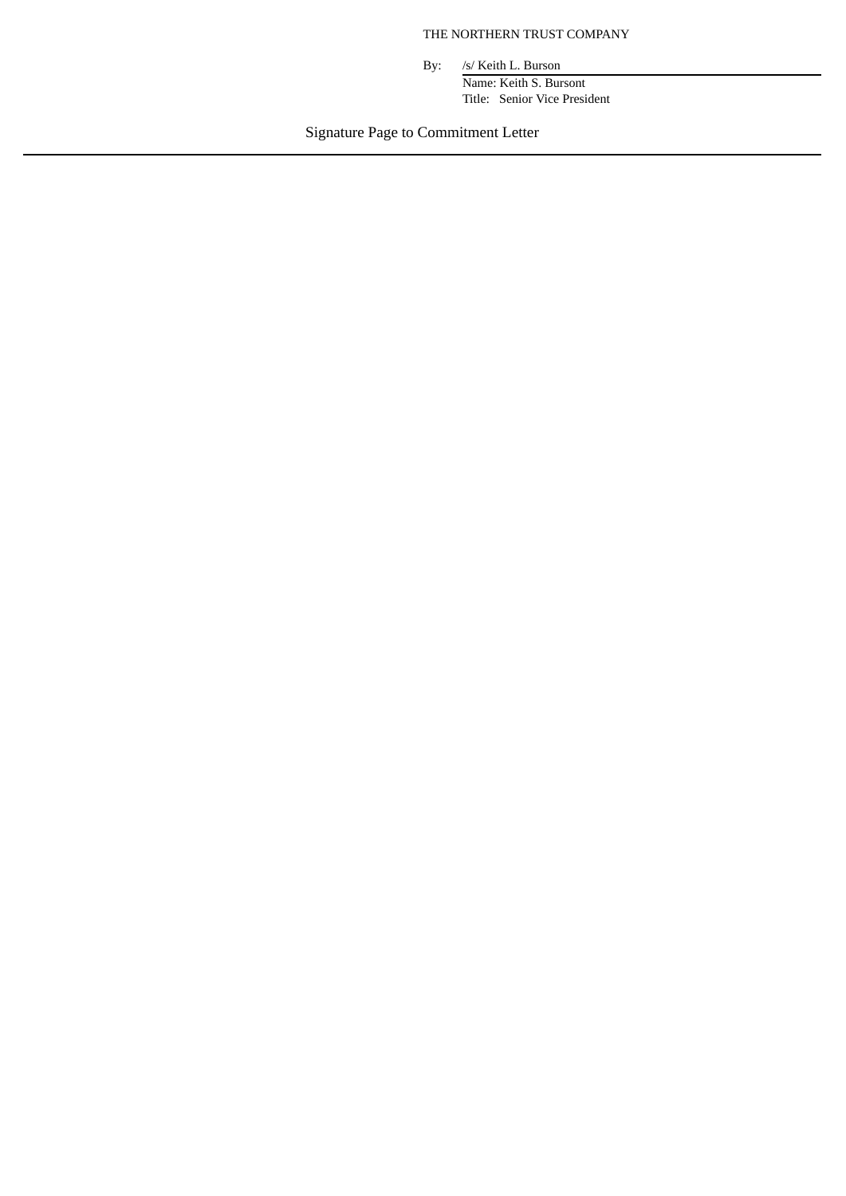# THE NORTHERN TRUST COMPANY

By: /s/ Keith L. Burson

Name: Keith S. Bursont Title: Senior Vice President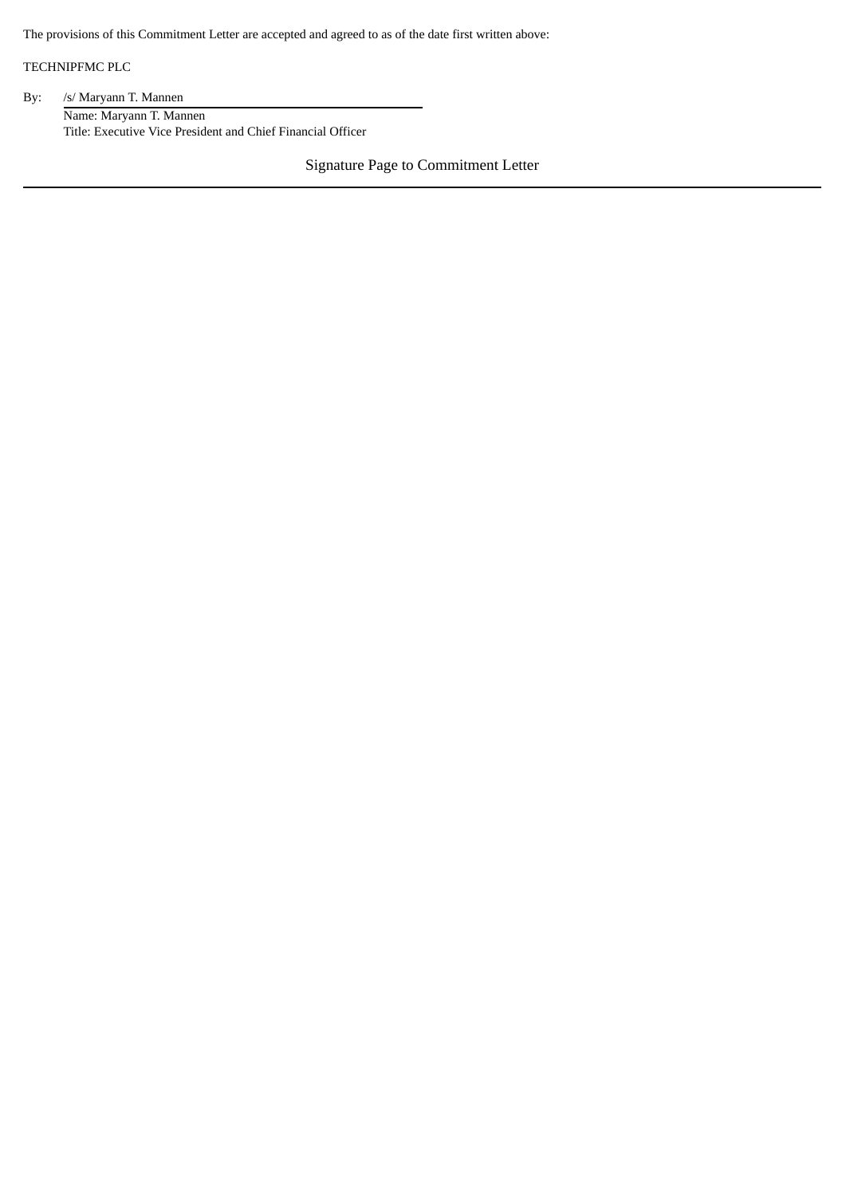The provisions of this Commitment Letter are accepted and agreed to as of the date first written above:

TECHNIPFMC PLC

By: /s/ Maryann T. Mannen Name: Maryann T. Mannen Title: Executive Vice President and Chief Financial Officer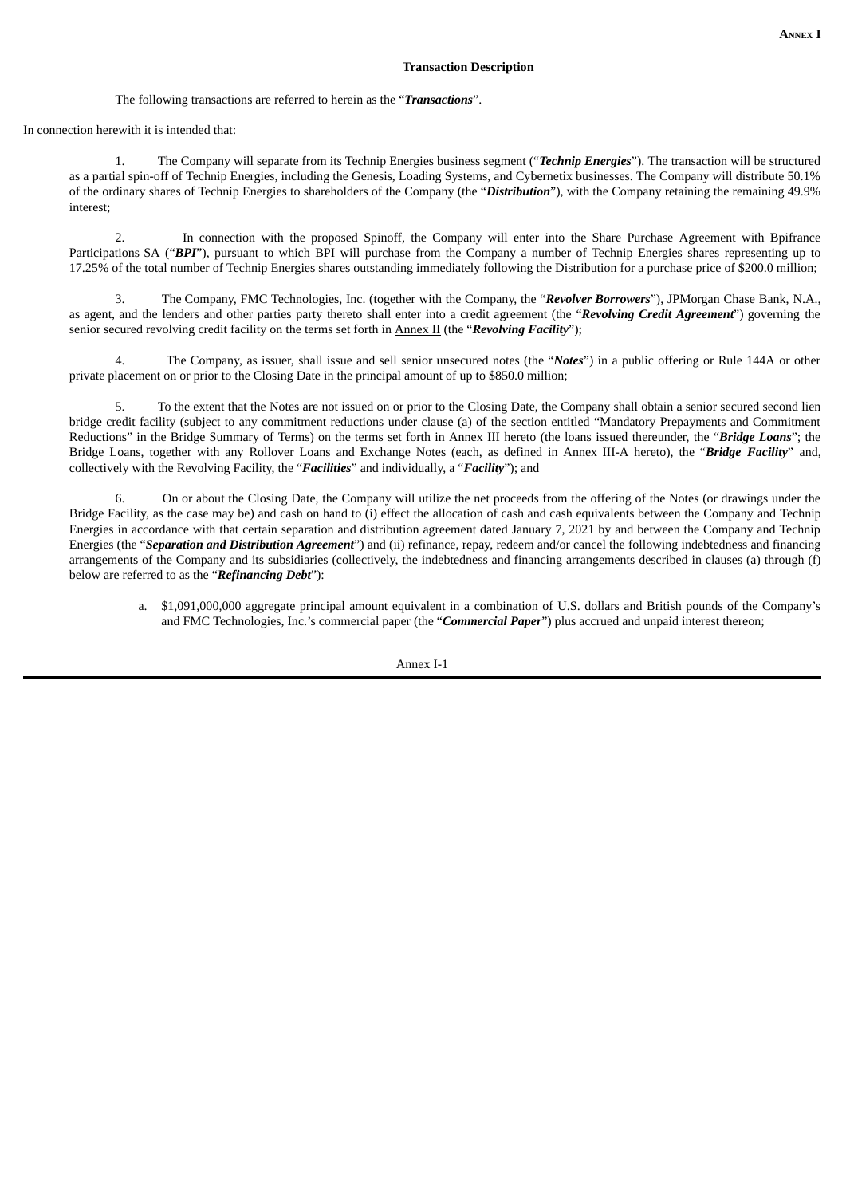#### **Transaction Description**

The following transactions are referred to herein as the "*Transactions*".

In connection herewith it is intended that:

1. The Company will separate from its Technip Energies business segment ("*Technip Energies*"). The transaction will be structured as a partial spin-off of Technip Energies, including the Genesis, Loading Systems, and Cybernetix businesses. The Company will distribute 50.1% of the ordinary shares of Technip Energies to shareholders of the Company (the "*Distribution*"), with the Company retaining the remaining 49.9% interest;

2. In connection with the proposed Spinoff, the Company will enter into the Share Purchase Agreement with Bpifrance Participations SA ("BPI"), pursuant to which BPI will purchase from the Company a number of Technip Energies shares representing up to 17.25% of the total number of Technip Energies shares outstanding immediately following the Distribution for a purchase price of \$200.0 million;

3. The Company, FMC Technologies, Inc. (together with the Company, the "*Revolver Borrowers*"), JPMorgan Chase Bank, N.A., as agent, and the lenders and other parties party thereto shall enter into a credit agreement (the "*Revolving Credit Agreement*") governing the senior secured revolving credit facility on the terms set forth in Annex II (the "*Revolving Facility*");

4. The Company, as issuer, shall issue and sell senior unsecured notes (the "*Notes*") in a public offering or Rule 144A or other private placement on or prior to the Closing Date in the principal amount of up to \$850.0 million;

5. To the extent that the Notes are not issued on or prior to the Closing Date, the Company shall obtain a senior secured second lien bridge credit facility (subject to any commitment reductions under clause (a) of the section entitled "Mandatory Prepayments and Commitment Reductions" in the Bridge Summary of Terms) on the terms set forth in Annex III hereto (the loans issued thereunder, the "*Bridge Loans*"; the Bridge Loans, together with any Rollover Loans and Exchange Notes (each, as defined in Annex III-A hereto), the "*Bridge Facility*" and, collectively with the Revolving Facility, the "*Facilities*" and individually, a "*Facility*"); and

6. On or about the Closing Date, the Company will utilize the net proceeds from the offering of the Notes (or drawings under the Bridge Facility, as the case may be) and cash on hand to (i) effect the allocation of cash and cash equivalents between the Company and Technip Energies in accordance with that certain separation and distribution agreement dated January 7, 2021 by and between the Company and Technip Energies (the "*Separation and Distribution Agreement*") and (ii) refinance, repay, redeem and/or cancel the following indebtedness and financing arrangements of the Company and its subsidiaries (collectively, the indebtedness and financing arrangements described in clauses (a) through (f) below are referred to as the "*Refinancing Debt*"):

a. \$1,091,000,000 aggregate principal amount equivalent in a combination of U.S. dollars and British pounds of the Company's and FMC Technologies, Inc.'s commercial paper (the "*Commercial Paper*") plus accrued and unpaid interest thereon;

Annex I-1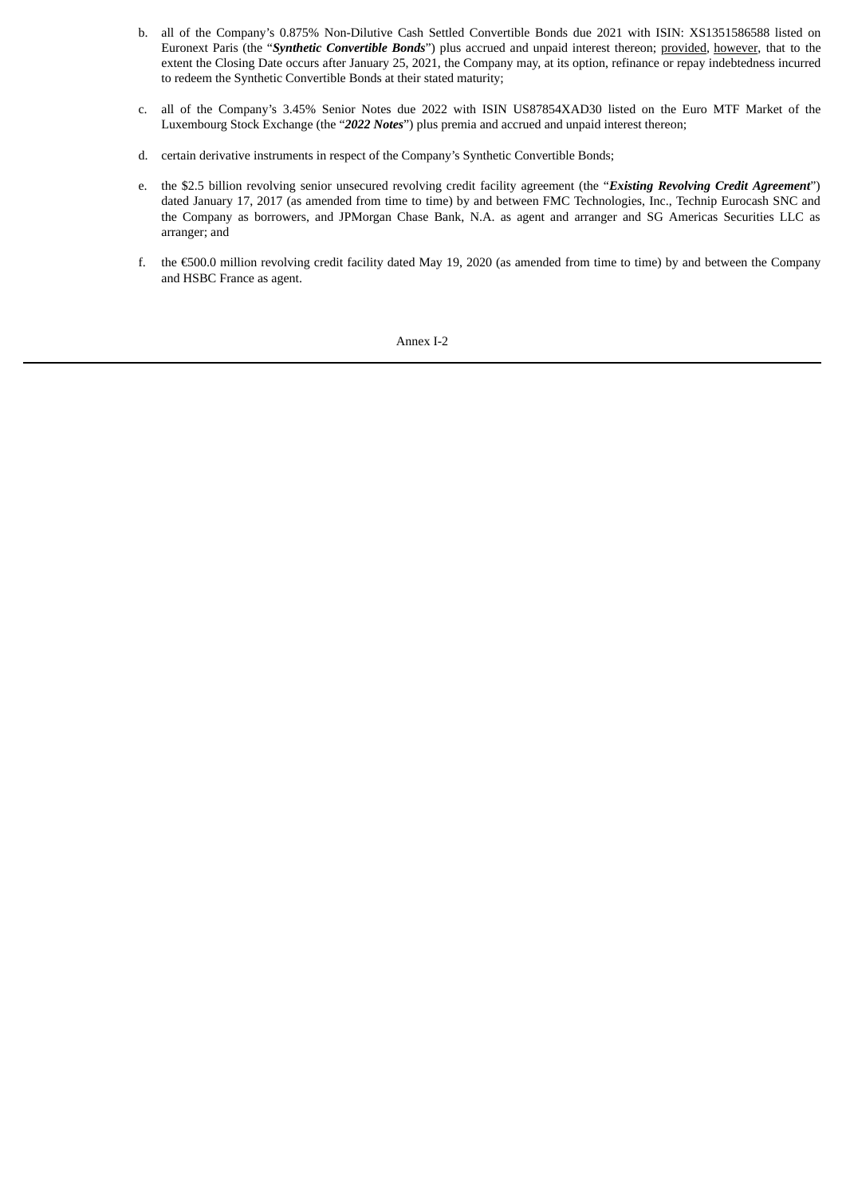- b. all of the Company's 0.875% Non-Dilutive Cash Settled Convertible Bonds due 2021 with ISIN: XS1351586588 listed on Euronext Paris (the "*Synthetic Convertible Bonds*") plus accrued and unpaid interest thereon; provided*,* however, that to the extent the Closing Date occurs after January 25, 2021, the Company may, at its option, refinance or repay indebtedness incurred to redeem the Synthetic Convertible Bonds at their stated maturity;
- c. all of the Company's 3.45% Senior Notes due 2022 with ISIN US87854XAD30 listed on the Euro MTF Market of the Luxembourg Stock Exchange (the "*2022 Notes*") plus premia and accrued and unpaid interest thereon;
- d. certain derivative instruments in respect of the Company's Synthetic Convertible Bonds;
- e. the \$2.5 billion revolving senior unsecured revolving credit facility agreement (the "*Existing Revolving Credit Agreement*") dated January 17, 2017 (as amended from time to time) by and between FMC Technologies, Inc., Technip Eurocash SNC and the Company as borrowers, and JPMorgan Chase Bank, N.A. as agent and arranger and SG Americas Securities LLC as arranger; and
- f. the €500.0 million revolving credit facility dated May 19, 2020 (as amended from time to time) by and between the Company and HSBC France as agent.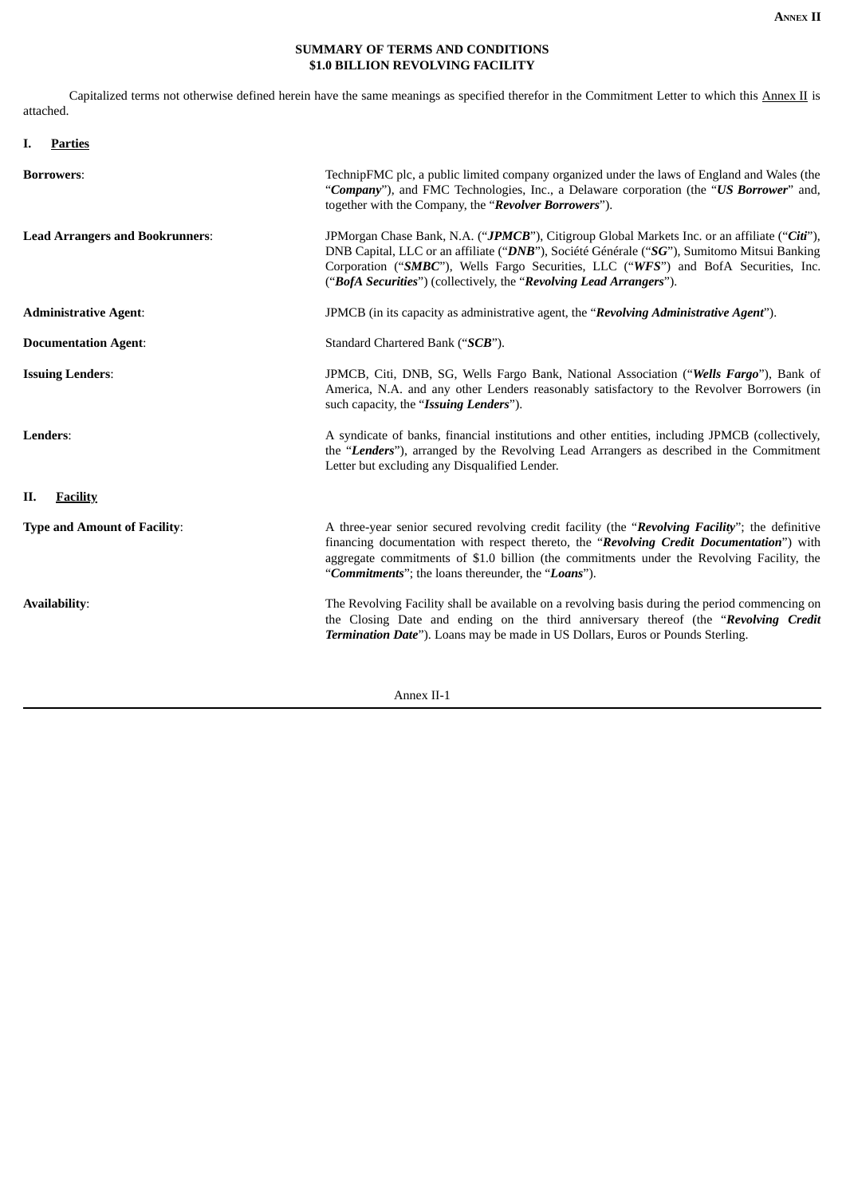# **SUMMARY OF TERMS AND CONDITIONS \$1.0 BILLION REVOLVING FACILITY**

Capitalized terms not otherwise defined herein have the same meanings as specified therefor in the Commitment Letter to which this Annex II is attached.

| I.<br><b>Parties</b>                   |                                                                                                                                                                                                                                                                                                                                                          |
|----------------------------------------|----------------------------------------------------------------------------------------------------------------------------------------------------------------------------------------------------------------------------------------------------------------------------------------------------------------------------------------------------------|
| <b>Borrowers:</b>                      | TechnipFMC plc, a public limited company organized under the laws of England and Wales (the<br>"Company"), and FMC Technologies, Inc., a Delaware corporation (the "US Borrower" and,<br>together with the Company, the "Revolver Borrowers").                                                                                                           |
| <b>Lead Arrangers and Bookrunners:</b> | JPMorgan Chase Bank, N.A. ("JPMCB"), Citigroup Global Markets Inc. or an affiliate ("Citi"),<br>DNB Capital, LLC or an affiliate ("DNB"), Société Générale ("SG"), Sumitomo Mitsui Banking<br>Corporation ("SMBC"), Wells Fargo Securities, LLC ("WFS") and BofA Securities, Inc.<br>("BofA Securities") (collectively, the "Revolving Lead Arrangers"). |
| <b>Administrative Agent:</b>           | JPMCB (in its capacity as administrative agent, the "Revolving Administrative Agent").                                                                                                                                                                                                                                                                   |
| <b>Documentation Agent:</b>            | Standard Chartered Bank ("SCB").                                                                                                                                                                                                                                                                                                                         |
| <b>Issuing Lenders:</b>                | JPMCB, Citi, DNB, SG, Wells Fargo Bank, National Association ("Wells Fargo"), Bank of<br>America, N.A. and any other Lenders reasonably satisfactory to the Revolver Borrowers (in<br>such capacity, the "Issuing Lenders").                                                                                                                             |
| <b>Lenders:</b>                        | A syndicate of banks, financial institutions and other entities, including JPMCB (collectively,<br>the "Lenders"), arranged by the Revolving Lead Arrangers as described in the Commitment<br>Letter but excluding any Disqualified Lender.                                                                                                              |
| <b>Facility</b><br>П.                  |                                                                                                                                                                                                                                                                                                                                                          |
| <b>Type and Amount of Facility:</b>    | A three-year senior secured revolving credit facility (the "Revolving Facility"; the definitive<br>financing documentation with respect thereto, the "Revolving Credit Documentation") with<br>aggregate commitments of \$1.0 billion (the commitments under the Revolving Facility, the<br>"Commitments"; the loans thereunder, the "Loans").           |
| <b>Availability:</b>                   | The Revolving Facility shall be available on a revolving basis during the period commencing on<br>the Closing Date and ending on the third anniversary thereof (the "Revolving Credit<br>Termination Date"). Loans may be made in US Dollars, Euros or Pounds Sterling.                                                                                  |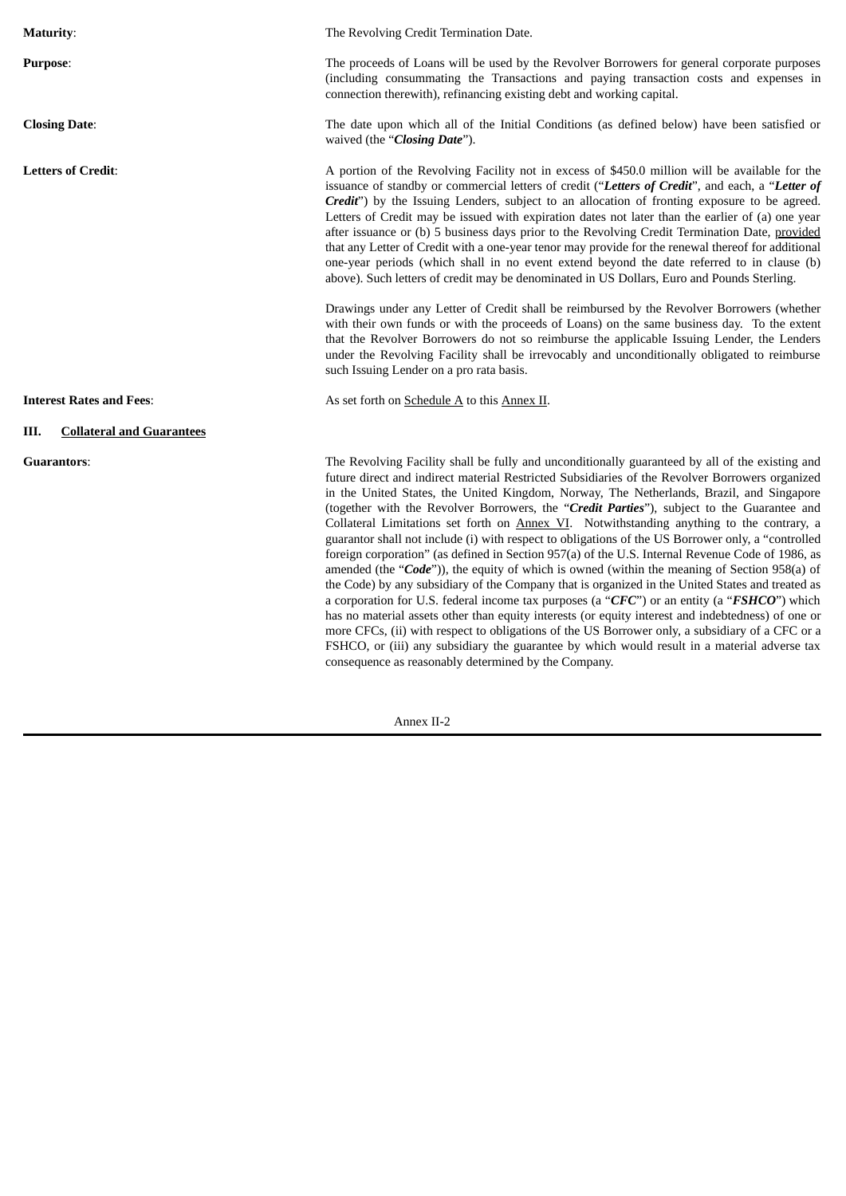| <b>Maturity:</b>                         | The Revolving Credit Termination Date.                                                                                                                                                                                                                                                                                                                                                                                                                                                                                                                                                                                                                                                                                                                                                                                                                                                                                                                                                                                                                                                                                                                                                                                                                                                                                                                                  |
|------------------------------------------|-------------------------------------------------------------------------------------------------------------------------------------------------------------------------------------------------------------------------------------------------------------------------------------------------------------------------------------------------------------------------------------------------------------------------------------------------------------------------------------------------------------------------------------------------------------------------------------------------------------------------------------------------------------------------------------------------------------------------------------------------------------------------------------------------------------------------------------------------------------------------------------------------------------------------------------------------------------------------------------------------------------------------------------------------------------------------------------------------------------------------------------------------------------------------------------------------------------------------------------------------------------------------------------------------------------------------------------------------------------------------|
| <b>Purpose:</b>                          | The proceeds of Loans will be used by the Revolver Borrowers for general corporate purposes<br>(including consummating the Transactions and paying transaction costs and expenses in<br>connection therewith), refinancing existing debt and working capital.                                                                                                                                                                                                                                                                                                                                                                                                                                                                                                                                                                                                                                                                                                                                                                                                                                                                                                                                                                                                                                                                                                           |
| <b>Closing Date:</b>                     | The date upon which all of the Initial Conditions (as defined below) have been satisfied or<br>waived (the "Closing Date").                                                                                                                                                                                                                                                                                                                                                                                                                                                                                                                                                                                                                                                                                                                                                                                                                                                                                                                                                                                                                                                                                                                                                                                                                                             |
| <b>Letters of Credit:</b>                | A portion of the Revolving Facility not in excess of \$450.0 million will be available for the<br>issuance of standby or commercial letters of credit ("Letters of Credit", and each, a "Letter of<br>Credit") by the Issuing Lenders, subject to an allocation of fronting exposure to be agreed.<br>Letters of Credit may be issued with expiration dates not later than the earlier of (a) one year<br>after issuance or (b) 5 business days prior to the Revolving Credit Termination Date, provided<br>that any Letter of Credit with a one-year tenor may provide for the renewal thereof for additional<br>one-year periods (which shall in no event extend beyond the date referred to in clause (b)<br>above). Such letters of credit may be denominated in US Dollars, Euro and Pounds Sterling.<br>Drawings under any Letter of Credit shall be reimbursed by the Revolver Borrowers (whether<br>with their own funds or with the proceeds of Loans) on the same business day. To the extent<br>that the Revolver Borrowers do not so reimburse the applicable Issuing Lender, the Lenders<br>under the Revolving Facility shall be irrevocably and unconditionally obligated to reimburse<br>such Issuing Lender on a pro rata basis.                                                                                                                       |
| <b>Interest Rates and Fees:</b>          | As set forth on Schedule A to this Annex II.                                                                                                                                                                                                                                                                                                                                                                                                                                                                                                                                                                                                                                                                                                                                                                                                                                                                                                                                                                                                                                                                                                                                                                                                                                                                                                                            |
| <b>Collateral and Guarantees</b><br>III. |                                                                                                                                                                                                                                                                                                                                                                                                                                                                                                                                                                                                                                                                                                                                                                                                                                                                                                                                                                                                                                                                                                                                                                                                                                                                                                                                                                         |
| <b>Guarantors:</b>                       | The Revolving Facility shall be fully and unconditionally guaranteed by all of the existing and<br>future direct and indirect material Restricted Subsidiaries of the Revolver Borrowers organized<br>in the United States, the United Kingdom, Norway, The Netherlands, Brazil, and Singapore<br>(together with the Revolver Borrowers, the "Credit Parties"), subject to the Guarantee and<br>Collateral Limitations set forth on Annex VI. Notwithstanding anything to the contrary, a<br>guarantor shall not include (i) with respect to obligations of the US Borrower only, a "controlled<br>foreign corporation" (as defined in Section 957(a) of the U.S. Internal Revenue Code of 1986, as<br>amended (the "Code")), the equity of which is owned (within the meaning of Section 958(a) of<br>the Code) by any subsidiary of the Company that is organized in the United States and treated as<br>a corporation for U.S. federal income tax purposes (a "CFC") or an entity (a "FSHCO") which<br>has no material assets other than equity interests (or equity interest and indebtedness) of one or<br>more CFCs, (ii) with respect to obligations of the US Borrower only, a subsidiary of a CFC or a<br>FSHCO, or (iii) any subsidiary the guarantee by which would result in a material adverse tax<br>consequence as reasonably determined by the Company. |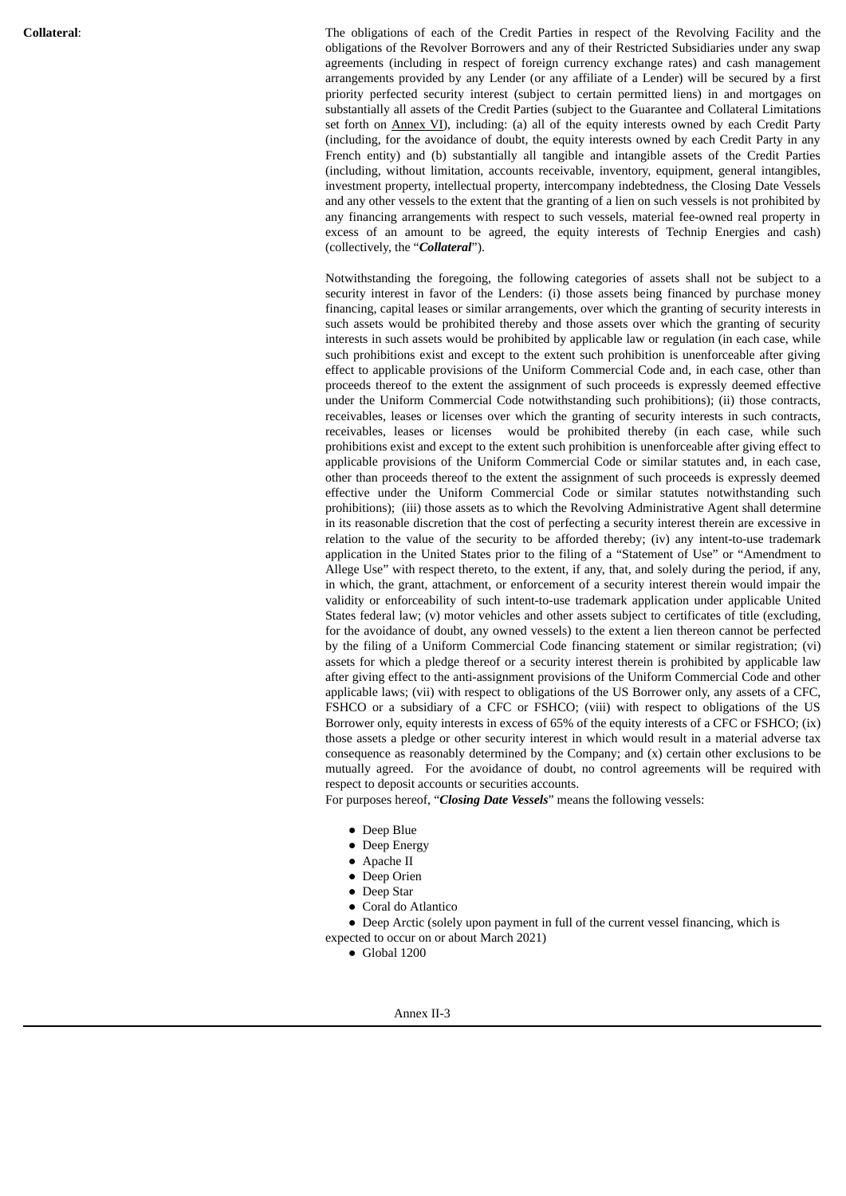**l**: The state of  $\mathbf{r}$  is the state of  $\mathbf{r}$ he obligations of each of the Credit Parties in respect of the Revolving Facility and the obligations of the Revolver Borrowers and any of their Restricted Subsidiaries under any swap agreements (including in respect of foreign currency exchange rates) and cash management arrangements provided by any Lender (or any affiliate of a Lender) will be secured by a first priority perfected security interest (subject to certain permitted liens) in and mortgages on substantially all assets of the Credit Parties (subject to the Guarantee and Collateral Limitations set forth on **Annex VI**), including: (a) all of the equity interests owned by each Credit Party (including, for the avoidance of doubt, the equity interests owned by each Credit Party in any French entity) and (b) substantially all tangible and intangible assets of the Credit Parties (including, without limitation, accounts receivable, inventory, equipment, general intangibles, investment property, intellectual property, intercompany indebtedness, the Closing Date Vessels and any other vessels to the extent that the granting of a lien on such vessels is not prohibited by any financing arrangements with respect to such vessels, material fee-owned real property in excess of an amount to be agreed, the equity interests of Technip Energies and cash) (collectively, the "Collateral").

> Notwithstanding the foregoing, the following categories of assets shall not be subject to a security interest in favor of the Lenders: (i) those assets being financed by purchase money financing, capital leases or similar arrangements, over which the granting of security interests in such assets would be prohibited thereby and those assets over which the granting of security interests in such assets would be prohibited by applicable law or regulation (in each case, while such prohibitions exist and except to the extent such prohibition is unenforceable after giving effect to applicable provisions of the Uniform Commercial Code and, in each case, other than proceeds thereof to the extent the assignment of such proceeds is expressly deemed effective under the Uniform Commercial Code notwithstanding such prohibitions); (ii) those contracts, receivables, leases or licenses over which the granting of security interests in such contracts, receivables, leases or licenses would be prohibited thereby (in each case, while such prohibitions exist and except to the extent such prohibition is unenforceable after giving effect to applicable provisions of the Uniform Commercial Code or similar statutes and, in each case, other than proceeds thereof to the extent the assignment of such proceeds is expressly deemed effective under the Uniform Commercial Code or similar statutes notwithstanding such prohibitions); (iii) those assets as to which the Revolving Administrative Agent shall determine in its reasonable discretion that the cost of perfecting a security interest therein are excessive in relation to the value of the security to be afforded thereby; (iv) any intent-to-use trademark application in the United States prior to the filing of a "Statement of Use" or "Amendment to Allege Use" with respect thereto, to the extent, if any, that, and solely during the period, if any, in which, the grant, attachment, or enforcement of a security interest therein would impair the validity or enforceability of such intent-to-use trademark application under applicable United States federal law; (v) motor vehicles and other assets subject to certificates of title (excluding, for the avoidance of doubt, any owned vessels) to the extent a lien thereon cannot be perfected by the filing of a Uniform Commercial Code financing statement or similar registration; (vi) assets for which a pledge thereof or a security interest therein is prohibited by applicable law after giving effect to the anti-assignment provisions of the Uniform Commercial Code and other applicable laws; (vii) with respect to obligations of the US Borrower only, any assets of a CFC, FSHCO or a subsidiary of a CFC or FSHCO; (viii) with respect to obligations of the US Borrower only, equity interests in excess of 65% of the equity interests of a CFC or FSHCO; (ix) those assets a pledge or other security interest in which would result in a material adverse tax consequence as reasonably determined by the Company; and (x) certain other exclusions to be mutually agreed. For the avoidance of doubt, no control agreements will be required with respect to deposit accounts or securities accounts.

For purposes hereof, "Closing Date Vessels" means the following vessels:

- Deep Blue
- Deep Energy
- Apache II
- Deep Orien
- Deep Star
- Coral do Atlantico

• Deep Arctic (solely upon payment in full of the current vessel financing, which is expected to occur on or about March 2021)

 $\bullet$  Global 1200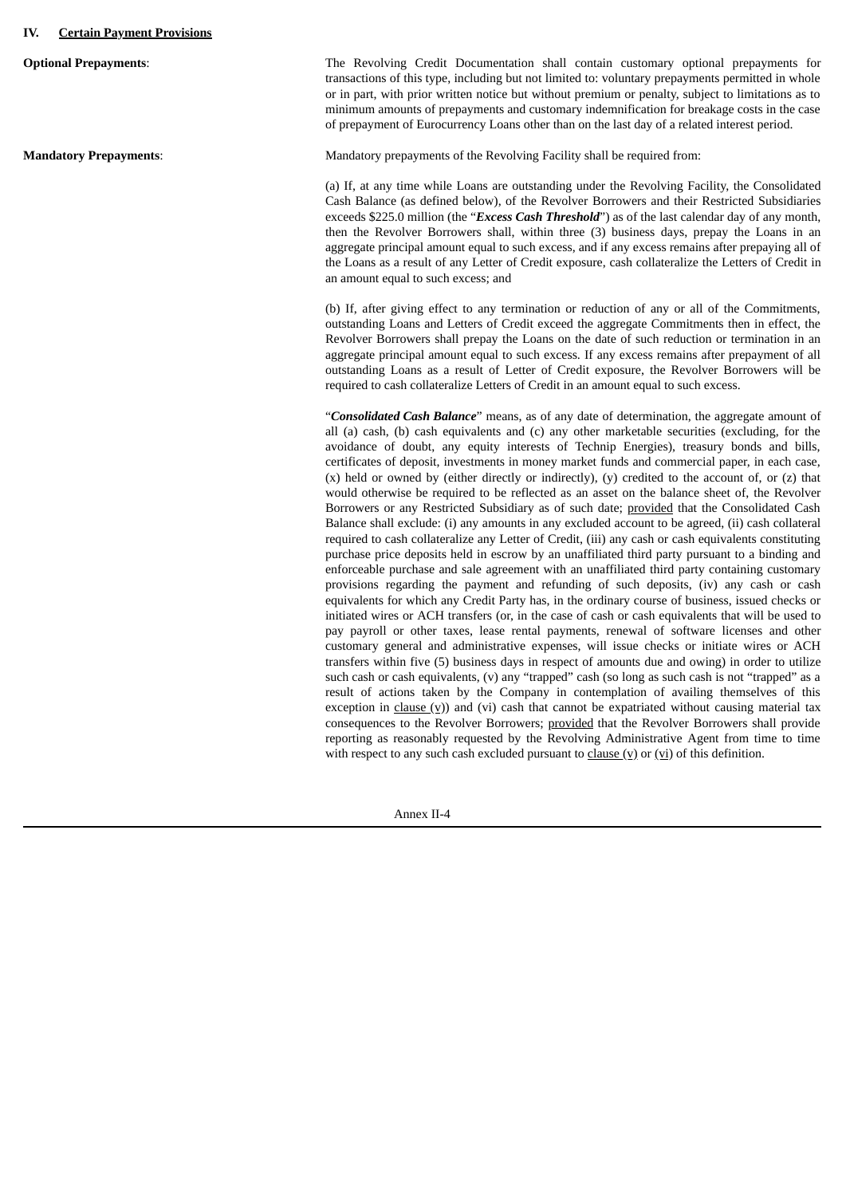### **IV. Certain Payment Provisions**

**Optional Prepayments**: The Revolving Credit Documentation shall contain customary optional prepayments for transactions of this type, including but not limited to: voluntary prepayments permitted in whole or in part, with prior written notice but without premium or penalty, subject to limitations as to minimum amounts of prepayments and customary indemnification for breakage costs in the case of prepayment of Eurocurrency Loans other than on the last day of a related interest period.

**Mandatory Prepayments:** Mandatory prepayments of the Revolving Facility shall be required from:

(a) If, at any time while Loans are outstanding under the Revolving Facility, the Consolidated Cash Balance (as defined below), of the Revolver Borrowers and their Restricted Subsidiaries exceeds \$225.0 million (the "*Excess Cash Threshold*") as of the last calendar day of any month, then the Revolver Borrowers shall, within three (3) business days, prepay the Loans in an aggregate principal amount equal to such excess, and if any excess remains after prepaying all of the Loans as a result of any Letter of Credit exposure, cash collateralize the Letters of Credit in an amount equal to such excess; and

(b) If, after giving effect to any termination or reduction of any or all of the Commitments, outstanding Loans and Letters of Credit exceed the aggregate Commitments then in effect, the Revolver Borrowers shall prepay the Loans on the date of such reduction or termination in an aggregate principal amount equal to such excess. If any excess remains after prepayment of all outstanding Loans as a result of Letter of Credit exposure, the Revolver Borrowers will be required to cash collateralize Letters of Credit in an amount equal to such excess.

"*Consolidated Cash Balance*" means, as of any date of determination, the aggregate amount of all (a) cash, (b) cash equivalents and (c) any other marketable securities (excluding, for the avoidance of doubt, any equity interests of Technip Energies), treasury bonds and bills, certificates of deposit, investments in money market funds and commercial paper, in each case,  $(x)$  held or owned by (either directly or indirectly),  $(y)$  credited to the account of, or  $(z)$  that would otherwise be required to be reflected as an asset on the balance sheet of, the Revolver Borrowers or any Restricted Subsidiary as of such date; provided that the Consolidated Cash Balance shall exclude: (i) any amounts in any excluded account to be agreed, (ii) cash collateral required to cash collateralize any Letter of Credit, (iii) any cash or cash equivalents constituting purchase price deposits held in escrow by an unaffiliated third party pursuant to a binding and enforceable purchase and sale agreement with an unaffiliated third party containing customary provisions regarding the payment and refunding of such deposits, (iv) any cash or cash equivalents for which any Credit Party has, in the ordinary course of business, issued checks or initiated wires or ACH transfers (or, in the case of cash or cash equivalents that will be used to pay payroll or other taxes, lease rental payments, renewal of software licenses and other customary general and administrative expenses, will issue checks or initiate wires or ACH transfers within five (5) business days in respect of amounts due and owing) in order to utilize such cash or cash equivalents, (v) any "trapped" cash (so long as such cash is not "trapped" as a result of actions taken by the Company in contemplation of availing themselves of this exception in clause  $(y)$ ) and (vi) cash that cannot be expatriated without causing material tax consequences to the Revolver Borrowers; provided that the Revolver Borrowers shall provide reporting as reasonably requested by the Revolving Administrative Agent from time to time with respect to any such cash excluded pursuant to  $\frac{\text{ clause}(y)}{\text{else}(y)}$  or  $\frac{\text{(vi)}}{\text{else}}$  of this definition.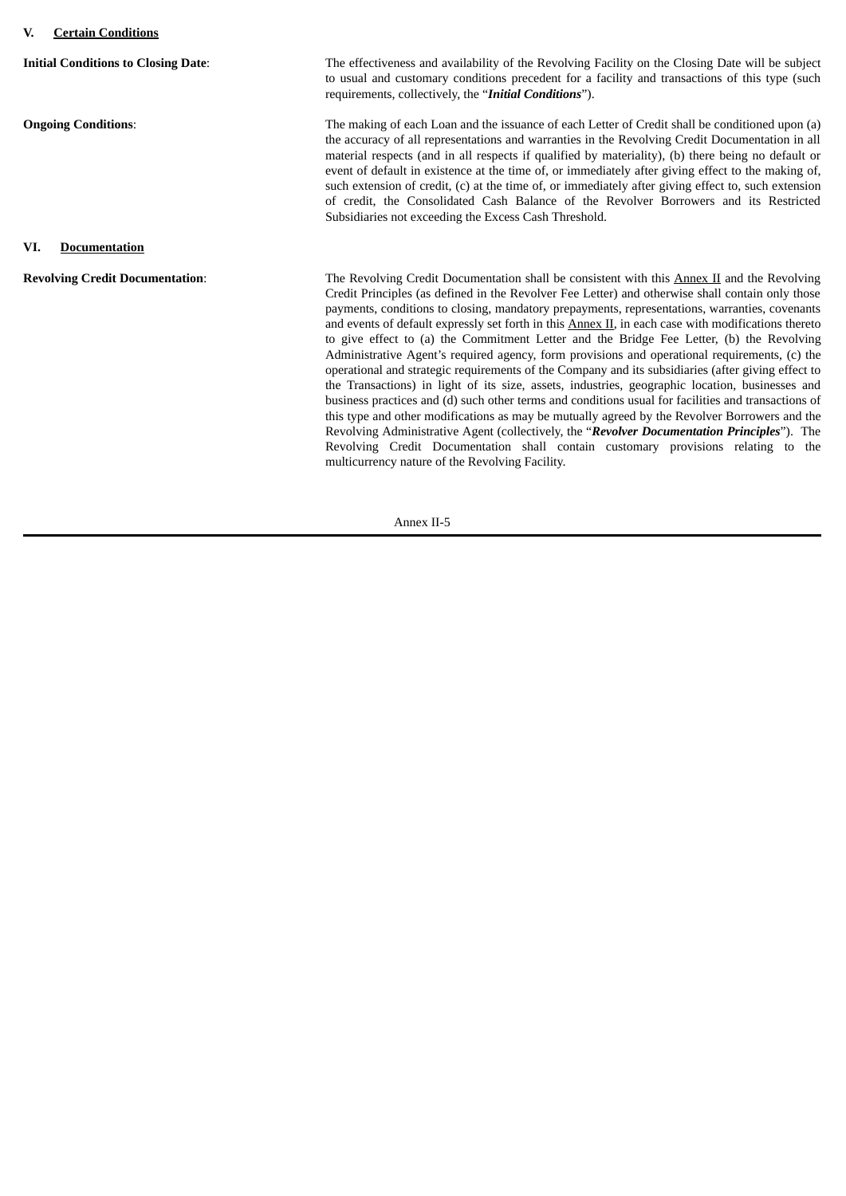### **V. Certain Conditions**

## **VI. Documentation**

**Initial Conditions to Closing Date**: The effectiveness and availability of the Revolving Facility on the Closing Date will be subject to usual and customary conditions precedent for a facility and transactions of this type (such requirements, collectively, the "*Initial Conditions*").

**Ongoing Conditions:** The making of each Loan and the issuance of each Letter of Credit shall be conditioned upon (a) the accuracy of all representations and warranties in the Revolving Credit Documentation in all material respects (and in all respects if qualified by materiality), (b) there being no default or event of default in existence at the time of, or immediately after giving effect to the making of, such extension of credit, (c) at the time of, or immediately after giving effect to, such extension of credit, the Consolidated Cash Balance of the Revolver Borrowers and its Restricted Subsidiaries not exceeding the Excess Cash Threshold.

**Revolving Credit Documentation:** The Revolving Credit Documentation shall be consistent with this Annex II and the Revolving Credit Principles (as defined in the Revolver Fee Letter) and otherwise shall contain only those payments, conditions to closing, mandatory prepayments, representations, warranties, covenants and events of default expressly set forth in this Annex II, in each case with modifications thereto to give effect to (a) the Commitment Letter and the Bridge Fee Letter, (b) the Revolving Administrative Agent's required agency, form provisions and operational requirements, (c) the operational and strategic requirements of the Company and its subsidiaries (after giving effect to the Transactions) in light of its size, assets, industries, geographic location, businesses and business practices and (d) such other terms and conditions usual for facilities and transactions of this type and other modifications as may be mutually agreed by the Revolver Borrowers and the Revolving Administrative Agent (collectively, the "*Revolver Documentation Principles*"). The Revolving Credit Documentation shall contain customary provisions relating to the multicurrency nature of the Revolving Facility.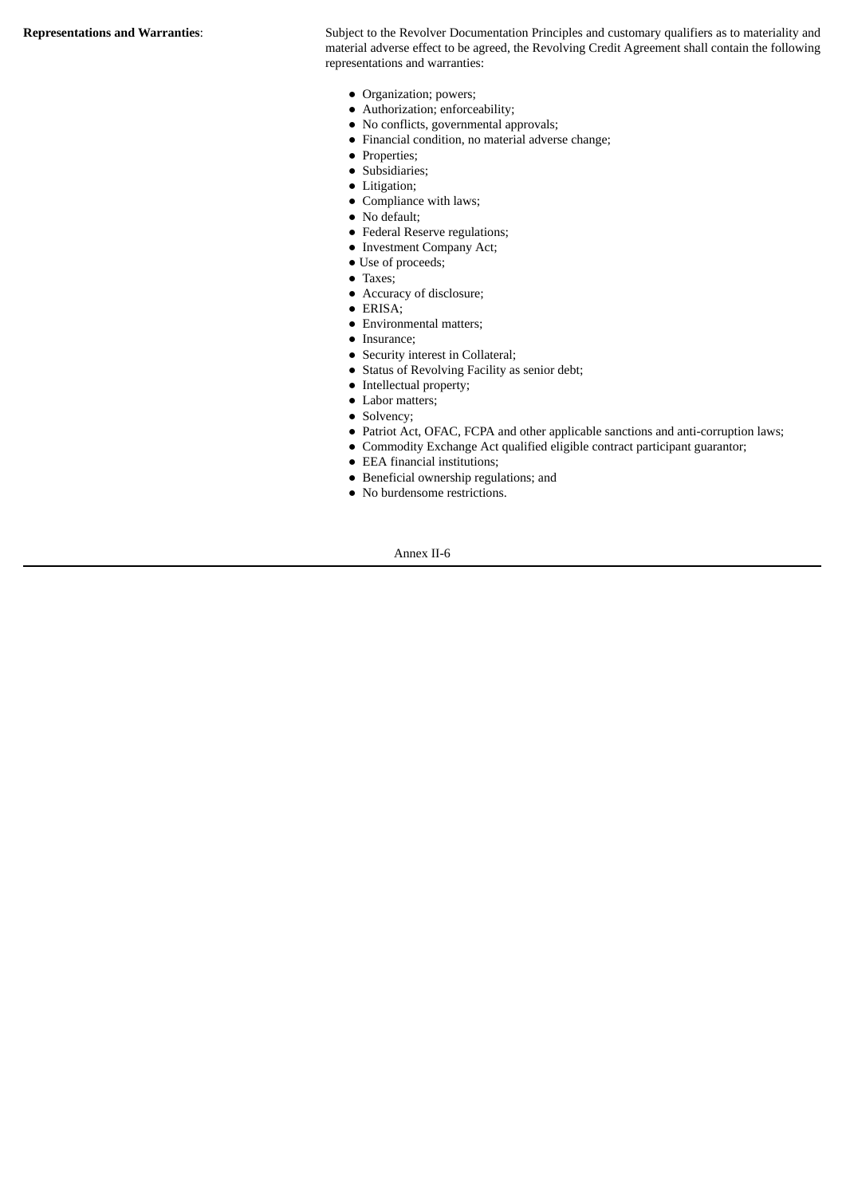**Representations and Warranties**: Subject to the Revolver Documentation Principles and customary qualifiers as to materiality and material adverse effect to be agreed, the Revolving Credit Agreement shall contain the following representations and warranties:

- Organization; powers;
- Authorization; enforceability;
- No conflicts, governmental approvals;
- Financial condition, no material adverse change;
- Properties;
- Subsidiaries;
- Litigation;
- Compliance with laws;
- No default;
- Federal Reserve regulations;
- Investment Company Act;
- Use of proceeds;
- Taxes;
- Accuracy of disclosure;
- ERISA;
- Environmental matters;
- Insurance;
- Security interest in Collateral;
- Status of Revolving Facility as senior debt;
- Intellectual property;
- Labor matters;
- Solvency;
- Patriot Act, OFAC, FCPA and other applicable sanctions and anti-corruption laws;
- Commodity Exchange Act qualified eligible contract participant guarantor;
- EEA financial institutions;
- Beneficial ownership regulations; and
- No burdensome restrictions.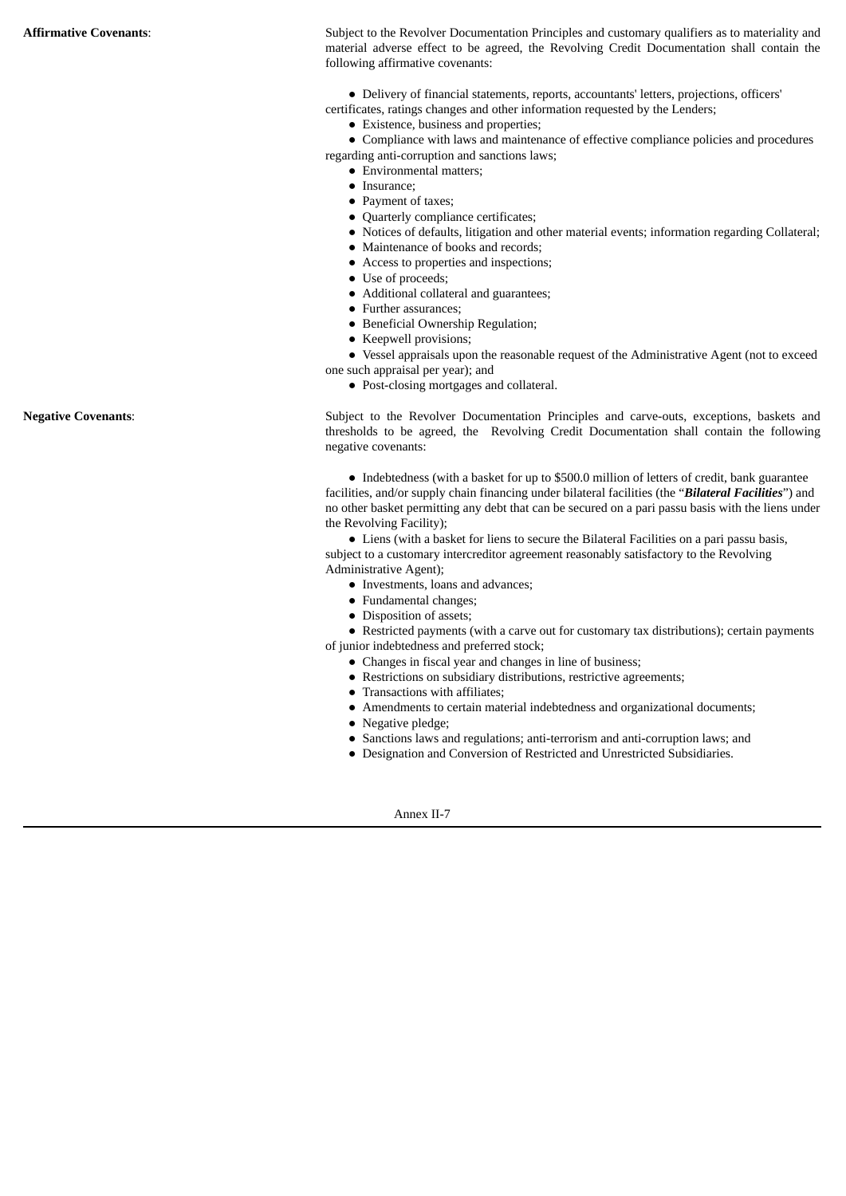**Affirmative Covenants**: Subject to the Revolver Documentation Principles and customary qualifiers as to materiality and material adverse effect to be agreed, the Revolving Credit Documentation shall contain the following affirmative covenants:

● Delivery of financial statements, reports, accountants' letters, projections, officers'

- certificates, ratings changes and other information requested by the Lenders;
	- Existence, business and properties;
- Compliance with laws and maintenance of effective compliance policies and procedures regarding anti-corruption and sanctions laws;
	- Environmental matters;
	- Insurance;
	- Payment of taxes;
	- Quarterly compliance certificates;
	- Notices of defaults, litigation and other material events; information regarding Collateral;
	- Maintenance of books and records;
	- Access to properties and inspections;
	- Use of proceeds;
	- Additional collateral and guarantees;
	- Further assurances;
	- Beneficial Ownership Regulation;
	- Keepwell provisions;

● Vessel appraisals upon the reasonable request of the Administrative Agent (not to exceed one such appraisal per year); and

● Post-closing mortgages and collateral.

**Negative Covenants**: Subject to the Revolver Documentation Principles and carve-outs, exceptions, baskets and thresholds to be agreed, the Revolving Credit Documentation shall contain the following negative covenants:

> ● Indebtedness (with a basket for up to \$500.0 million of letters of credit, bank guarantee facilities, and/or supply chain financing under bilateral facilities (the "*Bilateral Facilities*") and no other basket permitting any debt that can be secured on a pari passu basis with the liens under the Revolving Facility);

● Liens (with a basket for liens to secure the Bilateral Facilities on a pari passu basis, subject to a customary intercreditor agreement reasonably satisfactory to the Revolving Administrative Agent);

- Investments, loans and advances;
- Fundamental changes;
- Disposition of assets;

● Restricted payments (with a carve out for customary tax distributions); certain payments of junior indebtedness and preferred stock;

- Changes in fiscal year and changes in line of business;
- Restrictions on subsidiary distributions, restrictive agreements;
- Transactions with affiliates;
- Amendments to certain material indebtedness and organizational documents;
- Negative pledge;
- Sanctions laws and regulations; anti-terrorism and anti-corruption laws; and
- Designation and Conversion of Restricted and Unrestricted Subsidiaries.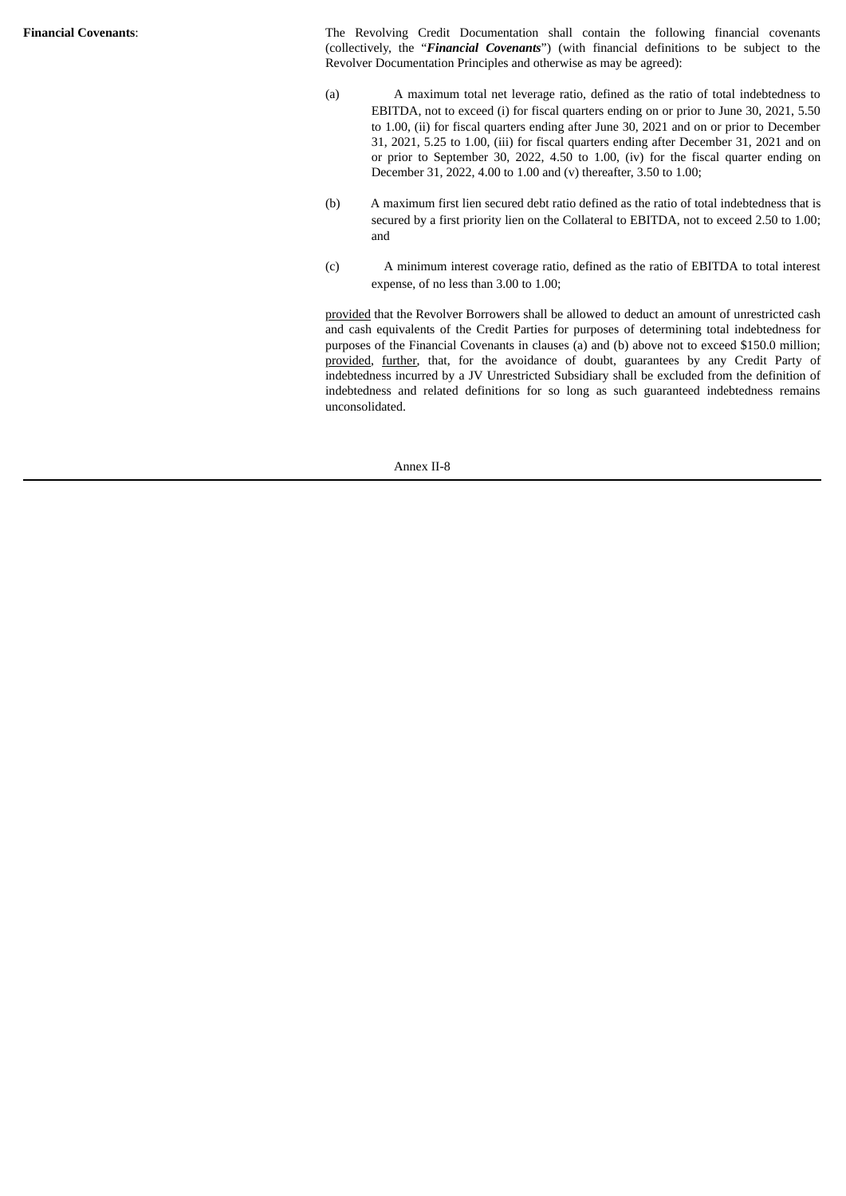**Financial Covenants**: The Revolving Credit Documentation shall contain the following financial covenants (collectively, the "*Financial Covenants*") (with financial definitions to be subject to the Revolver Documentation Principles and otherwise as may be agreed):

- (a) A maximum total net leverage ratio, defined as the ratio of total indebtedness to EBITDA, not to exceed (i) for fiscal quarters ending on or prior to June 30, 2021, 5.50 to 1.00, (ii) for fiscal quarters ending after June 30, 2021 and on or prior to December 31, 2021, 5.25 to 1.00, (iii) for fiscal quarters ending after December 31, 2021 and on or prior to September 30, 2022, 4.50 to 1.00, (iv) for the fiscal quarter ending on December 31, 2022, 4.00 to 1.00 and (v) thereafter, 3.50 to 1.00;
- (b) A maximum first lien secured debt ratio defined as the ratio of total indebtedness that is secured by a first priority lien on the Collateral to EBITDA, not to exceed 2.50 to 1.00; and
- (c) A minimum interest coverage ratio, defined as the ratio of EBITDA to total interest expense, of no less than 3.00 to 1.00;

provided that the Revolver Borrowers shall be allowed to deduct an amount of unrestricted cash and cash equivalents of the Credit Parties for purposes of determining total indebtedness for purposes of the Financial Covenants in clauses (a) and (b) above not to exceed \$150.0 million; provided, further, that, for the avoidance of doubt, guarantees by any Credit Party of indebtedness incurred by a JV Unrestricted Subsidiary shall be excluded from the definition of indebtedness and related definitions for so long as such guaranteed indebtedness remains unconsolidated.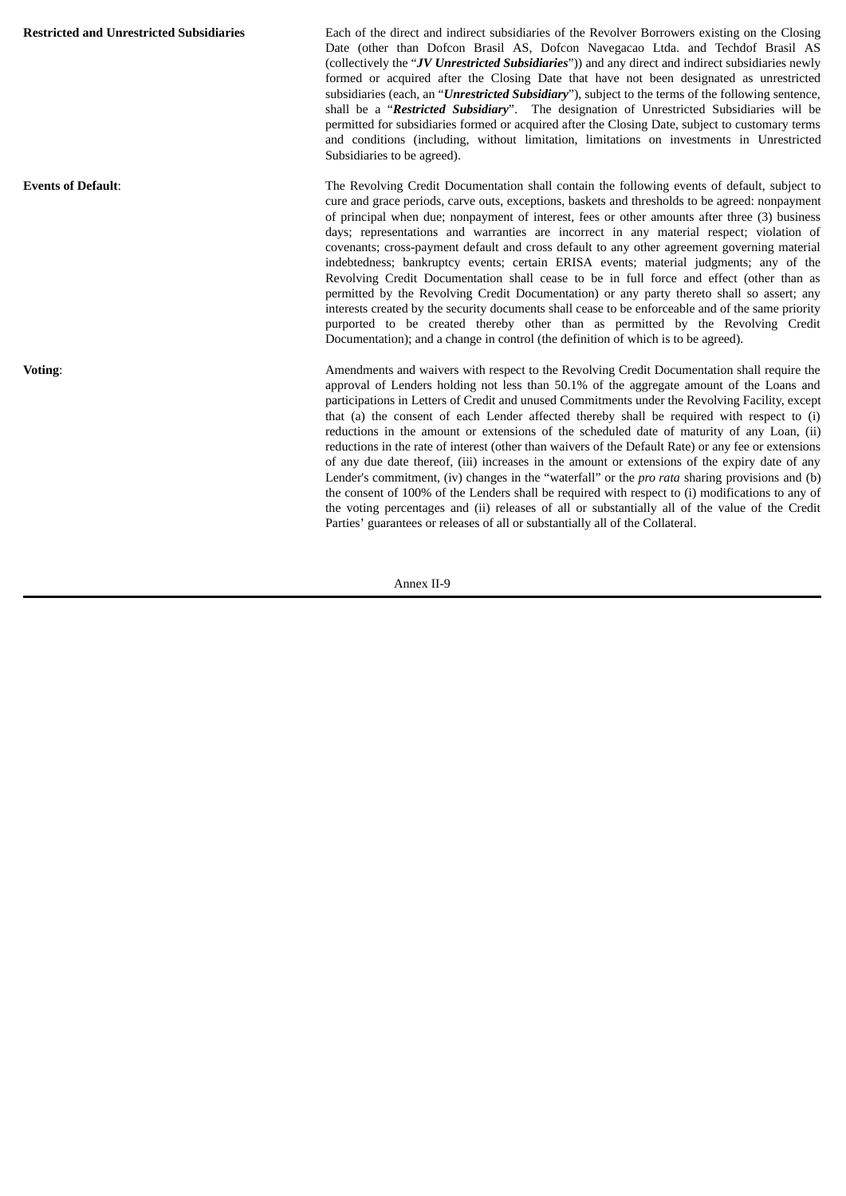**Restricted and Unrestricted Subsidiaries** Each of the direct and indirect subsidiaries of the Revolver Borrowers existing on the Closing Date (other than Dofcon Brasil AS, Dofcon Navegacao Ltda. and Techdof Brasil AS (collectively the "*JV Unrestricted Subsidiaries*")) and any direct and indirect subsidiaries newly formed or acquired after the Closing Date that have not been designated as unrestricted subsidiaries (each, an "*Unrestricted Subsidiary*"), subject to the terms of the following sentence, shall be a "*Restricted Subsidiary*". The designation of Unrestricted Subsidiaries will be permitted for subsidiaries formed or acquired after the Closing Date, subject to customary terms and conditions (including, without limitation, limitations on investments in Unrestricted Subsidiaries to be agreed).

**Events of Default:** The Revolving Credit Documentation shall contain the following events of default, subject to cure and grace periods, carve outs, exceptions, baskets and thresholds to be agreed: nonpayment of principal when due; nonpayment of interest, fees or other amounts after three (3) business days; representations and warranties are incorrect in any material respect; violation of covenants; cross-payment default and cross default to any other agreement governing material indebtedness; bankruptcy events; certain ERISA events; material judgments; any of the Revolving Credit Documentation shall cease to be in full force and effect (other than as permitted by the Revolving Credit Documentation) or any party thereto shall so assert; any interests created by the security documents shall cease to be enforceable and of the same priority purported to be created thereby other than as permitted by the Revolving Credit Documentation); and a change in control (the definition of which is to be agreed).

**Voting: Amendments and waivers with respect to the Revolving Credit Documentation shall require the Revolving Credit Documentation shall require the Revolving Credit Documentation shall require the Revolving Credit Docu** approval of Lenders holding not less than 50.1% of the aggregate amount of the Loans and participations in Letters of Credit and unused Commitments under the Revolving Facility, except that (a) the consent of each Lender affected thereby shall be required with respect to (i) reductions in the amount or extensions of the scheduled date of maturity of any Loan, (ii) reductions in the rate of interest (other than waivers of the Default Rate) or any fee or extensions of any due date thereof, (iii) increases in the amount or extensions of the expiry date of any Lender's commitment, (iv) changes in the "waterfall" or the *pro rata* sharing provisions and (b) the consent of 100% of the Lenders shall be required with respect to (i) modifications to any of the voting percentages and (ii) releases of all or substantially all of the value of the Credit Parties' guarantees or releases of all or substantially all of the Collateral.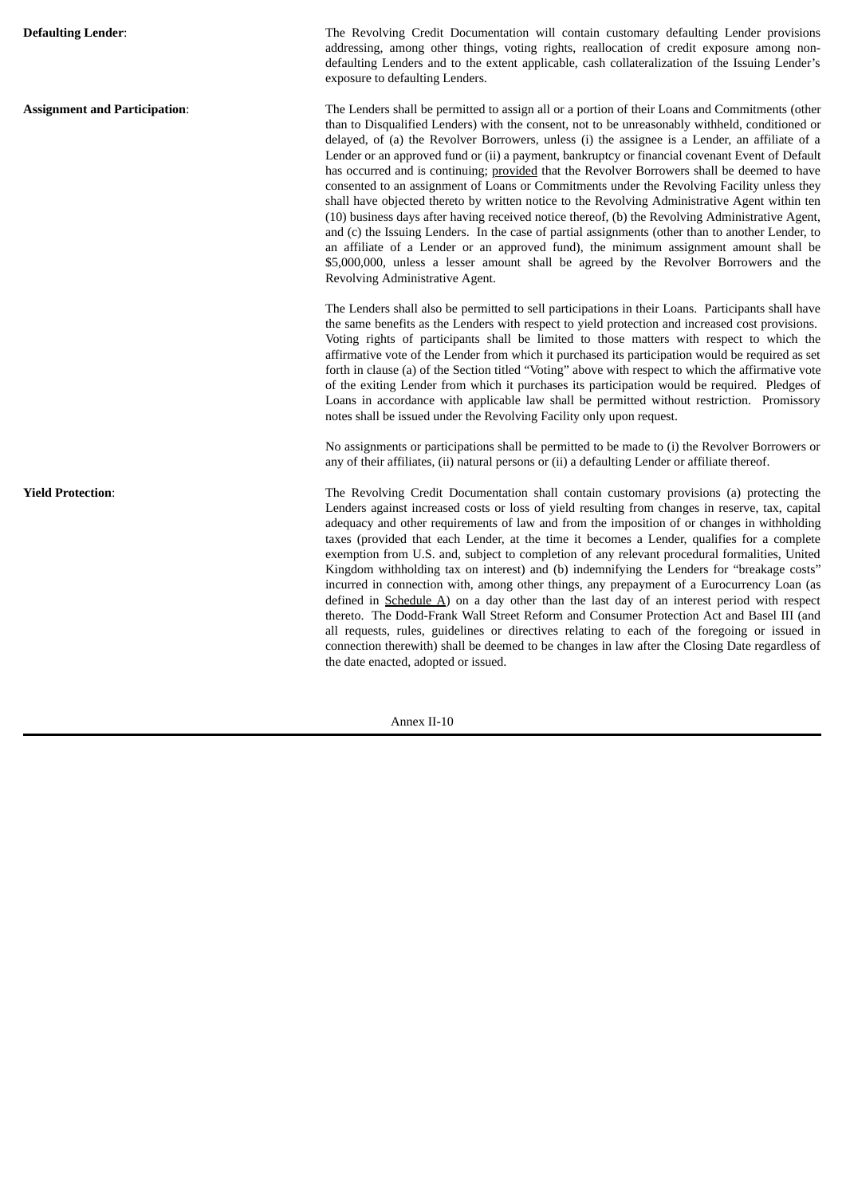**Defaulting Lender:** The Revolving Credit Documentation will contain customary defaulting Lender provisions addressing, among other things, voting rights, reallocation of credit exposure among nondefaulting Lenders and to the extent applicable, cash collateralization of the Issuing Lender's exposure to defaulting Lenders.

**Assignment and Participation**: The Lenders shall be permitted to assign all or a portion of their Loans and Commitments (other than to Disqualified Lenders) with the consent, not to be unreasonably withheld, conditioned or delayed, of (a) the Revolver Borrowers, unless (i) the assignee is a Lender, an affiliate of a Lender or an approved fund or (ii) a payment, bankruptcy or financial covenant Event of Default has occurred and is continuing; provided that the Revolver Borrowers shall be deemed to have consented to an assignment of Loans or Commitments under the Revolving Facility unless they shall have objected thereto by written notice to the Revolving Administrative Agent within ten (10) business days after having received notice thereof, (b) the Revolving Administrative Agent, and (c) the Issuing Lenders. In the case of partial assignments (other than to another Lender, to an affiliate of a Lender or an approved fund), the minimum assignment amount shall be \$5,000,000, unless a lesser amount shall be agreed by the Revolver Borrowers and the Revolving Administrative Agent.

> The Lenders shall also be permitted to sell participations in their Loans. Participants shall have the same benefits as the Lenders with respect to yield protection and increased cost provisions. Voting rights of participants shall be limited to those matters with respect to which the affirmative vote of the Lender from which it purchased its participation would be required as set forth in clause (a) of the Section titled "Voting" above with respect to which the affirmative vote of the exiting Lender from which it purchases its participation would be required. Pledges of Loans in accordance with applicable law shall be permitted without restriction. Promissory notes shall be issued under the Revolving Facility only upon request.

> No assignments or participations shall be permitted to be made to (i) the Revolver Borrowers or any of their affiliates, (ii) natural persons or (ii) a defaulting Lender or affiliate thereof.

**Yield Protection:** The Revolving Credit Documentation shall contain customary provisions (a) protecting the Lenders against increased costs or loss of yield resulting from changes in reserve, tax, capital adequacy and other requirements of law and from the imposition of or changes in withholding taxes (provided that each Lender, at the time it becomes a Lender, qualifies for a complete exemption from U.S. and, subject to completion of any relevant procedural formalities, United Kingdom withholding tax on interest) and (b) indemnifying the Lenders for "breakage costs" incurred in connection with, among other things, any prepayment of a Eurocurrency Loan (as defined in Schedule A) on a day other than the last day of an interest period with respect thereto. The Dodd-Frank Wall Street Reform and Consumer Protection Act and Basel III (and all requests, rules, guidelines or directives relating to each of the foregoing or issued in connection therewith) shall be deemed to be changes in law after the Closing Date regardless of the date enacted, adopted or issued.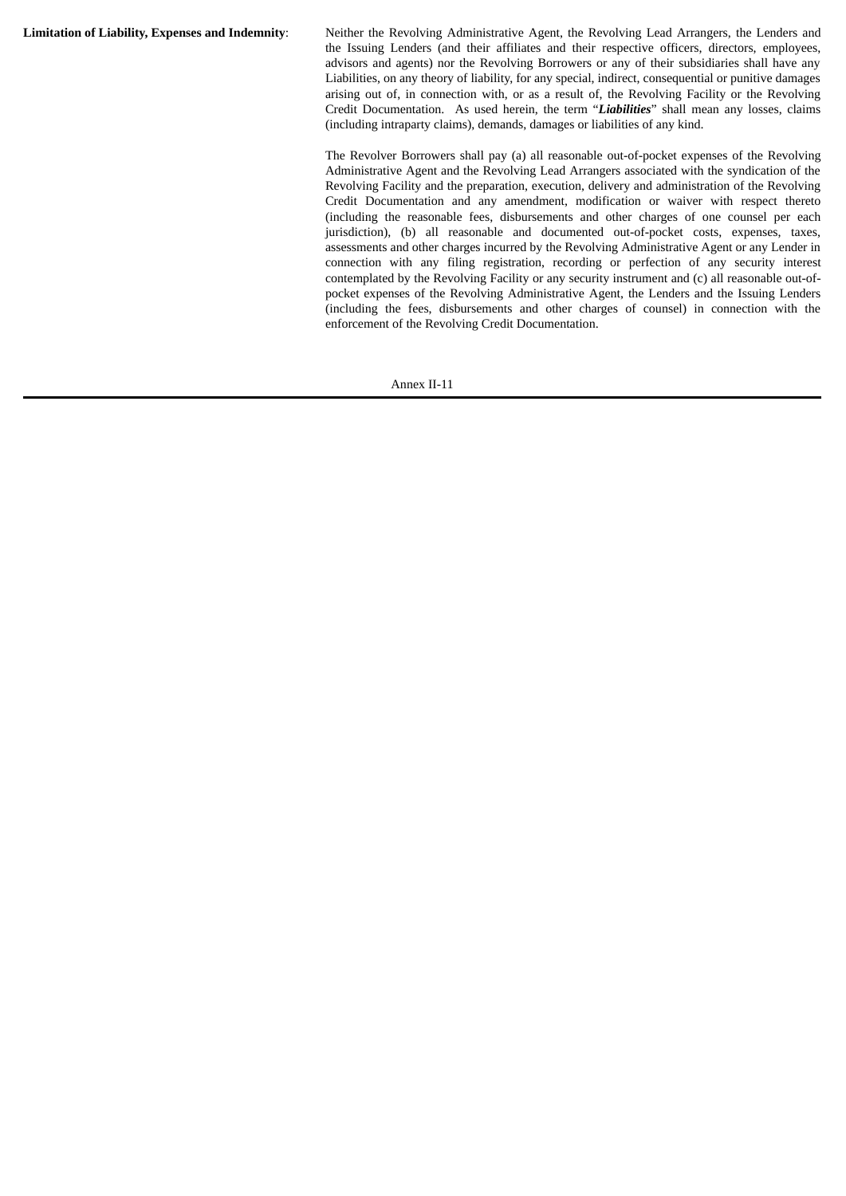**Limitation of Liability, Expenses and Indemnity**: Neither the Revolving Administrative Agent, the Revolving Lead Arrangers, the Lenders and the Issuing Lenders (and their affiliates and their respective officers, directors, employees, advisors and agents) nor the Revolving Borrowers or any of their subsidiaries shall have any Liabilities, on any theory of liability, for any special, indirect, consequential or punitive damages arising out of, in connection with, or as a result of, the Revolving Facility or the Revolving Credit Documentation. As used herein, the term "*Liabilities*" shall mean any losses, claims (including intraparty claims), demands, damages or liabilities of any kind.

> The Revolver Borrowers shall pay (a) all reasonable out-of-pocket expenses of the Revolving Administrative Agent and the Revolving Lead Arrangers associated with the syndication of the Revolving Facility and the preparation, execution, delivery and administration of the Revolving Credit Documentation and any amendment, modification or waiver with respect thereto (including the reasonable fees, disbursements and other charges of one counsel per each jurisdiction), (b) all reasonable and documented out-of-pocket costs, expenses, taxes, assessments and other charges incurred by the Revolving Administrative Agent or any Lender in connection with any filing registration, recording or perfection of any security interest contemplated by the Revolving Facility or any security instrument and (c) all reasonable out-ofpocket expenses of the Revolving Administrative Agent, the Lenders and the Issuing Lenders (including the fees, disbursements and other charges of counsel) in connection with the enforcement of the Revolving Credit Documentation.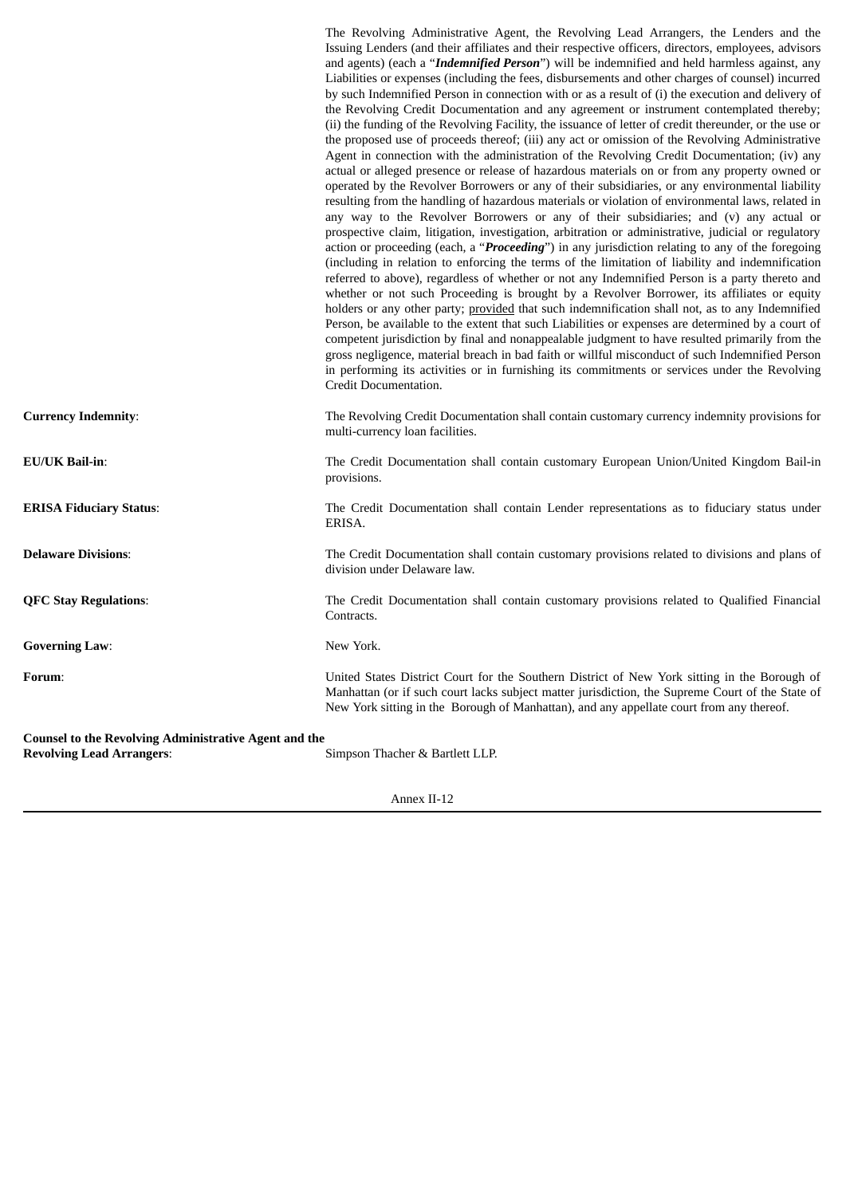|                                                                                                  | The Revolving Administrative Agent, the Revolving Lead Arrangers, the Lenders and the<br>Issuing Lenders (and their affiliates and their respective officers, directors, employees, advisors<br>and agents) (each a "Indemnified Person") will be indemnified and held harmless against, any<br>Liabilities or expenses (including the fees, disbursements and other charges of counsel) incurred<br>by such Indemnified Person in connection with or as a result of (i) the execution and delivery of<br>the Revolving Credit Documentation and any agreement or instrument contemplated thereby;<br>(ii) the funding of the Revolving Facility, the issuance of letter of credit thereunder, or the use or<br>the proposed use of proceeds thereof; (iii) any act or omission of the Revolving Administrative<br>Agent in connection with the administration of the Revolving Credit Documentation; (iv) any<br>actual or alleged presence or release of hazardous materials on or from any property owned or<br>operated by the Revolver Borrowers or any of their subsidiaries, or any environmental liability<br>resulting from the handling of hazardous materials or violation of environmental laws, related in<br>any way to the Revolver Borrowers or any of their subsidiaries; and (v) any actual or<br>prospective claim, litigation, investigation, arbitration or administrative, judicial or regulatory<br>action or proceeding (each, a "Proceeding") in any jurisdiction relating to any of the foregoing<br>(including in relation to enforcing the terms of the limitation of liability and indemnification<br>referred to above), regardless of whether or not any Indemnified Person is a party thereto and<br>whether or not such Proceeding is brought by a Revolver Borrower, its affiliates or equity<br>holders or any other party; provided that such indemnification shall not, as to any Indemnified<br>Person, be available to the extent that such Liabilities or expenses are determined by a court of<br>competent jurisdiction by final and nonappealable judgment to have resulted primarily from the<br>gross negligence, material breach in bad faith or willful misconduct of such Indemnified Person<br>in performing its activities or in furnishing its commitments or services under the Revolving<br>Credit Documentation. |
|--------------------------------------------------------------------------------------------------|------------------------------------------------------------------------------------------------------------------------------------------------------------------------------------------------------------------------------------------------------------------------------------------------------------------------------------------------------------------------------------------------------------------------------------------------------------------------------------------------------------------------------------------------------------------------------------------------------------------------------------------------------------------------------------------------------------------------------------------------------------------------------------------------------------------------------------------------------------------------------------------------------------------------------------------------------------------------------------------------------------------------------------------------------------------------------------------------------------------------------------------------------------------------------------------------------------------------------------------------------------------------------------------------------------------------------------------------------------------------------------------------------------------------------------------------------------------------------------------------------------------------------------------------------------------------------------------------------------------------------------------------------------------------------------------------------------------------------------------------------------------------------------------------------------------------------------------------------------------------------------------------------------------------------------------------------------------------------------------------------------------------------------------------------------------------------------------------------------------------------------------------------------------------------------------------------------------------------------------------------------------------------------------------------------------------------------------------------------------------|
| <b>Currency Indemnity:</b>                                                                       | The Revolving Credit Documentation shall contain customary currency indemnity provisions for<br>multi-currency loan facilities.                                                                                                                                                                                                                                                                                                                                                                                                                                                                                                                                                                                                                                                                                                                                                                                                                                                                                                                                                                                                                                                                                                                                                                                                                                                                                                                                                                                                                                                                                                                                                                                                                                                                                                                                                                                                                                                                                                                                                                                                                                                                                                                                                                                                                                        |
| <b>EU/UK Bail-in:</b>                                                                            | The Credit Documentation shall contain customary European Union/United Kingdom Bail-in<br>provisions.                                                                                                                                                                                                                                                                                                                                                                                                                                                                                                                                                                                                                                                                                                                                                                                                                                                                                                                                                                                                                                                                                                                                                                                                                                                                                                                                                                                                                                                                                                                                                                                                                                                                                                                                                                                                                                                                                                                                                                                                                                                                                                                                                                                                                                                                  |
| <b>ERISA Fiduciary Status:</b>                                                                   | The Credit Documentation shall contain Lender representations as to fiduciary status under<br>ERISA.                                                                                                                                                                                                                                                                                                                                                                                                                                                                                                                                                                                                                                                                                                                                                                                                                                                                                                                                                                                                                                                                                                                                                                                                                                                                                                                                                                                                                                                                                                                                                                                                                                                                                                                                                                                                                                                                                                                                                                                                                                                                                                                                                                                                                                                                   |
| <b>Delaware Divisions:</b>                                                                       | The Credit Documentation shall contain customary provisions related to divisions and plans of<br>division under Delaware law.                                                                                                                                                                                                                                                                                                                                                                                                                                                                                                                                                                                                                                                                                                                                                                                                                                                                                                                                                                                                                                                                                                                                                                                                                                                                                                                                                                                                                                                                                                                                                                                                                                                                                                                                                                                                                                                                                                                                                                                                                                                                                                                                                                                                                                          |
| <b>QFC Stay Regulations:</b>                                                                     | The Credit Documentation shall contain customary provisions related to Qualified Financial<br>Contracts.                                                                                                                                                                                                                                                                                                                                                                                                                                                                                                                                                                                                                                                                                                                                                                                                                                                                                                                                                                                                                                                                                                                                                                                                                                                                                                                                                                                                                                                                                                                                                                                                                                                                                                                                                                                                                                                                                                                                                                                                                                                                                                                                                                                                                                                               |
| <b>Governing Law:</b>                                                                            | New York.                                                                                                                                                                                                                                                                                                                                                                                                                                                                                                                                                                                                                                                                                                                                                                                                                                                                                                                                                                                                                                                                                                                                                                                                                                                                                                                                                                                                                                                                                                                                                                                                                                                                                                                                                                                                                                                                                                                                                                                                                                                                                                                                                                                                                                                                                                                                                              |
| Forum:                                                                                           | United States District Court for the Southern District of New York sitting in the Borough of<br>Manhattan (or if such court lacks subject matter jurisdiction, the Supreme Court of the State of<br>New York sitting in the Borough of Manhattan), and any appellate court from any thereof.                                                                                                                                                                                                                                                                                                                                                                                                                                                                                                                                                                                                                                                                                                                                                                                                                                                                                                                                                                                                                                                                                                                                                                                                                                                                                                                                                                                                                                                                                                                                                                                                                                                                                                                                                                                                                                                                                                                                                                                                                                                                           |
| <b>Counsel to the Revolving Administrative Agent and the</b><br><b>Revolving Lead Arrangers:</b> | Simpson Thacher & Bartlett LLP.                                                                                                                                                                                                                                                                                                                                                                                                                                                                                                                                                                                                                                                                                                                                                                                                                                                                                                                                                                                                                                                                                                                                                                                                                                                                                                                                                                                                                                                                                                                                                                                                                                                                                                                                                                                                                                                                                                                                                                                                                                                                                                                                                                                                                                                                                                                                        |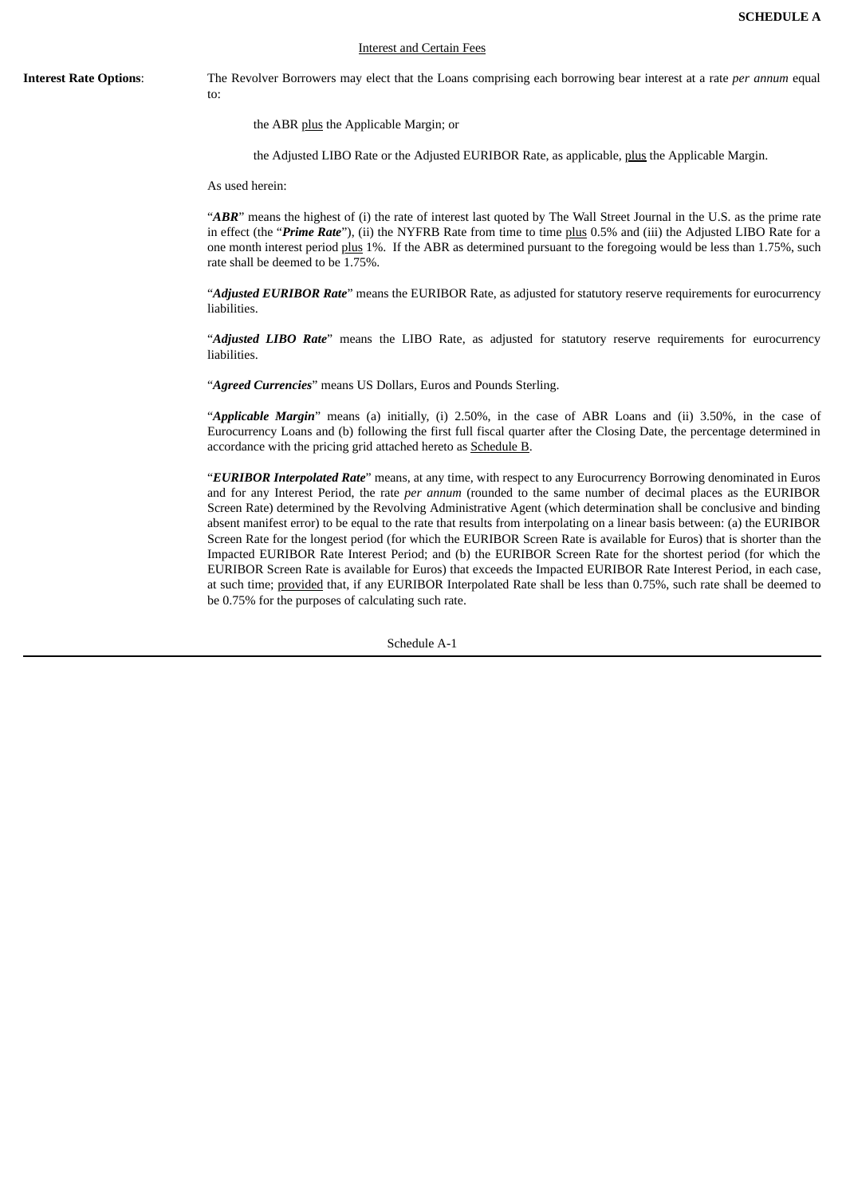### Interest and Certain Fees

to:

**Interest Rate Options**: The Revolver Borrowers may elect that the Loans comprising each borrowing bear interest at a rate *per annum* equal

the ABR plus the Applicable Margin; or

the Adjusted LIBO Rate or the Adjusted EURIBOR Rate, as applicable, plus the Applicable Margin.

As used herein:

"*ABR*" means the highest of (i) the rate of interest last quoted by The Wall Street Journal in the U.S. as the prime rate in effect (the "*Prime Rate*"), (ii) the NYFRB Rate from time to time plus 0.5% and (iii) the Adjusted LIBO Rate for a one month interest period plus 1%. If the ABR as determined pursuant to the foregoing would be less than 1.75%, such rate shall be deemed to be 1.75%.

"*Adjusted EURIBOR Rate*" means the EURIBOR Rate, as adjusted for statutory reserve requirements for eurocurrency liabilities.

"*Adjusted LIBO Rate*" means the LIBO Rate, as adjusted for statutory reserve requirements for eurocurrency liabilities.

"*Agreed Currencies*" means US Dollars, Euros and Pounds Sterling.

"*Applicable Margin*" means (a) initially, (i) 2.50%, in the case of ABR Loans and (ii) 3.50%, in the case of Eurocurrency Loans and (b) following the first full fiscal quarter after the Closing Date, the percentage determined in accordance with the pricing grid attached hereto as Schedule B.

"*EURIBOR Interpolated Rate*" means, at any time, with respect to any Eurocurrency Borrowing denominated in Euros and for any Interest Period, the rate *per annum* (rounded to the same number of decimal places as the EURIBOR Screen Rate) determined by the Revolving Administrative Agent (which determination shall be conclusive and binding absent manifest error) to be equal to the rate that results from interpolating on a linear basis between: (a) the EURIBOR Screen Rate for the longest period (for which the EURIBOR Screen Rate is available for Euros) that is shorter than the Impacted EURIBOR Rate Interest Period; and (b) the EURIBOR Screen Rate for the shortest period (for which the EURIBOR Screen Rate is available for Euros) that exceeds the Impacted EURIBOR Rate Interest Period, in each case, at such time; provided that, if any EURIBOR Interpolated Rate shall be less than 0.75%, such rate shall be deemed to be 0.75% for the purposes of calculating such rate.

Schedule A-1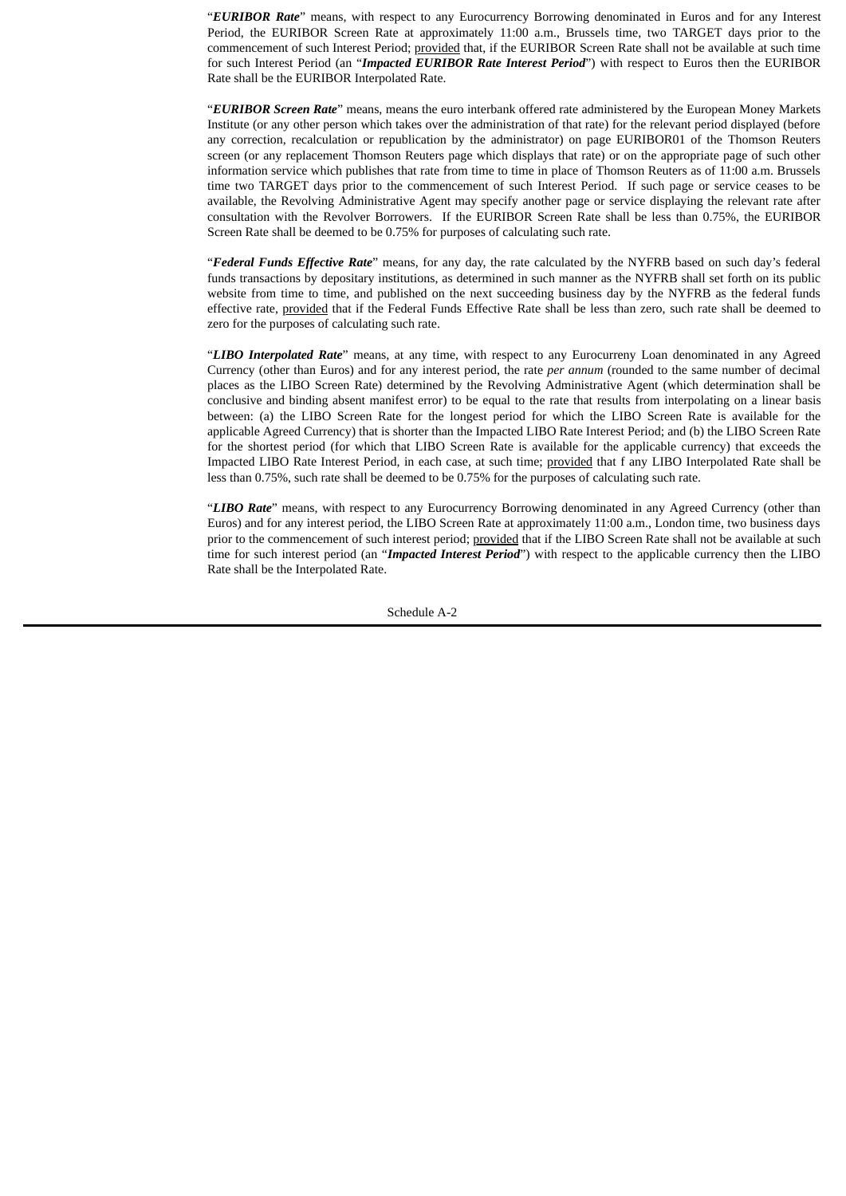"*EURIBOR Rate*" means, with respect to any Eurocurrency Borrowing denominated in Euros and for any Interest Period, the EURIBOR Screen Rate at approximately 11:00 a.m., Brussels time, two TARGET days prior to the commencement of such Interest Period; provided that, if the EURIBOR Screen Rate shall not be available at such time for such Interest Period (an "*Impacted EURIBOR Rate Interest Period*") with respect to Euros then the EURIBOR Rate shall be the EURIBOR Interpolated Rate.

"*EURIBOR Screen Rate*" means, means the euro interbank offered rate administered by the European Money Markets Institute (or any other person which takes over the administration of that rate) for the relevant period displayed (before any correction, recalculation or republication by the administrator) on page EURIBOR01 of the Thomson Reuters screen (or any replacement Thomson Reuters page which displays that rate) or on the appropriate page of such other information service which publishes that rate from time to time in place of Thomson Reuters as of 11:00 a.m. Brussels time two TARGET days prior to the commencement of such Interest Period. If such page or service ceases to be available, the Revolving Administrative Agent may specify another page or service displaying the relevant rate after consultation with the Revolver Borrowers. If the EURIBOR Screen Rate shall be less than 0.75%, the EURIBOR Screen Rate shall be deemed to be 0.75% for purposes of calculating such rate.

"*Federal Funds Effective Rate*" means, for any day, the rate calculated by the NYFRB based on such day's federal funds transactions by depositary institutions, as determined in such manner as the NYFRB shall set forth on its public website from time to time, and published on the next succeeding business day by the NYFRB as the federal funds effective rate, provided that if the Federal Funds Effective Rate shall be less than zero, such rate shall be deemed to zero for the purposes of calculating such rate.

"*LIBO Interpolated Rate*" means, at any time, with respect to any Eurocurreny Loan denominated in any Agreed Currency (other than Euros) and for any interest period, the rate *per annum* (rounded to the same number of decimal places as the LIBO Screen Rate) determined by the Revolving Administrative Agent (which determination shall be conclusive and binding absent manifest error) to be equal to the rate that results from interpolating on a linear basis between: (a) the LIBO Screen Rate for the longest period for which the LIBO Screen Rate is available for the applicable Agreed Currency) that is shorter than the Impacted LIBO Rate Interest Period; and (b) the LIBO Screen Rate for the shortest period (for which that LIBO Screen Rate is available for the applicable currency) that exceeds the Impacted LIBO Rate Interest Period, in each case, at such time; provided that f any LIBO Interpolated Rate shall be less than 0.75%, such rate shall be deemed to be 0.75% for the purposes of calculating such rate.

"*LIBO Rate*" means, with respect to any Eurocurrency Borrowing denominated in any Agreed Currency (other than Euros) and for any interest period, the LIBO Screen Rate at approximately 11:00 a.m., London time, two business days prior to the commencement of such interest period; provided that if the LIBO Screen Rate shall not be available at such time for such interest period (an "*Impacted Interest Period*") with respect to the applicable currency then the LIBO Rate shall be the Interpolated Rate.

Schedule A-2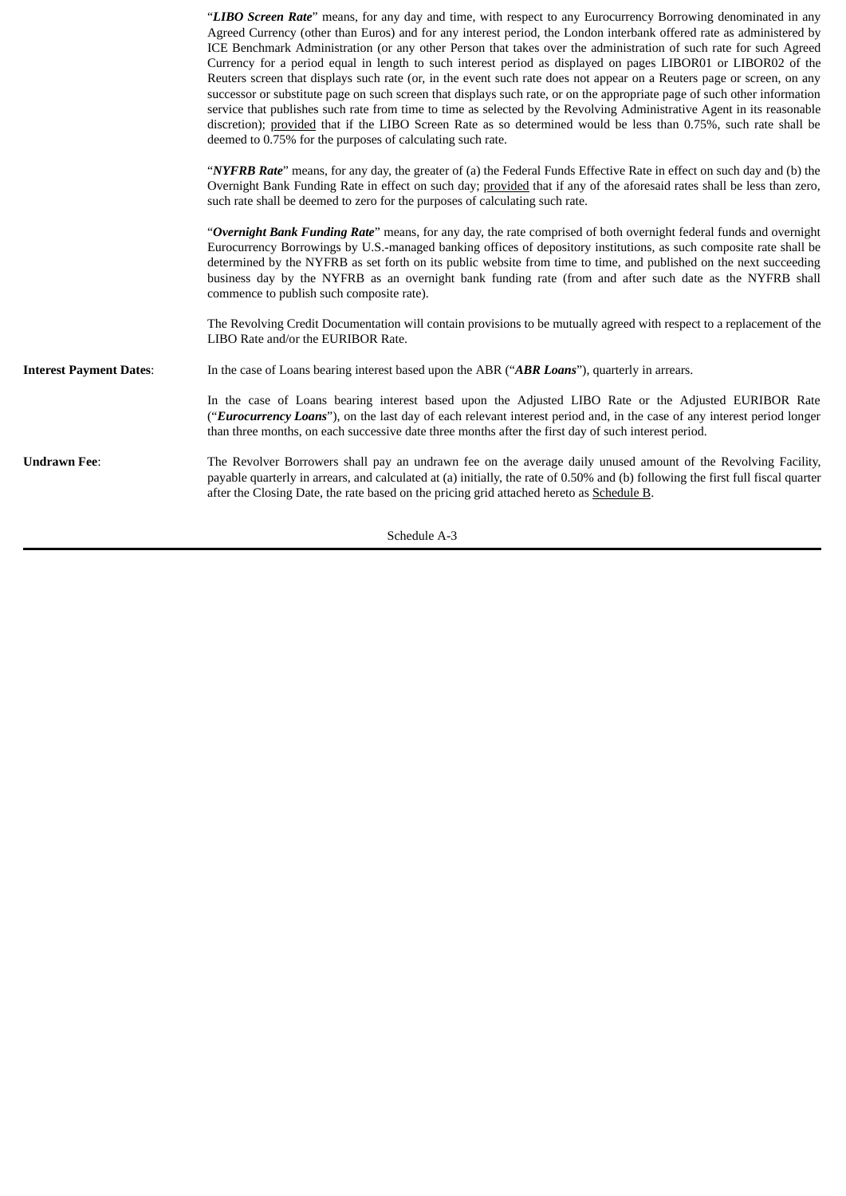|                                | "LIBO Screen Rate" means, for any day and time, with respect to any Eurocurrency Borrowing denominated in any<br>Agreed Currency (other than Euros) and for any interest period, the London interbank offered rate as administered by<br>ICE Benchmark Administration (or any other Person that takes over the administration of such rate for such Agreed<br>Currency for a period equal in length to such interest period as displayed on pages LIBOR01 or LIBOR02 of the<br>Reuters screen that displays such rate (or, in the event such rate does not appear on a Reuters page or screen, on any<br>successor or substitute page on such screen that displays such rate, or on the appropriate page of such other information<br>service that publishes such rate from time to time as selected by the Revolving Administrative Agent in its reasonable<br>discretion); provided that if the LIBO Screen Rate as so determined would be less than 0.75%, such rate shall be<br>deemed to 0.75% for the purposes of calculating such rate. |
|--------------------------------|------------------------------------------------------------------------------------------------------------------------------------------------------------------------------------------------------------------------------------------------------------------------------------------------------------------------------------------------------------------------------------------------------------------------------------------------------------------------------------------------------------------------------------------------------------------------------------------------------------------------------------------------------------------------------------------------------------------------------------------------------------------------------------------------------------------------------------------------------------------------------------------------------------------------------------------------------------------------------------------------------------------------------------------------|
|                                | "NYFRB Rate" means, for any day, the greater of (a) the Federal Funds Effective Rate in effect on such day and (b) the<br>Overnight Bank Funding Rate in effect on such day; provided that if any of the aforesaid rates shall be less than zero,<br>such rate shall be deemed to zero for the purposes of calculating such rate.                                                                                                                                                                                                                                                                                                                                                                                                                                                                                                                                                                                                                                                                                                              |
|                                | "Overnight Bank Funding Rate" means, for any day, the rate comprised of both overnight federal funds and overnight<br>Eurocurrency Borrowings by U.S.-managed banking offices of depository institutions, as such composite rate shall be<br>determined by the NYFRB as set forth on its public website from time to time, and published on the next succeeding<br>business day by the NYFRB as an overnight bank funding rate (from and after such date as the NYFRB shall<br>commence to publish such composite rate).                                                                                                                                                                                                                                                                                                                                                                                                                                                                                                                       |
|                                | The Revolving Credit Documentation will contain provisions to be mutually agreed with respect to a replacement of the<br>LIBO Rate and/or the EURIBOR Rate.                                                                                                                                                                                                                                                                                                                                                                                                                                                                                                                                                                                                                                                                                                                                                                                                                                                                                    |
| <b>Interest Payment Dates:</b> | In the case of Loans bearing interest based upon the ABR ("ABR Loans"), quarterly in arrears.                                                                                                                                                                                                                                                                                                                                                                                                                                                                                                                                                                                                                                                                                                                                                                                                                                                                                                                                                  |
|                                | In the case of Loans bearing interest based upon the Adjusted LIBO Rate or the Adjusted EURIBOR Rate<br>("Eurocurrency Loans"), on the last day of each relevant interest period and, in the case of any interest period longer<br>than three months, on each successive date three months after the first day of such interest period.                                                                                                                                                                                                                                                                                                                                                                                                                                                                                                                                                                                                                                                                                                        |
| <b>Undrawn Fee:</b>            | The Revolver Borrowers shall pay an undrawn fee on the average daily unused amount of the Revolving Facility,<br>payable quarterly in arrears, and calculated at (a) initially, the rate of 0.50% and (b) following the first full fiscal quarter<br>after the Closing Date, the rate based on the pricing grid attached hereto as Schedule B.                                                                                                                                                                                                                                                                                                                                                                                                                                                                                                                                                                                                                                                                                                 |
|                                |                                                                                                                                                                                                                                                                                                                                                                                                                                                                                                                                                                                                                                                                                                                                                                                                                                                                                                                                                                                                                                                |

Schedule A-3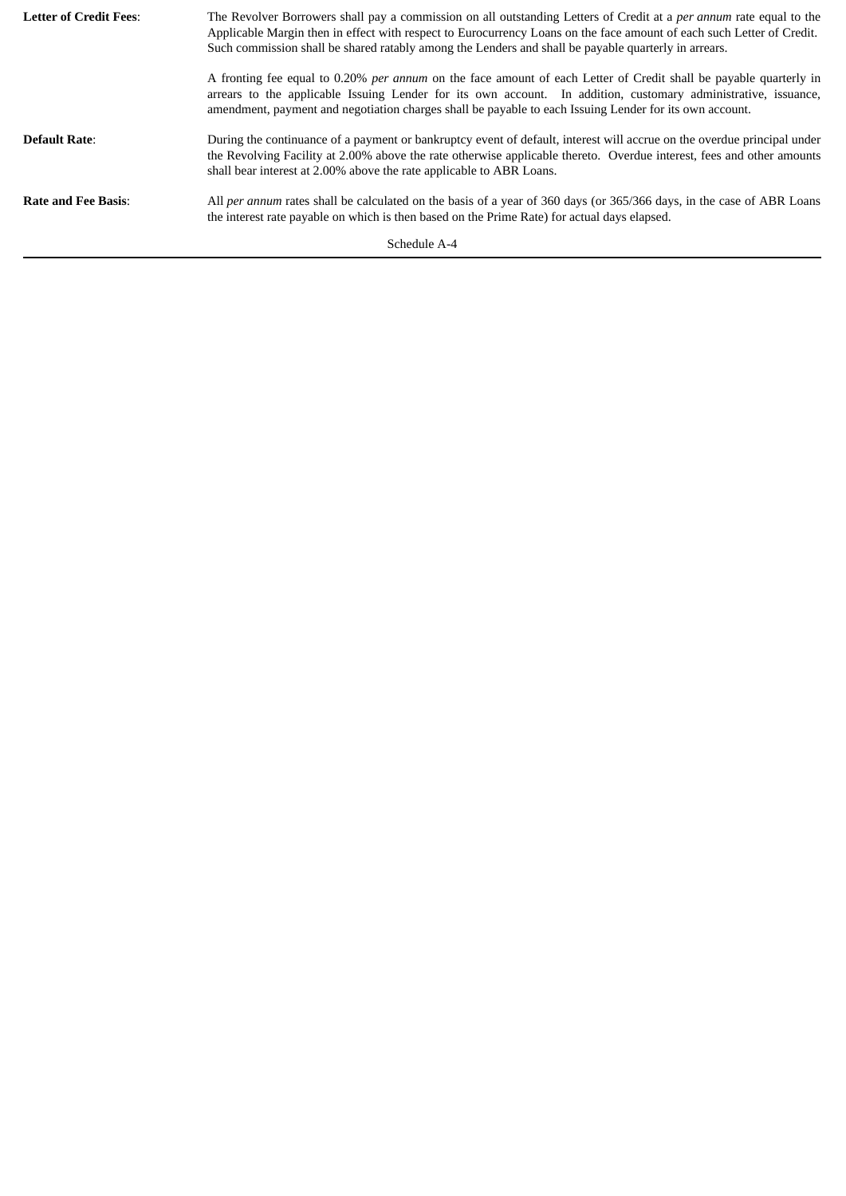| <b>Letter of Credit Fees:</b> | The Revolver Borrowers shall pay a commission on all outstanding Letters of Credit at a <i>per annum</i> rate equal to the<br>Applicable Margin then in effect with respect to Eurocurrency Loans on the face amount of each such Letter of Credit.<br>Such commission shall be shared ratably among the Lenders and shall be payable quarterly in arrears. |
|-------------------------------|-------------------------------------------------------------------------------------------------------------------------------------------------------------------------------------------------------------------------------------------------------------------------------------------------------------------------------------------------------------|
|                               | A fronting fee equal to 0.20% <i>per annum</i> on the face amount of each Letter of Credit shall be payable quarterly in<br>arrears to the applicable Issuing Lender for its own account. In addition, customary administrative, issuance,<br>amendment, payment and negotiation charges shall be payable to each Issuing Lender for its own account.       |
| <b>Default Rate:</b>          | During the continuance of a payment or bankruptcy event of default, interest will accrue on the overdue principal under<br>the Revolving Facility at 2.00% above the rate otherwise applicable thereto. Overdue interest, fees and other amounts<br>shall bear interest at 2.00% above the rate applicable to ABR Loans.                                    |
| <b>Rate and Fee Basis:</b>    | All per annum rates shall be calculated on the basis of a year of 360 days (or 365/366 days, in the case of ABR Loans<br>the interest rate payable on which is then based on the Prime Rate) for actual days elapsed.                                                                                                                                       |
|                               | Schedule A-4                                                                                                                                                                                                                                                                                                                                                |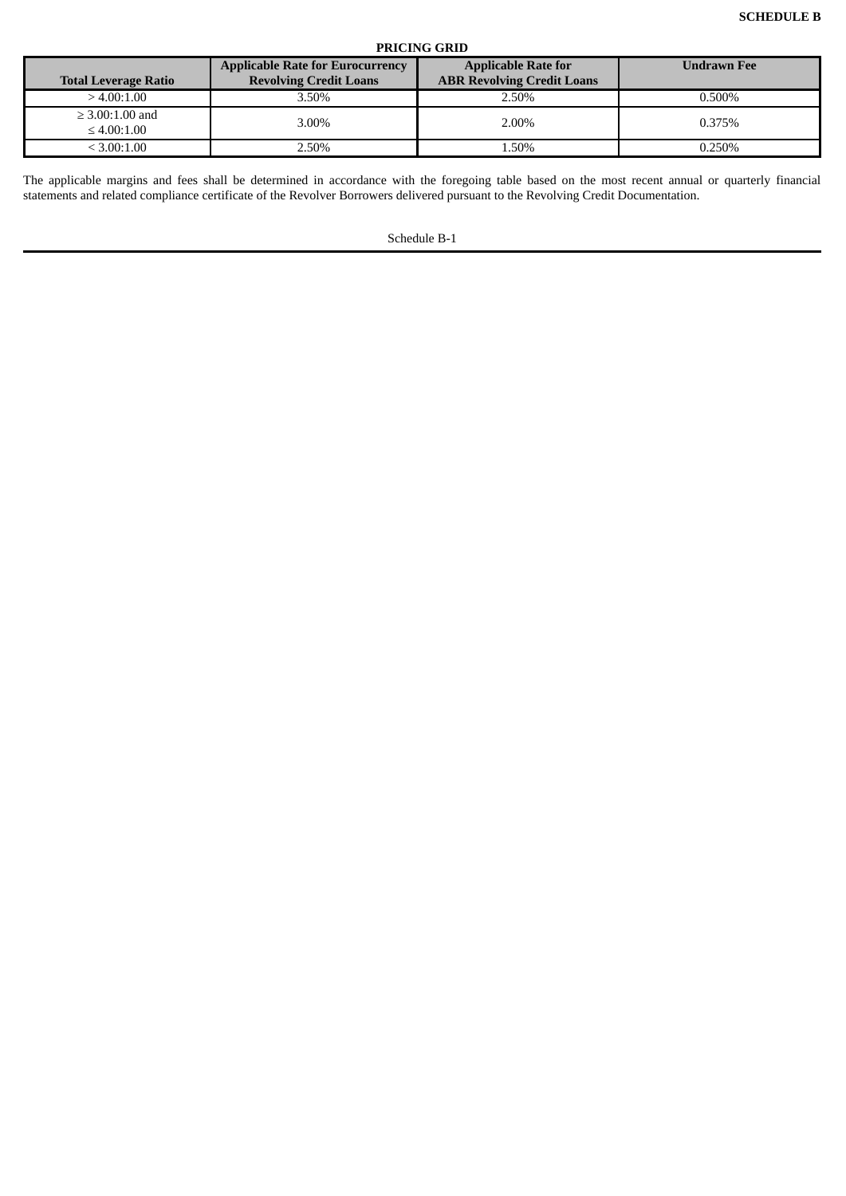**PRICING GRID**

| <b>Total Leverage Ratio</b>              | <b>Applicable Rate for Eurocurrency</b><br><b>Revolving Credit Loans</b> | <b>Applicable Rate for</b><br><b>ABR Revolving Credit Loans</b> | <b>Undrawn Fee</b> |
|------------------------------------------|--------------------------------------------------------------------------|-----------------------------------------------------------------|--------------------|
| $>$ 4.00:1.00                            | 3.50%                                                                    | 2.50%                                                           | 0.500%             |
| $\geq 3.00:1.00$ and<br>$\leq 4.00:1.00$ | 3.00%                                                                    | 2.00%                                                           | 0.375%             |
| < 3.00:1.00                              | 2.50%                                                                    | L.50%                                                           | 0.250%             |

The applicable margins and fees shall be determined in accordance with the foregoing table based on the most recent annual or quarterly financial statements and related compliance certificate of the Revolver Borrowers delivered pursuant to the Revolving Credit Documentation.

Schedule B-1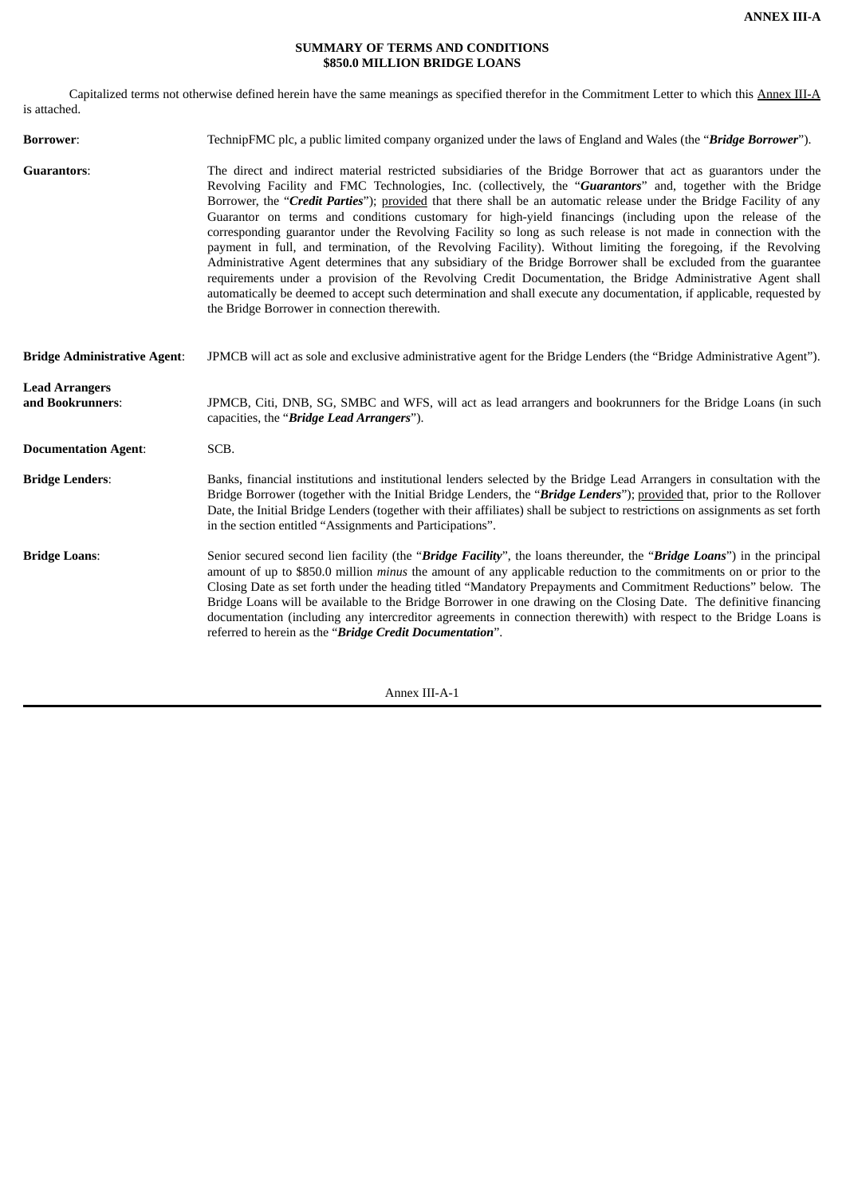## **SUMMARY OF TERMS AND CONDITIONS \$850.0 MILLION BRIDGE LOANS**

Capitalized terms not otherwise defined herein have the same meanings as specified therefor in the Commitment Letter to which this Annex III-A is attached.

| <b>Borrower:</b>                          | TechnipFMC plc, a public limited company organized under the laws of England and Wales (the "Bridge Borrower").                                                                                                                                                                                                                                                                                                                                                                                                                                                                                                                                                                                                                                                                                                                                                                                                                                                                                                                                                                                                    |
|-------------------------------------------|--------------------------------------------------------------------------------------------------------------------------------------------------------------------------------------------------------------------------------------------------------------------------------------------------------------------------------------------------------------------------------------------------------------------------------------------------------------------------------------------------------------------------------------------------------------------------------------------------------------------------------------------------------------------------------------------------------------------------------------------------------------------------------------------------------------------------------------------------------------------------------------------------------------------------------------------------------------------------------------------------------------------------------------------------------------------------------------------------------------------|
| <b>Guarantors:</b>                        | The direct and indirect material restricted subsidiaries of the Bridge Borrower that act as guarantors under the<br>Revolving Facility and FMC Technologies, Inc. (collectively, the "Guarantors" and, together with the Bridge<br>Borrower, the "Credit Parties"); provided that there shall be an automatic release under the Bridge Facility of any<br>Guarantor on terms and conditions customary for high-yield financings (including upon the release of the<br>corresponding guarantor under the Revolving Facility so long as such release is not made in connection with the<br>payment in full, and termination, of the Revolving Facility). Without limiting the foregoing, if the Revolving<br>Administrative Agent determines that any subsidiary of the Bridge Borrower shall be excluded from the guarantee<br>requirements under a provision of the Revolving Credit Documentation, the Bridge Administrative Agent shall<br>automatically be deemed to accept such determination and shall execute any documentation, if applicable, requested by<br>the Bridge Borrower in connection therewith. |
| <b>Bridge Administrative Agent:</b>       | JPMCB will act as sole and exclusive administrative agent for the Bridge Lenders (the "Bridge Administrative Agent").                                                                                                                                                                                                                                                                                                                                                                                                                                                                                                                                                                                                                                                                                                                                                                                                                                                                                                                                                                                              |
| <b>Lead Arrangers</b><br>and Bookrunners: | JPMCB, Citi, DNB, SG, SMBC and WFS, will act as lead arrangers and bookrunners for the Bridge Loans (in such<br>capacities, the "Bridge Lead Arrangers").                                                                                                                                                                                                                                                                                                                                                                                                                                                                                                                                                                                                                                                                                                                                                                                                                                                                                                                                                          |
| <b>Documentation Agent:</b>               | SCB.                                                                                                                                                                                                                                                                                                                                                                                                                                                                                                                                                                                                                                                                                                                                                                                                                                                                                                                                                                                                                                                                                                               |
| <b>Bridge Lenders:</b>                    | Banks, financial institutions and institutional lenders selected by the Bridge Lead Arrangers in consultation with the<br>Bridge Borrower (together with the Initial Bridge Lenders, the "Bridge Lenders"); provided that, prior to the Rollover<br>Date, the Initial Bridge Lenders (together with their affiliates) shall be subject to restrictions on assignments as set forth<br>in the section entitled "Assignments and Participations".                                                                                                                                                                                                                                                                                                                                                                                                                                                                                                                                                                                                                                                                    |
| <b>Bridge Loans:</b>                      | Senior secured second lien facility (the "Bridge Facility", the loans thereunder, the "Bridge Loans") in the principal<br>amount of up to \$850.0 million <i>minus</i> the amount of any applicable reduction to the commitments on or prior to the<br>Closing Date as set forth under the heading titled "Mandatory Prepayments and Commitment Reductions" below. The<br>Bridge Loans will be available to the Bridge Borrower in one drawing on the Closing Date. The definitive financing<br>documentation (including any intercreditor agreements in connection therewith) with respect to the Bridge Loans is<br>referred to herein as the "Bridge Credit Documentation".                                                                                                                                                                                                                                                                                                                                                                                                                                     |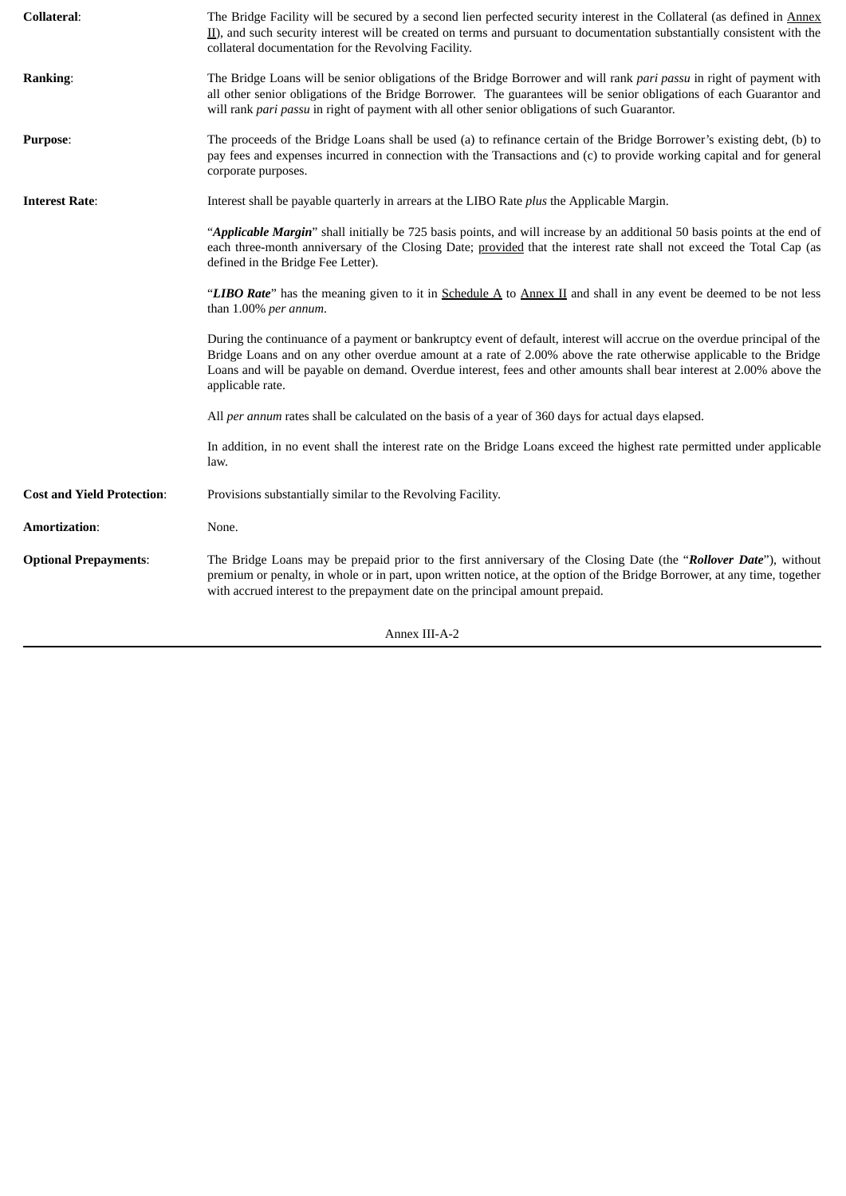| <b>Collateral:</b>                | The Bridge Facility will be secured by a second lien perfected security interest in the Collateral (as defined in Annex<br>II), and such security interest will be created on terms and pursuant to documentation substantially consistent with the<br>collateral documentation for the Revolving Facility.                                                                               |
|-----------------------------------|-------------------------------------------------------------------------------------------------------------------------------------------------------------------------------------------------------------------------------------------------------------------------------------------------------------------------------------------------------------------------------------------|
| <b>Ranking:</b>                   | The Bridge Loans will be senior obligations of the Bridge Borrower and will rank pari passu in right of payment with<br>all other senior obligations of the Bridge Borrower. The guarantees will be senior obligations of each Guarantor and<br>will rank pari passu in right of payment with all other senior obligations of such Guarantor.                                             |
| <b>Purpose:</b>                   | The proceeds of the Bridge Loans shall be used (a) to refinance certain of the Bridge Borrower's existing debt, (b) to<br>pay fees and expenses incurred in connection with the Transactions and (c) to provide working capital and for general<br>corporate purposes.                                                                                                                    |
| <b>Interest Rate:</b>             | Interest shall be payable quarterly in arrears at the LIBO Rate plus the Applicable Margin.                                                                                                                                                                                                                                                                                               |
|                                   | "Applicable Margin" shall initially be 725 basis points, and will increase by an additional 50 basis points at the end of<br>each three-month anniversary of the Closing Date; provided that the interest rate shall not exceed the Total Cap (as<br>defined in the Bridge Fee Letter).                                                                                                   |
|                                   | "LIBO Rate" has the meaning given to it in Schedule A to Annex II and shall in any event be deemed to be not less<br>than 1.00% per annum.                                                                                                                                                                                                                                                |
|                                   | During the continuance of a payment or bankruptcy event of default, interest will accrue on the overdue principal of the<br>Bridge Loans and on any other overdue amount at a rate of 2.00% above the rate otherwise applicable to the Bridge<br>Loans and will be payable on demand. Overdue interest, fees and other amounts shall bear interest at 2.00% above the<br>applicable rate. |
|                                   | All per annum rates shall be calculated on the basis of a year of 360 days for actual days elapsed.                                                                                                                                                                                                                                                                                       |
|                                   | In addition, in no event shall the interest rate on the Bridge Loans exceed the highest rate permitted under applicable<br>law.                                                                                                                                                                                                                                                           |
| <b>Cost and Yield Protection:</b> | Provisions substantially similar to the Revolving Facility.                                                                                                                                                                                                                                                                                                                               |
| <b>Amortization:</b>              | None.                                                                                                                                                                                                                                                                                                                                                                                     |
| <b>Optional Prepayments:</b>      | The Bridge Loans may be prepaid prior to the first anniversary of the Closing Date (the "Rollover Date"), without<br>premium or penalty, in whole or in part, upon written notice, at the option of the Bridge Borrower, at any time, together<br>with accrued interest to the prepayment date on the principal amount prepaid.                                                           |
|                                   | Annex III-A-2                                                                                                                                                                                                                                                                                                                                                                             |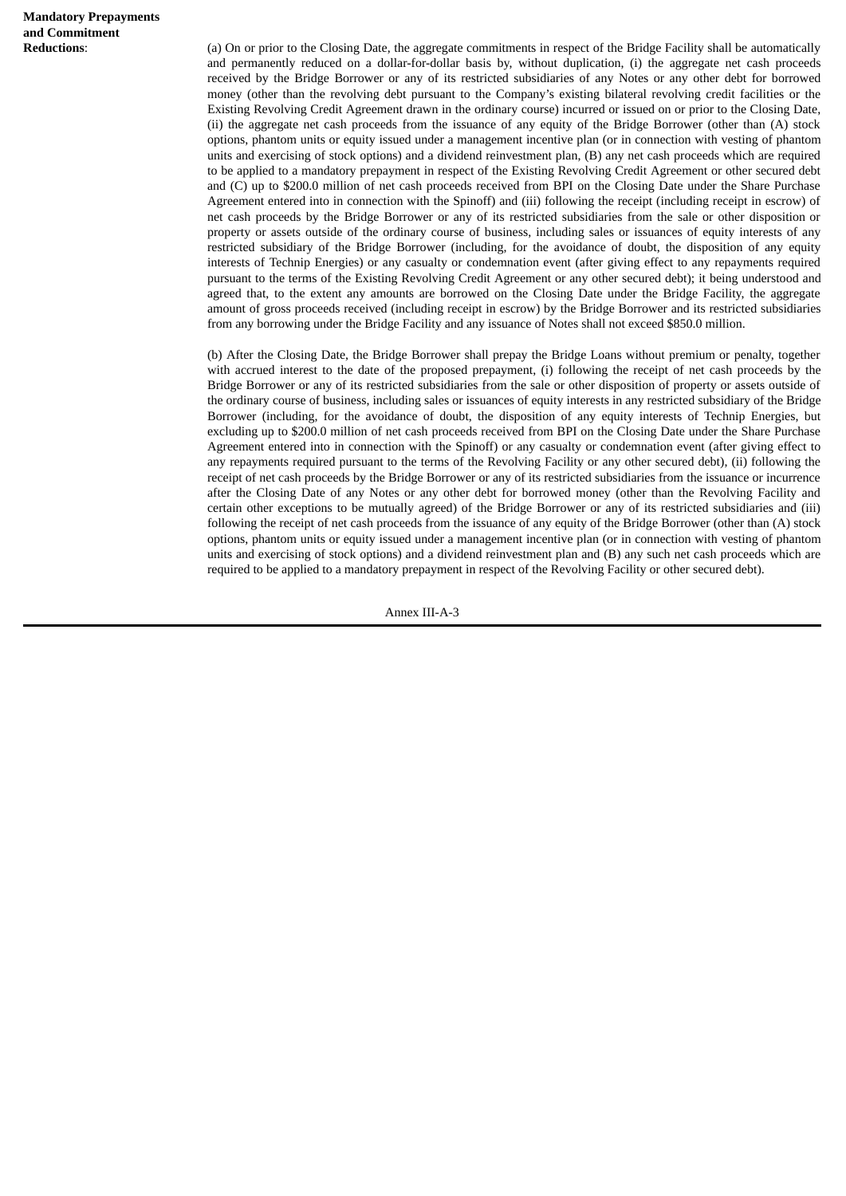**Reductions:** (a) On or prior to the Closing Date, the aggregate commitments in respect of the Bridge Facility shall be automatically and permanently reduced on a dollar-for-dollar basis by, without duplication, (i) the aggregate net cash proceeds received by the Bridge Borrower or any of its restricted subsidiaries of any Notes or any other debt for borrowed money (other than the revolving debt pursuant to the Company's existing bilateral revolving credit facilities or the Existing Revolving Credit Agreement drawn in the ordinary course) incurred or issued on or prior to the Closing Date, (ii) the aggregate net cash proceeds from the issuance of any equity of the Bridge Borrower (other than (A) stock options, phantom units or equity issued under a management incentive plan (or in connection with vesting of phantom units and exercising of stock options) and a dividend reinvestment plan, (B) any net cash proceeds which are required to be applied to a mandatory prepayment in respect of the Existing Revolving Credit Agreement or other secured debt and (C) up to \$200.0 million of net cash proceeds received from BPI on the Closing Date under the Share Purchase Agreement entered into in connection with the Spinoff) and (iii) following the receipt (including receipt in escrow) of net cash proceeds by the Bridge Borrower or any of its restricted subsidiaries from the sale or other disposition or property or assets outside of the ordinary course of business, including sales or issuances of equity interests of any restricted subsidiary of the Bridge Borrower (including, for the avoidance of doubt, the disposition of any equity interests of Technip Energies) or any casualty or condemnation event (after giving effect to any repayments required pursuant to the terms of the Existing Revolving Credit Agreement or any other secured debt); it being understood and agreed that, to the extent any amounts are borrowed on the Closing Date under the Bridge Facility, the aggregate amount of gross proceeds received (including receipt in escrow) by the Bridge Borrower and its restricted subsidiaries from any borrowing under the Bridge Facility and any issuance of Notes shall not exceed \$850.0 million.

> (b) After the Closing Date, the Bridge Borrower shall prepay the Bridge Loans without premium or penalty, together with accrued interest to the date of the proposed prepayment, (i) following the receipt of net cash proceeds by the Bridge Borrower or any of its restricted subsidiaries from the sale or other disposition of property or assets outside of the ordinary course of business, including sales or issuances of equity interests in any restricted subsidiary of the Bridge Borrower (including, for the avoidance of doubt, the disposition of any equity interests of Technip Energies, but excluding up to \$200.0 million of net cash proceeds received from BPI on the Closing Date under the Share Purchase Agreement entered into in connection with the Spinoff) or any casualty or condemnation event (after giving effect to any repayments required pursuant to the terms of the Revolving Facility or any other secured debt), (ii) following the receipt of net cash proceeds by the Bridge Borrower or any of its restricted subsidiaries from the issuance or incurrence after the Closing Date of any Notes or any other debt for borrowed money (other than the Revolving Facility and certain other exceptions to be mutually agreed) of the Bridge Borrower or any of its restricted subsidiaries and (iii) following the receipt of net cash proceeds from the issuance of any equity of the Bridge Borrower (other than (A) stock options, phantom units or equity issued under a management incentive plan (or in connection with vesting of phantom units and exercising of stock options) and a dividend reinvestment plan and (B) any such net cash proceeds which are required to be applied to a mandatory prepayment in respect of the Revolving Facility or other secured debt).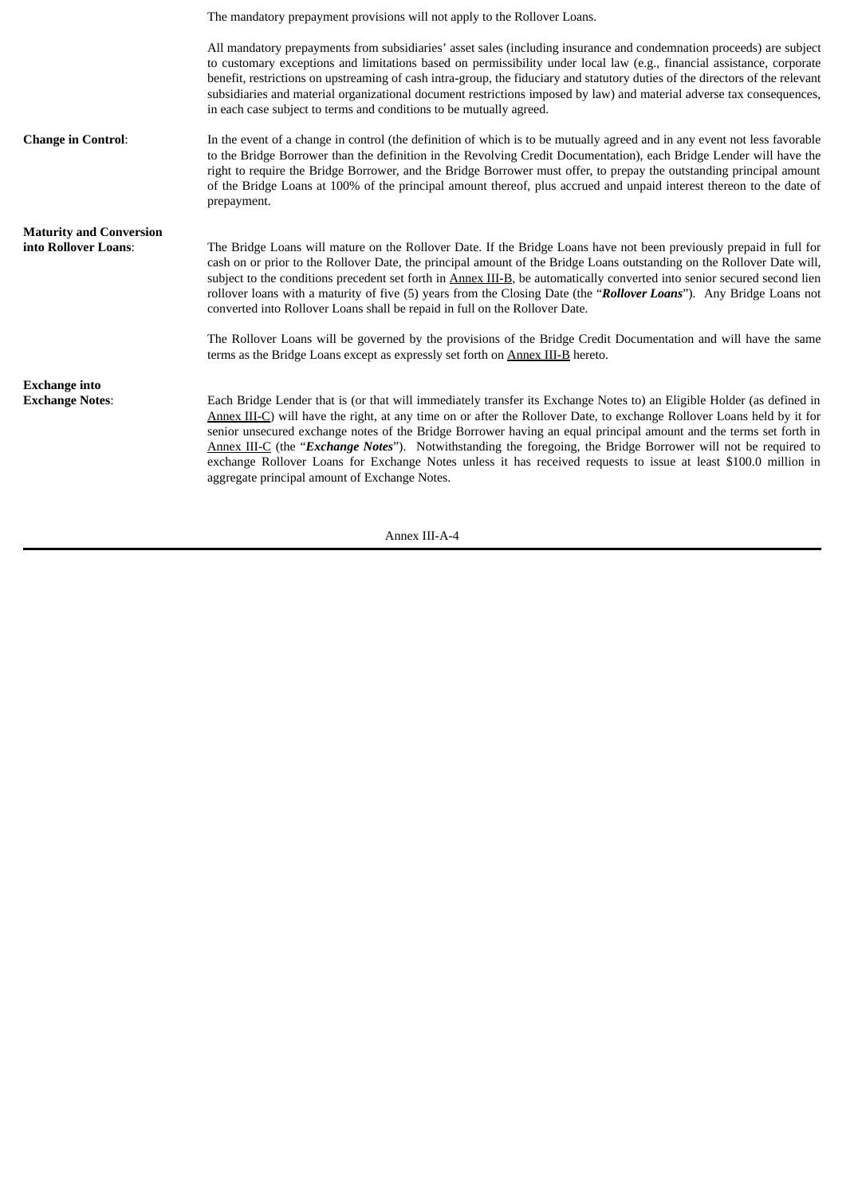|                                | The mandatory prepayment provisions will not apply to the Rollover Loans.                                                                                                                                                                                                                                                                                                                                                                                                                                                                                                                                                                                    |
|--------------------------------|--------------------------------------------------------------------------------------------------------------------------------------------------------------------------------------------------------------------------------------------------------------------------------------------------------------------------------------------------------------------------------------------------------------------------------------------------------------------------------------------------------------------------------------------------------------------------------------------------------------------------------------------------------------|
|                                | All mandatory prepayments from subsidiaries' asset sales (including insurance and condemnation proceeds) are subject<br>to customary exceptions and limitations based on permissibility under local law (e.g., financial assistance, corporate<br>benefit, restrictions on upstreaming of cash intra-group, the fiduciary and statutory duties of the directors of the relevant<br>subsidiaries and material organizational document restrictions imposed by law) and material adverse tax consequences,<br>in each case subject to terms and conditions to be mutually agreed.                                                                              |
| <b>Change in Control:</b>      | In the event of a change in control (the definition of which is to be mutually agreed and in any event not less favorable<br>to the Bridge Borrower than the definition in the Revolving Credit Documentation), each Bridge Lender will have the<br>right to require the Bridge Borrower, and the Bridge Borrower must offer, to prepay the outstanding principal amount<br>of the Bridge Loans at 100% of the principal amount thereof, plus accrued and unpaid interest thereon to the date of<br>prepayment.                                                                                                                                              |
| <b>Maturity and Conversion</b> |                                                                                                                                                                                                                                                                                                                                                                                                                                                                                                                                                                                                                                                              |
| into Rollover Loans:           | The Bridge Loans will mature on the Rollover Date. If the Bridge Loans have not been previously prepaid in full for<br>cash on or prior to the Rollover Date, the principal amount of the Bridge Loans outstanding on the Rollover Date will,<br>subject to the conditions precedent set forth in Annex III-B, be automatically converted into senior secured second lien<br>rollover loans with a maturity of five (5) years from the Closing Date (the "Rollover Loans"). Any Bridge Loans not<br>converted into Rollover Loans shall be repaid in full on the Rollover Date.                                                                              |
|                                | The Rollover Loans will be governed by the provisions of the Bridge Credit Documentation and will have the same<br>terms as the Bridge Loans except as expressly set forth on Annex III-B hereto.                                                                                                                                                                                                                                                                                                                                                                                                                                                            |
| <b>Exchange into</b>           |                                                                                                                                                                                                                                                                                                                                                                                                                                                                                                                                                                                                                                                              |
| <b>Exchange Notes:</b>         | Each Bridge Lender that is (or that will immediately transfer its Exchange Notes to) an Eligible Holder (as defined in<br>Annex III-C) will have the right, at any time on or after the Rollover Date, to exchange Rollover Loans held by it for<br>senior unsecured exchange notes of the Bridge Borrower having an equal principal amount and the terms set forth in<br>Annex III-C (the "Exchange Notes"). Notwithstanding the foregoing, the Bridge Borrower will not be required to<br>exchange Rollover Loans for Exchange Notes unless it has received requests to issue at least \$100.0 million in<br>aggregate principal amount of Exchange Notes. |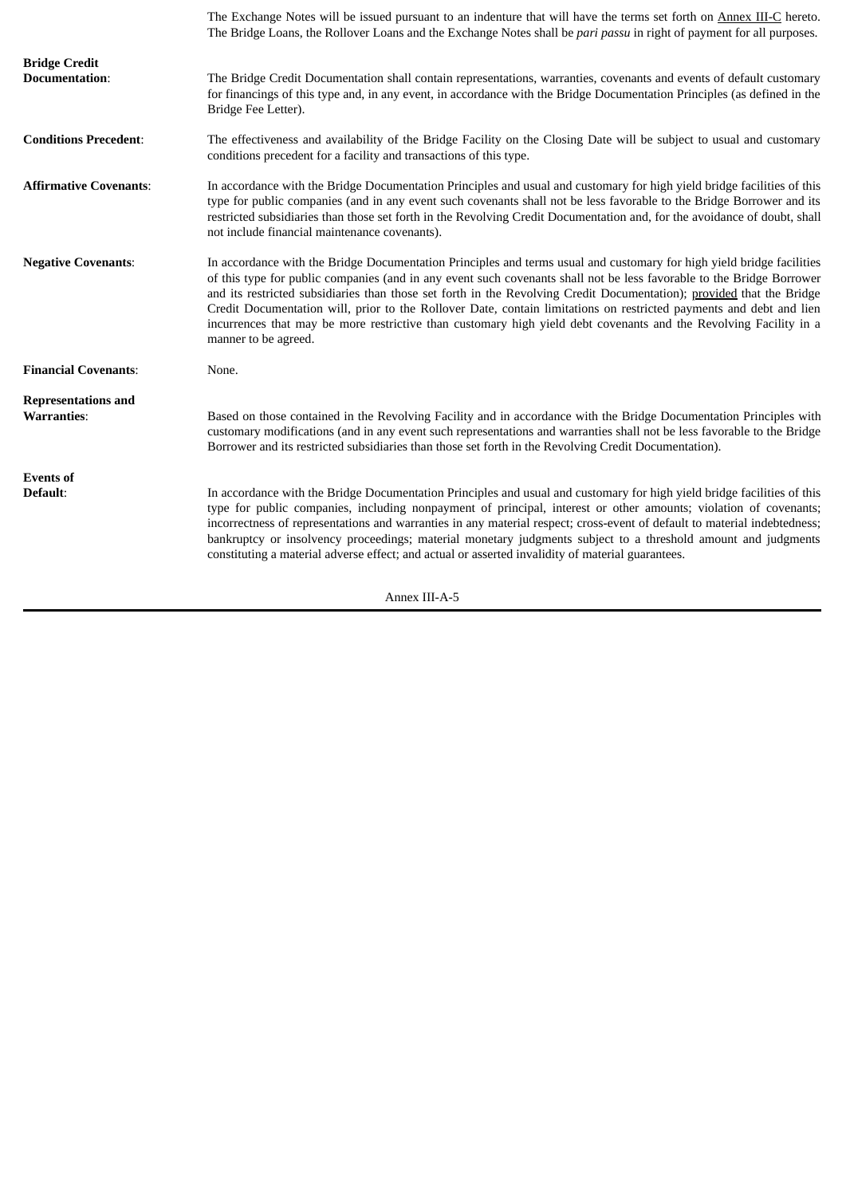|                                                  | The Exchange Notes will be issued pursuant to an indenture that will have the terms set forth on Annex III-C hereto.<br>The Bridge Loans, the Rollover Loans and the Exchange Notes shall be pari passu in right of payment for all purposes.                                                                                                                                                                                                                                                                                                                                                                                               |
|--------------------------------------------------|---------------------------------------------------------------------------------------------------------------------------------------------------------------------------------------------------------------------------------------------------------------------------------------------------------------------------------------------------------------------------------------------------------------------------------------------------------------------------------------------------------------------------------------------------------------------------------------------------------------------------------------------|
| <b>Bridge Credit</b><br><b>Documentation:</b>    | The Bridge Credit Documentation shall contain representations, warranties, covenants and events of default customary<br>for financings of this type and, in any event, in accordance with the Bridge Documentation Principles (as defined in the<br>Bridge Fee Letter).                                                                                                                                                                                                                                                                                                                                                                     |
| <b>Conditions Precedent:</b>                     | The effectiveness and availability of the Bridge Facility on the Closing Date will be subject to usual and customary<br>conditions precedent for a facility and transactions of this type.                                                                                                                                                                                                                                                                                                                                                                                                                                                  |
| <b>Affirmative Covenants:</b>                    | In accordance with the Bridge Documentation Principles and usual and customary for high yield bridge facilities of this<br>type for public companies (and in any event such covenants shall not be less favorable to the Bridge Borrower and its<br>restricted subsidiaries than those set forth in the Revolving Credit Documentation and, for the avoidance of doubt, shall<br>not include financial maintenance covenants).                                                                                                                                                                                                              |
| <b>Negative Covenants:</b>                       | In accordance with the Bridge Documentation Principles and terms usual and customary for high yield bridge facilities<br>of this type for public companies (and in any event such covenants shall not be less favorable to the Bridge Borrower<br>and its restricted subsidiaries than those set forth in the Revolving Credit Documentation); provided that the Bridge<br>Credit Documentation will, prior to the Rollover Date, contain limitations on restricted payments and debt and lien<br>incurrences that may be more restrictive than customary high yield debt covenants and the Revolving Facility in a<br>manner to be agreed. |
| <b>Financial Covenants:</b>                      | None.                                                                                                                                                                                                                                                                                                                                                                                                                                                                                                                                                                                                                                       |
| <b>Representations and</b><br><b>Warranties:</b> | Based on those contained in the Revolving Facility and in accordance with the Bridge Documentation Principles with<br>customary modifications (and in any event such representations and warranties shall not be less favorable to the Bridge<br>Borrower and its restricted subsidiaries than those set forth in the Revolving Credit Documentation).                                                                                                                                                                                                                                                                                      |
| <b>Events</b> of<br>Default:                     | In accordance with the Bridge Documentation Principles and usual and customary for high yield bridge facilities of this<br>type for public companies, including nonpayment of principal, interest or other amounts; violation of covenants;<br>incorrectness of representations and warranties in any material respect; cross-event of default to material indebtedness;<br>bankruptcy or insolvency proceedings; material monetary judgments subject to a threshold amount and judgments<br>constituting a material adverse effect; and actual or asserted invalidity of material guarantees.                                              |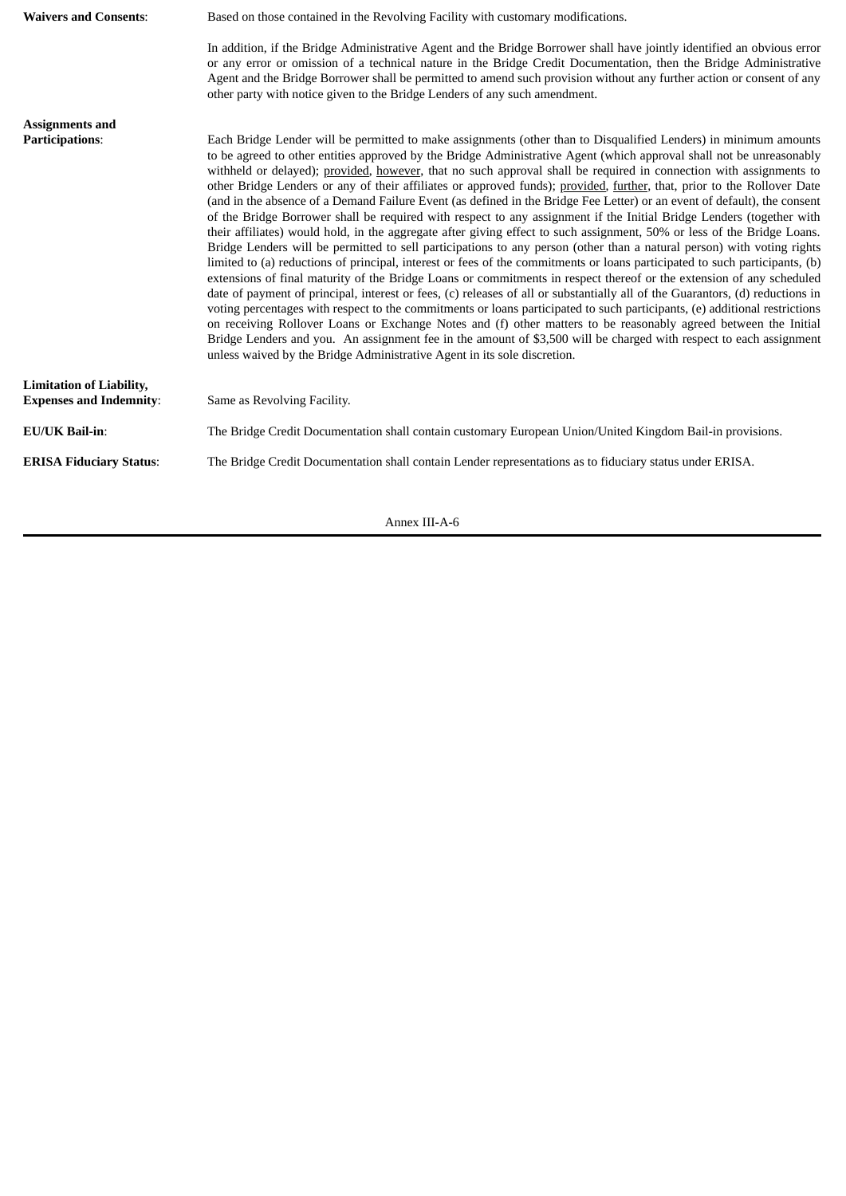| <b>Waivers and Consents:</b>                                      | Based on those contained in the Revolving Facility with customary modifications.                                                                                                                                                                                                                                                                                                                                                                                                                                                                                                                                                                                                                                                                                                                                                                                                                                                                                                                                                                                                                                                                                                                                                                                                                                                                                                                                                                                                                                                                                                                                                                                                                                                                                                                                                              |
|-------------------------------------------------------------------|-----------------------------------------------------------------------------------------------------------------------------------------------------------------------------------------------------------------------------------------------------------------------------------------------------------------------------------------------------------------------------------------------------------------------------------------------------------------------------------------------------------------------------------------------------------------------------------------------------------------------------------------------------------------------------------------------------------------------------------------------------------------------------------------------------------------------------------------------------------------------------------------------------------------------------------------------------------------------------------------------------------------------------------------------------------------------------------------------------------------------------------------------------------------------------------------------------------------------------------------------------------------------------------------------------------------------------------------------------------------------------------------------------------------------------------------------------------------------------------------------------------------------------------------------------------------------------------------------------------------------------------------------------------------------------------------------------------------------------------------------------------------------------------------------------------------------------------------------|
|                                                                   | In addition, if the Bridge Administrative Agent and the Bridge Borrower shall have jointly identified an obvious error<br>or any error or omission of a technical nature in the Bridge Credit Documentation, then the Bridge Administrative<br>Agent and the Bridge Borrower shall be permitted to amend such provision without any further action or consent of any<br>other party with notice given to the Bridge Lenders of any such amendment.                                                                                                                                                                                                                                                                                                                                                                                                                                                                                                                                                                                                                                                                                                                                                                                                                                                                                                                                                                                                                                                                                                                                                                                                                                                                                                                                                                                            |
| <b>Assignments and</b>                                            |                                                                                                                                                                                                                                                                                                                                                                                                                                                                                                                                                                                                                                                                                                                                                                                                                                                                                                                                                                                                                                                                                                                                                                                                                                                                                                                                                                                                                                                                                                                                                                                                                                                                                                                                                                                                                                               |
| <b>Participations:</b>                                            | Each Bridge Lender will be permitted to make assignments (other than to Disqualified Lenders) in minimum amounts<br>to be agreed to other entities approved by the Bridge Administrative Agent (which approval shall not be unreasonably<br>withheld or delayed); provided, however, that no such approval shall be required in connection with assignments to<br>other Bridge Lenders or any of their affiliates or approved funds); provided, further, that, prior to the Rollover Date<br>(and in the absence of a Demand Failure Event (as defined in the Bridge Fee Letter) or an event of default), the consent<br>of the Bridge Borrower shall be required with respect to any assignment if the Initial Bridge Lenders (together with<br>their affiliates) would hold, in the aggregate after giving effect to such assignment, 50% or less of the Bridge Loans.<br>Bridge Lenders will be permitted to sell participations to any person (other than a natural person) with voting rights<br>limited to (a) reductions of principal, interest or fees of the commitments or loans participated to such participants, (b)<br>extensions of final maturity of the Bridge Loans or commitments in respect thereof or the extension of any scheduled<br>date of payment of principal, interest or fees, (c) releases of all or substantially all of the Guarantors, (d) reductions in<br>voting percentages with respect to the commitments or loans participated to such participants, (e) additional restrictions<br>on receiving Rollover Loans or Exchange Notes and (f) other matters to be reasonably agreed between the Initial<br>Bridge Lenders and you. An assignment fee in the amount of \$3,500 will be charged with respect to each assignment<br>unless waived by the Bridge Administrative Agent in its sole discretion. |
| <b>Limitation of Liability,</b><br><b>Expenses and Indemnity:</b> | Same as Revolving Facility.                                                                                                                                                                                                                                                                                                                                                                                                                                                                                                                                                                                                                                                                                                                                                                                                                                                                                                                                                                                                                                                                                                                                                                                                                                                                                                                                                                                                                                                                                                                                                                                                                                                                                                                                                                                                                   |
| <b>EU/UK Bail-in:</b>                                             | The Bridge Credit Documentation shall contain customary European Union/United Kingdom Bail-in provisions.                                                                                                                                                                                                                                                                                                                                                                                                                                                                                                                                                                                                                                                                                                                                                                                                                                                                                                                                                                                                                                                                                                                                                                                                                                                                                                                                                                                                                                                                                                                                                                                                                                                                                                                                     |
| <b>ERISA Fiduciary Status:</b>                                    | The Bridge Credit Documentation shall contain Lender representations as to fiduciary status under ERISA.                                                                                                                                                                                                                                                                                                                                                                                                                                                                                                                                                                                                                                                                                                                                                                                                                                                                                                                                                                                                                                                                                                                                                                                                                                                                                                                                                                                                                                                                                                                                                                                                                                                                                                                                      |
|                                                                   |                                                                                                                                                                                                                                                                                                                                                                                                                                                                                                                                                                                                                                                                                                                                                                                                                                                                                                                                                                                                                                                                                                                                                                                                                                                                                                                                                                                                                                                                                                                                                                                                                                                                                                                                                                                                                                               |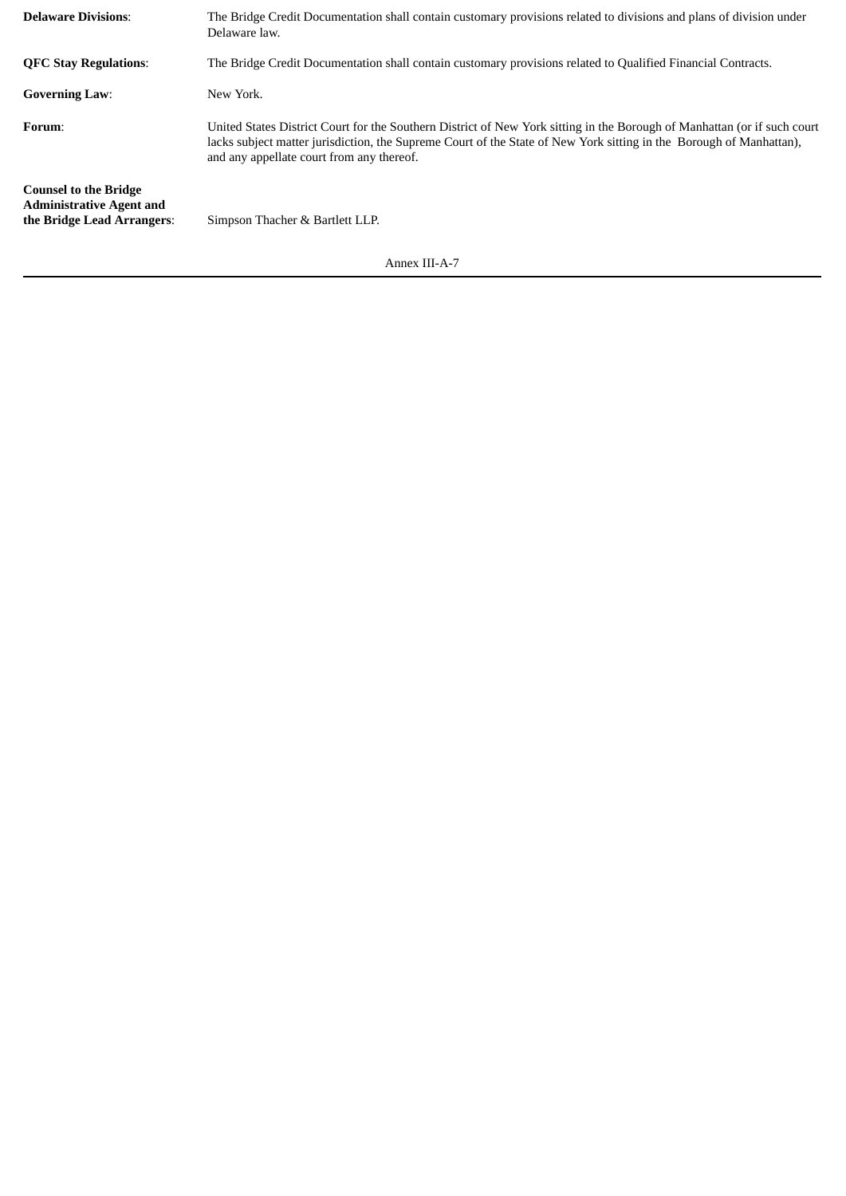| <b>Delaware Divisions:</b>                                                                    | The Bridge Credit Documentation shall contain customary provisions related to divisions and plans of division under<br>Delaware law.                                                                                                                                                         |
|-----------------------------------------------------------------------------------------------|----------------------------------------------------------------------------------------------------------------------------------------------------------------------------------------------------------------------------------------------------------------------------------------------|
| <b>QFC Stay Regulations:</b>                                                                  | The Bridge Credit Documentation shall contain customary provisions related to Qualified Financial Contracts.                                                                                                                                                                                 |
| <b>Governing Law:</b>                                                                         | New York.                                                                                                                                                                                                                                                                                    |
| Forum:                                                                                        | United States District Court for the Southern District of New York sitting in the Borough of Manhattan (or if such court<br>lacks subject matter jurisdiction, the Supreme Court of the State of New York sitting in the Borough of Manhattan),<br>and any appellate court from any thereof. |
| <b>Counsel to the Bridge</b><br><b>Administrative Agent and</b><br>the Bridge Lead Arrangers: | Simpson Thacher & Bartlett LLP.                                                                                                                                                                                                                                                              |
|                                                                                               | Annex III-A-7                                                                                                                                                                                                                                                                                |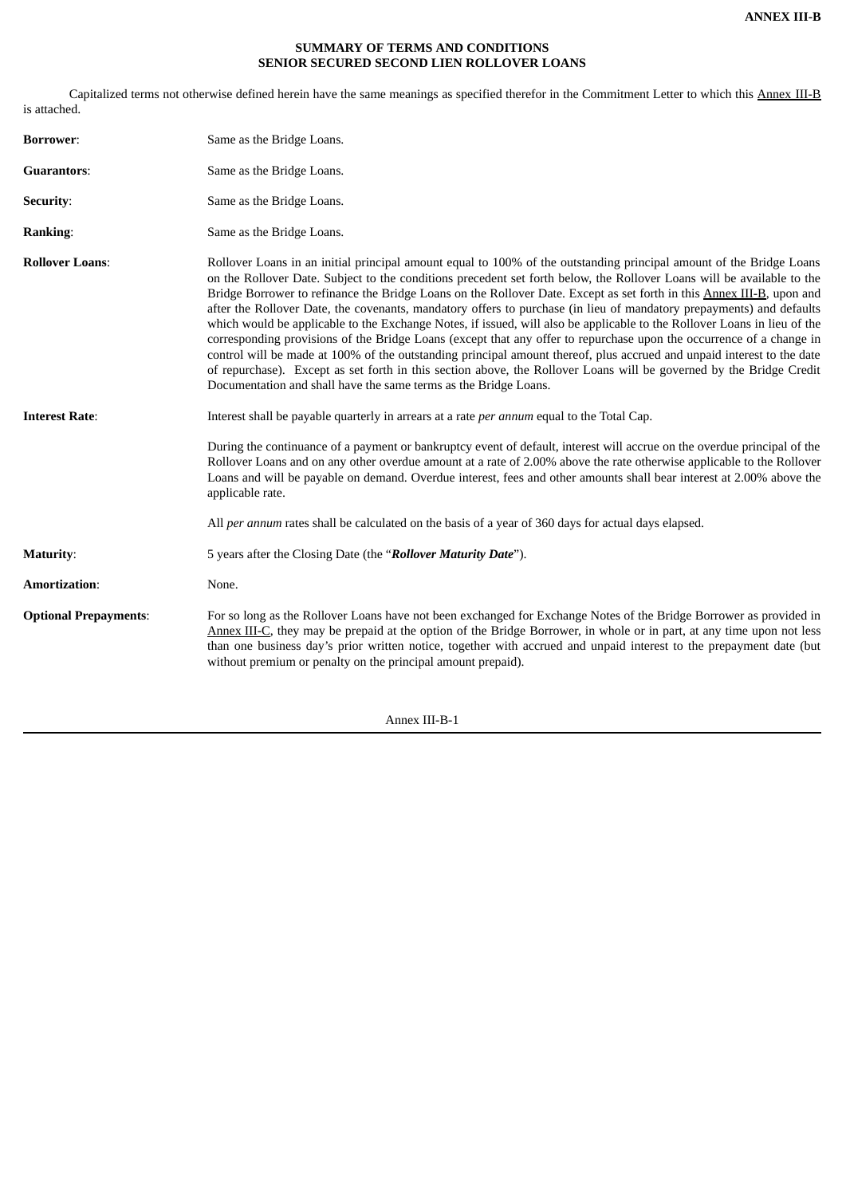# **SUMMARY OF TERMS AND CONDITIONS SENIOR SECURED SECOND LIEN ROLLOVER LOANS**

Capitalized terms not otherwise defined herein have the same meanings as specified therefor in the Commitment Letter to which this Annex III-B is attached.

| <b>Borrower:</b>             | Same as the Bridge Loans.                                                                                                                                                                                                                                                                                                                                                                                                                                                                                                                                                                                                                                                                                                                                                                                                                                                                                                                                                                                                                                               |
|------------------------------|-------------------------------------------------------------------------------------------------------------------------------------------------------------------------------------------------------------------------------------------------------------------------------------------------------------------------------------------------------------------------------------------------------------------------------------------------------------------------------------------------------------------------------------------------------------------------------------------------------------------------------------------------------------------------------------------------------------------------------------------------------------------------------------------------------------------------------------------------------------------------------------------------------------------------------------------------------------------------------------------------------------------------------------------------------------------------|
| <b>Guarantors:</b>           | Same as the Bridge Loans.                                                                                                                                                                                                                                                                                                                                                                                                                                                                                                                                                                                                                                                                                                                                                                                                                                                                                                                                                                                                                                               |
| Security:                    | Same as the Bridge Loans.                                                                                                                                                                                                                                                                                                                                                                                                                                                                                                                                                                                                                                                                                                                                                                                                                                                                                                                                                                                                                                               |
| <b>Ranking:</b>              | Same as the Bridge Loans.                                                                                                                                                                                                                                                                                                                                                                                                                                                                                                                                                                                                                                                                                                                                                                                                                                                                                                                                                                                                                                               |
| <b>Rollover Loans:</b>       | Rollover Loans in an initial principal amount equal to 100% of the outstanding principal amount of the Bridge Loans<br>on the Rollover Date. Subject to the conditions precedent set forth below, the Rollover Loans will be available to the<br>Bridge Borrower to refinance the Bridge Loans on the Rollover Date. Except as set forth in this Annex III-B, upon and<br>after the Rollover Date, the covenants, mandatory offers to purchase (in lieu of mandatory prepayments) and defaults<br>which would be applicable to the Exchange Notes, if issued, will also be applicable to the Rollover Loans in lieu of the<br>corresponding provisions of the Bridge Loans (except that any offer to repurchase upon the occurrence of a change in<br>control will be made at 100% of the outstanding principal amount thereof, plus accrued and unpaid interest to the date<br>of repurchase). Except as set forth in this section above, the Rollover Loans will be governed by the Bridge Credit<br>Documentation and shall have the same terms as the Bridge Loans. |
| <b>Interest Rate:</b>        | Interest shall be payable quarterly in arrears at a rate <i>per annum</i> equal to the Total Cap.                                                                                                                                                                                                                                                                                                                                                                                                                                                                                                                                                                                                                                                                                                                                                                                                                                                                                                                                                                       |
|                              | During the continuance of a payment or bankruptcy event of default, interest will accrue on the overdue principal of the<br>Rollover Loans and on any other overdue amount at a rate of 2.00% above the rate otherwise applicable to the Rollover<br>Loans and will be payable on demand. Overdue interest, fees and other amounts shall bear interest at 2.00% above the<br>applicable rate.                                                                                                                                                                                                                                                                                                                                                                                                                                                                                                                                                                                                                                                                           |
|                              | All per annum rates shall be calculated on the basis of a year of 360 days for actual days elapsed.                                                                                                                                                                                                                                                                                                                                                                                                                                                                                                                                                                                                                                                                                                                                                                                                                                                                                                                                                                     |
| <b>Maturity:</b>             | 5 years after the Closing Date (the "Rollover Maturity Date").                                                                                                                                                                                                                                                                                                                                                                                                                                                                                                                                                                                                                                                                                                                                                                                                                                                                                                                                                                                                          |
| <b>Amortization:</b>         | None.                                                                                                                                                                                                                                                                                                                                                                                                                                                                                                                                                                                                                                                                                                                                                                                                                                                                                                                                                                                                                                                                   |
| <b>Optional Prepayments:</b> | For so long as the Rollover Loans have not been exchanged for Exchange Notes of the Bridge Borrower as provided in<br>Annex III-C, they may be prepaid at the option of the Bridge Borrower, in whole or in part, at any time upon not less<br>than one business day's prior written notice, together with accrued and unpaid interest to the prepayment date (but<br>without premium or penalty on the principal amount prepaid).                                                                                                                                                                                                                                                                                                                                                                                                                                                                                                                                                                                                                                      |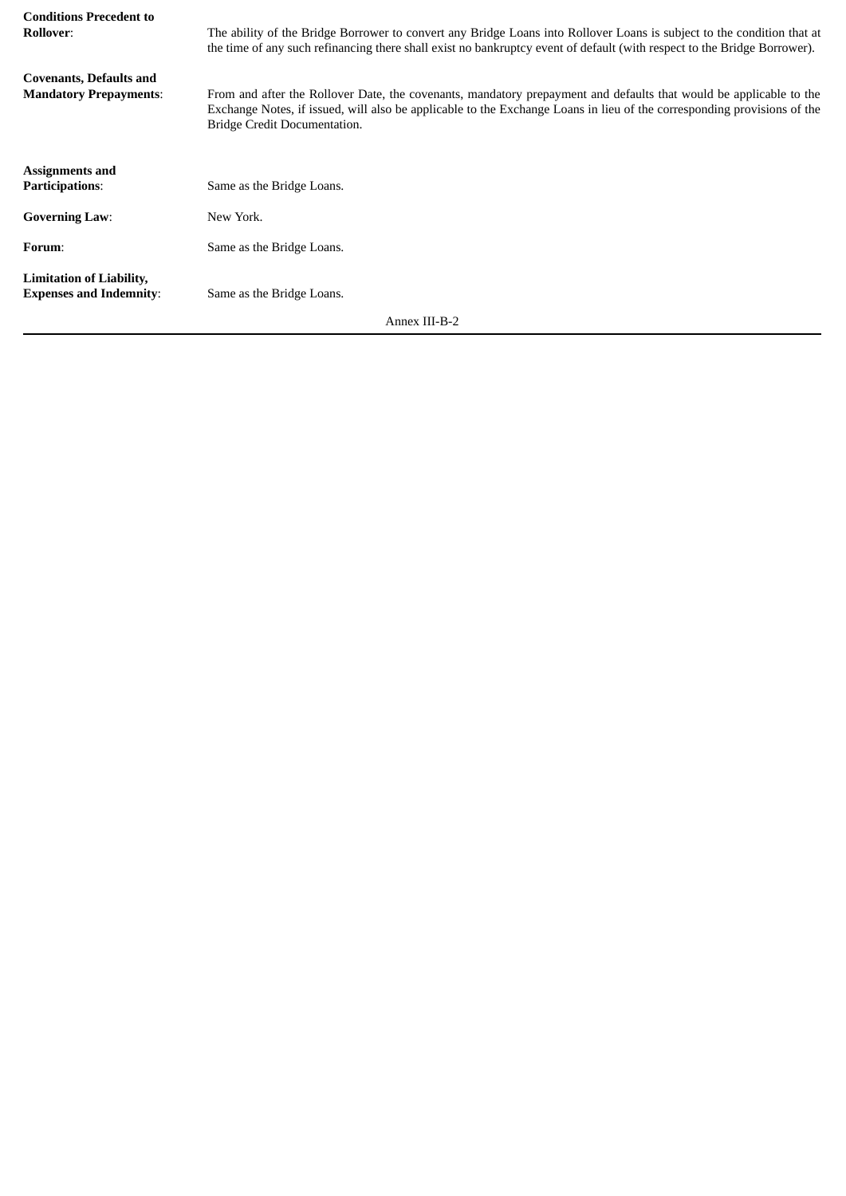| <b>Conditions Precedent to</b>                                    |                                                                                                                                                                                                                                                                               |
|-------------------------------------------------------------------|-------------------------------------------------------------------------------------------------------------------------------------------------------------------------------------------------------------------------------------------------------------------------------|
| <b>Rollover:</b>                                                  | The ability of the Bridge Borrower to convert any Bridge Loans into Rollover Loans is subject to the condition that at<br>the time of any such refinancing there shall exist no bankruptcy event of default (with respect to the Bridge Borrower).                            |
| <b>Covenants, Defaults and</b><br><b>Mandatory Prepayments:</b>   | From and after the Rollover Date, the covenants, mandatory prepayment and defaults that would be applicable to the<br>Exchange Notes, if issued, will also be applicable to the Exchange Loans in lieu of the corresponding provisions of the<br>Bridge Credit Documentation. |
| <b>Assignments and</b><br><b>Participations:</b>                  | Same as the Bridge Loans.                                                                                                                                                                                                                                                     |
| <b>Governing Law:</b>                                             | New York.                                                                                                                                                                                                                                                                     |
| Forum:                                                            | Same as the Bridge Loans.                                                                                                                                                                                                                                                     |
| <b>Limitation of Liability,</b><br><b>Expenses and Indemnity:</b> | Same as the Bridge Loans.                                                                                                                                                                                                                                                     |
|                                                                   | Annex III-B-2                                                                                                                                                                                                                                                                 |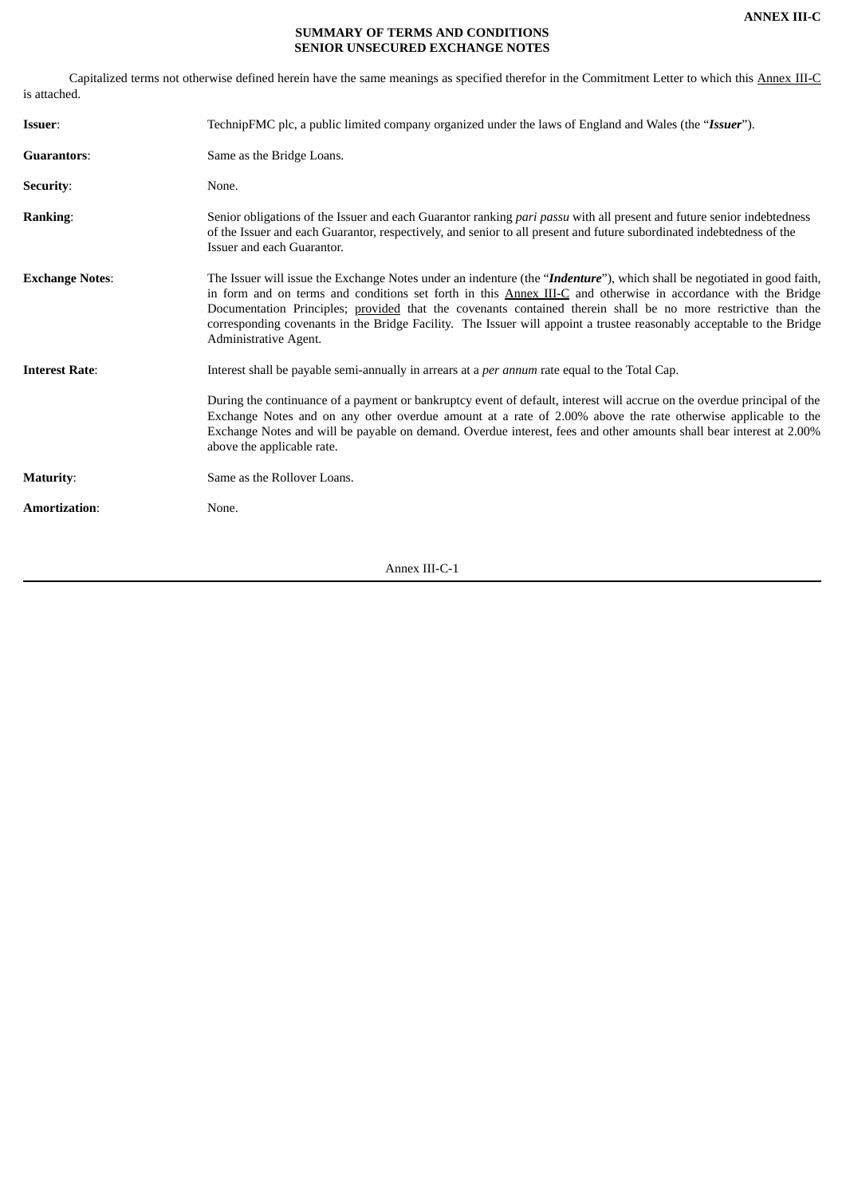## **SUMMARY OF TERMS AND CONDITIONS SENIOR UNSECURED EXCHANGE NOTES**

Capitalized terms not otherwise defined herein have the same meanings as specified therefor in the Commitment Letter to which this Annex III-C is attached.

| <b>Issuer:</b>         | TechnipFMC plc, a public limited company organized under the laws of England and Wales (the "Issuer").                                                                                                                                                                                                                                                                                                                                                                                                      |
|------------------------|-------------------------------------------------------------------------------------------------------------------------------------------------------------------------------------------------------------------------------------------------------------------------------------------------------------------------------------------------------------------------------------------------------------------------------------------------------------------------------------------------------------|
| <b>Guarantors:</b>     | Same as the Bridge Loans.                                                                                                                                                                                                                                                                                                                                                                                                                                                                                   |
| <b>Security:</b>       | None.                                                                                                                                                                                                                                                                                                                                                                                                                                                                                                       |
| <b>Ranking:</b>        | Senior obligations of the Issuer and each Guarantor ranking pari passu with all present and future senior indebtedness<br>of the Issuer and each Guarantor, respectively, and senior to all present and future subordinated indebtedness of the<br>Issuer and each Guarantor.                                                                                                                                                                                                                               |
| <b>Exchange Notes:</b> | The Issuer will issue the Exchange Notes under an indenture (the "Indenture"), which shall be negotiated in good faith,<br>in form and on terms and conditions set forth in this Annex III-C and otherwise in accordance with the Bridge<br>Documentation Principles; provided that the covenants contained therein shall be no more restrictive than the<br>corresponding covenants in the Bridge Facility. The Issuer will appoint a trustee reasonably acceptable to the Bridge<br>Administrative Agent. |
| <b>Interest Rate:</b>  | Interest shall be payable semi-annually in arrears at a per annum rate equal to the Total Cap.                                                                                                                                                                                                                                                                                                                                                                                                              |
|                        | During the continuance of a payment or bankruptcy event of default, interest will accrue on the overdue principal of the<br>Exchange Notes and on any other overdue amount at a rate of 2.00% above the rate otherwise applicable to the<br>Exchange Notes and will be payable on demand. Overdue interest, fees and other amounts shall bear interest at 2.00%<br>above the applicable rate.                                                                                                               |
| <b>Maturity:</b>       | Same as the Rollover Loans.                                                                                                                                                                                                                                                                                                                                                                                                                                                                                 |
| <b>Amortization:</b>   | None.                                                                                                                                                                                                                                                                                                                                                                                                                                                                                                       |
|                        |                                                                                                                                                                                                                                                                                                                                                                                                                                                                                                             |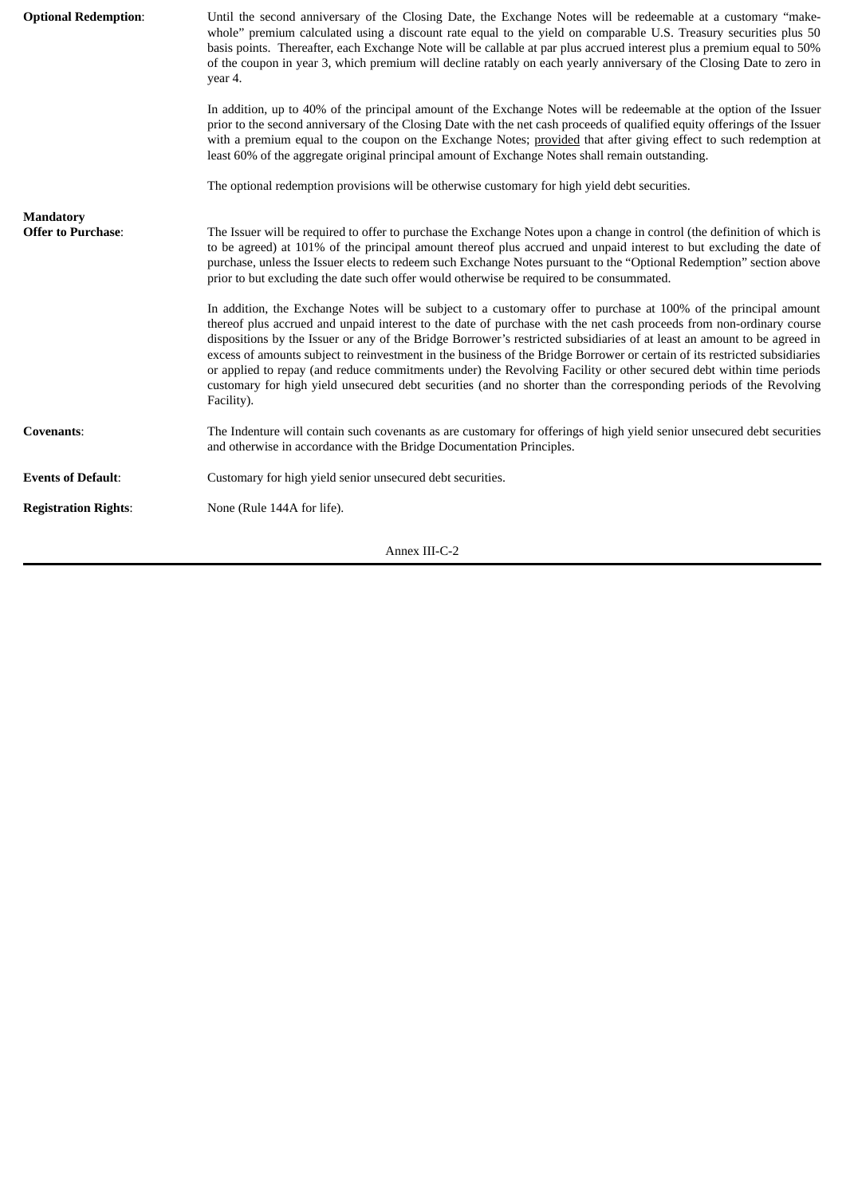| <b>Optional Redemption:</b>                   | Until the second anniversary of the Closing Date, the Exchange Notes will be redeemable at a customary "make-<br>whole" premium calculated using a discount rate equal to the yield on comparable U.S. Treasury securities plus 50<br>basis points. Thereafter, each Exchange Note will be callable at par plus accrued interest plus a premium equal to 50%<br>of the coupon in year 3, which premium will decline ratably on each yearly anniversary of the Closing Date to zero in<br>year 4.                                                                                                                                                                                                                                                              |  |
|-----------------------------------------------|---------------------------------------------------------------------------------------------------------------------------------------------------------------------------------------------------------------------------------------------------------------------------------------------------------------------------------------------------------------------------------------------------------------------------------------------------------------------------------------------------------------------------------------------------------------------------------------------------------------------------------------------------------------------------------------------------------------------------------------------------------------|--|
|                                               | In addition, up to 40% of the principal amount of the Exchange Notes will be redeemable at the option of the Issuer<br>prior to the second anniversary of the Closing Date with the net cash proceeds of qualified equity offerings of the Issuer<br>with a premium equal to the coupon on the Exchange Notes; provided that after giving effect to such redemption at<br>least 60% of the aggregate original principal amount of Exchange Notes shall remain outstanding.                                                                                                                                                                                                                                                                                    |  |
|                                               | The optional redemption provisions will be otherwise customary for high yield debt securities.                                                                                                                                                                                                                                                                                                                                                                                                                                                                                                                                                                                                                                                                |  |
| <b>Mandatory</b><br><b>Offer to Purchase:</b> | The Issuer will be required to offer to purchase the Exchange Notes upon a change in control (the definition of which is<br>to be agreed) at 101% of the principal amount thereof plus accrued and unpaid interest to but excluding the date of<br>purchase, unless the Issuer elects to redeem such Exchange Notes pursuant to the "Optional Redemption" section above<br>prior to but excluding the date such offer would otherwise be required to be consummated.                                                                                                                                                                                                                                                                                          |  |
|                                               | In addition, the Exchange Notes will be subject to a customary offer to purchase at 100% of the principal amount<br>thereof plus accrued and unpaid interest to the date of purchase with the net cash proceeds from non-ordinary course<br>dispositions by the Issuer or any of the Bridge Borrower's restricted subsidiaries of at least an amount to be agreed in<br>excess of amounts subject to reinvestment in the business of the Bridge Borrower or certain of its restricted subsidiaries<br>or applied to repay (and reduce commitments under) the Revolving Facility or other secured debt within time periods<br>customary for high yield unsecured debt securities (and no shorter than the corresponding periods of the Revolving<br>Facility). |  |
| Covenants:                                    | The Indenture will contain such covenants as are customary for offerings of high yield senior unsecured debt securities<br>and otherwise in accordance with the Bridge Documentation Principles.                                                                                                                                                                                                                                                                                                                                                                                                                                                                                                                                                              |  |
| <b>Events of Default:</b>                     | Customary for high yield senior unsecured debt securities.                                                                                                                                                                                                                                                                                                                                                                                                                                                                                                                                                                                                                                                                                                    |  |
| <b>Registration Rights:</b>                   | None (Rule 144A for life).                                                                                                                                                                                                                                                                                                                                                                                                                                                                                                                                                                                                                                                                                                                                    |  |
| Annex III-C-2                                 |                                                                                                                                                                                                                                                                                                                                                                                                                                                                                                                                                                                                                                                                                                                                                               |  |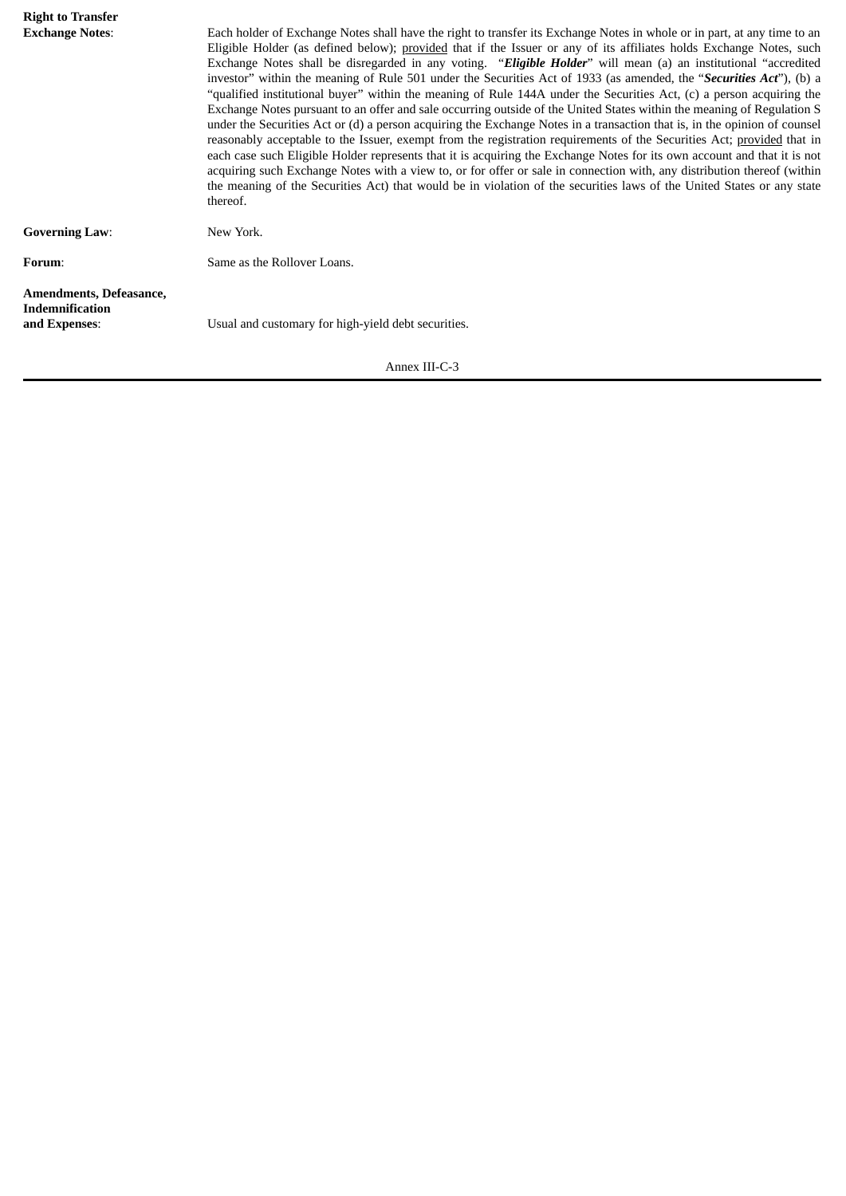| <b>Right to Transfer</b><br><b>Exchange Notes:</b>                        | Each holder of Exchange Notes shall have the right to transfer its Exchange Notes in whole or in part, at any time to an<br>Eligible Holder (as defined below); provided that if the Issuer or any of its affiliates holds Exchange Notes, such<br>Exchange Notes shall be disregarded in any voting. "Eligible Holder" will mean (a) an institutional "accredited<br>investor" within the meaning of Rule 501 under the Securities Act of 1933 (as amended, the "Securities Act"), (b) a<br>"qualified institutional buyer" within the meaning of Rule 144A under the Securities Act, (c) a person acquiring the<br>Exchange Notes pursuant to an offer and sale occurring outside of the United States within the meaning of Regulation S<br>under the Securities Act or (d) a person acquiring the Exchange Notes in a transaction that is, in the opinion of counsel<br>reasonably acceptable to the Issuer, exempt from the registration requirements of the Securities Act; provided that in<br>each case such Eligible Holder represents that it is acquiring the Exchange Notes for its own account and that it is not<br>acquiring such Exchange Notes with a view to, or for offer or sale in connection with, any distribution thereof (within<br>the meaning of the Securities Act) that would be in violation of the securities laws of the United States or any state<br>thereof. |
|---------------------------------------------------------------------------|-------------------------------------------------------------------------------------------------------------------------------------------------------------------------------------------------------------------------------------------------------------------------------------------------------------------------------------------------------------------------------------------------------------------------------------------------------------------------------------------------------------------------------------------------------------------------------------------------------------------------------------------------------------------------------------------------------------------------------------------------------------------------------------------------------------------------------------------------------------------------------------------------------------------------------------------------------------------------------------------------------------------------------------------------------------------------------------------------------------------------------------------------------------------------------------------------------------------------------------------------------------------------------------------------------------------------------------------------------------------------------------------------|
| <b>Governing Law:</b>                                                     | New York.                                                                                                                                                                                                                                                                                                                                                                                                                                                                                                                                                                                                                                                                                                                                                                                                                                                                                                                                                                                                                                                                                                                                                                                                                                                                                                                                                                                       |
| Forum:                                                                    | Same as the Rollover Loans.                                                                                                                                                                                                                                                                                                                                                                                                                                                                                                                                                                                                                                                                                                                                                                                                                                                                                                                                                                                                                                                                                                                                                                                                                                                                                                                                                                     |
| <b>Amendments, Defeasance,</b><br><b>Indemnification</b><br>and Expenses: | Usual and customary for high-yield debt securities.                                                                                                                                                                                                                                                                                                                                                                                                                                                                                                                                                                                                                                                                                                                                                                                                                                                                                                                                                                                                                                                                                                                                                                                                                                                                                                                                             |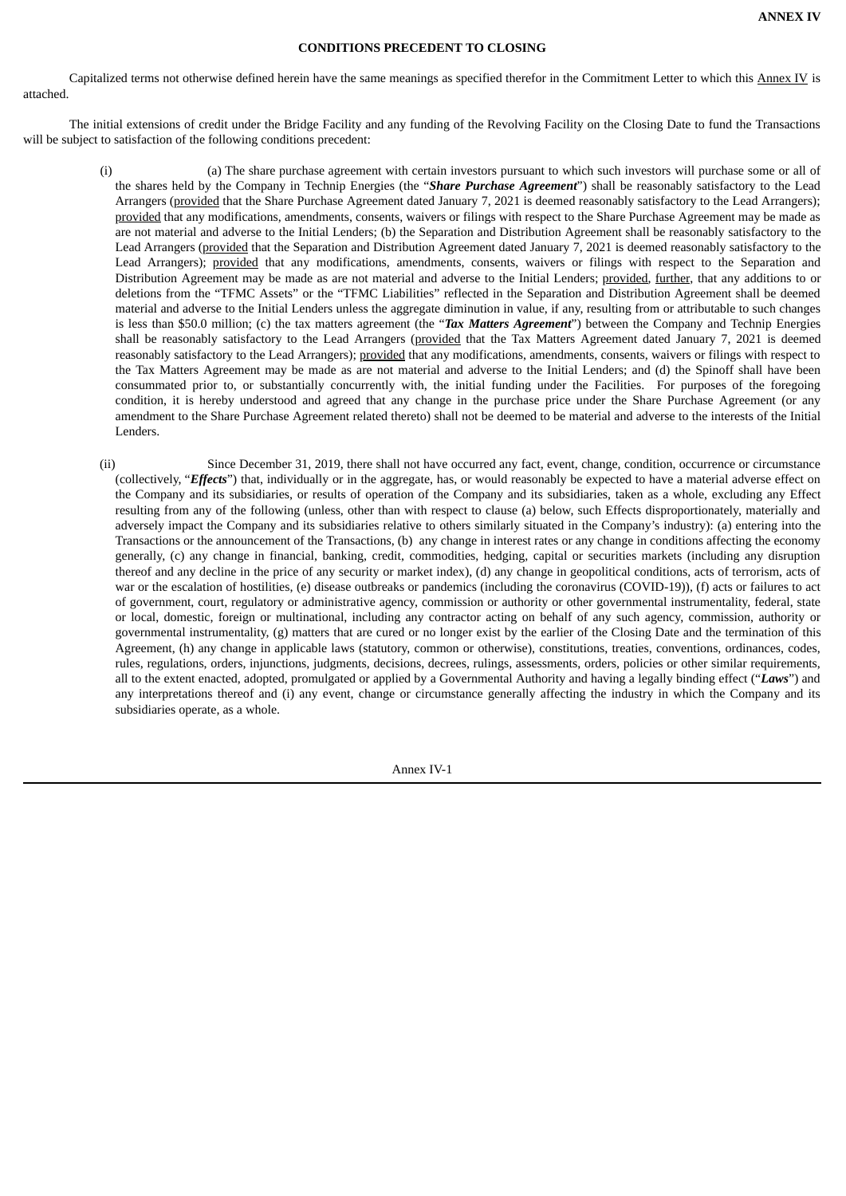## **CONDITIONS PRECEDENT TO CLOSING**

Capitalized terms not otherwise defined herein have the same meanings as specified therefor in the Commitment Letter to which this Annex IV is attached.

The initial extensions of credit under the Bridge Facility and any funding of the Revolving Facility on the Closing Date to fund the Transactions will be subject to satisfaction of the following conditions precedent:

- (i) (a) The share purchase agreement with certain investors pursuant to which such investors will purchase some or all of the shares held by the Company in Technip Energies (the "*Share Purchase Agreement*") shall be reasonably satisfactory to the Lead Arrangers (provided that the Share Purchase Agreement dated January 7, 2021 is deemed reasonably satisfactory to the Lead Arrangers); provided that any modifications, amendments, consents, waivers or filings with respect to the Share Purchase Agreement may be made as are not material and adverse to the Initial Lenders; (b) the Separation and Distribution Agreement shall be reasonably satisfactory to the Lead Arrangers (provided that the Separation and Distribution Agreement dated January 7, 2021 is deemed reasonably satisfactory to the Lead Arrangers); provided that any modifications, amendments, consents, waivers or filings with respect to the Separation and Distribution Agreement may be made as are not material and adverse to the Initial Lenders; provided, further, that any additions to or deletions from the "TFMC Assets" or the "TFMC Liabilities" reflected in the Separation and Distribution Agreement shall be deemed material and adverse to the Initial Lenders unless the aggregate diminution in value, if any, resulting from or attributable to such changes is less than \$50.0 million; (c) the tax matters agreement (the "*Tax Matters Agreement*") between the Company and Technip Energies shall be reasonably satisfactory to the Lead Arrangers (provided that the Tax Matters Agreement dated January 7, 2021 is deemed reasonably satisfactory to the Lead Arrangers); provided that any modifications, amendments, consents, waivers or filings with respect to the Tax Matters Agreement may be made as are not material and adverse to the Initial Lenders; and (d) the Spinoff shall have been consummated prior to, or substantially concurrently with, the initial funding under the Facilities. For purposes of the foregoing condition, it is hereby understood and agreed that any change in the purchase price under the Share Purchase Agreement (or any amendment to the Share Purchase Agreement related thereto) shall not be deemed to be material and adverse to the interests of the Initial Lenders.
- (ii) Since December 31, 2019, there shall not have occurred any fact, event, change, condition, occurrence or circumstance (collectively, "*Effects*") that, individually or in the aggregate, has, or would reasonably be expected to have a material adverse effect on the Company and its subsidiaries, or results of operation of the Company and its subsidiaries, taken as a whole, excluding any Effect resulting from any of the following (unless, other than with respect to clause (a) below, such Effects disproportionately, materially and adversely impact the Company and its subsidiaries relative to others similarly situated in the Company's industry): (a) entering into the Transactions or the announcement of the Transactions, (b) any change in interest rates or any change in conditions affecting the economy generally, (c) any change in financial, banking, credit, commodities, hedging, capital or securities markets (including any disruption thereof and any decline in the price of any security or market index), (d) any change in geopolitical conditions, acts of terrorism, acts of war or the escalation of hostilities, (e) disease outbreaks or pandemics (including the coronavirus (COVID-19)), (f) acts or failures to act of government, court, regulatory or administrative agency, commission or authority or other governmental instrumentality, federal, state or local, domestic, foreign or multinational, including any contractor acting on behalf of any such agency, commission, authority or governmental instrumentality, (g) matters that are cured or no longer exist by the earlier of the Closing Date and the termination of this Agreement, (h) any change in applicable laws (statutory, common or otherwise), constitutions, treaties, conventions, ordinances, codes, rules, regulations, orders, injunctions, judgments, decisions, decrees, rulings, assessments, orders, policies or other similar requirements, all to the extent enacted, adopted, promulgated or applied by a Governmental Authority and having a legally binding effect ("*Laws*") and any interpretations thereof and (i) any event, change or circumstance generally affecting the industry in which the Company and its subsidiaries operate, as a whole.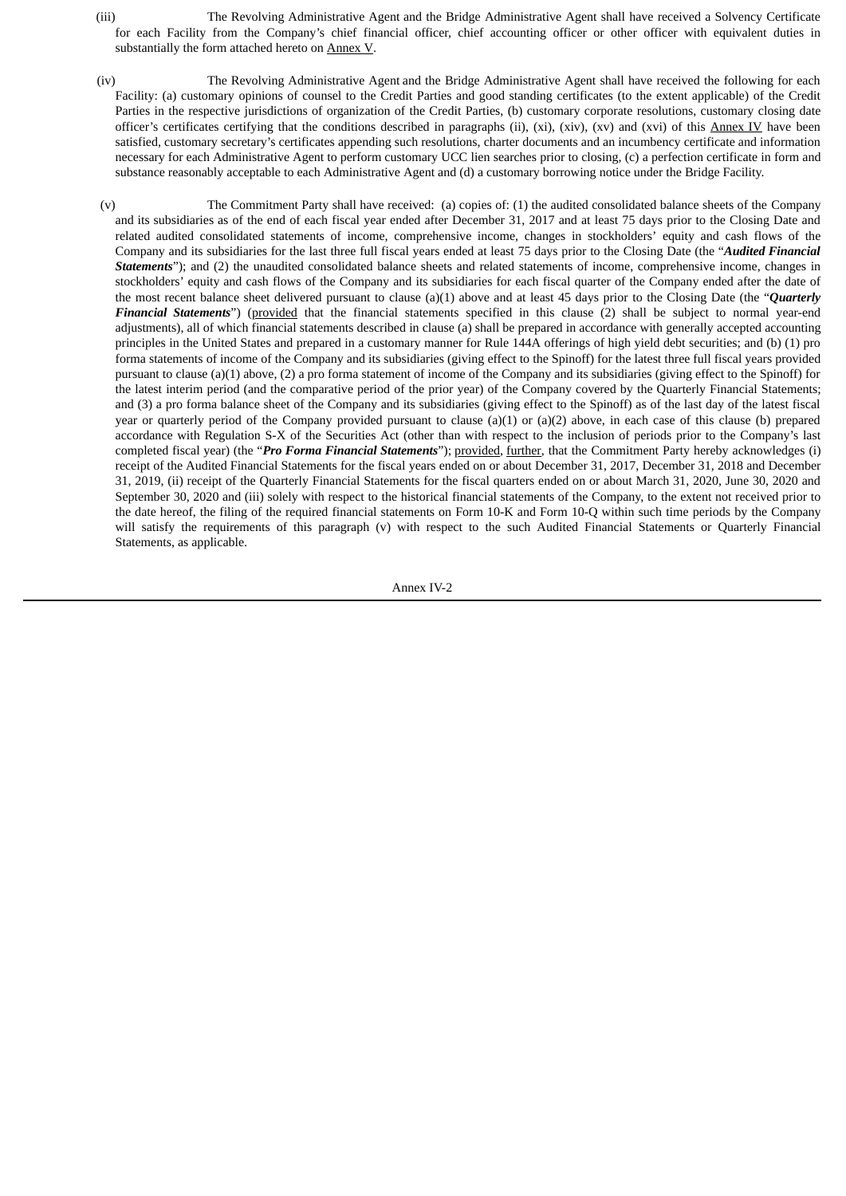- (iii) The Revolving Administrative Agent and the Bridge Administrative Agent shall have received a Solvency Certificate for each Facility from the Company's chief financial officer, chief accounting officer or other officer with equivalent duties in substantially the form attached hereto on Annex V.
- (iv) The Revolving Administrative Agent and the Bridge Administrative Agent shall have received the following for each Facility: (a) customary opinions of counsel to the Credit Parties and good standing certificates (to the extent applicable) of the Credit Parties in the respective jurisdictions of organization of the Credit Parties, (b) customary corporate resolutions, customary closing date officer's certificates certifying that the conditions described in paragraphs (ii), (xi), (xiv), (xv) and (xvi) of this  $\Delta$ nnex IV have been satisfied, customary secretary's certificates appending such resolutions, charter documents and an incumbency certificate and information necessary for each Administrative Agent to perform customary UCC lien searches prior to closing, (c) a perfection certificate in form and substance reasonably acceptable to each Administrative Agent and (d) a customary borrowing notice under the Bridge Facility.
- (v) The Commitment Party shall have received: (a) copies of: (1) the audited consolidated balance sheets of the Company and its subsidiaries as of the end of each fiscal year ended after December 31, 2017 and at least 75 days prior to the Closing Date and related audited consolidated statements of income, comprehensive income, changes in stockholders' equity and cash flows of the Company and its subsidiaries for the last three full fiscal years ended at least 75 days prior to the Closing Date (the "*Audited Financial Statements*"); and (2) the unaudited consolidated balance sheets and related statements of income, comprehensive income, changes in stockholders' equity and cash flows of the Company and its subsidiaries for each fiscal quarter of the Company ended after the date of the most recent balance sheet delivered pursuant to clause (a)(1) above and at least 45 days prior to the Closing Date (the "*Quarterly Financial Statements*") (provided that the financial statements specified in this clause (2) shall be subject to normal year-end adjustments), all of which financial statements described in clause (a) shall be prepared in accordance with generally accepted accounting principles in the United States and prepared in a customary manner for Rule 144A offerings of high yield debt securities; and (b) (1) pro forma statements of income of the Company and its subsidiaries (giving effect to the Spinoff) for the latest three full fiscal years provided pursuant to clause (a)(1) above, (2) a pro forma statement of income of the Company and its subsidiaries (giving effect to the Spinoff) for the latest interim period (and the comparative period of the prior year) of the Company covered by the Quarterly Financial Statements; and (3) a pro forma balance sheet of the Company and its subsidiaries (giving effect to the Spinoff) as of the last day of the latest fiscal year or quarterly period of the Company provided pursuant to clause (a)(1) or (a)(2) above, in each case of this clause (b) prepared accordance with Regulation S-X of the Securities Act (other than with respect to the inclusion of periods prior to the Company's last completed fiscal year) (the "*Pro Forma Financial Statements*"); provided, further, that the Commitment Party hereby acknowledges (i) receipt of the Audited Financial Statements for the fiscal years ended on or about December 31, 2017, December 31, 2018 and December 31, 2019, (ii) receipt of the Quarterly Financial Statements for the fiscal quarters ended on or about March 31, 2020, June 30, 2020 and September 30, 2020 and (iii) solely with respect to the historical financial statements of the Company, to the extent not received prior to the date hereof, the filing of the required financial statements on Form 10-K and Form 10-Q within such time periods by the Company will satisfy the requirements of this paragraph (v) with respect to the such Audited Financial Statements or Quarterly Financial Statements, as applicable.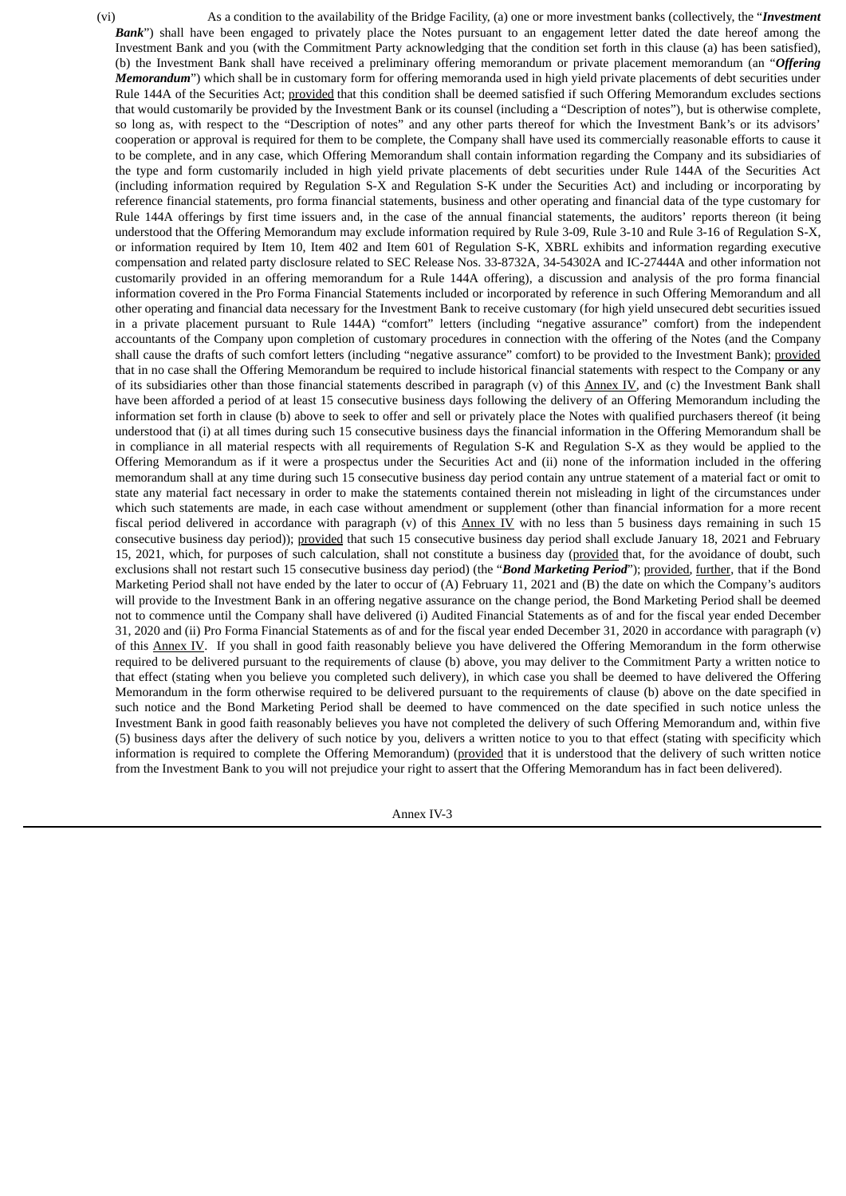(vi) As a condition to the availability of the Bridge Facility, (a) one or more investment banks (collectively, the "*Investment Bank*") shall have been engaged to privately place the Notes pursuant to an engagement letter dated the date hereof among the Investment Bank and you (with the Commitment Party acknowledging that the condition set forth in this clause (a) has been satisfied), (b) the Investment Bank shall have received a preliminary offering memorandum or private placement memorandum (an "*Offering Memorandum*") which shall be in customary form for offering memoranda used in high yield private placements of debt securities under Rule 144A of the Securities Act; provided that this condition shall be deemed satisfied if such Offering Memorandum excludes sections that would customarily be provided by the Investment Bank or its counsel (including a "Description of notes"), but is otherwise complete, so long as, with respect to the "Description of notes" and any other parts thereof for which the Investment Bank's or its advisors' cooperation or approval is required for them to be complete, the Company shall have used its commercially reasonable efforts to cause it to be complete, and in any case, which Offering Memorandum shall contain information regarding the Company and its subsidiaries of the type and form customarily included in high yield private placements of debt securities under Rule 144A of the Securities Act (including information required by Regulation S-X and Regulation S-K under the Securities Act) and including or incorporating by reference financial statements, pro forma financial statements, business and other operating and financial data of the type customary for Rule 144A offerings by first time issuers and, in the case of the annual financial statements, the auditors' reports thereon (it being understood that the Offering Memorandum may exclude information required by Rule 3-09, Rule 3-10 and Rule 3-16 of Regulation S-X, or information required by Item 10, Item 402 and Item 601 of Regulation S-K, XBRL exhibits and information regarding executive compensation and related party disclosure related to SEC Release Nos. 33-8732A, 34-54302A and IC-27444A and other information not customarily provided in an offering memorandum for a Rule 144A offering), a discussion and analysis of the pro forma financial information covered in the Pro Forma Financial Statements included or incorporated by reference in such Offering Memorandum and all other operating and financial data necessary for the Investment Bank to receive customary (for high yield unsecured debt securities issued in a private placement pursuant to Rule 144A) "comfort" letters (including "negative assurance" comfort) from the independent accountants of the Company upon completion of customary procedures in connection with the offering of the Notes (and the Company shall cause the drafts of such comfort letters (including "negative assurance" comfort) to be provided to the Investment Bank); provided that in no case shall the Offering Memorandum be required to include historical financial statements with respect to the Company or any of its subsidiaries other than those financial statements described in paragraph (v) of this Annex IV, and (c) the Investment Bank shall have been afforded a period of at least 15 consecutive business days following the delivery of an Offering Memorandum including the information set forth in clause (b) above to seek to offer and sell or privately place the Notes with qualified purchasers thereof (it being understood that (i) at all times during such 15 consecutive business days the financial information in the Offering Memorandum shall be in compliance in all material respects with all requirements of Regulation S-K and Regulation S-X as they would be applied to the Offering Memorandum as if it were a prospectus under the Securities Act and (ii) none of the information included in the offering memorandum shall at any time during such 15 consecutive business day period contain any untrue statement of a material fact or omit to state any material fact necessary in order to make the statements contained therein not misleading in light of the circumstances under which such statements are made, in each case without amendment or supplement (other than financial information for a more recent fiscal period delivered in accordance with paragraph (v) of this  $\Delta$ nnex IV with no less than 5 business days remaining in such 15 consecutive business day period)); provided that such 15 consecutive business day period shall exclude January 18, 2021 and February 15, 2021, which, for purposes of such calculation, shall not constitute a business day (provided that, for the avoidance of doubt, such exclusions shall not restart such 15 consecutive business day period) (the "*Bond Marketing Period*"); provided, further, that if the Bond Marketing Period shall not have ended by the later to occur of (A) February 11, 2021 and (B) the date on which the Company's auditors will provide to the Investment Bank in an offering negative assurance on the change period, the Bond Marketing Period shall be deemed not to commence until the Company shall have delivered (i) Audited Financial Statements as of and for the fiscal year ended December 31, 2020 and (ii) Pro Forma Financial Statements as of and for the fiscal year ended December 31, 2020 in accordance with paragraph (v) of this Annex IV. If you shall in good faith reasonably believe you have delivered the Offering Memorandum in the form otherwise required to be delivered pursuant to the requirements of clause (b) above, you may deliver to the Commitment Party a written notice to that effect (stating when you believe you completed such delivery), in which case you shall be deemed to have delivered the Offering Memorandum in the form otherwise required to be delivered pursuant to the requirements of clause (b) above on the date specified in such notice and the Bond Marketing Period shall be deemed to have commenced on the date specified in such notice unless the Investment Bank in good faith reasonably believes you have not completed the delivery of such Offering Memorandum and, within five (5) business days after the delivery of such notice by you, delivers a written notice to you to that effect (stating with specificity which information is required to complete the Offering Memorandum) (provided that it is understood that the delivery of such written notice from the Investment Bank to you will not prejudice your right to assert that the Offering Memorandum has in fact been delivered).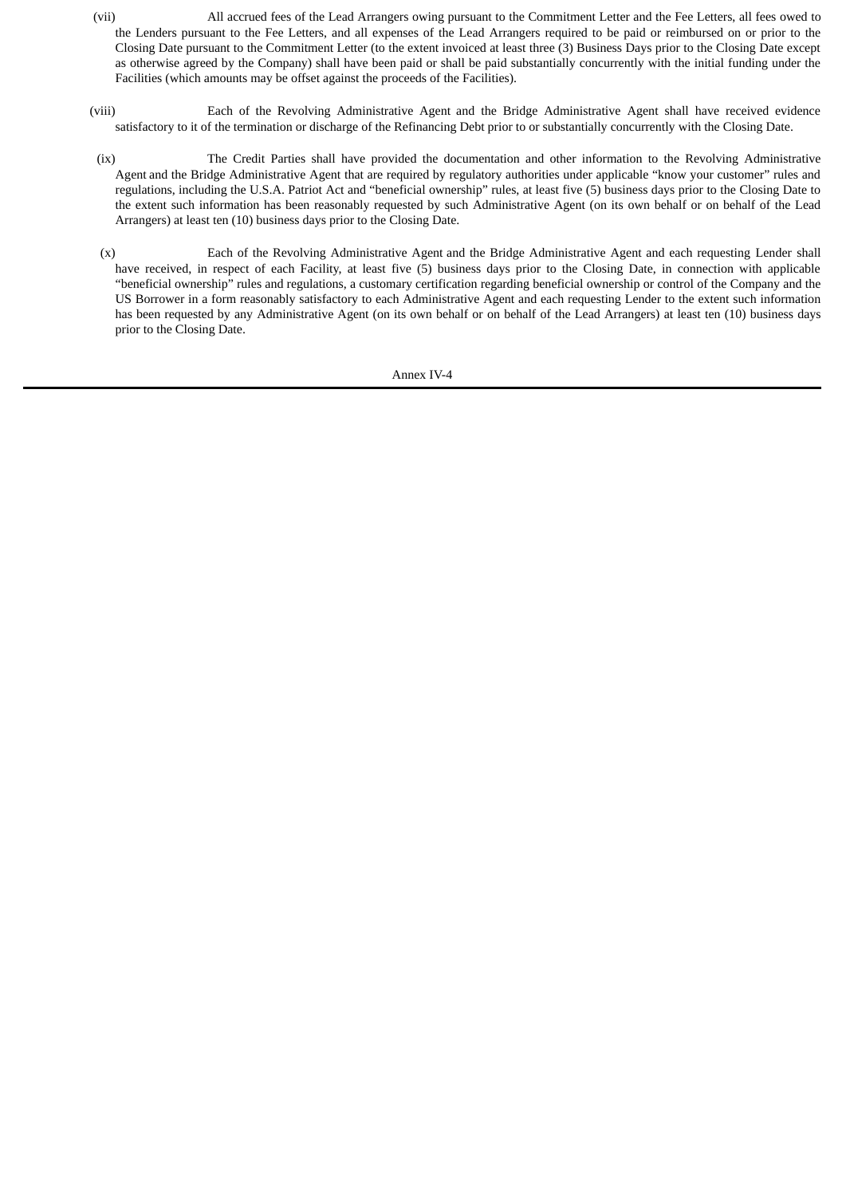- (vii) All accrued fees of the Lead Arrangers owing pursuant to the Commitment Letter and the Fee Letters, all fees owed to the Lenders pursuant to the Fee Letters, and all expenses of the Lead Arrangers required to be paid or reimbursed on or prior to the Closing Date pursuant to the Commitment Letter (to the extent invoiced at least three (3) Business Days prior to the Closing Date except as otherwise agreed by the Company) shall have been paid or shall be paid substantially concurrently with the initial funding under the Facilities (which amounts may be offset against the proceeds of the Facilities).
- (viii) Each of the Revolving Administrative Agent and the Bridge Administrative Agent shall have received evidence satisfactory to it of the termination or discharge of the Refinancing Debt prior to or substantially concurrently with the Closing Date.
- (ix) The Credit Parties shall have provided the documentation and other information to the Revolving Administrative Agent and the Bridge Administrative Agent that are required by regulatory authorities under applicable "know your customer" rules and regulations, including the U.S.A. Patriot Act and "beneficial ownership" rules, at least five (5) business days prior to the Closing Date to the extent such information has been reasonably requested by such Administrative Agent (on its own behalf or on behalf of the Lead Arrangers) at least ten (10) business days prior to the Closing Date.
- (x) Each of the Revolving Administrative Agent and the Bridge Administrative Agent and each requesting Lender shall have received, in respect of each Facility, at least five (5) business days prior to the Closing Date, in connection with applicable "beneficial ownership" rules and regulations, a customary certification regarding beneficial ownership or control of the Company and the US Borrower in a form reasonably satisfactory to each Administrative Agent and each requesting Lender to the extent such information has been requested by any Administrative Agent (on its own behalf or on behalf of the Lead Arrangers) at least ten (10) business days prior to the Closing Date.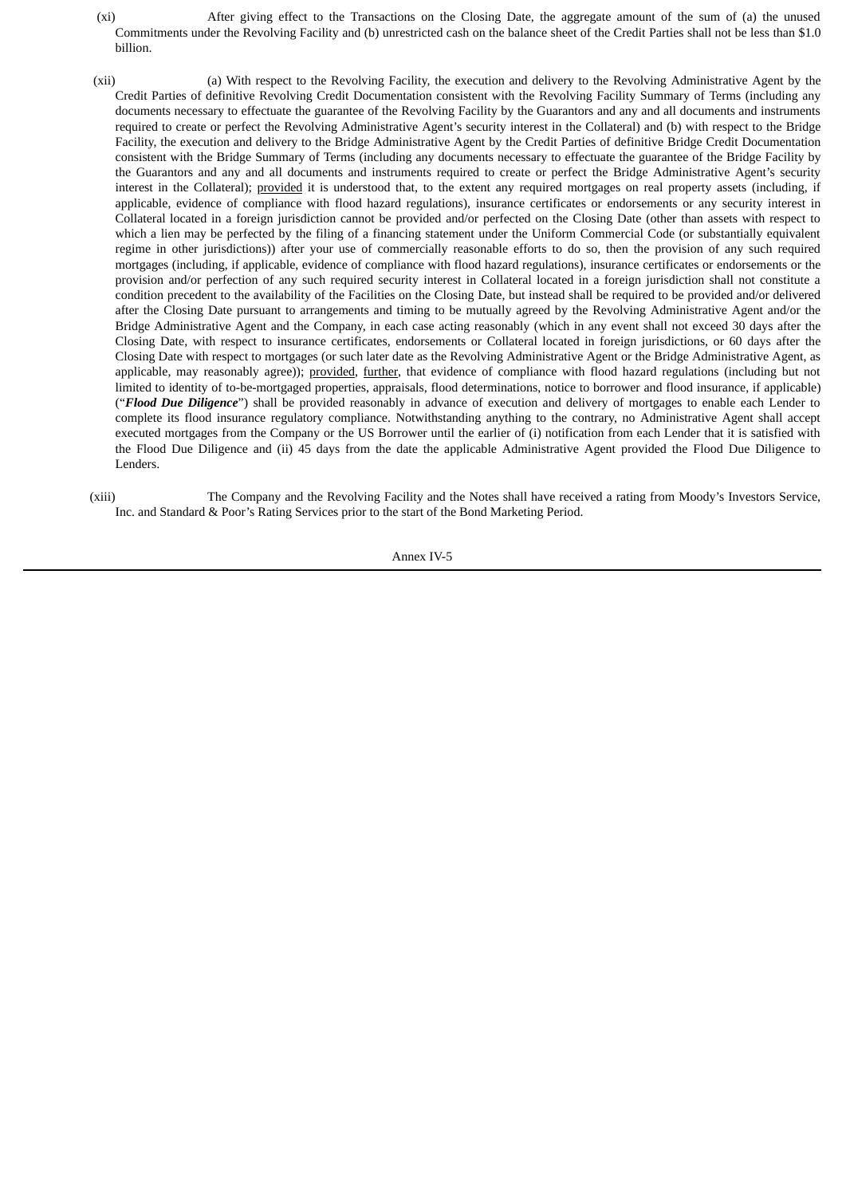- (xi) After giving effect to the Transactions on the Closing Date, the aggregate amount of the sum of (a) the unused Commitments under the Revolving Facility and (b) unrestricted cash on the balance sheet of the Credit Parties shall not be less than \$1.0 billion.
- (xii) (a) With respect to the Revolving Facility, the execution and delivery to the Revolving Administrative Agent by the Credit Parties of definitive Revolving Credit Documentation consistent with the Revolving Facility Summary of Terms (including any documents necessary to effectuate the guarantee of the Revolving Facility by the Guarantors and any and all documents and instruments required to create or perfect the Revolving Administrative Agent's security interest in the Collateral) and (b) with respect to the Bridge Facility, the execution and delivery to the Bridge Administrative Agent by the Credit Parties of definitive Bridge Credit Documentation consistent with the Bridge Summary of Terms (including any documents necessary to effectuate the guarantee of the Bridge Facility by the Guarantors and any and all documents and instruments required to create or perfect the Bridge Administrative Agent's security interest in the Collateral); provided it is understood that, to the extent any required mortgages on real property assets (including, if applicable, evidence of compliance with flood hazard regulations), insurance certificates or endorsements or any security interest in Collateral located in a foreign jurisdiction cannot be provided and/or perfected on the Closing Date (other than assets with respect to which a lien may be perfected by the filing of a financing statement under the Uniform Commercial Code (or substantially equivalent regime in other jurisdictions)) after your use of commercially reasonable efforts to do so, then the provision of any such required mortgages (including, if applicable, evidence of compliance with flood hazard regulations), insurance certificates or endorsements or the provision and/or perfection of any such required security interest in Collateral located in a foreign jurisdiction shall not constitute a condition precedent to the availability of the Facilities on the Closing Date, but instead shall be required to be provided and/or delivered after the Closing Date pursuant to arrangements and timing to be mutually agreed by the Revolving Administrative Agent and/or the Bridge Administrative Agent and the Company, in each case acting reasonably (which in any event shall not exceed 30 days after the Closing Date, with respect to insurance certificates, endorsements or Collateral located in foreign jurisdictions, or 60 days after the Closing Date with respect to mortgages (or such later date as the Revolving Administrative Agent or the Bridge Administrative Agent, as applicable, may reasonably agree)); provided, further, that evidence of compliance with flood hazard regulations (including but not limited to identity of to-be-mortgaged properties, appraisals, flood determinations, notice to borrower and flood insurance, if applicable) ("*Flood Due Diligence*") shall be provided reasonably in advance of execution and delivery of mortgages to enable each Lender to complete its flood insurance regulatory compliance. Notwithstanding anything to the contrary, no Administrative Agent shall accept executed mortgages from the Company or the US Borrower until the earlier of (i) notification from each Lender that it is satisfied with the Flood Due Diligence and (ii) 45 days from the date the applicable Administrative Agent provided the Flood Due Diligence to Lenders.
- (xiii) The Company and the Revolving Facility and the Notes shall have received a rating from Moody's Investors Service, Inc. and Standard & Poor's Rating Services prior to the start of the Bond Marketing Period.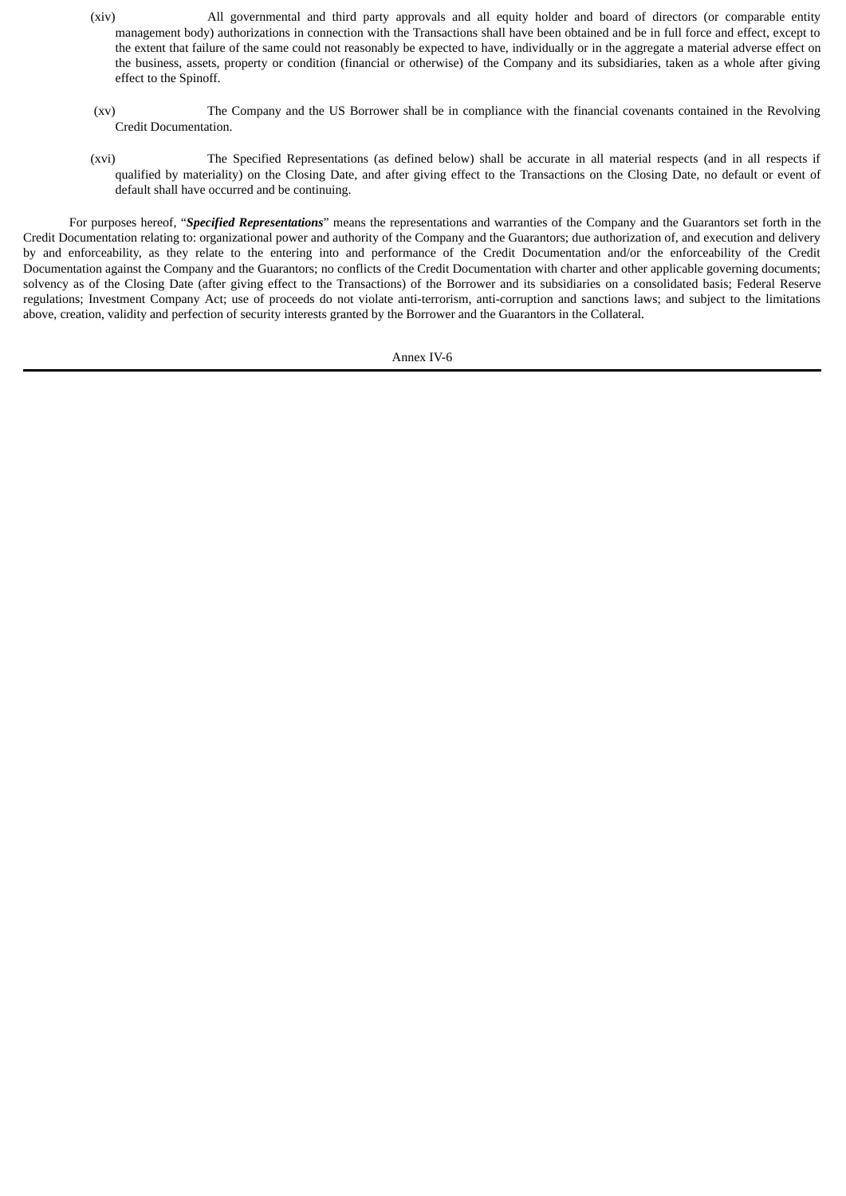- (xiv) All governmental and third party approvals and all equity holder and board of directors (or comparable entity management body) authorizations in connection with the Transactions shall have been obtained and be in full force and effect, except to the extent that failure of the same could not reasonably be expected to have, individually or in the aggregate a material adverse effect on the business, assets, property or condition (financial or otherwise) of the Company and its subsidiaries, taken as a whole after giving effect to the Spinoff.
- (xv) The Company and the US Borrower shall be in compliance with the financial covenants contained in the Revolving Credit Documentation.
- (xvi) The Specified Representations (as defined below) shall be accurate in all material respects (and in all respects if qualified by materiality) on the Closing Date, and after giving effect to the Transactions on the Closing Date, no default or event of default shall have occurred and be continuing.

For purposes hereof, "*Specified Representations*" means the representations and warranties of the Company and the Guarantors set forth in the Credit Documentation relating to: organizational power and authority of the Company and the Guarantors; due authorization of, and execution and delivery by and enforceability, as they relate to the entering into and performance of the Credit Documentation and/or the enforceability of the Credit Documentation against the Company and the Guarantors; no conflicts of the Credit Documentation with charter and other applicable governing documents; solvency as of the Closing Date (after giving effect to the Transactions) of the Borrower and its subsidiaries on a consolidated basis; Federal Reserve regulations; Investment Company Act; use of proceeds do not violate anti-terrorism, anti-corruption and sanctions laws; and subject to the limitations above, creation, validity and perfection of security interests granted by the Borrower and the Guarantors in the Collateral.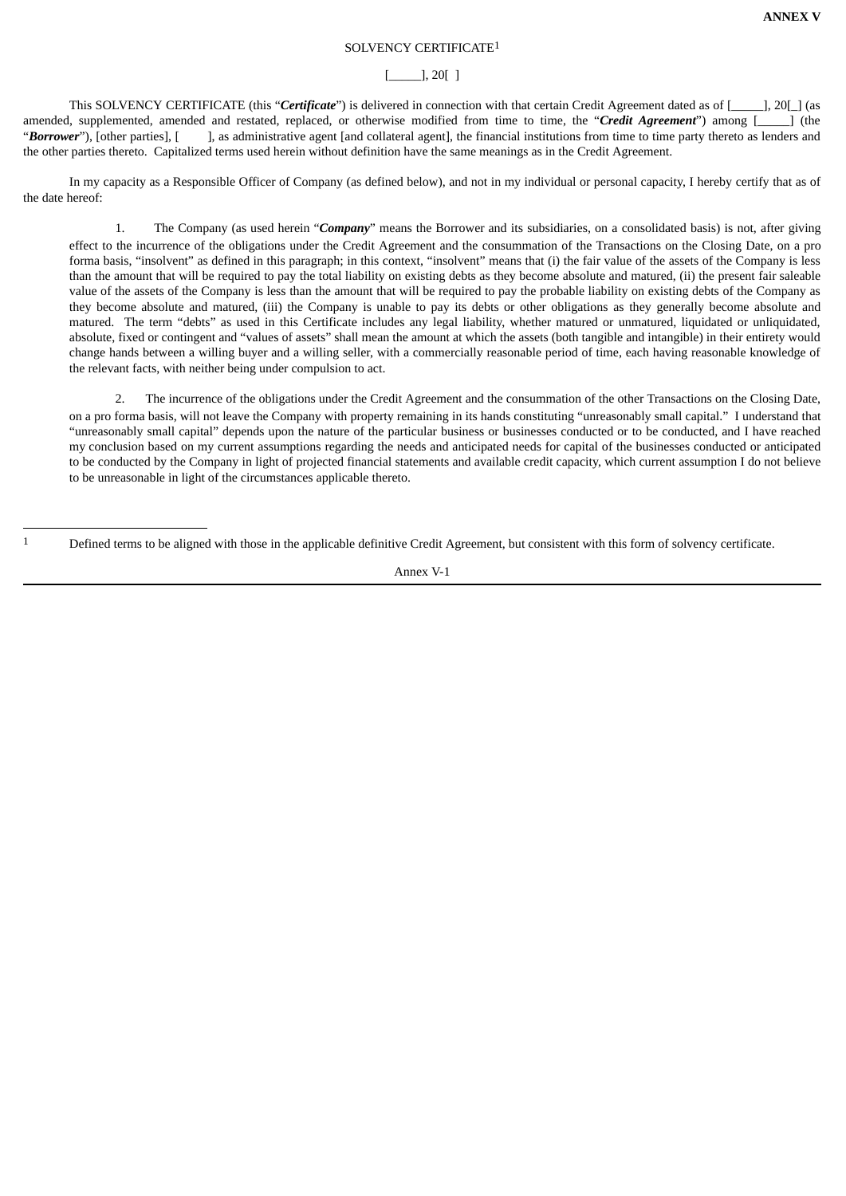# SOLVENCY CERTIFICATE1

## $[-$ ], 20[]

This SOLVENCY CERTIFICATE (this "*Certificate*") is delivered in connection with that certain Credit Agreement dated as of [\_\_\_\_\_], 20[\_] (as amended, supplemented, amended and restated, replaced, or otherwise modified from time to time, the "*Credit Agreement*") among [\_\_\_\_\_] (the "*Borrower*"), [other parties], [ ], as administrative agent [and collateral agent], the financial institutions from time to time party thereto as lenders and the other parties thereto. Capitalized terms used herein without definition have the same meanings as in the Credit Agreement.

In my capacity as a Responsible Officer of Company (as defined below), and not in my individual or personal capacity, I hereby certify that as of the date hereof:

1. The Company (as used herein "*Company*" means the Borrower and its subsidiaries, on a consolidated basis) is not, after giving effect to the incurrence of the obligations under the Credit Agreement and the consummation of the Transactions on the Closing Date, on a pro forma basis, "insolvent" as defined in this paragraph; in this context, "insolvent" means that (i) the fair value of the assets of the Company is less than the amount that will be required to pay the total liability on existing debts as they become absolute and matured, (ii) the present fair saleable value of the assets of the Company is less than the amount that will be required to pay the probable liability on existing debts of the Company as they become absolute and matured, (iii) the Company is unable to pay its debts or other obligations as they generally become absolute and matured. The term "debts" as used in this Certificate includes any legal liability, whether matured or unmatured, liquidated or unliquidated, absolute, fixed or contingent and "values of assets" shall mean the amount at which the assets (both tangible and intangible) in their entirety would change hands between a willing buyer and a willing seller, with a commercially reasonable period of time, each having reasonable knowledge of the relevant facts, with neither being under compulsion to act.

2. The incurrence of the obligations under the Credit Agreement and the consummation of the other Transactions on the Closing Date, on a pro forma basis, will not leave the Company with property remaining in its hands constituting "unreasonably small capital." I understand that "unreasonably small capital" depends upon the nature of the particular business or businesses conducted or to be conducted, and I have reached my conclusion based on my current assumptions regarding the needs and anticipated needs for capital of the businesses conducted or anticipated to be conducted by the Company in light of projected financial statements and available credit capacity, which current assumption I do not believe to be unreasonable in light of the circumstances applicable thereto.

1 Defined terms to be aligned with those in the applicable definitive Credit Agreement, but consistent with this form of solvency certificate.

Annex V-1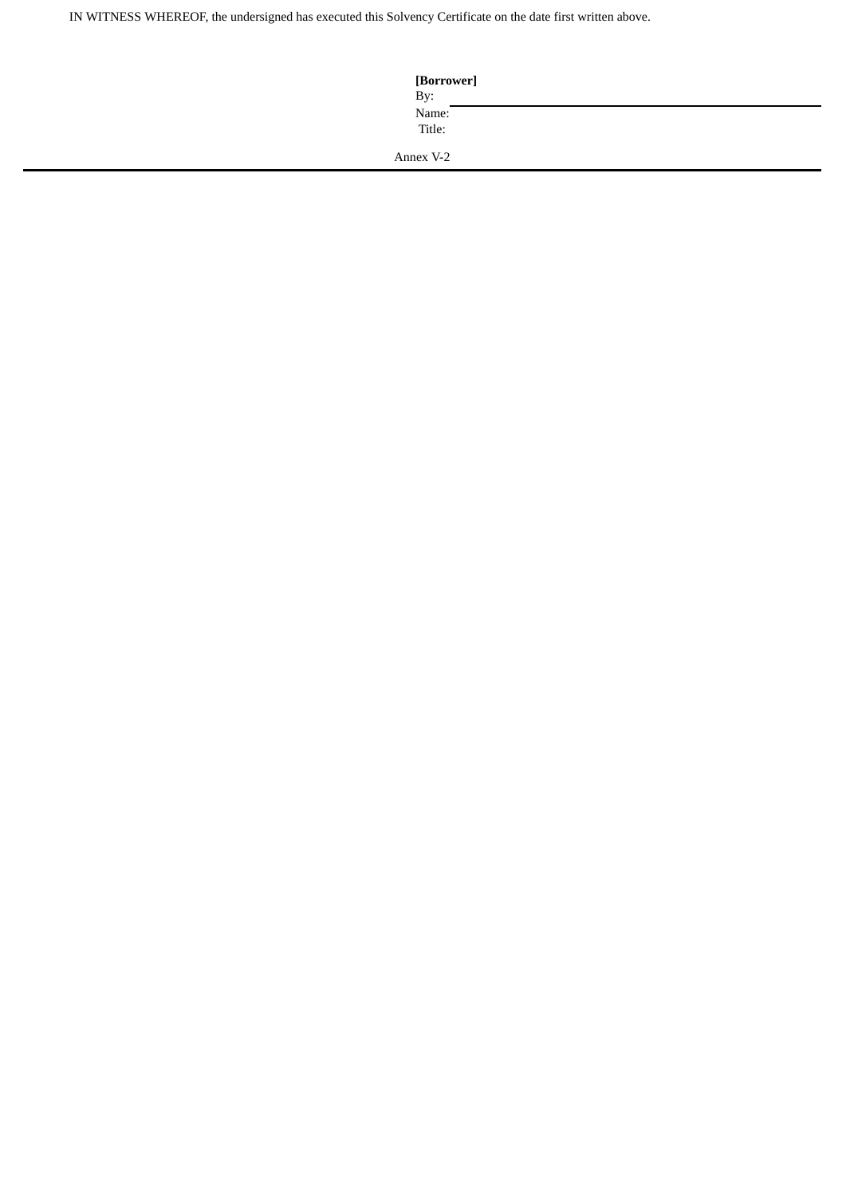IN WITNESS WHEREOF, the undersigned has executed this Solvency Certificate on the date first written above.

| [Borrower]<br>By: |  |
|-------------------|--|
| Name:<br>Title:   |  |
| Annex V-2         |  |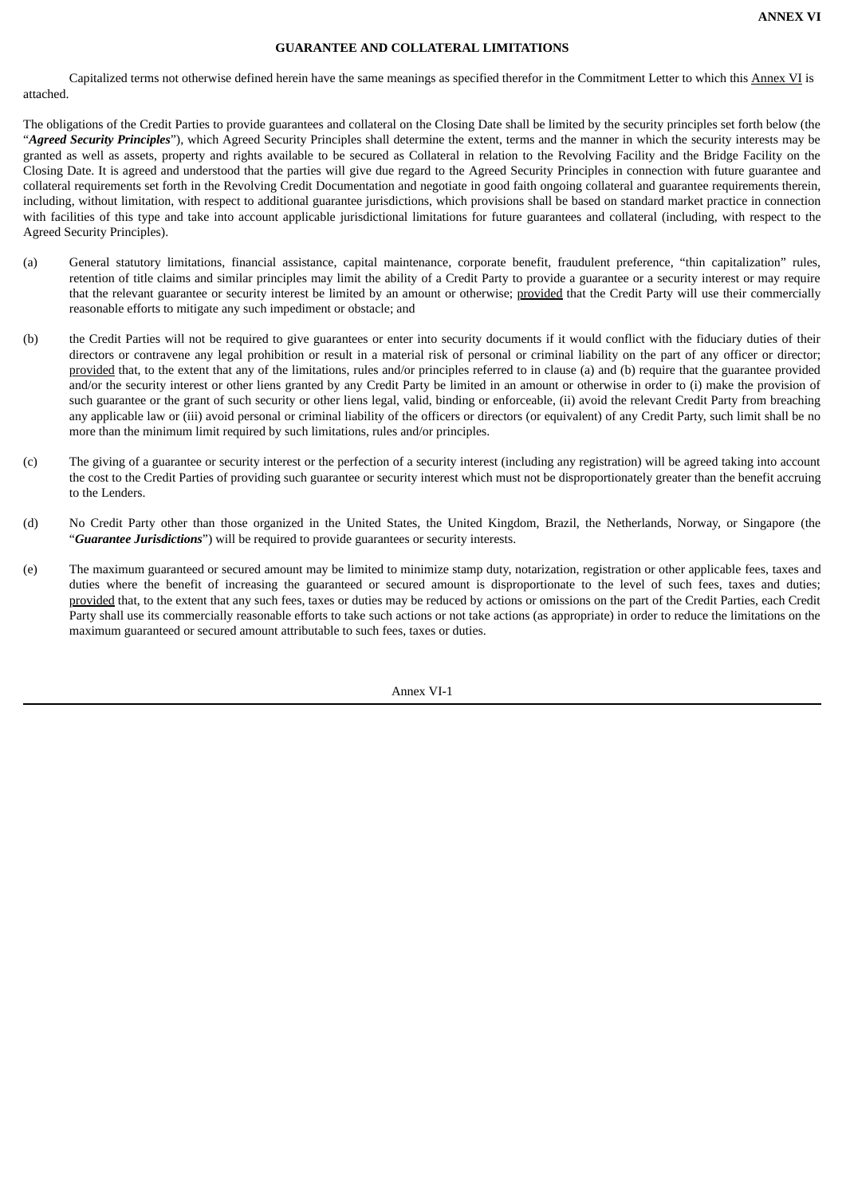## **GUARANTEE AND COLLATERAL LIMITATIONS**

Capitalized terms not otherwise defined herein have the same meanings as specified therefor in the Commitment Letter to which this Annex VI is attached.

The obligations of the Credit Parties to provide guarantees and collateral on the Closing Date shall be limited by the security principles set forth below (the "*Agreed Security Principles*"), which Agreed Security Principles shall determine the extent, terms and the manner in which the security interests may be granted as well as assets, property and rights available to be secured as Collateral in relation to the Revolving Facility and the Bridge Facility on the Closing Date. It is agreed and understood that the parties will give due regard to the Agreed Security Principles in connection with future guarantee and collateral requirements set forth in the Revolving Credit Documentation and negotiate in good faith ongoing collateral and guarantee requirements therein, including, without limitation, with respect to additional guarantee jurisdictions, which provisions shall be based on standard market practice in connection with facilities of this type and take into account applicable jurisdictional limitations for future guarantees and collateral (including, with respect to the Agreed Security Principles).

- (a) General statutory limitations, financial assistance, capital maintenance, corporate benefit, fraudulent preference, "thin capitalization" rules, retention of title claims and similar principles may limit the ability of a Credit Party to provide a guarantee or a security interest or may require that the relevant guarantee or security interest be limited by an amount or otherwise; provided that the Credit Party will use their commercially reasonable efforts to mitigate any such impediment or obstacle; and
- (b) the Credit Parties will not be required to give guarantees or enter into security documents if it would conflict with the fiduciary duties of their directors or contravene any legal prohibition or result in a material risk of personal or criminal liability on the part of any officer or director; provided that, to the extent that any of the limitations, rules and/or principles referred to in clause (a) and (b) require that the guarantee provided and/or the security interest or other liens granted by any Credit Party be limited in an amount or otherwise in order to (i) make the provision of such guarantee or the grant of such security or other liens legal, valid, binding or enforceable, (ii) avoid the relevant Credit Party from breaching any applicable law or (iii) avoid personal or criminal liability of the officers or directors (or equivalent) of any Credit Party, such limit shall be no more than the minimum limit required by such limitations, rules and/or principles.
- (c) The giving of a guarantee or security interest or the perfection of a security interest (including any registration) will be agreed taking into account the cost to the Credit Parties of providing such guarantee or security interest which must not be disproportionately greater than the benefit accruing to the Lenders.
- (d) No Credit Party other than those organized in the United States, the United Kingdom, Brazil, the Netherlands, Norway, or Singapore (the "*Guarantee Jurisdictions*") will be required to provide guarantees or security interests.
- (e) The maximum guaranteed or secured amount may be limited to minimize stamp duty, notarization, registration or other applicable fees, taxes and duties where the benefit of increasing the guaranteed or secured amount is disproportionate to the level of such fees, taxes and duties; provided that, to the extent that any such fees, taxes or duties may be reduced by actions or omissions on the part of the Credit Parties, each Credit Party shall use its commercially reasonable efforts to take such actions or not take actions (as appropriate) in order to reduce the limitations on the maximum guaranteed or secured amount attributable to such fees, taxes or duties.

Annex VI-1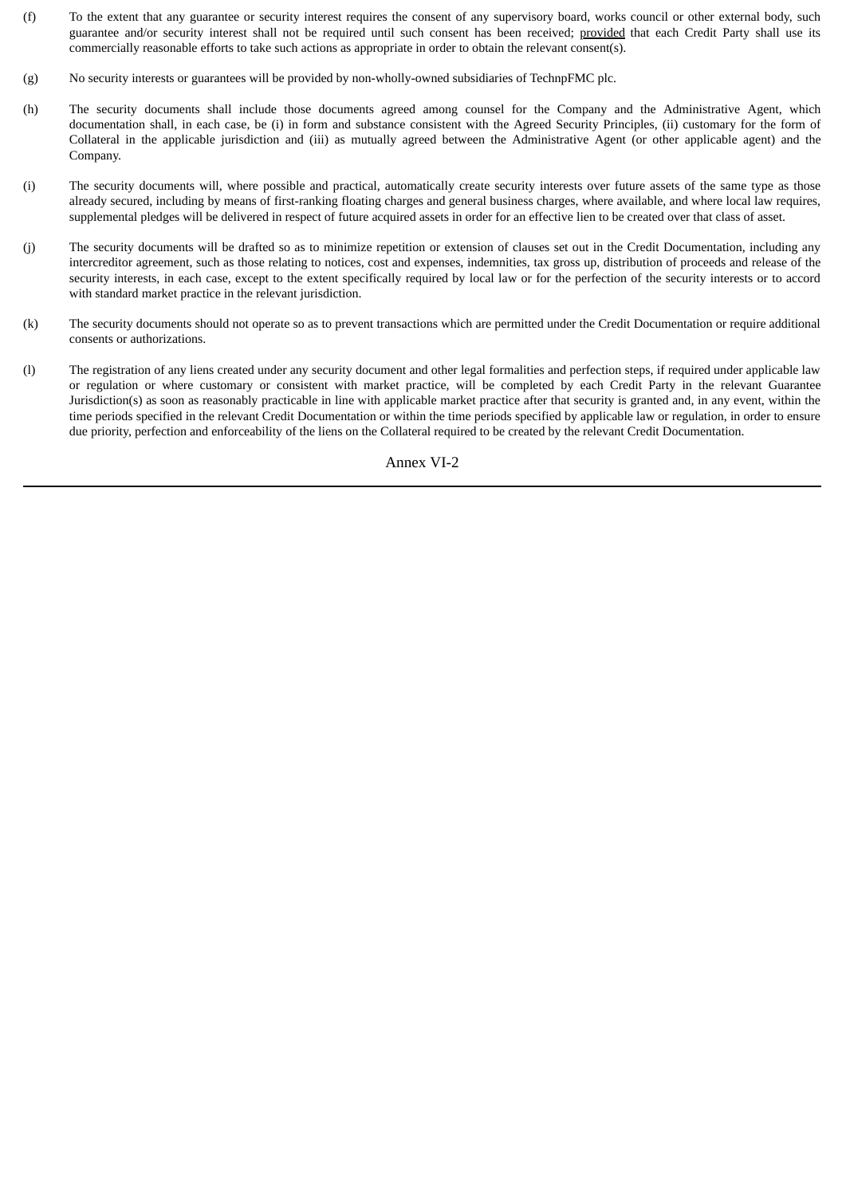- (f) To the extent that any guarantee or security interest requires the consent of any supervisory board, works council or other external body, such guarantee and/or security interest shall not be required until such consent has been received; provided that each Credit Party shall use its commercially reasonable efforts to take such actions as appropriate in order to obtain the relevant consent(s).
- (g) No security interests or guarantees will be provided by non-wholly-owned subsidiaries of TechnpFMC plc.
- (h) The security documents shall include those documents agreed among counsel for the Company and the Administrative Agent, which documentation shall, in each case, be (i) in form and substance consistent with the Agreed Security Principles, (ii) customary for the form of Collateral in the applicable jurisdiction and (iii) as mutually agreed between the Administrative Agent (or other applicable agent) and the Company.
- (i) The security documents will, where possible and practical, automatically create security interests over future assets of the same type as those already secured, including by means of first-ranking floating charges and general business charges, where available, and where local law requires, supplemental pledges will be delivered in respect of future acquired assets in order for an effective lien to be created over that class of asset.
- (j) The security documents will be drafted so as to minimize repetition or extension of clauses set out in the Credit Documentation, including any intercreditor agreement, such as those relating to notices, cost and expenses, indemnities, tax gross up, distribution of proceeds and release of the security interests, in each case, except to the extent specifically required by local law or for the perfection of the security interests or to accord with standard market practice in the relevant jurisdiction.
- (k) The security documents should not operate so as to prevent transactions which are permitted under the Credit Documentation or require additional consents or authorizations.
- (l) The registration of any liens created under any security document and other legal formalities and perfection steps, if required under applicable law or regulation or where customary or consistent with market practice, will be completed by each Credit Party in the relevant Guarantee Jurisdiction(s) as soon as reasonably practicable in line with applicable market practice after that security is granted and, in any event, within the time periods specified in the relevant Credit Documentation or within the time periods specified by applicable law or regulation, in order to ensure due priority, perfection and enforceability of the liens on the Collateral required to be created by the relevant Credit Documentation.

Annex VI-2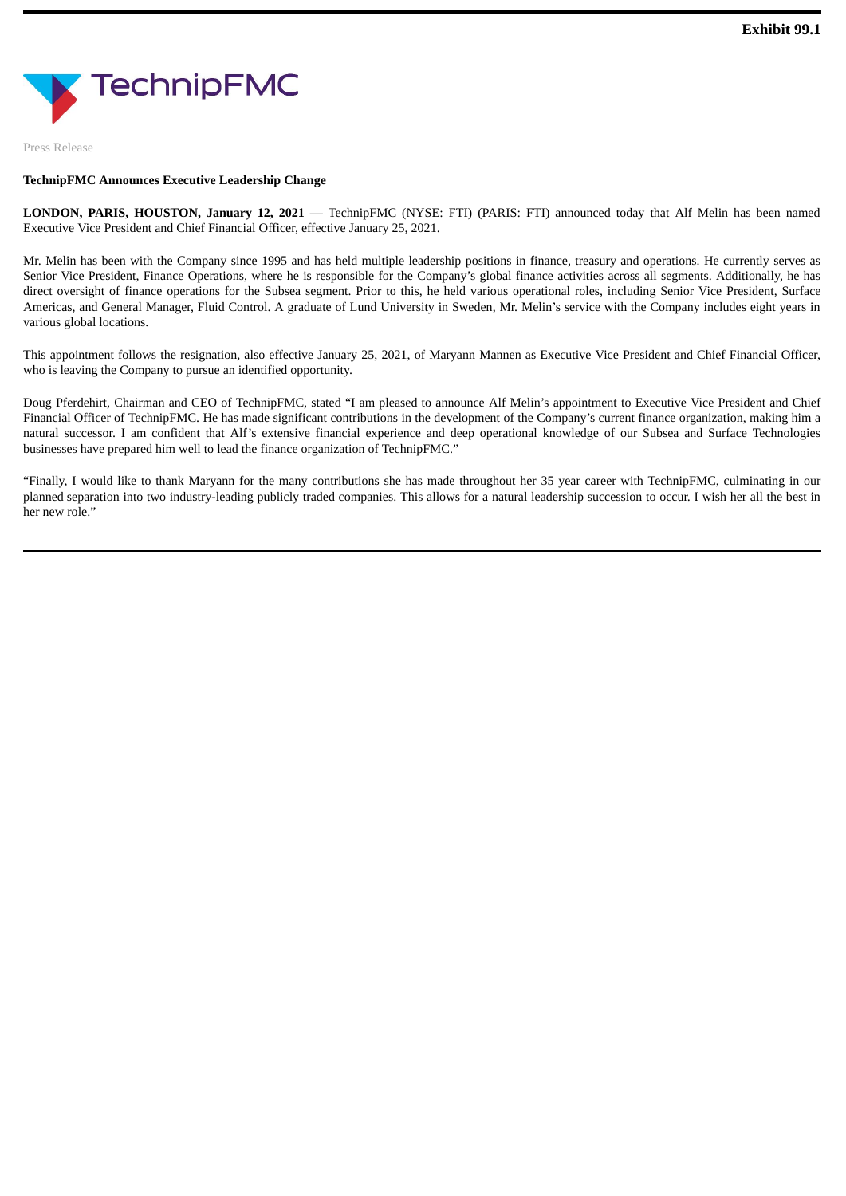

Press Release

#### **TechnipFMC Announces Executive Leadership Change**

**LONDON, PARIS, HOUSTON, January 12, 2021** — TechnipFMC (NYSE: FTI) (PARIS: FTI) announced today that Alf Melin has been named Executive Vice President and Chief Financial Officer, effective January 25, 2021.

Mr. Melin has been with the Company since 1995 and has held multiple leadership positions in finance, treasury and operations. He currently serves as Senior Vice President, Finance Operations, where he is responsible for the Company's global finance activities across all segments. Additionally, he has direct oversight of finance operations for the Subsea segment. Prior to this, he held various operational roles, including Senior Vice President, Surface Americas, and General Manager, Fluid Control. A graduate of Lund University in Sweden, Mr. Melin's service with the Company includes eight years in various global locations.

This appointment follows the resignation, also effective January 25, 2021, of Maryann Mannen as Executive Vice President and Chief Financial Officer, who is leaving the Company to pursue an identified opportunity.

Doug Pferdehirt, Chairman and CEO of TechnipFMC, stated "I am pleased to announce Alf Melin's appointment to Executive Vice President and Chief Financial Officer of TechnipFMC. He has made significant contributions in the development of the Company's current finance organization, making him a natural successor. I am confident that Alf's extensive financial experience and deep operational knowledge of our Subsea and Surface Technologies businesses have prepared him well to lead the finance organization of TechnipFMC."

"Finally, I would like to thank Maryann for the many contributions she has made throughout her 35 year career with TechnipFMC, culminating in our planned separation into two industry-leading publicly traded companies. This allows for a natural leadership succession to occur. I wish her all the best in her new role."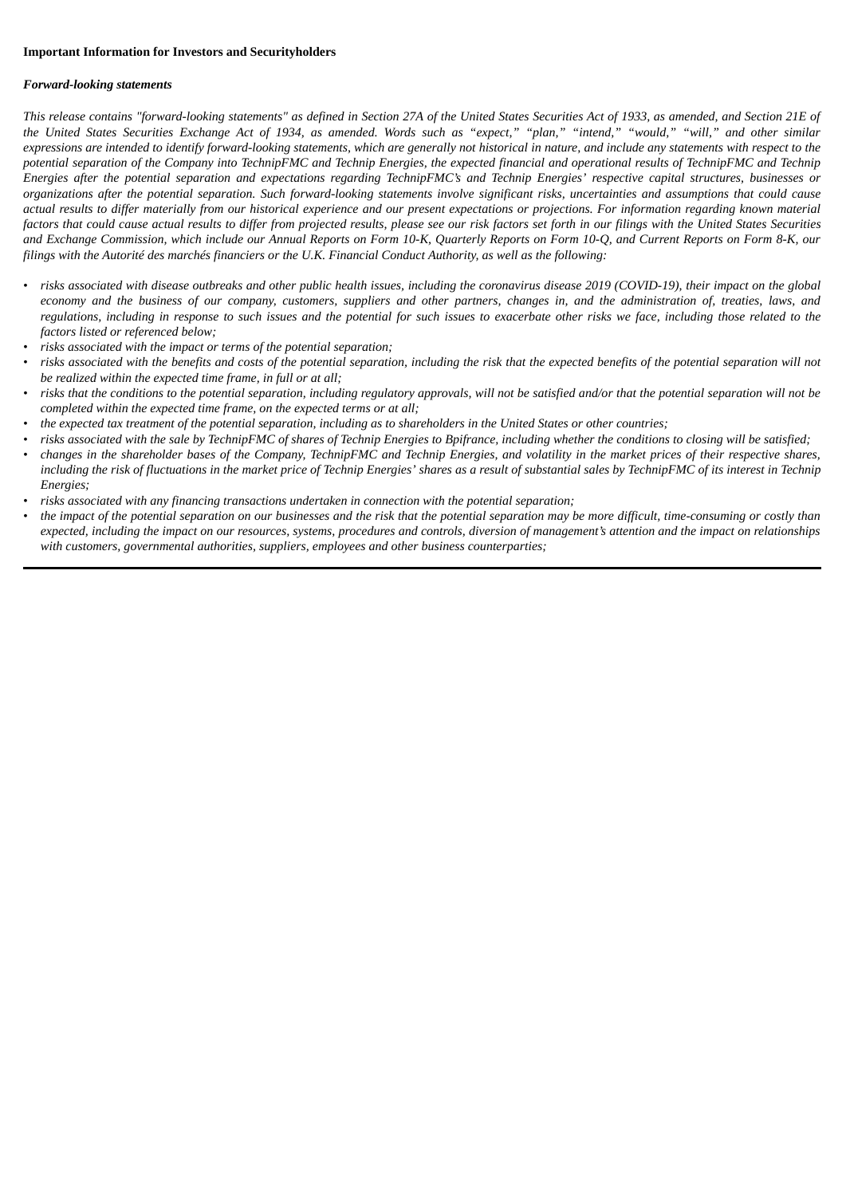#### **Important Information for Investors and Securityholders**

#### *Forward-looking statements*

This release contains "forward-looking statements" as defined in Section 27A of the United States Securities Act of 1933, as amended, and Section 21E of the United States Securities Exchange Act of 1934, as amended. Words such as "expect," "plan," "intend," "would," "will," and other similar expressions are intended to identify forward-looking statements, which are generally not historical in nature, and include any statements with respect to the potential separation of the Company into TechnipFMC and Technip Energies, the expected financial and operational results of TechnipFMC and Technip Energies after the potential separation and expectations regarding TechnipFMC's and Technip Energies' respective capital structures, businesses or organizations after the potential separation. Such forward-looking statements involve significant risks, uncertainties and assumptions that could cause actual results to differ materially from our historical experience and our present expectations or projections. For information regarding known material factors that could cause actual results to differ from projected results, please see our risk factors set forth in our filings with the United States Securities and Exchange Commission, which include our Annual Reports on Form 10-K, Quarterly Reports on Form 10-O, and Current Reports on Form 8-K, our filings with the Autorité des marchés financiers or the U.K. Financial Conduct Authority, as well as the following:

- risks associated with disease outbreaks and other public health issues, including the coronavirus disease 2019 (COVID-19), their impact on the global economy and the business of our company, customers, suppliers and other partners, changes in, and the administration of, treaties, laws, and regulations, including in response to such issues and the potential for such issues to exacerbate other risks we face, including those related to the *factors listed or referenced below;*
- *• risks associated with the impact or terms of the potential separation;*
- risks associated with the benefits and costs of the potential separation, including the risk that the expected benefits of the potential separation will not *be realized within the expected time frame, in full or at all;*
- risks that the conditions to the potential separation, including regulatory approvals, will not be satisfied and/or that the potential separation will not be *completed within the expected time frame, on the expected terms or at all;*
- the expected tax treatment of the potential separation, including as to shareholders in the United States or other countries;
- risks associated with the sale by TechnipFMC of shares of Technip Energies to Bpifrance, including whether the conditions to closing will be satisfied;
- changes in the shareholder bases of the Company, TechnipFMC and Technip Energies, and volatility in the market prices of their respective shares, including the risk of fluctuations in the market price of Technip Energies' shares as a result of substantial sales by TechnipFMC of its interest in Technip *Energies;*
- *• risks associated with any financing transactions undertaken in connection with the potential separation;*
- the impact of the potential separation on our businesses and the risk that the potential separation may be more difficult, time-consuming or costly than expected, including the impact on our resources, systems, procedures and controls, diversion of management's attention and the impact on relationships *with customers, governmental authorities, suppliers, employees and other business counterparties;*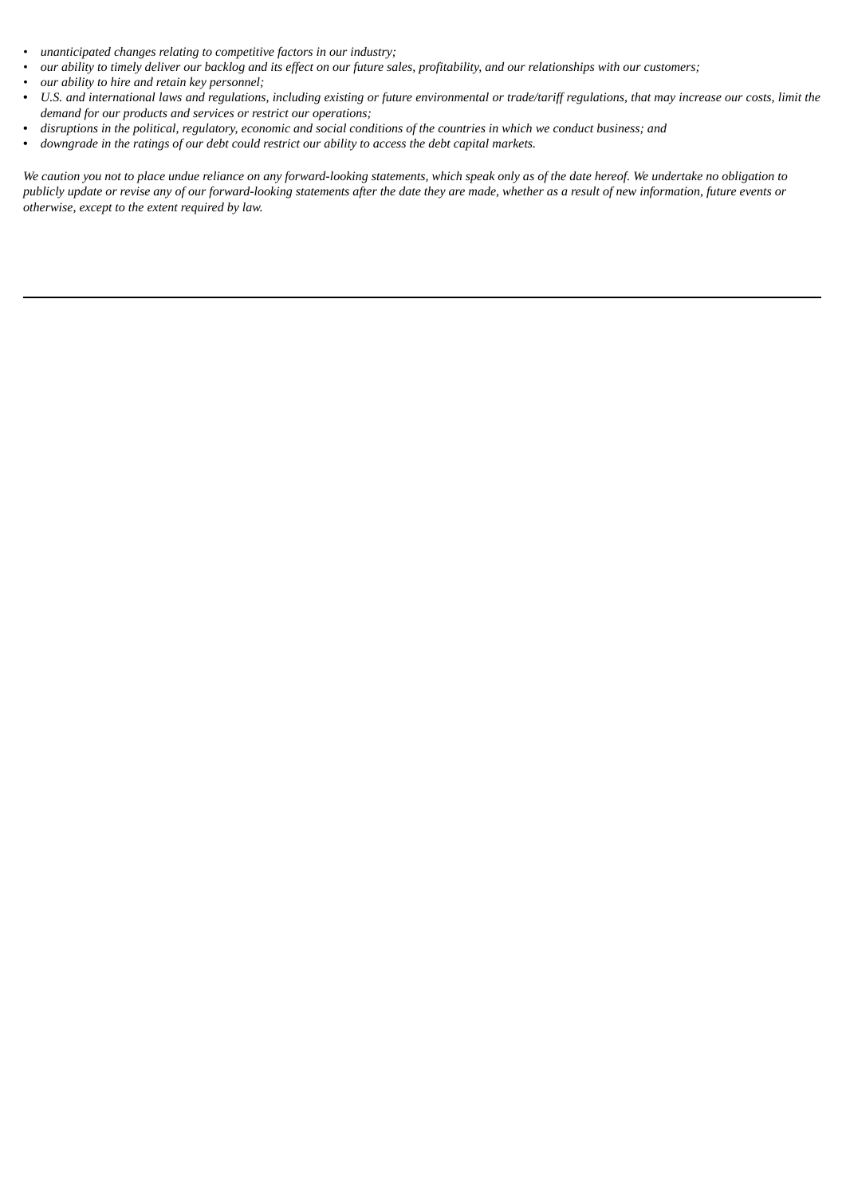- *• unanticipated changes relating to competitive factors in our industry;*
- our ability to timely deliver our backlog and its effect on our future sales, profitability, and our relationships with our customers;
- *• our ability to hire and retain key personnel;*
- U.S. and international laws and regulations, including existing or future environmental or trade/tariff regulations, that may increase our costs, limit the *demand for our products and services or restrict our operations;*
- disruptions in the political, regulatory, economic and social conditions of the countries in which we conduct business; and
- downgrade in the ratings of our debt could restrict our ability to access the debt capital markets.

We caution you not to place undue reliance on any forward-looking statements, which speak only as of the date hereof. We undertake no obligation to publicly update or revise any of our forward-looking statements after the date they are made, whether as a result of new information, future events or *otherwise, except to the extent required by law.*